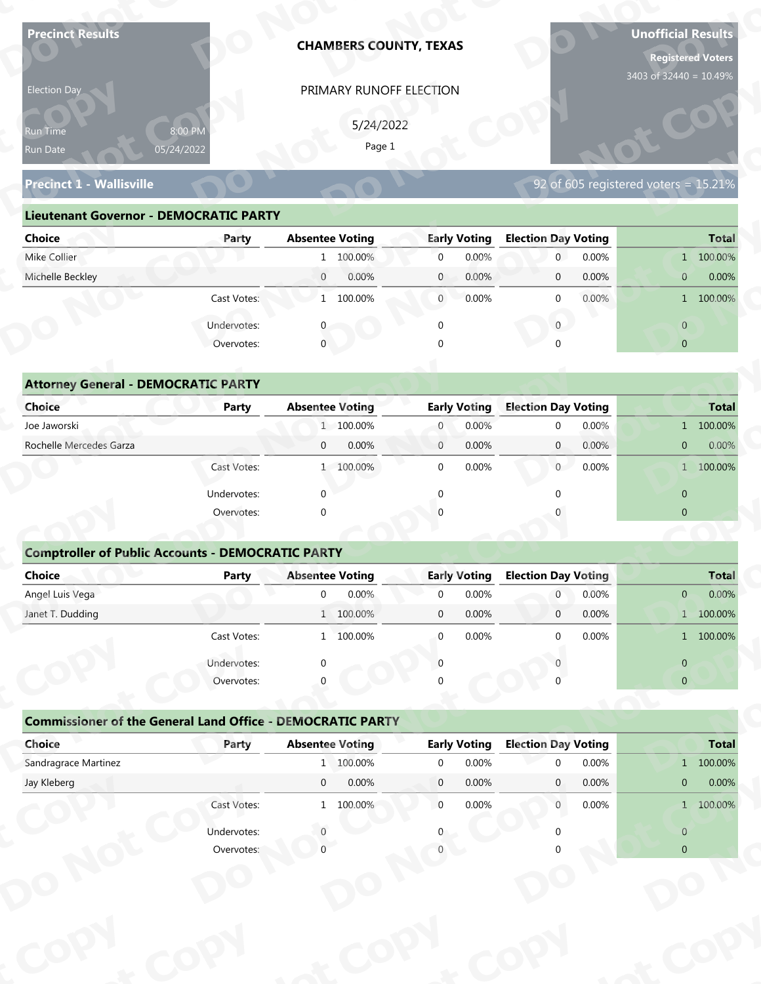| <b>Precinct Results</b>                                  |                                                                   |                                                   | <b>CHAMBERS COUNTY, TEXAS</b> |                                             |                                              |       | <b>Unofficial Results</b><br><b>Registered Voters</b> |                       |
|----------------------------------------------------------|-------------------------------------------------------------------|---------------------------------------------------|-------------------------------|---------------------------------------------|----------------------------------------------|-------|-------------------------------------------------------|-----------------------|
| Election Day                                             |                                                                   |                                                   | PRIMARY RUNOFF ELECTION       |                                             |                                              |       | 3403 of 32440 = 10.49%                                |                       |
|                                                          |                                                                   |                                                   |                               |                                             |                                              |       |                                                       |                       |
| Run Time                                                 | 8:00 PM<br>05/24/2022                                             |                                                   | 5/24/2022<br>Page 1           |                                             |                                              |       |                                                       |                       |
| Run Date                                                 |                                                                   |                                                   |                               |                                             |                                              |       |                                                       |                       |
| <b>Precinct 1 - Wallisville</b>                          |                                                                   |                                                   |                               |                                             |                                              |       | 92 of 605 registered voters = $15.21\%$               |                       |
| <b>Lieutenant Governor - DEMOCRATIC PARTY</b>            |                                                                   |                                                   |                               |                                             |                                              |       |                                                       |                       |
| <b>Choice</b>                                            | Party                                                             | <b>Absentee Voting</b>                            |                               | <b>Early Voting</b>                         | <b>Election Day Voting</b>                   |       |                                                       | <b>Total</b>          |
| Mike Collier                                             |                                                                   | 1 100.00%                                         |                               | 0.00%<br>$\overline{0}$                     | $\mathbf 0$                                  | 0.00% |                                                       | 1 100.00%             |
| Michelle Beckley                                         |                                                                   | $\overline{0}$<br>0.00%                           |                               | $\mathbf{0}$<br>0.00%                       | $\mathbf 0$                                  | 0.00% | $\mathbf{0}$                                          | 0.00%                 |
|                                                          | Cast Votes:                                                       | 1 100.00%                                         |                               | $\overline{0}$<br>0.00%                     | $\mathbf 0$                                  | 0.00% |                                                       | 1 100.00%             |
|                                                          | Undervotes:                                                       |                                                   |                               | $\mathbf 0$                                 | $\overline{0}$                               |       | $\overline{0}$                                        |                       |
|                                                          | Overvotes:                                                        | $\mathbf{0}$                                      |                               |                                             |                                              |       | $\overline{0}$                                        |                       |
|                                                          |                                                                   |                                                   |                               |                                             |                                              |       |                                                       |                       |
| <b>Attorney General - DEMOCRATIC PARTY</b>               |                                                                   |                                                   |                               |                                             |                                              |       |                                                       |                       |
| <b>Choice</b>                                            | <b>Party</b>                                                      | <b>Absentee Voting</b>                            |                               | <b>Early Voting</b>                         | <b>Election Day Voting</b>                   |       |                                                       | <b>Total</b>          |
| Joe Jaworski                                             |                                                                   | 1 100.00%                                         |                               | 0.00%<br>$\overline{0}$                     | $\mathbf 0$                                  | 0.00% |                                                       | 1 100.00%             |
| Rochelle Mercedes Garza                                  |                                                                   | 0.00%<br>$\mathbf{0}$                             |                               | 0.00%<br>$\overline{0}$                     | $\overline{0}$                               | 0.00% | $\overline{0}$                                        | 0.00%                 |
|                                                          | Cast Votes:                                                       | 1 100.00%                                         |                               | $\mathbf 0$<br>0.00%                        | $0^-$                                        | 0.00% |                                                       | 1 100.00%             |
|                                                          | Undervotes:                                                       | $\Omega$                                          |                               | $\Omega$                                    | $\Omega$                                     |       | $\overline{0}$                                        |                       |
|                                                          | Overvotes:                                                        | $\Omega$                                          |                               |                                             |                                              |       | $\overline{0}$                                        |                       |
|                                                          |                                                                   |                                                   |                               |                                             |                                              |       |                                                       |                       |
| <b>Comptroller of Public Accounts - DEMOCRATIC PARTY</b> |                                                                   |                                                   |                               |                                             |                                              |       |                                                       |                       |
| Choice<br>Angel Luis Vega                                | <b>Party</b>                                                      | <b>Absentee Voting</b><br>0.00%<br>$\overline{0}$ |                               | <b>Early Voting</b><br>0.00%<br>$\mathbf 0$ | <b>Election Day Voting</b><br>$\overline{0}$ | 0.00% | $\mathbf{0}$                                          | <b>Total</b><br>0.00% |
| Janet T. Dudding                                         |                                                                   | 1 100.00%                                         |                               | 0.00%<br>$\mathbf 0$                        | $\overline{0}$                               | 0.00% |                                                       | 1 100.00%             |
|                                                          | Cast Votes:                                                       | 1 100.00%                                         |                               | 0.00%<br>$\mathbf 0$                        | $\Omega$                                     | 0.00% |                                                       | 1 100.00%             |
|                                                          |                                                                   |                                                   |                               |                                             |                                              |       |                                                       |                       |
|                                                          | Undervotes:<br>Overvotes:                                         | $\Omega$                                          |                               | $\Omega$                                    |                                              |       | $\overline{0}$<br>$\overline{0}$                      |                       |
|                                                          |                                                                   |                                                   |                               |                                             |                                              |       |                                                       |                       |
|                                                          | <b>Commissioner of the General Land Office - DEMOCRATIC PARTY</b> |                                                   |                               |                                             |                                              |       |                                                       |                       |
|                                                          |                                                                   | <b>Absentee Voting</b>                            |                               | <b>Early Voting</b>                         | <b>Election Day Voting</b>                   |       |                                                       | <b>Total</b>          |
| Choice                                                   | Party                                                             |                                                   |                               |                                             |                                              | 0.00% |                                                       |                       |
| Sandragrace Martinez                                     |                                                                   | 1 100.00%                                         |                               | 0.00%<br>$\overline{0}$                     | $\Omega$                                     |       |                                                       | 1 100.00%             |
| Jay Kleberg                                              |                                                                   | $\overline{0}$<br>0.00%                           |                               | $\overline{0}$<br>0.00%                     | $\mathbf{0}$                                 | 0.00% | $\mathbf{0}$                                          | 0.00%                 |
|                                                          | Cast Votes:                                                       | 1 100.00%                                         |                               | $\overline{0}$<br>0.00%                     | $\overline{0}$                               | 0.00% |                                                       | 1 100.00%             |
|                                                          | Undervotes:                                                       |                                                   |                               |                                             |                                              |       | $\overline{0}$                                        |                       |

| Election Day                                  |                       |                         | PRIMARY RUNOFF ELECTION |                            |                                           |
|-----------------------------------------------|-----------------------|-------------------------|-------------------------|----------------------------|-------------------------------------------|
| <b>Run Time</b><br>Run Date                   | 8:00 PM<br>05/24/2022 |                         | 5/24/2022<br>Page 1     |                            |                                           |
| <b>Precinct 1 - Wallisville</b>               |                       |                         |                         |                            | 92 of $605$ registered voters = $15.21\%$ |
| <b>Lieutenant Governor - DEMOCRATIC PARTY</b> |                       |                         |                         |                            |                                           |
| <b>Choice</b>                                 | Party                 | <b>Absentee Voting</b>  | <b>Early Voting</b>     | <b>Election Day Voting</b> | <b>Total</b>                              |
| Mike Collier                                  |                       | 1 100.00%               | 0.00%<br>$\overline{0}$ | 0.00%<br>$\overline{0}$    | 1 100.00%                                 |
| Michelle Beckley                              |                       | 0.00%<br>$\overline{0}$ | 0.00%<br>$\mathbf{0}$   | 0.00%<br>$\overline{0}$    | 0.00%<br>$\mathbf{0}$                     |
|                                               | Cast Votes:           | 1 100.00%               | 0.00%<br>$\overline{0}$ | $0.00\%$<br>$\Omega$       | 1 100.00%                                 |
|                                               | Undervotes:           |                         | $\Omega$                | $\overline{0}$             | $\overline{0}$                            |
|                                               | Overvotes:            | $\mathbf 0$             | $\Omega$                |                            | $\overline{0}$                            |
|                                               |                       |                         |                         |                            |                                           |
| <b>Attorney General - DEMOCRATIC PARTY</b>    |                       |                         |                         |                            |                                           |
| <b>Choice</b>                                 | <b>Party</b>          | <b>Absentee Voting</b>  | <b>Early Voting</b>     | <b>Election Day Voting</b> | <b>Total</b>                              |
| Joe Jaworski                                  |                       | 1 100.00%               | 0.00%<br>$\overline{0}$ | 0.00%<br>$\Omega$          | 1 100.00%                                 |
| Rochelle Mercedes Garza                       |                       | 0.00%<br>$\overline{0}$ | 0.00%<br>$\mathbf{0}$   | $\overline{0}$<br>0.00%    | 0.00%<br>$\overline{0}$                   |
|                                               | Cast Votes:           | 1 100.00%               | 0.00%<br>$\Omega$       | $\overline{0}$<br>0.00%    | 1 100.00%                                 |
|                                               |                       |                         |                         |                            |                                           |

| 5/24/2022<br>8:00 PM<br>Run Time<br>Page 1<br>05/24/2022<br>Run Date<br>92 of 605 registered voters = 15.21%<br><b>Precinct 1 - Wallisville</b><br><b>Lieutenant Governor - DEMOCRATIC PARTY</b><br><b>Absentee Voting</b><br><b>Early Voting</b><br><b>Election Day Voting</b><br><b>Choice</b><br>Party<br>Mike Collier<br>1 100.00%<br>$\overline{0}$<br>0.00%<br>$\overline{0}$<br>0.00%<br>Michelle Beckley<br>$\overline{0}$<br>0.00%<br>$\mathbf{0}$<br>0.00%<br>0.00%<br>$\mathbf 0$<br>Cast Votes:<br>1 100.00%<br>$\overline{0}$<br>0.00%<br>0.00%<br>$\mathbf{0}$<br>$\overline{0}$<br>Undervotes:<br>$\mathbf 0$<br>$\mathbf{0}$<br>Overvotes:<br>$\mathbf{0}$<br>$\Omega$<br><b>Attorney General - DEMOCRATIC PARTY</b><br><b>Early Voting</b><br><b>Election Day Voting</b><br>Choice<br><b>Absentee Voting</b><br><b>Party</b><br>Joe Jaworski<br>1 100.00%<br>0.00%<br>0.00%<br>$\overline{0}$<br>$\mathbf 0$<br>Rochelle Mercedes Garza<br>0.00%<br>0.00%<br>0.00%<br>$\mathbf{0}$<br>$\mathbf{0}$<br>$\mathbf{0}$<br>Cast Votes:<br>1 100.00%<br>$\mathbf 0$<br>0.00%<br>$\overline{0}$<br>0.00%<br>Undervotes:<br>$\Omega$<br>$\Omega$<br>Overvotes:<br>$\Omega$ | <b>Total</b><br>1 100.00%<br>0.00%<br>$\overline{0}$<br>1 100.00%<br>$\overline{0}$<br>$\overline{0}$<br><b>Total</b><br>1 100.00%<br>$0.00\%$<br>$\mathbf{0}$<br>1 100.00% |
|-------------------------------------------------------------------------------------------------------------------------------------------------------------------------------------------------------------------------------------------------------------------------------------------------------------------------------------------------------------------------------------------------------------------------------------------------------------------------------------------------------------------------------------------------------------------------------------------------------------------------------------------------------------------------------------------------------------------------------------------------------------------------------------------------------------------------------------------------------------------------------------------------------------------------------------------------------------------------------------------------------------------------------------------------------------------------------------------------------------------------------------------------------------------------------------|-----------------------------------------------------------------------------------------------------------------------------------------------------------------------------|
|                                                                                                                                                                                                                                                                                                                                                                                                                                                                                                                                                                                                                                                                                                                                                                                                                                                                                                                                                                                                                                                                                                                                                                                     |                                                                                                                                                                             |
|                                                                                                                                                                                                                                                                                                                                                                                                                                                                                                                                                                                                                                                                                                                                                                                                                                                                                                                                                                                                                                                                                                                                                                                     |                                                                                                                                                                             |
|                                                                                                                                                                                                                                                                                                                                                                                                                                                                                                                                                                                                                                                                                                                                                                                                                                                                                                                                                                                                                                                                                                                                                                                     |                                                                                                                                                                             |
|                                                                                                                                                                                                                                                                                                                                                                                                                                                                                                                                                                                                                                                                                                                                                                                                                                                                                                                                                                                                                                                                                                                                                                                     |                                                                                                                                                                             |
|                                                                                                                                                                                                                                                                                                                                                                                                                                                                                                                                                                                                                                                                                                                                                                                                                                                                                                                                                                                                                                                                                                                                                                                     |                                                                                                                                                                             |
|                                                                                                                                                                                                                                                                                                                                                                                                                                                                                                                                                                                                                                                                                                                                                                                                                                                                                                                                                                                                                                                                                                                                                                                     |                                                                                                                                                                             |
|                                                                                                                                                                                                                                                                                                                                                                                                                                                                                                                                                                                                                                                                                                                                                                                                                                                                                                                                                                                                                                                                                                                                                                                     |                                                                                                                                                                             |
|                                                                                                                                                                                                                                                                                                                                                                                                                                                                                                                                                                                                                                                                                                                                                                                                                                                                                                                                                                                                                                                                                                                                                                                     |                                                                                                                                                                             |
|                                                                                                                                                                                                                                                                                                                                                                                                                                                                                                                                                                                                                                                                                                                                                                                                                                                                                                                                                                                                                                                                                                                                                                                     |                                                                                                                                                                             |
|                                                                                                                                                                                                                                                                                                                                                                                                                                                                                                                                                                                                                                                                                                                                                                                                                                                                                                                                                                                                                                                                                                                                                                                     |                                                                                                                                                                             |
|                                                                                                                                                                                                                                                                                                                                                                                                                                                                                                                                                                                                                                                                                                                                                                                                                                                                                                                                                                                                                                                                                                                                                                                     |                                                                                                                                                                             |
|                                                                                                                                                                                                                                                                                                                                                                                                                                                                                                                                                                                                                                                                                                                                                                                                                                                                                                                                                                                                                                                                                                                                                                                     |                                                                                                                                                                             |
|                                                                                                                                                                                                                                                                                                                                                                                                                                                                                                                                                                                                                                                                                                                                                                                                                                                                                                                                                                                                                                                                                                                                                                                     |                                                                                                                                                                             |
|                                                                                                                                                                                                                                                                                                                                                                                                                                                                                                                                                                                                                                                                                                                                                                                                                                                                                                                                                                                                                                                                                                                                                                                     |                                                                                                                                                                             |
|                                                                                                                                                                                                                                                                                                                                                                                                                                                                                                                                                                                                                                                                                                                                                                                                                                                                                                                                                                                                                                                                                                                                                                                     |                                                                                                                                                                             |
|                                                                                                                                                                                                                                                                                                                                                                                                                                                                                                                                                                                                                                                                                                                                                                                                                                                                                                                                                                                                                                                                                                                                                                                     |                                                                                                                                                                             |
|                                                                                                                                                                                                                                                                                                                                                                                                                                                                                                                                                                                                                                                                                                                                                                                                                                                                                                                                                                                                                                                                                                                                                                                     |                                                                                                                                                                             |
|                                                                                                                                                                                                                                                                                                                                                                                                                                                                                                                                                                                                                                                                                                                                                                                                                                                                                                                                                                                                                                                                                                                                                                                     | $\mathbf{0}$                                                                                                                                                                |
|                                                                                                                                                                                                                                                                                                                                                                                                                                                                                                                                                                                                                                                                                                                                                                                                                                                                                                                                                                                                                                                                                                                                                                                     | $\overline{0}$                                                                                                                                                              |
|                                                                                                                                                                                                                                                                                                                                                                                                                                                                                                                                                                                                                                                                                                                                                                                                                                                                                                                                                                                                                                                                                                                                                                                     |                                                                                                                                                                             |
| <b>Comptroller of Public Accounts - DEMOCRATIC PARTY</b>                                                                                                                                                                                                                                                                                                                                                                                                                                                                                                                                                                                                                                                                                                                                                                                                                                                                                                                                                                                                                                                                                                                            |                                                                                                                                                                             |
| <b>Choice</b><br><b>Absentee Voting</b><br><b>Early Voting</b><br><b>Election Day Voting</b><br><b>Party</b>                                                                                                                                                                                                                                                                                                                                                                                                                                                                                                                                                                                                                                                                                                                                                                                                                                                                                                                                                                                                                                                                        | <b>Total</b>                                                                                                                                                                |
| 0.00%<br>Angel Luis Vega<br>0.00%<br>0.00%<br>$\mathbf 0$<br>$\mathbf 0$<br>$\overline{0}$                                                                                                                                                                                                                                                                                                                                                                                                                                                                                                                                                                                                                                                                                                                                                                                                                                                                                                                                                                                                                                                                                          | $\overline{0}$<br>0.00%                                                                                                                                                     |
| 0.00%<br>0.00%<br>Janet T. Dudding<br>1 100.00%<br>$\mathbf 0$<br>$\mathbf 0$                                                                                                                                                                                                                                                                                                                                                                                                                                                                                                                                                                                                                                                                                                                                                                                                                                                                                                                                                                                                                                                                                                       | 1 100.00%                                                                                                                                                                   |
| 0.00%<br>Cast Votes:<br>1 100.00%<br>$\overline{0}$<br>0.00%<br>$\Omega$                                                                                                                                                                                                                                                                                                                                                                                                                                                                                                                                                                                                                                                                                                                                                                                                                                                                                                                                                                                                                                                                                                            | 1 100.00%                                                                                                                                                                   |
| Undervotes:                                                                                                                                                                                                                                                                                                                                                                                                                                                                                                                                                                                                                                                                                                                                                                                                                                                                                                                                                                                                                                                                                                                                                                         | $\overline{0}$                                                                                                                                                              |
| Overvotes:                                                                                                                                                                                                                                                                                                                                                                                                                                                                                                                                                                                                                                                                                                                                                                                                                                                                                                                                                                                                                                                                                                                                                                          | $\overline{0}$                                                                                                                                                              |
|                                                                                                                                                                                                                                                                                                                                                                                                                                                                                                                                                                                                                                                                                                                                                                                                                                                                                                                                                                                                                                                                                                                                                                                     |                                                                                                                                                                             |
| <b>Commissioner of the General Land Office - DEMOCRATIC PARTY</b>                                                                                                                                                                                                                                                                                                                                                                                                                                                                                                                                                                                                                                                                                                                                                                                                                                                                                                                                                                                                                                                                                                                   |                                                                                                                                                                             |
| Choice<br><b>Absentee Voting</b><br><b>Early Voting</b><br><b>Election Day Voting</b><br>Party                                                                                                                                                                                                                                                                                                                                                                                                                                                                                                                                                                                                                                                                                                                                                                                                                                                                                                                                                                                                                                                                                      | <b>Total</b>                                                                                                                                                                |
| Sandragrace Martinez<br>1 100.00%<br>$\mathbf 0$<br>0.00%<br>0.00%<br>$\Omega$                                                                                                                                                                                                                                                                                                                                                                                                                                                                                                                                                                                                                                                                                                                                                                                                                                                                                                                                                                                                                                                                                                      | $1 100.00\%$                                                                                                                                                                |
| 0.00%<br>0.00%<br>Jay Kleberg<br>$\overline{0}$<br>$\overline{0}$<br>0.00%<br>$\mathbf{0}$                                                                                                                                                                                                                                                                                                                                                                                                                                                                                                                                                                                                                                                                                                                                                                                                                                                                                                                                                                                                                                                                                          | $\overline{0}$<br>0.00%                                                                                                                                                     |
| Cast Votes:<br>$\overline{0}$<br>0.00%<br>1 100.00%<br>0.00%<br>$\overline{0}$                                                                                                                                                                                                                                                                                                                                                                                                                                                                                                                                                                                                                                                                                                                                                                                                                                                                                                                                                                                                                                                                                                      | 1 100.00%                                                                                                                                                                   |
| Undervotes:                                                                                                                                                                                                                                                                                                                                                                                                                                                                                                                                                                                                                                                                                                                                                                                                                                                                                                                                                                                                                                                                                                                                                                         | $\mathbf{0}$                                                                                                                                                                |
| Overvotes:                                                                                                                                                                                                                                                                                                                                                                                                                                                                                                                                                                                                                                                                                                                                                                                                                                                                                                                                                                                                                                                                                                                                                                          | $\overline{0}$                                                                                                                                                              |

### **Comptroller of Public Accounts - DEMOCRATIC PARTY**

| <b>Choice</b>                                                               | Party       |                        | <b>Absentee Voting</b> |                | <b>Early Voting</b>          | <b>Election Day Voting</b>                 |       |                | <b>Total</b> |
|-----------------------------------------------------------------------------|-------------|------------------------|------------------------|----------------|------------------------------|--------------------------------------------|-------|----------------|--------------|
| Joe Jaworski                                                                |             |                        | 1 100.00%              | $\overline{0}$ | 0.00%                        | $\mathbf{0}$                               | 0.00% |                | 1 100.00%    |
| Rochelle Mercedes Garza                                                     |             | $\boldsymbol{0}$       | 0.00%                  | $\overline{0}$ | 0.00%                        | $\mathbf{0}$                               | 0.00% | $\overline{0}$ | 0.00%        |
|                                                                             | Cast Votes: |                        | 1 100.00%              | $\overline{0}$ | 0.00%                        | $\overline{0}$                             | 0.00% |                | 1 100.00%    |
|                                                                             | Undervotes: | ∩                      |                        | $\Omega$       |                              | $\Omega$                                   |       | $\mathbf{0}$   |              |
|                                                                             | Overvotes:  | $\Omega$               |                        |                |                              |                                            |       | $\overline{0}$ |              |
|                                                                             |             |                        |                        |                |                              |                                            |       |                |              |
| <b>Comptroller of Public Accounts - DEMOCRATIC PARTY</b>                    |             |                        |                        |                |                              |                                            |       |                |              |
| <b>Choice</b>                                                               | Party       | <b>Absentee Voting</b> |                        |                | <b>Early Voting</b>          | <b>Election Day Voting</b>                 |       |                | <b>Total</b> |
| Angel Luis Vega                                                             |             | $\Omega$               | 0.00%                  | $\Omega$       | 0.00%                        | $\overline{0}$                             | 0.00% | $\mathbf{0}$   | 0.00%        |
| Janet T. Dudding                                                            |             |                        | 1 100.00%              | $\mathbf{0}$   | 0.00%                        | $\overline{0}$                             | 0.00% |                | 1 100.00%    |
|                                                                             | Cast Votes: |                        | 1 100.00%              | $\overline{0}$ | 0.00%                        | $\mathbf{0}$                               | 0.00% |                | 1 100.00%    |
|                                                                             |             |                        |                        |                |                              |                                            |       |                |              |
|                                                                             | Undervotes: | ∩                      |                        | U              |                              |                                            |       | $\overline{0}$ |              |
|                                                                             | Overvotes:  |                        |                        |                |                              |                                            |       | $\mathbf 0$    |              |
|                                                                             |             |                        |                        |                |                              |                                            |       |                |              |
| <b>Commissioner of the General Land Office - DEMOCRATIC PARTY</b><br>Choice |             |                        |                        |                |                              |                                            |       |                | <b>Total</b> |
| Sandragrace Martinez                                                        | Party       | <b>Absentee Voting</b> | 1 100.00%              | $\mathbf{0}$   | <b>Early Voting</b><br>0.00% | <b>Election Day Voting</b><br>$\mathbf{0}$ | 0.00% |                | 1 100.00%    |
| Jay Kleberg                                                                 |             | $\mathbf 0$            | 0.00%                  | $\overline{0}$ | 0.00%                        | $\mathbf{0}$                               | 0.00% | $\overline{0}$ | 0.00%        |
|                                                                             | Cast Votes: |                        | 1 100.00%              | $\overline{0}$ | 0.00%                        | $\overline{0}$                             | 0.00% |                | 1 100.00%    |
|                                                                             | Undervotes: |                        |                        |                |                              |                                            |       | $\overline{0}$ |              |

## **Commissioner of the General Land Office - DEMOCRATIC PARTY o**

|                                                                   | Cast votes. | ÷.          | TOO'OO XQ              | U              | <b>U.UU70</b>       |                            | <b>U.UU70</b> |                | $1.100.00\%$ |
|-------------------------------------------------------------------|-------------|-------------|------------------------|----------------|---------------------|----------------------------|---------------|----------------|--------------|
|                                                                   | Undervotes: | $\Omega$    |                        | 0              |                     |                            |               | $\Omega$       |              |
|                                                                   | Overvotes:  | $\Omega$    |                        | 0              |                     |                            |               | $\overline{0}$ |              |
|                                                                   |             |             |                        |                |                     |                            |               |                |              |
| <b>Commissioner of the General Land Office - DEMOCRATIC PARTY</b> |             |             |                        |                |                     |                            |               |                |              |
| Choice                                                            | Party       |             | <b>Absentee Voting</b> |                | <b>Early Voting</b> | <b>Election Day Voting</b> |               |                | <b>Total</b> |
| Sandragrace Martinez                                              |             |             | 1 100.00%              | 0              | 0.00%               | $\Omega$                   | 0.00%         | 1              | 100.00%      |
| Jay Kleberg                                                       |             | $\mathbf 0$ | 0.00%                  | $\overline{0}$ | $0.00\%$            | $\mathbf{0}$               | $0.00\%$      | $\overline{0}$ | 0.00%        |
|                                                                   | Cast Votes: |             | 1 100.00%              | $\overline{0}$ | $0.00\%$            | $\mathbf 0$                | 0.00%         | 1              | 100.00%      |
|                                                                   | Undervotes: |             |                        | 0              |                     |                            |               | $\overline{0}$ |              |
|                                                                   | Overvotes:  |             |                        |                |                     |                            |               | $\overline{0}$ |              |
|                                                                   |             |             |                        |                |                     |                            |               |                |              |
|                                                                   |             |             |                        |                |                     |                            |               |                |              |
|                                                                   |             |             |                        |                |                     |                            |               |                |              |
|                                                                   |             |             |                        |                |                     |                            |               |                |              |
|                                                                   |             |             |                        |                |                     |                            |               |                |              |
|                                                                   |             |             |                        |                |                     |                            |               |                |              |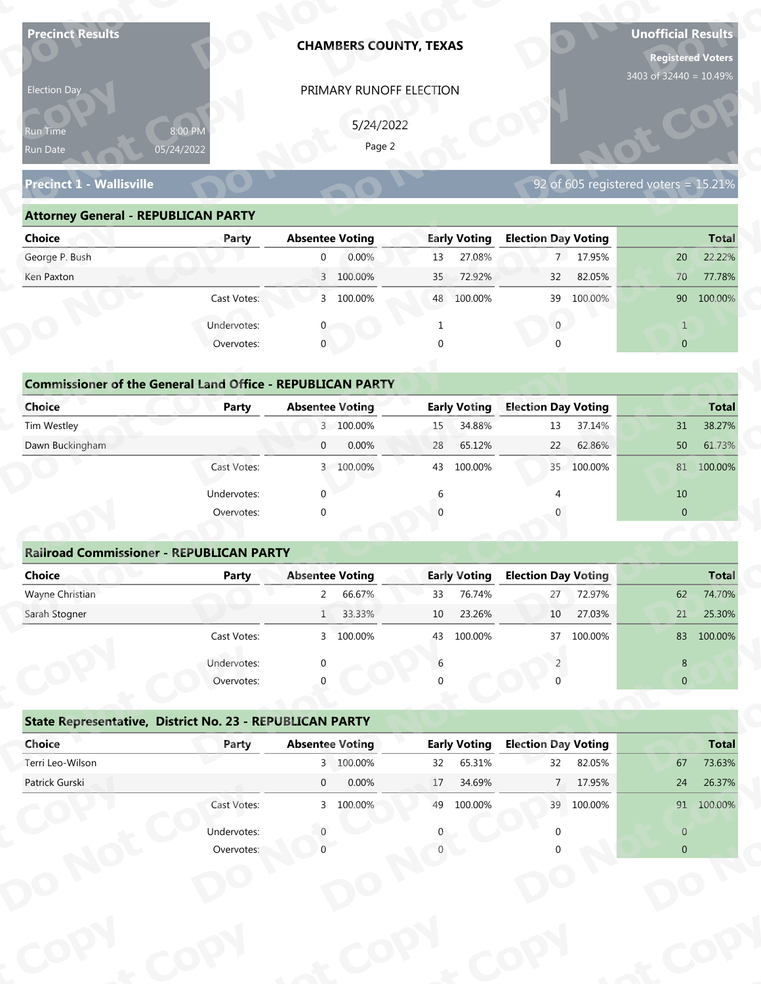| <b>Precinct Results</b>                                           |              |                        | <b>CHAMBERS COUNTY, TEXAS</b> |          |                     |                            |            | <b>Unofficial Results</b><br><b>Registered Voters</b><br>3403 of 32440 = 10.49% |              |
|-------------------------------------------------------------------|--------------|------------------------|-------------------------------|----------|---------------------|----------------------------|------------|---------------------------------------------------------------------------------|--------------|
| Election Day                                                      |              |                        | PRIMARY RUNOFF ELECTION       |          |                     |                            |            |                                                                                 |              |
|                                                                   |              |                        |                               |          |                     |                            |            |                                                                                 |              |
| Run Time                                                          | 8:00 PM      |                        | 5/24/2022<br>Page 2           |          |                     |                            |            |                                                                                 |              |
| Run Date                                                          | 05/24/2022   |                        |                               |          |                     |                            |            |                                                                                 |              |
| <b>Precinct 1 - Wallisville</b>                                   |              |                        |                               |          |                     |                            |            | 92 of 605 registered voters = 15.21%                                            |              |
| <b>Attorney General - REPUBLICAN PARTY</b>                        |              |                        |                               |          |                     |                            |            |                                                                                 |              |
| <b>Choice</b>                                                     | Party        | <b>Absentee Voting</b> |                               |          | <b>Early Voting</b> | <b>Election Day Voting</b> |            |                                                                                 | <b>Total</b> |
| George P. Bush                                                    |              | $\overline{0}$         | 0.00%                         | 13       | 27.08%              |                            | 7 17.95%   | 20                                                                              | 22.22%       |
| Ken Paxton                                                        |              |                        | 3 100.00%                     | 35       | 72.92%              | 32                         | 82.05%     | 70                                                                              | 77.78%       |
|                                                                   | Cast Votes:  |                        | 3 100.00%                     |          | 48 100.00%          | 39                         | 100.00%    |                                                                                 | 90 100.00%   |
|                                                                   | Undervotes:  |                        |                               |          |                     | $\overline{0}$             |            | $\mathbf{1}$                                                                    |              |
|                                                                   | Overvotes:   | $\mathbf{0}$           |                               | $\Omega$ |                     |                            |            | $\overline{0}$                                                                  |              |
|                                                                   |              |                        |                               |          |                     |                            |            |                                                                                 |              |
| <b>Commissioner of the General Land Office - REPUBLICAN PARTY</b> |              |                        |                               |          |                     |                            |            |                                                                                 |              |
| <b>Choice</b>                                                     | <b>Party</b> | <b>Absentee Voting</b> |                               |          | <b>Early Voting</b> | <b>Election Day Voting</b> |            |                                                                                 | <b>Total</b> |
| Tim Westley                                                       |              |                        | 3 100.00%                     | 15       | 34.88%              | 13                         | 37.14%     | 31                                                                              | 38.27%       |
| Dawn Buckingham                                                   |              | $\overline{0}$         | 0.00%                         | 28       | 65.12%              | 22                         | 62.86%     | 50                                                                              | 61.73%       |
|                                                                   | Cast Votes:  |                        | 3 100.00%                     |          | 43 100.00%          |                            | 35 100.00% |                                                                                 | 81 100.00%   |
|                                                                   | Undervotes:  | $\Omega$               |                               | 6        |                     | $\overline{4}$             |            | 10                                                                              |              |
|                                                                   | Overvotes:   | $\Omega$               |                               |          |                     |                            |            | $\overline{0}$                                                                  |              |
|                                                                   |              |                        |                               |          |                     |                            |            |                                                                                 |              |
| <b>Railroad Commissioner - REPUBLICAN PARTY</b>                   |              |                        |                               |          |                     |                            |            |                                                                                 |              |
| <b>Choice</b>                                                     | <b>Party</b> | <b>Absentee Voting</b> |                               |          | <b>Early Voting</b> | <b>Election Day Voting</b> |            |                                                                                 | <b>Total</b> |
| Wayne Christian                                                   |              | $2^{\circ}$            | 66.67%                        | 33       | 76.74%              | 27                         | 72.97%     | 62                                                                              | 74.70%       |
| Sarah Stogner                                                     |              |                        | 1 33.33%                      | 10       | 23.26%              | 10                         | 27.03%     | 21                                                                              | 25.30%       |
|                                                                   | Cast Votes:  |                        | 3 100.00%                     | 43       | 100.00%             | 37                         | 100.00%    |                                                                                 | 83 100.00%   |
|                                                                   | Undervotes:  | ∩                      |                               | 6        |                     |                            |            | 8                                                                               |              |
|                                                                   | Overvotes:   |                        |                               |          |                     |                            |            | $\overline{0}$                                                                  |              |
| State Representative, District No. 23 - REPUBLICAN PARTY          |              |                        |                               |          |                     |                            |            |                                                                                 |              |
| Choice                                                            | Party        | <b>Absentee Voting</b> |                               |          | <b>Early Voting</b> | <b>Election Day Voting</b> |            |                                                                                 | <b>Total</b> |
| Terri Leo-Wilson                                                  |              |                        | 3 100.00%                     | 32       | 65.31%              | 32                         | 82.05%     | 67                                                                              | 73.63%       |
| Patrick Gurski                                                    |              | $\overline{0}$         | 0.00%                         | 17       | 34.69%              | 7 <sup>7</sup>             | 17.95%     | 24                                                                              | 26.37%       |
|                                                                   | Cast Votes:  |                        | 3 100.00%                     |          | 49 100.00%          |                            | 39 100.00% |                                                                                 | 91 100.00%   |
|                                                                   |              |                        |                               |          |                     |                            |            |                                                                                 |              |
|                                                                   | Undervotes:  |                        |                               |          |                     |                            |            | $\overline{0}$                                                                  |              |

| Election Day                                                      |                       | PRIMARY RUNOFF ELECTION |                           |                                         |                |
|-------------------------------------------------------------------|-----------------------|-------------------------|---------------------------|-----------------------------------------|----------------|
| <b>Run Time</b><br>Run Date                                       | 8:00 PM<br>05/24/2022 | 5/24/2022<br>Page 2     |                           |                                         |                |
| <b>Precinct 1 - Wallisville</b>                                   |                       |                         |                           | 92 of 605 registered voters = $15.21\%$ |                |
| <b>Attorney General - REPUBLICAN PARTY</b>                        |                       |                         |                           |                                         |                |
| <b>Choice</b>                                                     | Party                 | <b>Absentee Voting</b>  | <b>Early Voting</b>       | <b>Election Day Voting</b>              | <b>Total</b>   |
| George P. Bush                                                    |                       | 0.00%<br>$\overline{0}$ | 27.08%<br>13              | 7 17.95%                                | 22.22%<br>20   |
| Ken Paxton                                                        |                       | 3 100.00%               | 72.92%<br>35 <sup>2</sup> | 82.05%<br>32                            | 77.78%<br>70   |
|                                                                   | Cast Votes:           | 3 100.00%               | 48 100.00%                | 39 100.00%                              | 90 100.00%     |
|                                                                   | Undervotes:           |                         |                           | $\overline{0}$                          |                |
|                                                                   | Overvotes:            | $\mathbf 0$             |                           |                                         | $\overline{0}$ |
|                                                                   |                       |                         |                           |                                         |                |
| <b>Commissioner of the General Land Office - REPUBLICAN PARTY</b> |                       |                         |                           |                                         |                |
| <b>Choice</b>                                                     | <b>Party</b>          | <b>Absentee Voting</b>  | <b>Early Voting</b>       | <b>Election Day Voting</b>              | <b>Total</b>   |
| Tim Westley                                                       |                       | 3 100.00%               | 34.88%<br>15              | 37.14%<br>13                            | 38.27%<br>31   |
| Dawn Buckingham                                                   |                       | 0.00%<br>$\overline{0}$ | 65.12%<br>28              | 22<br>62.86%                            | 50<br>61.73%   |
|                                                                   | Cast Votes:           | 3 100.00%               | 100.00%<br>43             | 35<br>100.00%                           | 81 100.00%     |
|                                                                   |                       |                         |                           |                                         |                |

| <b>Choice</b>                                                     | Party       | <b>Absentee Voting</b>  | <b>Early Voting</b> | <b>Election Day Voting</b> | <b>Total</b>   |
|-------------------------------------------------------------------|-------------|-------------------------|---------------------|----------------------------|----------------|
|                                                                   |             |                         |                     |                            |                |
| George P. Bush                                                    |             | 0.00%<br>$\mathbf{0}$   | 27.08%<br>13        | 7 17.95%                   | 22.22%<br>20   |
| Ken Paxton                                                        |             | 3 100.00%               | 72.92%<br>35        | 32<br>82.05%               | 70<br>77.78%   |
|                                                                   | Cast Votes: | 3 100.00%               | 48 100.00%          | 39 100.00%                 | 90 100.00%     |
|                                                                   | Undervotes: |                         |                     | $\mathbf{0}$               | $\mathbf{1}$   |
|                                                                   | Overvotes:  | $\mathbf{0}$            | 0                   | $\Omega$                   | $\overline{0}$ |
|                                                                   |             |                         |                     |                            |                |
| <b>Commissioner of the General Land Office - REPUBLICAN PARTY</b> |             |                         |                     |                            |                |
| Choice                                                            | Party       | <b>Absentee Voting</b>  | <b>Early Voting</b> | <b>Election Day Voting</b> | <b>Total</b>   |
| Tim Westley                                                       |             | 3 100.00%               | 34.88%<br>15        | 37.14%<br>13               | 38.27%<br>31   |
| Dawn Buckingham                                                   |             | 0.00%<br>$\mathbf{0}$   | 28<br>65.12%        | 22<br>62.86%               | 50<br>61.73%   |
|                                                                   | Cast Votes: | 100.00%<br>$\mathbf{3}$ | 100.00%<br>43       | 35 100.00%                 | 81 100.00%     |
|                                                                   | Undervotes: | $\mathbf 0$             | 6                   |                            | 10             |
|                                                                   | Overvotes:  | $\mathbf 0$             | $\Omega$            |                            | $\mathbf{0}$   |
|                                                                   |             |                         |                     |                            |                |
| <b>Railroad Commissioner - REPUBLICAN PARTY</b>                   |             |                         |                     |                            |                |
| Choice                                                            | Party       | <b>Absentee Voting</b>  | <b>Early Voting</b> | <b>Election Day Voting</b> | <b>Total</b>   |
| Wayne Christian                                                   |             | 66.67%<br>2             | 76.74%<br>33        | 72.97%<br>27               | 74.70%<br>62   |
| Carole Champan                                                    |             | /חרר רר<br>$\mathbf{1}$ | 22.200<br>$10^{-7}$ | ∌חרח דר<br>10 <sup>1</sup> | 25.200<br>21   |

|                                                                   |                       | PRIMARY RUNOFF ELECTION  |                           |                                      |                                                                                                                    |
|-------------------------------------------------------------------|-----------------------|--------------------------|---------------------------|--------------------------------------|--------------------------------------------------------------------------------------------------------------------|
|                                                                   |                       | 5/24/2022                |                           |                                      |                                                                                                                    |
| Run Time<br>Run Date                                              | 8:00 PM<br>05/24/2022 | Page 2                   |                           |                                      |                                                                                                                    |
|                                                                   |                       |                          |                           |                                      |                                                                                                                    |
| <b>Precinct 1 - Wallisville</b>                                   |                       |                          |                           | 92 of 605 registered voters = 15.21% |                                                                                                                    |
| <b>Attorney General - REPUBLICAN PARTY</b>                        |                       |                          |                           |                                      |                                                                                                                    |
| <b>Choice</b>                                                     | Party                 | <b>Absentee Voting</b>   | <b>Early Voting</b>       | <b>Election Day Voting</b>           | <b>Total</b>                                                                                                       |
| George P. Bush                                                    |                       | 0.00%<br>$\overline{0}$  | 27.08%<br>13              | 7 17.95%                             | 22.22%<br>20                                                                                                       |
| Ken Paxton                                                        |                       | 3 100.00%                | 72.92%<br>35 <sup>°</sup> | 82.05%<br>32                         | 70<br>77.78%                                                                                                       |
|                                                                   | Cast Votes:           | 3 100.00%                | 48 100.00%                | 39 100.00%                           | 90 100.00%                                                                                                         |
|                                                                   | Undervotes:           | $\mathbf{0}$             | $\mathbf{1}$              | $\overline{0}$                       | $\mathbf{1}$                                                                                                       |
|                                                                   | Overvotes:            | $\mathbf{0}$             | $\Omega$                  | $\cap$                               | $\overline{0}$                                                                                                     |
|                                                                   |                       |                          |                           |                                      |                                                                                                                    |
| <b>Commissioner of the General Land Office - REPUBLICAN PARTY</b> |                       |                          |                           |                                      |                                                                                                                    |
| Choice                                                            | Party                 | <b>Absentee Voting</b>   | <b>Early Voting</b>       | <b>Election Day Voting</b>           | <b>Total</b>                                                                                                       |
| Tim Westley                                                       |                       | 3 100.00%                | 34.88%<br>15              | 37.14%<br>13                         | 38.27%<br>31                                                                                                       |
| Dawn Buckingham                                                   |                       | 0.00%<br>$\overline{0}$  | 65.12%<br>28              | 62.86%<br>22                         | 50<br>61.73%                                                                                                       |
|                                                                   | Cast Votes:           | 3 100.00%                | 100.00%<br>43             | 35<br>100.00%                        | 81 100.00%                                                                                                         |
|                                                                   | Undervotes:           | $\Omega$                 | 6                         |                                      | 10                                                                                                                 |
|                                                                   |                       |                          |                           |                                      |                                                                                                                    |
|                                                                   | Overvotes:            | $\Omega$                 |                           |                                      | $\overline{0}$                                                                                                     |
|                                                                   |                       |                          |                           |                                      |                                                                                                                    |
| <b>Railroad Commissioner - REPUBLICAN PARTY</b>                   |                       |                          |                           |                                      |                                                                                                                    |
| <b>Choice</b>                                                     | <b>Party</b>          | <b>Absentee Voting</b>   | <b>Early Voting</b>       | <b>Election Day Voting</b>           |                                                                                                                    |
| Wayne Christian                                                   |                       | 66.67%<br>$\overline{2}$ | 76.74%<br>33              | 72.97%<br>27                         | 62                                                                                                                 |
| Sarah Stogner                                                     |                       | 33.33%<br>1              | 23.26%<br>10              | 27.03%<br>10                         | 21                                                                                                                 |
|                                                                   | Cast Votes:           | 3 100.00%                | 43 100.00%                | 37 100.00%                           |                                                                                                                    |
|                                                                   | Undervotes:           |                          | 6                         |                                      | 8                                                                                                                  |
|                                                                   | Overvotes:            |                          |                           |                                      | $\overline{0}$                                                                                                     |
|                                                                   |                       |                          |                           |                                      |                                                                                                                    |
| State Representative, District No. 23 - REPUBLICAN PARTY          |                       |                          |                           |                                      |                                                                                                                    |
| Choice                                                            | Party                 | <b>Absentee Voting</b>   | <b>Early Voting</b>       | <b>Election Day Voting</b>           |                                                                                                                    |
| Terri Leo-Wilson                                                  |                       | 3 100.00%                | 65.31%<br>32              | 32<br>82.05%                         | 67                                                                                                                 |
| Patrick Gurski                                                    |                       | 0.00%<br>$\overline{0}$  | 17<br>34.69%              | 7 <sup>7</sup><br>17.95%             | 24                                                                                                                 |
|                                                                   | Cast Votes:           | 3 100.00%                | 49 100.00%                | 39 100.00%                           |                                                                                                                    |
|                                                                   | Undervotes:           |                          |                           |                                      | <b>Total</b><br>74.70%<br>25.30%<br>83 100.00%<br><b>Total</b><br>73.63%<br>26.37%<br>91 100.00%<br>$\overline{0}$ |

|                                                          | Cast votes. | $\mathcal{P}$ | TOO'OO XQ              | 45 | LUU.UU70            | $\mathcal{I}$              | LUU.UU 70 |                | <b>02 JUU.UU 20</b> |
|----------------------------------------------------------|-------------|---------------|------------------------|----|---------------------|----------------------------|-----------|----------------|---------------------|
|                                                          | Undervotes: | $\Omega$      |                        | 6  |                     |                            |           | 8              |                     |
|                                                          | Overvotes:  | $\Omega$      |                        | 0  |                     |                            |           | $\overline{0}$ |                     |
| State Representative, District No. 23 - REPUBLICAN PARTY |             |               |                        |    |                     |                            |           |                |                     |
| Choice                                                   | Party       |               | <b>Absentee Voting</b> |    | <b>Early Voting</b> | <b>Election Day Voting</b> |           |                | <b>Total</b>        |
| Terri Leo-Wilson                                         |             |               | 3 100.00%              | 32 | 65.31%              | 32                         | 82.05%    | 67             | 73.63%              |
| Patrick Gurski                                           |             | $\mathbf 0$   | 0.00%                  | 17 | 34.69%              | 7                          | 17.95%    | 24             | 26.37%              |
|                                                          | Cast Votes: |               | 3 100.00%              | 49 | 100.00%             | 39                         | 100.00%   | 91             | 100.00%             |
|                                                          | Undervotes: |               |                        | 0  |                     |                            |           | $\overline{0}$ |                     |
|                                                          | Overvotes:  |               |                        |    |                     |                            |           | $\overline{0}$ |                     |
|                                                          |             |               |                        |    |                     |                            |           |                |                     |
|                                                          |             |               |                        |    |                     |                            |           |                |                     |
|                                                          |             |               |                        |    |                     |                            |           |                |                     |
|                                                          |             |               |                        |    |                     |                            |           |                |                     |
|                                                          |             |               |                        |    |                     |                            |           |                |                     |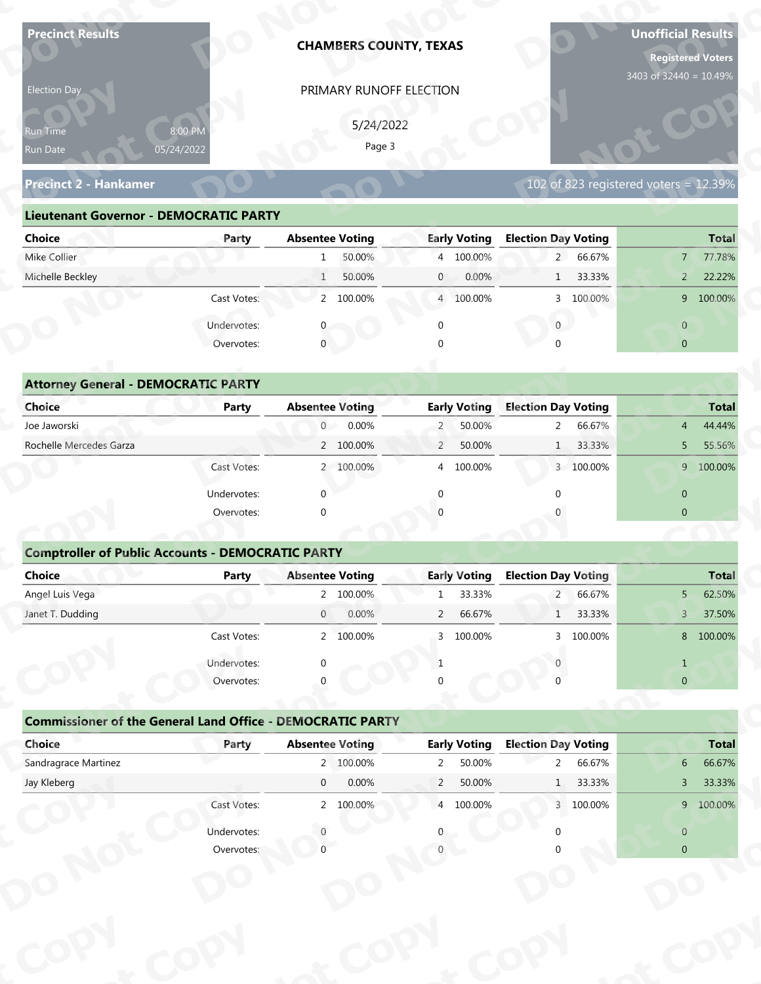| <b>Precinct Results</b>                                           |                           | <b>CHAMBERS COUNTY, TEXAS</b>       |                                               |                                                     | <b>Unofficial Results</b><br><b>Registered Voters</b><br>3403 of 32440 = 10.49% |
|-------------------------------------------------------------------|---------------------------|-------------------------------------|-----------------------------------------------|-----------------------------------------------------|---------------------------------------------------------------------------------|
| Election Day                                                      |                           | PRIMARY RUNOFF ELECTION             |                                               |                                                     |                                                                                 |
|                                                                   |                           |                                     |                                               |                                                     |                                                                                 |
| Run Time<br>Run Date                                              | 8:00 PM<br>05/24/2022     | 5/24/2022<br>Page 3                 |                                               |                                                     |                                                                                 |
|                                                                   |                           |                                     |                                               |                                                     |                                                                                 |
| <b>Precinct 2 - Hankamer</b>                                      |                           |                                     |                                               |                                                     | 102 of 823 registered voters = $12.39\%$                                        |
| <b>Lieutenant Governor - DEMOCRATIC PARTY</b>                     |                           |                                     |                                               |                                                     |                                                                                 |
| <b>Choice</b>                                                     | Party                     | <b>Absentee Voting</b>              | <b>Early Voting</b>                           | <b>Election Day Voting</b>                          | <b>Total</b>                                                                    |
| Mike Collier                                                      |                           | 50.00%<br>1                         | 4 100.00%                                     | 2 66.67%                                            | 77.78%<br>$7^{\circ}$                                                           |
| Michelle Beckley                                                  |                           | 50.00%<br>$\mathbf{1}$              | $\mathbf{0}$<br>0.00%                         | 33.33%<br>1                                         | 22.22%<br>$2^{\circ}$                                                           |
|                                                                   | Cast Votes:               | 2 100.00%                           | 4 100.00%                                     | 3 100.00%                                           | 9 100.00%                                                                       |
|                                                                   | Undervotes:               |                                     | $\Omega$                                      | $\overline{0}$                                      | $\overline{0}$                                                                  |
|                                                                   | Overvotes:                | $\overline{0}$                      |                                               |                                                     | $\overline{0}$                                                                  |
|                                                                   |                           |                                     |                                               |                                                     |                                                                                 |
| <b>Attorney General - DEMOCRATIC PARTY</b>                        |                           |                                     |                                               |                                                     |                                                                                 |
| <b>Choice</b>                                                     | <b>Party</b>              | <b>Absentee Voting</b>              | <b>Early Voting</b>                           | <b>Election Day Voting</b>                          | <b>Total</b>                                                                    |
| Joe Jaworski                                                      |                           | $\overline{0}$<br>0.00%             | 50.00%<br>$\overline{2}$                      | 66.67%<br>$\overline{2}$                            | 44.44%<br>$\overline{4}$                                                        |
| Rochelle Mercedes Garza                                           |                           | 2 100.00%                           | $\overline{2}$<br>50.00%                      | 33.33%<br>1                                         | 55.56%<br>5                                                                     |
|                                                                   | Cast Votes:               | 2 100.00%                           | 4 100.00%                                     | 3 100.00%                                           | 9 100.00%                                                                       |
|                                                                   | Undervotes:               | $\Omega$                            | $\mathbf{0}$                                  | $\Omega$                                            | $\overline{0}$                                                                  |
|                                                                   | Overvotes:                | $\Omega$                            |                                               |                                                     | $\overline{0}$                                                                  |
|                                                                   |                           |                                     |                                               |                                                     |                                                                                 |
| <b>Comptroller of Public Accounts - DEMOCRATIC PARTY</b>          |                           |                                     |                                               |                                                     |                                                                                 |
| Choice<br>Angel Luis Vega                                         | <b>Party</b>              | <b>Absentee Voting</b><br>2 100.00% | <b>Early Voting</b><br>33.33%<br>$\mathbf{1}$ | <b>Election Day Voting</b><br>$2^{\circ}$<br>66.67% | <b>Total</b><br>$5 -$<br>62.50%                                                 |
| Janet T. Dudding                                                  |                           | $\overline{0}$<br>0.00%             | 66.67%<br>$\overline{2}$                      | 1 33.33%                                            | 37.50%<br>3 <sup>7</sup>                                                        |
|                                                                   | Cast Votes:               | 2 100.00%                           | 3 100.00%                                     | 3 100.00%                                           | 8 100.00%                                                                       |
|                                                                   |                           |                                     |                                               |                                                     |                                                                                 |
|                                                                   | Undervotes:<br>Overvotes: | ∩                                   | $\mathbf{1}$                                  |                                                     | $\mathbf{1}$<br>$\overline{0}$                                                  |
|                                                                   |                           |                                     |                                               |                                                     |                                                                                 |
| <b>Commissioner of the General Land Office - DEMOCRATIC PARTY</b> |                           |                                     |                                               |                                                     |                                                                                 |
| Choice                                                            | Party                     | <b>Absentee Voting</b>              | <b>Early Voting</b>                           | <b>Election Day Voting</b>                          | <b>Total</b>                                                                    |
| Sandragrace Martinez                                              |                           | 2 100.00%                           | 50.00%<br>$\overline{2}$                      | 66.67%<br>$\overline{2}$                            | 66.67%<br>6 <sup>1</sup>                                                        |
| Jay Kleberg                                                       |                           | $\overline{0}$<br>0.00%             | $\overline{2}$<br>50.00%                      | 33.33%<br>1                                         | 33.33%<br>3 <sup>7</sup>                                                        |
|                                                                   | Cast Votes:               | 2 100.00%                           | 4 100.00%                                     | 3 100.00%                                           | 9 100.00%                                                                       |
|                                                                   |                           |                                     |                                               |                                                     |                                                                                 |
|                                                                   | Undervotes:               |                                     |                                               |                                                     | $\overline{0}$                                                                  |

| 5/24/2022<br>8:00 PM<br><b>Run Time</b><br>Page 3<br>05/24/2022<br>Run Date                                           |
|-----------------------------------------------------------------------------------------------------------------------|
| 102 of 823 registered voters = $12.39\%$<br><b>Precinct 2 - Hankamer</b>                                              |
| <b>Lieutenant Governor - DEMOCRATIC PARTY</b>                                                                         |
| <b>Absentee Voting</b><br><b>Early Voting</b><br><b>Election Day Voting</b><br><b>Choice</b><br><b>Total</b><br>Party |
| Mike Collier<br>50.00%<br>4 100.00%<br>2 66.67%<br>77.78%<br>$\overline{7}$<br>$\mathbf{1}$                           |
| Michelle Beckley<br>50.00%<br>0.00%<br>1 33.33%<br>22.22%<br>1<br>$\overline{0}$<br>$2^{\circ}$                       |
| 2 100.00%<br>3 100.00%<br>9 100.00%<br>Cast Votes:<br>4 100.00%                                                       |
| Undervotes:<br>$\overline{0}$<br>$\overline{0}$                                                                       |
| $\mathbf 0$<br>Overvotes:<br>$\Omega$<br>$\overline{0}$                                                               |
|                                                                                                                       |
| <b>Attorney General - DEMOCRATIC PARTY</b>                                                                            |
| <b>Early Voting</b><br><b>Election Day Voting</b><br><b>Choice</b><br><b>Absentee Voting</b><br><b>Total</b><br>Party |
| Joe Jaworski<br>0.00%<br>50.00%<br>2 66.67%<br>$\overline{0}$<br>$\overline{2}$<br>44.44%<br>4                        |
| Rochelle Mercedes Garza<br>2 100.00%<br>$\overline{2}$<br>50.00%<br>1 33.33%<br>55.56%<br>5 <sup>1</sup>              |
| 9 100.00%<br>2 100.00%<br>100.00%<br>3 100.00%<br>Cast Votes:<br>$\overline{4}$                                       |

| 5/24/2022<br>8:00 PM<br>Run Time<br>Page 3<br>05/24/2022<br>Run Date<br><b>Precinct 2 - Hankamer</b><br><b>Lieutenant Governor - DEMOCRATIC PARTY</b><br><b>Absentee Voting</b><br><b>Early Voting</b><br><b>Election Day Voting</b><br><b>Choice</b><br>Party<br>Mike Collier<br>2 66.67%<br>50.00%<br>4 100.00%<br>1 | 102 of 823 registered voters = 12.39% |
|------------------------------------------------------------------------------------------------------------------------------------------------------------------------------------------------------------------------------------------------------------------------------------------------------------------------|---------------------------------------|
|                                                                                                                                                                                                                                                                                                                        |                                       |
|                                                                                                                                                                                                                                                                                                                        |                                       |
|                                                                                                                                                                                                                                                                                                                        |                                       |
|                                                                                                                                                                                                                                                                                                                        |                                       |
|                                                                                                                                                                                                                                                                                                                        |                                       |
|                                                                                                                                                                                                                                                                                                                        | <b>Total</b>                          |
|                                                                                                                                                                                                                                                                                                                        | 77.78%<br>$7^{\circ}$                 |
| Michelle Beckley<br>50.00%<br>0.00%<br>1 33.33%<br>$\mathbf{0}$<br>1                                                                                                                                                                                                                                                   | 22.22%<br>$\overline{2}$              |
| Cast Votes:<br>2 100.00%<br>4 100.00%<br>3 100.00%                                                                                                                                                                                                                                                                     | 9 100.00%                             |
| $\mathbf{0}$<br>Undervotes:<br>$\mathbf 0$<br>0                                                                                                                                                                                                                                                                        | $\overline{0}$                        |
| Overvotes:<br>$\mathbf{0}$                                                                                                                                                                                                                                                                                             | $\overline{0}$                        |
|                                                                                                                                                                                                                                                                                                                        |                                       |
| <b>Attorney General - DEMOCRATIC PARTY</b>                                                                                                                                                                                                                                                                             |                                       |
| <b>Early Voting</b><br><b>Election Day Voting</b><br>Choice<br><b>Absentee Voting</b><br><b>Party</b>                                                                                                                                                                                                                  | <b>Total</b>                          |
| Joe Jaworski<br>0.00%<br>50.00%<br>66.67%<br>$\overline{0}$<br>$\overline{2}$<br>$2^{\circ}$                                                                                                                                                                                                                           | 44.44%<br>$\overline{4}$              |
| Rochelle Mercedes Garza<br>2 100.00%<br>$\overline{2}$<br>50.00%<br>33.33%<br>1                                                                                                                                                                                                                                        | 55.56%<br>5                           |
| Cast Votes:<br>2 100.00%<br>100.00%<br>3 100.00%<br>4                                                                                                                                                                                                                                                                  | 9 100.00%                             |
| Undervotes:<br>$\Omega$<br>∩                                                                                                                                                                                                                                                                                           | $\mathbf{0}$                          |
| Overvotes:<br>$\Omega$                                                                                                                                                                                                                                                                                                 | $\overline{0}$                        |
|                                                                                                                                                                                                                                                                                                                        |                                       |
| <b>Comptroller of Public Accounts - DEMOCRATIC PARTY</b>                                                                                                                                                                                                                                                               |                                       |
| <b>Choice</b><br><b>Absentee Voting</b><br><b>Early Voting</b><br><b>Election Day Voting</b><br><b>Party</b>                                                                                                                                                                                                           | <b>Total</b>                          |
| Angel Luis Vega<br>2 100.00%<br>33.33%<br>$2^{\circ}$<br>66.67%<br>$\mathbf{1}$                                                                                                                                                                                                                                        | 62.50%<br>5 <sup>5</sup>              |
| 66.67%<br>33.33%<br>Janet T. Dudding<br>0.00%<br>$\overline{2}$<br>$\overline{0}$<br>$\mathbf{1}$                                                                                                                                                                                                                      | 37.50%<br>$\mathsf{3}$                |
| 3 100.00%<br>Cast Votes:<br>2 100.00%<br>3 100.00%                                                                                                                                                                                                                                                                     | 8 100.00%                             |
| Undervotes:<br>-1                                                                                                                                                                                                                                                                                                      | $\mathbf{1}$                          |
| Overvotes:                                                                                                                                                                                                                                                                                                             | $\overline{0}$                        |
|                                                                                                                                                                                                                                                                                                                        |                                       |
| <b>Commissioner of the General Land Office - DEMOCRATIC PARTY</b>                                                                                                                                                                                                                                                      |                                       |
|                                                                                                                                                                                                                                                                                                                        | <b>Total</b>                          |
| <b>Election Day Voting</b><br>Choice<br><b>Absentee Voting</b><br><b>Early Voting</b><br>Party                                                                                                                                                                                                                         |                                       |
| Sandragrace Martinez<br>2 100.00%<br>50.00%<br>$2^{\circ}$<br>66.67%<br>$2^{\circ}$                                                                                                                                                                                                                                    | 66.67%<br>6 <sup>1</sup>              |
| 0.00%<br>Jay Kleberg<br>$\overline{0}$<br>$\overline{2}$<br>50.00%<br>1 33.33%                                                                                                                                                                                                                                         | 33.33%<br>3 <sup>7</sup>              |
| Cast Votes:<br>4 100.00%<br>2 100.00%<br>3 100.00%                                                                                                                                                                                                                                                                     | 9 100.00%                             |
| Undervotes:                                                                                                                                                                                                                                                                                                            | $\mathbf{0}$                          |

### **Comptroller of Public Accounts - DEMOCRATIC PARTY**

| <b>Choice</b>                                                     | Party       | <b>Absentee Voting</b> |           |                | <b>Early Voting</b> | <b>Election Day Voting</b> |           |                | <b>Total</b> |
|-------------------------------------------------------------------|-------------|------------------------|-----------|----------------|---------------------|----------------------------|-----------|----------------|--------------|
| Joe Jaworski                                                      |             |                        | $0$ 0.00% | $2^{\circ}$    | 50.00%              | $2^{\circ}$                | 66.67%    | $\overline{4}$ | 44.44%       |
| Rochelle Mercedes Garza                                           |             |                        | 2 100.00% | $\overline{2}$ | 50.00%              | 1                          | 33.33%    |                | 5 55.56%     |
|                                                                   | Cast Votes: |                        | 2 100.00% |                | 4 100.00%           |                            | 3 100.00% |                | 9 100.00%    |
|                                                                   | Undervotes: | ∩                      |           | ∩              |                     | ∩                          |           | $\mathbf{0}$   |              |
|                                                                   | Overvotes:  | $\Omega$               |           |                |                     |                            |           | $\mathbf{0}$   |              |
| <b>Comptroller of Public Accounts - DEMOCRATIC PARTY</b>          |             |                        |           |                |                     |                            |           |                |              |
| <b>Choice</b>                                                     | Party       | <b>Absentee Voting</b> |           |                | <b>Early Voting</b> | <b>Election Day Voting</b> |           |                | <b>Total</b> |
| Angel Luis Vega                                                   |             |                        | 2 100.00% | $\mathbf{1}$   | 33.33%              | $2^{\circ}$                | 66.67%    | 5 <sup>5</sup> | 62.50%       |
| Janet T. Dudding                                                  |             | $\overline{0}$         | 0.00%     | $2^{\circ}$    | 66.67%              |                            | 1 33.33%  | $\overline{3}$ | 37.50%       |
|                                                                   | Cast Votes: |                        | 2 100.00% |                | 3 100.00%           |                            | 3 100.00% |                | 8 100.00%    |
|                                                                   |             |                        |           |                |                     |                            |           |                |              |
|                                                                   | Undervotes: | ∩                      |           |                |                     |                            |           | $\mathbf{1}$   |              |
|                                                                   | Overvotes:  |                        |           |                |                     |                            |           | $\mathbf 0$    |              |
| <b>Commissioner of the General Land Office - DEMOCRATIC PARTY</b> |             |                        |           |                |                     |                            |           |                |              |
| Choice                                                            | Party       | <b>Absentee Voting</b> |           |                | <b>Early Voting</b> | <b>Election Day Voting</b> |           |                | <b>Total</b> |
| Sandragrace Martinez                                              |             |                        | 2 100.00% | $\overline{2}$ | 50.00%              | $\overline{2}$             | 66.67%    | 6 <sup>1</sup> | 66.67%       |
| Jay Kleberg                                                       |             | $\mathbf 0$            | 0.00%     | $2^{\circ}$    | 50.00%              | 1                          | 33.33%    | 3              | 33.33%       |
|                                                                   | Cast Votes: |                        | 2 100.00% |                | 4 100.00%           |                            | 3 100.00% |                | 9 100.00%    |
|                                                                   | Undervotes: |                        |           |                |                     |                            |           | $\overline{0}$ |              |

|                                                                   | Cast votes. | $\sim$                 | TOO'OO SO | $\mathcal{P}$  | TOO'OO SO           | $\mathcal{L}$              | TOO'OO NO | $\circ$        | LUU.UU 70    |
|-------------------------------------------------------------------|-------------|------------------------|-----------|----------------|---------------------|----------------------------|-----------|----------------|--------------|
|                                                                   | Undervotes: | $\Omega$               |           |                |                     |                            |           |                |              |
|                                                                   | Overvotes:  | $\Omega$               |           | 0              |                     |                            |           | $\overline{0}$ |              |
|                                                                   |             |                        |           |                |                     |                            |           |                |              |
| <b>Commissioner of the General Land Office - DEMOCRATIC PARTY</b> |             |                        |           |                |                     |                            |           |                |              |
| Choice                                                            | Party       | <b>Absentee Voting</b> |           |                | <b>Early Voting</b> | <b>Election Day Voting</b> |           |                | <b>Total</b> |
| Sandragrace Martinez                                              |             |                        | 2 100.00% | $\overline{2}$ | 50.00%              | $\overline{2}$             | 66.67%    | 6              | 66.67%       |
| Jay Kleberg                                                       |             | $\mathbf 0$            | 0.00%     | $\overline{2}$ | 50.00%              | $1 -$                      | 33.33%    | 3              | 33.33%       |
|                                                                   | Cast Votes: |                        | 2 100.00% | $\overline{4}$ | 100.00%             | $\overline{3}$             | 100.00%   | 9 <sup>1</sup> | 100.00%      |
|                                                                   | Undervotes: |                        |           | 0              |                     |                            |           | $\overline{0}$ |              |
|                                                                   | Overvotes:  |                        |           |                |                     |                            |           | $\overline{0}$ |              |
|                                                                   |             |                        |           |                |                     |                            |           |                |              |
|                                                                   |             |                        |           |                |                     |                            |           |                |              |
|                                                                   |             |                        |           |                |                     |                            |           |                |              |
|                                                                   |             |                        |           |                |                     |                            |           |                |              |
|                                                                   |             |                        |           |                |                     |                            |           |                |              |
|                                                                   |             |                        |           |                |                     |                            |           |                |              |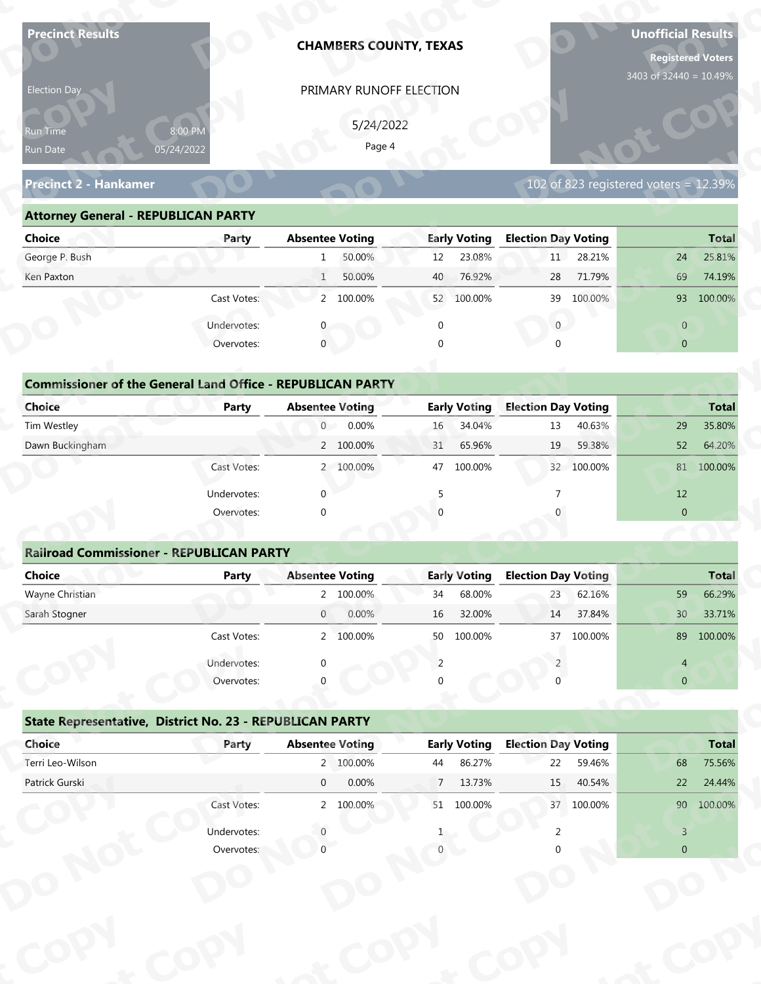| <b>Precinct Results</b>                                           |              |                        | <b>CHAMBERS COUNTY, TEXAS</b> |                       |                               |                                  |            | <b>Unofficial Results</b><br>3403 of 32440 = 10.49% | <b>Registered Voters</b> |
|-------------------------------------------------------------------|--------------|------------------------|-------------------------------|-----------------------|-------------------------------|----------------------------------|------------|-----------------------------------------------------|--------------------------|
| Election Day                                                      |              |                        | PRIMARY RUNOFF ELECTION       |                       |                               |                                  |            |                                                     |                          |
|                                                                   |              |                        |                               |                       |                               |                                  |            |                                                     |                          |
| Run Time                                                          | 8:00 PM      |                        | 5/24/2022<br>Page 4           |                       |                               |                                  |            |                                                     |                          |
| Run Date                                                          | 05/24/2022   |                        |                               |                       |                               |                                  |            |                                                     |                          |
| <b>Precinct 2 - Hankamer</b>                                      |              |                        |                               |                       |                               |                                  |            | 102 of 823 registered voters = $12.39\%$            |                          |
| <b>Attorney General - REPUBLICAN PARTY</b>                        |              |                        |                               |                       |                               |                                  |            |                                                     |                          |
| <b>Choice</b>                                                     | Party        | <b>Absentee Voting</b> |                               |                       | <b>Early Voting</b>           | <b>Election Day Voting</b>       |            |                                                     | <b>Total</b>             |
| George P. Bush                                                    |              | 1                      | 50.00%                        | 12                    | 23.08%                        | 11                               | 28.21%     | 24                                                  | 25.81%                   |
| Ken Paxton                                                        |              | $\mathbf{1}$           | 50.00%                        | 40                    | 76.92%                        | 28                               | 71.79%     | 69                                                  | 74.19%                   |
|                                                                   | Cast Votes:  |                        | 2 100.00%                     |                       | 52 100.00%                    | 39                               | 100.00%    |                                                     | 93 100.00%               |
|                                                                   | Undervotes:  |                        |                               | $\mathbf 0$           |                               | $\overline{0}$                   |            | $\overline{0}$                                      |                          |
|                                                                   | Overvotes:   | $\mathbf{0}$           |                               | $\Omega$              |                               |                                  |            | $\overline{0}$                                      |                          |
|                                                                   |              |                        |                               |                       |                               |                                  |            |                                                     |                          |
| <b>Commissioner of the General Land Office - REPUBLICAN PARTY</b> |              |                        |                               |                       |                               |                                  |            |                                                     |                          |
| <b>Choice</b>                                                     | <b>Party</b> | <b>Absentee Voting</b> |                               |                       | <b>Early Voting</b>           | <b>Election Day Voting</b>       |            |                                                     | <b>Total</b>             |
| Tim Westley                                                       |              | $\overline{0}$         | 0.00%                         | 16                    | 34.04%                        | 13                               | 40.63%     | 29                                                  | 35.80%                   |
| Dawn Buckingham                                                   |              |                        | 2 100.00%                     | 31                    | 65.96%                        | 19                               | 59.38%     | 52                                                  | 64.20%                   |
|                                                                   | Cast Votes:  |                        | 2 100.00%                     |                       | 47 100.00%                    |                                  | 32 100.00% |                                                     | 81 100.00%               |
|                                                                   | Undervotes:  | $\Omega$               |                               | 5                     |                               | $\overline{7}$                   |            | 12                                                  |                          |
|                                                                   | Overvotes:   | $\Omega$               |                               |                       |                               |                                  |            | $\overline{0}$                                      |                          |
|                                                                   |              |                        |                               |                       |                               |                                  |            |                                                     |                          |
| <b>Railroad Commissioner - REPUBLICAN PARTY</b>                   |              |                        |                               |                       |                               |                                  |            |                                                     |                          |
| <b>Choice</b>                                                     | <b>Party</b> | <b>Absentee Voting</b> |                               |                       | <b>Early Voting</b>           | <b>Election Day Voting</b>       |            |                                                     | <b>Total</b>             |
| Wayne Christian                                                   |              |                        | 2 100.00%                     | 34                    | 68.00%                        | 23                               | 62.16%     | 59                                                  | 66.29%                   |
| Sarah Stogner                                                     |              | $\overline{0}$         | 0.00%                         | 16                    | 32.00%                        | 14                               | 37.84%     | 30 <sup>°</sup>                                     | 33.71%                   |
|                                                                   | Cast Votes:  |                        | 2 100.00%                     |                       | 50 100.00%                    | 37                               | 100.00%    |                                                     | 89 100.00%               |
|                                                                   | Undervotes:  | ∩                      |                               | 2                     |                               |                                  |            | 4                                                   |                          |
|                                                                   | Overvotes:   |                        |                               |                       |                               |                                  |            | $\overline{0}$                                      |                          |
|                                                                   |              |                        |                               |                       |                               |                                  |            |                                                     |                          |
| State Representative, District No. 23 - REPUBLICAN PARTY          |              |                        |                               |                       |                               |                                  |            |                                                     |                          |
| Choice<br>Terri Leo-Wilson                                        | Party        | <b>Absentee Voting</b> | 2 100.00%                     |                       | <b>Early Voting</b><br>86.27% | <b>Election Day Voting</b><br>22 | 59.46%     | 68                                                  | <b>Total</b><br>75.56%   |
| Patrick Gurski                                                    |              | $\overline{0}$         | 0.00%                         | 44<br>$7\overline{ }$ | 13.73%                        | 15                               | 40.54%     | 22                                                  | 24.44%                   |
|                                                                   | Cast Votes:  |                        | 2 100.00%                     |                       | 51 100.00%                    |                                  | 37 100.00% |                                                     | 90 100.00%               |
|                                                                   |              |                        |                               |                       |                               |                                  |            |                                                     |                          |
|                                                                   | Undervotes:  |                        |                               |                       |                               |                                  |            | $\overline{3}$                                      |                          |
|                                                                   | Overvotes:   |                        |                               |                       |                               |                                  |            | $\overline{0}$                                      |                          |

| Election Day                                                                       |                       | PRIMARY RUNOFF ELECTION |                     |                                       |                |
|------------------------------------------------------------------------------------|-----------------------|-------------------------|---------------------|---------------------------------------|----------------|
| <b>Run Time</b><br>Run Date                                                        | 8:00 PM<br>05/24/2022 | 5/24/2022<br>Page 4     |                     |                                       |                |
| <b>Precinct 2 - Hankamer</b>                                                       |                       |                         |                     | 102 of 823 registered voters = 12.39% |                |
| <b>Attorney General - REPUBLICAN PARTY</b>                                         |                       |                         |                     |                                       |                |
| <b>Choice</b>                                                                      | Party                 | <b>Absentee Voting</b>  | <b>Early Voting</b> | <b>Election Day Voting</b>            | <b>Total</b>   |
| George P. Bush                                                                     |                       | 50.00%                  | 23.08%<br>12        | 11 28.21%                             | 25.81%<br>24   |
| Ken Paxton                                                                         |                       | 50.00%<br>$\mathbf{1}$  | 76.92%<br>40        | 71.79%<br>28                          | 69<br>74.19%   |
|                                                                                    | Cast Votes:           | 2 100.00%               | 52 100.00%          | 39 100.00%                            | 93 100.00%     |
|                                                                                    | Undervotes:           |                         | $\mathbf{0}$        | $\mathbf{0}$                          | $\overline{0}$ |
|                                                                                    | Overvotes:            | $\mathbf{0}$            |                     |                                       | $\overline{0}$ |
| <b>Commissioner of the General Land Office - REPUBLICAN PARTY</b><br><b>Choice</b> | Party                 | <b>Absentee Voting</b>  | <b>Early Voting</b> | <b>Election Day Voting</b>            | <b>Total</b>   |
| Tim Westley                                                                        |                       | 0.00%<br>$\overline{0}$ | 34.04%<br>16        | 40.63%<br>13                          | 29<br>35.80%   |
| Dawn Buckingham                                                                    |                       | 2 100.00%               | 65.96%<br>31        | 59.38%<br>19                          | 64.20%<br>52   |
|                                                                                    | Cast Votes:           | 2 100.00%               | 100.00%<br>47       | 32 100.00%                            | 81 100.00%     |
|                                                                                    | Undervotes:           |                         |                     |                                       | 12             |
|                                                                                    | Overvotes:            |                         |                     |                                       | $\overline{0}$ |
| <b>Railroad Commissioner - REPUBLICAN PARTY</b>                                    |                       |                         |                     |                                       |                |
| <b>Choice</b>                                                                      | <b>Party</b>          | <b>Absentee Voting</b>  | <b>Early Voting</b> | <b>Election Day Voting</b>            | <b>Total</b>   |
|                                                                                    |                       |                         |                     |                                       |                |

| <b>Choice</b>                                                     | Party       | <b>Absentee Voting</b>  | <b>Early Voting</b> | <b>Election Day Voting</b> | <b>Total</b>           |
|-------------------------------------------------------------------|-------------|-------------------------|---------------------|----------------------------|------------------------|
| George P. Bush                                                    |             | 50.00%<br>$\mathbf{1}$  | 23.08%<br>12        | 28.21%<br>11               | 24<br>25.81%           |
| Ken Paxton                                                        |             | 50.00%<br>$\mathbf{1}$  | 76.92%<br>40        | 71.79%<br>28               | 69<br>74.19%           |
|                                                                   | Cast Votes: | 2 100.00%               | 52 100.00%          | 39 100.00%                 | 93<br>100.00%          |
|                                                                   | Undervotes: | $\Omega$                | 0                   | $\mathbf{0}$               | $\overline{0}$         |
|                                                                   | Overvotes:  | $\overline{0}$          | $\mathbf{0}$        | $\Omega$                   | $\overline{0}$         |
|                                                                   |             |                         |                     |                            |                        |
| <b>Commissioner of the General Land Office - REPUBLICAN PARTY</b> |             |                         |                     |                            |                        |
| Choice                                                            | Party       | <b>Absentee Voting</b>  | <b>Early Voting</b> | <b>Election Day Voting</b> | <b>Total</b>           |
| Tim Westley                                                       |             | 0.00%<br>$\overline{0}$ | 34.04%<br>16        | 40.63%<br>13               | 29<br>35.80%           |
| Dawn Buckingham                                                   |             | 2 100.00%               | 31<br>65.96%        | 59.38%<br>19               | 52<br>64.20%           |
|                                                                   | Cast Votes: | 2 100.00%               | 100.00%<br>47       | 32 100.00%                 | 100.00%<br>81          |
|                                                                   | Undervotes: | $\Omega$                |                     |                            | 12                     |
|                                                                   | Overvotes:  | $\mathbf{0}$            | $\cap$              |                            | $\overline{0}$         |
|                                                                   |             |                         |                     |                            |                        |
| <b>Railroad Commissioner - REPUBLICAN PARTY</b>                   |             |                         |                     |                            |                        |
| <b>Choice</b>                                                     | Party       | <b>Absentee Voting</b>  | <b>Early Voting</b> | <b>Election Day Voting</b> | <b>Total</b>           |
| Wayne Christian                                                   |             | 2 100.00%               | 68.00%<br>34        | 62.16%<br>$23 -$           | 59<br>66.29%           |
| Carole Champan                                                    |             | 0.0001<br>$\cap$        | $16$ $22000$        | 27000<br>11                | 22770/<br>$20^{\circ}$ |

|                                                                   |                           | PRIMARY RUNOFF ELECTION |                          |                                       |                                                                                                                    |
|-------------------------------------------------------------------|---------------------------|-------------------------|--------------------------|---------------------------------------|--------------------------------------------------------------------------------------------------------------------|
|                                                                   |                           | 5/24/2022               |                          |                                       |                                                                                                                    |
| Run Time<br>Run Date                                              | 8:00 PM<br>05/24/2022     | Page 4                  |                          |                                       |                                                                                                                    |
|                                                                   |                           |                         |                          |                                       |                                                                                                                    |
| <b>Precinct 2 - Hankamer</b>                                      |                           |                         |                          | 102 of 823 registered voters = 12.39% |                                                                                                                    |
| <b>Attorney General - REPUBLICAN PARTY</b>                        |                           |                         |                          |                                       |                                                                                                                    |
| <b>Choice</b>                                                     | Party                     | <b>Absentee Voting</b>  | <b>Early Voting</b>      | <b>Election Day Voting</b>            | <b>Total</b>                                                                                                       |
| George P. Bush                                                    |                           | 50.00%<br>1             | 23.08%<br>12             | 11<br>28.21%                          | 25.81%<br>24                                                                                                       |
| Ken Paxton                                                        |                           | 50.00%<br>1             | 76.92%<br>40             | 71.79%<br>28                          | 69<br>74.19%                                                                                                       |
|                                                                   | Cast Votes:               | 2 100.00%               | 52 100.00%               | 39 100.00%                            | 93 100.00%                                                                                                         |
|                                                                   | Undervotes:               | $\mathbf{0}$            | $\mathbf 0$              | $\overline{0}$                        | $\overline{0}$                                                                                                     |
|                                                                   | Overvotes:                | $\mathbf{0}$            | $\Omega$                 | $\Omega$                              | $\overline{0}$                                                                                                     |
|                                                                   |                           |                         |                          |                                       |                                                                                                                    |
| <b>Commissioner of the General Land Office - REPUBLICAN PARTY</b> |                           |                         |                          |                                       |                                                                                                                    |
| <b>Choice</b>                                                     | Party                     | <b>Absentee Voting</b>  | <b>Early Voting</b>      | <b>Election Day Voting</b>            | <b>Total</b>                                                                                                       |
| Tim Westley                                                       |                           | 0.00%<br>$\overline{0}$ | 34.04%<br>16             | 40.63%<br>13                          | 35.80%<br>29                                                                                                       |
| Dawn Buckingham                                                   |                           | 2 100.00%               | 65.96%<br>31             | 59.38%<br>19                          | 64.20%<br>52                                                                                                       |
|                                                                   | Cast Votes:               | 2 100.00%               | 100.00%<br>47            | 32 100.00%                            | 81 100.00%                                                                                                         |
|                                                                   |                           |                         |                          |                                       | 12                                                                                                                 |
|                                                                   | Undervotes:               | $\Omega$                | -5                       |                                       |                                                                                                                    |
|                                                                   | Overvotes:                | $\Omega$                |                          |                                       | $\overline{0}$                                                                                                     |
|                                                                   |                           |                         |                          |                                       |                                                                                                                    |
| <b>Railroad Commissioner - REPUBLICAN PARTY</b>                   |                           |                         |                          |                                       |                                                                                                                    |
| <b>Choice</b>                                                     | <b>Party</b>              | <b>Absentee Voting</b>  | <b>Early Voting</b>      | <b>Election Day Voting</b>            |                                                                                                                    |
| Wayne Christian                                                   |                           | 2 100.00%               | 68.00%<br>34             | 62.16%<br>23                          | 59                                                                                                                 |
| Sarah Stogner                                                     |                           | 0.00%<br>$\overline{0}$ | 32.00%<br>16             | 37.84%<br>14                          | 30 <sup>°</sup>                                                                                                    |
|                                                                   | Cast Votes:               | 2 100.00%               | 50 100.00%               | 37 100.00%                            |                                                                                                                    |
|                                                                   |                           |                         | 2                        |                                       | 4                                                                                                                  |
|                                                                   | Undervotes:<br>Overvotes: |                         |                          |                                       | $\mathbf{0}$                                                                                                       |
|                                                                   |                           |                         |                          |                                       |                                                                                                                    |
| State Representative, District No. 23 - REPUBLICAN PARTY          |                           |                         |                          |                                       |                                                                                                                    |
| Choice                                                            | Party                     | <b>Absentee Voting</b>  | <b>Early Voting</b>      | <b>Election Day Voting</b>            |                                                                                                                    |
| Terri Leo-Wilson                                                  |                           | 2 100.00%               | 86.27%<br>44             | 22<br>59.46%                          | 68                                                                                                                 |
| Patrick Gurski                                                    |                           | 0.00%<br>$\overline{0}$ | 7 <sup>7</sup><br>13.73% | 15<br>40.54%                          | 22                                                                                                                 |
|                                                                   | Cast Votes:               | 2 100.00%               | 51 100.00%               | 37 100.00%                            |                                                                                                                    |
|                                                                   | Undervotes:               |                         |                          |                                       | <b>Total</b><br>66.29%<br>33.71%<br>89 100.00%<br><b>Total</b><br>75.56%<br>24.44%<br>90 100.00%<br>$\overline{3}$ |

|                                                          | Cast votes. |             | 2, 100.0076            | <b>JC</b>   | TOO'OO XQ           | $\mathcal{I}$              | LUU.UU 70 |                | 02 100.00%   |
|----------------------------------------------------------|-------------|-------------|------------------------|-------------|---------------------|----------------------------|-----------|----------------|--------------|
|                                                          | Undervotes: | $\Omega$    |                        |             |                     |                            |           | 4              |              |
|                                                          | Overvotes:  | $\Omega$    |                        | 0           |                     |                            |           | $\overline{0}$ |              |
| State Representative, District No. 23 - REPUBLICAN PARTY |             |             |                        |             |                     |                            |           |                |              |
| Choice                                                   | Party       |             | <b>Absentee Voting</b> |             | <b>Early Voting</b> | <b>Election Day Voting</b> |           |                | <b>Total</b> |
| Terri Leo-Wilson                                         |             |             | 2 100.00%              | 44          | 86.27%              | 22                         | 59.46%    | 68             | 75.56%       |
| Patrick Gurski                                           |             | $\mathbf 0$ | 0.00%                  | $7^{\circ}$ | 13.73%              | 15                         | 40.54%    | 22             | 24.44%       |
|                                                          | Cast Votes: |             | 2 100.00%              | 51          | 100.00%             | 37                         | 100.00%   | 90             | 100.00%      |
|                                                          | Undervotes: |             |                        |             |                     |                            |           |                |              |
|                                                          | Overvotes:  |             |                        |             |                     |                            |           | $\overline{0}$ |              |
|                                                          |             |             |                        |             |                     |                            |           |                |              |
|                                                          |             |             |                        |             |                     |                            |           |                |              |
|                                                          |             |             |                        |             |                     |                            |           |                |              |
|                                                          |             |             |                        |             |                     |                            |           |                |              |
|                                                          |             |             |                        |             |                     |                            |           |                |              |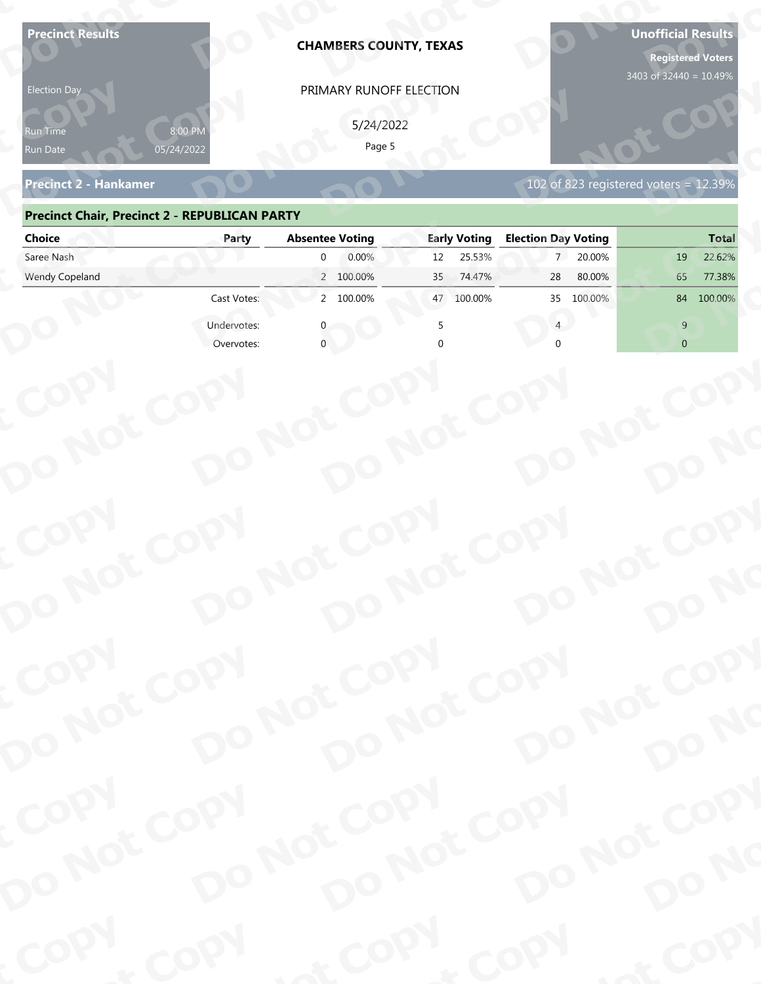| <b>Precinct Results</b><br><b>Election Day</b><br>የun Time | 8:00 PM     | <b>CHAMBERS COUNTY, TEXAS</b><br>PRIMARY RUNOFF ELECTION<br>5/24/2022 |                               |                                          | <b>Unofficial Results</b><br><b>Registered Voters</b><br>3403 of 32440 = 10.49% |
|------------------------------------------------------------|-------------|-----------------------------------------------------------------------|-------------------------------|------------------------------------------|---------------------------------------------------------------------------------|
| Run Date<br><b>Precinct 2 - Hankamer</b>                   | 05/24/2022  | Page 5                                                                |                               | 102 of 823 registered voters = $12.39\%$ |                                                                                 |
| <b>Precinct Chair, Precinct 2 - REPUBLICAN PARTY</b>       |             |                                                                       |                               |                                          |                                                                                 |
| <b>Choice</b>                                              | Party       | <b>Absentee Voting</b>                                                | <b>Early Voting</b>           | <b>Election Day Voting</b>               | <b>Total</b>                                                                    |
| Saree Nash                                                 |             | 0.00%<br>$\Omega$                                                     | 25.53%<br>12 <sup>2</sup>     | 20.00%<br>$7^{\circ}$                    | 22.62%<br>19                                                                    |
| Wendy Copeland                                             | Cast Votes: | 2 100.00%<br>2 100.00%                                                | 74.47%<br>35<br>100.00%<br>47 | 28<br>80.00%<br>35<br>100.00%            | 65<br>77.38%<br>100.00%<br>84                                                   |
|                                                            | Undervotes: |                                                                       |                               |                                          | 9                                                                               |
|                                                            | Overvotes:  |                                                                       |                               |                                          | $\overline{0}$                                                                  |
| COPY<br>DO NOT COPY                                        |             | DO NOT COPY<br>DO NOT COPY                                            |                               | DO NOT COPY                              | DO NO                                                                           |
| COPY<br>DO NOT COPY                                        |             | DO NOT COPY<br>DO NOT COPY                                            |                               | DO NOT COPY                              |                                                                                 |
|                                                            |             |                                                                       |                               |                                          | DO NO                                                                           |
| COPY<br>DO NOT COPY                                        |             | DO NOT COPY<br>DO NOT COPY                                            |                               | DO NOT COPY                              |                                                                                 |
|                                                            |             |                                                                       |                               |                                          | DO NO                                                                           |
| COPY                                                       | COPY        | & COPY                                                                |                               | COPY                                     | of COPY                                                                         |

### **Precinct Chair, Precinct 2 - REPUBLICAN PARTY**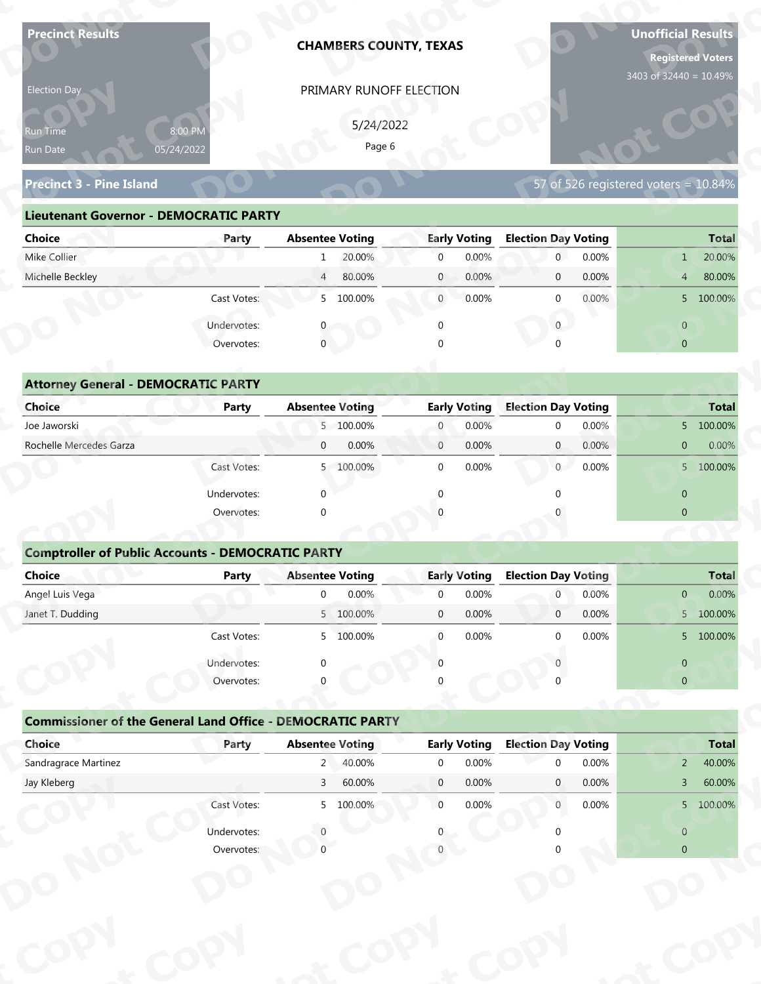| PRIMARY RUNOFF ELECTION<br>Election Day<br>5/24/2022<br>8:00 PM<br>Run Time<br>Page 6<br>05/24/2022<br>Run Date<br>57 of 526 registered voters = $10.84\%$<br><b>Precinct 3 - Pine Island</b><br><b>Lieutenant Governor - DEMOCRATIC PARTY</b><br><b>Election Day Voting</b><br><b>Absentee Voting</b><br><b>Early Voting</b><br><b>Choice</b><br>Party | <b>Registered Voters</b><br>3403 of 32440 = 10.49% |
|---------------------------------------------------------------------------------------------------------------------------------------------------------------------------------------------------------------------------------------------------------------------------------------------------------------------------------------------------------|----------------------------------------------------|
|                                                                                                                                                                                                                                                                                                                                                         |                                                    |
|                                                                                                                                                                                                                                                                                                                                                         |                                                    |
|                                                                                                                                                                                                                                                                                                                                                         |                                                    |
|                                                                                                                                                                                                                                                                                                                                                         |                                                    |
|                                                                                                                                                                                                                                                                                                                                                         |                                                    |
|                                                                                                                                                                                                                                                                                                                                                         |                                                    |
|                                                                                                                                                                                                                                                                                                                                                         | <b>Total</b>                                       |
| Mike Collier<br>20.00%<br>0.00%<br>0.00%<br>$\overline{0}$<br>$\mathbf{0}$<br>1                                                                                                                                                                                                                                                                         | 20.00%<br>1                                        |
| Michelle Beckley<br>0.00%<br>$\overline{4}$<br>80.00%<br>$\mathbf{0}$<br>0.00%<br>$\mathbf 0$                                                                                                                                                                                                                                                           | 80.00%<br>$\overline{4}$                           |
| 5 100.00%<br>$\overline{0}$<br>0.00%<br>0.00%<br>Cast Votes:<br>$\mathbf 0$                                                                                                                                                                                                                                                                             | 5 100.00%                                          |
| Undervotes:<br>$\overline{0}$<br>$\mathbf 0$                                                                                                                                                                                                                                                                                                            | $\overline{0}$                                     |
| $\overline{0}$<br>Overvotes:                                                                                                                                                                                                                                                                                                                            | $\overline{0}$                                     |
|                                                                                                                                                                                                                                                                                                                                                         |                                                    |
| <b>Attorney General - DEMOCRATIC PARTY</b>                                                                                                                                                                                                                                                                                                              |                                                    |
| <b>Election Day Voting</b><br><b>Choice</b><br><b>Absentee Voting</b><br><b>Early Voting</b><br><b>Party</b>                                                                                                                                                                                                                                            | <b>Total</b>                                       |
| 5 100.00%<br>0.00%<br>0.00%<br>Joe Jaworski<br>$\overline{0}$<br>$\mathbf 0$                                                                                                                                                                                                                                                                            | 5 100.00%                                          |
| Rochelle Mercedes Garza<br>0.00%<br>0.00%<br>0.00%<br>$\overline{0}$<br>$\overline{0}$<br>$\overline{0}$                                                                                                                                                                                                                                                | 0.00%<br>$\overline{0}$                            |
| $\mathbf 0$<br>0.00%<br>0.00%<br>Cast Votes:<br>5 100.00%<br>$\overline{0}$                                                                                                                                                                                                                                                                             | 5 100.00%                                          |
| $\Omega$<br>$\Omega$<br>Undervotes:<br>$\Omega$                                                                                                                                                                                                                                                                                                         | $\overline{0}$                                     |
| Overvotes:<br>$\Omega$                                                                                                                                                                                                                                                                                                                                  | $\overline{0}$                                     |
|                                                                                                                                                                                                                                                                                                                                                         |                                                    |
| <b>Comptroller of Public Accounts - DEMOCRATIC PARTY</b>                                                                                                                                                                                                                                                                                                |                                                    |
| Choice<br><b>Absentee Voting</b><br><b>Early Voting</b><br><b>Election Day Voting</b><br><b>Party</b>                                                                                                                                                                                                                                                   | <b>Total</b>                                       |
| Angel Luis Vega<br>0.00%<br>$\overline{0}$<br>0.00%<br>0.00%<br>$\mathbf 0$<br>$\overline{0}$<br>Janet T. Dudding<br>5 100.00%<br>0.00%<br>0.00%<br>$\mathbf 0$<br>$\overline{0}$                                                                                                                                                                       | 0.00%<br>$\mathbf{0}$<br>5 100.00%                 |
| $\Omega$                                                                                                                                                                                                                                                                                                                                                |                                                    |
| Cast Votes:<br>5 100.00%<br>0.00%<br>$\mathbf 0$<br>0.00%                                                                                                                                                                                                                                                                                               | 5 100.00%                                          |
| Undervotes:<br>$\Omega$<br>$\Omega$                                                                                                                                                                                                                                                                                                                     | $\overline{0}$                                     |
| Overvotes:                                                                                                                                                                                                                                                                                                                                              | $\overline{0}$                                     |
| <b>Commissioner of the General Land Office - DEMOCRATIC PARTY</b>                                                                                                                                                                                                                                                                                       |                                                    |
| Choice<br><b>Early Voting</b><br><b>Election Day Voting</b><br>Party<br><b>Absentee Voting</b>                                                                                                                                                                                                                                                          | <b>Total</b>                                       |
| Sandragrace Martinez<br>40.00%<br>0.00%<br>0.00%<br>$2^{\circ}$<br>$\overline{0}$<br>$\Omega$                                                                                                                                                                                                                                                           | 40.00%<br>$\overline{2}$                           |
| Jay Kleberg<br>3 <sup>7</sup><br>60.00%<br>$\overline{0}$<br>0.00%<br>$\mathbf{0}$<br>0.00%                                                                                                                                                                                                                                                             | 60.00%<br>$\overline{3}$                           |
| $\overline{0}$<br>0.00%<br>0.00%<br>Cast Votes:<br>5 100.00%<br>$\overline{0}$                                                                                                                                                                                                                                                                          | 5 100.00%                                          |
| Undervotes:                                                                                                                                                                                                                                                                                                                                             | $\overline{0}$                                     |
|                                                                                                                                                                                                                                                                                                                                                         |                                                    |

| Election Day                                  |                       | PRIMARY RUNOFF ELECTION  |                         |                                         |                          |
|-----------------------------------------------|-----------------------|--------------------------|-------------------------|-----------------------------------------|--------------------------|
| <b>Run Time</b><br>Run Date                   | 8:00 PM<br>05/24/2022 | 5/24/2022<br>Page 6      |                         |                                         |                          |
| <b>Precinct 3 - Pine Island</b>               |                       |                          |                         | 57 of 526 registered voters = $10.84\%$ |                          |
| <b>Lieutenant Governor - DEMOCRATIC PARTY</b> |                       |                          |                         |                                         |                          |
| <b>Choice</b>                                 | Party                 | <b>Absentee Voting</b>   | <b>Early Voting</b>     | <b>Election Day Voting</b>              | <b>Total</b>             |
| Mike Collier                                  |                       | 20.00%<br>$\mathbf{1}$   | 0.00%<br>$\overline{0}$ | 0.00%<br>$\overline{0}$                 | 20.00%<br>$\mathbf{1}$   |
| Michelle Beckley                              |                       | 80.00%<br>$\overline{4}$ | 0.00%<br>$\mathbf{0}$   | 0.00%<br>$\overline{0}$                 | 80.00%<br>4 <sup>1</sup> |
|                                               | Cast Votes:           | 5 100.00%                | 0.00%<br>$\overline{0}$ | $0.00\%$<br>$\Omega$                    | 5 100.00%                |
|                                               | Undervotes:           |                          | $\Omega$                | $\overline{0}$                          | $\overline{0}$           |
|                                               | Overvotes:            | $\mathbf 0$              | $\Omega$                |                                         | $\overline{0}$           |
|                                               |                       |                          |                         |                                         |                          |
| <b>Attorney General - DEMOCRATIC PARTY</b>    |                       |                          |                         |                                         |                          |
| <b>Choice</b>                                 | Party                 | <b>Absentee Voting</b>   | <b>Early Voting</b>     | <b>Election Day Voting</b>              | <b>Total</b>             |
| Joe Jaworski                                  |                       | 5 100.00%                | 0.00%<br>$\overline{0}$ | 0.00%<br>$\Omega$                       | 5 100.00%                |
| Rochelle Mercedes Garza                       |                       | 0.00%<br>$\overline{0}$  | 0.00%<br>$\mathbf{0}$   | $\overline{0}$<br>0.00%                 | 0.00%<br>$\overline{0}$  |
|                                               | Cast Votes:           | 5 100.00%                | 0.00%<br>$\Omega$       | $\overline{0}$<br>0.00%                 | 5 100.00%                |
|                                               |                       |                          |                         |                                         |                          |

| 5/24/2022<br>8:00 PM<br>Run Time<br>Page 6<br>05/24/2022<br>Run Date<br>57 of 526 registered voters = 10.84%<br><b>Precinct 3 - Pine Island</b><br><b>Lieutenant Governor - DEMOCRATIC PARTY</b><br><b>Absentee Voting</b><br><b>Early Voting</b><br><b>Election Day Voting</b><br><b>Choice</b><br>Party<br>Mike Collier<br>20.00%<br>$\overline{0}$<br>0.00%<br>$\overline{0}$<br>0.00%<br>1<br>Michelle Beckley<br>80.00%<br>$\mathbf{0}$<br>0.00%<br>0.00%<br>$\mathbf 0$<br>$\overline{4}$<br>Cast Votes:<br>5 100.00%<br>$\overline{0}$<br>0.00%<br>0.00%<br>$\mathbf{0}$<br>$\overline{0}$<br>Undervotes:<br>$\mathbf 0$<br>0<br>Overvotes:<br>$\mathbf{0}$<br>$\Omega$<br><b>Attorney General - DEMOCRATIC PARTY</b><br><b>Early Voting</b><br><b>Election Day Voting</b><br>Choice<br><b>Absentee Voting</b><br><b>Party</b><br>Joe Jaworski<br>5 100.00%<br>0.00%<br>0.00%<br>$\overline{0}$<br>$\mathbf 0$<br>Rochelle Mercedes Garza<br>0.00%<br>0.00%<br>0.00%<br>$\mathbf{0}$<br>$\mathbf{0}$<br>$\mathbf{0}$<br>Cast Votes:<br>5 100.00%<br>$\mathbf 0$<br>0.00%<br>$\overline{0}$<br>0.00%<br>Undervotes:<br>$\Omega$<br>$\Omega$<br>Overvotes:<br>$\Omega$<br><b>Comptroller of Public Accounts - DEMOCRATIC PARTY</b><br><b>Choice</b><br><b>Absentee Voting</b><br><b>Early Voting</b><br><b>Election Day Voting</b><br><b>Party</b><br>0.00%<br>Angel Luis Vega<br>0.00%<br>0.00%<br>$\mathbf 0$<br>$\mathbf 0$<br>$\overline{0}$ | <b>Total</b><br>20.00%<br>1<br>80.00%<br>$\overline{4}$<br>5 100.00%<br>$\overline{0}$<br>$\overline{0}$<br><b>Total</b><br>5 100.00%<br>$0.00\%$<br>$\overline{0}$<br>5 100.00%<br>$\overline{0}$<br>$\mathbf{0}$ |
|-------------------------------------------------------------------------------------------------------------------------------------------------------------------------------------------------------------------------------------------------------------------------------------------------------------------------------------------------------------------------------------------------------------------------------------------------------------------------------------------------------------------------------------------------------------------------------------------------------------------------------------------------------------------------------------------------------------------------------------------------------------------------------------------------------------------------------------------------------------------------------------------------------------------------------------------------------------------------------------------------------------------------------------------------------------------------------------------------------------------------------------------------------------------------------------------------------------------------------------------------------------------------------------------------------------------------------------------------------------------------------------------------------------------------------------------------------|--------------------------------------------------------------------------------------------------------------------------------------------------------------------------------------------------------------------|
|                                                                                                                                                                                                                                                                                                                                                                                                                                                                                                                                                                                                                                                                                                                                                                                                                                                                                                                                                                                                                                                                                                                                                                                                                                                                                                                                                                                                                                                       |                                                                                                                                                                                                                    |
|                                                                                                                                                                                                                                                                                                                                                                                                                                                                                                                                                                                                                                                                                                                                                                                                                                                                                                                                                                                                                                                                                                                                                                                                                                                                                                                                                                                                                                                       |                                                                                                                                                                                                                    |
|                                                                                                                                                                                                                                                                                                                                                                                                                                                                                                                                                                                                                                                                                                                                                                                                                                                                                                                                                                                                                                                                                                                                                                                                                                                                                                                                                                                                                                                       |                                                                                                                                                                                                                    |
|                                                                                                                                                                                                                                                                                                                                                                                                                                                                                                                                                                                                                                                                                                                                                                                                                                                                                                                                                                                                                                                                                                                                                                                                                                                                                                                                                                                                                                                       |                                                                                                                                                                                                                    |
|                                                                                                                                                                                                                                                                                                                                                                                                                                                                                                                                                                                                                                                                                                                                                                                                                                                                                                                                                                                                                                                                                                                                                                                                                                                                                                                                                                                                                                                       |                                                                                                                                                                                                                    |
|                                                                                                                                                                                                                                                                                                                                                                                                                                                                                                                                                                                                                                                                                                                                                                                                                                                                                                                                                                                                                                                                                                                                                                                                                                                                                                                                                                                                                                                       |                                                                                                                                                                                                                    |
|                                                                                                                                                                                                                                                                                                                                                                                                                                                                                                                                                                                                                                                                                                                                                                                                                                                                                                                                                                                                                                                                                                                                                                                                                                                                                                                                                                                                                                                       |                                                                                                                                                                                                                    |
|                                                                                                                                                                                                                                                                                                                                                                                                                                                                                                                                                                                                                                                                                                                                                                                                                                                                                                                                                                                                                                                                                                                                                                                                                                                                                                                                                                                                                                                       |                                                                                                                                                                                                                    |
|                                                                                                                                                                                                                                                                                                                                                                                                                                                                                                                                                                                                                                                                                                                                                                                                                                                                                                                                                                                                                                                                                                                                                                                                                                                                                                                                                                                                                                                       |                                                                                                                                                                                                                    |
|                                                                                                                                                                                                                                                                                                                                                                                                                                                                                                                                                                                                                                                                                                                                                                                                                                                                                                                                                                                                                                                                                                                                                                                                                                                                                                                                                                                                                                                       |                                                                                                                                                                                                                    |
|                                                                                                                                                                                                                                                                                                                                                                                                                                                                                                                                                                                                                                                                                                                                                                                                                                                                                                                                                                                                                                                                                                                                                                                                                                                                                                                                                                                                                                                       |                                                                                                                                                                                                                    |
|                                                                                                                                                                                                                                                                                                                                                                                                                                                                                                                                                                                                                                                                                                                                                                                                                                                                                                                                                                                                                                                                                                                                                                                                                                                                                                                                                                                                                                                       |                                                                                                                                                                                                                    |
|                                                                                                                                                                                                                                                                                                                                                                                                                                                                                                                                                                                                                                                                                                                                                                                                                                                                                                                                                                                                                                                                                                                                                                                                                                                                                                                                                                                                                                                       |                                                                                                                                                                                                                    |
|                                                                                                                                                                                                                                                                                                                                                                                                                                                                                                                                                                                                                                                                                                                                                                                                                                                                                                                                                                                                                                                                                                                                                                                                                                                                                                                                                                                                                                                       |                                                                                                                                                                                                                    |
|                                                                                                                                                                                                                                                                                                                                                                                                                                                                                                                                                                                                                                                                                                                                                                                                                                                                                                                                                                                                                                                                                                                                                                                                                                                                                                                                                                                                                                                       |                                                                                                                                                                                                                    |
|                                                                                                                                                                                                                                                                                                                                                                                                                                                                                                                                                                                                                                                                                                                                                                                                                                                                                                                                                                                                                                                                                                                                                                                                                                                                                                                                                                                                                                                       |                                                                                                                                                                                                                    |
|                                                                                                                                                                                                                                                                                                                                                                                                                                                                                                                                                                                                                                                                                                                                                                                                                                                                                                                                                                                                                                                                                                                                                                                                                                                                                                                                                                                                                                                       |                                                                                                                                                                                                                    |
|                                                                                                                                                                                                                                                                                                                                                                                                                                                                                                                                                                                                                                                                                                                                                                                                                                                                                                                                                                                                                                                                                                                                                                                                                                                                                                                                                                                                                                                       |                                                                                                                                                                                                                    |
|                                                                                                                                                                                                                                                                                                                                                                                                                                                                                                                                                                                                                                                                                                                                                                                                                                                                                                                                                                                                                                                                                                                                                                                                                                                                                                                                                                                                                                                       |                                                                                                                                                                                                                    |
|                                                                                                                                                                                                                                                                                                                                                                                                                                                                                                                                                                                                                                                                                                                                                                                                                                                                                                                                                                                                                                                                                                                                                                                                                                                                                                                                                                                                                                                       |                                                                                                                                                                                                                    |
|                                                                                                                                                                                                                                                                                                                                                                                                                                                                                                                                                                                                                                                                                                                                                                                                                                                                                                                                                                                                                                                                                                                                                                                                                                                                                                                                                                                                                                                       |                                                                                                                                                                                                                    |
|                                                                                                                                                                                                                                                                                                                                                                                                                                                                                                                                                                                                                                                                                                                                                                                                                                                                                                                                                                                                                                                                                                                                                                                                                                                                                                                                                                                                                                                       | <b>Total</b>                                                                                                                                                                                                       |
|                                                                                                                                                                                                                                                                                                                                                                                                                                                                                                                                                                                                                                                                                                                                                                                                                                                                                                                                                                                                                                                                                                                                                                                                                                                                                                                                                                                                                                                       | $\overline{0}$<br>0.00%                                                                                                                                                                                            |
| 0.00%<br>0.00%<br>Janet T. Dudding<br>5 100.00%<br>$\mathbf 0$<br>$\mathbf 0$                                                                                                                                                                                                                                                                                                                                                                                                                                                                                                                                                                                                                                                                                                                                                                                                                                                                                                                                                                                                                                                                                                                                                                                                                                                                                                                                                                         | 5 100.00%                                                                                                                                                                                                          |
| 0.00%<br>Cast Votes:<br>5 100.00%<br>$\overline{0}$<br>$0.00\%$<br>$\Omega$                                                                                                                                                                                                                                                                                                                                                                                                                                                                                                                                                                                                                                                                                                                                                                                                                                                                                                                                                                                                                                                                                                                                                                                                                                                                                                                                                                           | 5 100.00%                                                                                                                                                                                                          |
| Undervotes:                                                                                                                                                                                                                                                                                                                                                                                                                                                                                                                                                                                                                                                                                                                                                                                                                                                                                                                                                                                                                                                                                                                                                                                                                                                                                                                                                                                                                                           | $\overline{0}$                                                                                                                                                                                                     |
| Overvotes:                                                                                                                                                                                                                                                                                                                                                                                                                                                                                                                                                                                                                                                                                                                                                                                                                                                                                                                                                                                                                                                                                                                                                                                                                                                                                                                                                                                                                                            | $\overline{0}$                                                                                                                                                                                                     |
|                                                                                                                                                                                                                                                                                                                                                                                                                                                                                                                                                                                                                                                                                                                                                                                                                                                                                                                                                                                                                                                                                                                                                                                                                                                                                                                                                                                                                                                       |                                                                                                                                                                                                                    |
| <b>Commissioner of the General Land Office - DEMOCRATIC PARTY</b>                                                                                                                                                                                                                                                                                                                                                                                                                                                                                                                                                                                                                                                                                                                                                                                                                                                                                                                                                                                                                                                                                                                                                                                                                                                                                                                                                                                     |                                                                                                                                                                                                                    |
| Choice<br><b>Absentee Voting</b><br><b>Early Voting</b><br><b>Election Day Voting</b><br>Party                                                                                                                                                                                                                                                                                                                                                                                                                                                                                                                                                                                                                                                                                                                                                                                                                                                                                                                                                                                                                                                                                                                                                                                                                                                                                                                                                        | <b>Total</b>                                                                                                                                                                                                       |
| Sandragrace Martinez<br>2 40.00%<br>$\mathbf 0$<br>0.00%<br>0.00%<br>$\Omega$                                                                                                                                                                                                                                                                                                                                                                                                                                                                                                                                                                                                                                                                                                                                                                                                                                                                                                                                                                                                                                                                                                                                                                                                                                                                                                                                                                         | 40.00%<br>2 <sup>7</sup>                                                                                                                                                                                           |
| 60.00%<br>0.00%<br>Jay Kleberg<br>$\overline{0}$<br>0.00%<br>3 <sup>7</sup><br>$\mathbf{0}$                                                                                                                                                                                                                                                                                                                                                                                                                                                                                                                                                                                                                                                                                                                                                                                                                                                                                                                                                                                                                                                                                                                                                                                                                                                                                                                                                           | 60.00%<br>3 <sup>7</sup>                                                                                                                                                                                           |
| Cast Votes:<br>$\overline{0}$<br>0.00%<br>5 100.00%<br>0.00%<br>$\overline{0}$                                                                                                                                                                                                                                                                                                                                                                                                                                                                                                                                                                                                                                                                                                                                                                                                                                                                                                                                                                                                                                                                                                                                                                                                                                                                                                                                                                        | 5 100.00%                                                                                                                                                                                                          |
| Undervotes:                                                                                                                                                                                                                                                                                                                                                                                                                                                                                                                                                                                                                                                                                                                                                                                                                                                                                                                                                                                                                                                                                                                                                                                                                                                                                                                                                                                                                                           | $\mathbf{0}$                                                                                                                                                                                                       |
| Overvotes:                                                                                                                                                                                                                                                                                                                                                                                                                                                                                                                                                                                                                                                                                                                                                                                                                                                                                                                                                                                                                                                                                                                                                                                                                                                                                                                                                                                                                                            | $\overline{0}$                                                                                                                                                                                                     |

### **Comptroller of Public Accounts - DEMOCRATIC PARTY**

| <b>Choice</b>                                                     | Party       | <b>Absentee Voting</b> |           |                | <b>Early Voting</b> | <b>Election Day Voting</b> |       |                | <b>Total</b> |
|-------------------------------------------------------------------|-------------|------------------------|-----------|----------------|---------------------|----------------------------|-------|----------------|--------------|
| Joe Jaworski                                                      |             |                        | 5 100.00% | $\overline{0}$ | 0.00%               | $\mathbf{0}$               | 0.00% |                | 5 100.00%    |
| Rochelle Mercedes Garza                                           |             | $\boldsymbol{0}$       | 0.00%     | $\overline{0}$ | 0.00%               | $\mathbf{0}$               | 0.00% | $\overline{0}$ | 0.00%        |
|                                                                   | Cast Votes: |                        | 5 100.00% | $\overline{0}$ | 0.00%               | $\overline{0}$             | 0.00% |                | 5 100.00%    |
|                                                                   | Undervotes: |                        |           | $\Omega$       |                     | $\Omega$                   |       | $\mathbf{0}$   |              |
|                                                                   | Overvotes:  | $\Omega$               |           |                |                     |                            |       | $\mathbf{0}$   |              |
|                                                                   |             |                        |           |                |                     |                            |       |                |              |
| <b>Comptroller of Public Accounts - DEMOCRATIC PARTY</b>          |             |                        |           |                |                     |                            |       |                |              |
| <b>Choice</b>                                                     | Party       | <b>Absentee Voting</b> |           |                | <b>Early Voting</b> | <b>Election Day Voting</b> |       |                | <b>Total</b> |
| Angel Luis Vega                                                   |             | $\Omega$               | 0.00%     | $\Omega$       | 0.00%               | $\overline{0}$             | 0.00% | $\overline{0}$ | 0.00%        |
| Janet T. Dudding                                                  |             |                        | 5 100.00% | $\mathbf{0}$   | 0.00%               | $\overline{0}$             | 0.00% |                | 5 100.00%    |
|                                                                   | Cast Votes: |                        | 5 100.00% | $\overline{0}$ | 0.00%               | $\mathbf{0}$               | 0.00% |                | 5 100.00%    |
|                                                                   |             |                        |           |                |                     |                            |       |                |              |
|                                                                   | Undervotes: | ∩                      |           | U              |                     |                            |       | $\overline{0}$ |              |
|                                                                   | Overvotes:  |                        |           |                |                     |                            |       | $\mathbf 0$    |              |
|                                                                   |             |                        |           |                |                     |                            |       |                |              |
| <b>Commissioner of the General Land Office - DEMOCRATIC PARTY</b> |             |                        |           |                |                     |                            |       |                |              |
| Choice                                                            | Party       | <b>Absentee Voting</b> |           |                | <b>Early Voting</b> | <b>Election Day Voting</b> |       |                | <b>Total</b> |
| Sandragrace Martinez                                              |             | $2^{\circ}$            | 40.00%    | $\mathbf{0}$   | 0.00%               | $\mathbf{0}$               | 0.00% | 2 <sup>7</sup> | 40.00%       |
| Jay Kleberg                                                       |             | $\mathbf{3}$           | 60.00%    | $\overline{0}$ | 0.00%               | $\mathbf{0}$               | 0.00% | $\overline{3}$ | 60.00%       |
|                                                                   | Cast Votes: |                        | 5 100.00% | $\overline{0}$ | 0.00%               | $\overline{0}$             | 0.00% |                | 5 100.00%    |
|                                                                   | Undervotes: |                        |           |                |                     |                            |       | $\overline{0}$ |              |

|                                                                   | Cast votes. | $\mathcal{P}$          | TOO'OO XQ | U              | <b>U.UU70</b>       |                            | <b>U.UU70</b> | $\mathcal{P}$  | LUU.UU 70    |
|-------------------------------------------------------------------|-------------|------------------------|-----------|----------------|---------------------|----------------------------|---------------|----------------|--------------|
|                                                                   | Undervotes: | $\Omega$               |           | 0              |                     |                            |               | $\Omega$       |              |
|                                                                   | Overvotes:  | $\Omega$               |           | 0              |                     |                            |               | $\overline{0}$ |              |
|                                                                   |             |                        |           |                |                     |                            |               |                |              |
| <b>Commissioner of the General Land Office - DEMOCRATIC PARTY</b> |             |                        |           |                |                     |                            |               |                |              |
| Choice                                                            | Party       | <b>Absentee Voting</b> |           |                | <b>Early Voting</b> | <b>Election Day Voting</b> |               |                | <b>Total</b> |
| Sandragrace Martinez                                              |             | 2                      | 40.00%    | $\overline{0}$ | 0.00%               | $\Omega$                   | 0.00%         | $\overline{2}$ | 40.00%       |
| Jay Kleberg                                                       |             | 3                      | 60.00%    | $\overline{0}$ | $0.00\%$            | $\mathbf{0}$               | $0.00\%$      | 3              | 60.00%       |
|                                                                   | Cast Votes: |                        | 5 100.00% | $\mathbf{0}$   | $0.00\%$            | $\mathbf{0}$               | 0.00%         | 5 <sup>1</sup> | 100.00%      |
|                                                                   | Undervotes: |                        |           | 0              |                     |                            |               | $\overline{0}$ |              |
|                                                                   | Overvotes:  |                        |           |                |                     |                            |               | $\overline{0}$ |              |
|                                                                   |             |                        |           |                |                     |                            |               |                |              |
|                                                                   |             |                        |           |                |                     |                            |               |                |              |
|                                                                   |             |                        |           |                |                     |                            |               |                |              |
|                                                                   |             |                        |           |                |                     |                            |               |                |              |
|                                                                   |             |                        |           |                |                     |                            |               |                |              |
|                                                                   |             |                        |           |                |                     |                            |               |                |              |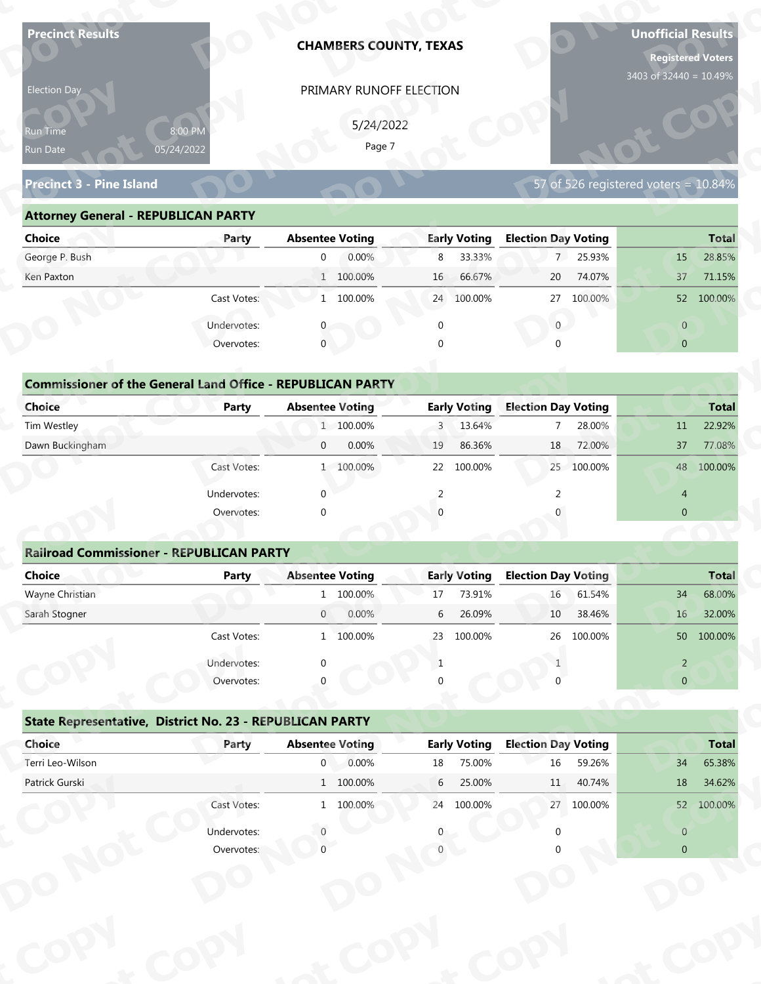| <b>Precinct Results</b>                                           |                           |                        | <b>CHAMBERS COUNTY, TEXAS</b> |             |                     |                            |            | <b>Unofficial Results</b><br><b>Registered Voters</b> |              |
|-------------------------------------------------------------------|---------------------------|------------------------|-------------------------------|-------------|---------------------|----------------------------|------------|-------------------------------------------------------|--------------|
| Election Day                                                      |                           |                        | PRIMARY RUNOFF ELECTION       |             |                     |                            |            | 3403 of 32440 = 10.49%                                |              |
|                                                                   |                           |                        |                               |             |                     |                            |            |                                                       |              |
| Run Time                                                          | 8:00 PM                   |                        | 5/24/2022<br>Page 7           |             |                     |                            |            |                                                       |              |
| Run Date                                                          | 05/24/2022                |                        |                               |             |                     |                            |            |                                                       |              |
| <b>Precinct 3 - Pine Island</b>                                   |                           |                        |                               |             |                     |                            |            | 57 of 526 registered voters = 10.84%                  |              |
| <b>Attorney General - REPUBLICAN PARTY</b>                        |                           |                        |                               |             |                     |                            |            |                                                       |              |
| <b>Choice</b>                                                     | Party                     | <b>Absentee Voting</b> |                               |             | <b>Early Voting</b> | <b>Election Day Voting</b> |            |                                                       | <b>Total</b> |
| George P. Bush                                                    |                           | $\overline{0}$         | 0.00%                         | 8           | 33.33%              |                            | 7 25.93%   | 15                                                    | 28.85%       |
| Ken Paxton                                                        |                           |                        | 1 100.00%                     | 16          | 66.67%              | 20                         | 74.07%     | 37                                                    | 71.15%       |
|                                                                   | Cast Votes:               |                        | 1 100.00%                     |             | 24 100.00%          | 27                         | 100.00%    |                                                       | 52 100.00%   |
|                                                                   | Undervotes:               |                        |                               | $\mathbf 0$ |                     | $\overline{0}$             |            | $\overline{0}$                                        |              |
|                                                                   | Overvotes:                | $\mathbf{0}$           |                               | $\Omega$    |                     |                            |            | $\overline{0}$                                        |              |
|                                                                   |                           |                        |                               |             |                     |                            |            |                                                       |              |
| <b>Commissioner of the General Land Office - REPUBLICAN PARTY</b> |                           |                        |                               |             |                     |                            |            |                                                       |              |
| <b>Choice</b>                                                     | <b>Party</b>              | <b>Absentee Voting</b> |                               |             | <b>Early Voting</b> | <b>Election Day Voting</b> |            |                                                       | <b>Total</b> |
| Tim Westley                                                       |                           |                        | 1 100.00%                     | 3           | 13.64%              | $\overline{7}$             | 28.00%     | 11                                                    | 22.92%       |
| Dawn Buckingham                                                   |                           | $\mathbf{0}$           | 0.00%                         | 19          | 86.36%              | 18                         | 72.00%     | 37                                                    | 77.08%       |
|                                                                   | Cast Votes:               |                        | 1 100.00%                     |             | 22 100.00%          |                            | 25 100.00% |                                                       | 48 100.00%   |
|                                                                   | Undervotes:               | $\Omega$               |                               | 2           |                     | 2                          |            | $\overline{4}$                                        |              |
|                                                                   | Overvotes:                | $\Omega$               |                               |             |                     |                            |            | $\overline{0}$                                        |              |
|                                                                   |                           |                        |                               |             |                     |                            |            |                                                       |              |
| <b>Railroad Commissioner - REPUBLICAN PARTY</b>                   |                           |                        |                               |             |                     |                            |            |                                                       |              |
| <b>Choice</b>                                                     | <b>Party</b>              | <b>Absentee Voting</b> |                               |             | <b>Early Voting</b> | <b>Election Day Voting</b> |            |                                                       | <b>Total</b> |
| Wayne Christian                                                   |                           |                        | 1 100.00%                     | 17          | 73.91%              | $16\,$                     | 61.54%     | 34                                                    | 68.00%       |
| Sarah Stogner                                                     |                           | $\overline{0}$         | 0.00%                         | 6           | 26.09%              | 10                         | 38.46%     | 16                                                    | 32.00%       |
|                                                                   | Cast Votes:               |                        | 1 100.00%                     | 23          | 100.00%             | 26                         | 100.00%    |                                                       | 50 100.00%   |
|                                                                   | Undervotes:               |                        |                               | 1           |                     |                            |            | $\overline{2}$                                        |              |
|                                                                   | Overvotes:                |                        |                               |             |                     |                            |            | $\overline{0}$                                        |              |
| State Representative, District No. 23 - REPUBLICAN PARTY          |                           |                        |                               |             |                     |                            |            |                                                       |              |
| Choice                                                            | Party                     | <b>Absentee Voting</b> |                               |             | <b>Early Voting</b> | <b>Election Day Voting</b> |            |                                                       | <b>Total</b> |
| Terri Leo-Wilson                                                  |                           | $\mathbf{0}$           | 0.00%                         | 18          | 75.00%              | 16                         | 59.26%     | 34                                                    | 65.38%       |
| Patrick Gurski                                                    |                           |                        | 1 100.00%                     | 6           | 25.00%              | 11                         | 40.74%     | 18                                                    | 34.62%       |
|                                                                   | Cast Votes:               |                        | 1 100.00%                     |             | 24 100.00%          |                            | 27 100.00% |                                                       | 52 100.00%   |
|                                                                   |                           |                        |                               |             |                     |                            |            |                                                       |              |
|                                                                   |                           |                        |                               |             |                     |                            |            | $\overline{0}$                                        |              |
|                                                                   | Undervotes:<br>Overvotes: |                        |                               |             |                     |                            |            | $\overline{0}$                                        |              |

| 5/24/2022<br>8:00 PM<br><b>Run Time</b><br>Page 7<br>05/24/2022<br>57 of 526 registered voters = $10.84\%$<br><b>Attorney General - REPUBLICAN PARTY</b><br><b>Early Voting</b><br><b>Election Day Voting</b><br><b>Absentee Voting</b><br><b>Total</b><br>Party<br>0.00%<br>33.33%<br>7 25.93%<br>28.85%<br>8<br>$\overline{0}$<br>15<br>1 100.00%<br>66.67%<br>74.07%<br>71.15%<br>16<br>20<br>37<br>1 100.00%<br>100.00%<br>Cast Votes:<br>24 100.00%<br>27<br>52 100.00%<br>Undervotes:<br>$\overline{0}$<br>$\overline{0}$<br>$\mathbf{0}$<br>Overvotes:<br>$\Omega$<br>$\overline{0}$<br><b>Commissioner of the General Land Office - REPUBLICAN PARTY</b><br><b>Early Voting</b><br><b>Election Day Voting</b><br><b>Absentee Voting</b><br>Party<br><b>Total</b> | Election Day                    | PRIMARY RUNOFF ELECTION |             |        |              |
|--------------------------------------------------------------------------------------------------------------------------------------------------------------------------------------------------------------------------------------------------------------------------------------------------------------------------------------------------------------------------------------------------------------------------------------------------------------------------------------------------------------------------------------------------------------------------------------------------------------------------------------------------------------------------------------------------------------------------------------------------------------------------|---------------------------------|-------------------------|-------------|--------|--------------|
|                                                                                                                                                                                                                                                                                                                                                                                                                                                                                                                                                                                                                                                                                                                                                                          | Run Date                        |                         |             |        |              |
|                                                                                                                                                                                                                                                                                                                                                                                                                                                                                                                                                                                                                                                                                                                                                                          | <b>Precinct 3 - Pine Island</b> |                         |             |        |              |
|                                                                                                                                                                                                                                                                                                                                                                                                                                                                                                                                                                                                                                                                                                                                                                          |                                 |                         |             |        |              |
|                                                                                                                                                                                                                                                                                                                                                                                                                                                                                                                                                                                                                                                                                                                                                                          | <b>Choice</b>                   |                         |             |        |              |
|                                                                                                                                                                                                                                                                                                                                                                                                                                                                                                                                                                                                                                                                                                                                                                          | George P. Bush                  |                         |             |        |              |
|                                                                                                                                                                                                                                                                                                                                                                                                                                                                                                                                                                                                                                                                                                                                                                          | Ken Paxton                      |                         |             |        |              |
|                                                                                                                                                                                                                                                                                                                                                                                                                                                                                                                                                                                                                                                                                                                                                                          |                                 |                         |             |        |              |
|                                                                                                                                                                                                                                                                                                                                                                                                                                                                                                                                                                                                                                                                                                                                                                          |                                 |                         |             |        |              |
|                                                                                                                                                                                                                                                                                                                                                                                                                                                                                                                                                                                                                                                                                                                                                                          |                                 |                         |             |        |              |
|                                                                                                                                                                                                                                                                                                                                                                                                                                                                                                                                                                                                                                                                                                                                                                          |                                 |                         |             |        |              |
|                                                                                                                                                                                                                                                                                                                                                                                                                                                                                                                                                                                                                                                                                                                                                                          |                                 |                         |             |        |              |
|                                                                                                                                                                                                                                                                                                                                                                                                                                                                                                                                                                                                                                                                                                                                                                          | <b>Choice</b>                   |                         |             |        |              |
|                                                                                                                                                                                                                                                                                                                                                                                                                                                                                                                                                                                                                                                                                                                                                                          | Tim Westley                     | 1 100.00%               | 13.64%<br>3 | 28.00% | 22.92%<br>11 |
| 0.00%<br>86.36%<br>18<br>72.00%<br>37<br>77.08%<br>$\overline{0}$<br>19                                                                                                                                                                                                                                                                                                                                                                                                                                                                                                                                                                                                                                                                                                  | Dawn Buckingham                 |                         |             |        |              |
| 25<br>100.00%<br>1 100.00%<br>22<br>100.00%<br>100.00%<br>Cast Votes:<br>48                                                                                                                                                                                                                                                                                                                                                                                                                                                                                                                                                                                                                                                                                              |                                 |                         |             |        |              |

| <b>Choice</b>                                                     | Party       | <b>Absentee Voting</b> | <b>Early Voting</b>       | <b>Election Day Voting</b> | <b>Total</b>            |
|-------------------------------------------------------------------|-------------|------------------------|---------------------------|----------------------------|-------------------------|
| George P. Bush                                                    |             | 0.00%<br>$\mathbf{0}$  | 8 33.33%                  | 25.93%<br>7 <sup>7</sup>   | 28.85%<br>15            |
|                                                                   |             |                        |                           |                            |                         |
| Ken Paxton                                                        |             | 1 100.00%              | 66.67%<br>16 <sup>°</sup> | 20<br>74.07%               | 37<br>71.15%            |
|                                                                   | Cast Votes: | 1 100.00%              | 24 100.00%                | 27 100.00%                 | 52 100.00%              |
|                                                                   | Undervotes: |                        | 0                         | $\mathbf{0}$               | $\overline{0}$          |
|                                                                   | Overvotes:  | $\mathbf{0}$           | 0                         | $\Omega$                   | $\overline{0}$          |
| <b>Commissioner of the General Land Office - REPUBLICAN PARTY</b> |             |                        |                           |                            |                         |
| Choice                                                            | Party       | <b>Absentee Voting</b> | <b>Early Voting</b>       | <b>Election Day Voting</b> | <b>Total</b>            |
| Tim Westley                                                       |             | 1 100.00%              | 3 13.64%                  | 28.00%<br>$7^{\circ}$      | 22.92%<br>11            |
| Dawn Buckingham                                                   |             | 0.00%<br>$\mathbf{0}$  | 86.36%<br>19              | 72.00%<br>18               | 37<br>77.08%            |
|                                                                   | Cast Votes: | 1 100.00%              | 22 100.00%                | 25 100.00%                 | 48 100.00%              |
|                                                                   | Undervotes: | $\mathbf 0$            |                           |                            | $\overline{4}$          |
|                                                                   | Overvotes:  | $\mathbf 0$            | $\Omega$                  |                            | $\mathbf{0}$            |
|                                                                   |             |                        |                           |                            |                         |
| <b>Railroad Commissioner - REPUBLICAN PARTY</b>                   |             |                        |                           |                            |                         |
| Choice                                                            | Party       | <b>Absentee Voting</b> | <b>Early Voting</b>       | <b>Election Day Voting</b> | <b>Total</b>            |
| Wayne Christian                                                   |             | 1 100.00%              | 73.91%<br>17              | 61.54%<br>16               | 68.00%<br>34            |
| Carole Champan                                                    |             | 0.0001<br>$\cap$       | $C = 2C \Omega Q$         | 20.000<br>10 <sup>1</sup>  | 22000<br>1 <sup>C</sup> |

| Run Time                                                          | 8:00 PM<br>05/24/2022     |                                                                                                                                                                                                                                                                                                                                                                                                                                                                                                                                                                                                                                                                                                                                                                                                                                                                                                                                                                                                                                                                                                                                                                            |              |                  |                                        |
|-------------------------------------------------------------------|---------------------------|----------------------------------------------------------------------------------------------------------------------------------------------------------------------------------------------------------------------------------------------------------------------------------------------------------------------------------------------------------------------------------------------------------------------------------------------------------------------------------------------------------------------------------------------------------------------------------------------------------------------------------------------------------------------------------------------------------------------------------------------------------------------------------------------------------------------------------------------------------------------------------------------------------------------------------------------------------------------------------------------------------------------------------------------------------------------------------------------------------------------------------------------------------------------------|--------------|------------------|----------------------------------------|
| Run Date                                                          |                           |                                                                                                                                                                                                                                                                                                                                                                                                                                                                                                                                                                                                                                                                                                                                                                                                                                                                                                                                                                                                                                                                                                                                                                            |              |                  |                                        |
| <b>Precinct 3 - Pine Island</b>                                   |                           | PRIMARY RUNOFF ELECTION<br>5/24/2022<br>Page 7<br>57 of 526 registered voters = $10.84\%$<br><b>Absentee Voting</b><br><b>Early Voting</b><br><b>Election Day Voting</b><br>7 25.93%<br>0.00%<br>8<br>33.33%<br>$\overline{0}$<br>15<br>1 100.00%<br>66.67%<br>20<br>74.07%<br>16 <sup>1</sup><br>37<br>1 100.00%<br>24 100.00%<br>27 100.00%<br>$\overline{0}$<br>$\overline{0}$<br>$\mathbf 0$<br>$\mathbf{0}$<br>$\mathbf{0}$<br>$\overline{0}$<br>$\Omega$<br>$\cap$<br><b>Early Voting</b><br><b>Election Day Voting</b><br><b>Absentee Voting</b><br>1 100.00%<br>13.64%<br>28.00%<br>$\overline{7}$<br>3<br>11<br>0.00%<br>86.36%<br>18<br>72.00%<br>$\overline{0}$<br>19<br>37<br>1 100.00%<br>100.00%<br>100.00%<br>22<br>25<br>$\Omega$<br>2<br>$\overline{4}$<br>$\overline{0}$<br>$\Omega$<br><b>Absentee Voting</b><br><b>Election Day Voting</b><br><b>Early Voting</b><br>1 100.00%<br>73.91%<br>16<br>61.54%<br>34<br>17<br>26.09%<br>0.00%<br>6<br>38.46%<br>$\overline{0}$<br>10<br>16<br>1 100.00%<br>23 100 00%<br>26 100.00%<br>$\overline{2}$<br>-1<br>$\overline{0}$<br><b>Early Voting</b><br><b>Election Day Voting</b><br><b>Absentee Voting</b> |              |                  |                                        |
| <b>Attorney General - REPUBLICAN PARTY</b>                        |                           |                                                                                                                                                                                                                                                                                                                                                                                                                                                                                                                                                                                                                                                                                                                                                                                                                                                                                                                                                                                                                                                                                                                                                                            |              |                  |                                        |
| <b>Choice</b>                                                     | Party                     |                                                                                                                                                                                                                                                                                                                                                                                                                                                                                                                                                                                                                                                                                                                                                                                                                                                                                                                                                                                                                                                                                                                                                                            |              |                  | <b>Total</b>                           |
| George P. Bush                                                    |                           |                                                                                                                                                                                                                                                                                                                                                                                                                                                                                                                                                                                                                                                                                                                                                                                                                                                                                                                                                                                                                                                                                                                                                                            |              |                  | 28.85%                                 |
| Ken Paxton                                                        |                           |                                                                                                                                                                                                                                                                                                                                                                                                                                                                                                                                                                                                                                                                                                                                                                                                                                                                                                                                                                                                                                                                                                                                                                            |              |                  | 71.15%                                 |
|                                                                   | Cast Votes:               |                                                                                                                                                                                                                                                                                                                                                                                                                                                                                                                                                                                                                                                                                                                                                                                                                                                                                                                                                                                                                                                                                                                                                                            |              |                  | 52 100.00%                             |
|                                                                   | Undervotes:               |                                                                                                                                                                                                                                                                                                                                                                                                                                                                                                                                                                                                                                                                                                                                                                                                                                                                                                                                                                                                                                                                                                                                                                            |              |                  |                                        |
|                                                                   | Overvotes:                |                                                                                                                                                                                                                                                                                                                                                                                                                                                                                                                                                                                                                                                                                                                                                                                                                                                                                                                                                                                                                                                                                                                                                                            |              |                  |                                        |
|                                                                   |                           |                                                                                                                                                                                                                                                                                                                                                                                                                                                                                                                                                                                                                                                                                                                                                                                                                                                                                                                                                                                                                                                                                                                                                                            |              |                  |                                        |
| <b>Commissioner of the General Land Office - REPUBLICAN PARTY</b> |                           |                                                                                                                                                                                                                                                                                                                                                                                                                                                                                                                                                                                                                                                                                                                                                                                                                                                                                                                                                                                                                                                                                                                                                                            |              |                  |                                        |
| Choice                                                            | Party                     |                                                                                                                                                                                                                                                                                                                                                                                                                                                                                                                                                                                                                                                                                                                                                                                                                                                                                                                                                                                                                                                                                                                                                                            |              |                  | <b>Total</b>                           |
| Tim Westley                                                       |                           |                                                                                                                                                                                                                                                                                                                                                                                                                                                                                                                                                                                                                                                                                                                                                                                                                                                                                                                                                                                                                                                                                                                                                                            |              |                  | 22.92%                                 |
| Dawn Buckingham                                                   |                           |                                                                                                                                                                                                                                                                                                                                                                                                                                                                                                                                                                                                                                                                                                                                                                                                                                                                                                                                                                                                                                                                                                                                                                            |              |                  | 77.08%                                 |
|                                                                   | Cast Votes:               |                                                                                                                                                                                                                                                                                                                                                                                                                                                                                                                                                                                                                                                                                                                                                                                                                                                                                                                                                                                                                                                                                                                                                                            |              |                  | 48 100.00%                             |
|                                                                   |                           |                                                                                                                                                                                                                                                                                                                                                                                                                                                                                                                                                                                                                                                                                                                                                                                                                                                                                                                                                                                                                                                                                                                                                                            |              |                  |                                        |
|                                                                   | Undervotes:               |                                                                                                                                                                                                                                                                                                                                                                                                                                                                                                                                                                                                                                                                                                                                                                                                                                                                                                                                                                                                                                                                                                                                                                            |              |                  |                                        |
|                                                                   | Overvotes:                |                                                                                                                                                                                                                                                                                                                                                                                                                                                                                                                                                                                                                                                                                                                                                                                                                                                                                                                                                                                                                                                                                                                                                                            |              |                  |                                        |
|                                                                   |                           |                                                                                                                                                                                                                                                                                                                                                                                                                                                                                                                                                                                                                                                                                                                                                                                                                                                                                                                                                                                                                                                                                                                                                                            |              |                  |                                        |
| <b>Railroad Commissioner - REPUBLICAN PARTY</b>                   |                           |                                                                                                                                                                                                                                                                                                                                                                                                                                                                                                                                                                                                                                                                                                                                                                                                                                                                                                                                                                                                                                                                                                                                                                            |              |                  |                                        |
| <b>Choice</b>                                                     | <b>Party</b>              |                                                                                                                                                                                                                                                                                                                                                                                                                                                                                                                                                                                                                                                                                                                                                                                                                                                                                                                                                                                                                                                                                                                                                                            |              |                  |                                        |
| Wayne Christian                                                   |                           |                                                                                                                                                                                                                                                                                                                                                                                                                                                                                                                                                                                                                                                                                                                                                                                                                                                                                                                                                                                                                                                                                                                                                                            |              |                  |                                        |
| Sarah Stogner                                                     |                           |                                                                                                                                                                                                                                                                                                                                                                                                                                                                                                                                                                                                                                                                                                                                                                                                                                                                                                                                                                                                                                                                                                                                                                            |              |                  | <b>Total</b><br>68.00%<br>32.00%       |
|                                                                   | Cast Votes:               |                                                                                                                                                                                                                                                                                                                                                                                                                                                                                                                                                                                                                                                                                                                                                                                                                                                                                                                                                                                                                                                                                                                                                                            |              |                  |                                        |
|                                                                   |                           |                                                                                                                                                                                                                                                                                                                                                                                                                                                                                                                                                                                                                                                                                                                                                                                                                                                                                                                                                                                                                                                                                                                                                                            |              |                  | 50 100.00%                             |
|                                                                   | Undervotes:<br>Overvotes: |                                                                                                                                                                                                                                                                                                                                                                                                                                                                                                                                                                                                                                                                                                                                                                                                                                                                                                                                                                                                                                                                                                                                                                            |              |                  |                                        |
|                                                                   |                           |                                                                                                                                                                                                                                                                                                                                                                                                                                                                                                                                                                                                                                                                                                                                                                                                                                                                                                                                                                                                                                                                                                                                                                            |              |                  |                                        |
| State Representative, District No. 23 - REPUBLICAN PARTY          |                           |                                                                                                                                                                                                                                                                                                                                                                                                                                                                                                                                                                                                                                                                                                                                                                                                                                                                                                                                                                                                                                                                                                                                                                            |              |                  |                                        |
| Choice                                                            | Party                     |                                                                                                                                                                                                                                                                                                                                                                                                                                                                                                                                                                                                                                                                                                                                                                                                                                                                                                                                                                                                                                                                                                                                                                            |              |                  |                                        |
| Terri Leo-Wilson                                                  |                           | 0.00%<br>$\overline{0}$                                                                                                                                                                                                                                                                                                                                                                                                                                                                                                                                                                                                                                                                                                                                                                                                                                                                                                                                                                                                                                                                                                                                                    | 75.00%<br>18 | $16\,$<br>59.26% | 34                                     |
| Patrick Gurski                                                    |                           | $1\quad 100.00\%$                                                                                                                                                                                                                                                                                                                                                                                                                                                                                                                                                                                                                                                                                                                                                                                                                                                                                                                                                                                                                                                                                                                                                          | 6<br>25.00%  | 11<br>40.74%     | <b>Total</b><br>65.38%<br>18<br>34.62% |
|                                                                   | Cast Votes:               | 1 100.00%                                                                                                                                                                                                                                                                                                                                                                                                                                                                                                                                                                                                                                                                                                                                                                                                                                                                                                                                                                                                                                                                                                                                                                  | 24 100.00%   | 27 100.00%       | 52 100.00%                             |
|                                                                   | Undervotes:               |                                                                                                                                                                                                                                                                                                                                                                                                                                                                                                                                                                                                                                                                                                                                                                                                                                                                                                                                                                                                                                                                                                                                                                            |              |                  | $\overline{0}$                         |

| Cast votes. |             | TOO'OO XQ |                                                                                                              | LUU.UU70 | ZU                  | LUU.UU 70 |                            | <b>200.00.00 OC</b> |
|-------------|-------------|-----------|--------------------------------------------------------------------------------------------------------------|----------|---------------------|-----------|----------------------------|---------------------|
| Undervotes: | $\Omega$    |           |                                                                                                              |          |                     |           | $\overline{2}$             |                     |
| Overvotes:  | $\Omega$    |           | 0                                                                                                            |          |                     |           | $\overline{0}$             |                     |
|             |             |           |                                                                                                              |          |                     |           |                            |                     |
| Party       |             |           |                                                                                                              |          |                     |           |                            | <b>Total</b>        |
|             | $\mathbf 0$ | 0.00%     | 18                                                                                                           | 75.00%   | 16                  | 59.26%    | 34                         | 65.38%              |
|             |             |           | 6                                                                                                            | 25.00%   | 11                  | 40.74%    | 18                         | 34.62%              |
| Cast Votes: |             |           | 24                                                                                                           | 100.00%  | 27                  | 100.00%   | 52                         | 100.00%             |
| Undervotes: |             |           | 0                                                                                                            |          |                     |           | $\overline{0}$             |                     |
| Overvotes:  |             |           |                                                                                                              |          |                     |           | $\overline{0}$             |                     |
|             |             |           |                                                                                                              |          |                     |           |                            |                     |
|             |             |           |                                                                                                              |          |                     |           |                            |                     |
|             |             |           |                                                                                                              |          |                     |           |                            |                     |
|             |             |           |                                                                                                              |          |                     |           |                            |                     |
|             |             |           |                                                                                                              |          |                     |           |                            |                     |
|             |             |           | State Representative, District No. 23 - REPUBLICAN PARTY<br><b>Absentee Voting</b><br>1 100.00%<br>1 100.00% | ÷.<br>25 | <b>Early Voting</b> |           | <b>Election Day Voting</b> |                     |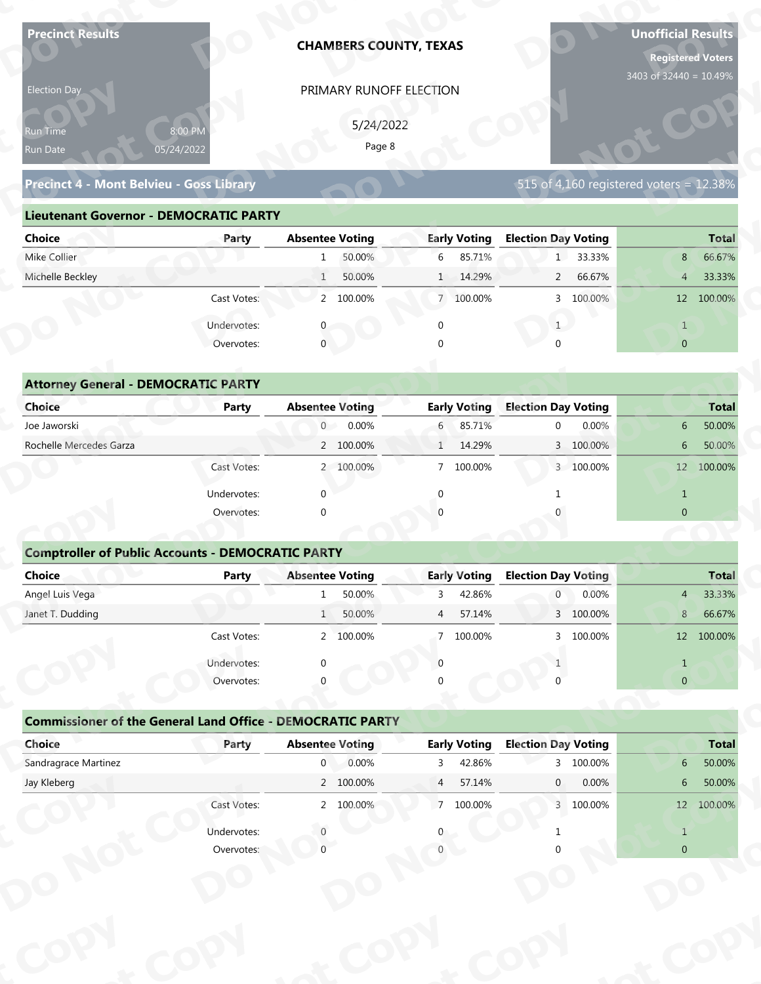| <b>Precinct Results</b>                                           |                           |                                          | <b>CHAMBERS COUNTY, TEXAS</b> |                |                               |                            |           | <b>Unofficial Results</b><br><b>Registered Voters</b><br>3403 of 32440 = 10.49% |                        |
|-------------------------------------------------------------------|---------------------------|------------------------------------------|-------------------------------|----------------|-------------------------------|----------------------------|-----------|---------------------------------------------------------------------------------|------------------------|
| Election Day                                                      |                           |                                          | PRIMARY RUNOFF ELECTION       |                |                               |                            |           |                                                                                 |                        |
|                                                                   |                           |                                          |                               |                |                               |                            |           |                                                                                 |                        |
| Run Time                                                          | 8:00 PM                   |                                          | 5/24/2022<br>Page 8           |                |                               |                            |           |                                                                                 |                        |
| Run Date                                                          | 05/24/2022                |                                          |                               |                |                               |                            |           |                                                                                 |                        |
| Precinct 4 - Mont Belvieu - Goss Library                          |                           |                                          |                               |                |                               |                            |           | 515 of 4,160 registered voters = 12.38%                                         |                        |
| <b>Lieutenant Governor - DEMOCRATIC PARTY</b>                     |                           |                                          |                               |                |                               |                            |           |                                                                                 |                        |
| <b>Choice</b>                                                     | Party                     | <b>Absentee Voting</b>                   |                               |                | <b>Early Voting</b>           | <b>Election Day Voting</b> |           |                                                                                 | <b>Total</b>           |
| Mike Collier                                                      |                           | 1                                        | 50.00%                        | 6              | 85.71%                        |                            | 1 33.33%  | 8                                                                               | 66.67%                 |
| Michelle Beckley                                                  |                           | $\mathbf{1}$                             | 50.00%                        |                | 1 14.29%                      | $\overline{2}$             | 66.67%    | $\overline{4}$                                                                  | 33.33%                 |
|                                                                   | Cast Votes:               |                                          | 2 100.00%                     |                | 7 100.00%                     |                            | 3 100.00% |                                                                                 | 12 100.00%             |
|                                                                   | Undervotes:               |                                          |                               | $\mathbf 0$    |                               | 1                          |           | $\mathbf{1}$                                                                    |                        |
|                                                                   | Overvotes:                | $\mathbf{0}$                             |                               |                |                               |                            |           | $\overline{0}$                                                                  |                        |
|                                                                   |                           |                                          |                               |                |                               |                            |           |                                                                                 |                        |
| <b>Attorney General - DEMOCRATIC PARTY</b>                        |                           |                                          |                               |                |                               |                            |           |                                                                                 |                        |
| <b>Choice</b>                                                     | <b>Party</b>              | <b>Absentee Voting</b>                   |                               |                | <b>Early Voting</b>           | <b>Election Day Voting</b> |           |                                                                                 | <b>Total</b>           |
| Joe Jaworski                                                      |                           | $\overline{0}$                           | 0.00%                         | 6              | 85.71%                        | $\mathbf 0$                | 0.00%     | 6                                                                               | 50.00%                 |
| Rochelle Mercedes Garza                                           |                           |                                          | 2 100.00%                     | $\mathbf{1}$   | 14.29%                        |                            | 3 100.00% | 6                                                                               | 50.00%                 |
|                                                                   | Cast Votes:               |                                          | 2 100.00%                     |                | 7 100.00%                     |                            | 3 100.00% |                                                                                 | 12 100.00%             |
|                                                                   | Undervotes:               | $\Omega$                                 |                               | $\mathbf{0}$   |                               | -1                         |           | $\mathbf{1}$                                                                    |                        |
|                                                                   | Overvotes:                | $\Omega$                                 |                               |                |                               |                            |           | $\overline{0}$                                                                  |                        |
|                                                                   |                           |                                          |                               |                |                               |                            |           |                                                                                 |                        |
| <b>Comptroller of Public Accounts - DEMOCRATIC PARTY</b>          |                           |                                          |                               |                |                               |                            |           |                                                                                 |                        |
| Choice                                                            | Party                     | <b>Absentee Voting</b>                   |                               |                | <b>Early Voting</b>           | <b>Election Day Voting</b> |           |                                                                                 | <b>Total</b>           |
| Angel Luis Vega                                                   |                           | 1                                        | 50.00%                        | 3              | 42.86%                        | $\overline{0}$             | 0.00%     | 4                                                                               | 33.33%                 |
| Janet T. Dudding                                                  |                           | 1                                        | 50.00%                        | $\overline{4}$ | 57.14%                        |                            | 3 100.00% | 8 <sup>1</sup>                                                                  | 66.67%                 |
|                                                                   | Cast Votes:               |                                          | 2 100.00%                     | 7 <sup>7</sup> | 100.00%                       |                            | 3 100.00% |                                                                                 | 12 100.00%             |
|                                                                   | Undervotes:               | ∩                                        |                               | $\Omega$       |                               |                            |           | $\mathbf{1}$                                                                    |                        |
|                                                                   | Overvotes:                |                                          |                               |                |                               |                            |           | $\overline{0}$                                                                  |                        |
|                                                                   |                           |                                          |                               |                |                               |                            |           |                                                                                 |                        |
| <b>Commissioner of the General Land Office - DEMOCRATIC PARTY</b> |                           |                                          |                               |                |                               |                            |           |                                                                                 |                        |
|                                                                   | Party                     | <b>Absentee Voting</b><br>$\overline{0}$ | 0.00%                         |                | <b>Early Voting</b><br>42.86% | <b>Election Day Voting</b> | 3 100.00% | 6                                                                               | <b>Total</b><br>50.00% |
| Choice                                                            |                           |                                          |                               | 3              |                               | $\mathbf{0}$               | 0.00%     | $6\phantom{.}6$                                                                 | 50.00%                 |
| Sandragrace Martinez                                              |                           |                                          |                               |                |                               |                            |           |                                                                                 |                        |
| Jay Kleberg                                                       |                           |                                          | 2 100.00%                     | $\overline{4}$ | 57.14%                        |                            |           |                                                                                 |                        |
|                                                                   | Cast Votes:               |                                          | 2 100.00%                     |                | 7 100.00%                     |                            | 3 100.00% |                                                                                 | 12 100.00%             |
|                                                                   | Undervotes:<br>Overvotes: |                                          |                               |                |                               |                            |           | $\mathbf{1}$<br>$\Omega$                                                        |                        |

| Precinct 4 - Mont Belvieu - Goss Library   |                                               |                        |         |                |                     |                            |                      | 515 of 4,160 registered voters = $12.38\%$ |              |
|--------------------------------------------|-----------------------------------------------|------------------------|---------|----------------|---------------------|----------------------------|----------------------|--------------------------------------------|--------------|
|                                            | <b>Lieutenant Governor - DEMOCRATIC PARTY</b> |                        |         |                |                     |                            |                      |                                            |              |
| Choice                                     | Party                                         | <b>Absentee Voting</b> |         |                | <b>Early Voting</b> | <b>Election Day Voting</b> |                      |                                            | <b>Total</b> |
| Mike Collier                               |                                               |                        | 50.00%  | 6              | 85.71%              |                            | 33.33%<br>1          | 8                                          | 66.67%       |
| Michelle Beckley                           |                                               |                        | 50.00%  |                | 14.29%              |                            | 66.67%<br>2          | $\overline{4}$                             | 33.33%       |
|                                            | Cast Votes:                                   | $\overline{2}$         | 100.00% | $\overline{7}$ | 100.00%             |                            | 100.00%              | 12                                         | 100.00%      |
|                                            | Undervotes:                                   | 0                      |         |                |                     |                            |                      |                                            |              |
|                                            | Overvotes:                                    | $\mathbf 0$            |         | $\Omega$       |                     |                            | $\Omega$             | $\overline{0}$                             |              |
|                                            |                                               |                        |         |                |                     |                            |                      |                                            |              |
| <b>Attorney General - DEMOCRATIC PARTY</b> |                                               |                        |         |                |                     |                            |                      |                                            |              |
| Choice                                     | <b>Party</b>                                  | <b>Absentee Voting</b> |         |                | <b>Early Voting</b> | <b>Election Day Voting</b> |                      |                                            | Total        |
| Joe Jaworski                               |                                               | $\mathbf{0}$           | 0.00%   | 6              | 85.71%              |                            | 0.00%<br>$\mathbf 0$ | 6                                          | 50.00%       |

| Precinct Results                                                  |                           | <b>CHAMBERS COUNTY, TEXAS</b>                  |                           |                            | Unofficial Results<br><b>Registered Voters</b><br>3403 of 32440 = 10.49% |
|-------------------------------------------------------------------|---------------------------|------------------------------------------------|---------------------------|----------------------------|--------------------------------------------------------------------------|
| Election Day<br>kun Time<br>Run Date                              | 8:00 PM<br>05/24/2022     | PRIMARY RUNOFF ELECTION<br>5/24/2022<br>Page 8 |                           |                            |                                                                          |
| Precinct 4 - Mont Belvieu - Goss Library                          |                           |                                                |                           |                            | 515 of 4,160 registered voters = 12.38%                                  |
| <b>Lieutenant Governor - DEMOCRATIC PARTY</b>                     |                           |                                                |                           |                            |                                                                          |
| <b>Choice</b>                                                     | Party                     | <b>Absentee Voting</b>                         | <b>Early Voting</b>       | <b>Election Day Voting</b> | <b>Total</b>                                                             |
| Mike Collier                                                      |                           | 50.00%<br>1                                    | 85.71%<br>6               | 1 33.33%                   | 66.67%<br>8                                                              |
| Michelle Beckley                                                  |                           | 50.00%<br>$\mathbf{1}$                         | 14.29%<br>1               | 66.67%<br>$\overline{2}$   | 33.33%<br>$\overline{4}$                                                 |
|                                                                   | Cast Votes:               | 2 100.00%                                      | 7 100.00%                 | 3 100.00%                  | 12 100.00%                                                               |
|                                                                   | Undervotes:               |                                                | $\mathbf 0$               | 1                          | $\mathbf{1}$                                                             |
|                                                                   | Overvotes:                | $\mathbf{0}$                                   | $\Omega$                  |                            | $\overline{0}$                                                           |
| <b>Attorney General - DEMOCRATIC PARTY</b>                        |                           |                                                |                           |                            |                                                                          |
| <b>Choice</b>                                                     | <b>Party</b>              | <b>Absentee Voting</b>                         | <b>Early Voting</b>       | <b>Election Day Voting</b> | <b>Total</b>                                                             |
| Joe Jaworski                                                      |                           | 0.00%<br>$\overline{0}$                        | 85.71%<br>6               | 0.00%<br>$\mathbf 0$       | 50.00%<br>6 <sup>1</sup>                                                 |
| Rochelle Mercedes Garza                                           |                           | 2 100.00%                                      | 1 14.29%                  | 3 100.00%                  | 50.00%<br>6 <sup>1</sup>                                                 |
|                                                                   | Cast Votes:               | 2 100.00%                                      | 7 100.00%                 | 3 100.00%                  | 12 100.00%                                                               |
|                                                                   |                           |                                                |                           |                            |                                                                          |
|                                                                   | Undervotes:<br>Overvotes: | $\Omega$                                       | $\Omega$                  |                            | $\mathbf{1}$<br>$\overline{0}$                                           |
|                                                                   |                           |                                                |                           |                            |                                                                          |
| <b>Comptroller of Public Accounts - DEMOCRATIC PARTY</b>          |                           |                                                |                           |                            |                                                                          |
| <b>Choice</b>                                                     | <b>Party</b>              | <b>Absentee Voting</b>                         | <b>Early Voting</b>       | <b>Election Day Voting</b> | <b>Total</b>                                                             |
| Angel Luis Vega                                                   |                           | 50.00%                                         | 3<br>42.86%               | $\overline{0}$<br>0.00%    | $\overline{4}$<br>33.33%                                                 |
| Janet T. Dudding                                                  |                           | $1\sqrt{ }$<br>50.00%                          | $\overline{4}$<br>57.14%  | 3 100.00%                  | 66.67%<br>8                                                              |
|                                                                   | Cast Votes:               | 2 100.00%                                      | 100.00%<br>7 <sup>7</sup> | 3 100.00%                  | 12 100.00%                                                               |
|                                                                   | Undervotes:               | $\Omega$                                       | $\Omega$                  |                            | $\mathbf{1}$                                                             |
|                                                                   | Overvotes:                |                                                |                           |                            | $\overline{0}$                                                           |
|                                                                   |                           |                                                |                           |                            |                                                                          |
| <b>Commissioner of the General Land Office - DEMOCRATIC PARTY</b> |                           |                                                |                           |                            |                                                                          |
| Choice                                                            | Party                     | <b>Absentee Voting</b>                         | <b>Early Voting</b>       | <b>Election Day Voting</b> | <b>Total</b>                                                             |
| Sandragrace Martinez                                              |                           | $\overline{0}$<br>0.00%                        | 42.86%<br>3               | 3 100.00%                  | $6\overline{6}$<br>50.00%                                                |
|                                                                   |                           |                                                | 57.14%<br>$\overline{4}$  | 0.00%<br>$\mathbf{0}$      | 50.00%<br>$6\phantom{.}6$                                                |
| Jay Kleberg                                                       |                           | 2 100.00%                                      |                           |                            |                                                                          |
|                                                                   | Cast Votes:               | 2 100.00%                                      | 7 100.00%                 | 3 100.00%                  |                                                                          |
|                                                                   | Undervotes:               |                                                |                           |                            | 12 100.00%<br>$\mathbf{1}$                                               |

### **Comptroller of Public Accounts - DEMOCRATIC PARTY**

| <b>Choice</b>                                                     | Party       | <b>Absentee Voting</b> |           |                | <b>Early Voting</b> | <b>Election Day Voting</b> |                | <b>Total</b> |
|-------------------------------------------------------------------|-------------|------------------------|-----------|----------------|---------------------|----------------------------|----------------|--------------|
| Joe Jaworski                                                      |             | 0                      | 0.00%     | 6 <sup>1</sup> | 85.71%              | 0.00%<br>$\overline{0}$    | 6 <sup>1</sup> | 50.00%       |
| Rochelle Mercedes Garza                                           |             |                        | 2 100.00% | 1              | 14.29%              | 3 100.00%                  | 6 <sup>1</sup> | 50.00%       |
|                                                                   | Cast Votes: |                        | 2 100.00% |                | 7 100.00%           | 3 100.00%                  |                | 12 100.00%   |
|                                                                   | Undervotes: | ∩                      |           | ∩              |                     |                            | 1              |              |
|                                                                   | Overvotes:  | $\Omega$               |           |                |                     |                            | $\overline{0}$ |              |
| <b>Comptroller of Public Accounts - DEMOCRATIC PARTY</b>          |             |                        |           |                |                     |                            |                |              |
| <b>Choice</b>                                                     | Party       | <b>Absentee Voting</b> |           |                | <b>Early Voting</b> | <b>Election Day Voting</b> |                | <b>Total</b> |
| Angel Luis Vega                                                   |             | $\mathbf{1}$           | 50.00%    | 3              | 42.86%              | 0.00%<br>$\overline{0}$    | $\overline{4}$ | 33.33%       |
| Janet T. Dudding                                                  |             | 1                      | 50.00%    | $\overline{4}$ | 57.14%              | 3 100.00%                  | 8              | 66.67%       |
|                                                                   | Cast Votes: |                        | 2 100.00% |                | 7 100.00%           | 3 100.00%                  |                | 12 100.00%   |
|                                                                   |             |                        |           |                |                     |                            |                |              |
|                                                                   | Undervotes: |                        |           | U              |                     |                            | $\mathbf{1}$   |              |
|                                                                   | Overvotes:  |                        |           |                |                     |                            | $\mathbf 0$    |              |
| <b>Commissioner of the General Land Office - DEMOCRATIC PARTY</b> |             |                        |           |                |                     |                            |                |              |
| Choice                                                            | Party       | <b>Absentee Voting</b> |           |                | <b>Early Voting</b> | <b>Election Day Voting</b> |                | <b>Total</b> |
| Sandragrace Martinez                                              |             | $\overline{0}$         | 0.00%     | 3              | 42.86%              | 3 100.00%                  | $6\,$          | 50.00%       |
| Jay Kleberg                                                       |             |                        | 2 100.00% | 4              | 57.14%              | 0.00%<br>$\mathbf 0$       | 6 <sup>1</sup> | 50.00%       |
|                                                                   | Cast Votes: |                        | 2 100.00% |                | 7 100.00%           | 3 100.00%                  |                | 12 100.00%   |
|                                                                   | Undervotes: |                        |           |                |                     |                            | $\mathbf{1}$   |              |

|                                                                   | Cast votes. | $\sim$                 | TOO'OO SO |                | 100.0076            | $\mathcal{L}$              | TOO'OO NO |                | <b>IZ IOU.UU70</b> |
|-------------------------------------------------------------------|-------------|------------------------|-----------|----------------|---------------------|----------------------------|-----------|----------------|--------------------|
|                                                                   | Undervotes: | $\Omega$               |           | 0              |                     |                            |           |                |                    |
|                                                                   | Overvotes:  | $\Omega$               |           | 0              |                     |                            |           | $\overline{0}$ |                    |
|                                                                   |             |                        |           |                |                     |                            |           |                |                    |
| <b>Commissioner of the General Land Office - DEMOCRATIC PARTY</b> |             |                        |           |                |                     |                            |           |                |                    |
| Choice                                                            | Party       | <b>Absentee Voting</b> |           |                | <b>Early Voting</b> | <b>Election Day Voting</b> |           |                | <b>Total</b>       |
| Sandragrace Martinez                                              |             | $\mathbf 0$            | 0.00%     | 3              | 42.86%              | 3 <sup>7</sup>             | 100.00%   | 6              | 50.00%             |
| Jay Kleberg                                                       |             |                        | 2 100.00% | $\overline{4}$ | 57.14%              | $\mathbf{0}$               | $0.00\%$  | 6              | 50.00%             |
|                                                                   | Cast Votes: |                        | 2 100.00% | $7^{\circ}$    | 100.00%             | $\overline{3}$             | 100.00%   | 12             | 100.00%            |
|                                                                   | Undervotes: |                        |           | 0              |                     |                            |           |                |                    |
|                                                                   | Overvotes:  |                        |           |                |                     |                            |           | $\overline{0}$ |                    |
|                                                                   |             |                        |           |                |                     |                            |           |                |                    |
|                                                                   |             |                        |           |                |                     |                            |           |                |                    |
|                                                                   |             |                        |           |                |                     |                            |           |                |                    |
|                                                                   |             |                        |           |                |                     |                            |           |                |                    |
|                                                                   |             |                        |           |                |                     |                            |           |                |                    |
|                                                                   |             |                        |           |                |                     |                            |           |                |                    |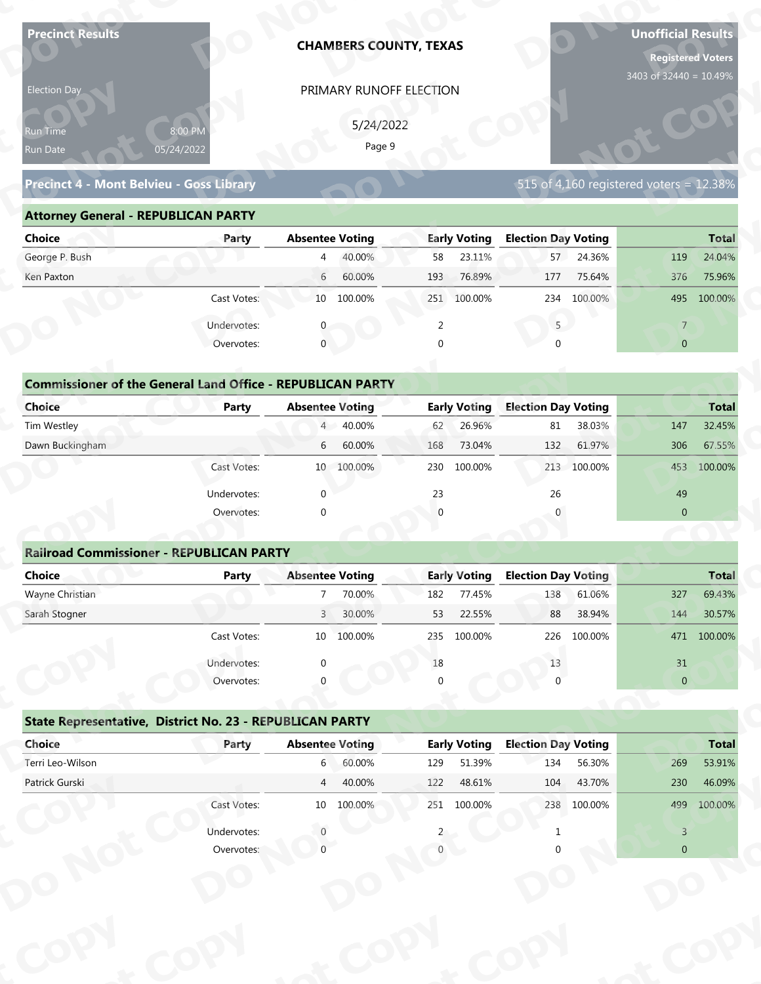| 3403 of 32440 = 10.49%<br>PRIMARY RUNOFF ELECTION<br>Election Day<br>5/24/2022<br>8:00 PM<br>Run Time<br>Page 9<br>05/24/2022<br>Run Date<br>Precinct 4 - Mont Belvieu - Goss Library<br>515 of 4,160 registered voters = 12.38%<br><b>Attorney General - REPUBLICAN PARTY</b><br><b>Election Day Voting</b><br><b>Absentee Voting</b><br><b>Early Voting</b><br><b>Choice</b><br>Party<br>George P. Bush<br>40.00%<br>23.11%<br>57 24.36%<br>58<br>119<br>$\overline{4}$<br>6<br>Ken Paxton<br>60.00%<br>76.89%<br>75.64%<br>193<br>177<br>376<br>10 100.00%<br>Cast Votes:<br>251 100.00%<br>100.00%<br>234<br>495<br>5<br>Undervotes:<br>2<br>$\overline{7}$<br>$\overline{0}$<br>Overvotes:<br>$\mathbf{0}$<br>$\Omega$<br><b>Commissioner of the General Land Office - REPUBLICAN PARTY</b><br><b>Choice</b><br><b>Early Voting</b><br><b>Election Day Voting</b><br><b>Party</b><br><b>Absentee Voting</b><br>40.00%<br>26.96%<br>38.03%<br>Tim Westley<br>$4 -$<br>62<br>81<br>147<br>Dawn Buckingham<br>60.00%<br>73.04%<br>61.97%<br>6<br>168<br>132<br>306<br>230 100.00%<br>Cast Votes:<br>10 100.00%<br>213 100.00%<br>453<br>23<br>49<br>$\Omega$<br>26<br>Undervotes:<br>Overvotes:<br>$\Omega$<br>$\overline{0}$ | <b>Total</b><br>24.04%<br>75.96%<br>100.00%<br><b>Total</b><br>32.45%<br>67.55%<br>100.00% |
|---------------------------------------------------------------------------------------------------------------------------------------------------------------------------------------------------------------------------------------------------------------------------------------------------------------------------------------------------------------------------------------------------------------------------------------------------------------------------------------------------------------------------------------------------------------------------------------------------------------------------------------------------------------------------------------------------------------------------------------------------------------------------------------------------------------------------------------------------------------------------------------------------------------------------------------------------------------------------------------------------------------------------------------------------------------------------------------------------------------------------------------------------------------------------------------------------------------------------------|--------------------------------------------------------------------------------------------|
|                                                                                                                                                                                                                                                                                                                                                                                                                                                                                                                                                                                                                                                                                                                                                                                                                                                                                                                                                                                                                                                                                                                                                                                                                                 |                                                                                            |
|                                                                                                                                                                                                                                                                                                                                                                                                                                                                                                                                                                                                                                                                                                                                                                                                                                                                                                                                                                                                                                                                                                                                                                                                                                 |                                                                                            |
|                                                                                                                                                                                                                                                                                                                                                                                                                                                                                                                                                                                                                                                                                                                                                                                                                                                                                                                                                                                                                                                                                                                                                                                                                                 |                                                                                            |
|                                                                                                                                                                                                                                                                                                                                                                                                                                                                                                                                                                                                                                                                                                                                                                                                                                                                                                                                                                                                                                                                                                                                                                                                                                 |                                                                                            |
|                                                                                                                                                                                                                                                                                                                                                                                                                                                                                                                                                                                                                                                                                                                                                                                                                                                                                                                                                                                                                                                                                                                                                                                                                                 |                                                                                            |
|                                                                                                                                                                                                                                                                                                                                                                                                                                                                                                                                                                                                                                                                                                                                                                                                                                                                                                                                                                                                                                                                                                                                                                                                                                 |                                                                                            |
|                                                                                                                                                                                                                                                                                                                                                                                                                                                                                                                                                                                                                                                                                                                                                                                                                                                                                                                                                                                                                                                                                                                                                                                                                                 |                                                                                            |
|                                                                                                                                                                                                                                                                                                                                                                                                                                                                                                                                                                                                                                                                                                                                                                                                                                                                                                                                                                                                                                                                                                                                                                                                                                 |                                                                                            |
|                                                                                                                                                                                                                                                                                                                                                                                                                                                                                                                                                                                                                                                                                                                                                                                                                                                                                                                                                                                                                                                                                                                                                                                                                                 |                                                                                            |
|                                                                                                                                                                                                                                                                                                                                                                                                                                                                                                                                                                                                                                                                                                                                                                                                                                                                                                                                                                                                                                                                                                                                                                                                                                 |                                                                                            |
|                                                                                                                                                                                                                                                                                                                                                                                                                                                                                                                                                                                                                                                                                                                                                                                                                                                                                                                                                                                                                                                                                                                                                                                                                                 |                                                                                            |
|                                                                                                                                                                                                                                                                                                                                                                                                                                                                                                                                                                                                                                                                                                                                                                                                                                                                                                                                                                                                                                                                                                                                                                                                                                 |                                                                                            |
|                                                                                                                                                                                                                                                                                                                                                                                                                                                                                                                                                                                                                                                                                                                                                                                                                                                                                                                                                                                                                                                                                                                                                                                                                                 |                                                                                            |
|                                                                                                                                                                                                                                                                                                                                                                                                                                                                                                                                                                                                                                                                                                                                                                                                                                                                                                                                                                                                                                                                                                                                                                                                                                 |                                                                                            |
|                                                                                                                                                                                                                                                                                                                                                                                                                                                                                                                                                                                                                                                                                                                                                                                                                                                                                                                                                                                                                                                                                                                                                                                                                                 |                                                                                            |
|                                                                                                                                                                                                                                                                                                                                                                                                                                                                                                                                                                                                                                                                                                                                                                                                                                                                                                                                                                                                                                                                                                                                                                                                                                 |                                                                                            |
|                                                                                                                                                                                                                                                                                                                                                                                                                                                                                                                                                                                                                                                                                                                                                                                                                                                                                                                                                                                                                                                                                                                                                                                                                                 |                                                                                            |
|                                                                                                                                                                                                                                                                                                                                                                                                                                                                                                                                                                                                                                                                                                                                                                                                                                                                                                                                                                                                                                                                                                                                                                                                                                 |                                                                                            |
|                                                                                                                                                                                                                                                                                                                                                                                                                                                                                                                                                                                                                                                                                                                                                                                                                                                                                                                                                                                                                                                                                                                                                                                                                                 |                                                                                            |
|                                                                                                                                                                                                                                                                                                                                                                                                                                                                                                                                                                                                                                                                                                                                                                                                                                                                                                                                                                                                                                                                                                                                                                                                                                 |                                                                                            |
|                                                                                                                                                                                                                                                                                                                                                                                                                                                                                                                                                                                                                                                                                                                                                                                                                                                                                                                                                                                                                                                                                                                                                                                                                                 |                                                                                            |
| <b>Railroad Commissioner - REPUBLICAN PARTY</b>                                                                                                                                                                                                                                                                                                                                                                                                                                                                                                                                                                                                                                                                                                                                                                                                                                                                                                                                                                                                                                                                                                                                                                                 |                                                                                            |
| <b>Absentee Voting</b><br><b>Early Voting</b><br><b>Election Day Voting</b><br><b>Choice</b><br><b>Party</b>                                                                                                                                                                                                                                                                                                                                                                                                                                                                                                                                                                                                                                                                                                                                                                                                                                                                                                                                                                                                                                                                                                                    | <b>Total</b>                                                                               |
| Wayne Christian<br>$7^{\circ}$<br>70.00%<br>77.45%<br>138<br>61.06%<br>182<br>327                                                                                                                                                                                                                                                                                                                                                                                                                                                                                                                                                                                                                                                                                                                                                                                                                                                                                                                                                                                                                                                                                                                                               | 69.43%                                                                                     |
| Sarah Stogner<br>3 <sup>1</sup><br>30.00%<br>22.55%<br>38.94%<br>53<br>88<br>144                                                                                                                                                                                                                                                                                                                                                                                                                                                                                                                                                                                                                                                                                                                                                                                                                                                                                                                                                                                                                                                                                                                                                | 30.57%                                                                                     |
| Cast Votes:<br>10 100.00%<br>100.00%<br>100.00%<br>235<br>226                                                                                                                                                                                                                                                                                                                                                                                                                                                                                                                                                                                                                                                                                                                                                                                                                                                                                                                                                                                                                                                                                                                                                                   | 471 100.00%                                                                                |
| 13<br>31<br>Undervotes:<br>18                                                                                                                                                                                                                                                                                                                                                                                                                                                                                                                                                                                                                                                                                                                                                                                                                                                                                                                                                                                                                                                                                                                                                                                                   |                                                                                            |
| $\overline{0}$<br>Overvotes:                                                                                                                                                                                                                                                                                                                                                                                                                                                                                                                                                                                                                                                                                                                                                                                                                                                                                                                                                                                                                                                                                                                                                                                                    |                                                                                            |
|                                                                                                                                                                                                                                                                                                                                                                                                                                                                                                                                                                                                                                                                                                                                                                                                                                                                                                                                                                                                                                                                                                                                                                                                                                 |                                                                                            |
| State Representative, District No. 23 - REPUBLICAN PARTY                                                                                                                                                                                                                                                                                                                                                                                                                                                                                                                                                                                                                                                                                                                                                                                                                                                                                                                                                                                                                                                                                                                                                                        |                                                                                            |
| Choice<br><b>Early Voting</b><br><b>Election Day Voting</b><br><b>Absentee Voting</b><br>Party                                                                                                                                                                                                                                                                                                                                                                                                                                                                                                                                                                                                                                                                                                                                                                                                                                                                                                                                                                                                                                                                                                                                  | <b>Total</b>                                                                               |
| Terri Leo-Wilson<br>60.00%<br>51.39%<br>56.30%<br>$6\degree$<br>129<br>134<br>269                                                                                                                                                                                                                                                                                                                                                                                                                                                                                                                                                                                                                                                                                                                                                                                                                                                                                                                                                                                                                                                                                                                                               | 53.91%                                                                                     |
| Patrick Gurski<br>40.00%<br>48.61%<br>43.70%<br>$\overline{4}$<br>122<br>104<br>230                                                                                                                                                                                                                                                                                                                                                                                                                                                                                                                                                                                                                                                                                                                                                                                                                                                                                                                                                                                                                                                                                                                                             | 46.09%                                                                                     |
| Cast Votes:<br>10 100.00%<br>251 100.00%<br>238 100.00%<br>499                                                                                                                                                                                                                                                                                                                                                                                                                                                                                                                                                                                                                                                                                                                                                                                                                                                                                                                                                                                                                                                                                                                                                                  | 100.00%                                                                                    |
| Undervotes:<br>$\overline{3}$                                                                                                                                                                                                                                                                                                                                                                                                                                                                                                                                                                                                                                                                                                                                                                                                                                                                                                                                                                                                                                                                                                                                                                                                   |                                                                                            |
| $\overline{0}$<br>Overvotes:                                                                                                                                                                                                                                                                                                                                                                                                                                                                                                                                                                                                                                                                                                                                                                                                                                                                                                                                                                                                                                                                                                                                                                                                    |                                                                                            |

| 5/24/2022<br>8:00 PM<br>Run Time<br>Page 9<br>05/24/2022<br>Run Date                                           |
|----------------------------------------------------------------------------------------------------------------|
| 515 of 4,160 registered voters = $12.38\%$<br>Precinct 4 - Mont Belvieu - Goss Library                         |
| <b>Attorney General - REPUBLICAN PARTY</b>                                                                     |
| <b>Early Voting</b><br><b>Election Day Voting</b><br>Choice<br><b>Absentee Voting</b><br><b>Total</b><br>Party |
| George P. Bush<br>40.00%<br>23.11%<br>57 24.36%<br>24.04%<br>58<br>119<br>$\overline{4}$                       |
| 60.00%<br>76.89%<br>75.64%<br>Ken Paxton<br>$6\overline{6}$<br>193<br>177<br>376<br>75.96%                     |
| Cast Votes:<br>10 100.00%<br>251 100.00%<br>234 100.00%<br>495<br>100.00%                                      |
| Undervotes:<br>$5 -$<br>2<br>$\overline{7}$                                                                    |
| $\mathbf 0$<br>Overvotes:<br>$\Omega$<br>$\overline{0}$<br>$\Omega$                                            |
|                                                                                                                |
| <b>Commissioner of the General Land Office - REPUBLICAN PARTY</b>                                              |
| Choice<br><b>Early Voting</b><br><b>Election Day Voting</b><br><b>Absentee Voting</b><br><b>Total</b><br>Party |
| 4 40.00%<br>Tim Westley<br>26.96%<br>38.03%<br>147<br>32.45%<br>62<br>81                                       |
| Dawn Buckingham<br>60.00%<br>73.04%<br>132<br>61.97%<br>306<br>67.55%<br>6<br>168                              |
| 100.00%<br>10 100.00%<br>100.00%<br>213<br>100.00%<br>Cast Votes:<br>230<br>453                                |

| <b>Choice</b>                                                     | Party       | <b>Absentee Voting</b>     | <b>Early Voting</b> | <b>Election Day Voting</b>   | <b>Total</b>   |
|-------------------------------------------------------------------|-------------|----------------------------|---------------------|------------------------------|----------------|
| George P. Bush                                                    |             | 40.00%<br>4                | 23.11%<br>58        | 24.36%<br>57                 | 24.04%<br>119  |
| Ken Paxton                                                        |             | 60.00%<br>6                | 76.89%<br>193       | 177<br>75.64%                | 376<br>75.96%  |
|                                                                   | Cast Votes: | 100.00%<br>10              | 251<br>100.00%      | 100.00%<br>234               | 495 100.00%    |
|                                                                   | Undervotes: |                            | $\overline{2}$      | 5                            | $\overline{7}$ |
|                                                                   | Overvotes:  | $\mathbf{0}$               | 0                   | $\Omega$                     | $\overline{0}$ |
| <b>Commissioner of the General Land Office - REPUBLICAN PARTY</b> |             |                            |                     |                              |                |
| Choice                                                            | Party       | <b>Absentee Voting</b>     | <b>Early Voting</b> | <b>Election Day Voting</b>   | <b>Total</b>   |
| Tim Westley                                                       |             | 4 40.00%                   | 26.96%<br>62        | 38.03%<br>81                 | 32.45%<br>147  |
| Dawn Buckingham                                                   |             | 60.00%<br>6                | 73.04%<br>168       | 132<br>61.97%                | 67.55%<br>306  |
|                                                                   | Cast Votes: | 100.00%<br>10 <sup>7</sup> | 230<br>100.00%      | 213 100.00%                  | 100.00%<br>453 |
|                                                                   | Undervotes: | $\Omega$                   | 23                  | 26                           | 49             |
|                                                                   | Overvotes:  | $\mathbf{0}$               | $\overline{0}$      | 0                            | $\mathbf{0}$   |
|                                                                   |             |                            |                     |                              |                |
| <b>Railroad Commissioner - REPUBLICAN PARTY</b>                   |             |                            |                     |                              |                |
| Choice                                                            | Party       | <b>Absentee Voting</b>     | <b>Early Voting</b> | <b>Election Day Voting</b>   | <b>Total</b>   |
| Wayne Christian                                                   |             | 70.00%                     | 77.45%<br>182       | 138<br>61.06%                | 69.43%<br>327  |
| Carole Champan                                                    |             | 20.000<br>$\sqrt{ }$       | 22 FFA<br>гэ.       | $20.040/$<br>00 <sup>2</sup> | 20F20<br>1A    |

|                                                                   |                           |                        |                     | <b>CHAMBERS COUNTY, TEXAS</b> |                     |                            |             | <b>Registered Voters</b><br>3403 of 32440 = 10.49% |              |
|-------------------------------------------------------------------|---------------------------|------------------------|---------------------|-------------------------------|---------------------|----------------------------|-------------|----------------------------------------------------|--------------|
| Election Day<br>kun Tim <u>e </u><br>Run Date                     | 8:00 PM<br>05/24/2022     |                        | 5/24/2022<br>Page 9 | PRIMARY RUNOFF ELECTION       |                     |                            |             |                                                    |              |
| Precinct 4 - Mont Belvieu - Goss Library                          |                           |                        |                     |                               |                     |                            |             | 515 of 4,160 registered voters = 12.38%            |              |
| <b>Attorney General - REPUBLICAN PARTY</b>                        |                           |                        |                     |                               |                     |                            |             |                                                    |              |
| <b>Choice</b>                                                     | Party                     | <b>Absentee Voting</b> |                     |                               | <b>Early Voting</b> | <b>Election Day Voting</b> |             |                                                    | <b>Total</b> |
| George P. Bush                                                    |                           | $\overline{4}$         | 40.00%              | 58                            | 23.11%              |                            | 57 24.36%   | 119                                                | 24.04%       |
| Ken Paxton                                                        |                           | 6                      | 60.00%              | 193                           | 76.89%              | 177                        | 75.64%      | 376                                                | 75.96%       |
|                                                                   | Cast Votes:               |                        | 10 100.00%          |                               | 251 100.00%         |                            | 234 100.00% | 495                                                | 100.00%      |
|                                                                   | Undervotes:               |                        |                     | 2                             |                     | 5                          |             | $\overline{7}$                                     |              |
|                                                                   | Overvotes:                | $\mathbf 0$            |                     | $\Omega$                      |                     |                            |             | $\overline{0}$                                     |              |
| <b>Commissioner of the General Land Office - REPUBLICAN PARTY</b> |                           |                        |                     |                               |                     |                            |             |                                                    |              |
| <b>Choice</b>                                                     | <b>Party</b>              | <b>Absentee Voting</b> |                     |                               | <b>Early Voting</b> | <b>Election Day Voting</b> |             |                                                    | <b>Total</b> |
| Tim Westley                                                       |                           | $4 -$                  | 40.00%              | 62                            | 26.96%              | 81                         | 38.03%      | 147                                                | 32.45%       |
| Dawn Buckingham                                                   |                           | 6                      | 60.00%              | 168                           | 73.04%              | 132                        | 61.97%      | 306                                                | 67.55%       |
|                                                                   | Cast Votes:               |                        | 10 100.00%          | 230                           | 100.00%             |                            | 213 100.00% |                                                    | 453 100.00%  |
|                                                                   |                           |                        |                     |                               |                     |                            |             |                                                    |              |
|                                                                   | Undervotes:               | $\Omega$               |                     | 23                            |                     | 26                         |             | 49                                                 |              |
|                                                                   | Overvotes:                | $\Omega$               |                     | $\Omega$                      |                     |                            |             | $\overline{0}$                                     |              |
| <b>Railroad Commissioner - REPUBLICAN PARTY</b>                   |                           |                        |                     |                               |                     |                            |             |                                                    |              |
| <b>Choice</b>                                                     | <b>Party</b>              | <b>Absentee Voting</b> |                     |                               | <b>Early Voting</b> | <b>Election Day Voting</b> |             |                                                    | <b>Total</b> |
| Wayne Christian                                                   |                           |                        | 70.00%              | 182                           | 77.45%              | 138                        | 61.06%      | 327                                                | 69.43%       |
| Sarah Stogner                                                     |                           | $\overline{3}$         | 30.00%              | 53                            | 22.55%              | 88                         | 38.94%      | 144                                                | 30.57%       |
|                                                                   | Cast Votes:               |                        | 10 100.00%          |                               | 235 100.00%         | 226                        | 100.00%     |                                                    | 471 100.00%  |
|                                                                   |                           |                        |                     |                               |                     |                            |             |                                                    |              |
|                                                                   | Undervotes:<br>Overvotes: |                        |                     | 18                            |                     | 13                         |             | $31\,$<br>$\pmb{0}$                                |              |
|                                                                   |                           |                        |                     |                               |                     |                            |             |                                                    |              |
| State Representative, District No. 23 - REPUBLICAN PARTY          |                           |                        |                     |                               |                     |                            |             |                                                    |              |
| Choice                                                            | Party                     | <b>Absentee Voting</b> |                     |                               | <b>Early Voting</b> | <b>Election Day Voting</b> |             |                                                    | <b>Total</b> |
| Terri Leo-Wilson                                                  |                           | $6\overline{6}$        | 60.00%              | 129                           | 51.39%              | 134                        | 56.30%      | 269                                                | 53.91%       |
| Patrick Gurski                                                    |                           | $\overline{4}$         | 40.00%              | 122                           | 48.61%              | 104                        | 43.70%      | 230                                                | 46.09%       |
|                                                                   | Cast Votes:               |                        | 10 100.00%          |                               | 251 100.00%         |                            | 238 100.00% | 499                                                | 100.00%      |
|                                                                   |                           |                        |                     |                               |                     |                            |             | $\overline{3}$                                     |              |
|                                                                   | Undervotes:               | $\Omega$               |                     |                               |                     |                            |             |                                                    |              |

|             |                 |         |                                                                                                      |                  |                                  |         |                                         | $4/1$ 100.00% |
|-------------|-----------------|---------|------------------------------------------------------------------------------------------------------|------------------|----------------------------------|---------|-----------------------------------------|---------------|
| Undervotes: | $\Omega$        |         | 18                                                                                                   |                  | 13                               |         | 31                                      |               |
| Overvotes:  | $\Omega$        |         | $\Omega$                                                                                             |                  |                                  |         | $\overline{0}$                          |               |
|             |                 |         |                                                                                                      |                  |                                  |         |                                         |               |
| Party       |                 |         |                                                                                                      |                  |                                  |         |                                         | <b>Total</b>  |
|             | 6               | 60.00%  | 129                                                                                                  | 51.39%           | 134                              | 56.30%  | 269                                     | 53.91%        |
|             |                 | 40.00%  | 122                                                                                                  | 48.61%           | 104                              | 43.70%  | 230                                     | 46.09%        |
| Cast Votes: | 10 <sup>°</sup> | 100.00% | 251                                                                                                  | 100.00%          | 238                              | 100.00% | 499                                     | 100.00%       |
| Undervotes: |                 |         |                                                                                                      |                  |                                  |         |                                         |               |
| Overvotes:  |                 |         |                                                                                                      |                  |                                  |         | $\overline{0}$                          |               |
|             |                 |         |                                                                                                      |                  |                                  |         |                                         |               |
|             |                 |         |                                                                                                      |                  |                                  |         |                                         |               |
|             |                 |         |                                                                                                      |                  |                                  |         |                                         |               |
|             |                 |         |                                                                                                      |                  |                                  |         |                                         |               |
|             |                 |         |                                                                                                      |                  |                                  |         |                                         |               |
|             | Cast votes.     | TΩ      | State Representative, District No. 23 - REPUBLICAN PARTY<br><b>Absentee Voting</b><br>$\overline{4}$ | TOO'OO XQ<br>253 | TOO'OO XQ<br><b>Early Voting</b> | 220     | LUU.UU 70<br><b>Election Day Voting</b> |               |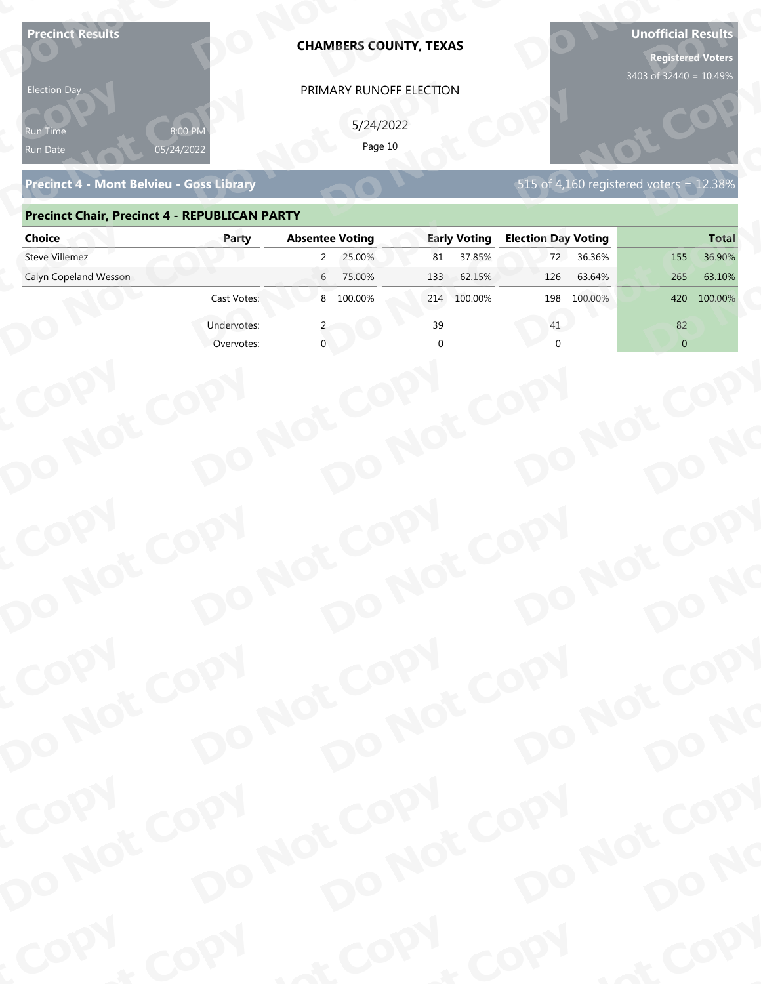| <b>Precinct Results</b><br><b>Election Day</b><br>የun Time | 8:00 PM                   | <b>CHAMBERS COUNTY, TEXAS</b><br>PRIMARY RUNOFF ELECTION<br>5/24/2022 |                     |                                         | <b>Unofficial Results</b><br><b>Registered Voters</b><br>3403 of 32440 = 10.49% |
|------------------------------------------------------------|---------------------------|-----------------------------------------------------------------------|---------------------|-----------------------------------------|---------------------------------------------------------------------------------|
| Run Date<br>Precinct 4 - Mont Belvieu - Goss Library       | 05/24/2022                | Page 10                                                               |                     | 515 of 4,160 registered voters = 12.38% |                                                                                 |
| <b>Precinct Chair, Precinct 4 - REPUBLICAN PARTY</b>       |                           |                                                                       |                     |                                         |                                                                                 |
| <b>Choice</b>                                              | Party                     | <b>Absentee Voting</b>                                                | <b>Early Voting</b> | <b>Election Day Voting</b>              | <b>Total</b>                                                                    |
| <b>Steve Villemez</b>                                      |                           | 25.00%<br>$\mathbf{2}$                                                | 37.85%<br>81        | 36.36%<br>72                            | 36.90%<br>155                                                                   |
| Calyn Copeland Wesson                                      | Cast Votes:               | 6<br>75.00%<br>8 100.00%                                              | 133<br>62.15%       | 126<br>63.64%                           | 265<br>63.10%<br>420                                                            |
|                                                            |                           |                                                                       | 100.00%<br>214      | 198<br>100.00%                          | 100.00%                                                                         |
|                                                            | Undervotes:<br>Overvotes: |                                                                       | 39                  | 41                                      | 82<br>$\overline{0}$                                                            |
| COPY<br>DO NOT COPY                                        |                           | DO NOT COPY<br>DO NOT COPY                                            |                     | DO NOT COPY                             | DO NO                                                                           |
| COPY<br>DO NOT COPY                                        |                           | DO NOT COPY<br>DO NOT COPY                                            |                     | DO NOT COPY                             | DO NO                                                                           |
| COPY                                                       |                           | DO NOT COPY                                                           |                     | DO NOT COPY                             |                                                                                 |
| DO NOT COPY                                                |                           | DO NOT COPY                                                           |                     |                                         | DO NO                                                                           |
| COPY                                                       | COPY                      | & COPY                                                                |                     | COPY                                    | of COPY                                                                         |

### **Precinct Chair, Precinct 4 - REPUBLICAN PARTY**

| <b>Election Day</b>                                  |                       | PRIMARY RUNOFF ELECTION    |                     |                                         |                |
|------------------------------------------------------|-----------------------|----------------------------|---------------------|-----------------------------------------|----------------|
| Run Time<br>Run Date                                 | 8:00 PM<br>05/24/2022 | 5/24/2022<br>Page 10       |                     |                                         |                |
| <b>Precinct 4 - Mont Belvieu - Goss Library</b>      |                       |                            |                     | 515 of 4,160 registered voters = 12.38% |                |
| <b>Precinct Chair, Precinct 4 - REPUBLICAN PARTY</b> |                       |                            |                     |                                         |                |
| <b>Choice</b>                                        | Party                 | <b>Absentee Voting</b>     | <b>Early Voting</b> | <b>Election Day Voting</b>              | <b>Total</b>   |
| <b>Steve Villemez</b>                                |                       | 25.00%<br>$\mathbf{2}$     | 37.85%<br>81        | 72<br>36.36%                            | 36.90%<br>155  |
| Calyn Copeland Wesson                                |                       | 6 75.00%                   | 62.15%<br>133       | 63.64%<br>126                           | 265<br>63.10%  |
|                                                      | Cast Votes:           | 8 100.00%                  | 214 100.00%         | 198 100.00%                             | 100.00%<br>420 |
|                                                      | Undervotes:           |                            | 39                  | 41                                      | 82             |
|                                                      | Overvotes:            |                            |                     |                                         | $\overline{0}$ |
|                                                      |                       |                            |                     |                                         |                |
|                                                      |                       |                            |                     |                                         |                |
|                                                      |                       |                            |                     |                                         |                |
|                                                      |                       |                            |                     |                                         |                |
|                                                      |                       |                            |                     |                                         |                |
|                                                      |                       |                            |                     |                                         |                |
|                                                      |                       |                            |                     |                                         |                |
|                                                      |                       |                            |                     |                                         |                |
|                                                      |                       |                            |                     |                                         |                |
|                                                      |                       |                            |                     |                                         |                |
|                                                      |                       |                            |                     |                                         |                |
|                                                      |                       |                            |                     |                                         |                |
| COPY<br>DO NOT COPY                                  |                       | DO NOT COPY<br>DO NOT COPY |                     | DO NOT COPY                             |                |
|                                                      |                       |                            |                     |                                         |                |
|                                                      |                       |                            |                     |                                         |                |
|                                                      |                       |                            |                     |                                         |                |
|                                                      |                       |                            |                     |                                         |                |
|                                                      |                       |                            |                     |                                         | DO NO          |
|                                                      |                       |                            |                     |                                         |                |
|                                                      |                       |                            |                     |                                         |                |
| COPY                                                 |                       |                            |                     |                                         |                |
|                                                      |                       |                            |                     | DO NOT COPY                             |                |
|                                                      |                       |                            |                     |                                         |                |
| DO NOT COPY                                          |                       | DO NOT COPY<br>DO NOT COPY |                     |                                         | DO NO          |
| <b>POO.</b>                                          |                       |                            | $P_{Q_0}$ .         |                                         | ·ODW           |
|                                                      | <b>LON</b>            |                            |                     | <b>And</b>                              |                |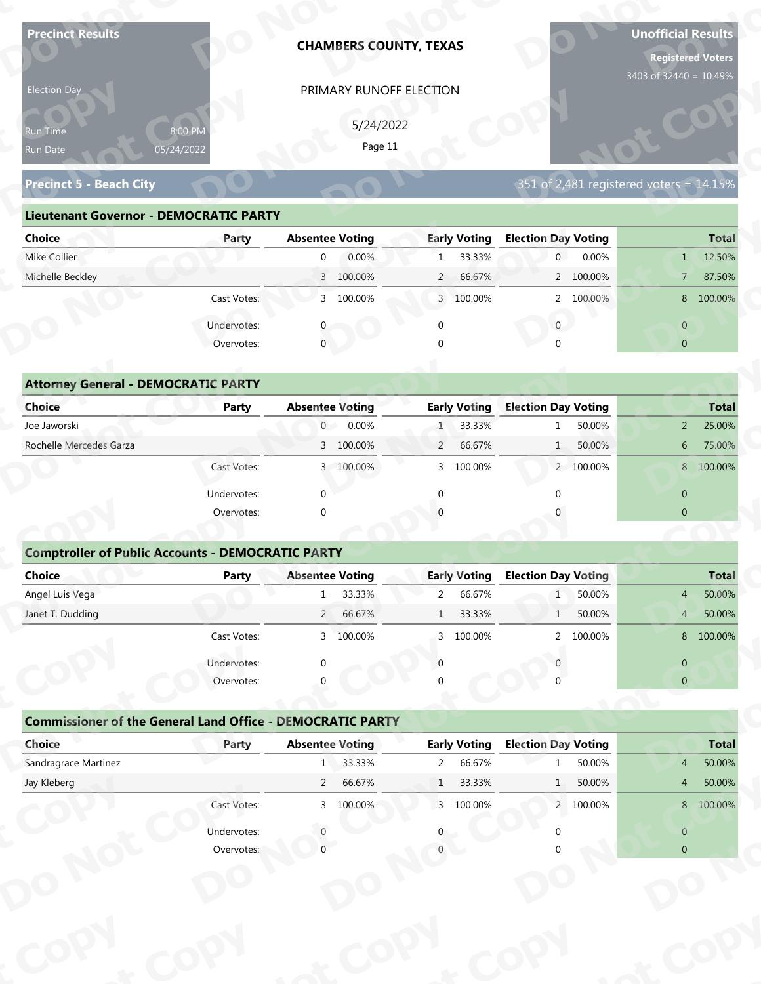| <b>Precinct Results</b>                                           |              | <b>CHAMBERS COUNTY, TEXAS</b>         |                                         |                                         | <b>Unofficial Results</b><br><b>Registered Voters</b> |
|-------------------------------------------------------------------|--------------|---------------------------------------|-----------------------------------------|-----------------------------------------|-------------------------------------------------------|
| Election Day                                                      |              | PRIMARY RUNOFF ELECTION               |                                         |                                         | 3403 of 32440 = 10.49%                                |
|                                                                   |              |                                       |                                         |                                         |                                                       |
| Run Time                                                          | 8:00 PM      | 5/24/2022<br>Page 11                  |                                         |                                         |                                                       |
| Run Date                                                          | 05/24/2022   |                                       |                                         |                                         |                                                       |
| <b>Precinct 5 - Beach City</b>                                    |              |                                       |                                         | 351 of 2,481 registered voters = 14.15% |                                                       |
| <b>Lieutenant Governor - DEMOCRATIC PARTY</b>                     |              |                                       |                                         |                                         |                                                       |
| <b>Choice</b>                                                     | Party        | <b>Absentee Voting</b>                | <b>Early Voting</b>                     | <b>Election Day Voting</b>              | <b>Total</b>                                          |
| Mike Collier                                                      |              | 0.00%<br>$\overline{0}$               | 33.33%<br>$\mathbf{1}$                  | 0.00%<br>$\overline{0}$                 | 12.50%<br>1                                           |
| Michelle Beckley                                                  |              | 3 100.00%                             | $\overline{2}$<br>66.67%                | 2 100.00%                               | 87.50%<br>7 <sup>7</sup>                              |
|                                                                   | Cast Votes:  | 3 100.00%                             | 3 100.00%                               | 2 100.00%                               | 8 100.00%                                             |
|                                                                   | Undervotes:  |                                       | $\mathbf 0$                             | $\overline{0}$                          | $\overline{0}$                                        |
|                                                                   | Overvotes:   | $\overline{0}$                        |                                         |                                         | $\overline{0}$                                        |
|                                                                   |              |                                       |                                         |                                         |                                                       |
| <b>Attorney General - DEMOCRATIC PARTY</b>                        |              |                                       |                                         |                                         |                                                       |
| <b>Choice</b>                                                     | <b>Party</b> | <b>Absentee Voting</b>                | <b>Early Voting</b>                     | <b>Election Day Voting</b>              | <b>Total</b>                                          |
| Joe Jaworski                                                      |              | $\overline{0}$<br>0.00%               | 33.33%<br>1                             | 50.00%                                  | 25.00%<br>$2^{\circ}$                                 |
| Rochelle Mercedes Garza                                           |              | 3 100.00%                             | 66.67%<br>$\overline{2}$                | 50.00%<br>1                             | 75.00%<br>6                                           |
|                                                                   | Cast Votes:  | 3 100.00%                             | 3 100.00%                               | 2 100.00%                               | 8 100.00%                                             |
|                                                                   | Undervotes:  | $\Omega$                              | $\mathbf{0}$                            | $\Omega$                                | $\overline{0}$                                        |
|                                                                   | Overvotes:   | $\Omega$                              |                                         |                                         | $\overline{0}$                                        |
|                                                                   |              |                                       |                                         |                                         |                                                       |
| <b>Comptroller of Public Accounts - DEMOCRATIC PARTY</b>          |              |                                       |                                         |                                         |                                                       |
| Choice                                                            | Party        | <b>Absentee Voting</b>                | <b>Early Voting</b>                     | <b>Election Day Voting</b>              | <b>Total</b>                                          |
| Angel Luis Vega<br>Janet T. Dudding                               |              | 33.33%<br>1<br>$2^{\prime}$<br>66.67% | 66.67%<br>$\overline{2}$<br>33.33%<br>1 | 50.00%<br>1<br>50.00%<br>1              | 4<br>50.00%<br>50.00%<br>4                            |
|                                                                   | Cast Votes:  | 3 100.00%                             | 100.00%<br>3                            | 2 100.00%                               | 8 100.00%                                             |
|                                                                   |              |                                       |                                         |                                         |                                                       |
|                                                                   | Undervotes:  | $\Omega$                              | $\Omega$                                |                                         | $\overline{0}$                                        |
|                                                                   | Overvotes:   |                                       |                                         |                                         | $\overline{0}$                                        |
| <b>Commissioner of the General Land Office - DEMOCRATIC PARTY</b> |              |                                       |                                         |                                         |                                                       |
| Choice                                                            | Party        | <b>Absentee Voting</b>                | <b>Early Voting</b>                     | <b>Election Day Voting</b>              | <b>Total</b>                                          |
| Sandragrace Martinez                                              |              | 1 33.33%                              | 66.67%<br>$\overline{2}$                | 50.00%                                  | 50.00%<br>$\overline{4}$                              |
|                                                                   |              | $2^{\circ}$<br>66.67%                 | 33.33%<br>$\mathbf{1}$                  | 50.00%<br>1                             | 50.00%<br>4                                           |
| Jay Kleberg                                                       |              |                                       |                                         |                                         |                                                       |
|                                                                   | Cast Votes:  | 3 100.00%                             | 3 100.00%                               | 2 100.00%                               |                                                       |
|                                                                   | Undervotes:  |                                       |                                         |                                         | 8 100.00%<br>$\overline{0}$                           |

|  | 351 of 2,481 registered voters = 14.159 |  |
|--|-----------------------------------------|--|
|  |                                         |  |
|  |                                         |  |

| Election Day                                  |                       | PRIMARY RUNOFF ELECTION |                          |                                         |                          |
|-----------------------------------------------|-----------------------|-------------------------|--------------------------|-----------------------------------------|--------------------------|
| <b>Run Time</b><br>Run Date                   | 8:00 PM<br>05/24/2022 | 5/24/2022<br>Page 11    |                          |                                         |                          |
| <b>Precinct 5 - Beach City</b>                |                       |                         |                          | 351 of 2,481 registered voters = 14.15% |                          |
| <b>Lieutenant Governor - DEMOCRATIC PARTY</b> |                       |                         |                          |                                         |                          |
| <b>Choice</b>                                 | Party                 | <b>Absentee Voting</b>  | <b>Early Voting</b>      | <b>Election Day Voting</b>              | <b>Total</b>             |
| Mike Collier                                  |                       | 0.00%<br>$\overline{0}$ | 33.33%<br>$\mathbf{1}$   | 0.00%<br>$\overline{0}$                 | 12.50%<br>$\mathbf{1}$   |
| Michelle Beckley                              |                       | 3 100.00%               | 2 66.67%                 | 2 100.00%                               | 87.50%<br>7 <sup>7</sup> |
|                                               | Cast Votes:           | 3 100.00%               | 3 100.00%                | 2 100.00%                               | 8 100.00%                |
|                                               | Undervotes:           |                         |                          | $\overline{0}$                          | $\overline{0}$           |
|                                               | Overvotes:            | $\mathbf 0$             | $\Omega$                 |                                         | $\overline{0}$           |
|                                               |                       |                         |                          |                                         |                          |
| <b>Attorney General - DEMOCRATIC PARTY</b>    |                       |                         |                          |                                         |                          |
| <b>Choice</b>                                 | Party                 | <b>Absentee Voting</b>  | <b>Early Voting</b>      | <b>Election Day Voting</b>              | <b>Total</b>             |
| Joe Jaworski                                  |                       | 0.00%<br>$\overline{0}$ | 33.33%                   | 50.00%                                  | 25.00%<br>$\overline{2}$ |
| Rochelle Mercedes Garza                       |                       | 3 100.00%               | 66.67%<br>$\overline{2}$ | 50.00%                                  | 75.00%<br>6              |
|                                               | Cast Votes:           | 3 100.00%               | 100.00%<br>3             | 2 100.00%                               | 8 100.00%                |
|                                               |                       |                         |                          |                                         |                          |

| 5/24/2022<br>8:00 PM<br>Run Time<br>Page 11<br>05/24/2022<br>Run Date<br>351 of 2,481 registered voters = 14.15%<br><b>Precinct 5 - Beach City</b><br><b>Lieutenant Governor - DEMOCRATIC PARTY</b><br><b>Absentee Voting</b><br><b>Early Voting</b><br><b>Election Day Voting</b><br><b>Choice</b><br><b>Total</b><br>Party<br>0.00%<br>$\mathbf 0$<br>0.00%<br>33.33%<br>$\overline{0}$<br>12.50%<br>$\mathbf{1}$<br>1<br>3 100.00%<br>66.67%<br>2 100.00%<br>$\overline{2}$<br>87.50%<br>$\overline{7}$<br>Cast Votes:<br>3 100.00%<br>3 100.00%<br>2 100.00%<br>8 100.00%<br>$\overline{0}$<br>Undervotes:<br>$\overline{0}$<br>$\mathbf 0$<br>0<br>Overvotes:<br>$\mathbf{0}$<br>$\overline{0}$<br><b>Early Voting</b><br><b>Election Day Voting</b><br>Choice<br><b>Absentee Voting</b><br><b>Total</b><br>Party<br>0.00%<br>33.33%<br>50.00%<br>25.00%<br>$\overline{0}$<br>1<br>$\overline{2}$<br>$\mathbf{1}$<br>3 100.00%<br>66.67%<br>75.00%<br>$\overline{2}$<br>50.00%<br>6 <sup>1</sup><br>1<br>Cast Votes:<br>3 100.00%<br>100.00%<br>2 100.00%<br>8 100.00%<br>3<br>Undervotes:<br>$\Omega$<br>$\overline{0}$<br>$\overline{0}$<br>Overvotes:<br>$\Omega$<br><b>Comptroller of Public Accounts - DEMOCRATIC PARTY</b><br><b>Choice</b><br><b>Absentee Voting</b><br><b>Early Voting</b><br><b>Election Day Voting</b><br>Total<br><b>Party</b><br>66.67%<br>50.00%<br>50.00%<br>33.33%<br>1<br>2<br>$\overline{4}$<br>$\mathbf{1}$<br>66.67%<br>33.33%<br>50.00%<br>50.00%<br>$2^{\circ}$<br>$\mathbf{1}$<br>$\overline{4}$<br>$\mathbf{1}$<br>2 100.00%<br>8 100.00%<br>Cast Votes:<br>3 100.00%<br>3 100.00%<br>Undervotes:<br>$\overline{0}$<br>Overvotes:<br>$\overline{0}$<br><b>Commissioner of the General Land Office - DEMOCRATIC PARTY</b><br><b>Absentee Voting</b><br><b>Early Voting</b><br><b>Election Day Voting</b><br><b>Total</b><br>Party<br>2 66.67%<br>1 33.33%<br>50.00%<br>$4 -$<br>50.00%<br>66.67%<br>33.33%<br>$2^{\circ}$<br>1<br>50.00%<br>50.00%<br>1<br>4 <sup>1</sup><br>Cast Votes:<br>3 100.00%<br>3 100.00%<br>2 100.00%<br>8 100.00%<br>Undervotes:<br>$\overline{0}$<br>$\overline{0}$ | Mike Collier<br>Michelle Beckley<br><b>Attorney General - DEMOCRATIC PARTY</b><br>Joe Jaworski<br>Rochelle Mercedes Garza<br>Angel Luis Vega<br>Janet T. Dudding<br>Choice<br>Sandragrace Martinez<br>Jay Kleberg<br>Overvotes: | Election Day<br>PRIMARY RUNOFF ELECTION |  |
|--------------------------------------------------------------------------------------------------------------------------------------------------------------------------------------------------------------------------------------------------------------------------------------------------------------------------------------------------------------------------------------------------------------------------------------------------------------------------------------------------------------------------------------------------------------------------------------------------------------------------------------------------------------------------------------------------------------------------------------------------------------------------------------------------------------------------------------------------------------------------------------------------------------------------------------------------------------------------------------------------------------------------------------------------------------------------------------------------------------------------------------------------------------------------------------------------------------------------------------------------------------------------------------------------------------------------------------------------------------------------------------------------------------------------------------------------------------------------------------------------------------------------------------------------------------------------------------------------------------------------------------------------------------------------------------------------------------------------------------------------------------------------------------------------------------------------------------------------------------------------------------------------------------------------------------------------------------------------------------------------------------------------------------------------------------------------------------------------------------------------------------------|---------------------------------------------------------------------------------------------------------------------------------------------------------------------------------------------------------------------------------|-----------------------------------------|--|
|                                                                                                                                                                                                                                                                                                                                                                                                                                                                                                                                                                                                                                                                                                                                                                                                                                                                                                                                                                                                                                                                                                                                                                                                                                                                                                                                                                                                                                                                                                                                                                                                                                                                                                                                                                                                                                                                                                                                                                                                                                                                                                                                            |                                                                                                                                                                                                                                 |                                         |  |
|                                                                                                                                                                                                                                                                                                                                                                                                                                                                                                                                                                                                                                                                                                                                                                                                                                                                                                                                                                                                                                                                                                                                                                                                                                                                                                                                                                                                                                                                                                                                                                                                                                                                                                                                                                                                                                                                                                                                                                                                                                                                                                                                            |                                                                                                                                                                                                                                 |                                         |  |
|                                                                                                                                                                                                                                                                                                                                                                                                                                                                                                                                                                                                                                                                                                                                                                                                                                                                                                                                                                                                                                                                                                                                                                                                                                                                                                                                                                                                                                                                                                                                                                                                                                                                                                                                                                                                                                                                                                                                                                                                                                                                                                                                            |                                                                                                                                                                                                                                 |                                         |  |
|                                                                                                                                                                                                                                                                                                                                                                                                                                                                                                                                                                                                                                                                                                                                                                                                                                                                                                                                                                                                                                                                                                                                                                                                                                                                                                                                                                                                                                                                                                                                                                                                                                                                                                                                                                                                                                                                                                                                                                                                                                                                                                                                            |                                                                                                                                                                                                                                 |                                         |  |
|                                                                                                                                                                                                                                                                                                                                                                                                                                                                                                                                                                                                                                                                                                                                                                                                                                                                                                                                                                                                                                                                                                                                                                                                                                                                                                                                                                                                                                                                                                                                                                                                                                                                                                                                                                                                                                                                                                                                                                                                                                                                                                                                            |                                                                                                                                                                                                                                 |                                         |  |
|                                                                                                                                                                                                                                                                                                                                                                                                                                                                                                                                                                                                                                                                                                                                                                                                                                                                                                                                                                                                                                                                                                                                                                                                                                                                                                                                                                                                                                                                                                                                                                                                                                                                                                                                                                                                                                                                                                                                                                                                                                                                                                                                            |                                                                                                                                                                                                                                 |                                         |  |
|                                                                                                                                                                                                                                                                                                                                                                                                                                                                                                                                                                                                                                                                                                                                                                                                                                                                                                                                                                                                                                                                                                                                                                                                                                                                                                                                                                                                                                                                                                                                                                                                                                                                                                                                                                                                                                                                                                                                                                                                                                                                                                                                            |                                                                                                                                                                                                                                 |                                         |  |
|                                                                                                                                                                                                                                                                                                                                                                                                                                                                                                                                                                                                                                                                                                                                                                                                                                                                                                                                                                                                                                                                                                                                                                                                                                                                                                                                                                                                                                                                                                                                                                                                                                                                                                                                                                                                                                                                                                                                                                                                                                                                                                                                            |                                                                                                                                                                                                                                 |                                         |  |
|                                                                                                                                                                                                                                                                                                                                                                                                                                                                                                                                                                                                                                                                                                                                                                                                                                                                                                                                                                                                                                                                                                                                                                                                                                                                                                                                                                                                                                                                                                                                                                                                                                                                                                                                                                                                                                                                                                                                                                                                                                                                                                                                            |                                                                                                                                                                                                                                 |                                         |  |
|                                                                                                                                                                                                                                                                                                                                                                                                                                                                                                                                                                                                                                                                                                                                                                                                                                                                                                                                                                                                                                                                                                                                                                                                                                                                                                                                                                                                                                                                                                                                                                                                                                                                                                                                                                                                                                                                                                                                                                                                                                                                                                                                            |                                                                                                                                                                                                                                 |                                         |  |
|                                                                                                                                                                                                                                                                                                                                                                                                                                                                                                                                                                                                                                                                                                                                                                                                                                                                                                                                                                                                                                                                                                                                                                                                                                                                                                                                                                                                                                                                                                                                                                                                                                                                                                                                                                                                                                                                                                                                                                                                                                                                                                                                            |                                                                                                                                                                                                                                 |                                         |  |
|                                                                                                                                                                                                                                                                                                                                                                                                                                                                                                                                                                                                                                                                                                                                                                                                                                                                                                                                                                                                                                                                                                                                                                                                                                                                                                                                                                                                                                                                                                                                                                                                                                                                                                                                                                                                                                                                                                                                                                                                                                                                                                                                            |                                                                                                                                                                                                                                 |                                         |  |
|                                                                                                                                                                                                                                                                                                                                                                                                                                                                                                                                                                                                                                                                                                                                                                                                                                                                                                                                                                                                                                                                                                                                                                                                                                                                                                                                                                                                                                                                                                                                                                                                                                                                                                                                                                                                                                                                                                                                                                                                                                                                                                                                            |                                                                                                                                                                                                                                 |                                         |  |
|                                                                                                                                                                                                                                                                                                                                                                                                                                                                                                                                                                                                                                                                                                                                                                                                                                                                                                                                                                                                                                                                                                                                                                                                                                                                                                                                                                                                                                                                                                                                                                                                                                                                                                                                                                                                                                                                                                                                                                                                                                                                                                                                            |                                                                                                                                                                                                                                 |                                         |  |
|                                                                                                                                                                                                                                                                                                                                                                                                                                                                                                                                                                                                                                                                                                                                                                                                                                                                                                                                                                                                                                                                                                                                                                                                                                                                                                                                                                                                                                                                                                                                                                                                                                                                                                                                                                                                                                                                                                                                                                                                                                                                                                                                            |                                                                                                                                                                                                                                 |                                         |  |
|                                                                                                                                                                                                                                                                                                                                                                                                                                                                                                                                                                                                                                                                                                                                                                                                                                                                                                                                                                                                                                                                                                                                                                                                                                                                                                                                                                                                                                                                                                                                                                                                                                                                                                                                                                                                                                                                                                                                                                                                                                                                                                                                            |                                                                                                                                                                                                                                 |                                         |  |
|                                                                                                                                                                                                                                                                                                                                                                                                                                                                                                                                                                                                                                                                                                                                                                                                                                                                                                                                                                                                                                                                                                                                                                                                                                                                                                                                                                                                                                                                                                                                                                                                                                                                                                                                                                                                                                                                                                                                                                                                                                                                                                                                            |                                                                                                                                                                                                                                 |                                         |  |
|                                                                                                                                                                                                                                                                                                                                                                                                                                                                                                                                                                                                                                                                                                                                                                                                                                                                                                                                                                                                                                                                                                                                                                                                                                                                                                                                                                                                                                                                                                                                                                                                                                                                                                                                                                                                                                                                                                                                                                                                                                                                                                                                            |                                                                                                                                                                                                                                 |                                         |  |
|                                                                                                                                                                                                                                                                                                                                                                                                                                                                                                                                                                                                                                                                                                                                                                                                                                                                                                                                                                                                                                                                                                                                                                                                                                                                                                                                                                                                                                                                                                                                                                                                                                                                                                                                                                                                                                                                                                                                                                                                                                                                                                                                            |                                                                                                                                                                                                                                 |                                         |  |
|                                                                                                                                                                                                                                                                                                                                                                                                                                                                                                                                                                                                                                                                                                                                                                                                                                                                                                                                                                                                                                                                                                                                                                                                                                                                                                                                                                                                                                                                                                                                                                                                                                                                                                                                                                                                                                                                                                                                                                                                                                                                                                                                            |                                                                                                                                                                                                                                 |                                         |  |
|                                                                                                                                                                                                                                                                                                                                                                                                                                                                                                                                                                                                                                                                                                                                                                                                                                                                                                                                                                                                                                                                                                                                                                                                                                                                                                                                                                                                                                                                                                                                                                                                                                                                                                                                                                                                                                                                                                                                                                                                                                                                                                                                            |                                                                                                                                                                                                                                 |                                         |  |
|                                                                                                                                                                                                                                                                                                                                                                                                                                                                                                                                                                                                                                                                                                                                                                                                                                                                                                                                                                                                                                                                                                                                                                                                                                                                                                                                                                                                                                                                                                                                                                                                                                                                                                                                                                                                                                                                                                                                                                                                                                                                                                                                            |                                                                                                                                                                                                                                 |                                         |  |
|                                                                                                                                                                                                                                                                                                                                                                                                                                                                                                                                                                                                                                                                                                                                                                                                                                                                                                                                                                                                                                                                                                                                                                                                                                                                                                                                                                                                                                                                                                                                                                                                                                                                                                                                                                                                                                                                                                                                                                                                                                                                                                                                            |                                                                                                                                                                                                                                 |                                         |  |
|                                                                                                                                                                                                                                                                                                                                                                                                                                                                                                                                                                                                                                                                                                                                                                                                                                                                                                                                                                                                                                                                                                                                                                                                                                                                                                                                                                                                                                                                                                                                                                                                                                                                                                                                                                                                                                                                                                                                                                                                                                                                                                                                            |                                                                                                                                                                                                                                 |                                         |  |
|                                                                                                                                                                                                                                                                                                                                                                                                                                                                                                                                                                                                                                                                                                                                                                                                                                                                                                                                                                                                                                                                                                                                                                                                                                                                                                                                                                                                                                                                                                                                                                                                                                                                                                                                                                                                                                                                                                                                                                                                                                                                                                                                            |                                                                                                                                                                                                                                 |                                         |  |
|                                                                                                                                                                                                                                                                                                                                                                                                                                                                                                                                                                                                                                                                                                                                                                                                                                                                                                                                                                                                                                                                                                                                                                                                                                                                                                                                                                                                                                                                                                                                                                                                                                                                                                                                                                                                                                                                                                                                                                                                                                                                                                                                            |                                                                                                                                                                                                                                 |                                         |  |
|                                                                                                                                                                                                                                                                                                                                                                                                                                                                                                                                                                                                                                                                                                                                                                                                                                                                                                                                                                                                                                                                                                                                                                                                                                                                                                                                                                                                                                                                                                                                                                                                                                                                                                                                                                                                                                                                                                                                                                                                                                                                                                                                            |                                                                                                                                                                                                                                 |                                         |  |
|                                                                                                                                                                                                                                                                                                                                                                                                                                                                                                                                                                                                                                                                                                                                                                                                                                                                                                                                                                                                                                                                                                                                                                                                                                                                                                                                                                                                                                                                                                                                                                                                                                                                                                                                                                                                                                                                                                                                                                                                                                                                                                                                            |                                                                                                                                                                                                                                 |                                         |  |
|                                                                                                                                                                                                                                                                                                                                                                                                                                                                                                                                                                                                                                                                                                                                                                                                                                                                                                                                                                                                                                                                                                                                                                                                                                                                                                                                                                                                                                                                                                                                                                                                                                                                                                                                                                                                                                                                                                                                                                                                                                                                                                                                            |                                                                                                                                                                                                                                 |                                         |  |
|                                                                                                                                                                                                                                                                                                                                                                                                                                                                                                                                                                                                                                                                                                                                                                                                                                                                                                                                                                                                                                                                                                                                                                                                                                                                                                                                                                                                                                                                                                                                                                                                                                                                                                                                                                                                                                                                                                                                                                                                                                                                                                                                            |                                                                                                                                                                                                                                 |                                         |  |
|                                                                                                                                                                                                                                                                                                                                                                                                                                                                                                                                                                                                                                                                                                                                                                                                                                                                                                                                                                                                                                                                                                                                                                                                                                                                                                                                                                                                                                                                                                                                                                                                                                                                                                                                                                                                                                                                                                                                                                                                                                                                                                                                            |                                                                                                                                                                                                                                 |                                         |  |
|                                                                                                                                                                                                                                                                                                                                                                                                                                                                                                                                                                                                                                                                                                                                                                                                                                                                                                                                                                                                                                                                                                                                                                                                                                                                                                                                                                                                                                                                                                                                                                                                                                                                                                                                                                                                                                                                                                                                                                                                                                                                                                                                            |                                                                                                                                                                                                                                 |                                         |  |
|                                                                                                                                                                                                                                                                                                                                                                                                                                                                                                                                                                                                                                                                                                                                                                                                                                                                                                                                                                                                                                                                                                                                                                                                                                                                                                                                                                                                                                                                                                                                                                                                                                                                                                                                                                                                                                                                                                                                                                                                                                                                                                                                            |                                                                                                                                                                                                                                 |                                         |  |
|                                                                                                                                                                                                                                                                                                                                                                                                                                                                                                                                                                                                                                                                                                                                                                                                                                                                                                                                                                                                                                                                                                                                                                                                                                                                                                                                                                                                                                                                                                                                                                                                                                                                                                                                                                                                                                                                                                                                                                                                                                                                                                                                            |                                                                                                                                                                                                                                 |                                         |  |
|                                                                                                                                                                                                                                                                                                                                                                                                                                                                                                                                                                                                                                                                                                                                                                                                                                                                                                                                                                                                                                                                                                                                                                                                                                                                                                                                                                                                                                                                                                                                                                                                                                                                                                                                                                                                                                                                                                                                                                                                                                                                                                                                            |                                                                                                                                                                                                                                 |                                         |  |
|                                                                                                                                                                                                                                                                                                                                                                                                                                                                                                                                                                                                                                                                                                                                                                                                                                                                                                                                                                                                                                                                                                                                                                                                                                                                                                                                                                                                                                                                                                                                                                                                                                                                                                                                                                                                                                                                                                                                                                                                                                                                                                                                            |                                                                                                                                                                                                                                 |                                         |  |
|                                                                                                                                                                                                                                                                                                                                                                                                                                                                                                                                                                                                                                                                                                                                                                                                                                                                                                                                                                                                                                                                                                                                                                                                                                                                                                                                                                                                                                                                                                                                                                                                                                                                                                                                                                                                                                                                                                                                                                                                                                                                                                                                            |                                                                                                                                                                                                                                 |                                         |  |
|                                                                                                                                                                                                                                                                                                                                                                                                                                                                                                                                                                                                                                                                                                                                                                                                                                                                                                                                                                                                                                                                                                                                                                                                                                                                                                                                                                                                                                                                                                                                                                                                                                                                                                                                                                                                                                                                                                                                                                                                                                                                                                                                            |                                                                                                                                                                                                                                 |                                         |  |

### **Comptroller of Public Accounts - DEMOCRATIC PARTY**

| <b>Choice</b>                                                     | Party       | <b>Absentee Voting</b> |           |                | <b>Early Voting</b> | <b>Election Day Voting</b> |                | <b>Total</b> |
|-------------------------------------------------------------------|-------------|------------------------|-----------|----------------|---------------------|----------------------------|----------------|--------------|
| Joe Jaworski                                                      |             | 0                      | 0.00%     | 1              | 33.33%              | 50.00%<br>1                |                | 2 25.00%     |
| Rochelle Mercedes Garza                                           |             |                        | 3 100.00% | $\overline{2}$ | 66.67%              | 50.00%<br>1                | 6 <sup>1</sup> | 75.00%       |
|                                                                   | Cast Votes: |                        | 3 100.00% |                | 3 100.00%           | 2 100.00%                  |                | 8 100.00%    |
|                                                                   | Undervotes: | ∩                      |           | ∩              |                     | ∩                          | $\mathbf{0}$   |              |
|                                                                   | Overvotes:  | $\Omega$               |           |                |                     |                            | $\mathbf{0}$   |              |
| <b>Comptroller of Public Accounts - DEMOCRATIC PARTY</b>          |             |                        |           |                |                     |                            |                |              |
| <b>Choice</b>                                                     | Party       | <b>Absentee Voting</b> |           |                | <b>Early Voting</b> | <b>Election Day Voting</b> |                | <b>Total</b> |
| Angel Luis Vega                                                   |             | $\mathbf{1}$           | 33.33%    | $\overline{2}$ | 66.67%              | 50.00%<br>1                | $\overline{4}$ | 50.00%       |
| Janet T. Dudding                                                  |             | $2^{\circ}$            | 66.67%    | 1              | 33.33%              | 50.00%<br>1                | 4              | 50.00%       |
|                                                                   | Cast Votes: |                        | 3 100.00% |                | 3 100.00%           | 2 100.00%                  |                | 8 100.00%    |
|                                                                   |             |                        |           |                |                     |                            |                |              |
|                                                                   | Undervotes: |                        |           | U              |                     |                            | $\mathbf{0}$   |              |
|                                                                   | Overvotes:  |                        |           |                |                     |                            | $\mathbf 0$    |              |
| <b>Commissioner of the General Land Office - DEMOCRATIC PARTY</b> |             |                        |           |                |                     |                            |                |              |
| Choice                                                            | Party       | <b>Absentee Voting</b> |           |                | <b>Early Voting</b> | <b>Election Day Voting</b> |                | <b>Total</b> |
| Sandragrace Martinez                                              |             | 1                      | 33.33%    | $\overline{2}$ | 66.67%              | 50.00%<br>$\mathbf{1}$     | $\overline{4}$ | 50.00%       |
| Jay Kleberg                                                       |             | $\overline{2}$         | 66.67%    | 1              | 33.33%              | 50.00%<br>1                | $\overline{4}$ | 50.00%       |
|                                                                   | Cast Votes: |                        | 3 100.00% |                | 3 100.00%           | 2 100.00%                  |                | 8 100.00%    |
|                                                                   | Undervotes: |                        |           |                |                     |                            | $\mathbf{0}$   |              |

|                                                                   | Cast votes. | $\mathcal{P}$          | TOO'OO XQ | $\mathcal{P}$  | TOO'OO SO           | $\epsilon$                 | TOO'OO NO | $\circ$        | LUU.UU 70    |
|-------------------------------------------------------------------|-------------|------------------------|-----------|----------------|---------------------|----------------------------|-----------|----------------|--------------|
|                                                                   | Undervotes: | $\Omega$               |           | 0              |                     |                            |           | $\Omega$       |              |
|                                                                   | Overvotes:  | $\Omega$               |           | 0              |                     |                            |           | $\overline{0}$ |              |
|                                                                   |             |                        |           |                |                     |                            |           |                |              |
| <b>Commissioner of the General Land Office - DEMOCRATIC PARTY</b> |             |                        |           |                |                     |                            |           |                |              |
| Choice                                                            | Party       | <b>Absentee Voting</b> |           |                | <b>Early Voting</b> | <b>Election Day Voting</b> |           |                | <b>Total</b> |
| Sandragrace Martinez                                              |             | $\mathbf{1}$           | 33.33%    | $\overline{2}$ | 66.67%              | $\mathbf{1}$               | 50.00%    | $\overline{4}$ | 50.00%       |
| Jay Kleberg                                                       |             | $\overline{2}$         | 66.67%    | $\mathbf{1}$   | 33.33%              | $1 -$                      | 50.00%    | $\overline{4}$ | 50.00%       |
|                                                                   | Cast Votes: |                        | 3 100.00% | $\overline{3}$ | 100.00%             | $\overline{2}$             | 100.00%   | 8              | 100.00%      |
|                                                                   | Undervotes: |                        |           | 0              |                     |                            |           | $\overline{0}$ |              |
|                                                                   | Overvotes:  |                        |           |                |                     |                            |           | $\overline{0}$ |              |
|                                                                   |             |                        |           |                |                     |                            |           |                |              |
|                                                                   |             |                        |           |                |                     |                            |           |                |              |
|                                                                   |             |                        |           |                |                     |                            |           |                |              |
|                                                                   |             |                        |           |                |                     |                            |           |                |              |
|                                                                   |             |                        |           |                |                     |                            |           |                |              |
|                                                                   |             |                        |           |                |                     |                            |           |                |              |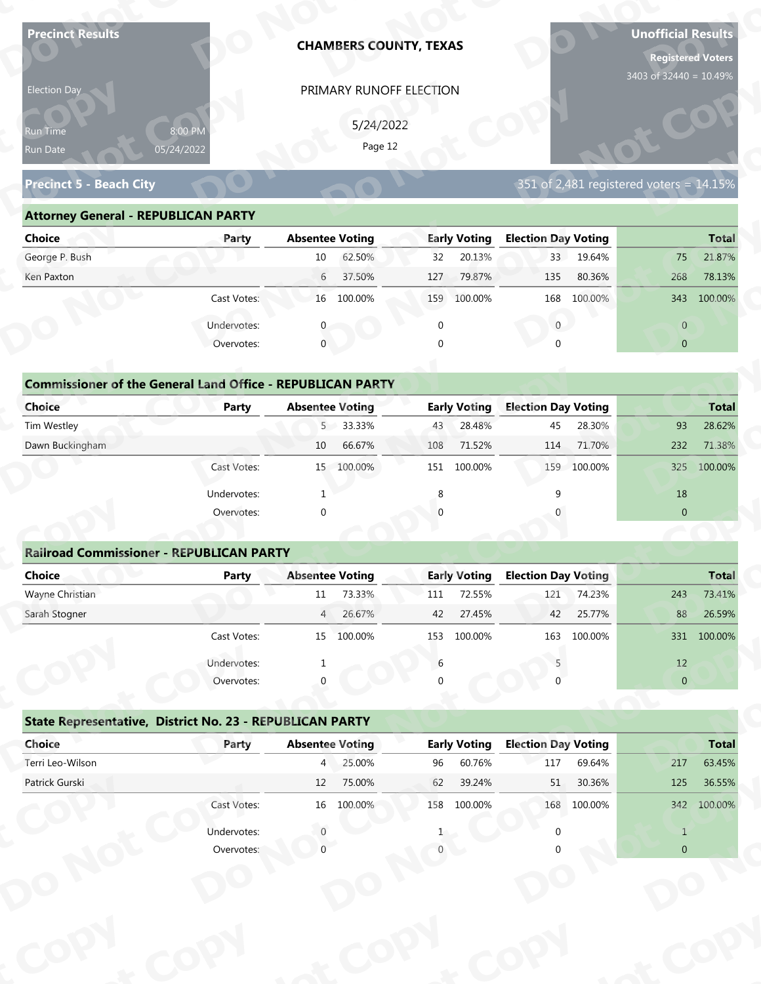| <b>Precinct Results</b>                                           |                       |                        | <b>CHAMBERS COUNTY, TEXAS</b> |          |                     |                            |                  | <b>Unofficial Results</b><br><b>Registered Voters</b><br>3403 of 32440 = 10.49% |                  |
|-------------------------------------------------------------------|-----------------------|------------------------|-------------------------------|----------|---------------------|----------------------------|------------------|---------------------------------------------------------------------------------|------------------|
| Election Day                                                      |                       |                        | PRIMARY RUNOFF ELECTION       |          |                     |                            |                  |                                                                                 |                  |
|                                                                   |                       |                        | 5/24/2022                     |          |                     |                            |                  |                                                                                 |                  |
| Run Time<br>Run Date                                              | 8:00 PM<br>05/24/2022 |                        | Page 12                       |          |                     |                            |                  |                                                                                 |                  |
|                                                                   |                       |                        |                               |          |                     |                            |                  |                                                                                 |                  |
| <b>Precinct 5 - Beach City</b>                                    |                       |                        |                               |          |                     |                            |                  | 351 of 2,481 registered voters = 14.15%                                         |                  |
| <b>Attorney General - REPUBLICAN PARTY</b>                        |                       |                        |                               |          |                     |                            |                  |                                                                                 |                  |
| <b>Choice</b>                                                     | Party                 | <b>Absentee Voting</b> |                               |          | <b>Early Voting</b> | <b>Election Day Voting</b> |                  |                                                                                 | <b>Total</b>     |
| George P. Bush                                                    |                       | 10                     | 62.50%                        | 32       | 20.13%              | 33                         | 19.64%           | 75                                                                              | 21.87%           |
| Ken Paxton                                                        |                       | 6                      | 37.50%                        | 127      | 79.87%              | 135                        | 80.36%           | 268                                                                             | 78.13%           |
|                                                                   | Cast Votes:           |                        | 16 100.00%                    |          | 159 100.00%         | 168                        | 100.00%          | 343                                                                             | 100.00%          |
|                                                                   | Undervotes:           |                        |                               | $\Omega$ |                     | $\mathbf{0}$               |                  | $\overline{0}$                                                                  |                  |
|                                                                   | Overvotes:            | $\mathbf{0}$           |                               | $\Omega$ |                     |                            |                  | $\overline{0}$                                                                  |                  |
|                                                                   |                       |                        |                               |          |                     |                            |                  |                                                                                 |                  |
| <b>Commissioner of the General Land Office - REPUBLICAN PARTY</b> |                       |                        |                               |          |                     |                            |                  |                                                                                 |                  |
| <b>Choice</b>                                                     | <b>Party</b>          | <b>Absentee Voting</b> |                               |          | <b>Early Voting</b> | <b>Election Day Voting</b> |                  |                                                                                 | <b>Total</b>     |
| Tim Westley                                                       |                       | 5 <sup>7</sup>         | 33.33%<br>66.67%              | 43       | 28.48%<br>71.52%    | 45                         | 28.30%<br>71.70% | 93                                                                              | 28.62%<br>71.38% |
| Dawn Buckingham                                                   |                       | 10                     |                               | 108      |                     | 114                        |                  | 232                                                                             |                  |
|                                                                   | Cast Votes:           |                        | 15 100.00%                    |          | 151 100.00%         |                            | 159 100.00%      | 325                                                                             | 100.00%          |
|                                                                   | Undervotes:           | -1                     |                               | 8        |                     | 9                          |                  | 18                                                                              |                  |
|                                                                   | Overvotes:            | $\Omega$               |                               |          |                     |                            |                  | $\overline{0}$                                                                  |                  |
| <b>Railroad Commissioner - REPUBLICAN PARTY</b>                   |                       |                        |                               |          |                     |                            |                  |                                                                                 |                  |
| <b>Choice</b>                                                     | <b>Party</b>          | <b>Absentee Voting</b> |                               |          | <b>Early Voting</b> | <b>Election Day Voting</b> |                  |                                                                                 | <b>Total</b>     |
| Wayne Christian                                                   |                       | 11                     | 73.33%                        | 111      | 72.55%              | 121                        | 74.23%           | 243                                                                             | 73.41%           |
| Sarah Stogner                                                     |                       | 4                      | 26.67%                        | 42       | 27.45%              | 42                         | 25.77%           | 88                                                                              | 26.59%           |
|                                                                   | Cast Votes:           |                        | 15 100.00%                    | 153      | 100.00%             | 163                        | 100.00%          |                                                                                 | 331 100.00%      |
|                                                                   | Undervotes:           |                        |                               | 6        |                     |                            |                  | 12                                                                              |                  |
|                                                                   | Overvotes:            |                        |                               |          |                     |                            |                  | $\overline{0}$                                                                  |                  |
|                                                                   |                       |                        |                               |          |                     |                            |                  |                                                                                 |                  |
| State Representative, District No. 23 - REPUBLICAN PARTY          |                       |                        |                               |          |                     |                            |                  |                                                                                 |                  |
| Choice                                                            | Party                 | <b>Absentee Voting</b> |                               |          | <b>Early Voting</b> | <b>Election Day Voting</b> |                  |                                                                                 | <b>Total</b>     |
| Terri Leo-Wilson                                                  |                       | $4^{\circ}$            | 25.00%                        | 96       | 60.76%              | 117                        | 69.64%           | 217                                                                             | 63.45%           |
|                                                                   |                       | 12                     | 75.00%                        | 62       | 39.24%              | 51                         | 30.36%           | 125                                                                             | 36.55%           |
| Patrick Gurski                                                    |                       |                        | 16 100.00%                    |          | 158 100.00%         |                            | 168 100.00%      |                                                                                 | 342 100.00%      |
|                                                                   | Cast Votes:           |                        |                               |          |                     |                            |                  |                                                                                 |                  |
|                                                                   | Undervotes:           |                        |                               |          |                     |                            |                  | $\mathbf{1}$                                                                    |                  |

| 5/24/2022<br>8:00 PM<br>Run Time<br>Page 12<br>05/24/2022<br>351 of 2,481 registered voters = $14.15\%$<br><b>Attorney General - REPUBLICAN PARTY</b><br><b>Early Voting</b><br><b>Election Day Voting</b><br><b>Absentee Voting</b><br>Party<br>62.50%<br>20.13%<br>33 <sup>2</sup><br>19.64%<br>10<br>75<br>32<br>37.50%<br>79.87%<br>$6\overline{6}$<br>127<br>135<br>80.36%<br>268<br>100.00%<br>Cast Votes:<br>16 100.00%<br>159 100.00%<br>168<br>343<br>Undervotes:<br>$\overline{0}$<br>$\overline{0}$<br>$\mathbf 0$<br>Overvotes:<br>$\Omega$<br>$\overline{0}$<br><b>Commissioner of the General Land Office - REPUBLICAN PARTY</b><br><b>Early Voting</b><br><b>Election Day Voting</b><br><b>Absentee Voting</b><br>Party<br>5 33.33%<br>28.48%<br>45<br>28.30%<br>93<br>43<br>66.67%<br>10<br>71.52%<br>71.70%<br>232<br>108<br>114<br>15 100.00%<br>151 100.00%<br>159<br>100.00%<br>Cast Votes:<br>325 | Election Day                   |  | PRIMARY RUNOFF ELECTION |  |  |              |
|------------------------------------------------------------------------------------------------------------------------------------------------------------------------------------------------------------------------------------------------------------------------------------------------------------------------------------------------------------------------------------------------------------------------------------------------------------------------------------------------------------------------------------------------------------------------------------------------------------------------------------------------------------------------------------------------------------------------------------------------------------------------------------------------------------------------------------------------------------------------------------------------------------------------|--------------------------------|--|-------------------------|--|--|--------------|
|                                                                                                                                                                                                                                                                                                                                                                                                                                                                                                                                                                                                                                                                                                                                                                                                                                                                                                                        | Run Date                       |  |                         |  |  |              |
|                                                                                                                                                                                                                                                                                                                                                                                                                                                                                                                                                                                                                                                                                                                                                                                                                                                                                                                        | <b>Precinct 5 - Beach City</b> |  |                         |  |  |              |
|                                                                                                                                                                                                                                                                                                                                                                                                                                                                                                                                                                                                                                                                                                                                                                                                                                                                                                                        |                                |  |                         |  |  |              |
|                                                                                                                                                                                                                                                                                                                                                                                                                                                                                                                                                                                                                                                                                                                                                                                                                                                                                                                        | Choice                         |  |                         |  |  | <b>Total</b> |
|                                                                                                                                                                                                                                                                                                                                                                                                                                                                                                                                                                                                                                                                                                                                                                                                                                                                                                                        | George P. Bush                 |  |                         |  |  | 21.87%       |
|                                                                                                                                                                                                                                                                                                                                                                                                                                                                                                                                                                                                                                                                                                                                                                                                                                                                                                                        | Ken Paxton                     |  |                         |  |  | 78.13%       |
|                                                                                                                                                                                                                                                                                                                                                                                                                                                                                                                                                                                                                                                                                                                                                                                                                                                                                                                        |                                |  |                         |  |  | 100.00%      |
|                                                                                                                                                                                                                                                                                                                                                                                                                                                                                                                                                                                                                                                                                                                                                                                                                                                                                                                        |                                |  |                         |  |  |              |
|                                                                                                                                                                                                                                                                                                                                                                                                                                                                                                                                                                                                                                                                                                                                                                                                                                                                                                                        |                                |  |                         |  |  |              |
|                                                                                                                                                                                                                                                                                                                                                                                                                                                                                                                                                                                                                                                                                                                                                                                                                                                                                                                        |                                |  |                         |  |  |              |
|                                                                                                                                                                                                                                                                                                                                                                                                                                                                                                                                                                                                                                                                                                                                                                                                                                                                                                                        |                                |  |                         |  |  |              |
|                                                                                                                                                                                                                                                                                                                                                                                                                                                                                                                                                                                                                                                                                                                                                                                                                                                                                                                        | <b>Choice</b>                  |  |                         |  |  | <b>Total</b> |
|                                                                                                                                                                                                                                                                                                                                                                                                                                                                                                                                                                                                                                                                                                                                                                                                                                                                                                                        | Tim Westley                    |  |                         |  |  | 28.62%       |
|                                                                                                                                                                                                                                                                                                                                                                                                                                                                                                                                                                                                                                                                                                                                                                                                                                                                                                                        | Dawn Buckingham                |  |                         |  |  | 71.38%       |
|                                                                                                                                                                                                                                                                                                                                                                                                                                                                                                                                                                                                                                                                                                                                                                                                                                                                                                                        |                                |  |                         |  |  | 100.00%      |

| <b>Choice</b>                                                     | Party       | <b>Absentee Voting</b> | <b>Early Voting</b>   | <b>Election Day Voting</b> | <b>Total</b>   |
|-------------------------------------------------------------------|-------------|------------------------|-----------------------|----------------------------|----------------|
|                                                                   |             |                        |                       |                            |                |
| George P. Bush                                                    |             | 62.50%<br>10           | 20.13%<br>32          | 19.64%<br>33 <sup>1</sup>  | 21.87%<br>75   |
| Ken Paxton                                                        |             | 37.50%<br>6            | 79.87%<br>127         | 135<br>80.36%              | 78.13%<br>268  |
|                                                                   | Cast Votes: | 16 100.00%             | 159<br>100.00%        | 100.00%<br>168             | 100.00%<br>343 |
|                                                                   | Undervotes: |                        | 0                     | $\mathbf{0}$               | $\overline{0}$ |
|                                                                   | Overvotes:  | $\mathbf{0}$           | 0                     | $\Omega$                   | $\overline{0}$ |
|                                                                   |             |                        |                       |                            |                |
| <b>Commissioner of the General Land Office - REPUBLICAN PARTY</b> |             |                        |                       |                            |                |
| Choice                                                            | Party       | <b>Absentee Voting</b> | <b>Early Voting</b>   | <b>Election Day Voting</b> | <b>Total</b>   |
| Tim Westley                                                       |             | 5 33.33%               | 28.48%<br>43          | 28.30%<br>45               | 93<br>28.62%   |
| Dawn Buckingham                                                   |             | 66.67%<br>10           | 71.52%<br>108         | 71.70%<br>114              | 232<br>71.38%  |
|                                                                   | Cast Votes: | 15 100.00%             | 151 100.00%           | 159 100.00%                | 100.00%<br>325 |
|                                                                   | Undervotes: |                        | 8                     |                            | 18             |
|                                                                   | Overvotes:  | $\mathbf{0}$           | $\mathbf{0}$          |                            | $\mathbf{0}$   |
|                                                                   |             |                        |                       |                            |                |
| <b>Railroad Commissioner - REPUBLICAN PARTY</b>                   |             |                        |                       |                            |                |
| Choice                                                            | Party       | <b>Absentee Voting</b> | <b>Early Voting</b>   | <b>Election Day Voting</b> | <b>Total</b>   |
| Wayne Christian                                                   |             | 73.33%<br>11           | 72.55%<br>111         | 74.23%<br>121              | 73.41%<br>243  |
| Carole Champan                                                    |             | 2C C70<br>$\Lambda$    | 27.450/<br>$\sqrt{2}$ | 2F 770/<br>$\sqrt{2}$      | $2C$ FOR<br>00 |

|                                                                   |                       |                        | PRIMARY RUNOFF ELECTION |             |                     |                            |             |                                         |                 |
|-------------------------------------------------------------------|-----------------------|------------------------|-------------------------|-------------|---------------------|----------------------------|-------------|-----------------------------------------|-----------------|
|                                                                   |                       |                        | 5/24/2022               |             |                     |                            |             |                                         |                 |
| Run Time<br>Run Date                                              | 8:00 PM<br>05/24/2022 |                        | Page 12                 |             |                     |                            |             |                                         |                 |
|                                                                   |                       |                        |                         |             |                     |                            |             |                                         |                 |
| <b>Precinct 5 - Beach City</b>                                    |                       |                        |                         |             |                     |                            |             | 351 of 2,481 registered voters = 14.15% |                 |
| <b>Attorney General - REPUBLICAN PARTY</b>                        |                       |                        |                         |             |                     |                            |             |                                         |                 |
| <b>Choice</b>                                                     | Party                 | <b>Absentee Voting</b> |                         |             | <b>Early Voting</b> | <b>Election Day Voting</b> |             |                                         | <b>Total</b>    |
| George P. Bush                                                    |                       | 10                     | 62.50%                  | 32          | 20.13%              |                            | 33 19.64%   | 75                                      | 21.87%          |
| Ken Paxton                                                        |                       | $6\overline{6}$        | 37.50%                  | 127         | 79.87%              | 135                        | 80.36%      | 268                                     | 78.13%          |
|                                                                   | Cast Votes:           |                        | 16 100.00%              |             | 159 100.00%         |                            | 168 100.00% |                                         | 343 100.00%     |
|                                                                   | Undervotes:           | $\mathbf{0}$           |                         | $\mathbf 0$ |                     | $\mathbf{0}$               |             | $\overline{0}$                          |                 |
|                                                                   | Overvotes:            | $\mathbf{0}$           |                         |             |                     | $\cap$                     |             | $\overline{0}$                          |                 |
|                                                                   |                       |                        |                         |             |                     |                            |             |                                         |                 |
| <b>Commissioner of the General Land Office - REPUBLICAN PARTY</b> |                       |                        |                         |             |                     |                            |             |                                         |                 |
| <b>Choice</b>                                                     | Party                 | <b>Absentee Voting</b> |                         |             | <b>Early Voting</b> | <b>Election Day Voting</b> |             |                                         | <b>Total</b>    |
| Tim Westley                                                       |                       |                        | 5 33.33%                | 43          | 28.48%              | 45                         | 28.30%      | 93                                      | 28.62%          |
| Dawn Buckingham                                                   |                       | 10                     | 66.67%                  | 108         | 71.52%              | 114                        | 71.70%      | 232                                     | 71.38%          |
|                                                                   | Cast Votes:           |                        | 15 100.00%              |             | 151 100.00%         | 159                        | 100.00%     |                                         | 325 100.00%     |
|                                                                   | Undervotes:           |                        |                         | 8           |                     | q                          |             | 18                                      |                 |
|                                                                   | Overvotes:            | $\Omega$               |                         |             |                     |                            |             | $\overline{0}$                          |                 |
|                                                                   |                       |                        |                         |             |                     |                            |             |                                         |                 |
|                                                                   |                       |                        |                         |             |                     |                            |             |                                         |                 |
| <b>Railroad Commissioner - REPUBLICAN PARTY</b>                   |                       |                        |                         |             |                     |                            |             |                                         |                 |
| <b>Choice</b>                                                     | Party                 | <b>Absentee Voting</b> |                         |             | <b>Early Voting</b> | <b>Election Day Voting</b> |             |                                         |                 |
| Wayne Christian                                                   |                       | 11                     | 73.33%                  | 111         | 72.55%              |                            | 121 74.23%  | 243                                     | Total<br>73.41% |
| Sarah Stogner                                                     |                       | 4                      | 26.67%                  | 42          | 27.45%              | 42                         | 25.77%      | 88                                      | 26.59%          |
|                                                                   | Cast Votes:           |                        | 15 100.00%              |             | 153 100.00%         |                            | 163 100.00% |                                         | 331 100.00%     |
|                                                                   | Undervotes:           |                        |                         | 6           |                     |                            |             | 12                                      |                 |
|                                                                   | Overvotes:            |                        |                         |             |                     |                            |             | $\overline{0}$                          |                 |
|                                                                   |                       |                        |                         |             |                     |                            |             |                                         |                 |
| State Representative, District No. 23 - REPUBLICAN PARTY          |                       |                        |                         |             |                     |                            |             |                                         |                 |
| Choice                                                            | Party                 | <b>Absentee Voting</b> |                         |             | <b>Early Voting</b> | <b>Election Day Voting</b> |             |                                         | <b>Total</b>    |
| Terri Leo-Wilson                                                  |                       |                        | 4 25.00%                | 96          | 60.76%              | 117                        | 69.64%      | 217                                     | 63.45%          |
| Patrick Gurski                                                    |                       | 12                     | 75.00%                  | 62          | 39.24%              | 51                         | 30.36%      | 125                                     | 36.55%          |
|                                                                   | Cast Votes:           |                        | 16 100.00%              |             | 158 100.00%         |                            | 168 100.00% |                                         | 342 100.00%     |
|                                                                   | Undervotes:           |                        |                         |             |                     |                            |             | $\mathbf{1}$                            |                 |

|                                                          | Cast votes. | ᆦ                      | TOO'OO XQ | ככד | TOO'OO XQ           | TOP                        | LUU.UU 70 |                | <b>22T TOO'OO'S</b> |
|----------------------------------------------------------|-------------|------------------------|-----------|-----|---------------------|----------------------------|-----------|----------------|---------------------|
|                                                          | Undervotes: |                        |           | 6   |                     |                            |           | 12             |                     |
|                                                          | Overvotes:  | $\Omega$               |           | 0   |                     |                            |           | $\overline{0}$ |                     |
| State Representative, District No. 23 - REPUBLICAN PARTY |             |                        |           |     |                     |                            |           |                |                     |
| Choice                                                   | Party       | <b>Absentee Voting</b> |           |     | <b>Early Voting</b> | <b>Election Day Voting</b> |           |                | <b>Total</b>        |
| Terri Leo-Wilson                                         |             | $\overline{4}$         | 25.00%    | 96  | 60.76%              | 117                        | 69.64%    | 217            | 63.45%              |
| Patrick Gurski                                           |             | 12                     | 75.00%    | 62  | 39.24%              | 51                         | 30.36%    | 125            | 36.55%              |
|                                                          | Cast Votes: | 16                     | 100.00%   | 158 | 100.00%             | 168                        | 100.00%   | 342            | 100.00%             |
|                                                          | Undervotes: |                        |           |     |                     |                            |           |                |                     |
|                                                          | Overvotes:  |                        |           |     |                     |                            |           | $\overline{0}$ |                     |
|                                                          |             |                        |           |     |                     |                            |           |                |                     |
|                                                          |             |                        |           |     |                     |                            |           |                |                     |
|                                                          |             |                        |           |     |                     |                            |           |                |                     |
|                                                          |             |                        |           |     |                     |                            |           |                |                     |
|                                                          |             |                        |           |     |                     |                            |           |                |                     |
|                                                          |             |                        |           |     |                     |                            |           |                |                     |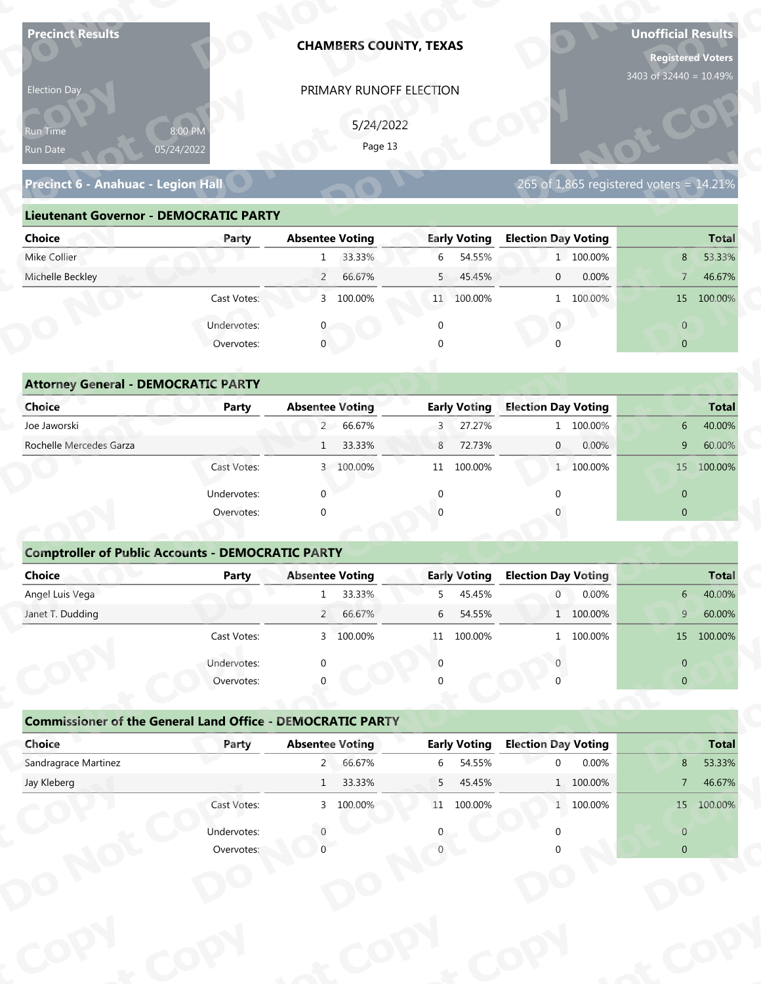| <b>Precinct Results</b>                                           |                           |                        |                      | <b>CHAMBERS COUNTY, TEXAS</b> |                               |                                        |           | <b>Unofficial Results</b><br><b>Registered Voters</b> |                        |
|-------------------------------------------------------------------|---------------------------|------------------------|----------------------|-------------------------------|-------------------------------|----------------------------------------|-----------|-------------------------------------------------------|------------------------|
| Election Day                                                      |                           |                        |                      | PRIMARY RUNOFF ELECTION       |                               |                                        |           | 3403 of 32440 = 10.49%                                |                        |
|                                                                   |                           |                        |                      |                               |                               |                                        |           |                                                       |                        |
| Run Time                                                          | 8:00 PM                   |                        | 5/24/2022<br>Page 13 |                               |                               |                                        |           |                                                       |                        |
| Run Date                                                          | 05/24/2022                |                        |                      |                               |                               |                                        |           |                                                       |                        |
| Precinct 6 - Anahuac - Legion Hall                                |                           |                        |                      |                               |                               |                                        |           | 265 of 1,865 registered voters = 14.21%               |                        |
| <b>Lieutenant Governor - DEMOCRATIC PARTY</b>                     |                           |                        |                      |                               |                               |                                        |           |                                                       |                        |
| <b>Choice</b>                                                     | Party                     | <b>Absentee Voting</b> |                      |                               | <b>Early Voting</b>           | <b>Election Day Voting</b>             |           |                                                       | <b>Total</b>           |
| Mike Collier                                                      |                           | 1                      | 33.33%               | 6                             | 54.55%                        |                                        | 1 100.00% | 8                                                     | 53.33%                 |
| Michelle Beckley                                                  |                           | $\overline{2}$         | 66.67%               | 5                             | 45.45%                        | $\mathbf{0}$                           | 0.00%     | $\overline{7}$                                        | 46.67%                 |
|                                                                   | Cast Votes:               |                        | 3 100.00%            |                               | 11 100.00%                    |                                        | 1 100.00% |                                                       | 15 100.00%             |
|                                                                   | Undervotes:               |                        |                      | $\mathbf 0$                   |                               | $\overline{0}$                         |           | $\overline{0}$                                        |                        |
|                                                                   | Overvotes:                | $\mathbf{0}$           |                      |                               |                               |                                        |           | $\overline{0}$                                        |                        |
|                                                                   |                           |                        |                      |                               |                               |                                        |           |                                                       |                        |
| <b>Attorney General - DEMOCRATIC PARTY</b>                        |                           |                        |                      |                               |                               |                                        |           |                                                       |                        |
| <b>Choice</b>                                                     | <b>Party</b>              | <b>Absentee Voting</b> |                      |                               | <b>Early Voting</b>           | <b>Election Day Voting</b>             |           |                                                       | <b>Total</b>           |
| Joe Jaworski                                                      |                           |                        | 2 66.67%             | 3                             | 27.27%                        |                                        | 1 100.00% | 6                                                     | 40.00%                 |
| Rochelle Mercedes Garza                                           |                           | $\mathbf{1}$           | 33.33%               | 8                             | 72.73%                        | $\overline{0}$                         | 0.00%     | 9                                                     | 60.00%                 |
|                                                                   | Cast Votes:               |                        | 3 100.00%            |                               | 11 100.00%                    |                                        | 1 100.00% |                                                       | 15 100.00%             |
|                                                                   | Undervotes:               | $\Omega$               |                      | $\mathbf{0}$                  |                               | $\Omega$                               |           | $\overline{0}$                                        |                        |
|                                                                   | Overvotes:                | $\Omega$               |                      |                               |                               |                                        |           | $\overline{0}$                                        |                        |
|                                                                   |                           |                        |                      |                               |                               |                                        |           |                                                       |                        |
| <b>Comptroller of Public Accounts - DEMOCRATIC PARTY</b>          |                           |                        |                      |                               |                               |                                        |           |                                                       |                        |
| Choice                                                            | Party                     | <b>Absentee Voting</b> |                      |                               | <b>Early Voting</b>           | <b>Election Day Voting</b>             |           |                                                       | <b>Total</b>           |
| Angel Luis Vega                                                   |                           | 1                      | 33.33%               | 5                             | 45.45%                        | 0                                      | 0.00%     | $6-$                                                  | 40.00%                 |
| Janet T. Dudding                                                  |                           |                        | 2 66.67%             | 6                             | 54.55%                        |                                        | 1 100.00% | 9 <sup>°</sup>                                        | 60.00%                 |
|                                                                   | Cast Votes:               |                        | 3 100.00%            |                               | 11 100.00%                    |                                        | 1 100.00% |                                                       | 15 100.00%             |
|                                                                   | Undervotes:               |                        |                      | $\Omega$                      |                               |                                        |           | $\overline{0}$                                        |                        |
|                                                                   | Overvotes:                |                        |                      |                               |                               |                                        |           | $\overline{0}$                                        |                        |
|                                                                   |                           |                        |                      |                               |                               |                                        |           |                                                       |                        |
| <b>Commissioner of the General Land Office - DEMOCRATIC PARTY</b> |                           |                        |                      |                               |                               |                                        |           |                                                       |                        |
| Choice<br>Sandragrace Martinez                                    | Party                     | <b>Absentee Voting</b> | 2 66.67%             |                               | <b>Early Voting</b><br>54.55% | <b>Election Day Voting</b><br>$\Omega$ | 0.00%     | 8                                                     | <b>Total</b><br>53.33% |
| Jay Kleberg                                                       |                           | 1                      | 33.33%               | 6<br>5                        | 45.45%                        |                                        | 1 100.00% | $\overline{7}$                                        | 46.67%                 |
|                                                                   | Cast Votes:               |                        | 3 100.00%            |                               | 11 100.00%                    |                                        | 1 100.00% |                                                       | 15 100.00%             |
|                                                                   |                           |                        |                      |                               |                               |                                        |           |                                                       |                        |
|                                                                   |                           |                        |                      |                               |                               |                                        |           | $\overline{0}$                                        |                        |
|                                                                   | Undervotes:<br>Overvotes: |                        |                      |                               |                               |                                        |           | $\overline{0}$                                        |                        |

| 5/24/2022<br>8:00 PM<br>Page 13<br>05/24/2022<br>265 of 1,865 registered voters = $14.21\%$<br>Precinct 6 - Anahuac - Legion Hall<br><b>Lieutenant Governor - DEMOCRATIC PARTY</b><br><b>Absentee Voting</b><br><b>Early Voting</b><br><b>Election Day Voting</b><br>Party<br>33.33%<br>54.55%<br>1 100.00%<br>6<br>8<br>$\mathbf{1}$<br>66.67%<br>5 45.45%<br>0.00%<br>$\overline{2}$<br>$\overline{0}$<br>$7^{\circ}$<br>3 100.00%<br>Cast Votes:<br>11 100.00%<br>1 100.00%<br>15 100.00%<br>Undervotes:<br>$\overline{0}$<br>$\overline{0}$<br>$\mathbf 0$<br>Overvotes:<br>$\Omega$<br>$\overline{0}$<br><b>Attorney General - DEMOCRATIC PARTY</b><br><b>Early Voting</b><br><b>Absentee Voting</b><br><b>Election Day Voting</b><br>Party<br>2 66.67%<br>27.27%<br>1 100.00%<br>3<br>6<br>33.33%<br>8<br>72.73%<br>$\overline{0}$<br>0.00%<br>9<br>1<br>3 100.00%<br>100.00%<br>1 100.00%<br>Cast Votes:<br>11<br>15 | Election Day                |  | PRIMARY RUNOFF ELECTION |  |  |              |
|-----------------------------------------------------------------------------------------------------------------------------------------------------------------------------------------------------------------------------------------------------------------------------------------------------------------------------------------------------------------------------------------------------------------------------------------------------------------------------------------------------------------------------------------------------------------------------------------------------------------------------------------------------------------------------------------------------------------------------------------------------------------------------------------------------------------------------------------------------------------------------------------------------------------------------|-----------------------------|--|-------------------------|--|--|--------------|
|                                                                                                                                                                                                                                                                                                                                                                                                                                                                                                                                                                                                                                                                                                                                                                                                                                                                                                                             | <b>Run Time</b><br>Run Date |  |                         |  |  |              |
|                                                                                                                                                                                                                                                                                                                                                                                                                                                                                                                                                                                                                                                                                                                                                                                                                                                                                                                             |                             |  |                         |  |  |              |
|                                                                                                                                                                                                                                                                                                                                                                                                                                                                                                                                                                                                                                                                                                                                                                                                                                                                                                                             |                             |  |                         |  |  |              |
|                                                                                                                                                                                                                                                                                                                                                                                                                                                                                                                                                                                                                                                                                                                                                                                                                                                                                                                             | Choice                      |  |                         |  |  | <b>Total</b> |
|                                                                                                                                                                                                                                                                                                                                                                                                                                                                                                                                                                                                                                                                                                                                                                                                                                                                                                                             | Mike Collier                |  |                         |  |  | 53.33%       |
|                                                                                                                                                                                                                                                                                                                                                                                                                                                                                                                                                                                                                                                                                                                                                                                                                                                                                                                             | Michelle Beckley            |  |                         |  |  | 46.67%       |
|                                                                                                                                                                                                                                                                                                                                                                                                                                                                                                                                                                                                                                                                                                                                                                                                                                                                                                                             |                             |  |                         |  |  |              |
|                                                                                                                                                                                                                                                                                                                                                                                                                                                                                                                                                                                                                                                                                                                                                                                                                                                                                                                             |                             |  |                         |  |  |              |
|                                                                                                                                                                                                                                                                                                                                                                                                                                                                                                                                                                                                                                                                                                                                                                                                                                                                                                                             |                             |  |                         |  |  |              |
|                                                                                                                                                                                                                                                                                                                                                                                                                                                                                                                                                                                                                                                                                                                                                                                                                                                                                                                             |                             |  |                         |  |  |              |
|                                                                                                                                                                                                                                                                                                                                                                                                                                                                                                                                                                                                                                                                                                                                                                                                                                                                                                                             |                             |  |                         |  |  |              |
|                                                                                                                                                                                                                                                                                                                                                                                                                                                                                                                                                                                                                                                                                                                                                                                                                                                                                                                             | <b>Choice</b>               |  |                         |  |  | <b>Total</b> |
|                                                                                                                                                                                                                                                                                                                                                                                                                                                                                                                                                                                                                                                                                                                                                                                                                                                                                                                             | Joe Jaworski                |  |                         |  |  | 40.00%       |
|                                                                                                                                                                                                                                                                                                                                                                                                                                                                                                                                                                                                                                                                                                                                                                                                                                                                                                                             | Rochelle Mercedes Garza     |  |                         |  |  | 60.00%       |
|                                                                                                                                                                                                                                                                                                                                                                                                                                                                                                                                                                                                                                                                                                                                                                                                                                                                                                                             |                             |  |                         |  |  | 100.00%      |

|                                            |                                                          | PRIMARY RUNOFF ELECTION                                           |                          |                                         |                                                           |
|--------------------------------------------|----------------------------------------------------------|-------------------------------------------------------------------|--------------------------|-----------------------------------------|-----------------------------------------------------------|
|                                            |                                                          | 5/24/2022                                                         |                          |                                         |                                                           |
| Run Time                                   | 8:00 PM                                                  | Page 13                                                           |                          |                                         |                                                           |
| Run Date                                   | 05/24/2022                                               |                                                                   |                          |                                         |                                                           |
| Precinct 6 - Anahuac - Legion Hall         |                                                          |                                                                   |                          | 265 of 1,865 registered voters = 14.21% |                                                           |
|                                            | <b>Lieutenant Governor - DEMOCRATIC PARTY</b>            |                                                                   |                          |                                         |                                                           |
| <b>Choice</b>                              | Party                                                    | <b>Absentee Voting</b>                                            | <b>Early Voting</b>      | <b>Election Day Voting</b>              | <b>Total</b>                                              |
| Mike Collier                               |                                                          | 33.33%<br>1                                                       | 6<br>54.55%              | 1 100.00%                               | 53.33%<br>8                                               |
| Michelle Beckley                           |                                                          | 66.67%<br>$\overline{2}$                                          | 5<br>45.45%              | 0.00%<br>$\overline{0}$                 | 46.67%<br>7 <sup>7</sup>                                  |
|                                            | Cast Votes:                                              | 3 100.00%                                                         | 11 100.00%               | 1 100.00%                               | 15 100.00%                                                |
|                                            | Undervotes:                                              |                                                                   | $\mathbf 0$              | $\mathbf{0}$                            | $\overline{0}$                                            |
|                                            | Overvotes:                                               | $\mathbf{0}$                                                      |                          |                                         | $\overline{0}$                                            |
|                                            |                                                          |                                                                   |                          |                                         |                                                           |
| <b>Attorney General - DEMOCRATIC PARTY</b> |                                                          |                                                                   |                          |                                         |                                                           |
| Choice                                     | <b>Party</b>                                             | <b>Absentee Voting</b>                                            | <b>Early Voting</b>      | <b>Election Day Voting</b>              | <b>Total</b>                                              |
| Joe Jaworski                               |                                                          | 2 66.67%                                                          | 27.27%<br>3              | 1 100.00%                               | 40.00%<br>6                                               |
| Rochelle Mercedes Garza                    |                                                          | 33.33%<br>1                                                       | 8<br>72.73%              | 0.00%<br>$\mathbf{0}$                   | 60.00%<br>9                                               |
|                                            | Cast Votes:                                              | 3 100.00%                                                         | 11 100.00%               | 1 100.00%                               | 15 100.00%                                                |
|                                            | Undervotes:                                              | $\Omega$                                                          | ∩                        |                                         | $\overline{0}$                                            |
|                                            |                                                          |                                                                   |                          |                                         |                                                           |
|                                            | Overvotes:                                               | $\Omega$                                                          |                          |                                         | $\overline{0}$                                            |
|                                            |                                                          |                                                                   |                          |                                         |                                                           |
|                                            | <b>Comptroller of Public Accounts - DEMOCRATIC PARTY</b> |                                                                   |                          |                                         |                                                           |
| <b>Choice</b>                              | <b>Party</b>                                             | <b>Absentee Voting</b>                                            | <b>Early Voting</b>      | <b>Election Day Voting</b>              |                                                           |
| Angel Luis Vega                            |                                                          | 33.33%<br>$\mathbf{1}$                                            | 45.45%<br>5              | 0 <sub>n</sub><br>0.00%                 | 6                                                         |
| Janet T. Dudding                           |                                                          | 66.67%<br>$\overline{2}$                                          | 54.55%<br>6              | 1 100.00%                               | 9                                                         |
|                                            | Cast Votes:                                              | 3 100.00%                                                         | 11 100.00%               | 1 100.00%                               |                                                           |
|                                            | Undervotes:                                              |                                                                   |                          |                                         | $\overline{0}$                                            |
|                                            | Overvotes:                                               |                                                                   |                          |                                         | Total<br>40.00%<br>60.00%<br>15 100.00%<br>$\overline{0}$ |
|                                            |                                                          |                                                                   |                          |                                         |                                                           |
|                                            |                                                          | <b>Commissioner of the General Land Office - DEMOCRATIC PARTY</b> |                          |                                         |                                                           |
| Choice                                     | Party                                                    | <b>Absentee Voting</b>                                            | <b>Early Voting</b>      | <b>Election Day Voting</b>              |                                                           |
| Sandragrace Martinez                       |                                                          | 2 66.67%                                                          | 6<br>54.55%              | $\mathbf 0$<br>0.00%                    | 8 <sup>1</sup>                                            |
| Jay Kleberg                                |                                                          | 1 33.33%                                                          | 5 <sub>5</sub><br>45.45% | 1 100.00%                               | 7 <sup>7</sup>                                            |
|                                            | Cast Votes:                                              | 3 100.00%                                                         | 11 100.00%               | 1 100.00%                               | <b>Total</b><br>53.33%<br>46.67%<br>15 100.00%            |
|                                            | Undervotes:                                              |                                                                   |                          |                                         | $\overline{0}$                                            |

### **Comptroller of Public Accounts - DEMOCRATIC PARTY**

| <b>Choice</b>                                                     | Party       | <b>Absentee Voting</b> |           |                | <b>Early Voting</b> | <b>Election Day Voting</b> |                 | <b>Total</b> |
|-------------------------------------------------------------------|-------------|------------------------|-----------|----------------|---------------------|----------------------------|-----------------|--------------|
| Joe Jaworski                                                      |             |                        | 2 66.67%  | 3 <sup>7</sup> | 27.27%              | 1 100.00%                  | 6               | 40.00%       |
| Rochelle Mercedes Garza                                           |             | 1                      | 33.33%    | 8              | 72.73%              | 0.00%<br>$\mathbf{0}$      | 9               | 60.00%       |
|                                                                   | Cast Votes: |                        | 3 100.00% |                | 11 100.00%          | 1 100.00%                  |                 | 15 100.00%   |
|                                                                   | Undervotes: | ∩                      |           | ∩              |                     | <sup>n</sup>               | $\mathbf{0}$    |              |
|                                                                   | Overvotes:  | $\Omega$               |           |                |                     |                            | $\overline{0}$  |              |
| <b>Comptroller of Public Accounts - DEMOCRATIC PARTY</b>          |             |                        |           |                |                     |                            |                 |              |
| <b>Choice</b>                                                     | Party       | <b>Absentee Voting</b> |           |                | <b>Early Voting</b> | <b>Election Day Voting</b> |                 | <b>Total</b> |
| Angel Luis Vega                                                   |             | $\mathbf{1}$           | 33.33%    | 5              | 45.45%              | 0.00%<br>0                 | 6 <sup>1</sup>  | 40.00%       |
| Janet T. Dudding                                                  |             | $2^{\circ}$            | 66.67%    |                | 6 54.55%            | 1 100.00%                  | 9               | 60.00%       |
|                                                                   | Cast Votes: |                        | 3 100.00% |                | 11 100.00%          | 1 100.00%                  |                 | 15 100.00%   |
|                                                                   |             |                        |           |                |                     |                            |                 |              |
|                                                                   | Undervotes: |                        |           | <sup>0</sup>   |                     |                            | $\overline{0}$  |              |
|                                                                   | Overvotes:  |                        |           |                |                     |                            | $\mathbf 0$     |              |
| <b>Commissioner of the General Land Office - DEMOCRATIC PARTY</b> |             |                        |           |                |                     |                            |                 |              |
| Choice                                                            | Party       | <b>Absentee Voting</b> |           |                | <b>Early Voting</b> | <b>Election Day Voting</b> |                 | <b>Total</b> |
| Sandragrace Martinez                                              |             | $2^{\circ}$            | 66.67%    | 6              | 54.55%              | 0.00%<br>$\overline{0}$    | 8 <sup>1</sup>  | 53.33%       |
| Jay Kleberg                                                       |             | 1                      | 33.33%    | 5              | 45.45%              | 1 100.00%                  | $7\overline{ }$ | 46.67%       |
|                                                                   | Cast Votes: |                        | 3 100.00% |                | 11 100.00%          | 1 100.00%                  |                 | 15 100.00%   |
|                                                                   | Undervotes: |                        |           |                |                     |                            | $\overline{0}$  |              |

|                                                                   | Cast votes. | $\mathcal{P}$          | TOO'OO XQ | ᆠᆂ | LUU.UU70            | Ψ.                         | TOO'OO NO |                | 12 100.00%   |
|-------------------------------------------------------------------|-------------|------------------------|-----------|----|---------------------|----------------------------|-----------|----------------|--------------|
|                                                                   | Undervotes: | $\Omega$               |           | 0  |                     |                            |           | $\Omega$       |              |
|                                                                   | Overvotes:  | $\Omega$               |           | 0  |                     |                            |           | $\overline{0}$ |              |
|                                                                   |             |                        |           |    |                     |                            |           |                |              |
| <b>Commissioner of the General Land Office - DEMOCRATIC PARTY</b> |             |                        |           |    |                     |                            |           |                |              |
| Choice                                                            | Party       | <b>Absentee Voting</b> |           |    | <b>Early Voting</b> | <b>Election Day Voting</b> |           |                | <b>Total</b> |
| Sandragrace Martinez                                              |             | $2^{\circ}$            | 66.67%    | 6  | 54.55%              | $\Omega$                   | 0.00%     | 8              | 53.33%       |
| Jay Kleberg                                                       |             | $\mathbf{1}$           | 33.33%    | 5  | 45.45%              |                            | 1 100.00% | $7^{\circ}$    | 46.67%       |
|                                                                   | Cast Votes: |                        | 3 100.00% | 11 | 100.00%             | 1                          | 100.00%   | 15             | 100.00%      |
|                                                                   | Undervotes: |                        |           | 0  |                     |                            |           | $\overline{0}$ |              |
|                                                                   | Overvotes:  |                        |           |    |                     |                            |           | $\overline{0}$ |              |
|                                                                   |             |                        |           |    |                     |                            |           |                |              |
|                                                                   |             |                        |           |    |                     |                            |           |                |              |
|                                                                   |             |                        |           |    |                     |                            |           |                |              |
|                                                                   |             |                        |           |    |                     |                            |           |                |              |
|                                                                   |             |                        |           |    |                     |                            |           |                |              |
|                                                                   |             |                        |           |    |                     |                            |           |                |              |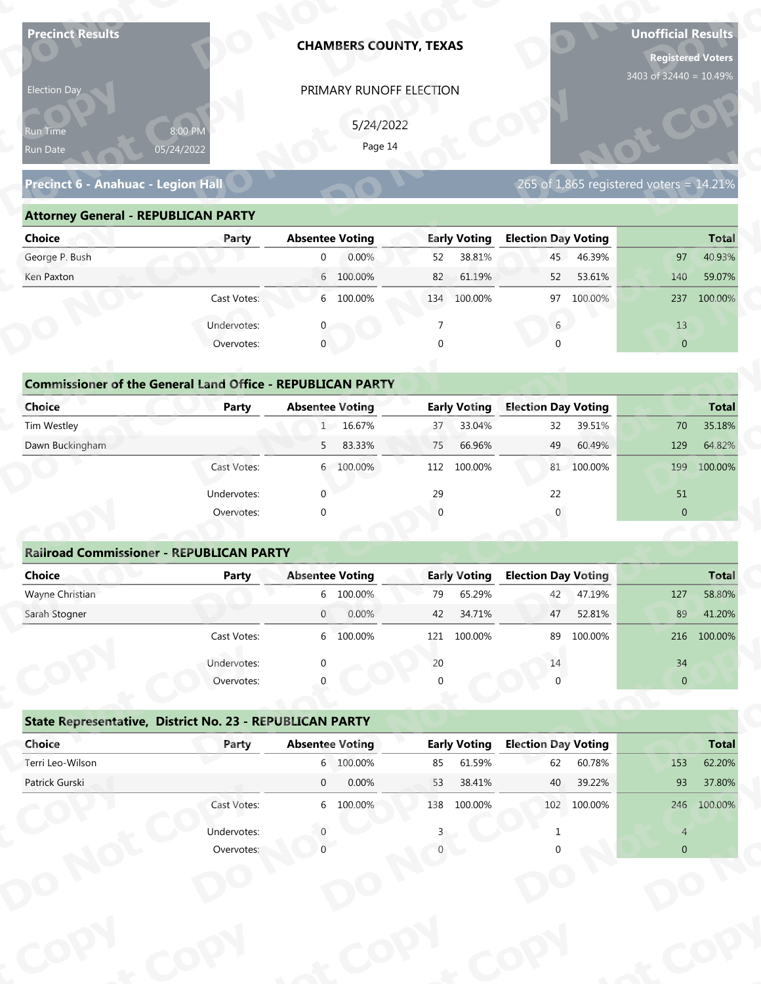| <b>Precinct Results</b>                                           |              |                        | <b>CHAMBERS COUNTY, TEXAS</b> |                |                     |                            |             | <b>Unofficial Results</b><br><b>Registered Voters</b><br>3403 of 32440 = 10.49% |              |
|-------------------------------------------------------------------|--------------|------------------------|-------------------------------|----------------|---------------------|----------------------------|-------------|---------------------------------------------------------------------------------|--------------|
| Election Day                                                      |              |                        | PRIMARY RUNOFF ELECTION       |                |                     |                            |             |                                                                                 |              |
|                                                                   |              |                        | 5/24/2022                     |                |                     |                            |             |                                                                                 |              |
| Run Time                                                          | 8:00 PM      |                        | Page 14                       |                |                     |                            |             |                                                                                 |              |
| Run Date                                                          | 05/24/2022   |                        |                               |                |                     |                            |             |                                                                                 |              |
| Precinct 6 - Anahuac - Legion Hall                                |              |                        |                               |                |                     |                            |             | 265 of $1,865$ registered voters = $14.21\%$                                    |              |
| <b>Attorney General - REPUBLICAN PARTY</b>                        |              |                        |                               |                |                     |                            |             |                                                                                 |              |
| <b>Choice</b>                                                     | Party        | <b>Absentee Voting</b> |                               |                | <b>Early Voting</b> | <b>Election Day Voting</b> |             |                                                                                 | <b>Total</b> |
| George P. Bush                                                    |              | $\overline{0}$         | 0.00%                         | 52             | 38.81%              | 45                         | 46.39%      | 97                                                                              | 40.93%       |
| Ken Paxton                                                        |              |                        | 6 100.00%                     | 82             | 61.19%              | 52                         | 53.61%      | 140                                                                             | 59.07%       |
|                                                                   | Cast Votes:  |                        | 6 100.00%                     |                | 134 100.00%         | 97                         | 100.00%     | 237                                                                             | 100.00%      |
|                                                                   | Undervotes:  |                        |                               | $\overline{7}$ |                     | 6                          |             | 13                                                                              |              |
|                                                                   | Overvotes:   | $\mathbf{0}$           |                               | $\Omega$       |                     |                            |             | $\overline{0}$                                                                  |              |
|                                                                   |              |                        |                               |                |                     |                            |             |                                                                                 |              |
| <b>Commissioner of the General Land Office - REPUBLICAN PARTY</b> |              |                        |                               |                |                     |                            |             |                                                                                 |              |
| <b>Choice</b>                                                     | <b>Party</b> | <b>Absentee Voting</b> |                               |                | <b>Early Voting</b> | <b>Election Day Voting</b> |             |                                                                                 | <b>Total</b> |
| Tim Westley                                                       |              |                        | 1 16.67%                      | 37             | 33.04%              | 32                         | 39.51%      | 70                                                                              | 35.18%       |
| Dawn Buckingham                                                   |              | 5                      | 83.33%                        | 75             | 66.96%              | 49                         | 60.49%      | 129                                                                             | 64.82%       |
|                                                                   | Cast Votes:  |                        | 6 100.00%                     |                | 112 100.00%         |                            | 81 100.00%  | 199                                                                             | 100.00%      |
|                                                                   | Undervotes:  | $\Omega$               |                               | 29             |                     | 22                         |             | 51                                                                              |              |
|                                                                   | Overvotes:   | $\Omega$               |                               |                |                     |                            |             | $\overline{0}$                                                                  |              |
| <b>Railroad Commissioner - REPUBLICAN PARTY</b>                   |              |                        |                               |                |                     |                            |             |                                                                                 |              |
| <b>Choice</b>                                                     | <b>Party</b> | <b>Absentee Voting</b> |                               |                | <b>Early Voting</b> | <b>Election Day Voting</b> |             |                                                                                 | <b>Total</b> |
| Wayne Christian                                                   |              |                        | 6 100.00%                     | 79             | 65.29%              | 42                         | 47.19%      | 127                                                                             | 58.80%       |
| Sarah Stogner                                                     |              | $\overline{0}$         | 0.00%                         | 42             | 34.71%              | 47                         | 52.81%      | 89                                                                              | 41.20%       |
|                                                                   | Cast Votes:  |                        | 6 100.00%                     | 121            | 100.00%             | 89                         | 100.00%     |                                                                                 | 216 100.00%  |
|                                                                   | Undervotes:  |                        |                               | 20             |                     | 14                         |             | 34                                                                              |              |
|                                                                   | Overvotes:   |                        |                               |                |                     |                            |             | $\overline{0}$                                                                  |              |
|                                                                   |              |                        |                               |                |                     |                            |             |                                                                                 |              |
| State Representative, District No. 23 - REPUBLICAN PARTY          |              |                        |                               |                |                     |                            |             |                                                                                 |              |
| Choice                                                            | Party        | <b>Absentee Voting</b> |                               |                | <b>Early Voting</b> | <b>Election Day Voting</b> |             |                                                                                 | <b>Total</b> |
| Terri Leo-Wilson                                                  |              |                        | 6 100.00%                     | 85             | 61.59%              | 62                         | 60.78%      | 153                                                                             | 62.20%       |
| Patrick Gurski                                                    |              | $\overline{0}$         | 0.00%                         | 53             | 38.41%              | 40                         | 39.22%      | 93                                                                              | 37.80%       |
|                                                                   | Cast Votes:  |                        | 6 100.00%                     |                | 138 100.00%         |                            | 102 100.00% |                                                                                 | 246 100.00%  |
|                                                                   |              |                        |                               |                |                     |                            |             |                                                                                 |              |
|                                                                   | Undervotes:  |                        |                               |                |                     |                            |             | $\overline{4}$                                                                  |              |

| Election Day                                                      |                       |                        | PRIMARY RUNOFF ELECTION |          |                     |                            |            |                                              |              |
|-------------------------------------------------------------------|-----------------------|------------------------|-------------------------|----------|---------------------|----------------------------|------------|----------------------------------------------|--------------|
| Run Time<br>Run Date                                              | 8:00 PM<br>05/24/2022 |                        | 5/24/2022<br>Page 14    |          |                     |                            |            |                                              |              |
| Precinct 6 - Anahuac - Legion Hall                                |                       |                        |                         |          |                     |                            |            | 265 of $1,865$ registered voters = $14.21\%$ |              |
| <b>Attorney General - REPUBLICAN PARTY</b>                        |                       |                        |                         |          |                     |                            |            |                                              |              |
| <b>Choice</b>                                                     | Party                 | <b>Absentee Voting</b> |                         |          | <b>Early Voting</b> | <b>Election Day Voting</b> |            |                                              | <b>Total</b> |
| George P. Bush                                                    |                       | $\overline{0}$         | 0.00%                   | 52       | 38.81%              | 45                         | 46.39%     | 97                                           | 40.93%       |
| Ken Paxton                                                        |                       |                        | 6 100.00%               | 82       | 61.19%              | 52                         | 53.61%     | 140                                          | 59.07%       |
|                                                                   | Cast Votes:           |                        | 6 100.00%               |          | 134 100.00%         | 97                         | 100.00%    | 237                                          | 100.00%      |
|                                                                   | Undervotes:           |                        |                         |          |                     | $6\overline{6}$            |            | 13                                           |              |
|                                                                   | Overvotes:            | $\mathbf 0$            |                         | $\Omega$ |                     |                            |            | $\overline{0}$                               |              |
|                                                                   |                       |                        |                         |          |                     |                            |            |                                              |              |
| <b>Commissioner of the General Land Office - REPUBLICAN PARTY</b> |                       |                        |                         |          |                     |                            |            |                                              |              |
| Choice                                                            | Party                 | <b>Absentee Voting</b> |                         |          | <b>Early Voting</b> | <b>Election Day Voting</b> |            |                                              | <b>Total</b> |
| Tim Westley                                                       |                       |                        | 1 16.67%                | 37       | 33.04%              | 32                         | 39.51%     | 70                                           | 35.18%       |
| Dawn Buckingham                                                   |                       | 5 <sub>1</sub>         | 83.33%                  | 75       | 66.96%              | 49                         | 60.49%     | 129                                          | 64.82%       |
|                                                                   | Cast Votes:           |                        | 6 100.00%               | 112      | 100.00%             |                            | 81 100.00% | 199                                          | 100.00%      |

| <b>Choice</b>                                                     | Party       | <b>Absentee Voting</b> | <b>Early Voting</b> | <b>Election Day Voting</b> | <b>Total</b>       |
|-------------------------------------------------------------------|-------------|------------------------|---------------------|----------------------------|--------------------|
|                                                                   |             |                        |                     |                            |                    |
| George P. Bush                                                    |             | 0.00%<br>$\mathbf{0}$  | 38.81%<br>52        | 46.39%<br>45               | 40.93%<br>97       |
| Ken Paxton                                                        |             | 6 100.00%              | 82<br>61.19%        | 52<br>53.61%               | 140<br>59.07%      |
|                                                                   | Cast Votes: | 6 100.00%              | 100.00%<br>134      | 97 100.00%                 | 100.00%<br>237     |
|                                                                   | Undervotes: |                        |                     | 6                          | 13                 |
|                                                                   | Overvotes:  | $\mathbf{0}$           | 0                   | $\Omega$                   | $\overline{0}$     |
|                                                                   |             |                        |                     |                            |                    |
| <b>Commissioner of the General Land Office - REPUBLICAN PARTY</b> |             |                        |                     |                            |                    |
| Choice                                                            | Party       | <b>Absentee Voting</b> | <b>Early Voting</b> | <b>Election Day Voting</b> | <b>Total</b>       |
| Tim Westley                                                       |             | 1 16.67%               | 33.04%<br>37        | 39.51%<br>32               | 35.18%<br>70       |
| Dawn Buckingham                                                   |             | 5<br>83.33%            | 66.96%<br>75        | 60.49%<br>49               | 129<br>64.82%      |
|                                                                   | Cast Votes: | 6 100.00%              | 112<br>100.00%      | 81 100.00%                 | 100.00%<br>199     |
|                                                                   | Undervotes: | $\Omega$               | 29                  | 22                         | 51                 |
|                                                                   | Overvotes:  | $\mathbf 0$            | $\overline{0}$      |                            | $\mathbf{0}$       |
|                                                                   |             |                        |                     |                            |                    |
| <b>Railroad Commissioner - REPUBLICAN PARTY</b>                   |             |                        |                     |                            |                    |
| Choice                                                            | Party       | <b>Absentee Voting</b> | <b>Early Voting</b> | <b>Election Day Voting</b> | <b>Total</b>       |
| Wayne Christian                                                   |             | 6 100.00%              | 65.29%<br>79        | 47.19%<br>42               | 58.80%<br>127      |
| Carole Champan                                                    |             | 0.0001<br>$\cap$       | 12.7101             | $F \cap 010$<br>17         | 11.200<br>$\Omega$ |

|                                            |                                                                   |                        |           | PRIMARY RUNOFF ELECTION |                     |                            |             |                                         |                 |
|--------------------------------------------|-------------------------------------------------------------------|------------------------|-----------|-------------------------|---------------------|----------------------------|-------------|-----------------------------------------|-----------------|
|                                            |                                                                   |                        | 5/24/2022 |                         |                     |                            |             |                                         |                 |
| Run Time<br>Run Date                       | 8:00 PM<br>05/24/2022                                             |                        | Page 14   |                         |                     |                            |             |                                         |                 |
|                                            |                                                                   |                        |           |                         |                     |                            |             |                                         |                 |
| Precinct 6 - Anahuac - Legion Hall         |                                                                   |                        |           |                         |                     |                            |             | 265 of 1,865 registered voters = 14.21% |                 |
| <b>Attorney General - REPUBLICAN PARTY</b> |                                                                   |                        |           |                         |                     |                            |             |                                         |                 |
| <b>Choice</b>                              | Party                                                             | <b>Absentee Voting</b> |           |                         | <b>Early Voting</b> | <b>Election Day Voting</b> |             |                                         | <b>Total</b>    |
| George P. Bush                             |                                                                   | $\overline{0}$         | 0.00%     | 52                      | 38.81%              | 45                         | 46.39%      | 97                                      | 40.93%          |
| Ken Paxton                                 |                                                                   |                        | 6 100.00% | 82                      | 61.19%              | 52                         | 53.61%      | 140                                     | 59.07%          |
|                                            | Cast Votes:                                                       |                        | 6 100.00% |                         | 134 100.00%         |                            | 97 100.00%  |                                         | 237 100.00%     |
|                                            | Undervotes:                                                       | 0                      |           | 7                       |                     | $6\overline{6}$            |             | 13                                      |                 |
|                                            | Overvotes:                                                        | $\mathbf{0}$           |           | $\Omega$                |                     | $\Omega$                   |             | $\overline{0}$                          |                 |
|                                            |                                                                   |                        |           |                         |                     |                            |             |                                         |                 |
|                                            | <b>Commissioner of the General Land Office - REPUBLICAN PARTY</b> |                        |           |                         |                     |                            |             |                                         |                 |
| <b>Choice</b>                              | Party                                                             | <b>Absentee Voting</b> |           |                         | <b>Early Voting</b> | <b>Election Day Voting</b> |             |                                         | <b>Total</b>    |
| Tim Westley                                |                                                                   |                        | 1 16.67%  | 37                      | 33.04%              | 32                         | 39.51%      | 70                                      | 35.18%          |
| Dawn Buckingham                            |                                                                   | 5                      | 83.33%    | 75                      | 66.96%              | 49                         | 60.49%      | 129                                     | 64.82%          |
|                                            | Cast Votes:                                                       |                        | 6 100.00% | 112                     | 100.00%             |                            | 81 100.00%  | 199                                     | 100.00%         |
|                                            | Undervotes:                                                       | $\Omega$               |           | 29                      |                     | 22                         |             | 51                                      |                 |
|                                            | Overvotes:                                                        | $\Omega$               |           | $\Omega$                |                     | $\Omega$                   |             | $\overline{0}$                          |                 |
|                                            |                                                                   |                        |           |                         |                     |                            |             |                                         |                 |
|                                            |                                                                   |                        |           |                         |                     |                            |             |                                         |                 |
|                                            | <b>Railroad Commissioner - REPUBLICAN PARTY</b>                   |                        |           |                         |                     |                            |             |                                         |                 |
| <b>Choice</b>                              | <b>Party</b>                                                      | <b>Absentee Voting</b> |           |                         | <b>Early Voting</b> | <b>Election Day Voting</b> |             |                                         |                 |
| Wayne Christian                            |                                                                   |                        | 6 100.00% | 79                      | 65.29%              | 42                         | 47.19%      | 127                                     | Total<br>58.80% |
| Sarah Stogner                              |                                                                   | $\overline{0}$         | 0.00%     | 42                      | 34.71%              | 47                         | 52.81%      | 89                                      | 41.20%          |
|                                            | Cast Votes:                                                       |                        | 6 100.00% |                         | 121 100.00%         |                            | 89 100.00%  |                                         | 216 100.00%     |
|                                            | Undervotes:                                                       |                        |           | 20                      |                     | 14                         |             | 34                                      |                 |
|                                            | Overvotes:                                                        |                        |           |                         |                     |                            |             | $\mathbf{0}$                            |                 |
|                                            |                                                                   |                        |           |                         |                     |                            |             |                                         |                 |
|                                            | <b>State Representative, District No. 23 - REPUBLICAN PARTY</b>   |                        |           |                         |                     |                            |             |                                         |                 |
| Choice                                     | Party                                                             | <b>Absentee Voting</b> |           |                         | <b>Early Voting</b> | <b>Election Day Voting</b> |             |                                         | <b>Total</b>    |
| Terri Leo-Wilson                           |                                                                   |                        | 6 100.00% | 85                      | 61.59%              | 62                         | 60.78%      | 153                                     | 62.20%          |
| Patrick Gurski                             |                                                                   | $\overline{0}$         | 0.00%     | 53                      | 38.41%              | 40                         | 39.22%      | 93                                      | 37.80%          |
|                                            | Cast Votes:                                                       |                        | 6 100.00% |                         | 138 100.00%         |                            | 102 100.00% |                                         | 246 100.00%     |
|                                            | Undervotes:                                                       |                        |           |                         |                     |                            |             | $\overline{4}$                          |                 |

## **State Representative, District No. 23 - REPUBLICAN PARTY o**

|                                                          | Cast votes. | $\circ$     | LUU.UU70               | ⊥∠⊥      | LUU.UU 70           | οy                         | LUU.UU 70 |                | 210 100.00%  |
|----------------------------------------------------------|-------------|-------------|------------------------|----------|---------------------|----------------------------|-----------|----------------|--------------|
|                                                          | Undervotes: | $\Omega$    |                        | 20       |                     | 14                         |           | 34             |              |
|                                                          | Overvotes:  | $\Omega$    |                        | $\Omega$ |                     |                            |           | $\overline{0}$ |              |
| State Representative, District No. 23 - REPUBLICAN PARTY |             |             |                        |          |                     |                            |           |                |              |
| Choice                                                   | Party       |             | <b>Absentee Voting</b> |          | <b>Early Voting</b> | <b>Election Day Voting</b> |           |                | <b>Total</b> |
| Terri Leo-Wilson                                         |             |             | 6 100.00%              | 85       | 61.59%              | 62                         | 60.78%    | 153            | 62.20%       |
| Patrick Gurski                                           |             | $\mathbf 0$ | 0.00%                  | 53       | 38.41%              | 40                         | 39.22%    | 93             | 37.80%       |
|                                                          | Cast Votes: |             | 6 100.00%              | 138      | 100.00%             | 102                        | 100.00%   | 246            | 100.00%      |
|                                                          | Undervotes: |             |                        |          |                     |                            |           | $\overline{4}$ |              |
|                                                          | Overvotes:  |             |                        |          |                     |                            |           | $\overline{0}$ |              |
|                                                          |             |             |                        |          |                     |                            |           |                |              |
|                                                          |             |             |                        |          |                     |                            |           |                |              |
|                                                          |             |             |                        |          |                     |                            |           |                |              |
|                                                          |             |             |                        |          |                     |                            |           |                |              |
|                                                          |             |             |                        |          |                     |                            |           |                |              |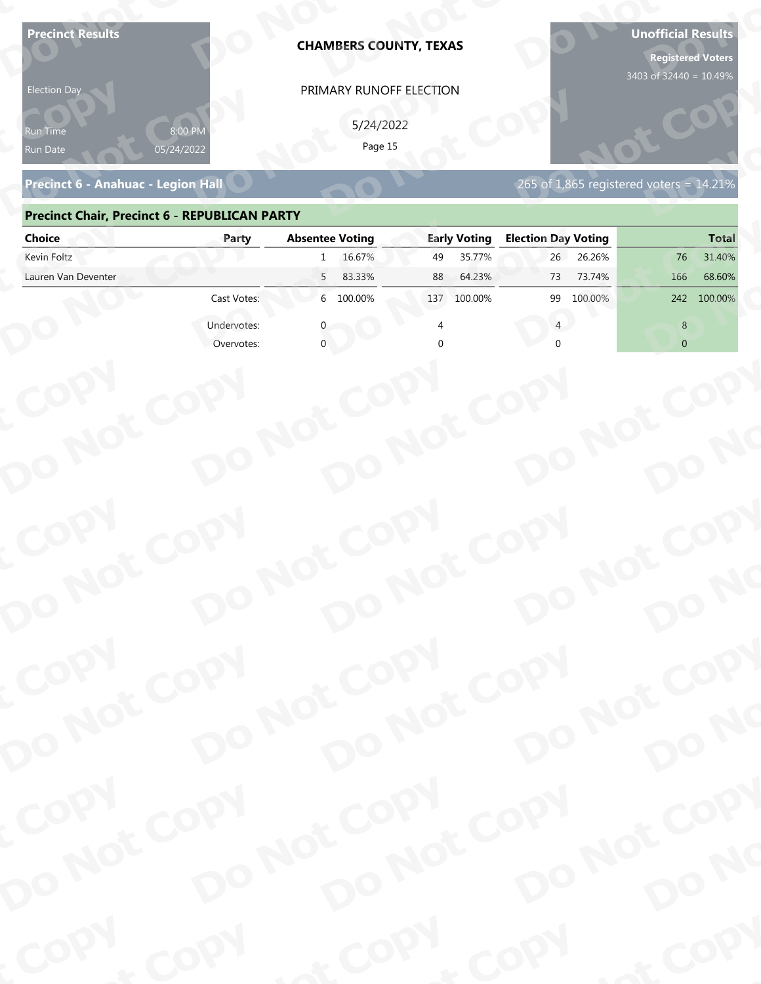| Precinct 6 - Anahuac - Legion Hall<br><b>Precinct Chair, Precinct 6 - REPUBLICAN PARTY</b><br><b>Election Day Voting</b><br><b>Absentee Voting</b><br><b>Early Voting</b><br><b>Choice</b><br>Party<br>Kevin Foltz<br>16.67%<br>35.77%<br>26.26%<br>26<br>76<br>49<br>$\mathbf{1}$<br>Lauren Van Deventer<br>5<br>83.33%<br>88<br>64.23%<br>73<br>73.74%<br>166<br>6 100.00%<br>Cast Votes:<br>100.00%<br>99<br>100.00%<br>137<br>242<br>Undervotes:<br>8<br>Overvotes:<br>$\overline{0}$ | 265 of 1,865 registered voters = 14.21%<br><b>Total</b><br>31.40%<br>68.60%<br>100.00%<br>COPY<br>DO NOT COPY<br>DO NOT COPY<br>DO NOT COPY<br>DO NOT COPY<br>DO NO<br>COPY<br>DO NOT COPY<br>DO NOT COPY<br>DO NOT COPY<br>DO NOT COPY<br>DO NO<br>COPY<br>DO NOT COPY<br>DO NOT COPY<br>DO NOT COPY<br>DO NOT COPY<br>DO NO<br>COPY<br>& COPY<br>of COPY | <b>Precinct Results</b><br><b>Election Day</b><br>የun Time<br>Run Date | 8:00 PM<br>05/24/2022 | <b>CHAMBERS COUNTY, TEXAS</b><br>PRIMARY RUNOFF ELECTION<br>5/24/2022<br>Page 15 |  | <b>Unofficial Results</b><br><b>Registered Voters</b><br>3403 of 32440 = 10.49% |
|-------------------------------------------------------------------------------------------------------------------------------------------------------------------------------------------------------------------------------------------------------------------------------------------------------------------------------------------------------------------------------------------------------------------------------------------------------------------------------------------|------------------------------------------------------------------------------------------------------------------------------------------------------------------------------------------------------------------------------------------------------------------------------------------------------------------------------------------------------------|------------------------------------------------------------------------|-----------------------|----------------------------------------------------------------------------------|--|---------------------------------------------------------------------------------|
|                                                                                                                                                                                                                                                                                                                                                                                                                                                                                           |                                                                                                                                                                                                                                                                                                                                                            |                                                                        |                       |                                                                                  |  |                                                                                 |
|                                                                                                                                                                                                                                                                                                                                                                                                                                                                                           |                                                                                                                                                                                                                                                                                                                                                            |                                                                        |                       |                                                                                  |  |                                                                                 |
|                                                                                                                                                                                                                                                                                                                                                                                                                                                                                           |                                                                                                                                                                                                                                                                                                                                                            |                                                                        |                       |                                                                                  |  |                                                                                 |
|                                                                                                                                                                                                                                                                                                                                                                                                                                                                                           |                                                                                                                                                                                                                                                                                                                                                            |                                                                        |                       |                                                                                  |  |                                                                                 |
|                                                                                                                                                                                                                                                                                                                                                                                                                                                                                           |                                                                                                                                                                                                                                                                                                                                                            |                                                                        |                       |                                                                                  |  |                                                                                 |
|                                                                                                                                                                                                                                                                                                                                                                                                                                                                                           |                                                                                                                                                                                                                                                                                                                                                            |                                                                        |                       |                                                                                  |  |                                                                                 |
|                                                                                                                                                                                                                                                                                                                                                                                                                                                                                           |                                                                                                                                                                                                                                                                                                                                                            |                                                                        |                       |                                                                                  |  |                                                                                 |
|                                                                                                                                                                                                                                                                                                                                                                                                                                                                                           |                                                                                                                                                                                                                                                                                                                                                            |                                                                        |                       |                                                                                  |  |                                                                                 |
|                                                                                                                                                                                                                                                                                                                                                                                                                                                                                           |                                                                                                                                                                                                                                                                                                                                                            |                                                                        |                       |                                                                                  |  |                                                                                 |
|                                                                                                                                                                                                                                                                                                                                                                                                                                                                                           |                                                                                                                                                                                                                                                                                                                                                            |                                                                        |                       |                                                                                  |  |                                                                                 |
|                                                                                                                                                                                                                                                                                                                                                                                                                                                                                           |                                                                                                                                                                                                                                                                                                                                                            |                                                                        |                       |                                                                                  |  |                                                                                 |

### **Precinct 6 - Anahuac - Legion Hall**

### **Precinct Chair, Precinct 6 - REPUBLICAN PARTY**

| <b>Election Day</b>                                  |                       | PRIMARY RUNOFF ELECTION    |                     |                                         |                |
|------------------------------------------------------|-----------------------|----------------------------|---------------------|-----------------------------------------|----------------|
| Run Time<br>Run Date                                 | 8:00 PM<br>05/24/2022 | 5/24/2022<br>Page 15       |                     |                                         |                |
| Precinct 6 - Anahuac - Legion Hall                   |                       |                            |                     | 265 of 1,865 registered voters = 14.21% |                |
| <b>Precinct Chair, Precinct 6 - REPUBLICAN PARTY</b> |                       |                            |                     |                                         |                |
| <b>Choice</b>                                        | Party                 | <b>Absentee Voting</b>     | <b>Early Voting</b> | <b>Election Day Voting</b>              | <b>Total</b>   |
| Kevin Foltz                                          |                       | 16.67%<br>$\mathbf{1}$     | 35.77%<br>49        | 26<br>26.26%                            | 31.40%<br>76   |
| Lauren Van Deventer                                  |                       | 83.33%<br>5 <sup>7</sup>   | 64.23%<br>88        | 73.74%<br>73                            | 166<br>68.60%  |
|                                                      | Cast Votes:           | 6 100.00%                  | 137 100.00%         | 100.00%<br>99                           | 242 100.00%    |
|                                                      | Undervotes:           |                            |                     |                                         | 8              |
|                                                      | Overvotes:            |                            |                     |                                         | $\overline{0}$ |
|                                                      |                       |                            |                     |                                         |                |
|                                                      |                       |                            |                     |                                         |                |
|                                                      |                       |                            |                     |                                         |                |
|                                                      |                       |                            |                     |                                         |                |
|                                                      |                       |                            |                     |                                         |                |
|                                                      |                       |                            |                     |                                         |                |
|                                                      |                       |                            |                     |                                         |                |
|                                                      |                       |                            |                     |                                         |                |
|                                                      |                       |                            |                     |                                         |                |
|                                                      |                       |                            |                     |                                         |                |
|                                                      |                       |                            |                     |                                         |                |
|                                                      |                       |                            |                     |                                         |                |
| COPY                                                 |                       |                            |                     |                                         |                |
|                                                      |                       |                            |                     |                                         |                |
|                                                      |                       |                            |                     |                                         | DO NO          |
|                                                      |                       |                            |                     |                                         |                |
| DO NOT COPY                                          |                       | DO NOT COPY<br>DO NOT COPY |                     | DO NOT COPY                             |                |
| COPY                                                 |                       |                            |                     |                                         |                |
|                                                      |                       |                            |                     |                                         |                |
|                                                      |                       |                            |                     |                                         |                |
|                                                      |                       |                            |                     |                                         |                |
|                                                      |                       |                            |                     |                                         |                |
| DO NOT COPY                                          |                       | DO NOT COPY<br>DO NOT COPY |                     | DO NOT COPY                             | DO NO          |
|                                                      |                       |                            |                     |                                         |                |
| <b>POO.</b>                                          | <b>And</b>            |                            | $P_{Q_0}$ .         | <b>LON</b>                              | ·ODW           |
|                                                      |                       |                            |                     |                                         |                |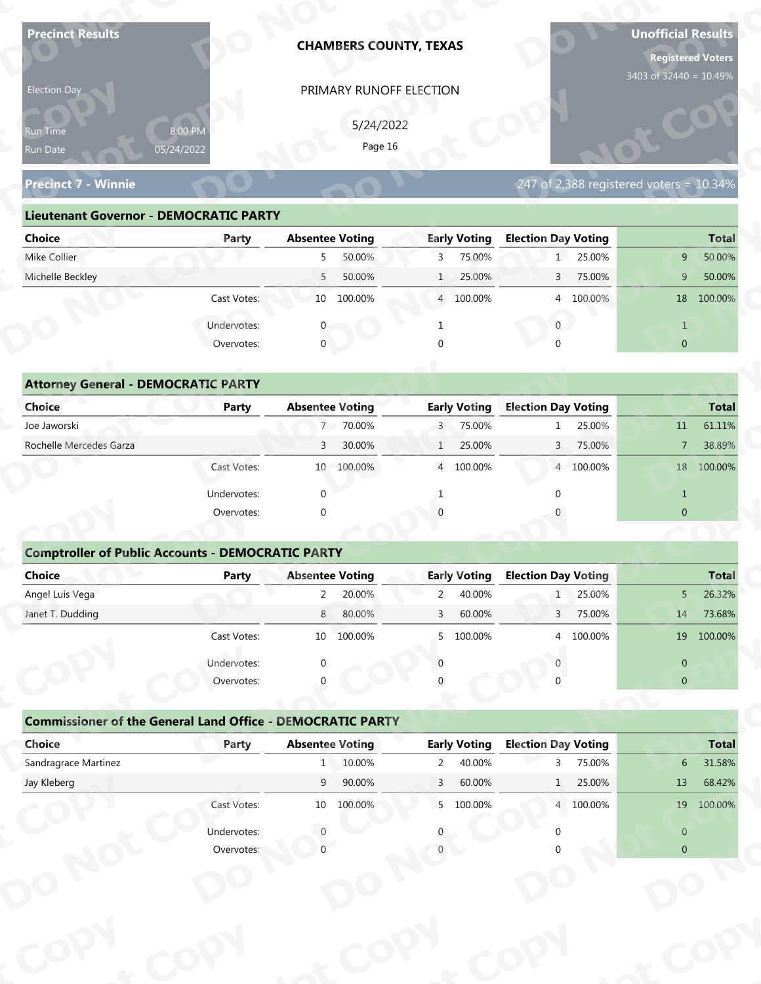| <b>Precinct Results</b>                                           |              |                        | <b>CHAMBERS COUNTY, TEXAS</b> |                |                     |                            |           | <b>Unofficial Results</b>                  | <b>Registered Voters</b> |
|-------------------------------------------------------------------|--------------|------------------------|-------------------------------|----------------|---------------------|----------------------------|-----------|--------------------------------------------|--------------------------|
| Election Day                                                      |              |                        | PRIMARY RUNOFF ELECTION       |                |                     |                            |           | 3403 of 32440 = 10.49%                     |                          |
|                                                                   |              |                        |                               |                |                     |                            |           |                                            |                          |
| Run Time                                                          | 8:00 PM      |                        | 5/24/2022<br>Page 16          |                |                     |                            |           |                                            |                          |
| Run Date                                                          | 05/24/2022   |                        |                               |                |                     |                            |           |                                            |                          |
| <b>Precinct 7 - Winnie</b>                                        |              |                        |                               |                |                     |                            |           | 247 of 2,388 registered voters = $10.34\%$ |                          |
| <b>Lieutenant Governor - DEMOCRATIC PARTY</b>                     |              |                        |                               |                |                     |                            |           |                                            |                          |
| <b>Choice</b>                                                     | Party        | <b>Absentee Voting</b> |                               |                | <b>Early Voting</b> | <b>Election Day Voting</b> |           |                                            | <b>Total</b>             |
| Mike Collier                                                      |              | 5                      | 50.00%                        | 3              | 75.00%              |                            | 1 25.00%  | 9                                          | 50.00%                   |
| Michelle Beckley                                                  |              | 5                      | 50.00%                        | $\mathbf{1}$   | 25.00%              | 3                          | 75.00%    | 9                                          | 50.00%                   |
|                                                                   | Cast Votes:  |                        | 10 100.00%                    |                | 4 100.00%           |                            | 4 100.00% |                                            | 18 100.00%               |
|                                                                   | Undervotes:  |                        |                               |                |                     | $\overline{0}$             |           | $\mathbf{1}$                               |                          |
|                                                                   | Overvotes:   | $\overline{0}$         |                               |                |                     |                            |           | $\overline{0}$                             |                          |
|                                                                   |              |                        |                               |                |                     |                            |           |                                            |                          |
| <b>Attorney General - DEMOCRATIC PARTY</b>                        |              |                        |                               |                |                     |                            |           |                                            |                          |
| <b>Choice</b>                                                     | <b>Party</b> | <b>Absentee Voting</b> |                               |                | <b>Early Voting</b> | <b>Election Day Voting</b> |           |                                            | <b>Total</b>             |
| Joe Jaworski                                                      |              |                        | 7 70.00%                      | 3              | 75.00%              |                            | 25.00%    | 11                                         | 61.11%                   |
| Rochelle Mercedes Garza                                           |              | 3                      | 30.00%                        | $\mathbf{1}$   | 25.00%              | 3                          | 75.00%    | $\overline{7}$                             | 38.89%                   |
|                                                                   | Cast Votes:  |                        | 10 100.00%                    |                | 4 100.00%           |                            | 4 100.00% |                                            | 18 100.00%               |
|                                                                   | Undervotes:  | $\Omega$               |                               | $\mathbf{1}$   |                     | $\Omega$                   |           | $\mathbf{1}$                               |                          |
|                                                                   | Overvotes:   | $\Omega$               |                               |                |                     |                            |           | $\overline{0}$                             |                          |
|                                                                   |              |                        |                               |                |                     |                            |           |                                            |                          |
| <b>Comptroller of Public Accounts - DEMOCRATIC PARTY</b>          |              |                        |                               |                |                     |                            |           |                                            |                          |
| Choice                                                            | <b>Party</b> | <b>Absentee Voting</b> |                               |                | <b>Early Voting</b> | <b>Election Day Voting</b> |           |                                            | <b>Total</b>             |
| Angel Luis Vega                                                   |              | $2^{\circ}$            | 20.00%                        | $\overline{2}$ | 40.00%              | 1                          | 25.00%    | $5 -$                                      | 26.32%                   |
| Janet T. Dudding                                                  |              | 8                      | 80.00%                        | 3              | 60.00%              | 3 <sup>7</sup>             | 75.00%    | 14                                         | 73.68%                   |
|                                                                   | Cast Votes:  |                        | 10 100.00%                    | 5              | 100.00%             |                            | 4 100.00% |                                            | 19 100.00%               |
|                                                                   | Undervotes:  | $\Omega$               |                               | $\Omega$       |                     |                            |           | $\overline{0}$                             |                          |
|                                                                   | Overvotes:   |                        |                               |                |                     |                            |           | $\overline{0}$                             |                          |
|                                                                   |              |                        |                               |                |                     |                            |           |                                            |                          |
| <b>Commissioner of the General Land Office - DEMOCRATIC PARTY</b> |              |                        |                               |                |                     |                            |           |                                            |                          |
| Choice                                                            | Party        | <b>Absentee Voting</b> |                               |                | <b>Early Voting</b> | <b>Election Day Voting</b> |           |                                            | <b>Total</b>             |
|                                                                   |              |                        | 1 10.00%                      | $\overline{2}$ | 40.00%              | 3                          | 75.00%    | 6                                          | 31.58%                   |
| Sandragrace Martinez                                              |              |                        | 90.00%                        | $\overline{3}$ | 60.00%              | 1                          | 25.00%    | 13                                         | 68.42%                   |
| Jay Kleberg                                                       |              | 9                      |                               |                |                     |                            |           |                                            |                          |
|                                                                   | Cast Votes:  |                        | 10 100.00%                    |                | 5 100.00%           |                            | 4 100.00% |                                            | 19 100.00%               |
|                                                                   | Undervotes:  |                        |                               |                |                     |                            |           | $\overline{0}$                             |                          |

| 5/24/2022<br>8:00 PM<br><b>Run Time</b><br>Page 16<br>05/24/2022<br>Run Date                                                 |
|------------------------------------------------------------------------------------------------------------------------------|
| 247 of 2,388 registered voters = 10.34%<br><b>Precinct 7 - Winnie</b>                                                        |
| <b>Lieutenant Governor - DEMOCRATIC PARTY</b>                                                                                |
| <b>Absentee Voting</b><br><b>Early Voting</b><br><b>Election Day Voting</b><br><b>Choice</b><br><b>Total</b><br>Party        |
| Mike Collier<br>50.00%<br>75.00%<br>1 25.00%<br>50.00%<br>3<br>9<br>5                                                        |
| Michelle Beckley<br>50.00%<br>25.00%<br>75.00%<br>50.00%<br>5 <sup>7</sup><br>9 <sup>°</sup><br>$\mathbf{3}$<br>$\mathbf{1}$ |
| 4 100.00%<br>Cast Votes:<br>10 100.00%<br>4 100.00%<br>18 100.00%                                                            |
| Undervotes:<br>$\overline{0}$                                                                                                |
| $\mathbf 0$<br>$\overline{0}$<br>Overvotes:<br>$\Omega$                                                                      |
|                                                                                                                              |
| <b>Attorney General - DEMOCRATIC PARTY</b>                                                                                   |
| <b>Early Voting</b><br><b>Choice</b><br><b>Absentee Voting</b><br><b>Election Day Voting</b><br>Party<br><b>Total</b>        |
| Joe Jaworski<br>7 70.00%<br>75.00%<br>25.00%<br>61.11%<br>3<br>11                                                            |
| Rochelle Mercedes Garza<br>30.00%<br>25.00%<br>75.00%<br>38.89%<br>$\mathbf{3}$<br>$\mathbf{3}$<br>7 <sup>1</sup>            |
| 100.00%<br>10 100.00%<br>100.00%<br>4 100.00%<br>Cast Votes:<br>18<br>$\overline{4}$                                         |

|                                                                   |                           |                          | PRIMARY RUNOFF ELECTION  |                                         |                                                                                                           |
|-------------------------------------------------------------------|---------------------------|--------------------------|--------------------------|-----------------------------------------|-----------------------------------------------------------------------------------------------------------|
|                                                                   |                           | 5/24/2022                |                          |                                         |                                                                                                           |
| Run Time                                                          | 8:00 PM                   | Page 16                  |                          |                                         |                                                                                                           |
| Run Date                                                          | 05/24/2022                |                          |                          |                                         |                                                                                                           |
| <b>Precinct 7 - Winnie</b>                                        |                           |                          |                          | 247 of 2,388 registered voters = 10.34% |                                                                                                           |
| <b>Lieutenant Governor - DEMOCRATIC PARTY</b>                     |                           |                          |                          |                                         |                                                                                                           |
| <b>Choice</b>                                                     | Party                     | <b>Absentee Voting</b>   | <b>Early Voting</b>      | <b>Election Day Voting</b>              | <b>Total</b>                                                                                              |
| Mike Collier                                                      |                           | 50.00%<br>5              | $\overline{3}$<br>75.00% | 1 25.00%                                | 50.00%<br>9                                                                                               |
| Michelle Beckley                                                  |                           | 50.00%<br>5              | 25.00%<br>1              | 75.00%<br>3 <sup>7</sup>                | 50.00%<br>9 <sup>°</sup>                                                                                  |
|                                                                   | Cast Votes:               | 10 100.00%               | 4 100.00%                | 4 100.00%                               | 18 100.00%                                                                                                |
|                                                                   | Undervotes:               | $\mathbf{0}$             | $\mathbf{1}$             | $\overline{0}$                          | $\mathbf{1}$                                                                                              |
|                                                                   | Overvotes:                | $\mathbf{0}$             | $\Omega$                 |                                         | $\overline{0}$                                                                                            |
|                                                                   |                           |                          |                          |                                         |                                                                                                           |
| <b>Attorney General - DEMOCRATIC PARTY</b>                        |                           |                          |                          |                                         |                                                                                                           |
| Choice                                                            | <b>Party</b>              | <b>Absentee Voting</b>   | <b>Early Voting</b>      | <b>Election Day Voting</b>              | <b>Total</b>                                                                                              |
| Joe Jaworski                                                      |                           | 7 70.00%                 | 75.00%<br>3              | 25.00%<br>1                             | 61.11%<br>11                                                                                              |
| Rochelle Mercedes Garza                                           |                           | 30.00%<br>3              | 25.00%<br>$\mathbf{1}$   | 75.00%<br>3                             | 38.89%<br>$\overline{7}$                                                                                  |
|                                                                   | Cast Votes:               | 10 100.00%               | 100.00%<br>4             | 4 100.00%                               | 18 100.00%                                                                                                |
|                                                                   |                           |                          |                          |                                         |                                                                                                           |
|                                                                   | Undervotes:               | $\Omega$                 |                          |                                         | $\mathbf{1}$                                                                                              |
|                                                                   | Overvotes:                | $\Omega$                 |                          |                                         | $\mathbf{0}$                                                                                              |
|                                                                   |                           |                          |                          |                                         |                                                                                                           |
| <b>Comptroller of Public Accounts - DEMOCRATIC PARTY</b>          |                           |                          |                          |                                         |                                                                                                           |
| <b>Choice</b>                                                     | <b>Party</b>              | <b>Absentee Voting</b>   | <b>Early Voting</b>      | <b>Election Day Voting</b>              |                                                                                                           |
| Angel Luis Vega                                                   |                           | 20.00%<br>$\overline{2}$ | 40.00%<br>2              | 25.00%<br>1                             | 5 <sup>5</sup>                                                                                            |
| Janet T. Dudding                                                  |                           | 8<br>80.00%              | 60.00%<br>3              | 75.00%<br>3                             | 14                                                                                                        |
|                                                                   | Cast Votes:               | 10 100.00%               | 5 100.00%                | 4 100.00%                               |                                                                                                           |
|                                                                   |                           |                          |                          |                                         | $\overline{0}$                                                                                            |
|                                                                   | Undervotes:<br>Overvotes: |                          |                          |                                         | $\overline{0}$                                                                                            |
|                                                                   |                           |                          |                          |                                         |                                                                                                           |
| <b>Commissioner of the General Land Office - DEMOCRATIC PARTY</b> |                           |                          |                          |                                         |                                                                                                           |
| Choice                                                            | Party                     | <b>Absentee Voting</b>   | <b>Early Voting</b>      | <b>Election Day Voting</b>              |                                                                                                           |
| Sandragrace Martinez                                              |                           | 1 10.00%                 | $2^{\circ}$<br>40.00%    | 75.00%<br>$\mathbf{3}$                  | 6 <sup>1</sup>                                                                                            |
| Jay Kleberg                                                       |                           | 90.00%<br>9              | 60.00%<br>$\mathbf{3}$   | 1 25.00%                                | 13                                                                                                        |
|                                                                   | Cast Votes:               | 10 100.00%               | 5 100.00%                | 4 100.00%                               |                                                                                                           |
|                                                                   | Undervotes:               |                          |                          |                                         | Total<br>26.32%<br>73.68%<br>19 100.00%<br><b>Total</b><br>31.58%<br>68.42%<br>19 100.00%<br>$\mathbf{0}$ |

### **Comptroller of Public Accounts - DEMOCRATIC PARTY**

| Choice                                                            | Party       | <b>Absentee Voting</b> |            |                | <b>Early Voting</b> | <b>Election Day Voting</b> |        |                 | <b>Total</b> |
|-------------------------------------------------------------------|-------------|------------------------|------------|----------------|---------------------|----------------------------|--------|-----------------|--------------|
| Joe Jaworski                                                      |             |                        | 7 70.00%   | 3 <sup>7</sup> | 75.00%              | 1                          | 25.00% | 11              | 61.11%       |
| Rochelle Mercedes Garza                                           |             | 3                      | 30.00%     | $\mathbf{1}$   | 25.00%              | $3 -$                      | 75.00% | $7\overline{ }$ | 38.89%       |
|                                                                   | Cast Votes: |                        | 10 100.00% |                | 4 100.00%           | 4 100.00%                  |        |                 | 18 100.00%   |
|                                                                   | Undervotes: | ∩                      |            |                |                     | $\Omega$                   |        | $\mathbf{1}$    |              |
|                                                                   | Overvotes:  | $\Omega$               |            |                |                     |                            |        | $\overline{0}$  |              |
| <b>Comptroller of Public Accounts - DEMOCRATIC PARTY</b>          |             |                        |            |                |                     |                            |        |                 |              |
| <b>Choice</b>                                                     | Party       | <b>Absentee Voting</b> |            |                | <b>Early Voting</b> | <b>Election Day Voting</b> |        |                 | <b>Total</b> |
| Angel Luis Vega                                                   |             | $\overline{2}$         | 20.00%     | $\overline{2}$ | 40.00%              | 1                          | 25.00% | 5 <sub>1</sub>  | 26.32%       |
| Janet T. Dudding                                                  |             | 8                      | 80.00%     | 3              | 60.00%              | 3 <sup>7</sup>             | 75.00% | 14              | 73.68%       |
|                                                                   | Cast Votes: |                        | 10 100.00% |                | 5 100.00%           | 4 100.00%                  |        |                 | 19 100.00%   |
|                                                                   |             |                        |            |                |                     |                            |        |                 |              |
|                                                                   | Undervotes: | ∩                      |            | U              |                     |                            |        | $\overline{0}$  |              |
|                                                                   | Overvotes:  |                        |            |                |                     |                            |        | $\mathbf 0$     |              |
| <b>Commissioner of the General Land Office - DEMOCRATIC PARTY</b> |             |                        |            |                |                     |                            |        |                 |              |
| Choice                                                            | Party       | <b>Absentee Voting</b> |            |                | <b>Early Voting</b> | <b>Election Day Voting</b> |        |                 | <b>Total</b> |
| Sandragrace Martinez                                              |             | 1                      | 10.00%     | $\overline{2}$ | 40.00%              | 3                          | 75.00% | 6               | 31.58%       |
| Jay Kleberg                                                       |             | 9                      | 90.00%     | $\mathbf{3}$   | 60.00%              | 1                          | 25.00% | 13              | 68.42%       |
|                                                                   | Cast Votes: |                        | 10 100.00% |                | 5 100.00%           | 4 100.00%                  |        |                 | 19 100.00%   |
|                                                                   | Undervotes: |                        |            |                |                     |                            |        | $\mathbf{0}$    |              |

|                                                                   | Cast votes. | TΩ                     | TOO'OO XQ | ⊃              | TOO'OO SO           | 4                          | TOO'OO NO |                | 12 100.00%   |
|-------------------------------------------------------------------|-------------|------------------------|-----------|----------------|---------------------|----------------------------|-----------|----------------|--------------|
|                                                                   | Undervotes: | $\Omega$               |           | 0              |                     |                            |           | $\Omega$       |              |
|                                                                   | Overvotes:  | $\Omega$               |           | 0              |                     |                            |           | $\overline{0}$ |              |
|                                                                   |             |                        |           |                |                     |                            |           |                |              |
| <b>Commissioner of the General Land Office - DEMOCRATIC PARTY</b> |             |                        |           |                |                     |                            |           |                |              |
| Choice                                                            | Party       | <b>Absentee Voting</b> |           |                | <b>Early Voting</b> | <b>Election Day Voting</b> |           |                | <b>Total</b> |
| Sandragrace Martinez                                              |             | 1                      | 10.00%    | $\overline{2}$ | 40.00%              | 3                          | 75.00%    | 6              | 31.58%       |
| Jay Kleberg                                                       |             | 9                      | 90.00%    | 3              | 60.00%              | 1                          | 25.00%    | 13             | 68.42%       |
|                                                                   | Cast Votes: | 10                     | 100.00%   |                | 5 100.00%           | $\overline{4}$             | 100.00%   | 19             | 100.00%      |
|                                                                   | Undervotes: |                        |           | 0              |                     |                            |           | $\overline{0}$ |              |
|                                                                   | Overvotes:  |                        |           |                |                     |                            |           | $\overline{0}$ |              |
|                                                                   |             |                        |           |                |                     |                            |           |                |              |
|                                                                   |             |                        |           |                |                     |                            |           |                |              |
|                                                                   |             |                        |           |                |                     |                            |           |                |              |
|                                                                   |             |                        |           |                |                     |                            |           |                |              |
|                                                                   |             |                        |           |                |                     |                            |           |                |              |
|                                                                   |             |                        |           |                |                     |                            |           |                |              |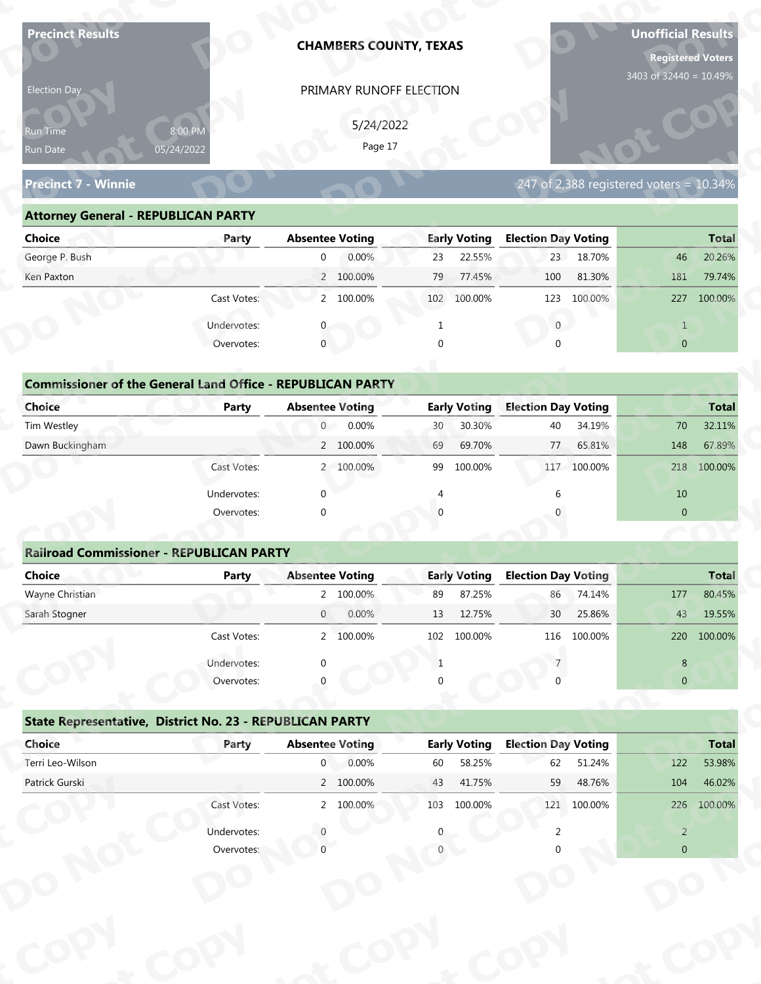| <b>Precinct Results</b>                                            |              |                                          | <b>CHAMBERS COUNTY, TEXAS</b> |                |                               |                                  |             | <b>Unofficial Results</b><br><b>Registered Voters</b><br>3403 of 32440 = 10.49% |                        |
|--------------------------------------------------------------------|--------------|------------------------------------------|-------------------------------|----------------|-------------------------------|----------------------------------|-------------|---------------------------------------------------------------------------------|------------------------|
| Election Day                                                       |              |                                          | PRIMARY RUNOFF ELECTION       |                |                               |                                  |             |                                                                                 |                        |
|                                                                    |              |                                          |                               |                |                               |                                  |             |                                                                                 |                        |
| Run Time                                                           | 8:00 PM      |                                          | 5/24/2022<br>Page 17          |                |                               |                                  |             |                                                                                 |                        |
| Run Date                                                           | 05/24/2022   |                                          |                               |                |                               |                                  |             |                                                                                 |                        |
| <b>Precinct 7 - Winnie</b>                                         |              |                                          |                               |                |                               |                                  |             | 247 of 2,388 registered voters = 10.34%                                         |                        |
| <b>Attorney General - REPUBLICAN PARTY</b>                         |              |                                          |                               |                |                               |                                  |             |                                                                                 |                        |
| <b>Choice</b>                                                      | Party        | <b>Absentee Voting</b>                   |                               |                | <b>Early Voting</b>           | <b>Election Day Voting</b>       |             |                                                                                 | <b>Total</b>           |
| George P. Bush                                                     |              | $\overline{0}$                           | 0.00%                         | 23             | 22.55%                        | 23                               | 18.70%      | 46                                                                              | 20.26%                 |
| Ken Paxton                                                         |              |                                          | 2 100.00%                     | 79             | 77.45%                        | 100                              | 81.30%      | 181                                                                             | 79.74%                 |
|                                                                    | Cast Votes:  |                                          | 2 100.00%                     |                | 102 100.00%                   | 123                              | 100.00%     | 227                                                                             | 100.00%                |
|                                                                    | Undervotes:  |                                          |                               |                |                               | $\mathbf{0}$                     |             | $\mathbf{1}$                                                                    |                        |
|                                                                    | Overvotes:   | $\mathbf{0}$                             |                               | $\Omega$       |                               |                                  |             | $\overline{0}$                                                                  |                        |
|                                                                    |              |                                          |                               |                |                               |                                  |             |                                                                                 |                        |
| <b>Commissioner of the General Land Office - REPUBLICAN PARTY</b>  |              |                                          |                               |                |                               |                                  |             |                                                                                 |                        |
| <b>Choice</b>                                                      | <b>Party</b> | <b>Absentee Voting</b>                   |                               |                | <b>Early Voting</b>           | <b>Election Day Voting</b>       |             |                                                                                 | <b>Total</b>           |
| Tim Westley                                                        |              | $\overline{0}$                           | 0.00%                         | 30             | 30.30%                        | 40                               | 34.19%      | 70                                                                              | 32.11%                 |
| Dawn Buckingham                                                    |              |                                          | 2 100.00%                     | 69             | 69.70%                        | 77                               | 65.81%      | 148                                                                             | 67.89%                 |
|                                                                    | Cast Votes:  |                                          | 2 100.00%                     |                | 99 100.00%                    | 117                              | 100.00%     | 218                                                                             | 100.00%                |
|                                                                    | Undervotes:  | $\Omega$                                 |                               | $\overline{4}$ |                               | 6                                |             | 10                                                                              |                        |
|                                                                    | Overvotes:   | $\Omega$                                 |                               |                |                               |                                  |             | $\overline{0}$                                                                  |                        |
|                                                                    |              |                                          |                               |                |                               |                                  |             |                                                                                 |                        |
| <b>Railroad Commissioner - REPUBLICAN PARTY</b>                    |              |                                          |                               |                |                               |                                  |             |                                                                                 |                        |
| <b>Choice</b>                                                      | <b>Party</b> | <b>Absentee Voting</b>                   |                               |                | <b>Early Voting</b>           | <b>Election Day Voting</b>       |             |                                                                                 | <b>Total</b>           |
| Wayne Christian                                                    |              |                                          | 2 100.00%                     | 89             | 87.25%                        | 86                               | 74.14%      | 177                                                                             | 80.45%                 |
| Sarah Stogner                                                      |              | $\overline{0}$                           | 0.00%                         | 13             | 12.75%                        | 30                               | 25.86%      | 43                                                                              | 19.55%                 |
|                                                                    | Cast Votes:  |                                          | 2 100.00%                     | 102            | 100.00%                       | 116                              | 100.00%     | 220                                                                             | 100.00%                |
|                                                                    | Undervotes:  |                                          |                               | $\mathbf{1}$   |                               |                                  |             | 8                                                                               |                        |
|                                                                    | Overvotes:   |                                          |                               |                |                               |                                  |             | $\overline{0}$                                                                  |                        |
|                                                                    |              |                                          |                               |                |                               |                                  |             |                                                                                 |                        |
| State Representative, District No. 23 - REPUBLICAN PARTY<br>Choice |              |                                          |                               |                |                               |                                  |             |                                                                                 |                        |
| Terri Leo-Wilson                                                   | Party        | <b>Absentee Voting</b><br>$\overline{0}$ | 0.00%                         | 60             | <b>Early Voting</b><br>58.25% | <b>Election Day Voting</b><br>62 | 51.24%      | 122                                                                             | <b>Total</b><br>53.98% |
| Patrick Gurski                                                     |              |                                          | 2 100.00%                     | 43             | 41.75%                        | 59                               | 48.76%      | 104                                                                             | 46.02%                 |
|                                                                    | Cast Votes:  |                                          | 2 100.00%                     |                | 103 100.00%                   |                                  | 121 100.00% |                                                                                 | 226 100.00%            |
|                                                                    |              |                                          |                               |                |                               |                                  |             |                                                                                 |                        |
|                                                                    | Undervotes:  |                                          |                               |                |                               |                                  |             | $\overline{2}$                                                                  |                        |
|                                                                    | Overvotes:   |                                          |                               |                |                               |                                  |             | $\Omega$                                                                        |                        |

| Election Day                                                      |                       | PRIMARY RUNOFF ELECTION |                           |                                         |                |
|-------------------------------------------------------------------|-----------------------|-------------------------|---------------------------|-----------------------------------------|----------------|
| Run Time<br>Run Date                                              | 8:00 PM<br>05/24/2022 | 5/24/2022<br>Page 17    |                           |                                         |                |
| <b>Precinct 7 - Winnie</b>                                        |                       |                         |                           | 247 of 2,388 registered voters = 10.34% |                |
| <b>Attorney General - REPUBLICAN PARTY</b>                        |                       |                         |                           |                                         |                |
| <b>Choice</b>                                                     | Party                 | <b>Absentee Voting</b>  | <b>Early Voting</b>       | <b>Election Day Voting</b>              | <b>Total</b>   |
| George P. Bush                                                    |                       | 0.00%<br>$\overline{0}$ | 22.55%<br>23              | 23<br>18.70%                            | 20.26%<br>46   |
| Ken Paxton                                                        |                       | 2 100.00%               | 77.45%<br>79              | 81.30%<br>100                           | 79.74%<br>181  |
|                                                                   | Cast Votes:           | 2 100.00%               | 102 100.00%               | 100.00%<br>123                          | 227<br>100.00% |
|                                                                   | Undervotes:           |                         |                           | $\overline{0}$                          |                |
|                                                                   | Overvotes:            | $\mathbf 0$             |                           |                                         | $\overline{0}$ |
|                                                                   |                       |                         |                           |                                         |                |
| <b>Commissioner of the General Land Office - REPUBLICAN PARTY</b> |                       |                         |                           |                                         |                |
| <b>Choice</b>                                                     | Party                 | <b>Absentee Voting</b>  | <b>Early Voting</b>       | <b>Election Day Voting</b>              | <b>Total</b>   |
| Tim Westley                                                       |                       | 0.00%<br>$\overline{0}$ | 30.30%<br>30 <sup>°</sup> | 40<br>34.19%                            | 70<br>32.11%   |
| Dawn Buckingham                                                   |                       | 2 100.00%               | 69.70%<br>69              | 77<br>65.81%                            | 148<br>67.89%  |
|                                                                   | Cast Votes:           | 2 100.00%               | 99<br>100.00%             | 100.00%<br>117                          | 100.00%<br>218 |

| <b>Choice</b>                                                     | Party       | <b>Absentee Voting</b> | <b>Early Voting</b> | <b>Election Day Voting</b>  | <b>Total</b>         |
|-------------------------------------------------------------------|-------------|------------------------|---------------------|-----------------------------|----------------------|
| George P. Bush                                                    |             | 0.00%<br>0             | 22.55%<br>23        | 18.70%<br>23                | 20.26%<br>46         |
| Ken Paxton                                                        |             | 2 100.00%              | 79<br>77.45%        | 100<br>81.30%               | 181<br>79.74%        |
|                                                                   |             |                        |                     |                             |                      |
|                                                                   | Cast Votes: | 2 100.00%              | 102<br>100.00%      | 100.00%<br>123              | 100.00%<br>227       |
|                                                                   | Undervotes: |                        |                     | $\mathbf{0}$                | $\mathbf{1}$         |
|                                                                   | Overvotes:  | $\mathbf{0}$           | 0                   | $\Omega$                    | $\overline{0}$       |
|                                                                   |             |                        |                     |                             |                      |
| <b>Commissioner of the General Land Office - REPUBLICAN PARTY</b> |             |                        |                     |                             |                      |
| Choice                                                            | Party       | <b>Absentee Voting</b> | <b>Early Voting</b> | <b>Election Day Voting</b>  | <b>Total</b>         |
| Tim Westley                                                       |             | 0.00%<br>0             | 30.30%<br>30        | 34.19%<br>40                | 32.11%<br>70         |
| Dawn Buckingham                                                   |             | 2 100.00%              | 69.70%<br>69        | 77<br>65.81%                | 67.89%<br>148        |
|                                                                   | Cast Votes: | 2 100.00%              | 99<br>100.00%       | 117 100.00%                 | 100.00%<br>218       |
|                                                                   | Undervotes: | $\Omega$               |                     |                             | 10                   |
|                                                                   | Overvotes:  | $\mathbf{0}$           | $\Omega$            |                             | $\mathbf{0}$         |
|                                                                   |             |                        |                     |                             |                      |
| <b>Railroad Commissioner - REPUBLICAN PARTY</b>                   |             |                        |                     |                             |                      |
| Choice                                                            | Party       | <b>Absentee Voting</b> | <b>Early Voting</b> | <b>Election Day Voting</b>  | <b>Total</b>         |
| Wayne Christian                                                   |             | 2 100.00%              | 87.25%<br>89        | 74.14%<br>86                | 80.45%<br>177        |
| Carole Champan                                                    |             | 0.0001<br>$\cap$       | 12.7770             | $2F$ $0.00$<br>$20^{\circ}$ | 10 FF0/<br>$\Lambda$ |

|                                                                   |                           | PRIMARY RUNOFF ELECTION |                     |                                         |                                                                                                                      |  |  |
|-------------------------------------------------------------------|---------------------------|-------------------------|---------------------|-----------------------------------------|----------------------------------------------------------------------------------------------------------------------|--|--|
|                                                                   |                           | 5/24/2022               |                     |                                         |                                                                                                                      |  |  |
| Run Time                                                          | 8:00 PM                   | Page 17                 |                     |                                         |                                                                                                                      |  |  |
| Run Date                                                          | 05/24/2022                |                         |                     |                                         |                                                                                                                      |  |  |
| <b>Precinct 7 - Winnie</b>                                        |                           |                         |                     | 247 of 2,388 registered voters = 10.34% |                                                                                                                      |  |  |
| <b>Attorney General - REPUBLICAN PARTY</b>                        |                           |                         |                     |                                         |                                                                                                                      |  |  |
| <b>Choice</b>                                                     | Party                     | <b>Absentee Voting</b>  | <b>Early Voting</b> | <b>Election Day Voting</b>              | <b>Total</b>                                                                                                         |  |  |
| George P. Bush                                                    |                           | 0.00%<br>$\overline{0}$ | 22.55%<br>23        | 23<br>18.70%                            | 20.26%<br>46                                                                                                         |  |  |
| Ken Paxton                                                        |                           | 2 100.00%               | 79<br>77.45%        | 81.30%<br>100                           | 181<br>79.74%                                                                                                        |  |  |
|                                                                   | Cast Votes:               | 2 100.00%               | 102 100.00%         | 123 100.00%                             | 227 100.00%                                                                                                          |  |  |
|                                                                   | Undervotes:               | 0                       | 1                   | $\mathbf{0}$                            | $\mathbf{1}$                                                                                                         |  |  |
|                                                                   | Overvotes:                | $\mathbf{0}$            | $\Omega$            | $\Omega$                                | $\overline{0}$                                                                                                       |  |  |
|                                                                   |                           |                         |                     |                                         |                                                                                                                      |  |  |
| <b>Commissioner of the General Land Office - REPUBLICAN PARTY</b> |                           |                         |                     |                                         |                                                                                                                      |  |  |
| <b>Choice</b>                                                     | Party                     | <b>Absentee Voting</b>  | <b>Early Voting</b> | <b>Election Day Voting</b>              | <b>Total</b>                                                                                                         |  |  |
| Tim Westley                                                       |                           | 0.00%<br>$\overline{0}$ | 30.30%<br>30        | 34.19%<br>40                            | 32.11%<br>70                                                                                                         |  |  |
| Dawn Buckingham                                                   |                           | 2 100.00%               | 69.70%<br>69        | 77<br>65.81%                            | 148<br>67.89%                                                                                                        |  |  |
|                                                                   | Cast Votes:               | 2 100.00%               | 100.00%<br>99       | 100.00%<br>117                          | 218 100.00%                                                                                                          |  |  |
|                                                                   | Undervotes:               | $\Omega$                |                     |                                         | 10                                                                                                                   |  |  |
|                                                                   | Overvotes:                | $\Omega$                |                     |                                         | $\overline{0}$                                                                                                       |  |  |
|                                                                   |                           |                         |                     |                                         |                                                                                                                      |  |  |
|                                                                   |                           |                         |                     |                                         |                                                                                                                      |  |  |
| <b>Railroad Commissioner - REPUBLICAN PARTY</b>                   |                           |                         |                     |                                         |                                                                                                                      |  |  |
| <b>Choice</b>                                                     | <b>Party</b>              | <b>Absentee Voting</b>  | <b>Early Voting</b> | <b>Election Day Voting</b>              |                                                                                                                      |  |  |
| Wayne Christian                                                   |                           | 2 100.00%               | 87.25%<br>89        | 86<br>74.14%                            | 177                                                                                                                  |  |  |
| Sarah Stogner                                                     |                           | 0.00%<br>$\overline{0}$ | 12.75%<br>13        | 25.86%<br>30                            | 43                                                                                                                   |  |  |
|                                                                   | Cast Votes:               | 2 100.00%               | 102 100.00%         | 116 100 00%                             |                                                                                                                      |  |  |
|                                                                   |                           |                         | -1                  |                                         | 8                                                                                                                    |  |  |
|                                                                   | Undervotes:<br>Overvotes: |                         |                     |                                         | $\overline{0}$                                                                                                       |  |  |
|                                                                   |                           |                         |                     |                                         |                                                                                                                      |  |  |
| State Representative, District No. 23 - REPUBLICAN PARTY          |                           |                         |                     |                                         |                                                                                                                      |  |  |
| Choice                                                            | Party                     | <b>Absentee Voting</b>  | <b>Early Voting</b> | <b>Election Day Voting</b>              |                                                                                                                      |  |  |
| Terri Leo-Wilson                                                  |                           | 0.00%<br>$\overline{0}$ | 58.25%<br>60        | 51.24%<br>62                            | 122                                                                                                                  |  |  |
| Patrick Gurski                                                    |                           | 2 100.00%               | 43<br>41.75%        | 59<br>48.76%                            | 104                                                                                                                  |  |  |
|                                                                   | Cast Votes:               | 2 100.00%               | 103 100.00%         | 121 100.00%                             |                                                                                                                      |  |  |
|                                                                   | Undervotes:               |                         |                     |                                         | <b>Total</b><br>80.45%<br>19.55%<br>220 100.00%<br><b>Total</b><br>53.98%<br>46.02%<br>226 100.00%<br>$\overline{2}$ |  |  |

|                                                          | Cast votes. |             | 2, 100.0076            | TOT | TOO'OO NO           | TTO                        | LUU.UU 70 |                | ZZU 100.00%  |
|----------------------------------------------------------|-------------|-------------|------------------------|-----|---------------------|----------------------------|-----------|----------------|--------------|
|                                                          | Undervotes: | $\Omega$    |                        |     |                     |                            |           | 8              |              |
|                                                          | Overvotes:  | $\Omega$    |                        | 0   |                     |                            |           | $\overline{0}$ |              |
| State Representative, District No. 23 - REPUBLICAN PARTY |             |             |                        |     |                     |                            |           |                |              |
| Choice                                                   | Party       |             | <b>Absentee Voting</b> |     | <b>Early Voting</b> | <b>Election Day Voting</b> |           |                | <b>Total</b> |
| Terri Leo-Wilson                                         |             | $\mathbf 0$ | 0.00%                  | 60  | 58.25%              | 62                         | 51.24%    | 122            | 53.98%       |
| Patrick Gurski                                           |             |             | 2 100.00%              | 43  | 41.75%              | 59                         | 48.76%    | 104            | 46.02%       |
|                                                          | Cast Votes: |             | 2 100.00%              | 103 | 100.00%             | 121                        | 100.00%   | 226            | 100.00%      |
|                                                          | Undervotes: |             |                        | 0   |                     |                            |           | 2              |              |
|                                                          | Overvotes:  |             |                        |     |                     |                            |           | $\overline{0}$ |              |
|                                                          |             |             |                        |     |                     |                            |           |                |              |
|                                                          |             |             |                        |     |                     |                            |           |                |              |
|                                                          |             |             |                        |     |                     |                            |           |                |              |
|                                                          |             |             |                        |     |                     |                            |           |                |              |
|                                                          |             |             |                        |     |                     |                            |           |                |              |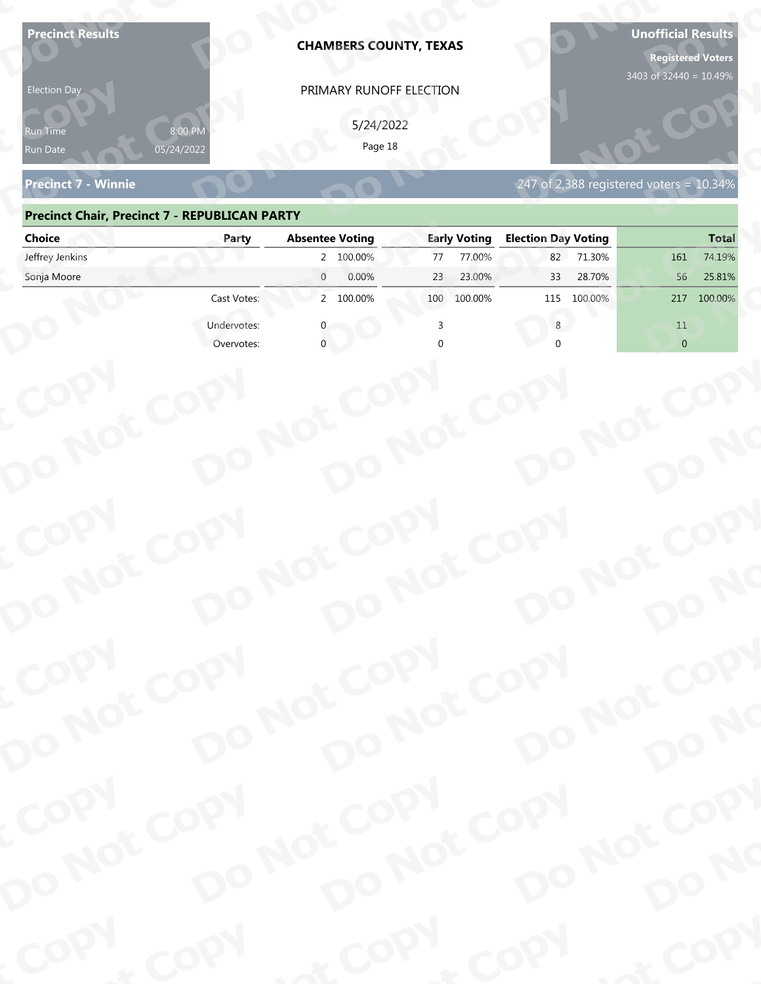| 05/24/2022<br><b>Precinct 7 - Winnie</b><br>247 of 2,388 registered voters = 10.34%<br><b>Precinct Chair, Precinct 7 - REPUBLICAN PARTY</b><br><b>Election Day Voting</b><br><b>Absentee Voting</b><br><b>Early Voting</b><br><b>Choice</b><br>Party<br>Jeffrey Jenkins<br>2 100.00%<br>77.00%<br>71.30%<br>77<br>82<br>161<br>Sonja Moore<br>$\overline{0}$<br>0.00%<br>25.81%<br>23<br>23.00%<br>33<br>28.70%<br>56<br>2 100.00%<br>Cast Votes:<br>100.00%<br>115<br>100.00%<br>100.00%<br>100<br>217<br>Undervotes:<br>11<br>$\overline{0}$<br>Overvotes:<br>COPY<br>DO NOT COPY<br>DO NOT COPY<br>DO NOT COPY<br>DO NOT COPY<br>DO NO<br>COPY | <b>Election Day</b><br>የun Time | 8:00 PN | <b>CHAMBERS COUNTY, TEXAS</b><br>PRIMARY RUNOFF ELECTION<br>5/24/2022 |      | <b>Registered Voters</b><br>3403 of 32440 = 10.49% |
|---------------------------------------------------------------------------------------------------------------------------------------------------------------------------------------------------------------------------------------------------------------------------------------------------------------------------------------------------------------------------------------------------------------------------------------------------------------------------------------------------------------------------------------------------------------------------------------------------------------------------------------------------|---------------------------------|---------|-----------------------------------------------------------------------|------|----------------------------------------------------|
|                                                                                                                                                                                                                                                                                                                                                                                                                                                                                                                                                                                                                                                   | Run Date                        |         | Page 18                                                               |      |                                                    |
|                                                                                                                                                                                                                                                                                                                                                                                                                                                                                                                                                                                                                                                   |                                 |         |                                                                       |      |                                                    |
|                                                                                                                                                                                                                                                                                                                                                                                                                                                                                                                                                                                                                                                   |                                 |         |                                                                       |      | <b>Total</b>                                       |
|                                                                                                                                                                                                                                                                                                                                                                                                                                                                                                                                                                                                                                                   |                                 |         |                                                                       |      | 74.19%                                             |
|                                                                                                                                                                                                                                                                                                                                                                                                                                                                                                                                                                                                                                                   |                                 |         |                                                                       |      |                                                    |
|                                                                                                                                                                                                                                                                                                                                                                                                                                                                                                                                                                                                                                                   |                                 |         |                                                                       |      |                                                    |
|                                                                                                                                                                                                                                                                                                                                                                                                                                                                                                                                                                                                                                                   |                                 |         |                                                                       |      |                                                    |
|                                                                                                                                                                                                                                                                                                                                                                                                                                                                                                                                                                                                                                                   |                                 |         |                                                                       |      |                                                    |
|                                                                                                                                                                                                                                                                                                                                                                                                                                                                                                                                                                                                                                                   |                                 |         |                                                                       |      |                                                    |
| DO NOT COPY                                                                                                                                                                                                                                                                                                                                                                                                                                                                                                                                                                                                                                       |                                 |         |                                                                       |      |                                                    |
| DO NOT COPY<br>DO NOT COPY<br>DO NOT COPY<br>DO NO                                                                                                                                                                                                                                                                                                                                                                                                                                                                                                                                                                                                |                                 |         |                                                                       |      |                                                    |
| COPY<br>DO NOT COPY<br>DO NOT COPY<br>DO NOT COPY<br>DO NOT COPY<br>DO NO                                                                                                                                                                                                                                                                                                                                                                                                                                                                                                                                                                         | COPY                            | COPY    | & COPY                                                                | COPY | of COPY                                            |

### **Precinct Chair, Precinct 7 - REPUBLICAN PARTY**

| <b>Election Day</b>                                  |                       | PRIMARY RUNOFF ELECTION    |                     |                                         |                |
|------------------------------------------------------|-----------------------|----------------------------|---------------------|-----------------------------------------|----------------|
| Run Time<br>Run Date                                 | 8:00 PM<br>05/24/2022 | 5/24/2022<br>Page 18       |                     |                                         |                |
| <b>Precinct 7 - Winnie</b>                           |                       |                            |                     | 247 of 2,388 registered voters = 10.34% |                |
| <b>Precinct Chair, Precinct 7 - REPUBLICAN PARTY</b> |                       |                            |                     |                                         |                |
| <b>Choice</b>                                        | Party                 | <b>Absentee Voting</b>     | <b>Early Voting</b> | <b>Election Day Voting</b>              | <b>Total</b>   |
| Jeffrey Jenkins                                      |                       | 2 100.00%                  | 77.00%<br>77        | 82<br>71.30%                            | 74.19%<br>161  |
| Sonja Moore                                          |                       | $\overline{0}$<br>0.00%    | 23.00%<br>23        | 28.70%<br>33                            | 25.81%<br>56   |
|                                                      | Cast Votes:           | 2 100.00%                  | 100 100.00%         | 115 100.00%                             | 217 100.00%    |
|                                                      | Undervotes:           |                            |                     | 8                                       | 11             |
|                                                      | Overvotes:            |                            |                     |                                         | $\overline{0}$ |
|                                                      |                       |                            |                     |                                         |                |
|                                                      |                       |                            |                     |                                         |                |
|                                                      |                       |                            |                     |                                         |                |
|                                                      |                       |                            |                     |                                         |                |
|                                                      |                       |                            |                     |                                         |                |
|                                                      |                       |                            |                     |                                         |                |
|                                                      |                       |                            |                     |                                         |                |
|                                                      |                       |                            |                     |                                         |                |
|                                                      |                       |                            |                     |                                         |                |
|                                                      |                       |                            |                     |                                         |                |
|                                                      |                       |                            |                     |                                         |                |
|                                                      |                       |                            |                     |                                         |                |
| COPY<br>DO NOT COPY                                  |                       | DO NOT COPY<br>DO NOT COPY |                     | DO NOT COPY                             |                |
|                                                      |                       |                            |                     |                                         |                |
|                                                      |                       |                            |                     |                                         |                |
|                                                      |                       |                            |                     |                                         | DO NO          |
|                                                      |                       |                            |                     |                                         |                |
|                                                      |                       |                            |                     |                                         |                |
|                                                      |                       |                            |                     |                                         |                |
|                                                      |                       |                            |                     |                                         |                |
| COPY                                                 |                       |                            |                     |                                         |                |
|                                                      |                       |                            |                     |                                         |                |
| DO NOT COPY                                          |                       | DO NOT COPY<br>DO NOT COPY |                     | DO NOT COPY                             | DO NO          |
|                                                      |                       |                            |                     |                                         |                |
| <b>POO.</b>                                          | <b>And</b>            |                            | $P_{\rm O_2}$       | <b>LON</b>                              | ·ODW           |
|                                                      |                       |                            |                     |                                         |                |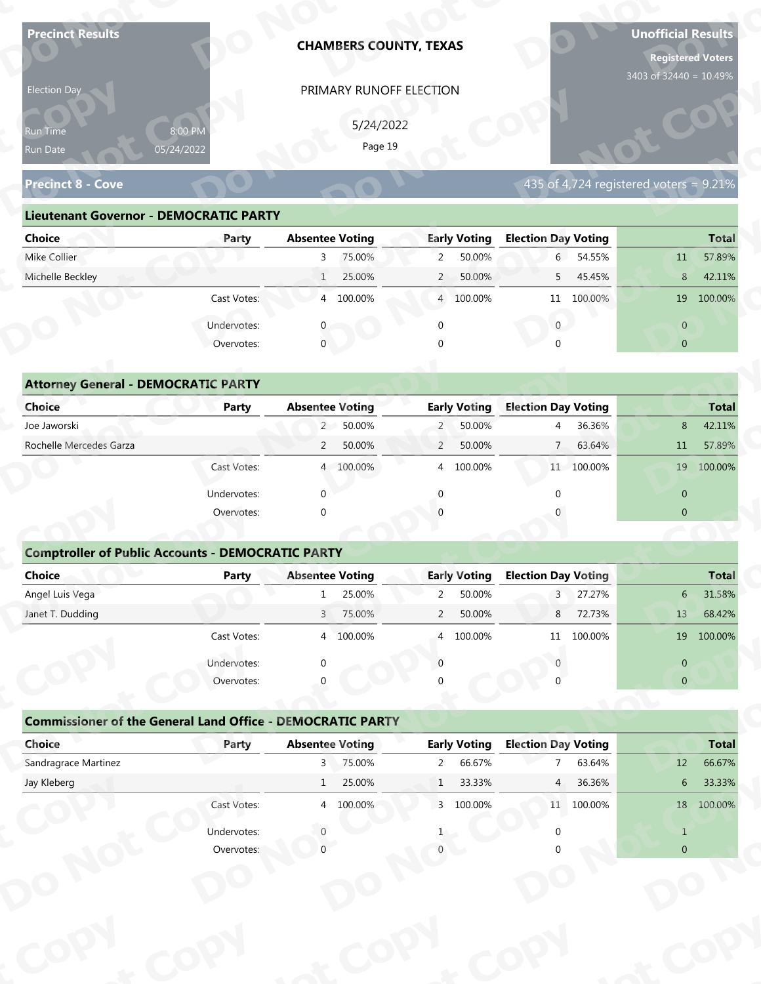| 3403 of 32440 = 10.49%<br>PRIMARY RUNOFF ELECTION<br>Election Day<br>5/24/2022<br>8:00 PM<br>Run Time<br>Page 19<br>05/24/2022<br>Run Date<br>435 of 4,724 registered voters = $9.21\%$<br><b>Precinct 8 - Cove</b><br><b>Lieutenant Governor - DEMOCRATIC PARTY</b><br><b>Election Day Voting</b><br><b>Absentee Voting</b><br><b>Early Voting</b><br><b>Choice</b><br>Party<br>Mike Collier<br>75.00%<br>$\overline{2}$<br>50.00%<br>6 54.55%<br>$\overline{3}$<br>11<br>Michelle Beckley<br>25.00%<br>$\overline{2}$<br>50.00%<br>45.45%<br>$8\phantom{.}$<br>$\mathbf{1}$<br>5<br>4 100.00%<br>Cast Votes:<br>4 100.00%<br>11 100.00% | <b>Total</b>     |
|-------------------------------------------------------------------------------------------------------------------------------------------------------------------------------------------------------------------------------------------------------------------------------------------------------------------------------------------------------------------------------------------------------------------------------------------------------------------------------------------------------------------------------------------------------------------------------------------------------------------------------------------|------------------|
|                                                                                                                                                                                                                                                                                                                                                                                                                                                                                                                                                                                                                                           |                  |
|                                                                                                                                                                                                                                                                                                                                                                                                                                                                                                                                                                                                                                           |                  |
|                                                                                                                                                                                                                                                                                                                                                                                                                                                                                                                                                                                                                                           |                  |
|                                                                                                                                                                                                                                                                                                                                                                                                                                                                                                                                                                                                                                           |                  |
|                                                                                                                                                                                                                                                                                                                                                                                                                                                                                                                                                                                                                                           |                  |
|                                                                                                                                                                                                                                                                                                                                                                                                                                                                                                                                                                                                                                           |                  |
|                                                                                                                                                                                                                                                                                                                                                                                                                                                                                                                                                                                                                                           |                  |
|                                                                                                                                                                                                                                                                                                                                                                                                                                                                                                                                                                                                                                           | 57.89%           |
|                                                                                                                                                                                                                                                                                                                                                                                                                                                                                                                                                                                                                                           | 42.11%           |
|                                                                                                                                                                                                                                                                                                                                                                                                                                                                                                                                                                                                                                           | 19 100.00%       |
| Undervotes:<br>$\mathbf{0}$<br>$\mathbf 0$<br>$\overline{0}$                                                                                                                                                                                                                                                                                                                                                                                                                                                                                                                                                                              |                  |
| $\overline{0}$<br>$\overline{0}$<br>Overvotes:                                                                                                                                                                                                                                                                                                                                                                                                                                                                                                                                                                                            |                  |
|                                                                                                                                                                                                                                                                                                                                                                                                                                                                                                                                                                                                                                           |                  |
| <b>Attorney General - DEMOCRATIC PARTY</b>                                                                                                                                                                                                                                                                                                                                                                                                                                                                                                                                                                                                |                  |
| <b>Election Day Voting</b><br><b>Choice</b><br><b>Absentee Voting</b><br><b>Early Voting</b><br><b>Party</b>                                                                                                                                                                                                                                                                                                                                                                                                                                                                                                                              | <b>Total</b>     |
| 2 50.00%<br>50.00%<br>36.36%<br>8<br>Joe Jaworski<br>$\overline{2}$<br>4<br>Rochelle Mercedes Garza<br>50.00%<br>$\overline{2}$<br>50.00%<br>63.64%<br>$\overline{2}$<br>$\overline{7}$<br>11                                                                                                                                                                                                                                                                                                                                                                                                                                             | 42.11%<br>57.89% |
| Cast Votes:<br>4 100.00%<br>4 100.00%<br>11 100.00%                                                                                                                                                                                                                                                                                                                                                                                                                                                                                                                                                                                       | 19 100.00%       |
|                                                                                                                                                                                                                                                                                                                                                                                                                                                                                                                                                                                                                                           |                  |
| $\mathbf{0}$<br>$\Omega$<br>$\overline{0}$<br>Undervotes:<br>$\Omega$                                                                                                                                                                                                                                                                                                                                                                                                                                                                                                                                                                     |                  |
| Overvotes:<br>$\Omega$<br>$\overline{0}$                                                                                                                                                                                                                                                                                                                                                                                                                                                                                                                                                                                                  |                  |
| <b>Comptroller of Public Accounts - DEMOCRATIC PARTY</b>                                                                                                                                                                                                                                                                                                                                                                                                                                                                                                                                                                                  |                  |
| Choice<br><b>Absentee Voting</b><br><b>Early Voting</b><br><b>Election Day Voting</b><br>Party                                                                                                                                                                                                                                                                                                                                                                                                                                                                                                                                            | <b>Total</b>     |
| Angel Luis Vega<br>25.00%<br>50.00%<br>$\overline{3}$<br>27.27%<br>1<br>$\overline{2}$                                                                                                                                                                                                                                                                                                                                                                                                                                                                                                                                                    | 31.58%<br>$6-$   |
| Janet T. Dudding<br>3 75.00%<br>50.00%<br>8 72.73%<br>$\overline{2}$<br>13                                                                                                                                                                                                                                                                                                                                                                                                                                                                                                                                                                | 68.42%           |
|                                                                                                                                                                                                                                                                                                                                                                                                                                                                                                                                                                                                                                           | 19 100.00%       |
| Cast Votes:<br>4 100.00%<br>100.00%<br>11 100.00%<br>$\overline{4}$                                                                                                                                                                                                                                                                                                                                                                                                                                                                                                                                                                       |                  |
| $\overline{0}$<br>$\Omega$<br>∩                                                                                                                                                                                                                                                                                                                                                                                                                                                                                                                                                                                                           |                  |
| Undervotes:<br>Overvotes:<br>$\overline{0}$                                                                                                                                                                                                                                                                                                                                                                                                                                                                                                                                                                                               |                  |
|                                                                                                                                                                                                                                                                                                                                                                                                                                                                                                                                                                                                                                           |                  |
| <b>Commissioner of the General Land Office - DEMOCRATIC PARTY</b>                                                                                                                                                                                                                                                                                                                                                                                                                                                                                                                                                                         |                  |
| Choice<br><b>Early Voting</b><br><b>Election Day Voting</b><br><b>Absentee Voting</b><br>Party                                                                                                                                                                                                                                                                                                                                                                                                                                                                                                                                            | <b>Total</b>     |
| Sandragrace Martinez<br>3 75.00%<br>66.67%<br>63.64%<br>$\overline{7}$<br>12<br>$\overline{2}$                                                                                                                                                                                                                                                                                                                                                                                                                                                                                                                                            | 66.67%           |
| Jay Kleberg<br>25.00%<br>33.33%<br>36.36%<br>1<br>$\mathbf{1}$<br>$6\phantom{.}6$<br>4                                                                                                                                                                                                                                                                                                                                                                                                                                                                                                                                                    | 33.33%           |
| 3 100.00%<br>Cast Votes:<br>4 100.00%<br>11 100.00%<br>Undervotes:<br>$\mathbf{1}$                                                                                                                                                                                                                                                                                                                                                                                                                                                                                                                                                        | 18 100.00%       |
|                                                                                                                                                                                                                                                                                                                                                                                                                                                                                                                                                                                                                                           |                  |

| Election Day<br>PRIMARY RUNOFF ELECTION                                                                        |              |
|----------------------------------------------------------------------------------------------------------------|--------------|
| 5/24/2022<br>8:00 PM<br><b>Run Time</b><br>Page 19<br>05/24/2022<br>Run Date                                   |              |
| 435 of 4,724 registered voters = 9.21%<br><b>Precinct 8 - Cove</b>                                             |              |
| <b>Lieutenant Governor - DEMOCRATIC PARTY</b>                                                                  |              |
| <b>Absentee Voting</b><br><b>Early Voting</b><br><b>Election Day Voting</b><br><b>Choice</b><br>Party          | <b>Total</b> |
| Mike Collier<br>75.00%<br>50.00%<br>6 54.55%<br>$\overline{2}$<br>11<br>3                                      | 57.89%       |
| Michelle Beckley<br>25.00%<br>50.00%<br>45.45%<br>$2^{\circ}$<br>8<br>$5 -$<br>$\mathbf{1}$                    | 42.11%       |
| 4 100.00%<br>11 100.00%<br>Cast Votes:<br>4 100.00%                                                            | 19 100.00%   |
| Undervotes:<br>$\overline{0}$<br>$\overline{0}$                                                                |              |
| $\mathbf 0$<br>Overvotes:<br>$\Omega$<br>$\overline{0}$                                                        |              |
|                                                                                                                |              |
| <b>Attorney General - DEMOCRATIC PARTY</b>                                                                     |              |
| <b>Early Voting</b><br><b>Election Day Voting</b><br><b>Choice</b><br><b>Absentee Voting</b><br>Party          | <b>Total</b> |
| Joe Jaworski<br>2 50.00%<br>50.00%<br>$\overline{2}$<br>4 36.36%<br>8                                          | 42.11%       |
| Rochelle Mercedes Garza<br>50.00%<br>$\overline{2}$<br>50.00%<br>$7^{\circ}$<br>63.64%<br>$\overline{2}$<br>11 | 57.89%       |
| 4 100.00%<br>100.00%<br>11 100.00%<br>Cast Votes:<br>19<br>$\overline{4}$                                      | 100.00%      |

|                                                          |                           | PRIMARY RUNOFF ELECTION                                           |                          |                                           |                                                                                                                  |
|----------------------------------------------------------|---------------------------|-------------------------------------------------------------------|--------------------------|-------------------------------------------|------------------------------------------------------------------------------------------------------------------|
|                                                          |                           | 5/24/2022                                                         |                          |                                           |                                                                                                                  |
| Run Time                                                 | 8:00 PM                   | Page 19                                                           |                          |                                           |                                                                                                                  |
| Run Date                                                 | 05/24/2022                |                                                                   |                          |                                           |                                                                                                                  |
| <b>Precinct 8 - Cove</b>                                 |                           |                                                                   |                          | 435 of 4,724 registered voters = $9.21\%$ |                                                                                                                  |
| <b>Lieutenant Governor - DEMOCRATIC PARTY</b>            |                           |                                                                   |                          |                                           |                                                                                                                  |
| <b>Choice</b>                                            | Party                     | <b>Absentee Voting</b>                                            | <b>Early Voting</b>      | <b>Election Day Voting</b>                | <b>Total</b>                                                                                                     |
| Mike Collier                                             |                           | 3 <sup>7</sup><br>75.00%                                          | $\overline{2}$<br>50.00% | 6 54.55%                                  | 57.89%<br>11                                                                                                     |
| Michelle Beckley                                         |                           | 25.00%<br>1                                                       | 50.00%<br>$\overline{2}$ | 45.45%<br>5 <sup>7</sup>                  | 8<br>42.11%                                                                                                      |
|                                                          | Cast Votes:               | 4 100.00%                                                         | 4 100.00%                | 11 100.00%                                | 19 100.00%                                                                                                       |
|                                                          | Undervotes:               |                                                                   | $\mathbf 0$              | $\overline{0}$                            | $\overline{0}$                                                                                                   |
|                                                          | Overvotes:                | $\mathbf{0}$                                                      |                          |                                           | $\overline{0}$                                                                                                   |
|                                                          |                           |                                                                   |                          |                                           |                                                                                                                  |
| <b>Attorney General - DEMOCRATIC PARTY</b>               |                           |                                                                   |                          |                                           |                                                                                                                  |
| Choice                                                   | <b>Party</b>              | <b>Absentee Voting</b>                                            | <b>Early Voting</b>      | <b>Election Day Voting</b>                | <b>Total</b>                                                                                                     |
| Joe Jaworski                                             |                           | 2 50.00%                                                          | 50.00%<br>$\overline{2}$ | 36.36%<br>4                               | 42.11%<br>8                                                                                                      |
| Rochelle Mercedes Garza                                  |                           | 50.00%<br>$\overline{2}$                                          | $\overline{2}$<br>50.00% | $7\overline{ }$<br>63.64%                 | 57.89%<br>11                                                                                                     |
|                                                          | Cast Votes:               | 4 100.00%                                                         | 100.00%<br>4             | 11 100.00%                                | 19 100.00%                                                                                                       |
|                                                          | Undervotes:               | $\Omega$                                                          |                          |                                           | $\mathbf{0}$                                                                                                     |
|                                                          | Overvotes:                | $\Omega$                                                          |                          |                                           | $\overline{0}$                                                                                                   |
|                                                          |                           |                                                                   |                          |                                           |                                                                                                                  |
|                                                          |                           |                                                                   |                          |                                           |                                                                                                                  |
| <b>Comptroller of Public Accounts - DEMOCRATIC PARTY</b> |                           |                                                                   |                          |                                           |                                                                                                                  |
| <b>Choice</b>                                            | <b>Party</b>              | <b>Absentee Voting</b>                                            | <b>Early Voting</b>      | <b>Election Day Voting</b>                |                                                                                                                  |
| Angel Luis Vega                                          |                           | 25.00%<br>$\mathbf{1}$                                            | 50.00%<br>$\overline{2}$ | 27.27%<br>$\overline{3}$                  | 6                                                                                                                |
| Janet T. Dudding                                         |                           | 75.00%<br>$\overline{3}$                                          | 50.00%<br>$\overline{2}$ | 72.73%<br>8                               | 13                                                                                                               |
|                                                          | Cast Votes:               | 4 100.00%                                                         | 4 100.00%                | 11 100.00%                                |                                                                                                                  |
|                                                          |                           |                                                                   |                          |                                           |                                                                                                                  |
|                                                          | Undervotes:<br>Overvotes: |                                                                   |                          |                                           | $\overline{0}$<br>$\overline{0}$                                                                                 |
|                                                          |                           |                                                                   |                          |                                           |                                                                                                                  |
|                                                          |                           | <b>Commissioner of the General Land Office - DEMOCRATIC PARTY</b> |                          |                                           |                                                                                                                  |
| Choice                                                   | Party                     | <b>Absentee Voting</b>                                            | <b>Early Voting</b>      | <b>Election Day Voting</b>                |                                                                                                                  |
| Sandragrace Martinez                                     |                           | 3 75.00%                                                          | 2 66.67%                 | $7^{\circ}$<br>63.64%                     | 12                                                                                                               |
| Jay Kleberg                                              |                           | 1 25.00%                                                          | 33.33%<br>1              | 36.36%<br>4                               | 6 <sup>1</sup>                                                                                                   |
|                                                          | Cast Votes:               | 4 100.00%                                                         | 3 100.00%                | 11 100.00%                                |                                                                                                                  |
|                                                          | Undervotes:               |                                                                   |                          |                                           | <b>Total</b><br>31.58%<br>68.42%<br>19 100.00%<br><b>Total</b><br>66.67%<br>33.33%<br>18 100.00%<br>$\mathbf{1}$ |

### **Comptroller of Public Accounts - DEMOCRATIC PARTY**

| Choice                                                                      | Party       | <b>Absentee Voting</b> |           |                | <b>Early Voting</b> | <b>Election Day Voting</b> |            |                | <b>Total</b> |
|-----------------------------------------------------------------------------|-------------|------------------------|-----------|----------------|---------------------|----------------------------|------------|----------------|--------------|
| Joe Jaworski                                                                |             |                        | 2 50.00%  | $2^{\circ}$    | 50.00%              | $\overline{4}$             | 36.36%     | 8              | 42.11%       |
| Rochelle Mercedes Garza                                                     |             | $\overline{2}$         | 50.00%    | $\overline{2}$ | 50.00%              | 7                          | 63.64%     | 11             | 57.89%       |
|                                                                             | Cast Votes: |                        | 4 100.00% |                | 4 100.00%           |                            | 11 100.00% |                | 19 100.00%   |
|                                                                             | Undervotes: | ∩                      |           | ∩              |                     | $\Omega$                   |            | $\mathbf{0}$   |              |
|                                                                             | Overvotes:  | $\Omega$               |           |                |                     |                            |            | $\overline{0}$ |              |
|                                                                             |             |                        |           |                |                     |                            |            |                |              |
| <b>Comptroller of Public Accounts - DEMOCRATIC PARTY</b>                    |             |                        |           |                |                     |                            |            |                |              |
| <b>Choice</b>                                                               | Party       | <b>Absentee Voting</b> |           |                | <b>Early Voting</b> | <b>Election Day Voting</b> |            |                | <b>Total</b> |
| Angel Luis Vega                                                             |             | $\mathbf{1}$           | 25.00%    | $\overline{2}$ | 50.00%              | $3^{\circ}$                | 27.27%     | 6 <sup>1</sup> | 31.58%       |
| Janet T. Dudding                                                            |             | 3 <sup>1</sup>         | 75.00%    | $2^{\circ}$    | 50.00%              | 8                          | 72.73%     | 13             | 68.42%       |
|                                                                             | Cast Votes: |                        | 4 100.00% |                | 4 100.00%           |                            | 11 100.00% |                | 19 100.00%   |
|                                                                             |             |                        |           |                |                     |                            |            |                |              |
|                                                                             | Undervotes: |                        |           | U              |                     |                            |            | $\overline{0}$ |              |
|                                                                             | Overvotes:  |                        |           |                |                     |                            |            | $\mathbf 0$    |              |
|                                                                             |             |                        |           |                |                     |                            |            |                |              |
| <b>Commissioner of the General Land Office - DEMOCRATIC PARTY</b><br>Choice | Party       | <b>Absentee Voting</b> |           |                | <b>Early Voting</b> | <b>Election Day Voting</b> |            |                | <b>Total</b> |
| Sandragrace Martinez                                                        |             | 3 <sup>7</sup>         | 75.00%    | $\overline{2}$ | 66.67%              |                            | 63.64%     | 12             | 66.67%       |
| Jay Kleberg                                                                 |             | 1                      | 25.00%    | 1              | 33.33%              | $\overline{4}$             | 36.36%     | 6 <sup>1</sup> | 33.33%       |
|                                                                             | Cast Votes: |                        | 4 100.00% |                | 3 100.00%           |                            | 11 100.00% |                | 18 100.00%   |
|                                                                             | Undervotes: |                        |           |                |                     |                            |            | $\mathbf{1}$   |              |

|                                                                   | Cast votes. | $^{+}$                 | TOO'OO SO | 4              | LUU.UU70            | ᆠ                          | LUU.UU 70 |                | 12 100.00%   |
|-------------------------------------------------------------------|-------------|------------------------|-----------|----------------|---------------------|----------------------------|-----------|----------------|--------------|
|                                                                   | Undervotes: | $\Omega$               |           | 0              |                     |                            |           | $\Omega$       |              |
|                                                                   | Overvotes:  | $\Omega$               |           | 0              |                     |                            |           | $\overline{0}$ |              |
|                                                                   |             |                        |           |                |                     |                            |           |                |              |
| <b>Commissioner of the General Land Office - DEMOCRATIC PARTY</b> |             |                        |           |                |                     |                            |           |                |              |
| Choice                                                            | Party       | <b>Absentee Voting</b> |           |                | <b>Early Voting</b> | <b>Election Day Voting</b> |           |                | <b>Total</b> |
| Sandragrace Martinez                                              |             | 3                      | 75.00%    | $2^{\circ}$    | 66.67%              | $\overline{7}$             | 63.64%    | 12             | 66.67%       |
| Jay Kleberg                                                       |             | $\mathbf{1}$           | 25.00%    | $\mathbf{1}$   | 33.33%              | $\overline{4}$             | 36.36%    | 6              | 33.33%       |
|                                                                   | Cast Votes: |                        | 4 100.00% | $\overline{3}$ | 100.00%             | 11                         | 100.00%   | 18             | 100.00%      |
|                                                                   | Undervotes: |                        |           |                |                     |                            |           |                |              |
|                                                                   | Overvotes:  |                        |           |                |                     |                            |           | $\overline{0}$ |              |
|                                                                   |             |                        |           |                |                     |                            |           |                |              |
|                                                                   |             |                        |           |                |                     |                            |           |                |              |
|                                                                   |             |                        |           |                |                     |                            |           |                |              |
|                                                                   |             |                        |           |                |                     |                            |           |                |              |
|                                                                   |             |                        |           |                |                     |                            |           |                |              |
|                                                                   |             |                        |           |                |                     |                            |           |                |              |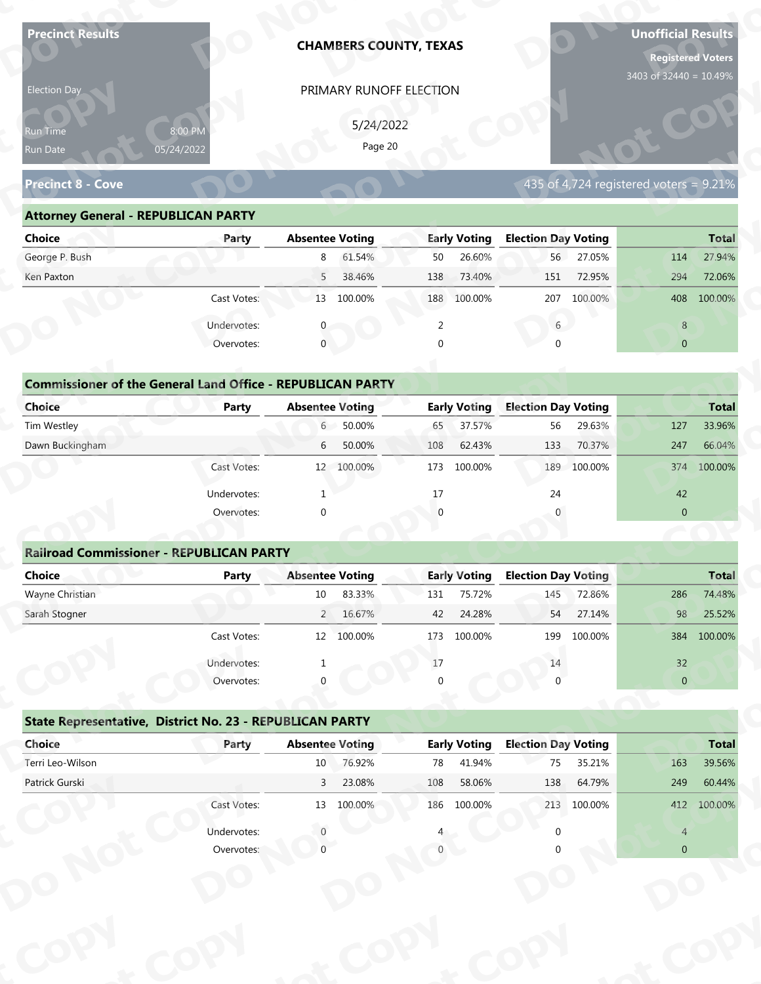| <b>Precinct Results</b>                                            |              |                        | <b>CHAMBERS COUNTY, TEXAS</b> |          |                     |                            |             | <b>Unofficial Results</b><br><b>Registered Voters</b><br>3403 of 32440 = 10.49% |              |
|--------------------------------------------------------------------|--------------|------------------------|-------------------------------|----------|---------------------|----------------------------|-------------|---------------------------------------------------------------------------------|--------------|
| Election Day                                                       |              |                        | PRIMARY RUNOFF ELECTION       |          |                     |                            |             |                                                                                 |              |
|                                                                    |              |                        |                               |          |                     |                            |             |                                                                                 |              |
| Run Time                                                           | 8:00 PM      |                        | 5/24/2022<br>Page 20          |          |                     |                            |             |                                                                                 |              |
| Run Date                                                           | 05/24/2022   |                        |                               |          |                     |                            |             |                                                                                 |              |
| <b>Precinct 8 - Cove</b>                                           |              |                        |                               |          |                     |                            |             | 435 of 4,724 registered voters = $9.21\%$                                       |              |
| <b>Attorney General - REPUBLICAN PARTY</b>                         |              |                        |                               |          |                     |                            |             |                                                                                 |              |
| <b>Choice</b>                                                      | Party        | <b>Absentee Voting</b> |                               |          | <b>Early Voting</b> | <b>Election Day Voting</b> |             |                                                                                 | <b>Total</b> |
| George P. Bush                                                     |              | 8                      | 61.54%                        | 50       | 26.60%              | 56                         | 27.05%      | 114                                                                             | 27.94%       |
| Ken Paxton                                                         |              | 5                      | 38.46%                        | 138      | 73.40%              | 151                        | 72.95%      | 294                                                                             | 72.06%       |
|                                                                    | Cast Votes:  |                        | 13 100.00%                    |          | 188 100.00%         | 207                        | 100.00%     | 408                                                                             | 100.00%      |
|                                                                    | Undervotes:  |                        |                               | 2        |                     | 6                          |             | 8                                                                               |              |
|                                                                    | Overvotes:   | $\mathbf{0}$           |                               | $\Omega$ |                     |                            |             | $\overline{0}$                                                                  |              |
|                                                                    |              |                        |                               |          |                     |                            |             |                                                                                 |              |
| <b>Commissioner of the General Land Office - REPUBLICAN PARTY</b>  |              |                        |                               |          |                     |                            |             |                                                                                 |              |
| <b>Choice</b>                                                      | <b>Party</b> | <b>Absentee Voting</b> |                               |          | <b>Early Voting</b> | <b>Election Day Voting</b> |             |                                                                                 | <b>Total</b> |
| Tim Westley                                                        |              | $6 -$                  | 50.00%                        | 65       | 37.57%              | 56                         | 29.63%      | 127                                                                             | 33.96%       |
| Dawn Buckingham                                                    |              | 6                      | 50.00%                        | 108      | 62.43%              | 133                        | 70.37%      | 247                                                                             | 66.04%       |
|                                                                    | Cast Votes:  |                        | 12 100.00%                    |          | 173 100.00%         | 189                        | 100.00%     |                                                                                 | 374 100.00%  |
|                                                                    | Undervotes:  | -1                     |                               | 17       |                     | 24                         |             | 42                                                                              |              |
|                                                                    | Overvotes:   | $\Omega$               |                               |          |                     |                            |             | $\overline{0}$                                                                  |              |
|                                                                    |              |                        |                               |          |                     |                            |             |                                                                                 |              |
| <b>Railroad Commissioner - REPUBLICAN PARTY</b>                    |              |                        |                               |          |                     |                            |             |                                                                                 |              |
| <b>Choice</b>                                                      | <b>Party</b> | <b>Absentee Voting</b> |                               |          | <b>Early Voting</b> | <b>Election Day Voting</b> |             |                                                                                 | <b>Total</b> |
| Wayne Christian                                                    |              | $10\,$                 | 83.33%                        | 131      | 75.72%              | 145                        | 72.86%      | 286                                                                             | 74.48%       |
| Sarah Stogner                                                      |              |                        | 2 16.67%                      | 42       | 24.28%              | 54                         | 27.14%      | 98                                                                              | 25.52%       |
|                                                                    | Cast Votes:  |                        | 12 100.00%                    | 173      | 100.00%             | 199                        | 100.00%     | 384                                                                             | 100.00%      |
|                                                                    | Undervotes:  |                        |                               | 17       |                     | 14                         |             | 32                                                                              |              |
|                                                                    | Overvotes:   |                        |                               |          |                     |                            |             | $\overline{0}$                                                                  |              |
|                                                                    |              |                        |                               |          |                     |                            |             |                                                                                 |              |
| State Representative, District No. 23 - REPUBLICAN PARTY<br>Choice | Party        | <b>Absentee Voting</b> |                               |          | <b>Early Voting</b> | <b>Election Day Voting</b> |             |                                                                                 | <b>Total</b> |
| Terri Leo-Wilson                                                   |              | 10 <sub>1</sub>        | 76.92%                        | 78       | 41.94%              | 75                         | 35.21%      | 163                                                                             | 39.56%       |
| Patrick Gurski                                                     |              | $\overline{3}$         | 23.08%                        | 108      | 58.06%              | 138                        | 64.79%      | 249                                                                             | 60.44%       |
|                                                                    | Cast Votes:  |                        | 13 100.00%                    |          | 186 100.00%         |                            | 213 100.00% |                                                                                 | 412 100.00%  |
|                                                                    |              |                        |                               |          |                     |                            |             |                                                                                 |              |
|                                                                    |              |                        |                               |          |                     |                            |             |                                                                                 |              |
|                                                                    | Overvotes:   |                        |                               |          |                     |                            |             | $\overline{0}$                                                                  |              |
|                                                                    | Undervotes:  |                        |                               |          |                     |                            |             | $\overline{4}$                                                                  |              |

| Election Day<br>PRIMARY RUNOFF ELECTION                                 |                                        |
|-------------------------------------------------------------------------|----------------------------------------|
| 5/24/2022<br>8:00 PM<br><b>Run Time</b><br>Page 20                      |                                        |
| 05/24/2022<br>Run Date                                                  |                                        |
| <b>Precinct 8 - Cove</b>                                                | 435 of 4,724 registered voters = 9.21% |
| <b>Attorney General - REPUBLICAN PARTY</b>                              |                                        |
| <b>Early Voting</b><br><b>Choice</b><br><b>Absentee Voting</b><br>Party | <b>Election Day Voting</b>             |
| George P. Bush<br>61.54%<br>26.60%<br>8<br>50                           | 56<br>27.05%<br>27.94%<br>114          |
| 38.46%<br>73.40%<br>Ken Paxton<br>5 <sup>7</sup><br>138                 | 72.95%<br>72.06%<br>294<br>151         |
| Cast Votes:<br>13 100.00%<br>188 100.00%                                | 100.00%<br>207<br>408<br>100.00%       |
| Undervotes:<br>2                                                        | $6\overline{6}$<br>8                   |
| $\mathbf 0$<br>Overvotes:<br>$\Omega$                                   | $\overline{0}$                         |
|                                                                         |                                        |
| <b>Commissioner of the General Land Office - REPUBLICAN PARTY</b>       |                                        |
| <b>Choice</b><br><b>Early Voting</b><br><b>Absentee Voting</b><br>Party | <b>Election Day Voting</b>             |
| Tim Westley<br>50.00%<br>37.57%<br>$6 -$<br>65                          | 56<br>29.63%<br>127<br>33.96%          |
| Dawn Buckingham<br>50.00%<br>62.43%<br>6<br>108                         | 133<br>70.37%<br>247<br>66.04%         |
| 12 100.00%<br>100.00%<br>Cast Votes:<br>173                             | 100.00%<br>189<br>100.00%<br>374       |

| <b>Choice</b>                                   | Party       | <b>Absentee Voting</b>                                            | <b>Early Voting</b> | <b>Election Day Voting</b> | <b>Total</b>                     |
|-------------------------------------------------|-------------|-------------------------------------------------------------------|---------------------|----------------------------|----------------------------------|
| George P. Bush                                  |             | 61.54%<br>8                                                       | 26.60%<br>50        | 27.05%<br>56               | 27.94%<br>114                    |
| Ken Paxton                                      |             | 5<br>38.46%                                                       | 138<br>73.40%       | 72.95%<br>151              | 294<br>72.06%                    |
|                                                 | Cast Votes: | 100.00%<br>13                                                     | 100.00%<br>188      | 100.00%<br>207             | 100.00%<br>408                   |
|                                                 | Undervotes: |                                                                   | 2                   | 6                          | 8                                |
|                                                 | Overvotes:  | $\mathbf{0}$                                                      | 0                   | $\Omega$                   | $\overline{0}$                   |
|                                                 |             |                                                                   |                     |                            |                                  |
|                                                 |             | <b>Commissioner of the General Land Office - REPUBLICAN PARTY</b> |                     |                            |                                  |
| Choice                                          | Party       | <b>Absentee Voting</b>                                            | <b>Early Voting</b> | <b>Election Day Voting</b> | <b>Total</b>                     |
| Tim Westley                                     |             | $50.00\%$<br>6                                                    | 37.57%<br>65        | 29.63%<br>56               | 33.96%<br>127                    |
| Dawn Buckingham                                 |             | 50.00%<br>6                                                       | 62.43%<br>108       | 133<br>70.37%              | 66.04%<br>247                    |
|                                                 | Cast Votes: | 12 100.00%                                                        | 173<br>100.00%      | 189 100.00%                | 100.00%<br>374                   |
|                                                 | Undervotes: |                                                                   | 17                  | 24                         | 42                               |
|                                                 | Overvotes:  | $\mathbf 0$                                                       | $\overline{0}$      |                            | $\mathbf{0}$                     |
|                                                 |             |                                                                   |                     |                            |                                  |
| <b>Railroad Commissioner - REPUBLICAN PARTY</b> |             |                                                                   |                     |                            |                                  |
| Choice                                          | Party       | <b>Absentee Voting</b>                                            | <b>Early Voting</b> | <b>Election Day Voting</b> | <b>Total</b>                     |
| Wayne Christian                                 |             | 83.33%<br>10                                                      | 75.72%<br>131       | 72.86%<br>145              | 286<br>74.48%                    |
| Carole Champan                                  |             | 2.16670/                                                          | 12.21200            | 2710/<br><b>FA</b>         | $2F$ $F$ $20/$<br>0 <sup>o</sup> |

|                                                                   |                           |                        | PRIMARY RUNOFF ELECTION |          |                     |                            |             |                                           |                        |
|-------------------------------------------------------------------|---------------------------|------------------------|-------------------------|----------|---------------------|----------------------------|-------------|-------------------------------------------|------------------------|
|                                                                   |                           |                        | 5/24/2022               |          |                     |                            |             |                                           |                        |
| Run Time                                                          | 8:00 PM<br>05/24/2022     |                        | Page 20                 |          |                     |                            |             |                                           |                        |
| Run Date                                                          |                           |                        |                         |          |                     |                            |             |                                           |                        |
| <b>Precinct 8 - Cove</b>                                          |                           |                        |                         |          |                     |                            |             | 435 of 4,724 registered voters = $9.21\%$ |                        |
| <b>Attorney General - REPUBLICAN PARTY</b>                        |                           |                        |                         |          |                     |                            |             |                                           |                        |
| <b>Choice</b>                                                     | Party                     | <b>Absentee Voting</b> |                         |          | <b>Early Voting</b> | <b>Election Day Voting</b> |             |                                           | <b>Total</b>           |
| George P. Bush                                                    |                           | 8                      | 61.54%                  | 50       | 26.60%              |                            | 56 27.05%   | 114                                       | 27.94%                 |
| Ken Paxton                                                        |                           | 5 <sup>7</sup>         | 38.46%                  | 138      | 73.40%              | 151                        | 72.95%      | 294                                       | 72.06%                 |
|                                                                   | Cast Votes:               |                        | 13 100.00%              |          | 188 100.00%         |                            | 207 100.00% |                                           | 408 100.00%            |
|                                                                   | Undervotes:               | $\mathbf{0}$           |                         | 2        |                     | 6                          |             | 8                                         |                        |
|                                                                   | Overvotes:                | $\mathbf{0}$           |                         | $\Omega$ |                     | $\cap$                     |             | $\overline{0}$                            |                        |
|                                                                   |                           |                        |                         |          |                     |                            |             |                                           |                        |
| <b>Commissioner of the General Land Office - REPUBLICAN PARTY</b> |                           |                        |                         |          |                     |                            |             |                                           |                        |
| <b>Choice</b>                                                     | Party                     | <b>Absentee Voting</b> |                         |          | <b>Early Voting</b> | <b>Election Day Voting</b> |             |                                           | <b>Total</b>           |
| Tim Westley                                                       |                           | $6\degree$             | 50.00%                  | 65       | 37.57%              | 56                         | 29.63%      | 127                                       | 33.96%                 |
| Dawn Buckingham                                                   |                           | 6                      | 50.00%                  | 108      | 62.43%              | 133                        | 70.37%      | 247                                       | 66.04%                 |
|                                                                   | Cast Votes:               |                        | 12 100.00%              | 173      | 100.00%             | 189                        | 100.00%     | 374                                       | 100.00%                |
|                                                                   | Undervotes:               |                        |                         | 17       |                     | 24                         |             | 42                                        |                        |
|                                                                   | Overvotes:                | $\Omega$               |                         | $\Omega$ |                     |                            |             | $\overline{0}$                            |                        |
|                                                                   |                           |                        |                         |          |                     |                            |             |                                           |                        |
|                                                                   |                           |                        |                         |          |                     |                            |             |                                           |                        |
| <b>Railroad Commissioner - REPUBLICAN PARTY</b>                   |                           |                        |                         |          |                     |                            |             |                                           |                        |
| <b>Choice</b>                                                     | <b>Party</b>              | <b>Absentee Voting</b> |                         |          | <b>Early Voting</b> | <b>Election Day Voting</b> |             |                                           |                        |
| Wayne Christian                                                   |                           | 10                     | 83.33%                  | 131      | 75.72%              | 145                        | 72.86%      | 286                                       | <b>Total</b><br>74.48% |
| Sarah Stogner                                                     |                           |                        | 2 16.67%                | 42       | 24.28%              | 54                         | 27.14%      | 98                                        | 25.52%                 |
|                                                                   | Cast Votes:               |                        | 12 100 00%              |          | 173 100.00%         |                            | 199 100.00% |                                           | 384 100.00%            |
|                                                                   |                           |                        |                         | 17       |                     | 14                         |             |                                           |                        |
|                                                                   | Undervotes:<br>Overvotes: |                        |                         |          |                     |                            |             | 32<br>$\mathbf{0}$                        |                        |
|                                                                   |                           |                        |                         |          |                     |                            |             |                                           |                        |
| State Representative, District No. 23 - REPUBLICAN PARTY          |                           |                        |                         |          |                     |                            |             |                                           |                        |
| Choice                                                            | Party                     | <b>Absentee Voting</b> |                         |          | <b>Early Voting</b> | <b>Election Day Voting</b> |             |                                           | <b>Total</b>           |
| Terri Leo-Wilson                                                  |                           | 10                     | 76.92%                  | 78       | 41.94%              | 75                         | 35.21%      | 163                                       | 39.56%                 |
| Patrick Gurski                                                    |                           | $\overline{3}$         | 23.08%                  | 108      | 58.06%              | 138                        | 64.79%      | 249                                       | 60.44%                 |
|                                                                   | Cast Votes:               |                        | 13 100.00%              |          | 186 100.00%         |                            | 213 100.00% |                                           | 412 100.00%            |
|                                                                   | Undervotes:               |                        |                         |          |                     |                            |             | $\overline{4}$                            |                        |

|                                                          | Cast votes. | Ŧ₹       | <b>TOO:OO XQ</b>       | 1/2      | TOO'OO XQ           | ⊥ສສ                        | LUU.UU 70 |                | <b>DO4 100.00%</b> |
|----------------------------------------------------------|-------------|----------|------------------------|----------|---------------------|----------------------------|-----------|----------------|--------------------|
|                                                          | Undervotes: |          |                        | $17\,$   |                     | 14                         |           | 32             |                    |
|                                                          | Overvotes:  | $\Omega$ |                        | $\Omega$ |                     |                            |           | $\overline{0}$ |                    |
| State Representative, District No. 23 - REPUBLICAN PARTY |             |          |                        |          |                     |                            |           |                |                    |
| Choice                                                   | Party       |          | <b>Absentee Voting</b> |          | <b>Early Voting</b> | <b>Election Day Voting</b> |           |                | <b>Total</b>       |
| Terri Leo-Wilson                                         |             | 10       | 76.92%                 | 78       | 41.94%              | 75                         | 35.21%    | 163            | 39.56%             |
| Patrick Gurski                                           |             | 3        | 23.08%                 | 108      | 58.06%              | 138                        | 64.79%    | 249            | 60.44%             |
|                                                          | Cast Votes: | 13       | 100.00%                | 186      | 100.00%             | 213                        | 100.00%   | 412            | 100.00%            |
|                                                          | Undervotes: |          |                        |          |                     |                            |           | $\overline{4}$ |                    |
|                                                          | Overvotes:  |          |                        |          |                     |                            |           | $\overline{0}$ |                    |
|                                                          |             |          |                        |          |                     |                            |           |                |                    |
|                                                          |             |          |                        |          |                     |                            |           |                |                    |
|                                                          |             |          |                        |          |                     |                            |           |                |                    |
|                                                          |             |          |                        |          |                     |                            |           |                |                    |
|                                                          |             |          |                        |          |                     |                            |           |                |                    |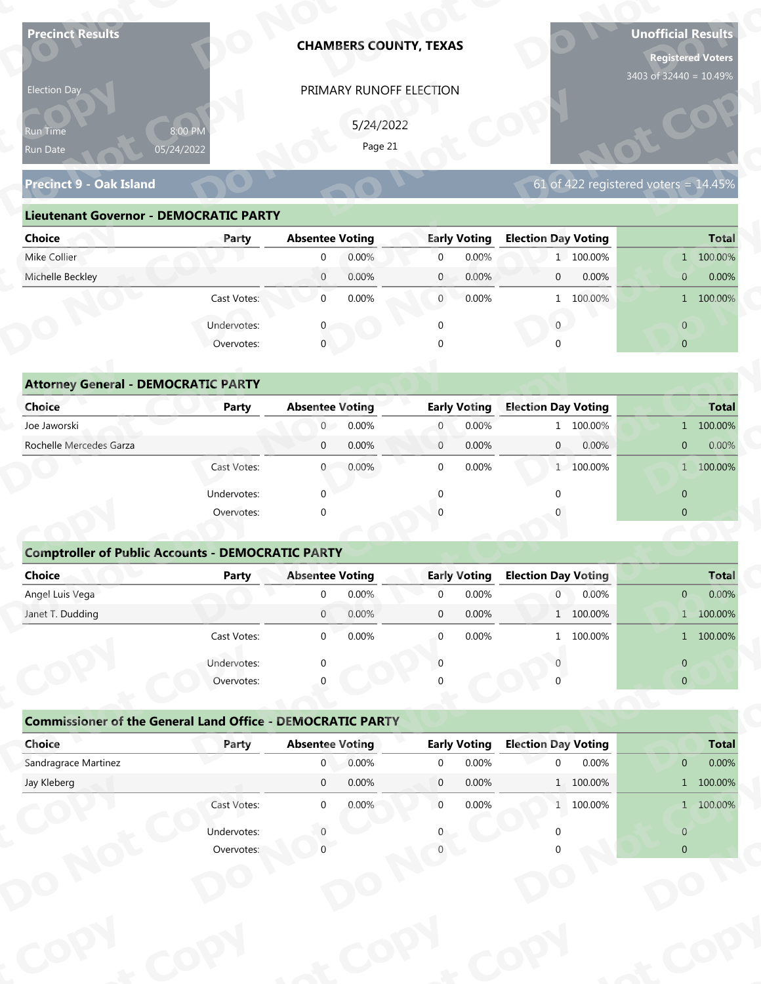| <b>Precinct Results</b>                                           |                       |                                          |           | <b>CHAMBERS COUNTY, TEXAS</b> |                              |                                            |       | <b>Unofficial Results</b><br><b>Registered Voters</b> |                           |
|-------------------------------------------------------------------|-----------------------|------------------------------------------|-----------|-------------------------------|------------------------------|--------------------------------------------|-------|-------------------------------------------------------|---------------------------|
| Election Day                                                      |                       |                                          |           | PRIMARY RUNOFF ELECTION       |                              |                                            |       | 3403 of 32440 = 10.49%                                |                           |
|                                                                   |                       |                                          | 5/24/2022 |                               |                              |                                            |       |                                                       |                           |
| Run Time<br>Run Date                                              | 8:00 PM<br>05/24/2022 |                                          | Page 21   |                               |                              |                                            |       |                                                       |                           |
| <b>Precinct 9 - Oak Island</b>                                    |                       |                                          |           |                               |                              |                                            |       | 61 of 422 registered voters = $14.45\%$               |                           |
|                                                                   |                       |                                          |           |                               |                              |                                            |       |                                                       |                           |
| <b>Lieutenant Governor - DEMOCRATIC PARTY</b>                     |                       |                                          |           |                               |                              |                                            |       |                                                       |                           |
| <b>Choice</b><br>Mike Collier                                     | Party                 | <b>Absentee Voting</b><br>$\mathbf 0$    | 0.00%     | $\overline{0}$                | <b>Early Voting</b><br>0.00% | <b>Election Day Voting</b><br>1 100.00%    |       |                                                       | <b>Total</b><br>1 100.00% |
| Michelle Beckley                                                  |                       | $\overline{0}$                           | 0.00%     | $\mathbf{0}$                  | 0.00%                        | $\mathbf{0}$                               | 0.00% | $\mathbf{0}$                                          | 0.00%                     |
|                                                                   | Cast Votes:           | $\overline{0}$                           | 0.00%     | $\overline{0}$                | 0.00%                        | 1 100.00%                                  |       |                                                       | 1 100.00%                 |
|                                                                   |                       |                                          |           |                               |                              |                                            |       |                                                       |                           |
|                                                                   | Undervotes:           |                                          |           | $\mathbf 0$                   |                              | $\overline{0}$                             |       | $\overline{0}$                                        |                           |
|                                                                   | Overvotes:            | $\mathbf 0$                              |           |                               |                              |                                            |       | $\overline{0}$                                        |                           |
| <b>Attorney General - DEMOCRATIC PARTY</b>                        |                       |                                          |           |                               |                              |                                            |       |                                                       |                           |
| <b>Choice</b>                                                     | <b>Party</b>          | <b>Absentee Voting</b>                   |           |                               | <b>Early Voting</b>          | <b>Election Day Voting</b>                 |       |                                                       | <b>Total</b>              |
| Joe Jaworski                                                      |                       | $\overline{0}$                           | 0.00%     | $\overline{0}$                | 0.00%                        | 1 100.00%                                  |       |                                                       | 1 100.00%                 |
| Rochelle Mercedes Garza                                           |                       | $\mathbf 0$                              | 0.00%     | $\overline{0}$                | 0.00%                        | $\overline{0}$                             | 0.00% | $\overline{0}$                                        | 0.00%                     |
|                                                                   | Cast Votes:           | $\overline{0}$                           | 0.00%     | $\mathbf 0$                   | 0.00%                        | 1 100.00%                                  |       |                                                       | 1 100.00%                 |
|                                                                   | Undervotes:           | $\Omega$                                 |           | $\Omega$                      |                              | $\Omega$                                   |       | $\overline{0}$                                        |                           |
|                                                                   | Overvotes:            | $\Omega$                                 |           |                               |                              |                                            |       | $\overline{0}$                                        |                           |
|                                                                   |                       |                                          |           |                               |                              |                                            |       |                                                       |                           |
| <b>Comptroller of Public Accounts - DEMOCRATIC PARTY</b>          |                       |                                          |           |                               |                              |                                            |       |                                                       |                           |
| Choice                                                            | <b>Party</b>          | <b>Absentee Voting</b>                   |           |                               | <b>Early Voting</b>          | <b>Election Day Voting</b>                 |       |                                                       | <b>Total</b>              |
| Angel Luis Vega                                                   |                       | $\overline{0}$                           | 0.00%     | $\mathbf 0$                   | 0.00%                        | 0                                          | 0.00% | $\mathbf{0}$                                          | 0.00%                     |
| Janet T. Dudding                                                  |                       | $\overline{0}$                           | 0.00%     | $\mathbf 0$                   | 0.00%                        | 1 100.00%                                  |       |                                                       | 1 100.00%                 |
|                                                                   | Cast Votes:           | $\overline{0}$                           | 0.00%     | $\mathbf 0$                   | 0.00%                        | 1 100.00%                                  |       |                                                       | 1 100.00%                 |
|                                                                   | Undervotes:           | $\Omega$                                 |           | $\Omega$                      |                              |                                            |       | $\overline{0}$                                        |                           |
|                                                                   | Overvotes:            |                                          |           |                               |                              |                                            |       | $\overline{0}$                                        |                           |
|                                                                   |                       |                                          |           |                               |                              |                                            |       |                                                       |                           |
|                                                                   |                       |                                          |           |                               |                              |                                            |       |                                                       |                           |
| <b>Commissioner of the General Land Office - DEMOCRATIC PARTY</b> |                       |                                          |           |                               |                              |                                            |       |                                                       |                           |
| Choice<br>Sandragrace Martinez                                    | Party                 | <b>Absentee Voting</b><br>$\overline{0}$ | 0.00%     | $\overline{0}$                | <b>Early Voting</b><br>0.00% | <b>Election Day Voting</b><br>$\mathbf{0}$ | 0.00% | $\overline{0}$                                        | <b>Total</b><br>0.00%     |
| Jay Kleberg                                                       |                       | $\overline{0}$                           | 0.00%     | $\overline{0}$                | 0.00%                        | 1 100.00%                                  |       |                                                       | 1 100.00%                 |
|                                                                   | Cast Votes:           | $\overline{0}$                           | 0.00%     | $\overline{0}$                | 0.00%                        | 1 100.00%                                  |       |                                                       | 1 100.00%                 |
|                                                                   | Undervotes:           |                                          |           |                               |                              |                                            |       | $\overline{0}$                                        |                           |

| Election Day                                  |                       |                        | PRIMARY RUNOFF ELECTION |                |                     |                                                      |                |              |
|-----------------------------------------------|-----------------------|------------------------|-------------------------|----------------|---------------------|------------------------------------------------------|----------------|--------------|
| <b>Run Time</b><br>Run Date                   | 8:00 PM<br>05/24/2022 |                        | 5/24/2022<br>Page 21    |                |                     |                                                      |                |              |
| <b>Precinct 9 - Oak Island</b>                |                       |                        |                         |                |                     | 61 of $\overline{422}$ registered voters = $14.45\%$ |                |              |
| <b>Lieutenant Governor - DEMOCRATIC PARTY</b> |                       |                        |                         |                |                     |                                                      |                |              |
| <b>Choice</b>                                 | Party                 | <b>Absentee Voting</b> |                         |                | <b>Early Voting</b> | <b>Election Day Voting</b>                           |                | <b>Total</b> |
| Mike Collier                                  |                       | $\overline{0}$         | 0.00%                   | $\overline{0}$ | 0.00%               | 1 100.00%                                            |                | 1 100.00%    |
| Michelle Beckley                              |                       | $\overline{0}$         | 0.00%                   | $\mathbf{0}$   | 0.00%               | 0.00%<br>$\overline{0}$                              | $\mathbf{0}$   | 0.00%        |
|                                               | Cast Votes:           | $\overline{0}$         | 0.00%                   | $\overline{0}$ | 0.00%               | 1 100.00%                                            |                | 1 100.00%    |
|                                               | Undervotes:           |                        |                         | $\mathbf 0$    |                     | $\overline{0}$                                       | $\overline{0}$ |              |
|                                               | Overvotes:            | $\mathbf 0$            |                         | $\Omega$       |                     |                                                      | $\overline{0}$ |              |
|                                               |                       |                        |                         |                |                     |                                                      |                |              |
| <b>Attorney General - DEMOCRATIC PARTY</b>    |                       |                        |                         |                |                     |                                                      |                |              |
| <b>Choice</b>                                 | Party                 | <b>Absentee Voting</b> |                         |                | <b>Early Voting</b> | <b>Election Day Voting</b>                           |                | <b>Total</b> |
| Joe Jaworski                                  |                       | $\overline{0}$         | 0.00%                   | $\overline{0}$ | 0.00%               | 1 100.00%                                            |                | 1 100.00%    |
| Rochelle Mercedes Garza                       |                       | $\overline{0}$         | 0.00%                   | $\mathbf{0}$   | 0.00%               | $\overline{0}$<br>0.00%                              | $\overline{0}$ | 0.00%        |
|                                               | Cast Votes:           | $\overline{0}$         | 0.00%                   | $\Omega$       | 0.00%               | 1 100.00%                                            |                | 1 100.00%    |
|                                               |                       |                        |                         |                |                     |                                                      |                |              |

| Run Time<br>Run Date                                              |                       |                        |           | PRIMARY RUNOFF ELECTION |                     |                                                    |                |                                                 |
|-------------------------------------------------------------------|-----------------------|------------------------|-----------|-------------------------|---------------------|----------------------------------------------------|----------------|-------------------------------------------------|
|                                                                   |                       |                        | 5/24/2022 |                         |                     |                                                    |                |                                                 |
|                                                                   | 8:00 PM<br>05/24/2022 |                        | Page 21   |                         |                     |                                                    |                |                                                 |
|                                                                   |                       |                        |           |                         |                     |                                                    |                |                                                 |
| <b>Precinct 9 - Oak Island</b>                                    |                       |                        |           |                         |                     | 61 of 422 registered voters = $14.\overline{45\%}$ |                |                                                 |
| <b>Lieutenant Governor - DEMOCRATIC PARTY</b>                     |                       |                        |           |                         |                     |                                                    |                |                                                 |
| <b>Choice</b>                                                     | Party                 | <b>Absentee Voting</b> |           |                         | <b>Early Voting</b> | <b>Election Day Voting</b>                         |                | <b>Total</b>                                    |
| Mike Collier                                                      |                       | $\mathbf 0$            | 0.00%     | $\overline{0}$          | 0.00%               | 1 100.00%                                          |                | 1 100.00%                                       |
| Michelle Beckley                                                  |                       | $\overline{0}$         | 0.00%     | $\mathbf{0}$            | 0.00%               | 0.00%<br>$\overline{0}$                            | $\overline{0}$ | 0.00%                                           |
|                                                                   | Cast Votes:           | $\mathbf 0$            | 0.00%     | $\overline{0}$          | 0.00%               | 1 100.00%                                          |                | 1 100.00%                                       |
|                                                                   | Undervotes:           | $\mathbf 0$            |           | $\mathbf 0$             |                     | $\overline{0}$                                     | $\overline{0}$ |                                                 |
|                                                                   | Overvotes:            | $\mathbf 0$            |           | $\Omega$                |                     |                                                    | $\overline{0}$ |                                                 |
|                                                                   |                       |                        |           |                         |                     |                                                    |                |                                                 |
| <b>Attorney General - DEMOCRATIC PARTY</b>                        |                       |                        |           |                         |                     |                                                    |                |                                                 |
| Choice                                                            | <b>Party</b>          | <b>Absentee Voting</b> |           |                         | <b>Early Voting</b> | <b>Election Day Voting</b>                         |                | <b>Total</b>                                    |
| Joe Jaworski                                                      |                       | $\overline{0}$         | 0.00%     | $\overline{0}$          | 0.00%               | 1 100.00%                                          |                | 1 100.00%                                       |
| Rochelle Mercedes Garza                                           |                       | $\mathbf 0$            | 0.00%     | $\mathbf{0}$            | 0.00%               | 0.00%<br>$\mathbf{0}$                              | $\overline{0}$ | $0.00\%$                                        |
|                                                                   | Cast Votes:           | $\mathbf{0}$           | 0.00%     | $\mathbf 0$             | 0.00%               | 1 100.00%                                          |                | 1 100.00%                                       |
|                                                                   | Undervotes:           | $\Omega$               |           | $\Omega$                |                     |                                                    | $\mathbf{0}$   |                                                 |
|                                                                   | Overvotes:            | $\Omega$               |           |                         |                     |                                                    | $\overline{0}$ |                                                 |
|                                                                   |                       |                        |           |                         |                     |                                                    |                |                                                 |
| <b>Comptroller of Public Accounts - DEMOCRATIC PARTY</b>          |                       |                        |           |                         |                     |                                                    |                |                                                 |
| <b>Choice</b>                                                     | <b>Party</b>          | <b>Absentee Voting</b> |           |                         | <b>Early Voting</b> | <b>Election Day Voting</b>                         |                | <b>Total</b>                                    |
| Angel Luis Vega                                                   |                       | $\mathbf 0$            | 0.00%     | $\mathbf 0$             | 0.00%               | 0<br>0.00%                                         | $\overline{0}$ | 0.00%                                           |
| Janet T. Dudding                                                  |                       | $\mathbf{0}$           | 0.00%     | $\mathbf 0$             | 0.00%               | 1 100.00%                                          |                | 1 100.00%                                       |
|                                                                   | Cast Votes:           | $\Omega$               | 0.00%     | $\overline{0}$          | $0.00\%$            | 1 100.00%                                          |                | 1 100.00%                                       |
|                                                                   | Undervotes:           |                        |           |                         |                     |                                                    | $\overline{0}$ |                                                 |
|                                                                   | Overvotes:            |                        |           |                         |                     |                                                    | $\overline{0}$ |                                                 |
|                                                                   |                       |                        |           |                         |                     |                                                    |                |                                                 |
|                                                                   |                       |                        |           |                         |                     |                                                    |                |                                                 |
| <b>Commissioner of the General Land Office - DEMOCRATIC PARTY</b> |                       |                        |           |                         |                     |                                                    |                |                                                 |
| Choice                                                            | Party                 | <b>Absentee Voting</b> |           |                         | <b>Early Voting</b> | <b>Election Day Voting</b>                         |                |                                                 |
| Sandragrace Martinez                                              |                       | $\overline{0}$         | 0.00%     | $\mathbf 0$             | 0.00%               | $\mathbf 0$<br>0.00%                               | $\overline{0}$ |                                                 |
| Jay Kleberg                                                       |                       | $\overline{0}$         | 0.00%     | $\overline{0}$          | 0.00%               | 1 100.00%                                          |                |                                                 |
|                                                                   | Cast Votes:           | $\overline{0}$         | 0.00%     | $\overline{0}$          | 0.00%               | 1 100.00%                                          |                |                                                 |
|                                                                   | Undervotes:           |                        |           |                         |                     |                                                    | $\overline{0}$ | <b>Total</b><br>0.00%<br>1 100.00%<br>1 100.00% |

### **Comptroller of Public Accounts - DEMOCRATIC PARTY**

| Choice                                                                      | Party       | <b>Absentee Voting</b> |       |                | <b>Early Voting</b> | <b>Election Day Voting</b> |                | <b>Total</b> |
|-----------------------------------------------------------------------------|-------------|------------------------|-------|----------------|---------------------|----------------------------|----------------|--------------|
| Joe Jaworski                                                                |             | $\overline{0}$         | 0.00% | $\overline{0}$ | 0.00%               | 1 100.00%                  |                | 1 100.00%    |
| Rochelle Mercedes Garza                                                     |             | $\mathbf 0$            | 0.00% | $\overline{0}$ | 0.00%               | 0.00%<br>$\mathbf{0}$      | $\overline{0}$ | 0.00%        |
|                                                                             | Cast Votes: | $\overline{0}$         | 0.00% | $\overline{0}$ | 0.00%               | 1 100.00%                  |                | 1 100.00%    |
|                                                                             | Undervotes: | $\Omega$               |       | $\Omega$       |                     | $\Omega$                   | $\mathbf{0}$   |              |
|                                                                             | Overvotes:  | $\Omega$               |       |                |                     |                            | $\overline{0}$ |              |
|                                                                             |             |                        |       |                |                     |                            |                |              |
| <b>Comptroller of Public Accounts - DEMOCRATIC PARTY</b>                    |             |                        |       |                |                     |                            |                |              |
| <b>Choice</b>                                                               | Party       | <b>Absentee Voting</b> |       |                | <b>Early Voting</b> | <b>Election Day Voting</b> |                | <b>Total</b> |
| Angel Luis Vega                                                             |             | $\Omega$               | 0.00% | $\Omega$       | 0.00%               | 0.00%<br>$0^-$             | $\overline{0}$ | 0.00%        |
| Janet T. Dudding                                                            |             | $\overline{0}$         | 0.00% | $\mathbf 0$    | 0.00%               | 1 100.00%                  |                | 1 100.00%    |
|                                                                             | Cast Votes: | $\overline{0}$         | 0.00% | $\overline{0}$ | 0.00%               | 1 100.00%                  |                | 1 100.00%    |
|                                                                             |             |                        |       |                |                     |                            |                |              |
|                                                                             | Undervotes: | ∩                      |       | U              |                     |                            | $\overline{0}$ |              |
|                                                                             | Overvotes:  |                        |       |                |                     |                            | $\mathbf 0$    |              |
|                                                                             |             |                        |       |                |                     |                            |                |              |
| <b>Commissioner of the General Land Office - DEMOCRATIC PARTY</b><br>Choice | Party       | <b>Absentee Voting</b> |       |                | <b>Early Voting</b> | <b>Election Day Voting</b> |                | <b>Total</b> |
| Sandragrace Martinez                                                        |             | $\mathbf{0}$           | 0.00% | $\mathbf 0$    | 0.00%               | 0.00%<br>$\mathbf{0}$      | $\overline{0}$ | 0.00%        |
| Jay Kleberg                                                                 |             | $\mathbf 0$            | 0.00% | $\overline{0}$ | 0.00%               | 1 100.00%                  |                | 1 100.00%    |
|                                                                             | Cast Votes: | $\mathbf{0}$           | 0.00% | $\overline{0}$ | 0.00%               | 1 100.00%                  |                | 1 100.00%    |
|                                                                             | Undervotes: |                        |       |                |                     |                            | $\overline{0}$ |              |

|                                                                   | Cast votes. | U                      | <b>U.UU70</b> | U            | <b>U.UU70</b>       | Ψ.                         | TOO'OO NO |                | $1.100.00\%$ |
|-------------------------------------------------------------------|-------------|------------------------|---------------|--------------|---------------------|----------------------------|-----------|----------------|--------------|
|                                                                   | Undervotes: | $\Omega$               |               | 0            |                     |                            |           | $\Omega$       |              |
|                                                                   | Overvotes:  | $\Omega$               |               | 0            |                     |                            |           | $\overline{0}$ |              |
|                                                                   |             |                        |               |              |                     |                            |           |                |              |
| <b>Commissioner of the General Land Office - DEMOCRATIC PARTY</b> |             |                        |               |              |                     |                            |           |                |              |
| Choice                                                            | Party       | <b>Absentee Voting</b> |               |              | <b>Early Voting</b> | <b>Election Day Voting</b> |           |                | <b>Total</b> |
| Sandragrace Martinez                                              |             | $\mathbf 0$            | 0.00%         | 0            | 0.00%               | $\Omega$                   | 0.00%     | $\overline{0}$ | 0.00%        |
| Jay Kleberg                                                       |             | $\mathbf 0$            | 0.00%         | $\mathbf{0}$ | $0.00\%$            |                            | 1 100.00% | 1              | 100.00%      |
|                                                                   | Cast Votes: | $\mathbf 0$            | 0.00%         | $\mathbf{0}$ | $0.00\%$            | 1                          | 100.00%   | 1              | 100.00%      |
|                                                                   | Undervotes: |                        |               | 0            |                     |                            |           | $\overline{0}$ |              |
|                                                                   | Overvotes:  |                        |               |              |                     |                            |           | $\overline{0}$ |              |
|                                                                   |             |                        |               |              |                     |                            |           |                |              |
|                                                                   |             |                        |               |              |                     |                            |           |                |              |
|                                                                   |             |                        |               |              |                     |                            |           |                |              |
|                                                                   |             |                        |               |              |                     |                            |           |                |              |
|                                                                   |             |                        |               |              |                     |                            |           |                |              |
|                                                                   |             |                        |               |              |                     |                            |           |                |              |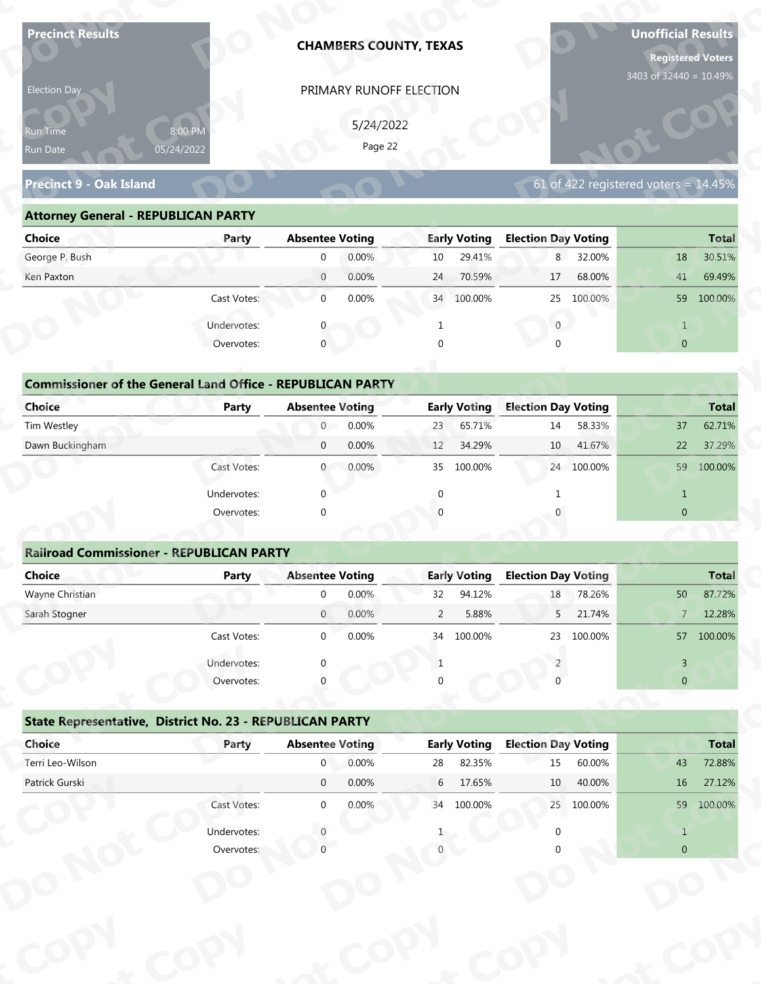| Election Day                                                      |              |                            | <b>CHAMBERS COUNTY, TEXAS</b> |                      |                     |                            |                  | <b>Unofficial Results</b><br><b>Registered Voters</b> |                  |
|-------------------------------------------------------------------|--------------|----------------------------|-------------------------------|----------------------|---------------------|----------------------------|------------------|-------------------------------------------------------|------------------|
|                                                                   |              |                            | PRIMARY RUNOFF ELECTION       |                      |                     |                            |                  | 3403 of 32440 = 10.49%                                |                  |
|                                                                   |              |                            |                               |                      |                     |                            |                  |                                                       |                  |
| Run Time                                                          | 8:00 PM      |                            | 5/24/2022<br>Page 22          |                      |                     |                            |                  |                                                       |                  |
| Run Date                                                          | 05/24/2022   |                            |                               |                      |                     |                            |                  |                                                       |                  |
| <b>Precinct 9 - Oak Island</b>                                    |              |                            |                               |                      |                     |                            |                  | 61 of 422 registered voters = $14.45\%$               |                  |
| <b>Attorney General - REPUBLICAN PARTY</b>                        |              |                            |                               |                      |                     |                            |                  |                                                       |                  |
| <b>Choice</b>                                                     | Party        | <b>Absentee Voting</b>     |                               |                      | <b>Early Voting</b> | <b>Election Day Voting</b> |                  |                                                       | <b>Total</b>     |
| George P. Bush                                                    |              | $\mathbf 0$                | 0.00%                         | 10                   | 29.41%              | 8                          | 32.00%           | 18                                                    | 30.51%           |
| Ken Paxton                                                        |              | $\overline{0}$             | 0.00%                         | 24                   | 70.59%              | 17                         | 68.00%           | 41                                                    | 69.49%           |
|                                                                   | Cast Votes:  | $\mathbf 0$                | 0.00%                         |                      | 34 100.00%          | 25                         | 100.00%          |                                                       | 59 100.00%       |
|                                                                   | Undervotes:  |                            |                               |                      |                     | $\overline{0}$             |                  | $\mathbf{1}$                                          |                  |
|                                                                   | Overvotes:   | $\mathbf{0}$               |                               | $\Omega$             |                     |                            |                  | $\overline{0}$                                        |                  |
|                                                                   |              |                            |                               |                      |                     |                            |                  |                                                       |                  |
| <b>Commissioner of the General Land Office - REPUBLICAN PARTY</b> |              |                            |                               |                      |                     |                            |                  |                                                       |                  |
| <b>Choice</b>                                                     | <b>Party</b> | <b>Absentee Voting</b>     |                               |                      | <b>Early Voting</b> | <b>Election Day Voting</b> |                  |                                                       | <b>Total</b>     |
| Tim Westley                                                       |              | $\overline{0}$             | 0.00%                         | 23                   | 65.71%              | 14                         | 58.33%           | 37                                                    | 62.71%           |
| Dawn Buckingham                                                   |              | $\mathbf 0$                | 0.00%                         | 12                   | 34.29%              | 10                         | 41.67%           | 22                                                    | 37.29%           |
|                                                                   | Cast Votes:  | $\overline{0}$             | 0.00%                         |                      | 35 100.00%          |                            | 24 100.00%       |                                                       | 59 100.00%       |
|                                                                   | Undervotes:  | $\Omega$                   |                               | $\mathbf{0}$         |                     | -1                         |                  | $\mathbf{1}$                                          |                  |
|                                                                   | Overvotes:   | $\Omega$                   |                               |                      |                     |                            |                  | $\overline{0}$                                        |                  |
|                                                                   |              |                            |                               |                      |                     |                            |                  |                                                       |                  |
| <b>Railroad Commissioner - REPUBLICAN PARTY</b>                   |              |                            |                               |                      |                     |                            |                  |                                                       |                  |
| <b>Choice</b>                                                     | <b>Party</b> | <b>Absentee Voting</b>     |                               |                      | <b>Early Voting</b> | <b>Election Day Voting</b> |                  |                                                       | <b>Total</b>     |
| Wayne Christian<br>Sarah Stogner                                  |              | $\Omega$<br>$\overline{0}$ | 0.00%<br>0.00%                | 32<br>$\overline{2}$ | 94.12%<br>5.88%     | $18\,$<br>5 <sup>7</sup>   | 78.26%<br>21.74% | 50<br>$7 -$                                           | 87.72%<br>12.28% |
|                                                                   |              |                            |                               |                      |                     |                            |                  |                                                       |                  |
|                                                                   | Cast Votes:  | $\overline{0}$             | 0.00%                         |                      | 34 100.00%          | 23                         | 100.00%          |                                                       | 57 100.00%       |
|                                                                   | Undervotes:  | $\Omega$                   |                               | 1                    |                     |                            |                  | $\overline{3}$                                        |                  |
|                                                                   | Overvotes:   |                            |                               |                      |                     |                            |                  | $\overline{0}$                                        |                  |
| State Representative, District No. 23 - REPUBLICAN PARTY          |              |                            |                               |                      |                     |                            |                  |                                                       |                  |
|                                                                   | Party        | <b>Absentee Voting</b>     |                               |                      | <b>Early Voting</b> | <b>Election Day Voting</b> |                  |                                                       | <b>Total</b>     |
| Choice                                                            |              | $\mathbf{0}$               | 0.00%                         | 28                   | 82.35%              | 15                         | 60.00%           | 43                                                    | 72.88%           |
| Terri Leo-Wilson                                                  |              | $\overline{0}$             | 0.00%                         | 6                    | 17.65%              | 10                         | 40.00%           | 16                                                    | 27.12%           |
| Patrick Gurski                                                    |              |                            |                               |                      |                     |                            |                  |                                                       |                  |
|                                                                   | Cast Votes:  | $\overline{0}$             | 0.00%                         |                      | 34 100.00%          |                            | 25 100.00%       |                                                       | 59 100.00%       |
|                                                                   | Undervotes:  |                            |                               |                      |                     |                            |                  | $\mathbf{1}$                                          |                  |

| 5/24/2022<br>8:00 PM<br><b>Run Time</b>                                                                               |
|-----------------------------------------------------------------------------------------------------------------------|
| Page 22<br>05/24/2022<br>Run Date                                                                                     |
| 61 of 422 registered voters = $14.45\%$<br><b>Precinct 9 - Oak Island</b>                                             |
| <b>Attorney General - REPUBLICAN PARTY</b>                                                                            |
| <b>Early Voting</b><br><b>Election Day Voting</b><br><b>Choice</b><br><b>Absentee Voting</b><br><b>Total</b><br>Party |
| George P. Bush<br>0.00%<br>29.41%<br>8 32.00%<br>30.51%<br>10<br>18<br>$\overline{0}$                                 |
| 0.00%<br>70.59%<br>68.00%<br>69.49%<br>Ken Paxton<br>$\overline{0}$<br>24<br>17<br>41                                 |
| 0.00%<br>100.00%<br>Cast Votes:<br>$\overline{0}$<br>34 100.00%<br>25<br>59 100.00%                                   |
| Undervotes:<br>$\overline{0}$                                                                                         |
| $\mathbf 0$<br>$\overline{0}$<br>Overvotes:                                                                           |
|                                                                                                                       |
| <b>Commissioner of the General Land Office - REPUBLICAN PARTY</b>                                                     |
| <b>Choice</b><br><b>Early Voting</b><br><b>Election Day Voting</b><br><b>Absentee Voting</b><br>Party<br><b>Total</b> |
| Tim Westley<br>0.00%<br>65.71%<br>$\overline{0}$<br>14<br>58.33%<br>37<br>62.71%<br>23                                |
| Dawn Buckingham<br>0.00%<br>41.67%<br>37.29%<br>34.29%<br>10<br>22<br>$\overline{0}$<br>12                            |
| 0.00%<br>100.00%<br>100.00%<br>24 100.00%<br>59<br>Cast Votes:<br>35<br>$\overline{0}$                                |

| <b>Choice</b>                                                               | Party       | <b>Absentee Voting</b> |        | <b>Early Voting</b> | <b>Election Day Voting</b> |                | <b>Total</b> |
|-----------------------------------------------------------------------------|-------------|------------------------|--------|---------------------|----------------------------|----------------|--------------|
| George P. Bush                                                              |             | $\mathbf{0}$           | 0.00%  | 29.41%<br>10        | 32.00%<br>8                | 18             | 30.51%       |
| Ken Paxton                                                                  |             | $\overline{0}$         | 0.00%  | 24<br>70.59%        | 68.00%<br>17               | 41             | 69.49%       |
|                                                                             | Cast Votes: | $\mathbf 0$            | 0.00%  | 34 100.00%          | 25 100.00%                 | 59             | 100.00%      |
|                                                                             | Undervotes: | $\Omega$               |        |                     | $\mathbf{0}$               | $\mathbf{1}$   |              |
|                                                                             | Overvotes:  | $\mathbf{0}$           |        | $\Omega$            | $\Omega$                   | $\overline{0}$ |              |
| <b>Commissioner of the General Land Office - REPUBLICAN PARTY</b><br>Choice | Party       | <b>Absentee Voting</b> |        | <b>Early Voting</b> | <b>Election Day Voting</b> |                |              |
|                                                                             |             |                        |        |                     |                            |                | <b>Total</b> |
| Tim Westley                                                                 |             | $\overline{0}$         | 0.00%  | 65.71%<br>23        | 58.33%<br>14               | 37             | 62.71%       |
| Dawn Buckingham                                                             |             | $\mathbf{0}$           | 0.00%  | 34.29%<br>12        | 41.67%<br>$10-1$           | 22             | 37.29%       |
|                                                                             | Cast Votes: | $\overline{0}$         | 0.00%  | 35 100.00%          | 24 100.00%                 | 59             | 100.00%      |
|                                                                             | Undervotes: | $\mathbf 0$            |        | $\mathbf{0}$        |                            | $\mathbf{1}$   |              |
|                                                                             | Overvotes:  | $\mathbf 0$            |        | $\Omega$            |                            | $\mathbf{0}$   |              |
|                                                                             |             |                        |        |                     |                            |                |              |
| <b>Railroad Commissioner - REPUBLICAN PARTY</b>                             |             |                        |        |                     |                            |                |              |
| Choice                                                                      | Party       | <b>Absentee Voting</b> |        | <b>Early Voting</b> | <b>Election Day Voting</b> |                | <b>Total</b> |
| Wayne Christian                                                             |             | $\Omega$               | 0.00%  | 94.12%<br>32        | 78.26%<br>18               | $50 -$         | 87.72%       |
| Carole Champan                                                              |             | $\cap$                 | 0.0001 | F.000/<br>$\sim$    | 21.740/<br><b>F</b>        | $\overline{ }$ | 12200/       |

|                                                                   |                           |                        |           | PRIMARY RUNOFF ELECTION |                     |                            |            |                                                    |                                  |
|-------------------------------------------------------------------|---------------------------|------------------------|-----------|-------------------------|---------------------|----------------------------|------------|----------------------------------------------------|----------------------------------|
|                                                                   |                           |                        | 5/24/2022 |                         |                     |                            |            |                                                    |                                  |
| Run Time<br>Run Date                                              | 8:00 PM<br>05/24/2022     |                        | Page 22   |                         |                     |                            |            |                                                    |                                  |
|                                                                   |                           |                        |           |                         |                     |                            |            |                                                    |                                  |
| <b>Precinct 9 - Oak Island</b>                                    |                           |                        |           |                         |                     |                            |            | 61 of 422 registered voters = $14.\overline{45\%}$ |                                  |
| <b>Attorney General - REPUBLICAN PARTY</b>                        |                           |                        |           |                         |                     |                            |            |                                                    |                                  |
| <b>Choice</b>                                                     | Party                     | <b>Absentee Voting</b> |           |                         | <b>Early Voting</b> | <b>Election Day Voting</b> |            |                                                    | <b>Total</b>                     |
| George P. Bush                                                    |                           | $\mathbf 0$            | 0.00%     | 10                      | 29.41%              |                            | 8 32.00%   | 18                                                 | 30.51%                           |
| Ken Paxton                                                        |                           | $\overline{0}$         | 0.00%     | 24                      | 70.59%              | 17                         | 68.00%     | 41                                                 | 69.49%                           |
|                                                                   | Cast Votes:               | $\mathbf 0$            | 0.00%     |                         | 34 100.00%          |                            | 25 100.00% |                                                    | 59 100.00%                       |
|                                                                   | Undervotes:               | $\mathbf{0}$           |           | $\mathbf{1}$            |                     | $\overline{0}$             |            | $\mathbf{1}$                                       |                                  |
|                                                                   | Overvotes:                | $\mathbf{0}$           |           | $\Omega$                |                     | $\Omega$                   |            | $\overline{0}$                                     |                                  |
|                                                                   |                           |                        |           |                         |                     |                            |            |                                                    |                                  |
| <b>Commissioner of the General Land Office - REPUBLICAN PARTY</b> |                           |                        |           |                         |                     |                            |            |                                                    |                                  |
| Choice                                                            | Party                     | <b>Absentee Voting</b> |           |                         | <b>Early Voting</b> | <b>Election Day Voting</b> |            |                                                    | <b>Total</b>                     |
| Tim Westley                                                       |                           | $\overline{0}$         | 0.00%     | 23                      | 65.71%              | 14                         | 58.33%     | 37                                                 | 62.71%                           |
| Dawn Buckingham                                                   |                           | $\mathbf 0$            | 0.00%     | 12                      | 34.29%              | 10                         | 41.67%     | 22                                                 | 37.29%                           |
|                                                                   | Cast Votes:               | $\mathbf{0}$           | 0.00%     | 35                      | 100.00%             |                            | 24 100.00% |                                                    | 59 100.00%                       |
|                                                                   | Undervotes:               | $\Omega$               |           | $\Omega$                |                     |                            |            | $\mathbf{1}$                                       |                                  |
|                                                                   | Overvotes:                | $\Omega$               |           |                         |                     |                            |            | $\overline{0}$                                     |                                  |
|                                                                   |                           |                        |           |                         |                     |                            |            |                                                    |                                  |
|                                                                   |                           |                        |           |                         |                     |                            |            |                                                    |                                  |
| <b>Railroad Commissioner - REPUBLICAN PARTY</b>                   |                           |                        |           |                         |                     |                            |            |                                                    |                                  |
| <b>Choice</b>                                                     | <b>Party</b>              | <b>Absentee Voting</b> |           |                         | <b>Early Voting</b> | <b>Election Day Voting</b> |            |                                                    |                                  |
| Wayne Christian                                                   |                           | $\mathbf 0$            | 0.00%     | 32                      | 94.12%              | 18                         | 78.26%     | 50                                                 |                                  |
| Sarah Stogner                                                     |                           | $\mathbf{0}$           | 0.00%     | $\overline{2}$          | 5.88%               | 5                          | 21.74%     | $\overline{7}$                                     | <b>Total</b><br>87.72%<br>12.28% |
|                                                                   | Cast Votes:               | $\Omega$               | 0.00%     |                         | 34 100.00%          |                            | 23 100.00% |                                                    | 57 100,00%                       |
|                                                                   |                           |                        |           | -1                      |                     |                            |            | $\overline{3}$                                     |                                  |
|                                                                   | Undervotes:<br>Overvotes: |                        |           |                         |                     |                            |            | $\overline{0}$                                     |                                  |
|                                                                   |                           |                        |           |                         |                     |                            |            |                                                    |                                  |
| State Representative, District No. 23 - REPUBLICAN PARTY          |                           |                        |           |                         |                     |                            |            |                                                    |                                  |
| Choice                                                            | Party                     | <b>Absentee Voting</b> |           |                         | <b>Early Voting</b> | <b>Election Day Voting</b> |            |                                                    | <b>Total</b>                     |
| Terri Leo-Wilson                                                  |                           | $\overline{0}$         | 0.00%     | 28                      | 82.35%              | 15                         | 60.00%     | 43                                                 | 72.88%                           |
| Patrick Gurski                                                    |                           | $\overline{0}$         | 0.00%     | $6\overline{6}$         | 17.65%              | 10                         | 40.00%     | 16                                                 | 27.12%                           |
|                                                                   | Cast Votes:               | $\overline{0}$         | 0.00%     |                         | 34 100.00%          |                            | 25 100.00% |                                                    | 59 100.00%                       |
|                                                                   | Undervotes:               |                        |           |                         |                     |                            |            | $\mathbf{1}$                                       |                                  |

## **State Representative, District No. 23 - REPUBLICAN PARTY o**

|                                                          | Cast votes. | U                      | <b>U.UU70</b> | 54 | LUU.UU70            | 25                         | LUU.UU 70 |                | 37 100.00%   |
|----------------------------------------------------------|-------------|------------------------|---------------|----|---------------------|----------------------------|-----------|----------------|--------------|
|                                                          | Undervotes: | $\Omega$               |               |    |                     |                            |           | $\mathbf{R}$   |              |
|                                                          | Overvotes:  | $\Omega$               |               | 0  |                     |                            |           | $\overline{0}$ |              |
| State Representative, District No. 23 - REPUBLICAN PARTY |             |                        |               |    |                     |                            |           |                |              |
| Choice                                                   | Party       | <b>Absentee Voting</b> |               |    | <b>Early Voting</b> | <b>Election Day Voting</b> |           |                | <b>Total</b> |
| Terri Leo-Wilson                                         |             | $\mathbf 0$            | 0.00%         | 28 | 82.35%              | 15                         | 60.00%    | 43             | 72.88%       |
| Patrick Gurski                                           |             | $\mathbf 0$            | 0.00%         | 6  | 17.65%              | 10 <sup>°</sup>            | 40.00%    | 16             | 27.12%       |
|                                                          | Cast Votes: | $\mathbf 0$            | 0.00%         | 34 | 100.00%             | 25                         | 100.00%   | 59             | 100.00%      |
|                                                          | Undervotes: |                        |               |    |                     |                            |           |                |              |
|                                                          | Overvotes:  |                        |               |    |                     |                            |           | $\overline{0}$ |              |
|                                                          |             |                        |               |    |                     |                            |           |                |              |
|                                                          |             |                        |               |    |                     |                            |           |                |              |
|                                                          |             |                        |               |    |                     |                            |           |                |              |
|                                                          |             |                        |               |    |                     |                            |           |                |              |
|                                                          |             |                        |               |    |                     |                            |           |                |              |
|                                                          |             |                        |               |    |                     |                            |           |                |              |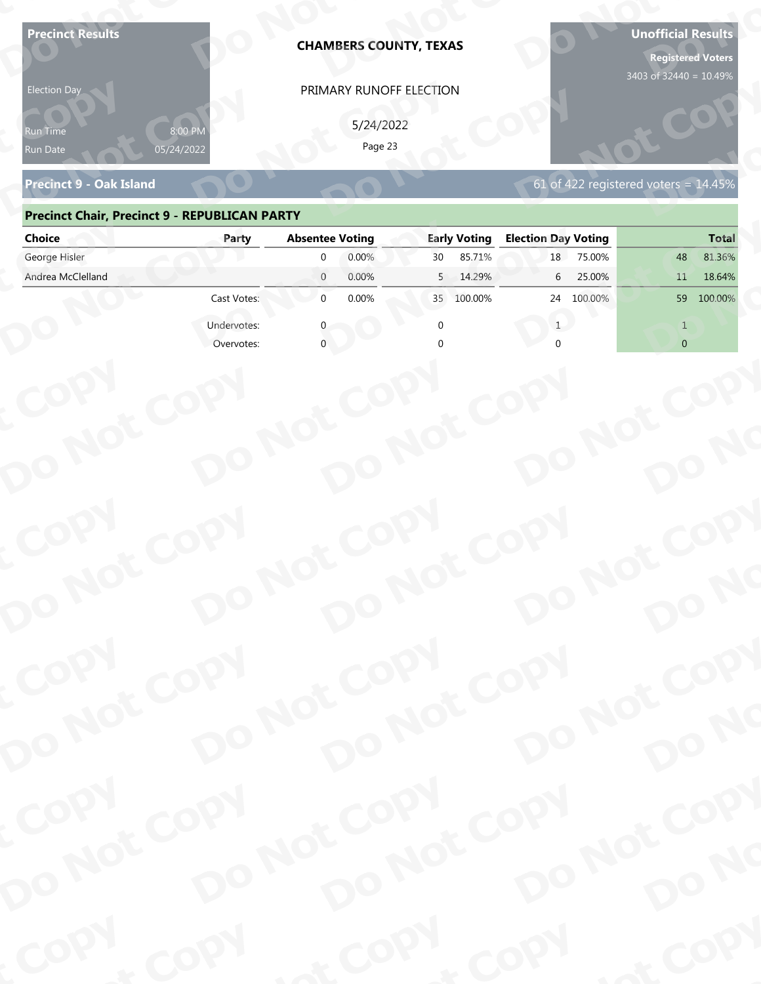| <b>Precinct Results</b><br><b>Election Day</b>       |                       | <b>CHAMBERS COUNTY, TEXAS</b><br>PRIMARY RUNOFF ELECTION |                                     |                                            | <b>Unofficial Results</b><br><b>Registered Voters</b><br>3403 of 32440 = 10.49% |
|------------------------------------------------------|-----------------------|----------------------------------------------------------|-------------------------------------|--------------------------------------------|---------------------------------------------------------------------------------|
| የun Time<br>Run Date                                 | 8:00 PN<br>05/24/2022 | 5/24/2022<br>Page 23                                     |                                     |                                            |                                                                                 |
| <b>Precinct 9 - Oak Island</b>                       |                       |                                                          |                                     | 61 of 422 registered voters = $14.45\%$    |                                                                                 |
| <b>Precinct Chair, Precinct 9 - REPUBLICAN PARTY</b> |                       |                                                          |                                     |                                            |                                                                                 |
| <b>Choice</b><br>George Hisler                       | Party                 | <b>Absentee Voting</b><br>0.00%<br>$\Omega$              | <b>Early Voting</b><br>85.71%<br>30 | <b>Election Day Voting</b><br>75.00%<br>18 | <b>Total</b><br>81.36%<br>48                                                    |
| Andrea McClelland                                    |                       | $\overline{0}$<br>0.00%                                  | 5<br>14.29%                         | 25.00%<br>6                                | 11<br>18.64%                                                                    |
|                                                      | Cast Votes:           | $\mathbf{0}$<br>0.00%                                    | 100.00%<br>35                       | 24<br>100.00%                              | 100.00%<br>59                                                                   |
|                                                      | Undervotes:           |                                                          |                                     |                                            |                                                                                 |
|                                                      | Overvotes:            |                                                          |                                     |                                            | $\overline{0}$                                                                  |
|                                                      |                       |                                                          |                                     |                                            |                                                                                 |
|                                                      |                       |                                                          |                                     |                                            |                                                                                 |
| COPY                                                 |                       |                                                          |                                     |                                            |                                                                                 |
| DO NOT COPY                                          |                       | DO NOT COPY                                              | DO NOT COPY                         | DO NOT COPY                                | DO NO                                                                           |
| COPY                                                 |                       |                                                          |                                     |                                            |                                                                                 |
| DO NOT COPY                                          |                       | DO NOT COPY                                              | DO NOT COPY                         | DO NOT COPY                                | DO NO                                                                           |
| COPY<br>DO NOT COPY                                  |                       | DO NOT COPY                                              | DO NOT COPY                         | DO NOT COPY                                |                                                                                 |
|                                                      |                       |                                                          |                                     |                                            | DO NO                                                                           |
| COPY                                                 | COPY                  | & COPY                                                   |                                     | COPY                                       | of COPY                                                                         |

### **Precinct Chair, Precinct 9 - REPUBLICAN PARTY**

| <b>Election Day</b>                                  |                       | PRIMARY RUNOFF ELECTION |                     |                                         |                |
|------------------------------------------------------|-----------------------|-------------------------|---------------------|-----------------------------------------|----------------|
| Run Time<br>Run Date                                 | 8:00 PN<br>05/24/2022 | 5/24/2022<br>Page 23    |                     |                                         |                |
| <b>Precinct 9 - Oak Island</b>                       |                       |                         |                     | 61 of 422 registered voters = $14.45\%$ |                |
| <b>Precinct Chair, Precinct 9 - REPUBLICAN PARTY</b> |                       |                         |                     |                                         |                |
| <b>Choice</b>                                        | Party                 | <b>Absentee Voting</b>  | <b>Early Voting</b> | <b>Election Day Voting</b>              | <b>Total</b>   |
| George Hisler                                        |                       | 0.00%<br>$\mathbf{0}$   | 85.71%<br>30        | 18<br>75.00%                            | 81.36%<br>48   |
| Andrea McClelland                                    |                       | $\overline{0}$<br>0.00% | 14.29%<br>5         | 25.00%<br>6                             | 18.64%<br>11   |
|                                                      | Cast Votes:           | 0.00%<br>$\overline{0}$ | 35 100.00%          | 24 100.00%                              | 59 100.00%     |
|                                                      | Undervotes:           |                         |                     | 1                                       | $\mathbf{1}$   |
|                                                      | Overvotes:            |                         |                     |                                         | $\overline{0}$ |
|                                                      |                       |                         |                     |                                         |                |
|                                                      |                       |                         |                     |                                         |                |
|                                                      |                       |                         |                     |                                         |                |
|                                                      |                       |                         |                     |                                         |                |
|                                                      |                       |                         |                     |                                         |                |
|                                                      |                       |                         |                     |                                         |                |
|                                                      |                       |                         |                     |                                         |                |
|                                                      |                       |                         |                     |                                         |                |
|                                                      |                       |                         |                     |                                         |                |
|                                                      |                       |                         |                     |                                         |                |
|                                                      |                       |                         |                     |                                         |                |
|                                                      |                       |                         |                     |                                         |                |
| COPY<br>DO NOT COPY                                  |                       | DO NOT COPY             | DO NOT COPY         | DO NOT COPY                             |                |
|                                                      |                       |                         |                     |                                         |                |
|                                                      |                       |                         |                     |                                         |                |
|                                                      |                       |                         |                     |                                         | DO NO          |
|                                                      |                       |                         |                     |                                         |                |
|                                                      |                       |                         |                     |                                         |                |
|                                                      |                       |                         |                     |                                         |                |
|                                                      |                       |                         |                     |                                         |                |
| COPY                                                 |                       |                         |                     |                                         |                |
|                                                      |                       | DO NOT COPY             | DO NOT COPY         | DO NOT COPY                             |                |
|                                                      |                       |                         |                     |                                         | DO NO          |
| DO NOT COPY                                          |                       |                         |                     |                                         |                |
| <b>POO.</b>                                          | <b>And</b>            |                         | $P_{\rm O_2}$       | <b>LON</b>                              | ·ODW           |
|                                                      |                       |                         |                     |                                         |                |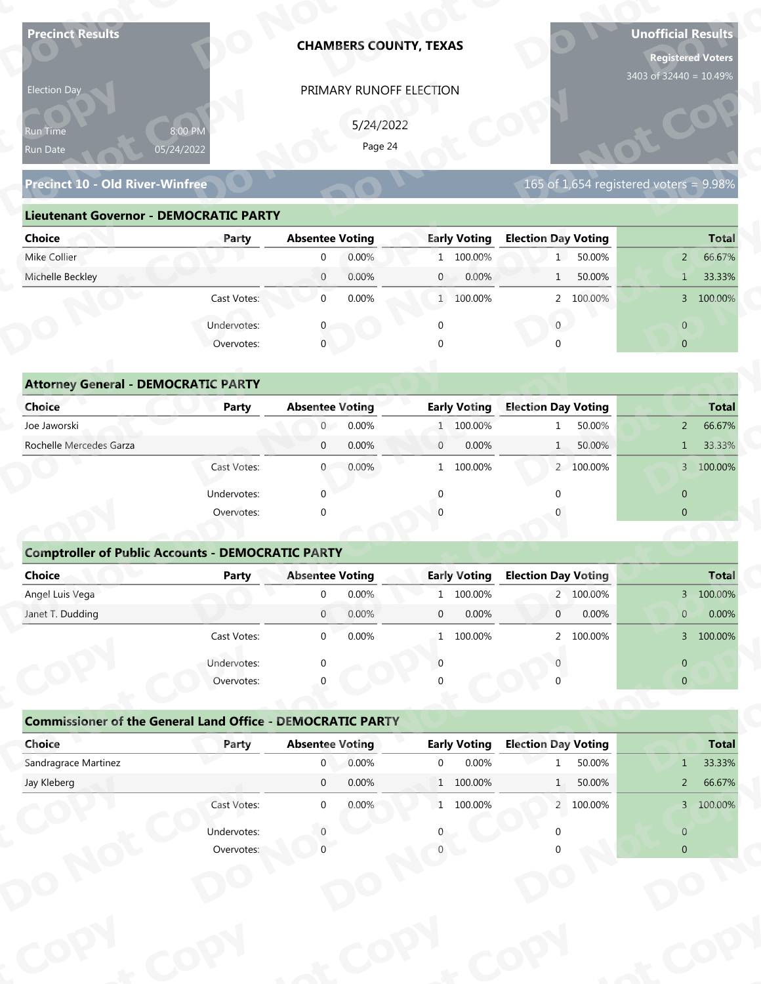| <b>Precinct Results</b>                                           |                           |                                          |           | <b>CHAMBERS COUNTY, TEXAS</b> |                                  |                            |           | <b>Unofficial Results</b><br><b>Registered Voters</b> |                        |
|-------------------------------------------------------------------|---------------------------|------------------------------------------|-----------|-------------------------------|----------------------------------|----------------------------|-----------|-------------------------------------------------------|------------------------|
| Election Day                                                      |                           |                                          |           | PRIMARY RUNOFF ELECTION       |                                  |                            |           | 3403 of 32440 = 10.49%                                |                        |
|                                                                   |                           |                                          | 5/24/2022 |                               |                                  |                            |           |                                                       |                        |
| Run Time<br>Run Date                                              | 8:00 PM<br>05/24/2022     |                                          | Page 24   |                               |                                  |                            |           |                                                       |                        |
|                                                                   |                           |                                          |           |                               |                                  |                            |           |                                                       |                        |
| <b>Precinct 10 - Old River-Winfree</b>                            |                           |                                          |           |                               |                                  |                            |           | 165 of 1,654 registered voters = $9.98\%$             |                        |
| <b>Lieutenant Governor - DEMOCRATIC PARTY</b>                     |                           |                                          |           |                               |                                  |                            |           |                                                       |                        |
| <b>Choice</b>                                                     | Party                     | <b>Absentee Voting</b>                   |           |                               | <b>Early Voting</b>              | <b>Election Day Voting</b> |           |                                                       | <b>Total</b>           |
| Mike Collier                                                      |                           | $\mathbf 0$                              | 0.00%     |                               | 1 100.00%                        | $1 \quad$                  | 50.00%    | $2^{\circ}$                                           | 66.67%                 |
| Michelle Beckley                                                  |                           | $\overline{0}$                           | 0.00%     | $\mathbf{0}$                  | 0.00%                            | 1                          | 50.00%    | $\mathbf{1}$                                          | 33.33%                 |
|                                                                   | Cast Votes:               | $\mathbf 0$                              | 0.00%     |                               | 1 100.00%                        |                            | 2 100.00% |                                                       | 3 100.00%              |
|                                                                   | Undervotes:               |                                          |           | $\mathbf 0$                   |                                  | $\overline{0}$             |           | $\overline{0}$                                        |                        |
|                                                                   | Overvotes:                | $\mathbf{0}$                             |           |                               |                                  |                            |           | $\overline{0}$                                        |                        |
|                                                                   |                           |                                          |           |                               |                                  |                            |           |                                                       |                        |
| <b>Attorney General - DEMOCRATIC PARTY</b>                        |                           |                                          |           |                               |                                  |                            |           |                                                       |                        |
| <b>Choice</b><br>Joe Jaworski                                     | <b>Party</b>              | <b>Absentee Voting</b><br>$\overline{0}$ | 0.00%     |                               | <b>Early Voting</b><br>1 100.00% | <b>Election Day Voting</b> | 50.00%    | $2^{\circ}$                                           | <b>Total</b><br>66.67% |
| Rochelle Mercedes Garza                                           |                           | $\mathbf 0$                              | 0.00%     | $\mathbf{0}$                  | 0.00%                            | 1                          | 50.00%    | $\mathbf{1}$                                          | 33.33%                 |
|                                                                   | Cast Votes:               | $\overline{0}$                           | 0.00%     |                               | 1 100.00%                        |                            | 2 100.00% |                                                       | 3 100.00%              |
|                                                                   |                           |                                          |           |                               |                                  |                            |           |                                                       |                        |
|                                                                   | Undervotes:               | $\Omega$                                 |           | $\mathbf{0}$                  |                                  | $\Omega$                   |           | $\overline{0}$                                        |                        |
|                                                                   | Overvotes:                | $\Omega$                                 |           |                               |                                  |                            |           | $\overline{0}$                                        |                        |
| <b>Comptroller of Public Accounts - DEMOCRATIC PARTY</b>          |                           |                                          |           |                               |                                  |                            |           |                                                       |                        |
| <b>Choice</b>                                                     | <b>Party</b>              | <b>Absentee Voting</b>                   |           |                               | <b>Early Voting</b>              | <b>Election Day Voting</b> |           |                                                       | <b>Total</b>           |
| Angel Luis Vega                                                   |                           | $\overline{0}$                           | 0.00%     | $\mathbf{1}$                  | 100.00%                          |                            | 2 100.00% |                                                       | 3 100.00%              |
| Janet T. Dudding                                                  |                           | $\overline{0}$                           | 0.00%     | $\mathbf 0$                   | 0.00%                            | $\overline{0}$             | 0.00%     | $\mathbf{0}$                                          | 0.00%                  |
|                                                                   | Cast Votes:               | $\overline{0}$                           | 0.00%     |                               | 1 100.00%                        |                            | 2 100.00% |                                                       | 3 100.00%              |
|                                                                   | Undervotes:               | $\Omega$                                 |           | $\Omega$                      |                                  |                            |           | $\overline{0}$                                        |                        |
|                                                                   | Overvotes:                |                                          |           |                               |                                  |                            |           | $\overline{0}$                                        |                        |
|                                                                   |                           |                                          |           |                               |                                  |                            |           |                                                       |                        |
| <b>Commissioner of the General Land Office - DEMOCRATIC PARTY</b> |                           |                                          |           |                               |                                  |                            |           |                                                       |                        |
| Choice                                                            | Party                     | <b>Absentee Voting</b>                   |           |                               | <b>Early Voting</b>              | <b>Election Day Voting</b> |           |                                                       | <b>Total</b>           |
|                                                                   |                           | $\overline{0}$                           | 0.00%     | $\overline{0}$                | 0.00%                            |                            | 50.00%    | 1                                                     | 33.33%                 |
| Sandragrace Martinez                                              |                           | $\overline{0}$                           | 0.00%     |                               | 1 100.00%                        | 1                          | 50.00%    | $\overline{2}$                                        | 66.67%<br>3 100.00%    |
| Jay Kleberg                                                       |                           |                                          |           |                               |                                  |                            | 2 100.00% |                                                       |                        |
|                                                                   | Cast Votes:               | $\overline{0}$                           | 0.00%     |                               | 1 100.00%                        |                            |           |                                                       |                        |
|                                                                   | Undervotes:<br>Overvotes: |                                          |           |                               |                                  |                            |           | $\overline{0}$<br>$\overline{0}$                      |                        |

### **Precinct 10 - Old River-Winfree**

### **Lieutenant Governor - DEMOCRATIC PARTY**

| 5/24/2022<br>8:00 PM<br><b>Run Time</b><br>Page 24<br>05/24/2022<br>Run Date                          |              |
|-------------------------------------------------------------------------------------------------------|--------------|
| 165 of 1,654 registered voters = 9.98%<br><b>Precinct 10 - Old River-Winfree</b>                      |              |
| <b>Lieutenant Governor - DEMOCRATIC PARTY</b>                                                         |              |
| <b>Absentee Voting</b><br><b>Early Voting</b><br><b>Election Day Voting</b><br><b>Choice</b><br>Party | <b>Total</b> |
| Mike Collier<br>0.00%<br>1 100.00%<br>50.00%<br>$\overline{2}$<br>$\overline{0}$<br>1                 | 66.67%       |
| Michelle Beckley<br>0.00%<br>0.00%<br>50.00%<br>$\overline{0}$<br>$\overline{0}$<br>1                 | 33.33%       |
| 0.00%<br>2 100.00%<br>Cast Votes:<br>$\overline{0}$<br>1 100.00%                                      | 3 100.00%    |
| Undervotes:<br>$\overline{0}$<br>$\overline{0}$<br>$\Omega$                                           |              |
| $\mathbf 0$<br>Overvotes:<br>$\Omega$<br>$\overline{0}$                                               |              |
|                                                                                                       |              |
| <b>Attorney General - DEMOCRATIC PARTY</b>                                                            |              |
| <b>Early Voting</b><br><b>Election Day Voting</b><br><b>Choice</b><br><b>Absentee Voting</b><br>Party | <b>Total</b> |
| Joe Jaworski<br>0.00%<br>100.00%<br>$\overline{0}$<br>50.00%<br>$\overline{2}$                        | 66.67%       |
| Rochelle Mercedes Garza<br>0.00%<br>0.00%<br>$\mathbf{0}$<br>50.00%<br>$\overline{0}$<br>$\mathbf{1}$ | 33.33%       |
| 0.00%<br>100.00%<br>2 100.00%<br>Cast Votes:<br>$\overline{0}$<br>$\mathbf{1}$                        | 3 100.00%    |

| 5/24/2022<br>8:00 PM<br>Run Time<br>Page 24<br>05/24/2022<br>Run Date<br>$165$ of 1,654 registered voters = 9.98%<br><b>Precinct 10 - Old River-Winfree</b><br><b>Lieutenant Governor - DEMOCRATIC PARTY</b><br><b>Absentee Voting</b><br><b>Early Voting</b><br><b>Election Day Voting</b><br><b>Choice</b><br>Party<br>Mike Collier<br>1 50.00%<br>0.00%<br>1 100.00%<br>$\mathbf 0$<br>2 <sup>1</sup><br>Michelle Beckley<br>$\overline{0}$<br>0.00%<br>0.00%<br>50.00%<br>$\mathbf{0}$<br>1<br>1<br>0.00%<br>Cast Votes:<br>$\mathbf 0$<br>1 100.00%<br>2 100.00%<br>$\mathbf{0}$<br>Undervotes:<br>$\mathbf 0$<br>$\overline{0}$<br>$\mathbf 0$<br>Overvotes:<br>$\mathbf{0}$<br>$\overline{0}$<br>$\Omega$<br><b>Attorney General - DEMOCRATIC PARTY</b><br><b>Early Voting</b><br><b>Election Day Voting</b><br>Choice<br><b>Absentee Voting</b><br><b>Party</b><br>Joe Jaworski<br>0.00%<br>50.00%<br>$\overline{0}$<br>1 100.00%<br>$\overline{2}$<br>$\mathbf{1}$<br>Rochelle Mercedes Garza<br>0.00%<br>0.00%<br>$\mathbf{0}$<br>50.00%<br>$\mathbf 0$<br>1<br>$\mathbf{1}$<br>Cast Votes:<br>0.00%<br>100.00%<br>2 100.00%<br>$\mathbf{0}$<br>$\mathbf{1}$<br>Undervotes:<br>$\Omega$<br>$\mathbf{0}$<br>∩<br>$\overline{0}$<br>Overvotes:<br>$\Omega$<br><b>Comptroller of Public Accounts - DEMOCRATIC PARTY</b><br><b>Choice</b><br><b>Absentee Voting</b><br><b>Early Voting</b><br><b>Election Day Voting</b><br><b>Party</b><br>Angel Luis Vega<br>0.00%<br>1 100.00%<br>2 100.00%<br>$\mathbf 0$<br>0.00%<br>0.00%<br>Janet T. Dudding<br>0.00%<br>$\mathbf 0$<br>$\mathbf{0}$<br>$\mathbf 0$<br>$\mathbf{0}$<br>Cast Votes:<br>$0.00\%$<br>100.00%<br>2 100.00%<br>$\Omega$<br>$\mathbf{1}$<br>Undervotes:<br>$\overline{0}$<br>$\Omega$<br>Overvotes:<br>$\overline{0}$<br><b>Commissioner of the General Land Office - DEMOCRATIC PARTY</b><br>Choice<br><b>Absentee Voting</b><br><b>Early Voting</b><br><b>Election Day Voting</b><br>Party | <b>Election Day</b>  |                |       | PRIMARY RUNOFF ELECTION |       |        |              |
|---------------------------------------------------------------------------------------------------------------------------------------------------------------------------------------------------------------------------------------------------------------------------------------------------------------------------------------------------------------------------------------------------------------------------------------------------------------------------------------------------------------------------------------------------------------------------------------------------------------------------------------------------------------------------------------------------------------------------------------------------------------------------------------------------------------------------------------------------------------------------------------------------------------------------------------------------------------------------------------------------------------------------------------------------------------------------------------------------------------------------------------------------------------------------------------------------------------------------------------------------------------------------------------------------------------------------------------------------------------------------------------------------------------------------------------------------------------------------------------------------------------------------------------------------------------------------------------------------------------------------------------------------------------------------------------------------------------------------------------------------------------------------------------------------------------------------------------------------------------------------------------------------------------------------------------------------------------------|----------------------|----------------|-------|-------------------------|-------|--------|--------------|
|                                                                                                                                                                                                                                                                                                                                                                                                                                                                                                                                                                                                                                                                                                                                                                                                                                                                                                                                                                                                                                                                                                                                                                                                                                                                                                                                                                                                                                                                                                                                                                                                                                                                                                                                                                                                                                                                                                                                                                     |                      |                |       |                         |       |        |              |
|                                                                                                                                                                                                                                                                                                                                                                                                                                                                                                                                                                                                                                                                                                                                                                                                                                                                                                                                                                                                                                                                                                                                                                                                                                                                                                                                                                                                                                                                                                                                                                                                                                                                                                                                                                                                                                                                                                                                                                     |                      |                |       |                         |       |        |              |
|                                                                                                                                                                                                                                                                                                                                                                                                                                                                                                                                                                                                                                                                                                                                                                                                                                                                                                                                                                                                                                                                                                                                                                                                                                                                                                                                                                                                                                                                                                                                                                                                                                                                                                                                                                                                                                                                                                                                                                     |                      |                |       |                         |       |        |              |
|                                                                                                                                                                                                                                                                                                                                                                                                                                                                                                                                                                                                                                                                                                                                                                                                                                                                                                                                                                                                                                                                                                                                                                                                                                                                                                                                                                                                                                                                                                                                                                                                                                                                                                                                                                                                                                                                                                                                                                     |                      |                |       |                         |       |        |              |
|                                                                                                                                                                                                                                                                                                                                                                                                                                                                                                                                                                                                                                                                                                                                                                                                                                                                                                                                                                                                                                                                                                                                                                                                                                                                                                                                                                                                                                                                                                                                                                                                                                                                                                                                                                                                                                                                                                                                                                     |                      |                |       |                         |       |        |              |
|                                                                                                                                                                                                                                                                                                                                                                                                                                                                                                                                                                                                                                                                                                                                                                                                                                                                                                                                                                                                                                                                                                                                                                                                                                                                                                                                                                                                                                                                                                                                                                                                                                                                                                                                                                                                                                                                                                                                                                     |                      |                |       |                         |       |        | <b>Total</b> |
|                                                                                                                                                                                                                                                                                                                                                                                                                                                                                                                                                                                                                                                                                                                                                                                                                                                                                                                                                                                                                                                                                                                                                                                                                                                                                                                                                                                                                                                                                                                                                                                                                                                                                                                                                                                                                                                                                                                                                                     |                      |                |       |                         |       |        | 66.67%       |
|                                                                                                                                                                                                                                                                                                                                                                                                                                                                                                                                                                                                                                                                                                                                                                                                                                                                                                                                                                                                                                                                                                                                                                                                                                                                                                                                                                                                                                                                                                                                                                                                                                                                                                                                                                                                                                                                                                                                                                     |                      |                |       |                         |       |        | 33.33%       |
|                                                                                                                                                                                                                                                                                                                                                                                                                                                                                                                                                                                                                                                                                                                                                                                                                                                                                                                                                                                                                                                                                                                                                                                                                                                                                                                                                                                                                                                                                                                                                                                                                                                                                                                                                                                                                                                                                                                                                                     |                      |                |       |                         |       |        | 3 100.00%    |
|                                                                                                                                                                                                                                                                                                                                                                                                                                                                                                                                                                                                                                                                                                                                                                                                                                                                                                                                                                                                                                                                                                                                                                                                                                                                                                                                                                                                                                                                                                                                                                                                                                                                                                                                                                                                                                                                                                                                                                     |                      |                |       |                         |       |        |              |
|                                                                                                                                                                                                                                                                                                                                                                                                                                                                                                                                                                                                                                                                                                                                                                                                                                                                                                                                                                                                                                                                                                                                                                                                                                                                                                                                                                                                                                                                                                                                                                                                                                                                                                                                                                                                                                                                                                                                                                     |                      |                |       |                         |       |        |              |
|                                                                                                                                                                                                                                                                                                                                                                                                                                                                                                                                                                                                                                                                                                                                                                                                                                                                                                                                                                                                                                                                                                                                                                                                                                                                                                                                                                                                                                                                                                                                                                                                                                                                                                                                                                                                                                                                                                                                                                     |                      |                |       |                         |       |        |              |
|                                                                                                                                                                                                                                                                                                                                                                                                                                                                                                                                                                                                                                                                                                                                                                                                                                                                                                                                                                                                                                                                                                                                                                                                                                                                                                                                                                                                                                                                                                                                                                                                                                                                                                                                                                                                                                                                                                                                                                     |                      |                |       |                         |       |        |              |
|                                                                                                                                                                                                                                                                                                                                                                                                                                                                                                                                                                                                                                                                                                                                                                                                                                                                                                                                                                                                                                                                                                                                                                                                                                                                                                                                                                                                                                                                                                                                                                                                                                                                                                                                                                                                                                                                                                                                                                     |                      |                |       |                         |       |        | <b>Total</b> |
|                                                                                                                                                                                                                                                                                                                                                                                                                                                                                                                                                                                                                                                                                                                                                                                                                                                                                                                                                                                                                                                                                                                                                                                                                                                                                                                                                                                                                                                                                                                                                                                                                                                                                                                                                                                                                                                                                                                                                                     |                      |                |       |                         |       |        | 66.67%       |
|                                                                                                                                                                                                                                                                                                                                                                                                                                                                                                                                                                                                                                                                                                                                                                                                                                                                                                                                                                                                                                                                                                                                                                                                                                                                                                                                                                                                                                                                                                                                                                                                                                                                                                                                                                                                                                                                                                                                                                     |                      |                |       |                         |       |        | 33.33%       |
|                                                                                                                                                                                                                                                                                                                                                                                                                                                                                                                                                                                                                                                                                                                                                                                                                                                                                                                                                                                                                                                                                                                                                                                                                                                                                                                                                                                                                                                                                                                                                                                                                                                                                                                                                                                                                                                                                                                                                                     |                      |                |       |                         |       |        | 3 100.00%    |
|                                                                                                                                                                                                                                                                                                                                                                                                                                                                                                                                                                                                                                                                                                                                                                                                                                                                                                                                                                                                                                                                                                                                                                                                                                                                                                                                                                                                                                                                                                                                                                                                                                                                                                                                                                                                                                                                                                                                                                     |                      |                |       |                         |       |        |              |
|                                                                                                                                                                                                                                                                                                                                                                                                                                                                                                                                                                                                                                                                                                                                                                                                                                                                                                                                                                                                                                                                                                                                                                                                                                                                                                                                                                                                                                                                                                                                                                                                                                                                                                                                                                                                                                                                                                                                                                     |                      |                |       |                         |       |        |              |
|                                                                                                                                                                                                                                                                                                                                                                                                                                                                                                                                                                                                                                                                                                                                                                                                                                                                                                                                                                                                                                                                                                                                                                                                                                                                                                                                                                                                                                                                                                                                                                                                                                                                                                                                                                                                                                                                                                                                                                     |                      |                |       |                         |       |        |              |
|                                                                                                                                                                                                                                                                                                                                                                                                                                                                                                                                                                                                                                                                                                                                                                                                                                                                                                                                                                                                                                                                                                                                                                                                                                                                                                                                                                                                                                                                                                                                                                                                                                                                                                                                                                                                                                                                                                                                                                     |                      |                |       |                         |       |        |              |
|                                                                                                                                                                                                                                                                                                                                                                                                                                                                                                                                                                                                                                                                                                                                                                                                                                                                                                                                                                                                                                                                                                                                                                                                                                                                                                                                                                                                                                                                                                                                                                                                                                                                                                                                                                                                                                                                                                                                                                     |                      |                |       |                         |       |        | <b>Total</b> |
|                                                                                                                                                                                                                                                                                                                                                                                                                                                                                                                                                                                                                                                                                                                                                                                                                                                                                                                                                                                                                                                                                                                                                                                                                                                                                                                                                                                                                                                                                                                                                                                                                                                                                                                                                                                                                                                                                                                                                                     |                      |                |       |                         |       |        | 3 100.00%    |
|                                                                                                                                                                                                                                                                                                                                                                                                                                                                                                                                                                                                                                                                                                                                                                                                                                                                                                                                                                                                                                                                                                                                                                                                                                                                                                                                                                                                                                                                                                                                                                                                                                                                                                                                                                                                                                                                                                                                                                     |                      |                |       |                         |       |        | 0.00%        |
|                                                                                                                                                                                                                                                                                                                                                                                                                                                                                                                                                                                                                                                                                                                                                                                                                                                                                                                                                                                                                                                                                                                                                                                                                                                                                                                                                                                                                                                                                                                                                                                                                                                                                                                                                                                                                                                                                                                                                                     |                      |                |       |                         |       |        | 3 100.00%    |
|                                                                                                                                                                                                                                                                                                                                                                                                                                                                                                                                                                                                                                                                                                                                                                                                                                                                                                                                                                                                                                                                                                                                                                                                                                                                                                                                                                                                                                                                                                                                                                                                                                                                                                                                                                                                                                                                                                                                                                     |                      |                |       |                         |       |        |              |
|                                                                                                                                                                                                                                                                                                                                                                                                                                                                                                                                                                                                                                                                                                                                                                                                                                                                                                                                                                                                                                                                                                                                                                                                                                                                                                                                                                                                                                                                                                                                                                                                                                                                                                                                                                                                                                                                                                                                                                     |                      |                |       |                         |       |        |              |
|                                                                                                                                                                                                                                                                                                                                                                                                                                                                                                                                                                                                                                                                                                                                                                                                                                                                                                                                                                                                                                                                                                                                                                                                                                                                                                                                                                                                                                                                                                                                                                                                                                                                                                                                                                                                                                                                                                                                                                     |                      |                |       |                         |       |        |              |
|                                                                                                                                                                                                                                                                                                                                                                                                                                                                                                                                                                                                                                                                                                                                                                                                                                                                                                                                                                                                                                                                                                                                                                                                                                                                                                                                                                                                                                                                                                                                                                                                                                                                                                                                                                                                                                                                                                                                                                     |                      |                |       |                         |       |        |              |
|                                                                                                                                                                                                                                                                                                                                                                                                                                                                                                                                                                                                                                                                                                                                                                                                                                                                                                                                                                                                                                                                                                                                                                                                                                                                                                                                                                                                                                                                                                                                                                                                                                                                                                                                                                                                                                                                                                                                                                     |                      |                |       |                         |       |        | <b>Total</b> |
|                                                                                                                                                                                                                                                                                                                                                                                                                                                                                                                                                                                                                                                                                                                                                                                                                                                                                                                                                                                                                                                                                                                                                                                                                                                                                                                                                                                                                                                                                                                                                                                                                                                                                                                                                                                                                                                                                                                                                                     |                      | $\overline{0}$ | 0.00% | $\mathbf 0$             | 0.00% | 50.00% | 33.33%<br>1  |
| 0.00%<br>1 100.00%<br>Jay Kleberg<br>$\overline{0}$<br>50.00%<br>1<br>$2^{\circ}$                                                                                                                                                                                                                                                                                                                                                                                                                                                                                                                                                                                                                                                                                                                                                                                                                                                                                                                                                                                                                                                                                                                                                                                                                                                                                                                                                                                                                                                                                                                                                                                                                                                                                                                                                                                                                                                                                   | Sandragrace Martinez |                |       |                         |       |        | 66.67%       |
| Cast Votes:<br>$\overline{0}$<br>0.00%<br>1 100.00%<br>2 100.00%                                                                                                                                                                                                                                                                                                                                                                                                                                                                                                                                                                                                                                                                                                                                                                                                                                                                                                                                                                                                                                                                                                                                                                                                                                                                                                                                                                                                                                                                                                                                                                                                                                                                                                                                                                                                                                                                                                    |                      |                |       |                         |       |        |              |
| Undervotes:<br>$\overline{0}$                                                                                                                                                                                                                                                                                                                                                                                                                                                                                                                                                                                                                                                                                                                                                                                                                                                                                                                                                                                                                                                                                                                                                                                                                                                                                                                                                                                                                                                                                                                                                                                                                                                                                                                                                                                                                                                                                                                                       |                      |                |       |                         |       |        | 3 100.00%    |
| Overvotes:<br>$\overline{0}$                                                                                                                                                                                                                                                                                                                                                                                                                                                                                                                                                                                                                                                                                                                                                                                                                                                                                                                                                                                                                                                                                                                                                                                                                                                                                                                                                                                                                                                                                                                                                                                                                                                                                                                                                                                                                                                                                                                                        |                      |                |       |                         |       |        |              |

### **Comptroller of Public Accounts - DEMOCRATIC PARTY**

| <b>Choice</b>                                                     | Party       | <b>Absentee Voting</b>  | <b>Early Voting</b>     | <b>Election Day Voting</b> |                | <b>Total</b> |
|-------------------------------------------------------------------|-------------|-------------------------|-------------------------|----------------------------|----------------|--------------|
| Joe Jaworski                                                      |             | 0.00%<br>$\overline{0}$ | 1 100.00%               | 50.00%<br>1                |                | 2 66.67%     |
| Rochelle Mercedes Garza                                           |             | 0.00%<br>$\mathbf 0$    | 0.00%<br>$\overline{0}$ | 50.00%<br>1                | 1              | 33.33%       |
|                                                                   | Cast Votes: | 0.00%<br>$\overline{0}$ | 1 100.00%               | 2 100.00%                  |                | 3 100.00%    |
|                                                                   | Undervotes: | $\Omega$                | $\Omega$                | $\cap$                     | $\mathbf{0}$   |              |
|                                                                   | Overvotes:  | $\Omega$                |                         |                            | $\mathbf{0}$   |              |
| <b>Comptroller of Public Accounts - DEMOCRATIC PARTY</b>          |             |                         |                         |                            |                |              |
| <b>Choice</b>                                                     | Party       | <b>Absentee Voting</b>  | <b>Early Voting</b>     | <b>Election Day Voting</b> |                | <b>Total</b> |
| Angel Luis Vega                                                   |             | 0.00%<br>$\Omega$       | 1 100.00%               | 2 100.00%                  |                | 3 100.00%    |
| Janet T. Dudding                                                  |             | 0.00%<br>$\overline{0}$ | 0.00%<br>$\mathbf{0}$   | 0.00%<br>$\overline{0}$    | $\mathbf{0}$   | 0.00%        |
|                                                                   | Cast Votes: | 0.00%<br>$\overline{0}$ | 1 100.00%               | 2 100.00%                  |                | 3 100.00%    |
|                                                                   |             |                         |                         |                            |                |              |
|                                                                   | Undervotes: | ∩                       | <sup>0</sup>            |                            | $\mathbf{0}$   |              |
|                                                                   | Overvotes:  |                         |                         |                            | $\mathbf 0$    |              |
| <b>Commissioner of the General Land Office - DEMOCRATIC PARTY</b> |             |                         |                         |                            |                |              |
| Choice                                                            | Party       | <b>Absentee Voting</b>  | <b>Early Voting</b>     | <b>Election Day Voting</b> |                | <b>Total</b> |
| Sandragrace Martinez                                              |             | 0.00%<br>$\mathbf{0}$   | 0.00%<br>$\mathbf 0$    | 50.00%<br>$\mathbf{1}$     | $\mathbf{1}$   | 33.33%       |
| Jay Kleberg                                                       |             | $\mathbf 0$<br>0.00%    | 1 100.00%               | 50.00%<br>1                | 2 <sup>2</sup> | 66.67%       |
|                                                                   | Cast Votes: | 0.00%<br>$\mathbf{0}$   | 1 100.00%               | 2 100.00%                  |                | 3 100.00%    |
|                                                                   | Undervotes: |                         |                         |                            | $\overline{0}$ |              |

|                                                                   | Cast votes. | U                      | <b>U.UU70</b> |   | T TOO'OO NO         | $\epsilon$                 | TOO'OO NO | $\mathcal{P}$  | LUU.UU70     |
|-------------------------------------------------------------------|-------------|------------------------|---------------|---|---------------------|----------------------------|-----------|----------------|--------------|
|                                                                   | Undervotes: | $\Omega$               |               | 0 |                     |                            |           | $\Omega$       |              |
|                                                                   | Overvotes:  | $\Omega$               |               | 0 |                     |                            |           | $\overline{0}$ |              |
|                                                                   |             |                        |               |   |                     |                            |           |                |              |
| <b>Commissioner of the General Land Office - DEMOCRATIC PARTY</b> |             |                        |               |   |                     |                            |           |                |              |
| Choice                                                            | Party       | <b>Absentee Voting</b> |               |   | <b>Early Voting</b> | <b>Election Day Voting</b> |           |                | <b>Total</b> |
| Sandragrace Martinez                                              |             | $\mathbf 0$            | 0.00%         | 0 | 0.00%               | $\mathbf{1}$               | 50.00%    | $\mathbf{1}$   | 33.33%       |
| Jay Kleberg                                                       |             | $\mathbf 0$            | 0.00%         |   | 1 100.00%           | $1 -$                      | 50.00%    | $2^{\circ}$    | 66.67%       |
|                                                                   | Cast Votes: | $\mathbf 0$            | 0.00%         |   | 1 100.00%           | $\overline{2}$             | 100.00%   | $\overline{3}$ | 100.00%      |
|                                                                   | Undervotes: |                        |               | 0 |                     |                            |           | $\overline{0}$ |              |
|                                                                   | Overvotes:  |                        |               |   |                     |                            |           | $\overline{0}$ |              |
|                                                                   |             |                        |               |   |                     |                            |           |                |              |
|                                                                   |             |                        |               |   |                     |                            |           |                |              |
|                                                                   |             |                        |               |   |                     |                            |           |                |              |
|                                                                   |             |                        |               |   |                     |                            |           |                |              |
|                                                                   |             |                        |               |   |                     |                            |           |                |              |
|                                                                   |             |                        |               |   |                     |                            |           |                |              |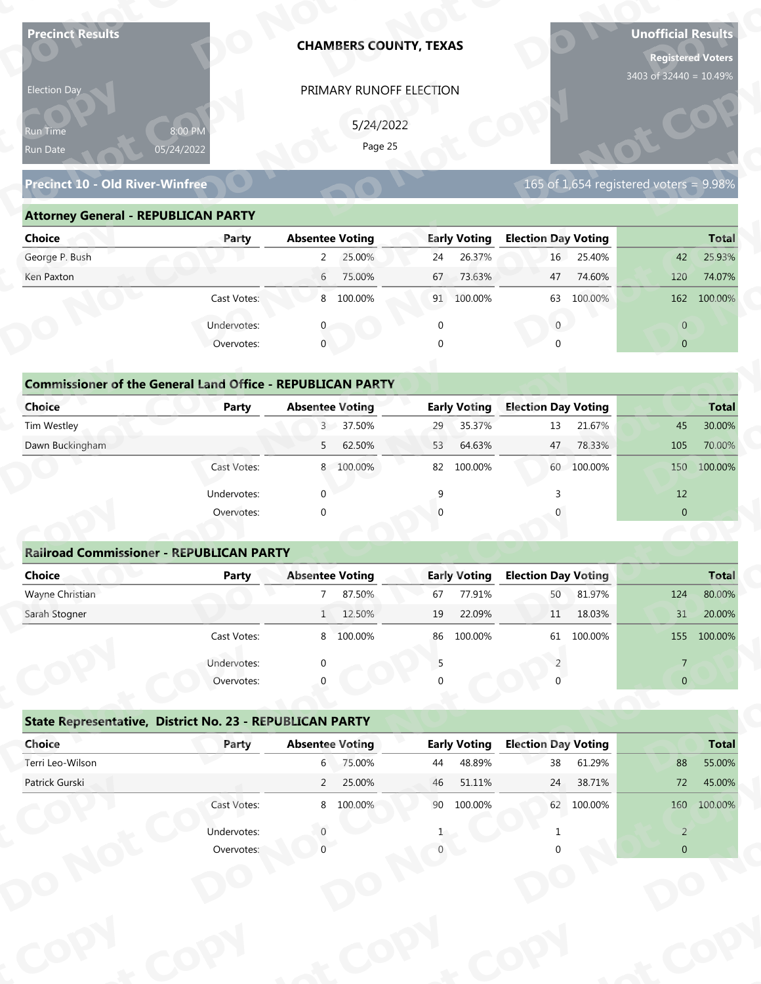| <b>Precinct Results</b>                                           |                           |                        | <b>CHAMBERS COUNTY, TEXAS</b> |              |                               |                                  |            | <b>Unofficial Results</b><br><b>Registered Voters</b><br>3403 of 32440 = 10.49% |                        |
|-------------------------------------------------------------------|---------------------------|------------------------|-------------------------------|--------------|-------------------------------|----------------------------------|------------|---------------------------------------------------------------------------------|------------------------|
| Election Day                                                      |                           |                        | PRIMARY RUNOFF ELECTION       |              |                               |                                  |            |                                                                                 |                        |
|                                                                   |                           |                        |                               |              |                               |                                  |            |                                                                                 |                        |
| Run Time                                                          | 8:00 PM                   |                        | 5/24/2022                     |              |                               |                                  |            |                                                                                 |                        |
| Run Date                                                          | 05/24/2022                |                        | Page 25                       |              |                               |                                  |            |                                                                                 |                        |
| <b>Precinct 10 - Old River-Winfree</b>                            |                           |                        |                               |              |                               |                                  |            | 165 of 1,654 registered voters = 9.98%                                          |                        |
| <b>Attorney General - REPUBLICAN PARTY</b>                        |                           |                        |                               |              |                               |                                  |            |                                                                                 |                        |
| <b>Choice</b>                                                     | Party                     | <b>Absentee Voting</b> |                               |              | <b>Early Voting</b>           | <b>Election Day Voting</b>       |            |                                                                                 | <b>Total</b>           |
| George P. Bush                                                    |                           | $\overline{2}$         | 25.00%                        | 24           | 26.37%                        | 16                               | 25.40%     | 42                                                                              | 25.93%                 |
| Ken Paxton                                                        |                           | $6\overline{6}$        | 75.00%                        | 67           | 73.63%                        | 47                               | 74.60%     | 120                                                                             | 74.07%                 |
|                                                                   | Cast Votes:               |                        | 8 100.00%                     |              | 91 100.00%                    | 63                               | 100.00%    |                                                                                 | 162 100.00%            |
|                                                                   | Undervotes:               |                        |                               | $\mathbf 0$  |                               | $\overline{0}$                   |            | $\overline{0}$                                                                  |                        |
|                                                                   | Overvotes:                | $\mathbf{0}$           |                               | $\Omega$     |                               |                                  |            | $\overline{0}$                                                                  |                        |
|                                                                   |                           |                        |                               |              |                               |                                  |            |                                                                                 |                        |
| <b>Commissioner of the General Land Office - REPUBLICAN PARTY</b> |                           |                        |                               |              |                               |                                  |            |                                                                                 |                        |
| <b>Choice</b>                                                     | <b>Party</b>              | <b>Absentee Voting</b> |                               |              | <b>Early Voting</b>           | <b>Election Day Voting</b>       |            |                                                                                 | <b>Total</b>           |
| Tim Westley                                                       |                           |                        | 3 37.50%                      | 29           | 35.37%                        | 13                               | 21.67%     | 45                                                                              | 30.00%                 |
| Dawn Buckingham                                                   |                           | 5                      | 62.50%                        | 53           | 64.63%                        | 47                               | 78.33%     | 105                                                                             | 70.00%                 |
|                                                                   | Cast Votes:               |                        | 8 100.00%                     |              | 82 100.00%                    |                                  | 60 100.00% | 150                                                                             | 100.00%                |
|                                                                   | Undervotes:               | $\Omega$               |                               | $\mathsf{q}$ |                               | 3                                |            | 12                                                                              |                        |
|                                                                   | Overvotes:                | $\Omega$               |                               |              |                               |                                  |            | $\overline{0}$                                                                  |                        |
|                                                                   |                           |                        |                               |              |                               |                                  |            |                                                                                 |                        |
| <b>Railroad Commissioner - REPUBLICAN PARTY</b>                   |                           |                        |                               |              |                               |                                  |            |                                                                                 |                        |
| <b>Choice</b>                                                     | <b>Party</b>              | <b>Absentee Voting</b> |                               |              | <b>Early Voting</b>           | <b>Election Day Voting</b>       |            |                                                                                 | <b>Total</b>           |
| Wayne Christian                                                   |                           | $7^{\circ}$            | 87.50%                        | 67           | 77.91%                        | 50                               | 81.97%     | 124                                                                             | 80.00%                 |
| Sarah Stogner                                                     |                           |                        | 1 12.50%                      | 19           | 22.09%                        | 11                               | 18.03%     | 31                                                                              | 20.00%                 |
|                                                                   | Cast Votes:               |                        | 8 100.00%                     |              | 86 100.00%                    | 61                               | 100.00%    |                                                                                 | 155 100.00%            |
|                                                                   | Undervotes:               |                        |                               | 5            |                               |                                  |            | $\overline{7}$                                                                  |                        |
|                                                                   | Overvotes:                |                        |                               |              |                               |                                  |            | $\overline{0}$                                                                  |                        |
|                                                                   |                           |                        |                               |              |                               |                                  |            |                                                                                 |                        |
| State Representative, District No. 23 - REPUBLICAN PARTY          |                           |                        |                               |              |                               |                                  |            |                                                                                 |                        |
| Choice                                                            | Party                     | <b>Absentee Voting</b> | 6 75.00%                      | 44           | <b>Early Voting</b><br>48.89% | <b>Election Day Voting</b><br>38 | 61.29%     | 88                                                                              | <b>Total</b><br>55.00% |
|                                                                   |                           |                        | 25.00%                        | 46           | 51.11%                        | 24                               | 38.71%     | 72                                                                              | 45.00%                 |
| Terri Leo-Wilson                                                  |                           |                        |                               |              |                               |                                  |            |                                                                                 |                        |
| Patrick Gurski                                                    |                           | $2^{\circ}$            |                               |              |                               |                                  |            |                                                                                 |                        |
|                                                                   | Cast Votes:               |                        | 8 100.00%                     |              | 90 100.00%                    |                                  | 62 100.00% |                                                                                 | 160 100.00%            |
|                                                                   | Undervotes:<br>Overvotes: |                        |                               |              |                               |                                  |            | $\overline{2}$<br>$\Omega$                                                      |                        |

### **Precinct 10 - Old River-Winfree**

### **Attorney General - REPUBLICAN PARTY**

| Election Day                               |                                                                            | PRIMARY RUNOFF ELECTION   |                          |                                           |                |
|--------------------------------------------|----------------------------------------------------------------------------|---------------------------|--------------------------|-------------------------------------------|----------------|
| lun Time<br>Run Date                       | 8:00 PM<br>05/24/2022                                                      | 5/24/2022<br>Page 25      |                          |                                           |                |
| <b>Precinct 10 - Old River-Winfree</b>     |                                                                            |                           |                          | 165 of 1,654 registered voters = $9.98\%$ |                |
| <b>Attorney General - REPUBLICAN PARTY</b> |                                                                            |                           |                          |                                           |                |
| <b>Choice</b>                              | Party                                                                      | <b>Absentee Voting</b>    | <b>Early Voting</b>      | <b>Election Day Voting</b>                | <b>Total</b>   |
| George P. Bush                             |                                                                            | 2 25.00%                  | 26.37%<br>24             | 16 25.40%                                 | 25.93%<br>42   |
| Ken Paxton                                 |                                                                            | $6\overline{6}$<br>75.00% | 73.63%<br>67             | 74.60%<br>47                              | 120<br>74.07%  |
|                                            | Cast Votes:                                                                | 8 100.00%                 | 91 100.00%               | 63 100.00%                                | 162 100.00%    |
|                                            | Undervotes:                                                                |                           | $\Omega$                 | $\overline{0}$                            | $\overline{0}$ |
|                                            | Overvotes:                                                                 | $\Omega$                  |                          |                                           | $\overline{0}$ |
| Choice                                     | <b>Commissioner of the General Land Office - REPUBLICAN PARTY</b><br>Party | <b>Absentee Voting</b>    | <b>Early Voting</b>      | <b>Election Day Voting</b>                | <b>Total</b>   |
| Tim Westley                                |                                                                            | 3 37.50%                  | 35.37%<br>29             | 21.67%<br>13                              | 30.00%<br>45   |
| Dawn Buckingham                            |                                                                            | 62.50%<br>$5 -$           | 64.63%<br>53             | 78.33%<br>47                              | 70.00%<br>105  |
|                                            | Cast Votes:                                                                | 8 100.00%                 | 100.00%<br>82            | 60 100.00%                                | 100.00%<br>150 |
|                                            | Undervotes:                                                                | $\Omega$                  | a                        |                                           | 12             |
|                                            | Overvotes:                                                                 |                           |                          |                                           | $\overline{0}$ |
|                                            |                                                                            |                           |                          |                                           |                |
|                                            | <b>Railroad Commissioner - REPUBLICAN PARTY</b>                            |                           |                          |                                           |                |
| <b>Choice</b>                              | <b>Party</b>                                                               | <b>Absentee Voting</b>    | <b>Early Voting</b>      | <b>Election Day Voting</b>                | <b>Total</b>   |
| Wayne Christian                            |                                                                            | 87.50%                    | 77.91%<br>67             | 81.97%<br>50                              | 80.00%<br>124  |
| Carole Champsu                             |                                                                            | $1 \quad 1 \quad 0$       | 10 <sup>1</sup><br>22000 | 11 10000                                  | 21<br>20.000   |

|        |       | <b>Commissioner of the General Land Office - REPUBLICAN PARTY</b> |       |
|--------|-------|-------------------------------------------------------------------|-------|
| Choice | Party | <b>Absentee Voting</b>                                            | Early |

| Choice                                                            | Party       | <b>Absentee Voting</b>   | <b>Early Voting</b> | <b>Election Day Voting</b> | <b>Total</b>   |
|-------------------------------------------------------------------|-------------|--------------------------|---------------------|----------------------------|----------------|
| George P. Bush                                                    |             | 25.00%<br>$\overline{2}$ | 26.37%<br>24        | 25.40%<br>16 <sup>1</sup>  | 42<br>25.93%   |
| Ken Paxton                                                        |             | 75.00%<br>6              | 73.63%<br>67        | 74.60%<br>47               | 120<br>74.07%  |
|                                                                   | Cast Votes: | 8 100.00%                | 100.00%<br>91       | 100.00%<br>63              | 162<br>100.00% |
|                                                                   | Undervotes: |                          |                     | $\mathbf{0}$               | $\overline{0}$ |
|                                                                   | Overvotes:  | $\mathbf{0}$             |                     | $\Omega$                   | $\overline{0}$ |
|                                                                   |             |                          |                     |                            |                |
| <b>Commissioner of the General Land Office - REPUBLICAN PARTY</b> |             |                          |                     |                            |                |
| Choice                                                            | Party       | <b>Absentee Voting</b>   | <b>Early Voting</b> | <b>Election Day Voting</b> | <b>Total</b>   |
| Tim Westley                                                       |             | 3 <sup>7</sup><br>37.50% | 35.37%<br>29        | 13<br>21.67%               | 45<br>30.00%   |
| Dawn Buckingham                                                   |             | 62.50%<br>5              | 53<br>64.63%        | 78.33%<br>47               | 105<br>70.00%  |
|                                                                   | Cast Votes: | 8 100.00%                | 100.00%<br>82       | 60 100.00%                 | 150<br>100.00% |
|                                                                   | Undervotes: |                          |                     |                            | 12             |
|                                                                   | Overvotes:  | $\Omega$                 |                     |                            | $\overline{0}$ |
|                                                                   |             |                          |                     |                            |                |
|                                                                   |             |                          |                     |                            |                |

|                                                                   |                           | PRIMARY RUNOFF ELECTION   |                     |                                          |                                                                                                                      |
|-------------------------------------------------------------------|---------------------------|---------------------------|---------------------|------------------------------------------|----------------------------------------------------------------------------------------------------------------------|
|                                                                   |                           | 5/24/2022                 |                     |                                          |                                                                                                                      |
| Run Time<br>Run Date                                              | 8:00 PM<br>05/24/2022     | Page 25                   |                     |                                          |                                                                                                                      |
|                                                                   |                           |                           |                     |                                          |                                                                                                                      |
| <b>Precinct 10 - Old River-Winfree</b>                            |                           |                           |                     | $165$ of 1,654 registered voters = 9.98% |                                                                                                                      |
| <b>Attorney General - REPUBLICAN PARTY</b>                        |                           |                           |                     |                                          |                                                                                                                      |
| <b>Choice</b>                                                     | Party                     | <b>Absentee Voting</b>    | <b>Early Voting</b> | <b>Election Day Voting</b>               | <b>Total</b>                                                                                                         |
| George P. Bush                                                    |                           | 25.00%<br>$2^{\circ}$     | 26.37%<br>24        | 16<br>25.40%                             | 25.93%<br>42                                                                                                         |
| Ken Paxton                                                        |                           | 75.00%<br>$6\overline{6}$ | 73.63%<br>67        | 74.60%<br>47                             | 120<br>74.07%                                                                                                        |
|                                                                   | Cast Votes:               | 8 100.00%                 | 91 100.00%          | 63 100.00%                               | 162 100.00%                                                                                                          |
|                                                                   | Undervotes:               | 0                         | $\mathbf 0$         | $\overline{0}$                           | $\overline{0}$                                                                                                       |
|                                                                   | Overvotes:                | $\mathbf{0}$              | $\Omega$            | $\Omega$                                 | $\overline{0}$                                                                                                       |
|                                                                   |                           |                           |                     |                                          |                                                                                                                      |
| <b>Commissioner of the General Land Office - REPUBLICAN PARTY</b> |                           |                           |                     |                                          |                                                                                                                      |
| Choice                                                            | Party                     | <b>Absentee Voting</b>    | <b>Early Voting</b> | <b>Election Day Voting</b>               | <b>Total</b>                                                                                                         |
| Tim Westley                                                       |                           | 3 37.50%                  | 35.37%<br>29        | 21.67%<br>13                             | 30.00%<br>45                                                                                                         |
| Dawn Buckingham                                                   |                           | 62.50%<br>5               | 64.63%<br>53        | 47<br>78.33%                             | 105<br>70.00%                                                                                                        |
|                                                                   | Cast Votes:               | 8 100.00%                 | 100.00%<br>82       | 60 100.00%                               | 100.00%<br>150                                                                                                       |
|                                                                   | Undervotes:               | $\Omega$                  | 9                   |                                          | 12                                                                                                                   |
|                                                                   | Overvotes:                | $\Omega$                  |                     |                                          | $\overline{0}$                                                                                                       |
|                                                                   |                           |                           |                     |                                          |                                                                                                                      |
|                                                                   |                           |                           |                     |                                          |                                                                                                                      |
| <b>Railroad Commissioner - REPUBLICAN PARTY</b>                   |                           |                           |                     |                                          |                                                                                                                      |
| <b>Choice</b>                                                     | <b>Party</b>              | <b>Absentee Voting</b>    | <b>Early Voting</b> | <b>Election Day Voting</b>               |                                                                                                                      |
| Wayne Christian                                                   |                           | 87.50%<br>$7^{\circ}$     | 77.91%<br>67        | 81.97%<br>50                             | 124                                                                                                                  |
| Sarah Stogner                                                     |                           | 1 12.50%                  | 22.09%<br>19        | 18.03%<br>11                             | 31                                                                                                                   |
|                                                                   | Cast Votes:               | 8 100.00%                 | 86 100.00%          | 61 100.00%                               |                                                                                                                      |
|                                                                   |                           |                           | 5                   |                                          | $\overline{7}$                                                                                                       |
|                                                                   | Undervotes:<br>Overvotes: |                           |                     |                                          | $\overline{0}$                                                                                                       |
|                                                                   |                           |                           |                     |                                          |                                                                                                                      |
| State Representative, District No. 23 - REPUBLICAN PARTY          |                           |                           |                     |                                          |                                                                                                                      |
| Choice                                                            | Party                     | <b>Absentee Voting</b>    | <b>Early Voting</b> | <b>Election Day Voting</b>               |                                                                                                                      |
| Terri Leo-Wilson                                                  |                           | 6 75.00%                  | 48.89%<br>44        | 61.29%<br>38                             | 88                                                                                                                   |
| Patrick Gurski                                                    |                           | 2 25.00%                  | 46<br>51.11%        | 24<br>38.71%                             | 72                                                                                                                   |
|                                                                   | Cast Votes:               | 8 100.00%                 | 90 100.00%          | 62 100.00%                               |                                                                                                                      |
|                                                                   | Undervotes:               |                           |                     |                                          | <b>Total</b><br>80.00%<br>20.00%<br>155 100.00%<br><b>Total</b><br>55.00%<br>45.00%<br>160 100.00%<br>$\overline{2}$ |

|                                                          | Cast votes. | $\circ$                | TOO'OO SO | oo | TOO'OO XQ           | 0T                         | LUU.UU 70 |                | TOO'OO'S     |
|----------------------------------------------------------|-------------|------------------------|-----------|----|---------------------|----------------------------|-----------|----------------|--------------|
|                                                          | Undervotes: | $\Omega$               |           |    |                     |                            |           |                |              |
|                                                          | Overvotes:  | $\Omega$               |           | 0  |                     |                            |           | $\overline{0}$ |              |
| State Representative, District No. 23 - REPUBLICAN PARTY |             |                        |           |    |                     |                            |           |                |              |
| Choice                                                   | Party       | <b>Absentee Voting</b> |           |    | <b>Early Voting</b> | <b>Election Day Voting</b> |           |                | <b>Total</b> |
| Terri Leo-Wilson                                         |             | 6                      | 75.00%    | 44 | 48.89%              | 38                         | 61.29%    | 88             | 55.00%       |
| Patrick Gurski                                           |             | $\overline{2}$         | 25.00%    | 46 | 51.11%              | 24                         | 38.71%    | 72             | 45.00%       |
|                                                          | Cast Votes: | 8                      | 100.00%   | 90 | 100.00%             | 62                         | 100.00%   | 160            | 100.00%      |
|                                                          | Undervotes: |                        |           |    |                     |                            |           | 2              |              |
|                                                          | Overvotes:  |                        |           |    |                     |                            |           | $\overline{0}$ |              |
|                                                          |             |                        |           |    |                     |                            |           |                |              |
|                                                          |             |                        |           |    |                     |                            |           |                |              |
|                                                          |             |                        |           |    |                     |                            |           |                |              |
|                                                          |             |                        |           |    |                     |                            |           |                |              |
|                                                          |             |                        |           |    |                     |                            |           |                |              |
|                                                          |             |                        |           |    |                     |                            |           |                |              |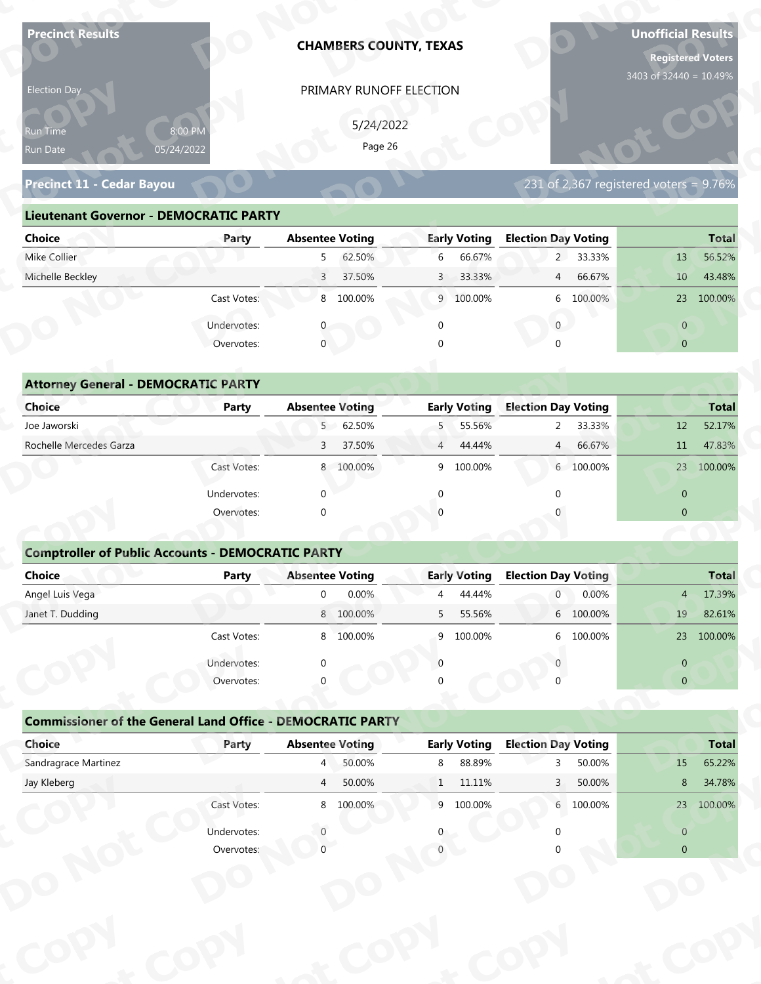| <b>Precinct Results</b>                                           |              |                        | <b>CHAMBERS COUNTY, TEXAS</b> |                |                     |                            |           | <b>Unofficial Results</b><br><b>Registered Voters</b><br>3403 of 32440 = 10.49% |              |
|-------------------------------------------------------------------|--------------|------------------------|-------------------------------|----------------|---------------------|----------------------------|-----------|---------------------------------------------------------------------------------|--------------|
| Election Day                                                      |              |                        | PRIMARY RUNOFF ELECTION       |                |                     |                            |           |                                                                                 |              |
|                                                                   |              |                        | 5/24/2022                     |                |                     |                            |           |                                                                                 |              |
| Run Time<br>05/24/2022                                            | 8:00 PM      |                        | Page 26                       |                |                     |                            |           |                                                                                 |              |
| Run Date                                                          |              |                        |                               |                |                     |                            |           |                                                                                 |              |
| Precinct 11 - Cedar Bayou                                         |              |                        |                               |                |                     |                            |           | 231 of 2,367 registered voters = $9.76\%$                                       |              |
| <b>Lieutenant Governor - DEMOCRATIC PARTY</b>                     |              |                        |                               |                |                     |                            |           |                                                                                 |              |
| <b>Choice</b>                                                     | Party        | <b>Absentee Voting</b> |                               |                | <b>Early Voting</b> | <b>Election Day Voting</b> |           |                                                                                 | <b>Total</b> |
| Mike Collier                                                      |              | 5                      | 62.50%                        | 6              | 66.67%              |                            | 2 33.33%  | 13                                                                              | 56.52%       |
| Michelle Beckley                                                  |              | $\overline{3}$         | 37.50%                        | $\mathbf{3}$   | 33.33%              | $\overline{4}$             | 66.67%    | 10 <sup>°</sup>                                                                 | 43.48%       |
|                                                                   | Cast Votes:  |                        | 8 100.00%                     |                | 9 100.00%           |                            | 6 100.00% |                                                                                 | 23 100.00%   |
|                                                                   | Undervotes:  |                        |                               | $\mathbf 0$    |                     | $\overline{0}$             |           | $\overline{0}$                                                                  |              |
|                                                                   | Overvotes:   | $\mathbf{0}$           |                               |                |                     |                            |           | $\overline{0}$                                                                  |              |
|                                                                   |              |                        |                               |                |                     |                            |           |                                                                                 |              |
| <b>Attorney General - DEMOCRATIC PARTY</b>                        |              |                        |                               |                |                     |                            |           |                                                                                 |              |
| <b>Choice</b>                                                     | <b>Party</b> | <b>Absentee Voting</b> |                               |                | <b>Early Voting</b> | <b>Election Day Voting</b> |           |                                                                                 | <b>Total</b> |
| Joe Jaworski                                                      |              | 5 <sup>7</sup>         | 62.50%                        | 5              | 55.56%              | $\overline{2}$             | 33.33%    | 12                                                                              | 52.17%       |
| Rochelle Mercedes Garza                                           |              | 3                      | 37.50%                        | $\overline{4}$ | 44.44%              | 4                          | 66.67%    | 11                                                                              | 47.83%       |
|                                                                   | Cast Votes:  |                        | 8 100.00%                     |                | 9 100.00%           |                            | 6 100.00% |                                                                                 | 23 100.00%   |
|                                                                   | Undervotes:  | $\Omega$               |                               | $\Omega$       |                     | $\Omega$                   |           | $\overline{0}$                                                                  |              |
|                                                                   | Overvotes:   | $\Omega$               |                               |                |                     |                            |           | $\overline{0}$                                                                  |              |
|                                                                   |              |                        |                               |                |                     |                            |           |                                                                                 |              |
| <b>Comptroller of Public Accounts - DEMOCRATIC PARTY</b>          |              |                        |                               |                |                     |                            |           |                                                                                 |              |
| Choice                                                            | Party        | <b>Absentee Voting</b> |                               |                | <b>Early Voting</b> | <b>Election Day Voting</b> |           |                                                                                 | <b>Total</b> |
| Angel Luis Vega                                                   |              | $\overline{0}$         | 0.00%                         | 4              | 44.44%              | $\overline{0}$             | 0.00%     | 4                                                                               | 17.39%       |
| Janet T. Dudding                                                  |              |                        | 8 100.00%                     | 5              | 55.56%              |                            | 6 100.00% | 19                                                                              | 82.61%       |
|                                                                   | Cast Votes:  |                        | 8 100.00%                     | 9              | 100.00%             |                            | 6 100.00% |                                                                                 | 23 100.00%   |
|                                                                   | Undervotes:  | $\Omega$               |                               | $\Omega$       |                     |                            |           | $\overline{0}$                                                                  |              |
|                                                                   | Overvotes:   |                        |                               |                |                     |                            |           | $\overline{0}$                                                                  |              |
|                                                                   |              |                        |                               |                |                     |                            |           |                                                                                 |              |
| <b>Commissioner of the General Land Office - DEMOCRATIC PARTY</b> |              |                        |                               |                |                     |                            |           |                                                                                 |              |
| Choice                                                            | Party        | <b>Absentee Voting</b> |                               |                | <b>Early Voting</b> | <b>Election Day Voting</b> |           |                                                                                 | <b>Total</b> |
| Sandragrace Martinez                                              |              | $4 \Box$               | 50.00%                        | 8              | 88.89%              | २                          | 50.00%    | 15                                                                              | 65.22%       |
| Jay Kleberg                                                       |              | $\overline{4}$         | 50.00%                        | 1              | 11.11%              | 3 <sup>2</sup>             | 50.00%    | 8                                                                               | 34.78%       |
|                                                                   | Cast Votes:  |                        | 8 100.00%                     |                | 9 100.00%           |                            | 6 100.00% |                                                                                 | 23 100.00%   |
|                                                                   | Undervotes:  |                        |                               |                |                     |                            |           | $\overline{0}$                                                                  |              |
|                                                                   | Overvotes:   |                        |                               |                |                     |                            |           | $\overline{0}$                                                                  |              |

| 5/24/2022<br>8:00 PM<br><b>Run Time</b>                                                                               |
|-----------------------------------------------------------------------------------------------------------------------|
| Page 26<br>05/24/2022<br>Run Date                                                                                     |
| 231 of 2,367 registered voters = 9.76%<br>Precinct 11 - Cedar Bayou                                                   |
| <b>Lieutenant Governor - DEMOCRATIC PARTY</b>                                                                         |
| <b>Absentee Voting</b><br><b>Early Voting</b><br><b>Election Day Voting</b><br>Choice<br><b>Total</b><br>Party        |
| 2 33.33%<br>Mike Collier<br>62.50%<br>66.67%<br>56.52%<br>6<br>13<br>5 <sub>1</sub>                                   |
| Michelle Beckley<br>37.50%<br>33.33%<br>4 66.67%<br>43.48%<br>3 <sup>7</sup><br>$\overline{3}$<br>10 <sup>°</sup>     |
| 8 100.00%<br>6 100.00%<br>Cast Votes:<br>9 100.00%<br>23 100.00%                                                      |
| Undervotes:<br>$\overline{0}$<br>$\overline{0}$                                                                       |
| $\mathbf 0$<br>Overvotes:<br>$\Omega$<br>$\overline{0}$                                                               |
|                                                                                                                       |
| <b>Attorney General - DEMOCRATIC PARTY</b>                                                                            |
| <b>Early Voting</b><br><b>Choice</b><br><b>Absentee Voting</b><br><b>Election Day Voting</b><br>Party<br><b>Total</b> |
| Joe Jaworski<br>5 62.50%<br>5 55.56%<br>52.17%<br>2 33.33%<br>12                                                      |
| Rochelle Mercedes Garza<br>37.50%<br>66.67%<br>47.83%<br>$\overline{3}$<br>44.44%<br>4<br>11<br>$\overline{4}$        |
| 100.00%<br>8 100.00%<br>9<br>100.00%<br>6 100.00%<br>23<br>Cast Votes:                                                |

| 8:00 PM<br>Run Time<br>05/24/2022<br>Run Date                     |              |                           | PRIMARY RUNOFF ELECTION  |                                          |                                       |
|-------------------------------------------------------------------|--------------|---------------------------|--------------------------|------------------------------------------|---------------------------------------|
|                                                                   |              |                           | 5/24/2022                |                                          |                                       |
|                                                                   |              |                           | Page 26                  |                                          |                                       |
|                                                                   |              |                           |                          |                                          |                                       |
| <b>Precinct 11 - Cedar Bayou</b>                                  |              |                           |                          | $231$ of 2,367 registered voters = 9.76% |                                       |
| <b>Lieutenant Governor - DEMOCRATIC PARTY</b>                     |              |                           |                          |                                          |                                       |
| <b>Choice</b>                                                     | Party        | <b>Absentee Voting</b>    | <b>Early Voting</b>      | <b>Election Day Voting</b>               | <b>Total</b>                          |
| Mike Collier                                                      |              | 62.50%<br>5 <sub>1</sub>  | 6<br>66.67%              | 2 33.33%                                 | 56.52%<br>13                          |
| Michelle Beckley                                                  |              | 37.50%<br>3 <sup>7</sup>  | 33.33%<br>$\mathbf{3}$   | 66.67%<br>$4\overline{ }$                | 10 <sup>°</sup><br>43.48%             |
|                                                                   | Cast Votes:  | 8 100.00%                 | 9 100.00%                | 6 100.00%                                | 23 100.00%                            |
|                                                                   | Undervotes:  | $\mathbf{0}$              | $\mathbf 0$              | $\overline{0}$                           | $\overline{0}$                        |
|                                                                   | Overvotes:   | $\mathbf{0}$              | $\Omega$                 |                                          | $\overline{0}$                        |
|                                                                   |              |                           |                          |                                          |                                       |
| <b>Attorney General - DEMOCRATIC PARTY</b>                        |              |                           |                          |                                          |                                       |
| Choice                                                            | <b>Party</b> | <b>Absentee Voting</b>    | <b>Early Voting</b>      | <b>Election Day Voting</b>               | <b>Total</b>                          |
| Joe Jaworski                                                      |              | 5 62.50%                  | 55.56%<br>5              | 33.33%<br>$2^{\circ}$                    | 52.17%<br>12                          |
| Rochelle Mercedes Garza                                           |              | 37.50%<br>3               | 44.44%<br>$\overline{4}$ | 66.67%<br>$\overline{4}$                 | 47.83%<br>11                          |
|                                                                   | Cast Votes:  | 8 100.00%                 | 100.00%<br>9             | 6 100.00%                                | 23 100.00%                            |
|                                                                   | Undervotes:  | $\Omega$                  | ∩                        |                                          | $\overline{0}$                        |
|                                                                   | Overvotes:   | $\Omega$                  |                          |                                          | $\overline{0}$                        |
|                                                                   |              |                           |                          |                                          |                                       |
| <b>Comptroller of Public Accounts - DEMOCRATIC PARTY</b>          |              |                           |                          |                                          |                                       |
| <b>Choice</b>                                                     | <b>Party</b> | <b>Absentee Voting</b>    | <b>Early Voting</b>      | <b>Election Day Voting</b>               | <b>Total</b>                          |
| Angel Luis Vega                                                   |              | 0.00%<br>$\mathbf 0$      | 44.44%<br>4              | 0.00%<br>0                               | 17.39%<br>$\overline{4}$              |
| Janet T. Dudding                                                  |              | 8 100.00%                 | 55.56%<br>5              | 6 100.00%                                | 19<br>82.61%                          |
|                                                                   | Cast Votes:  | 8 100.00%                 | 9 100.00%                | 6 100.00%                                | 23 100.00%                            |
|                                                                   | Undervotes:  |                           |                          |                                          | $\overline{0}$                        |
|                                                                   |              |                           |                          |                                          |                                       |
|                                                                   | Overvotes:   |                           |                          |                                          | $\overline{0}$                        |
|                                                                   |              |                           |                          |                                          |                                       |
| <b>Commissioner of the General Land Office - DEMOCRATIC PARTY</b> |              |                           |                          |                                          |                                       |
| Choice                                                            | Party        | <b>Absentee Voting</b>    | <b>Early Voting</b>      | <b>Election Day Voting</b>               |                                       |
| Sandragrace Martinez                                              |              | $4^{\circ}$<br>50.00%     | 88.89%<br>8              | 50.00%<br>3                              | 15                                    |
| Jay Kleberg                                                       |              | 50.00%<br>$4\overline{ }$ | $1\quad 11.11\%$         | 50.00%<br>$\mathbf{3}$                   | <b>Total</b><br>65.22%<br>34.78%<br>8 |
|                                                                   | Cast Votes:  | 8 100.00%                 | 9 100.00%                | 6 100.00%                                | 23 100.00%                            |
|                                                                   | Undervotes:  |                           |                          |                                          | $\overline{0}$                        |

### **Comptroller of Public Accounts - DEMOCRATIC PARTY**

| <b>Choice</b>                                                     | Party       | <b>Absentee Voting</b> |           |                | <b>Early Voting</b> | <b>Election Day Voting</b> |                | <b>Total</b> |
|-------------------------------------------------------------------|-------------|------------------------|-----------|----------------|---------------------|----------------------------|----------------|--------------|
| Joe Jaworski                                                      |             |                        | 5 62.50%  |                | 5 55.56%            | 33.33%<br>$2^{\circ}$      | 12             | 52.17%       |
| Rochelle Mercedes Garza                                           |             | $\mathsf{3}$           | 37.50%    | $\overline{4}$ | 44.44%              | 66.67%<br>4                | 11             | 47.83%       |
|                                                                   | Cast Votes: |                        | 8 100.00% |                | 9 100.00%           | 6 100.00%                  |                | 23 100.00%   |
|                                                                   | Undervotes: | ∩                      |           | ∩              |                     | $\Omega$                   | $\mathbf{0}$   |              |
|                                                                   | Overvotes:  | $\Omega$               |           |                |                     |                            | $\overline{0}$ |              |
| <b>Comptroller of Public Accounts - DEMOCRATIC PARTY</b>          |             |                        |           |                |                     |                            |                |              |
| <b>Choice</b>                                                     | Party       | <b>Absentee Voting</b> |           |                | <b>Early Voting</b> | <b>Election Day Voting</b> |                | <b>Total</b> |
| Angel Luis Vega                                                   |             | $\Omega$               | 0.00%     | Δ              | 44.44%              | 0.00%<br>$\overline{0}$    | $\overline{4}$ | 17.39%       |
| Janet T. Dudding                                                  |             |                        | 8 100.00% | 5 <sub>5</sub> | 55.56%              | 6 100.00%                  | 19             | 82.61%       |
|                                                                   | Cast Votes: |                        | 8 100.00% |                | 9 100.00%           | 6 100.00%                  |                | 23 100.00%   |
|                                                                   |             |                        |           |                |                     |                            |                |              |
|                                                                   | Undervotes: | ∩                      |           | U              |                     |                            | $\overline{0}$ |              |
|                                                                   | Overvotes:  |                        |           |                |                     |                            | $\mathbf 0$    |              |
| <b>Commissioner of the General Land Office - DEMOCRATIC PARTY</b> |             |                        |           |                |                     |                            |                |              |
| Choice                                                            | Party       | <b>Absentee Voting</b> |           |                | <b>Early Voting</b> | <b>Election Day Voting</b> |                | <b>Total</b> |
| Sandragrace Martinez                                              |             | $4^{\circ}$            | 50.00%    | 8              | 88.89%              | 50.00%<br>3                | 15             | 65.22%       |
| Jay Kleberg                                                       |             | $\overline{4}$         | 50.00%    |                | 1 11.11%            | 50.00%<br>$3 -$            | $8\phantom{1}$ | 34.78%       |
|                                                                   | Cast Votes: |                        | 8 100.00% |                | 9 100.00%           | 6 100.00%                  |                | 23 100.00%   |
|                                                                   | Undervotes: |                        |           |                |                     |                            | $\mathbf{0}$   |              |

|                                                                   | Cast votes. | $\circ$                | TOO'OO SO | ັ            | TOO'OO SO           | O.                         | TOO'OO NO |                | Z3 100.00%   |
|-------------------------------------------------------------------|-------------|------------------------|-----------|--------------|---------------------|----------------------------|-----------|----------------|--------------|
|                                                                   | Undervotes: | $\Omega$               |           | 0            |                     |                            |           | $\Omega$       |              |
|                                                                   | Overvotes:  | $\Omega$               |           | 0            |                     |                            |           | $\overline{0}$ |              |
|                                                                   |             |                        |           |              |                     |                            |           |                |              |
| <b>Commissioner of the General Land Office - DEMOCRATIC PARTY</b> |             |                        |           |              |                     |                            |           |                |              |
| Choice                                                            | Party       | <b>Absentee Voting</b> |           |              | <b>Early Voting</b> | <b>Election Day Voting</b> |           |                | <b>Total</b> |
| Sandragrace Martinez                                              |             | $\overline{4}$         | 50.00%    | 8            | 88.89%              | 3                          | 50.00%    | 15             | 65.22%       |
| Jay Kleberg                                                       |             | $\overline{4}$         | 50.00%    | $\mathbf{1}$ | 11.11%              | $\mathbf{3}$               | 50.00%    | 8              | 34.78%       |
|                                                                   | Cast Votes: | 8                      | 100.00%   | 9            | 100.00%             | 6                          | 100.00%   | 23             | 100.00%      |
|                                                                   | Undervotes: |                        |           | 0            |                     |                            |           | $\overline{0}$ |              |
|                                                                   | Overvotes:  |                        |           |              |                     |                            |           | $\overline{0}$ |              |
|                                                                   |             |                        |           |              |                     |                            |           |                |              |
|                                                                   |             |                        |           |              |                     |                            |           |                |              |
|                                                                   |             |                        |           |              |                     |                            |           |                |              |
|                                                                   |             |                        |           |              |                     |                            |           |                |              |
|                                                                   |             |                        |           |              |                     |                            |           |                |              |
|                                                                   |             |                        |           |              |                     |                            |           |                |              |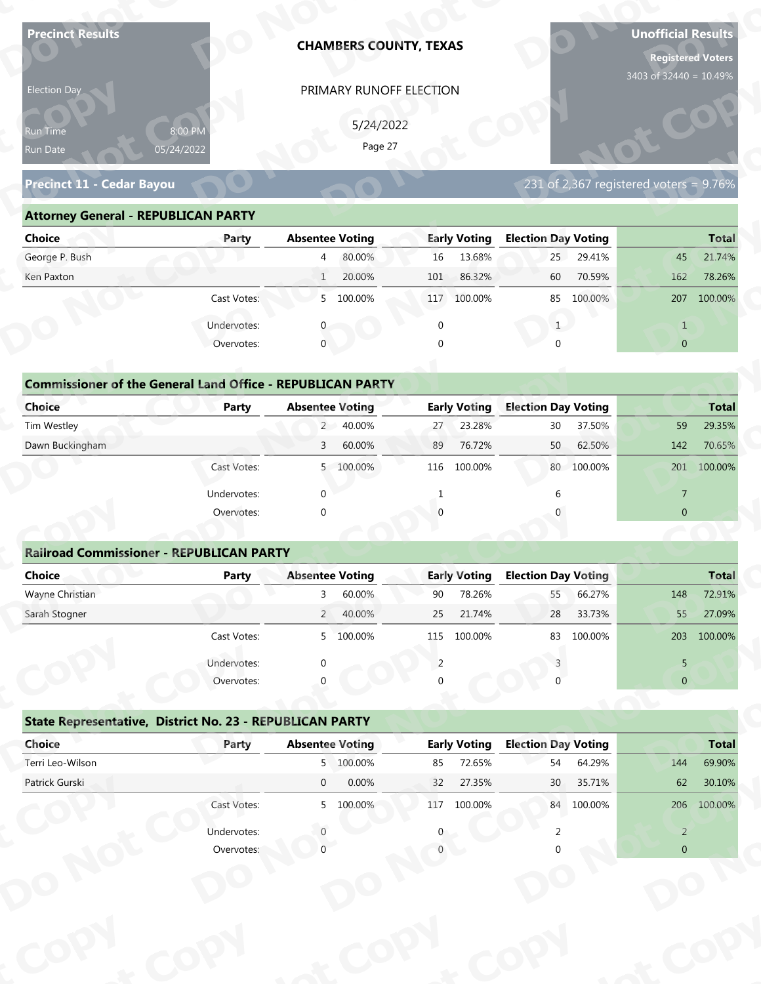| <b>Precinct Results</b>                                           |              |                        |                      | <b>CHAMBERS COUNTY, TEXAS</b> |                     |                            |            | <b>Unofficial Results</b><br><b>Registered Voters</b><br>3403 of 32440 = 10.49% |              |
|-------------------------------------------------------------------|--------------|------------------------|----------------------|-------------------------------|---------------------|----------------------------|------------|---------------------------------------------------------------------------------|--------------|
| Election Day                                                      |              |                        |                      | PRIMARY RUNOFF ELECTION       |                     |                            |            |                                                                                 |              |
|                                                                   |              |                        |                      |                               |                     |                            |            |                                                                                 |              |
| 8:00 PM<br>Run Time                                               |              |                        | 5/24/2022<br>Page 27 |                               |                     |                            |            |                                                                                 |              |
| 05/24/2022<br>Run Date                                            |              |                        |                      |                               |                     |                            |            |                                                                                 |              |
| Precinct 11 - Cedar Bayou                                         |              |                        |                      |                               |                     |                            |            | 231 of 2,367 registered voters = $9.76\%$                                       |              |
| <b>Attorney General - REPUBLICAN PARTY</b>                        |              |                        |                      |                               |                     |                            |            |                                                                                 |              |
| <b>Choice</b>                                                     | Party        | <b>Absentee Voting</b> |                      |                               | <b>Early Voting</b> | <b>Election Day Voting</b> |            |                                                                                 | <b>Total</b> |
| George P. Bush                                                    |              | $\overline{4}$         | 80.00%               | 16                            | 13.68%              | 25                         | 29.41%     | 45                                                                              | 21.74%       |
| Ken Paxton                                                        |              | $\mathbf{1}$           | 20.00%               | 101                           | 86.32%              | 60                         | 70.59%     | 162                                                                             | 78.26%       |
|                                                                   | Cast Votes:  |                        | 5 100.00%            |                               | 117 100.00%         | 85                         | 100.00%    | 207                                                                             | 100.00%      |
|                                                                   | Undervotes:  |                        |                      | $\Omega$                      |                     | 1                          |            | $\mathbf{1}$                                                                    |              |
|                                                                   | Overvotes:   | $\mathbf{0}$           |                      | $\Omega$                      |                     |                            |            | $\overline{0}$                                                                  |              |
|                                                                   |              |                        |                      |                               |                     |                            |            |                                                                                 |              |
| <b>Commissioner of the General Land Office - REPUBLICAN PARTY</b> |              |                        |                      |                               |                     |                            |            |                                                                                 |              |
| <b>Choice</b>                                                     | <b>Party</b> | <b>Absentee Voting</b> |                      |                               | <b>Early Voting</b> | <b>Election Day Voting</b> |            |                                                                                 | <b>Total</b> |
| Tim Westley                                                       |              | $2^{\circ}$            | 40.00%               | 27                            | 23.28%              | 30                         | 37.50%     | 59                                                                              | 29.35%       |
| Dawn Buckingham                                                   |              | 3                      | 60.00%               | 89                            | 76.72%              | 50                         | 62.50%     | 142                                                                             | 70.65%       |
|                                                                   | Cast Votes:  |                        | 5 100.00%            |                               | 116 100.00%         |                            | 80 100.00% |                                                                                 | 201 100.00%  |
|                                                                   | Undervotes:  | $\Omega$               |                      | 1                             |                     | 6                          |            | $\overline{7}$                                                                  |              |
|                                                                   | Overvotes:   | $\Omega$               |                      |                               |                     |                            |            | $\overline{0}$                                                                  |              |
|                                                                   |              |                        |                      |                               |                     |                            |            |                                                                                 |              |
| <b>Railroad Commissioner - REPUBLICAN PARTY</b>                   |              |                        |                      |                               |                     |                            |            |                                                                                 |              |
| <b>Choice</b>                                                     | <b>Party</b> | <b>Absentee Voting</b> |                      |                               | <b>Early Voting</b> | <b>Election Day Voting</b> |            |                                                                                 | <b>Total</b> |
| Wayne Christian                                                   |              | $\mathbf{3}$           | 60.00%               | 90                            | 78.26%              | 55                         | 66.27%     | 148                                                                             | 72.91%       |
| Sarah Stogner                                                     |              |                        | 2 40.00%             | 25                            | 21.74%              | 28                         | 33.73%     | 55                                                                              | 27.09%       |
|                                                                   | Cast Votes:  |                        | 5 100.00%            | 115                           | 100.00%             | 83                         | 100.00%    |                                                                                 | 203 100.00%  |
|                                                                   | Undervotes:  |                        |                      | 2                             |                     |                            |            | 5                                                                               |              |
|                                                                   | Overvotes:   |                        |                      |                               |                     |                            |            | $\overline{0}$                                                                  |              |
|                                                                   |              |                        |                      |                               |                     |                            |            |                                                                                 |              |
| State Representative, District No. 23 - REPUBLICAN PARTY          |              |                        |                      |                               |                     |                            |            |                                                                                 |              |
| Choice                                                            | Party        | <b>Absentee Voting</b> |                      |                               | <b>Early Voting</b> | <b>Election Day Voting</b> |            |                                                                                 | <b>Total</b> |
|                                                                   |              | $\overline{0}$         | 5 100.00%            | 85                            | 72.65%              | 54                         | 64.29%     | 144                                                                             | 69.90%       |
| Terri Leo-Wilson                                                  |              |                        | 0.00%                | 32                            | 27.35%              | 30                         | 35.71%     | 62                                                                              | 30.10%       |
| Patrick Gurski                                                    |              |                        |                      |                               |                     |                            |            |                                                                                 |              |
|                                                                   | Cast Votes:  |                        | 5 100.00%            |                               | 117 100.00%         |                            | 84 100.00% |                                                                                 | 206 100.00%  |
|                                                                   | Undervotes:  |                        |                      |                               |                     |                            |            | $\overline{2}$                                                                  |              |

| 5/24/2022<br>8:00 PM<br><b>Run Time</b><br>Page 27<br>05/24/2022<br>Run Date                                          |
|-----------------------------------------------------------------------------------------------------------------------|
| 231 of 2,367 registered voters = 9.76%<br><b>Precinct 11 - Cedar Bayou</b>                                            |
| <b>Attorney General - REPUBLICAN PARTY</b>                                                                            |
| <b>Early Voting</b><br><b>Election Day Voting</b><br>Choice<br><b>Absentee Voting</b><br><b>Total</b><br>Party        |
| George P. Bush<br>80.00%<br>13.68%<br>29.41%<br>16<br>25<br>21.74%<br>$\overline{4}$<br>45                            |
| 20.00%<br>86.32%<br>78.26%<br>Ken Paxton<br>101<br>60<br>70.59%<br>162                                                |
| 5 100.00%<br>Cast Votes:<br>117 100.00%<br>100.00%<br>207<br>100.00%<br>85                                            |
| Undervotes:                                                                                                           |
| $\mathbf 0$<br>Overvotes:<br>$\Omega$<br>$\overline{0}$                                                               |
|                                                                                                                       |
| <b>Commissioner of the General Land Office - REPUBLICAN PARTY</b>                                                     |
| <b>Choice</b><br><b>Early Voting</b><br><b>Election Day Voting</b><br><b>Absentee Voting</b><br><b>Total</b><br>Party |
| Tim Westley<br>2 40.00%<br>23.28%<br>29.35%<br>30 <sup>°</sup><br>37.50%<br>59<br>27                                  |
| Dawn Buckingham<br>60.00%<br>76.72%<br>50<br>62.50%<br>142<br>70.65%<br>89<br>$\mathbf{3}$                            |
| 80 100.00%<br>100.00%<br>5 100.00%<br>100.00%<br>201<br>Cast Votes:<br>116                                            |

| <b>Choice</b>                                                               | Party       | <b>Absentee Voting</b> | <b>Early Voting</b> | <b>Election Day Voting</b> | <b>Total</b>   |
|-----------------------------------------------------------------------------|-------------|------------------------|---------------------|----------------------------|----------------|
| George P. Bush                                                              |             | 80.00%<br>4            | 13.68%<br>16        | 29.41%<br>25               | 21.74%<br>45   |
| Ken Paxton                                                                  |             | 20.00%<br>$\mathbf{1}$ | 86.32%<br>101       | 60<br>70.59%               | 162<br>78.26%  |
|                                                                             | Cast Votes: | 100.00%<br>5           | 117<br>100.00%      | 85 100.00%                 | 100.00%<br>207 |
|                                                                             | Undervotes: |                        | 0                   |                            | $\mathbf{1}$   |
|                                                                             | Overvotes:  | $\mathbf 0$            | 0                   | U                          | $\overline{0}$ |
| <b>Commissioner of the General Land Office - REPUBLICAN PARTY</b><br>Choice | Party       | <b>Absentee Voting</b> | <b>Early Voting</b> | <b>Election Day Voting</b> | <b>Total</b>   |
| Tim Westley                                                                 |             | 2 40.00%               | 23.28%<br>27        | 37.50%<br>30               | 59<br>29.35%   |
| Dawn Buckingham                                                             |             | 60.00%<br>3            | 76.72%<br>89        | 50<br>62.50%               | 70.65%<br>142  |
|                                                                             | Cast Votes: | 100.00%<br>5           | 116<br>100.00%      | 80 100.00%                 | 201<br>100.00% |
|                                                                             | Undervotes: | $\Omega$               |                     |                            | $\overline{7}$ |
|                                                                             | Overvotes:  | $\mathbf{0}$           | $\Omega$            |                            | $\mathbf{0}$   |
|                                                                             |             |                        |                     |                            |                |
| <b>Railroad Commissioner - REPUBLICAN PARTY</b>                             |             |                        |                     |                            |                |
| Choice                                                                      | Party       | <b>Absentee Voting</b> | <b>Early Voting</b> | <b>Election Day Voting</b> | <b>Total</b>   |
| Wayne Christian                                                             |             | 60.00%                 | 78.26%<br>90        | 66.27%<br>55               | 72.91%<br>148  |
| Carole Champan                                                              |             | $AO$ $00'$<br>$\Omega$ | 21.740/<br>$\Omega$ | ∌מריד רר<br>$20^{\circ}$   | 27000<br>F.E.  |

|                                                                   |                           | PRIMARY RUNOFF ELECTION  |                     |                                        |                                                                                                                      |
|-------------------------------------------------------------------|---------------------------|--------------------------|---------------------|----------------------------------------|----------------------------------------------------------------------------------------------------------------------|
|                                                                   |                           | 5/24/2022                |                     |                                        |                                                                                                                      |
| Run Time<br>Run Date                                              | 8:00 PM<br>05/24/2022     | Page 27                  |                     |                                        |                                                                                                                      |
|                                                                   |                           |                          |                     |                                        |                                                                                                                      |
| Precinct 11 - Cedar Bayou                                         |                           |                          |                     | 231 of 2,367 registered voters = 9.76% |                                                                                                                      |
| <b>Attorney General - REPUBLICAN PARTY</b>                        |                           |                          |                     |                                        |                                                                                                                      |
| <b>Choice</b>                                                     | Party                     | <b>Absentee Voting</b>   | <b>Early Voting</b> | <b>Election Day Voting</b>             | <b>Total</b>                                                                                                         |
| George P. Bush                                                    |                           | 80.00%<br>$\overline{4}$ | 13.68%<br>16        | 25<br>29.41%                           | 21.74%<br>45                                                                                                         |
| Ken Paxton                                                        |                           | 20.00%<br>1              | 86.32%<br>101       | 70.59%<br>60                           | 162<br>78.26%                                                                                                        |
|                                                                   | Cast Votes:               | 5 100.00%                | 117 100.00%         | 85 100.00%                             | 207 100.00%                                                                                                          |
|                                                                   | Undervotes:               | $\mathbf{0}$             | $\mathbf 0$         | 1                                      | $\mathbf{1}$                                                                                                         |
|                                                                   | Overvotes:                | $\mathbf{0}$             |                     | $\Omega$                               | $\overline{0}$                                                                                                       |
|                                                                   |                           |                          |                     |                                        |                                                                                                                      |
| <b>Commissioner of the General Land Office - REPUBLICAN PARTY</b> |                           |                          |                     |                                        |                                                                                                                      |
| Choice                                                            | Party                     | <b>Absentee Voting</b>   | <b>Early Voting</b> | <b>Election Day Voting</b>             | <b>Total</b>                                                                                                         |
| Tim Westley                                                       |                           | 2 40.00%                 | 23.28%<br>27        | 30<br>37.50%                           | 29.35%<br>59                                                                                                         |
| Dawn Buckingham                                                   |                           | 60.00%<br>3              | 76.72%<br>89        | 62.50%<br>50                           | 142<br>70.65%                                                                                                        |
|                                                                   | Cast Votes:               | 5 100.00%                | 100.00%<br>116      | 80 100.00%                             | 201 100.00%                                                                                                          |
|                                                                   | Undervotes:               | $\Omega$                 |                     |                                        | 7                                                                                                                    |
|                                                                   |                           |                          |                     |                                        |                                                                                                                      |
|                                                                   | Overvotes:                | $\Omega$                 |                     |                                        | $\overline{0}$                                                                                                       |
|                                                                   |                           |                          |                     |                                        |                                                                                                                      |
| <b>Railroad Commissioner - REPUBLICAN PARTY</b>                   |                           |                          |                     |                                        |                                                                                                                      |
| <b>Choice</b>                                                     | <b>Party</b>              | <b>Absentee Voting</b>   | <b>Early Voting</b> | <b>Election Day Voting</b>             |                                                                                                                      |
| Wayne Christian                                                   |                           | 60.00%<br>3              | 78.26%<br>90        | 66.27%<br>55                           | 148                                                                                                                  |
| Sarah Stogner                                                     |                           | 40.00%<br>$2^{\circ}$    | 21.74%<br>25        | 33.73%<br>28                           | 55                                                                                                                   |
|                                                                   | Cast Votes:               | 5 100.00%                | 115 100.00%         | 83 100.00%                             |                                                                                                                      |
|                                                                   |                           |                          | 2                   |                                        |                                                                                                                      |
|                                                                   | Undervotes:<br>Overvotes: |                          |                     |                                        | 5<br>$\overline{0}$                                                                                                  |
|                                                                   |                           |                          |                     |                                        |                                                                                                                      |
| State Representative, District No. 23 - REPUBLICAN PARTY          |                           |                          |                     |                                        |                                                                                                                      |
| Choice                                                            | Party                     | <b>Absentee Voting</b>   | <b>Early Voting</b> | <b>Election Day Voting</b>             |                                                                                                                      |
| Terri Leo-Wilson                                                  |                           | 5 100.00%                | 72.65%<br>85        | 64.29%<br>54                           | 144                                                                                                                  |
| Patrick Gurski                                                    |                           | 0.00%<br>$\overline{0}$  | 32<br>27.35%        | 30 <sub>2</sub><br>35.71%              | 62                                                                                                                   |
|                                                                   | Cast Votes:               | 5 100.00%                | 117 100.00%         | 84 100.00%                             |                                                                                                                      |
|                                                                   | Undervotes:               |                          |                     |                                        | <b>Total</b><br>72.91%<br>27.09%<br>203 100.00%<br><b>Total</b><br>69.90%<br>30.10%<br>206 100.00%<br>$\overline{2}$ |

## **State Representative, District No. 23 - REPUBLICAN PARTY o**

|                                                          | Cast votes. | $\mathcal{P}$ | TOO'OO XQ              | TTD | TOO'OO XQ           | ၀၁                         | LUU.UU 70 |                | ZU3 100.00%  |
|----------------------------------------------------------|-------------|---------------|------------------------|-----|---------------------|----------------------------|-----------|----------------|--------------|
|                                                          | Undervotes: | $\Omega$      |                        |     |                     |                            |           | 5.             |              |
|                                                          | Overvotes:  | $\Omega$      |                        | 0   |                     |                            |           | $\overline{0}$ |              |
| State Representative, District No. 23 - REPUBLICAN PARTY |             |               |                        |     |                     |                            |           |                |              |
| Choice                                                   | Party       |               | <b>Absentee Voting</b> |     | <b>Early Voting</b> | <b>Election Day Voting</b> |           |                | <b>Total</b> |
| Terri Leo-Wilson                                         |             |               | 5 100.00%              | 85  | 72.65%              | 54                         | 64.29%    | 144            | 69.90%       |
| Patrick Gurski                                           |             | $\mathbf 0$   | 0.00%                  | 32  | 27.35%              | 30 <sup>°</sup>            | 35.71%    | 62             | 30.10%       |
|                                                          | Cast Votes: |               | 5 100.00%              | 117 | 100.00%             | 84                         | 100.00%   | 206            | 100.00%      |
|                                                          | Undervotes: |               |                        | 0   |                     |                            |           | 2              |              |
|                                                          | Overvotes:  |               |                        |     |                     |                            |           | $\overline{0}$ |              |
|                                                          |             |               |                        |     |                     |                            |           |                |              |
|                                                          |             |               |                        |     |                     |                            |           |                |              |
|                                                          |             |               |                        |     |                     |                            |           |                |              |
|                                                          |             |               |                        |     |                     |                            |           |                |              |
|                                                          |             |               |                        |     |                     |                            |           |                |              |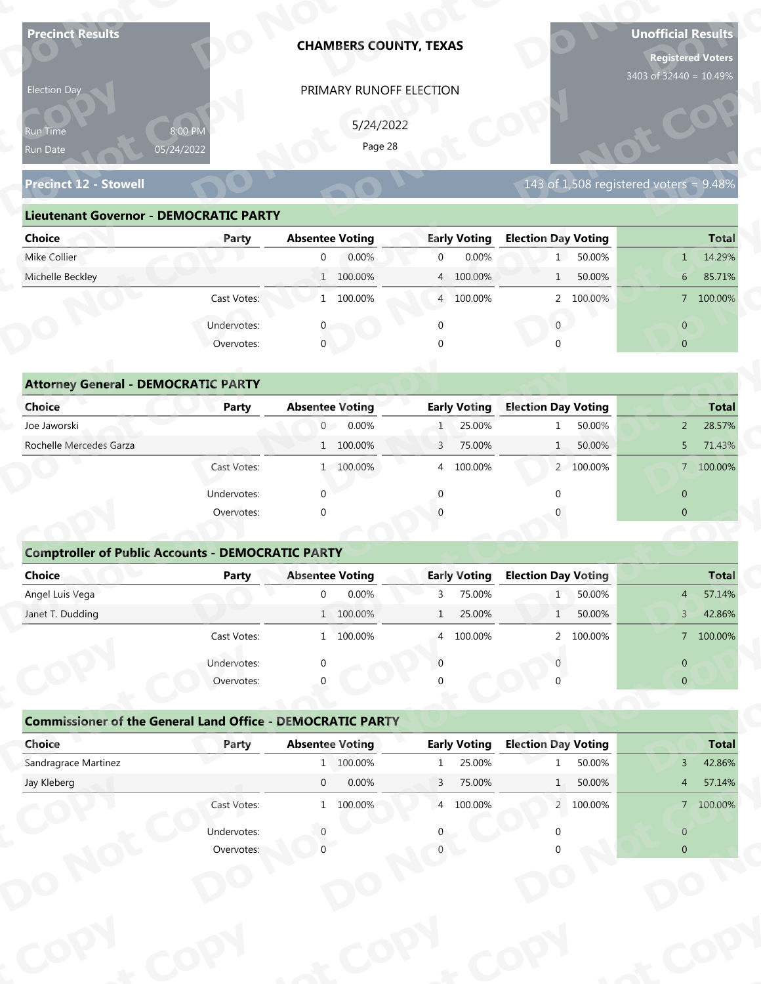| 3403 of 32440 = 10.49%<br>PRIMARY RUNOFF ELECTION<br>Election Day<br>5/24/2022<br>8:00 PM<br>Run Time<br>Page 28<br>05/24/2022<br>Run Date<br><b>Precinct 12 - Stowell</b><br>143 of 1,508 registered voters = $9.48\%$<br><b>Lieutenant Governor - DEMOCRATIC PARTY</b><br><b>Election Day Voting</b><br><b>Absentee Voting</b><br><b>Early Voting</b><br><b>Choice</b><br>Party<br>Mike Collier<br>0.00%<br>0.00%<br>50.00%<br>$\overline{0}$<br>$\overline{0}$<br>1<br>Michelle Beckley<br>1 100.00%<br>4 100.00%<br>50.00%<br>$\mathbf{1}$<br>1 100.00%<br>Cast Votes:<br>4 100.00%<br>2 100.00%<br>Undervotes:<br>$\overline{0}$<br>$\Omega$<br>$\mathbf{0}$<br>Overvotes:<br><b>Attorney General - DEMOCRATIC PARTY</b><br><b>Election Day Voting</b><br><b>Choice</b><br><b>Absentee Voting</b><br><b>Early Voting</b><br><b>Party</b><br>$\overline{0}$<br>0.00%<br>25.00%<br>50.00%<br>Joe Jaworski<br>$\mathbf{1}$ | <b>Total</b><br>14.29%<br>1<br>6 <sup>1</sup><br>85.71%<br>7 100.00%<br>$\overline{0}$<br>$\overline{0}$ |
|------------------------------------------------------------------------------------------------------------------------------------------------------------------------------------------------------------------------------------------------------------------------------------------------------------------------------------------------------------------------------------------------------------------------------------------------------------------------------------------------------------------------------------------------------------------------------------------------------------------------------------------------------------------------------------------------------------------------------------------------------------------------------------------------------------------------------------------------------------------------------------------------------------------------------|----------------------------------------------------------------------------------------------------------|
|                                                                                                                                                                                                                                                                                                                                                                                                                                                                                                                                                                                                                                                                                                                                                                                                                                                                                                                              |                                                                                                          |
|                                                                                                                                                                                                                                                                                                                                                                                                                                                                                                                                                                                                                                                                                                                                                                                                                                                                                                                              |                                                                                                          |
|                                                                                                                                                                                                                                                                                                                                                                                                                                                                                                                                                                                                                                                                                                                                                                                                                                                                                                                              |                                                                                                          |
|                                                                                                                                                                                                                                                                                                                                                                                                                                                                                                                                                                                                                                                                                                                                                                                                                                                                                                                              |                                                                                                          |
|                                                                                                                                                                                                                                                                                                                                                                                                                                                                                                                                                                                                                                                                                                                                                                                                                                                                                                                              |                                                                                                          |
|                                                                                                                                                                                                                                                                                                                                                                                                                                                                                                                                                                                                                                                                                                                                                                                                                                                                                                                              |                                                                                                          |
|                                                                                                                                                                                                                                                                                                                                                                                                                                                                                                                                                                                                                                                                                                                                                                                                                                                                                                                              |                                                                                                          |
|                                                                                                                                                                                                                                                                                                                                                                                                                                                                                                                                                                                                                                                                                                                                                                                                                                                                                                                              |                                                                                                          |
|                                                                                                                                                                                                                                                                                                                                                                                                                                                                                                                                                                                                                                                                                                                                                                                                                                                                                                                              |                                                                                                          |
|                                                                                                                                                                                                                                                                                                                                                                                                                                                                                                                                                                                                                                                                                                                                                                                                                                                                                                                              |                                                                                                          |
|                                                                                                                                                                                                                                                                                                                                                                                                                                                                                                                                                                                                                                                                                                                                                                                                                                                                                                                              |                                                                                                          |
|                                                                                                                                                                                                                                                                                                                                                                                                                                                                                                                                                                                                                                                                                                                                                                                                                                                                                                                              |                                                                                                          |
|                                                                                                                                                                                                                                                                                                                                                                                                                                                                                                                                                                                                                                                                                                                                                                                                                                                                                                                              |                                                                                                          |
|                                                                                                                                                                                                                                                                                                                                                                                                                                                                                                                                                                                                                                                                                                                                                                                                                                                                                                                              |                                                                                                          |
|                                                                                                                                                                                                                                                                                                                                                                                                                                                                                                                                                                                                                                                                                                                                                                                                                                                                                                                              | <b>Total</b>                                                                                             |
|                                                                                                                                                                                                                                                                                                                                                                                                                                                                                                                                                                                                                                                                                                                                                                                                                                                                                                                              | 28.57%<br>$2^{\circ}$                                                                                    |
| Rochelle Mercedes Garza<br>1 100.00%<br>75.00%<br>50.00%<br>3<br>1                                                                                                                                                                                                                                                                                                                                                                                                                                                                                                                                                                                                                                                                                                                                                                                                                                                           | 71.43%<br>5                                                                                              |
| Cast Votes:<br>1 100.00%<br>4 100.00%<br>2 100.00%                                                                                                                                                                                                                                                                                                                                                                                                                                                                                                                                                                                                                                                                                                                                                                                                                                                                           | 7 100.00%                                                                                                |
| $\mathbf{0}$<br>$\Omega$<br>Undervotes:<br>$\Omega$                                                                                                                                                                                                                                                                                                                                                                                                                                                                                                                                                                                                                                                                                                                                                                                                                                                                          | $\overline{0}$                                                                                           |
| Overvotes:<br>$\Omega$                                                                                                                                                                                                                                                                                                                                                                                                                                                                                                                                                                                                                                                                                                                                                                                                                                                                                                       | $\overline{0}$                                                                                           |
|                                                                                                                                                                                                                                                                                                                                                                                                                                                                                                                                                                                                                                                                                                                                                                                                                                                                                                                              |                                                                                                          |
| <b>Comptroller of Public Accounts - DEMOCRATIC PARTY</b>                                                                                                                                                                                                                                                                                                                                                                                                                                                                                                                                                                                                                                                                                                                                                                                                                                                                     |                                                                                                          |
| <b>Choice</b><br><b>Absentee Voting</b><br><b>Early Voting</b><br><b>Election Day Voting</b><br><b>Party</b>                                                                                                                                                                                                                                                                                                                                                                                                                                                                                                                                                                                                                                                                                                                                                                                                                 | <b>Total</b>                                                                                             |
| Angel Luis Vega<br>0.00%<br>$\overline{0}$<br>75.00%<br>50.00%<br>3<br>1                                                                                                                                                                                                                                                                                                                                                                                                                                                                                                                                                                                                                                                                                                                                                                                                                                                     | 57.14%<br>4                                                                                              |
| Janet T. Dudding<br>1 100.00%<br>25.00%<br>50.00%<br>$\mathbf{1}$<br>1                                                                                                                                                                                                                                                                                                                                                                                                                                                                                                                                                                                                                                                                                                                                                                                                                                                       | 42.86%<br>$3 -$                                                                                          |
| Cast Votes:<br>1 100.00%<br>100.00%<br>2 100.00%<br>$\overline{4}$                                                                                                                                                                                                                                                                                                                                                                                                                                                                                                                                                                                                                                                                                                                                                                                                                                                           | 7 100.00%                                                                                                |
| Undervotes:<br>$\Omega$<br>∩                                                                                                                                                                                                                                                                                                                                                                                                                                                                                                                                                                                                                                                                                                                                                                                                                                                                                                 | $\overline{0}$                                                                                           |
| Overvotes:                                                                                                                                                                                                                                                                                                                                                                                                                                                                                                                                                                                                                                                                                                                                                                                                                                                                                                                   | $\overline{0}$                                                                                           |
|                                                                                                                                                                                                                                                                                                                                                                                                                                                                                                                                                                                                                                                                                                                                                                                                                                                                                                                              |                                                                                                          |
| <b>Commissioner of the General Land Office - DEMOCRATIC PARTY</b>                                                                                                                                                                                                                                                                                                                                                                                                                                                                                                                                                                                                                                                                                                                                                                                                                                                            |                                                                                                          |
| Choice<br><b>Early Voting</b><br><b>Election Day Voting</b><br><b>Absentee Voting</b><br>Party<br>Sandragrace Martinez<br>1 100.00%<br>25.00%<br>50.00%                                                                                                                                                                                                                                                                                                                                                                                                                                                                                                                                                                                                                                                                                                                                                                      | <b>Total</b>                                                                                             |
| $\mathbf{1}$<br>Jay Kleberg<br>$\overline{0}$<br>0.00%<br>75.00%<br>50.00%<br>$\overline{3}$<br>1                                                                                                                                                                                                                                                                                                                                                                                                                                                                                                                                                                                                                                                                                                                                                                                                                            | 42.86%<br>$\mathbf{3}$<br>57.14%<br>$\overline{4}$                                                       |
| Cast Votes:<br>1 100.00%<br>4 100.00%<br>2 100.00%                                                                                                                                                                                                                                                                                                                                                                                                                                                                                                                                                                                                                                                                                                                                                                                                                                                                           | 7 100.00%                                                                                                |
|                                                                                                                                                                                                                                                                                                                                                                                                                                                                                                                                                                                                                                                                                                                                                                                                                                                                                                                              |                                                                                                          |
| Undervotes:                                                                                                                                                                                                                                                                                                                                                                                                                                                                                                                                                                                                                                                                                                                                                                                                                                                                                                                  | $\overline{0}$                                                                                           |
| Overvotes:                                                                                                                                                                                                                                                                                                                                                                                                                                                                                                                                                                                                                                                                                                                                                                                                                                                                                                                   | $\overline{0}$                                                                                           |

| 5/24/2022<br>8:00 PM<br><b>Run Time</b>                                                                               |
|-----------------------------------------------------------------------------------------------------------------------|
| Page 28<br>05/24/2022<br>Run Date                                                                                     |
| 143 of 1,508 registered voters = 9.48%<br><b>Precinct 12 - Stowell</b>                                                |
| <b>Lieutenant Governor - DEMOCRATIC PARTY</b>                                                                         |
| <b>Absentee Voting</b><br><b>Early Voting</b><br><b>Election Day Voting</b><br><b>Choice</b><br><b>Total</b><br>Party |
| Mike Collier<br>0.00%<br>0.00%<br>50.00%<br>14.29%<br>$\overline{0}$<br>$\overline{0}$<br>1<br>$\mathbf{1}$           |
| Michelle Beckley<br>1 100.00%<br>4 100.00%<br>50.00%<br>85.71%<br>6 <sup>1</sup>                                      |
| 1 100.00%<br>2 100.00%<br>Cast Votes:<br>4 100.00%<br>7 100.00%                                                       |
| Undervotes:<br>$\overline{0}$<br>$\overline{0}$                                                                       |
| $\mathbf 0$<br>Overvotes:<br>$\Omega$<br>$\overline{0}$                                                               |
|                                                                                                                       |
| <b>Attorney General - DEMOCRATIC PARTY</b>                                                                            |
| <b>Early Voting</b><br><b>Election Day Voting</b><br><b>Choice</b><br><b>Absentee Voting</b><br>Party<br><b>Total</b> |
| Joe Jaworski<br>0.00%<br>25.00%<br>$\overline{0}$<br>50.00%<br>28.57%<br>$\overline{2}$                               |
| Rochelle Mercedes Garza<br>1 100.00%<br>3<br>75.00%<br>50.00%<br>71.43%<br>5                                          |
| 7 100.00%<br>1 100.00%<br>100.00%<br>2 100.00%<br>Cast Votes:<br>$\overline{4}$                                       |

| 5/24/2022<br>8:00 PM<br>Run Time<br>Page 28<br>05/24/2022<br>Run Date<br>143 of 1,508 registered voters = $9.48\%$<br><b>Precinct 12 - Stowell</b><br><b>Lieutenant Governor - DEMOCRATIC PARTY</b><br><b>Absentee Voting</b><br><b>Early Voting</b><br><b>Election Day Voting</b><br><b>Choice</b><br>Party<br>Mike Collier<br>1 50.00%<br>$\overline{0}$<br>0.00%<br>$\overline{0}$<br>0.00%<br>1<br>Michelle Beckley<br>1 100.00%<br>50.00%<br>4 100.00%<br>1<br>6 <sup>1</sup><br>Cast Votes:<br>1 100.00%<br>4 100.00%<br>2 100.00%<br>$\overline{0}$<br>Undervotes:<br>$\overline{0}$<br>$\mathbf 0$<br>0<br>Overvotes:<br>$\mathbf{0}$<br>$\overline{0}$<br><b>Attorney General - DEMOCRATIC PARTY</b><br><b>Early Voting</b><br><b>Election Day Voting</b><br>Choice<br><b>Absentee Voting</b><br><b>Party</b><br>Joe Jaworski<br>0.00%<br>25.00%<br>50.00%<br>$\overline{0}$<br>1 <sup>2</sup><br>$\overline{2}$<br>$\mathbf{1}$<br>Rochelle Mercedes Garza<br>1 100.00%<br>75.00%<br>50.00%<br>3<br>5<br>1<br>Cast Votes:<br>1 100.00%<br>100.00%<br>2 100.00%<br>4<br>Undervotes:<br>$\Omega$<br>$\overline{0}$<br>$\overline{0}$<br>Overvotes:<br>$\Omega$<br><b>Comptroller of Public Accounts - DEMOCRATIC PARTY</b><br><b>Choice</b><br><b>Absentee Voting</b><br><b>Early Voting</b><br><b>Election Day Voting</b><br><b>Party</b><br>Angel Luis Vega<br>0.00%<br>75.00%<br>50.00%<br>$\mathbf 0$<br>1<br>3<br>$\overline{4}$<br>Janet T. Dudding<br>25.00%<br>50.00%<br>1 100.00%<br>$\mathbf{1}$<br>$\mathsf{3}$<br>$\mathbf{1}$<br>Cast Votes:<br>1 100.00%<br>4 100.00%<br>2 100.00%<br>Undervotes:<br>$\overline{0}$<br>Overvotes:<br>$\overline{0}$<br><b>Commissioner of the General Land Office - DEMOCRATIC PARTY</b><br>Choice<br><b>Absentee Voting</b><br><b>Early Voting</b><br><b>Election Day Voting</b><br>Party<br>Sandragrace Martinez<br>1 100.00%<br>25.00%<br>50.00%<br>3 <sup>7</sup><br>1<br>0.00%<br>75.00%<br>Jay Kleberg<br>$\overline{0}$<br>$\overline{3}$<br>50.00%<br>1<br>4 <sup>1</sup><br>Cast Votes:<br>1 100.00%<br>4 100.00%<br>2 100.00%<br>Undervotes:<br>$\overline{0}$<br>Overvotes:<br>$\overline{0}$ | Election Day | PRIMARY RUNOFF ELECTION |  |              |
|----------------------------------------------------------------------------------------------------------------------------------------------------------------------------------------------------------------------------------------------------------------------------------------------------------------------------------------------------------------------------------------------------------------------------------------------------------------------------------------------------------------------------------------------------------------------------------------------------------------------------------------------------------------------------------------------------------------------------------------------------------------------------------------------------------------------------------------------------------------------------------------------------------------------------------------------------------------------------------------------------------------------------------------------------------------------------------------------------------------------------------------------------------------------------------------------------------------------------------------------------------------------------------------------------------------------------------------------------------------------------------------------------------------------------------------------------------------------------------------------------------------------------------------------------------------------------------------------------------------------------------------------------------------------------------------------------------------------------------------------------------------------------------------------------------------------------------------------------------------------------------------------------------------------------------------------------------------------------------------------------------------------------------------------------------------------------------------------------------------------------------------------------------------|--------------|-------------------------|--|--------------|
|                                                                                                                                                                                                                                                                                                                                                                                                                                                                                                                                                                                                                                                                                                                                                                                                                                                                                                                                                                                                                                                                                                                                                                                                                                                                                                                                                                                                                                                                                                                                                                                                                                                                                                                                                                                                                                                                                                                                                                                                                                                                                                                                                                |              |                         |  |              |
|                                                                                                                                                                                                                                                                                                                                                                                                                                                                                                                                                                                                                                                                                                                                                                                                                                                                                                                                                                                                                                                                                                                                                                                                                                                                                                                                                                                                                                                                                                                                                                                                                                                                                                                                                                                                                                                                                                                                                                                                                                                                                                                                                                |              |                         |  |              |
|                                                                                                                                                                                                                                                                                                                                                                                                                                                                                                                                                                                                                                                                                                                                                                                                                                                                                                                                                                                                                                                                                                                                                                                                                                                                                                                                                                                                                                                                                                                                                                                                                                                                                                                                                                                                                                                                                                                                                                                                                                                                                                                                                                |              |                         |  |              |
|                                                                                                                                                                                                                                                                                                                                                                                                                                                                                                                                                                                                                                                                                                                                                                                                                                                                                                                                                                                                                                                                                                                                                                                                                                                                                                                                                                                                                                                                                                                                                                                                                                                                                                                                                                                                                                                                                                                                                                                                                                                                                                                                                                |              |                         |  |              |
|                                                                                                                                                                                                                                                                                                                                                                                                                                                                                                                                                                                                                                                                                                                                                                                                                                                                                                                                                                                                                                                                                                                                                                                                                                                                                                                                                                                                                                                                                                                                                                                                                                                                                                                                                                                                                                                                                                                                                                                                                                                                                                                                                                |              |                         |  |              |
|                                                                                                                                                                                                                                                                                                                                                                                                                                                                                                                                                                                                                                                                                                                                                                                                                                                                                                                                                                                                                                                                                                                                                                                                                                                                                                                                                                                                                                                                                                                                                                                                                                                                                                                                                                                                                                                                                                                                                                                                                                                                                                                                                                |              |                         |  | <b>Total</b> |
|                                                                                                                                                                                                                                                                                                                                                                                                                                                                                                                                                                                                                                                                                                                                                                                                                                                                                                                                                                                                                                                                                                                                                                                                                                                                                                                                                                                                                                                                                                                                                                                                                                                                                                                                                                                                                                                                                                                                                                                                                                                                                                                                                                |              |                         |  | 14.29%       |
|                                                                                                                                                                                                                                                                                                                                                                                                                                                                                                                                                                                                                                                                                                                                                                                                                                                                                                                                                                                                                                                                                                                                                                                                                                                                                                                                                                                                                                                                                                                                                                                                                                                                                                                                                                                                                                                                                                                                                                                                                                                                                                                                                                |              |                         |  | 85.71%       |
|                                                                                                                                                                                                                                                                                                                                                                                                                                                                                                                                                                                                                                                                                                                                                                                                                                                                                                                                                                                                                                                                                                                                                                                                                                                                                                                                                                                                                                                                                                                                                                                                                                                                                                                                                                                                                                                                                                                                                                                                                                                                                                                                                                |              |                         |  | 7 100.00%    |
|                                                                                                                                                                                                                                                                                                                                                                                                                                                                                                                                                                                                                                                                                                                                                                                                                                                                                                                                                                                                                                                                                                                                                                                                                                                                                                                                                                                                                                                                                                                                                                                                                                                                                                                                                                                                                                                                                                                                                                                                                                                                                                                                                                |              |                         |  |              |
|                                                                                                                                                                                                                                                                                                                                                                                                                                                                                                                                                                                                                                                                                                                                                                                                                                                                                                                                                                                                                                                                                                                                                                                                                                                                                                                                                                                                                                                                                                                                                                                                                                                                                                                                                                                                                                                                                                                                                                                                                                                                                                                                                                |              |                         |  |              |
|                                                                                                                                                                                                                                                                                                                                                                                                                                                                                                                                                                                                                                                                                                                                                                                                                                                                                                                                                                                                                                                                                                                                                                                                                                                                                                                                                                                                                                                                                                                                                                                                                                                                                                                                                                                                                                                                                                                                                                                                                                                                                                                                                                |              |                         |  |              |
|                                                                                                                                                                                                                                                                                                                                                                                                                                                                                                                                                                                                                                                                                                                                                                                                                                                                                                                                                                                                                                                                                                                                                                                                                                                                                                                                                                                                                                                                                                                                                                                                                                                                                                                                                                                                                                                                                                                                                                                                                                                                                                                                                                |              |                         |  |              |
|                                                                                                                                                                                                                                                                                                                                                                                                                                                                                                                                                                                                                                                                                                                                                                                                                                                                                                                                                                                                                                                                                                                                                                                                                                                                                                                                                                                                                                                                                                                                                                                                                                                                                                                                                                                                                                                                                                                                                                                                                                                                                                                                                                |              |                         |  | <b>Total</b> |
|                                                                                                                                                                                                                                                                                                                                                                                                                                                                                                                                                                                                                                                                                                                                                                                                                                                                                                                                                                                                                                                                                                                                                                                                                                                                                                                                                                                                                                                                                                                                                                                                                                                                                                                                                                                                                                                                                                                                                                                                                                                                                                                                                                |              |                         |  | 28.57%       |
|                                                                                                                                                                                                                                                                                                                                                                                                                                                                                                                                                                                                                                                                                                                                                                                                                                                                                                                                                                                                                                                                                                                                                                                                                                                                                                                                                                                                                                                                                                                                                                                                                                                                                                                                                                                                                                                                                                                                                                                                                                                                                                                                                                |              |                         |  | 71.43%       |
|                                                                                                                                                                                                                                                                                                                                                                                                                                                                                                                                                                                                                                                                                                                                                                                                                                                                                                                                                                                                                                                                                                                                                                                                                                                                                                                                                                                                                                                                                                                                                                                                                                                                                                                                                                                                                                                                                                                                                                                                                                                                                                                                                                |              |                         |  | 7 100.00%    |
|                                                                                                                                                                                                                                                                                                                                                                                                                                                                                                                                                                                                                                                                                                                                                                                                                                                                                                                                                                                                                                                                                                                                                                                                                                                                                                                                                                                                                                                                                                                                                                                                                                                                                                                                                                                                                                                                                                                                                                                                                                                                                                                                                                |              |                         |  |              |
|                                                                                                                                                                                                                                                                                                                                                                                                                                                                                                                                                                                                                                                                                                                                                                                                                                                                                                                                                                                                                                                                                                                                                                                                                                                                                                                                                                                                                                                                                                                                                                                                                                                                                                                                                                                                                                                                                                                                                                                                                                                                                                                                                                |              |                         |  |              |
|                                                                                                                                                                                                                                                                                                                                                                                                                                                                                                                                                                                                                                                                                                                                                                                                                                                                                                                                                                                                                                                                                                                                                                                                                                                                                                                                                                                                                                                                                                                                                                                                                                                                                                                                                                                                                                                                                                                                                                                                                                                                                                                                                                |              |                         |  |              |
|                                                                                                                                                                                                                                                                                                                                                                                                                                                                                                                                                                                                                                                                                                                                                                                                                                                                                                                                                                                                                                                                                                                                                                                                                                                                                                                                                                                                                                                                                                                                                                                                                                                                                                                                                                                                                                                                                                                                                                                                                                                                                                                                                                |              |                         |  |              |
|                                                                                                                                                                                                                                                                                                                                                                                                                                                                                                                                                                                                                                                                                                                                                                                                                                                                                                                                                                                                                                                                                                                                                                                                                                                                                                                                                                                                                                                                                                                                                                                                                                                                                                                                                                                                                                                                                                                                                                                                                                                                                                                                                                |              |                         |  | <b>Total</b> |
|                                                                                                                                                                                                                                                                                                                                                                                                                                                                                                                                                                                                                                                                                                                                                                                                                                                                                                                                                                                                                                                                                                                                                                                                                                                                                                                                                                                                                                                                                                                                                                                                                                                                                                                                                                                                                                                                                                                                                                                                                                                                                                                                                                |              |                         |  | 57.14%       |
|                                                                                                                                                                                                                                                                                                                                                                                                                                                                                                                                                                                                                                                                                                                                                                                                                                                                                                                                                                                                                                                                                                                                                                                                                                                                                                                                                                                                                                                                                                                                                                                                                                                                                                                                                                                                                                                                                                                                                                                                                                                                                                                                                                |              |                         |  | 42.86%       |
|                                                                                                                                                                                                                                                                                                                                                                                                                                                                                                                                                                                                                                                                                                                                                                                                                                                                                                                                                                                                                                                                                                                                                                                                                                                                                                                                                                                                                                                                                                                                                                                                                                                                                                                                                                                                                                                                                                                                                                                                                                                                                                                                                                |              |                         |  | 7 100.00%    |
|                                                                                                                                                                                                                                                                                                                                                                                                                                                                                                                                                                                                                                                                                                                                                                                                                                                                                                                                                                                                                                                                                                                                                                                                                                                                                                                                                                                                                                                                                                                                                                                                                                                                                                                                                                                                                                                                                                                                                                                                                                                                                                                                                                |              |                         |  |              |
|                                                                                                                                                                                                                                                                                                                                                                                                                                                                                                                                                                                                                                                                                                                                                                                                                                                                                                                                                                                                                                                                                                                                                                                                                                                                                                                                                                                                                                                                                                                                                                                                                                                                                                                                                                                                                                                                                                                                                                                                                                                                                                                                                                |              |                         |  |              |
|                                                                                                                                                                                                                                                                                                                                                                                                                                                                                                                                                                                                                                                                                                                                                                                                                                                                                                                                                                                                                                                                                                                                                                                                                                                                                                                                                                                                                                                                                                                                                                                                                                                                                                                                                                                                                                                                                                                                                                                                                                                                                                                                                                |              |                         |  |              |
|                                                                                                                                                                                                                                                                                                                                                                                                                                                                                                                                                                                                                                                                                                                                                                                                                                                                                                                                                                                                                                                                                                                                                                                                                                                                                                                                                                                                                                                                                                                                                                                                                                                                                                                                                                                                                                                                                                                                                                                                                                                                                                                                                                |              |                         |  |              |
|                                                                                                                                                                                                                                                                                                                                                                                                                                                                                                                                                                                                                                                                                                                                                                                                                                                                                                                                                                                                                                                                                                                                                                                                                                                                                                                                                                                                                                                                                                                                                                                                                                                                                                                                                                                                                                                                                                                                                                                                                                                                                                                                                                |              |                         |  | <b>Total</b> |
|                                                                                                                                                                                                                                                                                                                                                                                                                                                                                                                                                                                                                                                                                                                                                                                                                                                                                                                                                                                                                                                                                                                                                                                                                                                                                                                                                                                                                                                                                                                                                                                                                                                                                                                                                                                                                                                                                                                                                                                                                                                                                                                                                                |              |                         |  | 42.86%       |
|                                                                                                                                                                                                                                                                                                                                                                                                                                                                                                                                                                                                                                                                                                                                                                                                                                                                                                                                                                                                                                                                                                                                                                                                                                                                                                                                                                                                                                                                                                                                                                                                                                                                                                                                                                                                                                                                                                                                                                                                                                                                                                                                                                |              |                         |  | 57.14%       |
|                                                                                                                                                                                                                                                                                                                                                                                                                                                                                                                                                                                                                                                                                                                                                                                                                                                                                                                                                                                                                                                                                                                                                                                                                                                                                                                                                                                                                                                                                                                                                                                                                                                                                                                                                                                                                                                                                                                                                                                                                                                                                                                                                                |              |                         |  | 7 100.00%    |
|                                                                                                                                                                                                                                                                                                                                                                                                                                                                                                                                                                                                                                                                                                                                                                                                                                                                                                                                                                                                                                                                                                                                                                                                                                                                                                                                                                                                                                                                                                                                                                                                                                                                                                                                                                                                                                                                                                                                                                                                                                                                                                                                                                |              |                         |  |              |
|                                                                                                                                                                                                                                                                                                                                                                                                                                                                                                                                                                                                                                                                                                                                                                                                                                                                                                                                                                                                                                                                                                                                                                                                                                                                                                                                                                                                                                                                                                                                                                                                                                                                                                                                                                                                                                                                                                                                                                                                                                                                                                                                                                |              |                         |  |              |
|                                                                                                                                                                                                                                                                                                                                                                                                                                                                                                                                                                                                                                                                                                                                                                                                                                                                                                                                                                                                                                                                                                                                                                                                                                                                                                                                                                                                                                                                                                                                                                                                                                                                                                                                                                                                                                                                                                                                                                                                                                                                                                                                                                |              |                         |  |              |
|                                                                                                                                                                                                                                                                                                                                                                                                                                                                                                                                                                                                                                                                                                                                                                                                                                                                                                                                                                                                                                                                                                                                                                                                                                                                                                                                                                                                                                                                                                                                                                                                                                                                                                                                                                                                                                                                                                                                                                                                                                                                                                                                                                |              |                         |  |              |
|                                                                                                                                                                                                                                                                                                                                                                                                                                                                                                                                                                                                                                                                                                                                                                                                                                                                                                                                                                                                                                                                                                                                                                                                                                                                                                                                                                                                                                                                                                                                                                                                                                                                                                                                                                                                                                                                                                                                                                                                                                                                                                                                                                |              |                         |  |              |
|                                                                                                                                                                                                                                                                                                                                                                                                                                                                                                                                                                                                                                                                                                                                                                                                                                                                                                                                                                                                                                                                                                                                                                                                                                                                                                                                                                                                                                                                                                                                                                                                                                                                                                                                                                                                                                                                                                                                                                                                                                                                                                                                                                |              |                         |  |              |

### **Comptroller of Public Accounts - DEMOCRATIC PARTY**

| <b>Choice</b>                                                     | Party       | <b>Absentee Voting</b> |           |                | <b>Early Voting</b> | <b>Election Day Voting</b> |        |                | <b>Total</b> |
|-------------------------------------------------------------------|-------------|------------------------|-----------|----------------|---------------------|----------------------------|--------|----------------|--------------|
| Joe Jaworski                                                      |             |                        | $0$ 0.00% | 1              | 25.00%              | 1                          | 50.00% |                | 2 28.57%     |
| Rochelle Mercedes Garza                                           |             |                        | 1 100.00% | $\overline{3}$ | 75.00%              | 1                          | 50.00% |                | 5 71.43%     |
|                                                                   | Cast Votes: |                        | 1 100.00% |                | 4 100.00%           | 2 100.00%                  |        |                | 7 100.00%    |
|                                                                   | Undervotes: |                        |           | ሰ              |                     | ∩                          |        | $\mathbf{0}$   |              |
|                                                                   | Overvotes:  | $\Omega$               |           |                |                     |                            |        | $\mathbf{0}$   |              |
| <b>Comptroller of Public Accounts - DEMOCRATIC PARTY</b>          |             |                        |           |                |                     |                            |        |                |              |
| <b>Choice</b>                                                     | Party       | <b>Absentee Voting</b> |           |                | <b>Early Voting</b> | <b>Election Day Voting</b> |        |                | <b>Total</b> |
| Angel Luis Vega                                                   |             | $\Omega$               | 0.00%     | 3              | 75.00%              | 1                          | 50.00% | $\overline{4}$ | 57.14%       |
| Janet T. Dudding                                                  |             |                        | 1 100.00% | 1              | 25.00%              | 1                          | 50.00% | $\overline{3}$ | 42.86%       |
|                                                                   | Cast Votes: |                        | 1 100.00% |                | 4 100.00%           | 2 100.00%                  |        |                | 7 100.00%    |
|                                                                   |             |                        |           |                |                     |                            |        |                |              |
|                                                                   | Undervotes: |                        |           | U              |                     |                            |        | $\mathbf{0}$   |              |
|                                                                   | Overvotes:  |                        |           |                |                     |                            |        | $\mathbf 0$    |              |
| <b>Commissioner of the General Land Office - DEMOCRATIC PARTY</b> |             |                        |           |                |                     |                            |        |                |              |
| Choice                                                            | Party       | <b>Absentee Voting</b> |           |                | <b>Early Voting</b> | <b>Election Day Voting</b> |        |                | <b>Total</b> |
| Sandragrace Martinez                                              |             |                        | 1 100.00% | $\mathbf{1}$   | 25.00%              | $\mathbf{1}$               | 50.00% | $\overline{3}$ | 42.86%       |
| Jay Kleberg                                                       |             | $\mathbf 0$            | 0.00%     | $\overline{3}$ | 75.00%              | 1                          | 50.00% | $\overline{4}$ | 57.14%       |
|                                                                   | Cast Votes: |                        | 1 100.00% |                | 4 100.00%           | 2 100.00%                  |        |                | 7 100.00%    |
|                                                                   | Undervotes: |                        |           |                |                     |                            |        | $\overline{0}$ |              |

|                                                                   | Cast votes. | ÷.                     | TOO'OO XQ | 4              | LUU.UU70            | $\epsilon$                 | TOO'OO NO |                | $\mathcal{L}$<br>LUU.UU70 |
|-------------------------------------------------------------------|-------------|------------------------|-----------|----------------|---------------------|----------------------------|-----------|----------------|---------------------------|
|                                                                   | Undervotes: | $\Omega$               |           | 0              |                     |                            |           | $\Omega$       |                           |
|                                                                   | Overvotes:  | $\Omega$               |           | 0              |                     |                            |           | $\overline{0}$ |                           |
|                                                                   |             |                        |           |                |                     |                            |           |                |                           |
| <b>Commissioner of the General Land Office - DEMOCRATIC PARTY</b> |             |                        |           |                |                     |                            |           |                |                           |
| Choice                                                            | Party       | <b>Absentee Voting</b> |           |                | <b>Early Voting</b> | <b>Election Day Voting</b> |           |                | <b>Total</b>              |
| Sandragrace Martinez                                              |             |                        | 1 100.00% | $\mathbf{1}$   | 25.00%              | $\mathbf{1}$               | 50.00%    | $\overline{3}$ | 42.86%                    |
| Jay Kleberg                                                       |             | $\mathbf 0$            | 0.00%     | 3              | 75.00%              | $1 -$                      | 50.00%    | $\overline{4}$ | 57.14%                    |
|                                                                   | Cast Votes: |                        | 1 100.00% | $\overline{4}$ | 100.00%             | $\overline{2}$             | 100.00%   | 7 <sup>1</sup> | 100.00%                   |
|                                                                   | Undervotes: |                        |           | 0              |                     |                            |           | $\overline{0}$ |                           |
|                                                                   | Overvotes:  |                        |           |                |                     |                            |           | $\overline{0}$ |                           |
|                                                                   |             |                        |           |                |                     |                            |           |                |                           |
|                                                                   |             |                        |           |                |                     |                            |           |                |                           |
|                                                                   |             |                        |           |                |                     |                            |           |                |                           |
|                                                                   |             |                        |           |                |                     |                            |           |                |                           |
|                                                                   |             |                        |           |                |                     |                            |           |                |                           |
|                                                                   |             |                        |           |                |                     |                            |           |                |                           |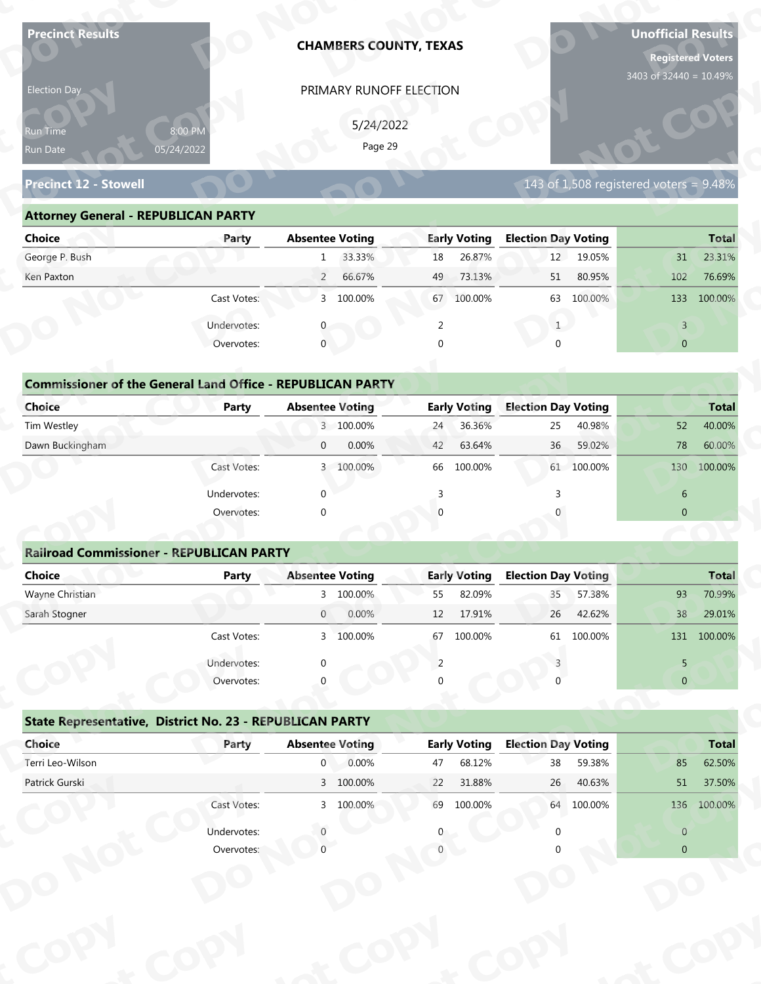| Election Day<br>Run Time<br>Run Date<br><b>Precinct 12 - Stowell</b><br><b>Attorney General - REPUBLICAN PARTY</b><br><b>Choice</b><br>George P. Bush<br>Ken Paxton | 8:00 PM<br>05/24/2022<br>Party | <b>Absentee Voting</b><br>1 | PRIMARY RUNOFF ELECTION<br>5/24/2022<br>Page 29 |                |                     |                            |            | 3403 of 32440 = 10.49%                    |              |
|---------------------------------------------------------------------------------------------------------------------------------------------------------------------|--------------------------------|-----------------------------|-------------------------------------------------|----------------|---------------------|----------------------------|------------|-------------------------------------------|--------------|
|                                                                                                                                                                     |                                |                             |                                                 |                |                     |                            |            |                                           |              |
|                                                                                                                                                                     |                                |                             |                                                 |                |                     |                            |            |                                           |              |
|                                                                                                                                                                     |                                |                             |                                                 |                |                     |                            |            |                                           |              |
|                                                                                                                                                                     |                                |                             |                                                 |                |                     |                            |            |                                           |              |
|                                                                                                                                                                     |                                |                             |                                                 |                |                     |                            |            | 143 of 1,508 registered voters = $9.48\%$ |              |
|                                                                                                                                                                     |                                |                             |                                                 |                |                     |                            |            |                                           |              |
|                                                                                                                                                                     |                                |                             |                                                 |                | <b>Early Voting</b> | <b>Election Day Voting</b> |            |                                           | <b>Total</b> |
|                                                                                                                                                                     |                                |                             | 33.33%                                          | 18             | 26.87%              | 12                         | 19.05%     | 31                                        | 23.31%       |
|                                                                                                                                                                     |                                | $\overline{2}$              | 66.67%                                          | 49             | 73.13%              | 51                         | 80.95%     | 102                                       | 76.69%       |
|                                                                                                                                                                     | Cast Votes:                    |                             | 3 100.00%                                       | 67             | 100.00%             | 63                         | 100.00%    | 133                                       | 100.00%      |
|                                                                                                                                                                     | Undervotes:                    |                             |                                                 | 2              |                     | 1                          |            | $\overline{3}$                            |              |
|                                                                                                                                                                     | Overvotes:                     | $\mathbf{0}$                |                                                 | $\Omega$       |                     |                            |            | $\overline{0}$                            |              |
|                                                                                                                                                                     |                                |                             |                                                 |                |                     |                            |            |                                           |              |
| <b>Commissioner of the General Land Office - REPUBLICAN PARTY</b>                                                                                                   |                                |                             |                                                 |                |                     |                            |            |                                           |              |
| <b>Choice</b>                                                                                                                                                       | <b>Party</b>                   |                             | <b>Absentee Voting</b>                          |                | <b>Early Voting</b> | <b>Election Day Voting</b> |            |                                           | <b>Total</b> |
| Tim Westley                                                                                                                                                         |                                |                             | 3 100.00%                                       | 24             | 36.36%              | 25                         | 40.98%     | 52                                        | 40.00%       |
| Dawn Buckingham                                                                                                                                                     |                                | $\overline{0}$              | 0.00%                                           | 42             | 63.64%              | 36                         | 59.02%     | 78                                        | 60.00%       |
|                                                                                                                                                                     | Cast Votes:                    |                             | 3 100.00%                                       |                | 66 100.00%          |                            | 61 100.00% | 130                                       | 100.00%      |
|                                                                                                                                                                     | Undervotes:                    | $\Omega$                    |                                                 | $\overline{3}$ |                     | 3                          |            | 6                                         |              |
|                                                                                                                                                                     | Overvotes:                     | $\Omega$                    |                                                 |                |                     |                            |            | $\overline{0}$                            |              |
|                                                                                                                                                                     |                                |                             |                                                 |                |                     |                            |            |                                           |              |
| <b>Railroad Commissioner - REPUBLICAN PARTY</b>                                                                                                                     |                                |                             |                                                 |                |                     |                            |            |                                           |              |
| <b>Choice</b>                                                                                                                                                       | <b>Party</b>                   | <b>Absentee Voting</b>      |                                                 |                | <b>Early Voting</b> | <b>Election Day Voting</b> |            |                                           | <b>Total</b> |
| Wayne Christian                                                                                                                                                     |                                |                             | 3 100.00%                                       | 55             | 82.09%              | 35                         | 57.38%     | 93                                        | 70.99%       |
| Sarah Stogner                                                                                                                                                       |                                | $\overline{0}$              | 0.00%                                           | 12             | 17.91%              | 26                         | 42.62%     | 38                                        | 29.01%       |
|                                                                                                                                                                     | Cast Votes:                    |                             | 3 100.00%                                       | 67             | 100.00%             | 61                         | 100.00%    |                                           | 131 100.00%  |
|                                                                                                                                                                     | Undervotes:                    |                             |                                                 | 2              |                     |                            |            | 5                                         |              |
|                                                                                                                                                                     | Overvotes:                     |                             |                                                 |                |                     |                            |            | $\overline{0}$                            |              |
| State Representative, District No. 23 - REPUBLICAN PARTY                                                                                                            |                                |                             |                                                 |                |                     |                            |            |                                           |              |
| Choice                                                                                                                                                              | Party                          | <b>Absentee Voting</b>      |                                                 |                | <b>Early Voting</b> | <b>Election Day Voting</b> |            |                                           | <b>Total</b> |
| Terri Leo-Wilson                                                                                                                                                    |                                | $\overline{0}$              | 0.00%                                           | 47             | 68.12%              | 38                         | 59.38%     | 85                                        | 62.50%       |
| Patrick Gurski                                                                                                                                                      |                                |                             | 3 100.00%                                       | 22             | 31.88%              | 26                         | 40.63%     | 51                                        | 37.50%       |
|                                                                                                                                                                     | Cast Votes:                    |                             | 3 100.00%                                       |                | 69 100.00%          |                            | 64 100.00% |                                           | 136 100.00%  |
|                                                                                                                                                                     | Undervotes:                    |                             |                                                 |                |                     |                            |            | $\overline{0}$                            |              |
|                                                                                                                                                                     | Overvotes:                     |                             |                                                 |                |                     |                            |            | $\overline{0}$                            |              |
|                                                                                                                                                                     |                                |                             |                                                 |                |                     |                            |            |                                           |              |
|                                                                                                                                                                     |                                |                             |                                                 |                |                     |                            |            |                                           |              |

| 5/24/2022<br>8:00 PM<br><b>Run Time</b><br>Page 29<br>05/24/2022<br>Run Date                                          |
|-----------------------------------------------------------------------------------------------------------------------|
| 143 of 1,508 registered voters = $9.48\%$<br><b>Precinct 12 - Stowell</b>                                             |
| <b>Attorney General - REPUBLICAN PARTY</b>                                                                            |
| <b>Early Voting</b><br><b>Election Day Voting</b><br>Choice<br><b>Absentee Voting</b><br><b>Total</b><br>Party        |
| George P. Bush<br>33.33%<br>26.87%<br>12<br>19.05%<br>23.31%<br>31<br>18<br>$\mathbf{1}$                              |
| 66.67%<br>73.13%<br>80.95%<br>Ken Paxton<br>$\overline{2}$<br>51<br>102<br>76.69%<br>49                               |
| 3 100.00%<br>Cast Votes:<br>67<br>100.00%<br>63<br>100.00%<br>133<br>100.00%                                          |
| Undervotes:<br>2<br>3                                                                                                 |
| $\mathbf{0}$<br>Overvotes:<br>$\Omega$<br>$\overline{0}$                                                              |
|                                                                                                                       |
| <b>Commissioner of the General Land Office - REPUBLICAN PARTY</b>                                                     |
| <b>Choice</b><br><b>Early Voting</b><br><b>Election Day Voting</b><br><b>Absentee Voting</b><br>Party<br><b>Total</b> |
| Tim Westley<br>3 100.00%<br>36.36%<br>40.00%<br>25<br>40.98%<br>52<br>24                                              |
| Dawn Buckingham<br>0.00%<br>63.64%<br>36<br>59.02%<br>78<br>60.00%<br>$\overline{0}$<br>42                            |
| 61 100.00%<br>100.00%<br>3 100.00%<br>66<br>100.00%<br>130<br>Cast Votes:                                             |

| <b>Choice</b>                                                     | Party       | <b>Absentee Voting</b>   | <b>Early Voting</b> | <b>Election Day Voting</b> | <b>Total</b>   |
|-------------------------------------------------------------------|-------------|--------------------------|---------------------|----------------------------|----------------|
| George P. Bush                                                    |             | 33.33%<br>1              | 26.87%<br>18        | 19.05%<br>12               | 23.31%<br>31   |
| Ken Paxton                                                        |             | $\overline{2}$<br>66.67% | 73.13%<br>49        | 80.95%<br>51               | 76.69%<br>102  |
|                                                                   |             |                          |                     |                            |                |
|                                                                   | Cast Votes: | 100.00%<br>3             | 100.00%<br>67       | 63 100.00%                 | 100.00%<br>133 |
|                                                                   | Undervotes: |                          | 2                   |                            | $\overline{3}$ |
|                                                                   | Overvotes:  | $\mathbf{0}$             | 0                   | U                          | $\overline{0}$ |
| <b>Commissioner of the General Land Office - REPUBLICAN PARTY</b> |             |                          |                     |                            |                |
| Choice                                                            | Party       | <b>Absentee Voting</b>   | <b>Early Voting</b> | <b>Election Day Voting</b> | <b>Total</b>   |
| Tim Westley                                                       |             | 3 100.00%                | 36.36%<br>24        | 40.98%<br>25               | 52<br>40.00%   |
| Dawn Buckingham                                                   |             | 0.00%<br>$\mathbf{0}$    | 42<br>63.64%        | 36<br>59.02%               | 78<br>60.00%   |
|                                                                   | Cast Votes: | 3 100.00%                | 66 100.00%          | 61 100.00%                 | 130 100.00%    |
|                                                                   | Undervotes: | $\mathbf{0}$             |                     |                            | 6              |
|                                                                   | Overvotes:  | $\mathbf{0}$             | $\Omega$            |                            | $\mathbf{0}$   |
|                                                                   |             |                          |                     |                            |                |
| <b>Railroad Commissioner - REPUBLICAN PARTY</b>                   |             |                          |                     |                            |                |
| Choice                                                            | Party       | <b>Absentee Voting</b>   | <b>Early Voting</b> | <b>Election Day Voting</b> | <b>Total</b>   |
| Wayne Christian                                                   |             | 3 100.00%                | 82.09%<br>55        | 57.38%<br>35 <sub>1</sub>  | 93<br>70.99%   |
| Carole Champan                                                    |             | 0.0001<br>$\cap$         | 12.17010            | 12.001<br>2C               | 20.010<br>20   |

|                                                                   |                           | PRIMARY RUNOFF ELECTION  |                     |                                             |                                                                                                                      |
|-------------------------------------------------------------------|---------------------------|--------------------------|---------------------|---------------------------------------------|----------------------------------------------------------------------------------------------------------------------|
|                                                                   |                           | 5/24/2022                |                     |                                             |                                                                                                                      |
| Run Time                                                          | 8:00 PM<br>05/24/2022     | Page 29                  |                     |                                             |                                                                                                                      |
| Run Date                                                          |                           |                          |                     |                                             |                                                                                                                      |
| <b>Precinct 12 - Stowell</b>                                      |                           |                          |                     | $143$ of 1,508 registered voters = $9.48\%$ |                                                                                                                      |
| <b>Attorney General - REPUBLICAN PARTY</b>                        |                           |                          |                     |                                             |                                                                                                                      |
| <b>Choice</b>                                                     | Party                     | <b>Absentee Voting</b>   | <b>Early Voting</b> | <b>Election Day Voting</b>                  | <b>Total</b>                                                                                                         |
| George P. Bush                                                    |                           | 33.33%<br>1              | 26.87%<br>18        | 12<br>19.05%                                | 23.31%<br>31                                                                                                         |
| Ken Paxton                                                        |                           | 66.67%<br>$\overline{2}$ | 49<br>73.13%        | 51<br>80.95%                                | 102<br>76.69%                                                                                                        |
|                                                                   | Cast Votes:               | 3 100.00%                | 67 100.00%          | 63 100.00%                                  | 133 100.00%                                                                                                          |
|                                                                   | Undervotes:               | $\mathbf{0}$             | 2                   | 1                                           | $\overline{3}$                                                                                                       |
|                                                                   | Overvotes:                | $\mathbf{0}$             | $\Omega$            | $\Omega$                                    | $\overline{0}$                                                                                                       |
|                                                                   |                           |                          |                     |                                             |                                                                                                                      |
| <b>Commissioner of the General Land Office - REPUBLICAN PARTY</b> |                           |                          |                     |                                             |                                                                                                                      |
| <b>Choice</b>                                                     | Party                     | <b>Absentee Voting</b>   | <b>Early Voting</b> | <b>Election Day Voting</b>                  | <b>Total</b>                                                                                                         |
| Tim Westley                                                       |                           | 3 100.00%                | 36.36%<br>24        | 40.98%<br>25                                | 40.00%<br>52                                                                                                         |
| Dawn Buckingham                                                   |                           | 0.00%<br>$\overline{0}$  | 63.64%<br>42        | 59.02%<br>36                                | 78<br>60.00%                                                                                                         |
|                                                                   | Cast Votes:               | 3 100.00%                | 100.00%<br>66       | 61 100.00%                                  | 100.00%<br>130                                                                                                       |
|                                                                   | Undervotes:               | $\Omega$                 |                     |                                             | 6                                                                                                                    |
|                                                                   | Overvotes:                | $\Omega$                 |                     |                                             | $\overline{0}$                                                                                                       |
|                                                                   |                           |                          |                     |                                             |                                                                                                                      |
|                                                                   |                           |                          |                     |                                             |                                                                                                                      |
| <b>Railroad Commissioner - REPUBLICAN PARTY</b>                   |                           |                          |                     |                                             |                                                                                                                      |
| <b>Choice</b>                                                     | <b>Party</b>              | <b>Absentee Voting</b>   | <b>Early Voting</b> |                                             |                                                                                                                      |
| Wayne Christian                                                   |                           | 3 100.00%                | 82.09%<br>55        | <b>Election Day Voting</b><br>57.38%<br>35  | 93                                                                                                                   |
| Sarah Stogner                                                     |                           | 0.00%<br>$\overline{0}$  | 17.91%<br>12        | 42.62%<br>26                                | 38                                                                                                                   |
|                                                                   | Cast Votes:               | 3 100.00%                | 67 100.00%          | 61 100.00%                                  |                                                                                                                      |
|                                                                   |                           |                          | 2                   |                                             | 5                                                                                                                    |
|                                                                   | Undervotes:<br>Overvotes: |                          |                     |                                             | $\overline{0}$                                                                                                       |
|                                                                   |                           |                          |                     |                                             |                                                                                                                      |
| State Representative, District No. 23 - REPUBLICAN PARTY          |                           |                          |                     |                                             |                                                                                                                      |
| Choice                                                            | Party                     | <b>Absentee Voting</b>   | <b>Early Voting</b> | <b>Election Day Voting</b>                  |                                                                                                                      |
| Terri Leo-Wilson                                                  |                           | 0.00%<br>$\overline{0}$  | 68.12%<br>47        | 38<br>59.38%                                | 85                                                                                                                   |
| Patrick Gurski                                                    |                           | 3 100.00%                | 22<br>31.88%        | 26<br>40.63%                                | 51                                                                                                                   |
|                                                                   | Cast Votes:               | 3 100.00%                | 69 100.00%          | 64 100.00%                                  |                                                                                                                      |
|                                                                   | Undervotes:               |                          |                     |                                             | <b>Total</b><br>70.99%<br>29.01%<br>131 100.00%<br><b>Total</b><br>62.50%<br>37.50%<br>136 100.00%<br>$\overline{0}$ |

|                                                          | Cast votes. | $\mathcal{P}$          | TOO'OO XQ | $\sigma$ | LUU.UU70            | 0T                         | LUU.UU 70 |                | T2T TOO'OO'S |
|----------------------------------------------------------|-------------|------------------------|-----------|----------|---------------------|----------------------------|-----------|----------------|--------------|
|                                                          | Undervotes: | $\Omega$               |           |          |                     |                            |           | 5.             |              |
|                                                          | Overvotes:  | $\Omega$               |           | 0        |                     |                            |           | $\overline{0}$ |              |
| State Representative, District No. 23 - REPUBLICAN PARTY |             |                        |           |          |                     |                            |           |                |              |
| Choice                                                   | Party       | <b>Absentee Voting</b> |           |          | <b>Early Voting</b> | <b>Election Day Voting</b> |           |                | <b>Total</b> |
| Terri Leo-Wilson                                         |             | $\mathbf 0$            | 0.00%     | 47       | 68.12%              | 38                         | 59.38%    | 85             | 62.50%       |
| Patrick Gurski                                           |             |                        | 3 100.00% | 22       | 31.88%              | 26                         | 40.63%    | $51\,$         | 37.50%       |
|                                                          | Cast Votes: |                        | 3 100.00% | 69       | 100.00%             | 64                         | 100.00%   | 136            | 100.00%      |
|                                                          | Undervotes: |                        |           | 0        |                     |                            |           | $\Omega$       |              |
|                                                          | Overvotes:  |                        |           |          |                     |                            |           | $\overline{0}$ |              |
|                                                          |             |                        |           |          |                     |                            |           |                |              |
|                                                          |             |                        |           |          |                     |                            |           |                |              |
|                                                          |             |                        |           |          |                     |                            |           |                |              |
|                                                          |             |                        |           |          |                     |                            |           |                |              |
|                                                          |             |                        |           |          |                     |                            |           |                |              |
|                                                          |             |                        |           |          |                     |                            |           |                |              |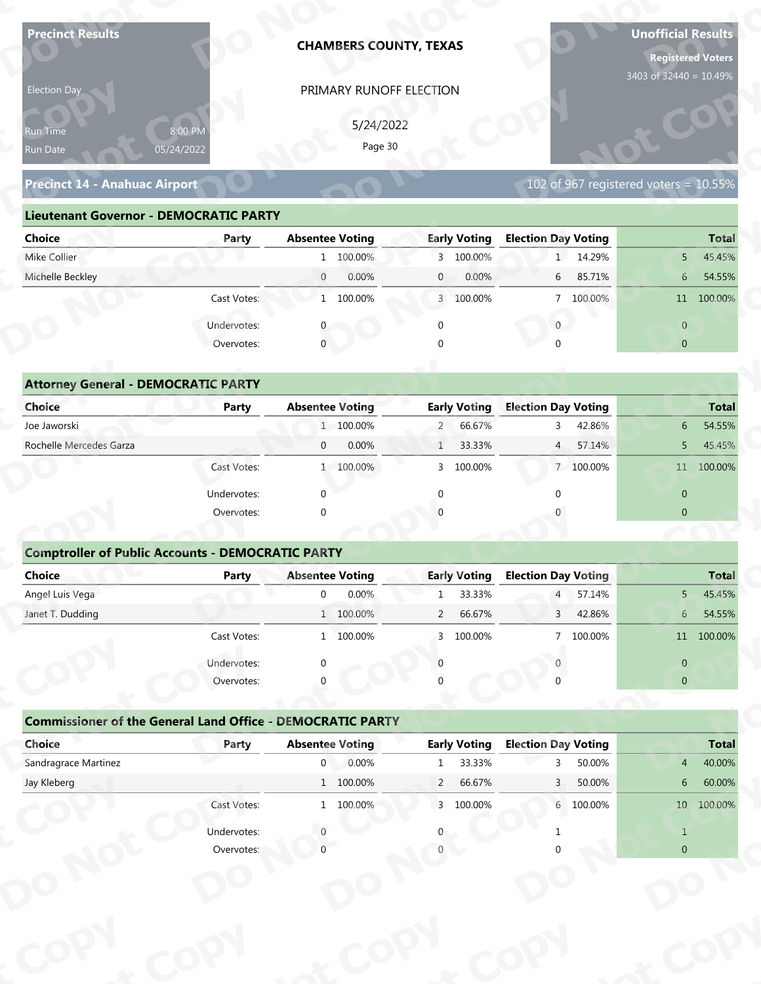| <b>Precinct Results</b>                                                     |                           |                                          | <b>CHAMBERS COUNTY, TEXAS</b> |                |                               |                                 |           | <b>Unofficial Results</b><br><b>Registered Voters</b> |                        |
|-----------------------------------------------------------------------------|---------------------------|------------------------------------------|-------------------------------|----------------|-------------------------------|---------------------------------|-----------|-------------------------------------------------------|------------------------|
| Election Day                                                                |                           |                                          | PRIMARY RUNOFF ELECTION       |                |                               |                                 |           | 3403 of 32440 = 10.49%                                |                        |
|                                                                             |                           |                                          |                               |                |                               |                                 |           |                                                       |                        |
| Run Time                                                                    | 8:00 PM                   |                                          | 5/24/2022<br>Page 30          |                |                               |                                 |           |                                                       |                        |
| Run Date                                                                    | 05/24/2022                |                                          |                               |                |                               |                                 |           |                                                       |                        |
| <b>Precinct 14 - Anahuac Airport</b>                                        |                           |                                          |                               |                |                               |                                 |           | 102 of 967 registered voters = $10.55\%$              |                        |
| <b>Lieutenant Governor - DEMOCRATIC PARTY</b>                               |                           |                                          |                               |                |                               |                                 |           |                                                       |                        |
| <b>Choice</b>                                                               | Party                     | <b>Absentee Voting</b>                   |                               |                | <b>Early Voting</b>           | <b>Election Day Voting</b>      |           |                                                       | <b>Total</b>           |
| Mike Collier                                                                |                           |                                          | 1 100.00%                     |                | 3 100.00%                     |                                 | 1 14.29%  | 5 <sub>1</sub>                                        | 45.45%                 |
| Michelle Beckley                                                            |                           | $\overline{0}$                           | 0.00%                         | $\mathbf{0}$   | 0.00%                         | 6                               | 85.71%    | 6 <sup>1</sup>                                        | 54.55%                 |
|                                                                             | Cast Votes:               |                                          | 1 100.00%                     |                | 3 100.00%                     |                                 | 7 100.00% |                                                       | 11 100.00%             |
|                                                                             | Undervotes:               |                                          |                               | $\mathbf 0$    |                               | $\overline{0}$                  |           | $\overline{0}$                                        |                        |
|                                                                             | Overvotes:                | $\overline{0}$                           |                               |                |                               |                                 |           | $\overline{0}$                                        |                        |
|                                                                             |                           |                                          |                               |                |                               |                                 |           |                                                       |                        |
| <b>Attorney General - DEMOCRATIC PARTY</b>                                  |                           |                                          |                               |                |                               |                                 |           |                                                       |                        |
| <b>Choice</b>                                                               | <b>Party</b>              | <b>Absentee Voting</b>                   |                               |                | <b>Early Voting</b>           | <b>Election Day Voting</b>      |           |                                                       | <b>Total</b>           |
| Joe Jaworski                                                                |                           |                                          | 1 100.00%                     | $\overline{2}$ | 66.67%                        | 3                               | 42.86%    | 6                                                     | 54.55%                 |
| Rochelle Mercedes Garza                                                     |                           | $\mathbf{0}$                             | 0.00%                         | $\mathbf{1}$   | 33.33%                        | $\overline{4}$                  | 57.14%    | 5                                                     | 45.45%                 |
|                                                                             | Cast Votes:               |                                          | 1 100.00%                     |                | 3 100.00%                     |                                 | 7 100.00% |                                                       | 11 100.00%             |
|                                                                             | Undervotes:               | $\Omega$                                 |                               | $\mathbf{0}$   |                               | $\Omega$                        |           | $\overline{0}$                                        |                        |
|                                                                             | Overvotes:                | $\Omega$                                 |                               |                |                               |                                 |           | $\overline{0}$                                        |                        |
|                                                                             |                           |                                          |                               |                |                               |                                 |           |                                                       |                        |
| <b>Comptroller of Public Accounts - DEMOCRATIC PARTY</b>                    |                           |                                          |                               |                |                               |                                 |           |                                                       |                        |
| Choice                                                                      | Party                     | <b>Absentee Voting</b>                   |                               |                | <b>Early Voting</b>           | <b>Election Day Voting</b>      |           |                                                       | <b>Total</b>           |
| Angel Luis Vega                                                             |                           | $\overline{0}$                           | 0.00%                         | $\mathbf{1}$   | 33.33%                        | $\overline{4}$                  | 57.14%    | $5 -$                                                 | 45.45%                 |
| Janet T. Dudding                                                            |                           |                                          | 1 100.00%                     | $\overline{2}$ | 66.67%                        | 3 <sup>7</sup>                  | 42.86%    | $6 -$                                                 | 54.55%                 |
|                                                                             | Cast Votes:               |                                          | 1 100.00%                     | $\mathbf{3}$   | 100.00%                       |                                 | 7 100.00% |                                                       | 11 100.00%             |
|                                                                             | Undervotes:               | $\Omega$                                 |                               | $\Omega$       |                               |                                 |           | $\overline{0}$                                        |                        |
|                                                                             | Overvotes:                |                                          |                               |                |                               |                                 |           | $\overline{0}$                                        |                        |
|                                                                             |                           |                                          |                               |                |                               |                                 |           |                                                       |                        |
| <b>Commissioner of the General Land Office - DEMOCRATIC PARTY</b><br>Choice |                           |                                          |                               |                |                               |                                 |           |                                                       |                        |
| Sandragrace Martinez                                                        | Party                     | <b>Absentee Voting</b><br>$\overline{0}$ | 0.00%                         | $\mathbf{1}$   | <b>Early Voting</b><br>33.33% | <b>Election Day Voting</b><br>२ | 50.00%    | $\overline{4}$                                        | <b>Total</b><br>40.00% |
|                                                                             |                           |                                          | 1 100.00%                     | $\overline{2}$ | 66.67%                        | $\mathbf{3}$                    | 50.00%    | 6                                                     | 60.00%                 |
|                                                                             |                           |                                          | 1 100.00%                     |                | 3 100.00%                     |                                 | 6 100.00% |                                                       | 10 100.00%             |
| Jay Kleberg                                                                 |                           |                                          |                               |                |                               |                                 |           |                                                       |                        |
|                                                                             | Cast Votes:               |                                          |                               |                |                               |                                 |           |                                                       |                        |
|                                                                             | Undervotes:<br>Overvotes: |                                          |                               |                |                               |                                 |           | $\mathbf{1}$<br>$\Omega$                              |                        |

### **Precinct 14 - Anahuac Airport**

### **Lieutenant Governor - DEMOCRATIC PARTY**

| Election Day<br>PRIMARY RUNOFF ELECTION                                      |                                                   |                                          |  |  |  |  |  |
|------------------------------------------------------------------------------|---------------------------------------------------|------------------------------------------|--|--|--|--|--|
| 5/24/2022<br>8:00 PM<br><b>Run Time</b><br>Page 30<br>05/24/2022<br>Run Date |                                                   |                                          |  |  |  |  |  |
| <b>Precinct 14 - Anahuac Airport</b>                                         |                                                   | 102 of 967 registered voters = $10.55\%$ |  |  |  |  |  |
| <b>Lieutenant Governor - DEMOCRATIC PARTY</b>                                |                                                   |                                          |  |  |  |  |  |
| <b>Absentee Voting</b><br><b>Choice</b><br>Party                             | <b>Early Voting</b><br><b>Election Day Voting</b> | <b>Total</b>                             |  |  |  |  |  |
| Mike Collier<br>1 100.00%                                                    | 3 100.00%<br>1 14.29%                             | 45.45%<br>5 <sup>1</sup>                 |  |  |  |  |  |
| Michelle Beckley<br>0.00%<br>$\overline{0}$                                  | 0.00%<br>6 85.71%<br>$\overline{0}$               | 54.55%<br>6 <sup>1</sup>                 |  |  |  |  |  |
| 1 100.00%<br>Cast Votes:                                                     | 3 100.00%<br>7 100.00%                            | 11 100.00%                               |  |  |  |  |  |
| Undervotes:                                                                  | $\overline{0}$                                    | $\overline{0}$                           |  |  |  |  |  |
| $\mathbf 0$<br>Overvotes:                                                    | $\Omega$                                          | $\overline{0}$                           |  |  |  |  |  |
|                                                                              |                                                   |                                          |  |  |  |  |  |
| <b>Attorney General - DEMOCRATIC PARTY</b>                                   |                                                   |                                          |  |  |  |  |  |
| <b>Choice</b><br><b>Absentee Voting</b><br>Party                             | <b>Early Voting</b><br><b>Election Day Voting</b> | <b>Total</b>                             |  |  |  |  |  |
| Joe Jaworski<br>1 100.00%                                                    | 66.67%<br>42.86%<br>$2 -$<br>$\mathbf{3}$         | 54.55%<br>6                              |  |  |  |  |  |
| Rochelle Mercedes Garza<br>0.00%<br>$\overline{0}$                           | 33.33%<br>57.14%<br>$\overline{4}$                | 45.45%<br>5                              |  |  |  |  |  |
| 1 100.00%<br>Cast Votes:                                                     | 100.00%<br>7 100.00%<br>3                         | 11 100.00%                               |  |  |  |  |  |

| 5/24/2022<br>8:00 PM<br>Run Time<br>Page 30<br>05/24/2022<br>Run Date<br><b>Precinct 14 - Anahuac Airport</b><br>102 of 967 registered voters = 10.55%<br><b>Lieutenant Governor - DEMOCRATIC PARTY</b><br><b>Absentee Voting</b><br><b>Early Voting</b><br><b>Election Day Voting</b><br><b>Choice</b><br>Party<br>Mike Collier<br>1 14.29%<br>1 100.00%<br>3 100.00%<br>5 <sup>1</sup><br>Michelle Beckley<br>$\overline{0}$<br>0.00%<br>0.00%<br>6 85.71%<br>$\mathbf{0}$<br>6 <sup>1</sup><br>Cast Votes:<br>1 100.00%<br>3 100.00%<br>7 100.00%<br>$\mathbf{0}$<br>Undervotes:<br>$\overline{0}$<br>$\mathbf 0$<br>$\mathbf{0}$<br>Overvotes:<br>$\mathbf{0}$<br>$\overline{0}$<br><b>Attorney General - DEMOCRATIC PARTY</b><br><b>Early Voting</b><br><b>Election Day Voting</b><br>Choice<br><b>Absentee Voting</b><br><b>Party</b><br>Joe Jaworski<br>1 100.00%<br>66.67%<br>42.86%<br>$2 -$<br>3<br>6<br>Rochelle Mercedes Garza<br>0.00%<br>$\overline{0}$<br>33.33%<br>57.14%<br>$\mathbf{1}$<br>$\overline{4}$<br>5<br>Cast Votes:<br>1 100.00%<br>100.00%<br>7 100.00%<br>3<br>Undervotes:<br>$\Omega$<br>$\overline{0}$<br>∩<br>$\overline{0}$<br>Overvotes:<br>$\Omega$<br><b>Comptroller of Public Accounts - DEMOCRATIC PARTY</b><br><b>Choice</b><br><b>Absentee Voting</b><br><b>Early Voting</b><br><b>Election Day Voting</b><br><b>Party</b><br>Angel Luis Vega<br>0.00%<br>33.33%<br>$\overline{0}$<br>57.14%<br>5 <sup>5</sup><br>$\overline{4}$<br>$\mathbf{1}$<br>1 100.00%<br>66.67%<br>42.86%<br>Janet T. Dudding<br>$\overline{2}$<br>3<br>6<br>7 100.00%<br>Cast Votes:<br>1 100.00%<br>3 100.00%<br>Undervotes:<br>$\overline{0}$<br>Overvotes:<br>$\overline{0}$<br><b>Commissioner of the General Land Office - DEMOCRATIC PARTY</b><br><b>Absentee Voting</b><br><b>Early Voting</b><br><b>Election Day Voting</b><br>Choice<br>Party<br>Sandragrace Martinez<br>0.00%<br>33.33%<br>$\overline{0}$<br>50.00%<br>$4 -$<br>1<br>3<br>$1\quad 100.00\%$<br>Jay Kleberg<br>$\overline{2}$<br>66.67%<br>50.00%<br>$\mathbf{3}$<br>6 <sup>1</sup><br>Cast Votes:<br>1 100.00%<br>3 100.00%<br>6 100.00%<br>Undervotes:<br>$\mathbf{1}$ |            | PRIMARY RUNOFF ELECTION |  |                |
|---------------------------------------------------------------------------------------------------------------------------------------------------------------------------------------------------------------------------------------------------------------------------------------------------------------------------------------------------------------------------------------------------------------------------------------------------------------------------------------------------------------------------------------------------------------------------------------------------------------------------------------------------------------------------------------------------------------------------------------------------------------------------------------------------------------------------------------------------------------------------------------------------------------------------------------------------------------------------------------------------------------------------------------------------------------------------------------------------------------------------------------------------------------------------------------------------------------------------------------------------------------------------------------------------------------------------------------------------------------------------------------------------------------------------------------------------------------------------------------------------------------------------------------------------------------------------------------------------------------------------------------------------------------------------------------------------------------------------------------------------------------------------------------------------------------------------------------------------------------------------------------------------------------------------------------------------------------------------------------------------------------------------------------------------------------------------------------------------------------------------------------------------------------------|------------|-------------------------|--|----------------|
|                                                                                                                                                                                                                                                                                                                                                                                                                                                                                                                                                                                                                                                                                                                                                                                                                                                                                                                                                                                                                                                                                                                                                                                                                                                                                                                                                                                                                                                                                                                                                                                                                                                                                                                                                                                                                                                                                                                                                                                                                                                                                                                                                                     |            |                         |  |                |
|                                                                                                                                                                                                                                                                                                                                                                                                                                                                                                                                                                                                                                                                                                                                                                                                                                                                                                                                                                                                                                                                                                                                                                                                                                                                                                                                                                                                                                                                                                                                                                                                                                                                                                                                                                                                                                                                                                                                                                                                                                                                                                                                                                     |            |                         |  |                |
|                                                                                                                                                                                                                                                                                                                                                                                                                                                                                                                                                                                                                                                                                                                                                                                                                                                                                                                                                                                                                                                                                                                                                                                                                                                                                                                                                                                                                                                                                                                                                                                                                                                                                                                                                                                                                                                                                                                                                                                                                                                                                                                                                                     |            |                         |  |                |
|                                                                                                                                                                                                                                                                                                                                                                                                                                                                                                                                                                                                                                                                                                                                                                                                                                                                                                                                                                                                                                                                                                                                                                                                                                                                                                                                                                                                                                                                                                                                                                                                                                                                                                                                                                                                                                                                                                                                                                                                                                                                                                                                                                     |            |                         |  |                |
|                                                                                                                                                                                                                                                                                                                                                                                                                                                                                                                                                                                                                                                                                                                                                                                                                                                                                                                                                                                                                                                                                                                                                                                                                                                                                                                                                                                                                                                                                                                                                                                                                                                                                                                                                                                                                                                                                                                                                                                                                                                                                                                                                                     |            |                         |  |                |
|                                                                                                                                                                                                                                                                                                                                                                                                                                                                                                                                                                                                                                                                                                                                                                                                                                                                                                                                                                                                                                                                                                                                                                                                                                                                                                                                                                                                                                                                                                                                                                                                                                                                                                                                                                                                                                                                                                                                                                                                                                                                                                                                                                     |            |                         |  | <b>Total</b>   |
|                                                                                                                                                                                                                                                                                                                                                                                                                                                                                                                                                                                                                                                                                                                                                                                                                                                                                                                                                                                                                                                                                                                                                                                                                                                                                                                                                                                                                                                                                                                                                                                                                                                                                                                                                                                                                                                                                                                                                                                                                                                                                                                                                                     |            |                         |  | 45.45%         |
|                                                                                                                                                                                                                                                                                                                                                                                                                                                                                                                                                                                                                                                                                                                                                                                                                                                                                                                                                                                                                                                                                                                                                                                                                                                                                                                                                                                                                                                                                                                                                                                                                                                                                                                                                                                                                                                                                                                                                                                                                                                                                                                                                                     |            |                         |  | 54.55%         |
|                                                                                                                                                                                                                                                                                                                                                                                                                                                                                                                                                                                                                                                                                                                                                                                                                                                                                                                                                                                                                                                                                                                                                                                                                                                                                                                                                                                                                                                                                                                                                                                                                                                                                                                                                                                                                                                                                                                                                                                                                                                                                                                                                                     |            |                         |  | 11 100.00%     |
|                                                                                                                                                                                                                                                                                                                                                                                                                                                                                                                                                                                                                                                                                                                                                                                                                                                                                                                                                                                                                                                                                                                                                                                                                                                                                                                                                                                                                                                                                                                                                                                                                                                                                                                                                                                                                                                                                                                                                                                                                                                                                                                                                                     |            |                         |  |                |
|                                                                                                                                                                                                                                                                                                                                                                                                                                                                                                                                                                                                                                                                                                                                                                                                                                                                                                                                                                                                                                                                                                                                                                                                                                                                                                                                                                                                                                                                                                                                                                                                                                                                                                                                                                                                                                                                                                                                                                                                                                                                                                                                                                     |            |                         |  |                |
|                                                                                                                                                                                                                                                                                                                                                                                                                                                                                                                                                                                                                                                                                                                                                                                                                                                                                                                                                                                                                                                                                                                                                                                                                                                                                                                                                                                                                                                                                                                                                                                                                                                                                                                                                                                                                                                                                                                                                                                                                                                                                                                                                                     |            |                         |  |                |
|                                                                                                                                                                                                                                                                                                                                                                                                                                                                                                                                                                                                                                                                                                                                                                                                                                                                                                                                                                                                                                                                                                                                                                                                                                                                                                                                                                                                                                                                                                                                                                                                                                                                                                                                                                                                                                                                                                                                                                                                                                                                                                                                                                     |            |                         |  |                |
|                                                                                                                                                                                                                                                                                                                                                                                                                                                                                                                                                                                                                                                                                                                                                                                                                                                                                                                                                                                                                                                                                                                                                                                                                                                                                                                                                                                                                                                                                                                                                                                                                                                                                                                                                                                                                                                                                                                                                                                                                                                                                                                                                                     |            |                         |  | <b>Total</b>   |
|                                                                                                                                                                                                                                                                                                                                                                                                                                                                                                                                                                                                                                                                                                                                                                                                                                                                                                                                                                                                                                                                                                                                                                                                                                                                                                                                                                                                                                                                                                                                                                                                                                                                                                                                                                                                                                                                                                                                                                                                                                                                                                                                                                     |            |                         |  | 54.55%         |
|                                                                                                                                                                                                                                                                                                                                                                                                                                                                                                                                                                                                                                                                                                                                                                                                                                                                                                                                                                                                                                                                                                                                                                                                                                                                                                                                                                                                                                                                                                                                                                                                                                                                                                                                                                                                                                                                                                                                                                                                                                                                                                                                                                     |            |                         |  | 45.45%         |
|                                                                                                                                                                                                                                                                                                                                                                                                                                                                                                                                                                                                                                                                                                                                                                                                                                                                                                                                                                                                                                                                                                                                                                                                                                                                                                                                                                                                                                                                                                                                                                                                                                                                                                                                                                                                                                                                                                                                                                                                                                                                                                                                                                     |            |                         |  | 11 100.00%     |
|                                                                                                                                                                                                                                                                                                                                                                                                                                                                                                                                                                                                                                                                                                                                                                                                                                                                                                                                                                                                                                                                                                                                                                                                                                                                                                                                                                                                                                                                                                                                                                                                                                                                                                                                                                                                                                                                                                                                                                                                                                                                                                                                                                     |            |                         |  |                |
|                                                                                                                                                                                                                                                                                                                                                                                                                                                                                                                                                                                                                                                                                                                                                                                                                                                                                                                                                                                                                                                                                                                                                                                                                                                                                                                                                                                                                                                                                                                                                                                                                                                                                                                                                                                                                                                                                                                                                                                                                                                                                                                                                                     |            |                         |  |                |
|                                                                                                                                                                                                                                                                                                                                                                                                                                                                                                                                                                                                                                                                                                                                                                                                                                                                                                                                                                                                                                                                                                                                                                                                                                                                                                                                                                                                                                                                                                                                                                                                                                                                                                                                                                                                                                                                                                                                                                                                                                                                                                                                                                     |            |                         |  |                |
|                                                                                                                                                                                                                                                                                                                                                                                                                                                                                                                                                                                                                                                                                                                                                                                                                                                                                                                                                                                                                                                                                                                                                                                                                                                                                                                                                                                                                                                                                                                                                                                                                                                                                                                                                                                                                                                                                                                                                                                                                                                                                                                                                                     |            |                         |  |                |
|                                                                                                                                                                                                                                                                                                                                                                                                                                                                                                                                                                                                                                                                                                                                                                                                                                                                                                                                                                                                                                                                                                                                                                                                                                                                                                                                                                                                                                                                                                                                                                                                                                                                                                                                                                                                                                                                                                                                                                                                                                                                                                                                                                     |            |                         |  | <b>Total</b>   |
|                                                                                                                                                                                                                                                                                                                                                                                                                                                                                                                                                                                                                                                                                                                                                                                                                                                                                                                                                                                                                                                                                                                                                                                                                                                                                                                                                                                                                                                                                                                                                                                                                                                                                                                                                                                                                                                                                                                                                                                                                                                                                                                                                                     |            |                         |  | 45.45%         |
|                                                                                                                                                                                                                                                                                                                                                                                                                                                                                                                                                                                                                                                                                                                                                                                                                                                                                                                                                                                                                                                                                                                                                                                                                                                                                                                                                                                                                                                                                                                                                                                                                                                                                                                                                                                                                                                                                                                                                                                                                                                                                                                                                                     |            |                         |  | 54.55%         |
|                                                                                                                                                                                                                                                                                                                                                                                                                                                                                                                                                                                                                                                                                                                                                                                                                                                                                                                                                                                                                                                                                                                                                                                                                                                                                                                                                                                                                                                                                                                                                                                                                                                                                                                                                                                                                                                                                                                                                                                                                                                                                                                                                                     |            |                         |  | 11 100.00%     |
|                                                                                                                                                                                                                                                                                                                                                                                                                                                                                                                                                                                                                                                                                                                                                                                                                                                                                                                                                                                                                                                                                                                                                                                                                                                                                                                                                                                                                                                                                                                                                                                                                                                                                                                                                                                                                                                                                                                                                                                                                                                                                                                                                                     |            |                         |  |                |
|                                                                                                                                                                                                                                                                                                                                                                                                                                                                                                                                                                                                                                                                                                                                                                                                                                                                                                                                                                                                                                                                                                                                                                                                                                                                                                                                                                                                                                                                                                                                                                                                                                                                                                                                                                                                                                                                                                                                                                                                                                                                                                                                                                     |            |                         |  |                |
|                                                                                                                                                                                                                                                                                                                                                                                                                                                                                                                                                                                                                                                                                                                                                                                                                                                                                                                                                                                                                                                                                                                                                                                                                                                                                                                                                                                                                                                                                                                                                                                                                                                                                                                                                                                                                                                                                                                                                                                                                                                                                                                                                                     |            |                         |  |                |
|                                                                                                                                                                                                                                                                                                                                                                                                                                                                                                                                                                                                                                                                                                                                                                                                                                                                                                                                                                                                                                                                                                                                                                                                                                                                                                                                                                                                                                                                                                                                                                                                                                                                                                                                                                                                                                                                                                                                                                                                                                                                                                                                                                     |            |                         |  |                |
|                                                                                                                                                                                                                                                                                                                                                                                                                                                                                                                                                                                                                                                                                                                                                                                                                                                                                                                                                                                                                                                                                                                                                                                                                                                                                                                                                                                                                                                                                                                                                                                                                                                                                                                                                                                                                                                                                                                                                                                                                                                                                                                                                                     |            |                         |  | <b>Total</b>   |
|                                                                                                                                                                                                                                                                                                                                                                                                                                                                                                                                                                                                                                                                                                                                                                                                                                                                                                                                                                                                                                                                                                                                                                                                                                                                                                                                                                                                                                                                                                                                                                                                                                                                                                                                                                                                                                                                                                                                                                                                                                                                                                                                                                     |            |                         |  | 40.00%         |
|                                                                                                                                                                                                                                                                                                                                                                                                                                                                                                                                                                                                                                                                                                                                                                                                                                                                                                                                                                                                                                                                                                                                                                                                                                                                                                                                                                                                                                                                                                                                                                                                                                                                                                                                                                                                                                                                                                                                                                                                                                                                                                                                                                     |            |                         |  | 60.00%         |
|                                                                                                                                                                                                                                                                                                                                                                                                                                                                                                                                                                                                                                                                                                                                                                                                                                                                                                                                                                                                                                                                                                                                                                                                                                                                                                                                                                                                                                                                                                                                                                                                                                                                                                                                                                                                                                                                                                                                                                                                                                                                                                                                                                     |            |                         |  | 10 100.00%     |
|                                                                                                                                                                                                                                                                                                                                                                                                                                                                                                                                                                                                                                                                                                                                                                                                                                                                                                                                                                                                                                                                                                                                                                                                                                                                                                                                                                                                                                                                                                                                                                                                                                                                                                                                                                                                                                                                                                                                                                                                                                                                                                                                                                     |            |                         |  |                |
|                                                                                                                                                                                                                                                                                                                                                                                                                                                                                                                                                                                                                                                                                                                                                                                                                                                                                                                                                                                                                                                                                                                                                                                                                                                                                                                                                                                                                                                                                                                                                                                                                                                                                                                                                                                                                                                                                                                                                                                                                                                                                                                                                                     |            |                         |  |                |
|                                                                                                                                                                                                                                                                                                                                                                                                                                                                                                                                                                                                                                                                                                                                                                                                                                                                                                                                                                                                                                                                                                                                                                                                                                                                                                                                                                                                                                                                                                                                                                                                                                                                                                                                                                                                                                                                                                                                                                                                                                                                                                                                                                     | Overvotes: |                         |  | $\overline{0}$ |

### **Comptroller of Public Accounts - DEMOCRATIC PARTY**

|                                                                             | Overvotes:   | $\Omega$                |                           |                            | $\overline{0}$             |
|-----------------------------------------------------------------------------|--------------|-------------------------|---------------------------|----------------------------|----------------------------|
| <b>Comptroller of Public Accounts - DEMOCRATIC PARTY</b>                    |              |                         |                           |                            |                            |
| Choice                                                                      | <b>Party</b> | <b>Absentee Voting</b>  | <b>Early Voting</b>       | <b>Election Day Voting</b> | <b>Total</b>               |
| Angel Luis Vega                                                             |              | $0.00\%$<br>$\Omega$    | 33.33%                    | 57.14%<br>$4^{\circ}$      | $5 -$<br>45.45%            |
| Janet T. Dudding                                                            |              | 1 100.00%               | 66.67%<br>$\overline{2}$  | 42.86%<br>3 <sup>7</sup>   | 54.55%<br>6                |
|                                                                             | Cast Votes:  | 1 100.00%               | 3 100.00%                 | 7 100.00%                  | 11 100.00%                 |
|                                                                             | Undervotes:  |                         |                           |                            | $\mathbf{0}$               |
|                                                                             | Overvotes:   |                         |                           |                            | $\mathbf{0}$               |
| <b>Commissioner of the General Land Office - DEMOCRATIC PARTY</b><br>Choice | Party        | <b>Absentee Voting</b>  | <b>Early Voting</b>       | <b>Election Day Voting</b> | <b>Total</b>               |
| Sandragrace Martinez                                                        |              | 0.00%<br>$\overline{0}$ | 33.33%<br>1               | 50.00%<br>3                | 40.00%<br>$\overline{4}$   |
| Jay Kleberg                                                                 |              | 1 100.00%               | 66.67%<br>$2^{\circ}$     | 50.00%<br>3 <sup>1</sup>   | 60.00%<br>6                |
|                                                                             | Cast Votes:  | 1 100.00%               | 100.00%<br>$\overline{3}$ | 6 100.00%                  | 10 <sup>°</sup><br>100.00% |
|                                                                             | Undervotes:  |                         |                           |                            |                            |
|                                                                             | Overvotes:   |                         |                           |                            | $\overline{0}$             |
|                                                                             |              |                         |                           |                            |                            |

|                                                                   | Cast votes. | ÷.                     | TOO'OO XQ | $\mathcal{P}$  | TOO'OO SO           |                            | TOO'OO NO |                | <b>TT TOO'OO SO</b> |
|-------------------------------------------------------------------|-------------|------------------------|-----------|----------------|---------------------|----------------------------|-----------|----------------|---------------------|
|                                                                   | Undervotes: | $\Omega$               |           | 0              |                     |                            |           | $\Omega$       |                     |
|                                                                   | Overvotes:  | $\Omega$               |           | 0              |                     |                            |           | $\overline{0}$ |                     |
|                                                                   |             |                        |           |                |                     |                            |           |                |                     |
| <b>Commissioner of the General Land Office - DEMOCRATIC PARTY</b> |             |                        |           |                |                     |                            |           |                |                     |
| Choice                                                            | Party       | <b>Absentee Voting</b> |           |                | <b>Early Voting</b> | <b>Election Day Voting</b> |           |                | <b>Total</b>        |
| Sandragrace Martinez                                              |             | $\mathbf 0$            | 0.00%     | $\mathbf{1}$   | 33.33%              | 3                          | 50.00%    | $\overline{4}$ | 40.00%              |
| Jay Kleberg                                                       |             |                        | 1 100.00% | $\overline{2}$ | 66.67%              | $\mathbf{3}$               | 50.00%    | 6              | 60.00%              |
|                                                                   | Cast Votes: |                        | 1 100.00% | $\overline{3}$ | 100.00%             | 6                          | 100.00%   | $10\,$         | 100.00%             |
|                                                                   | Undervotes: |                        |           | 0              |                     |                            |           |                |                     |
|                                                                   | Overvotes:  |                        |           |                |                     |                            |           | $\overline{0}$ |                     |
|                                                                   |             |                        |           |                |                     |                            |           |                |                     |
|                                                                   |             |                        |           |                |                     |                            |           |                |                     |
|                                                                   |             |                        |           |                |                     |                            |           |                |                     |
|                                                                   |             |                        |           |                |                     |                            |           |                |                     |
|                                                                   |             |                        |           |                |                     |                            |           |                |                     |
|                                                                   |             |                        |           |                |                     |                            |           |                |                     |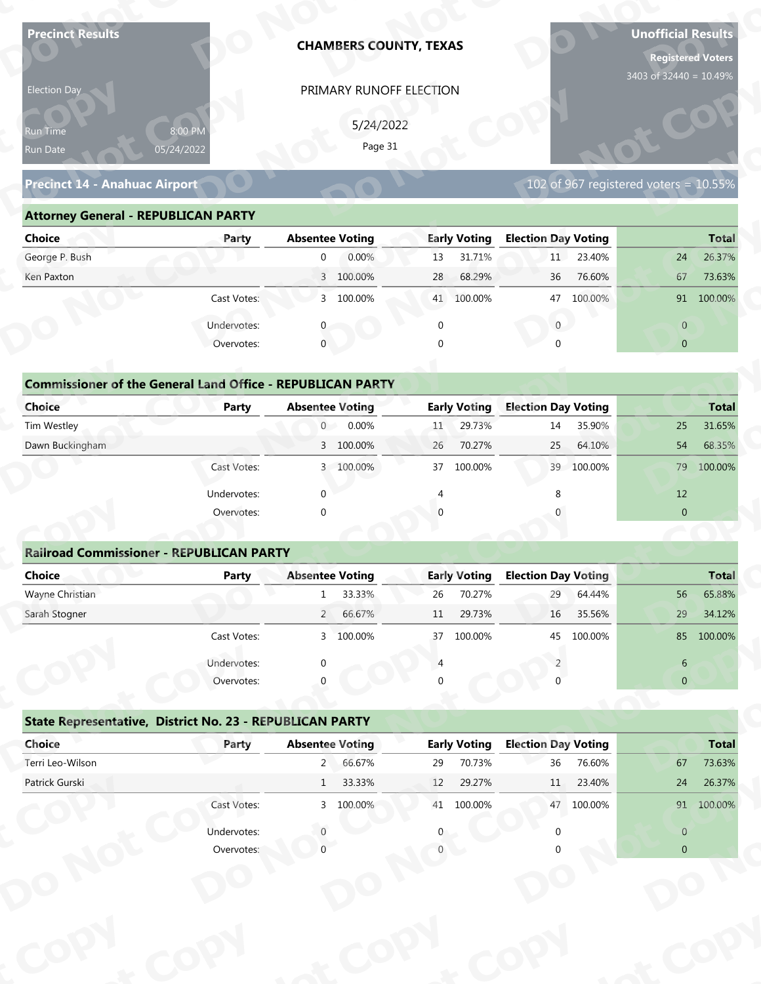| <b>Precinct Results</b>                                           |              |                             | <b>CHAMBERS COUNTY, TEXAS</b> |                |                     |                            |                  | <b>Unofficial Results</b><br>3403 of 32440 = 10.49% | <b>Registered Voters</b> |
|-------------------------------------------------------------------|--------------|-----------------------------|-------------------------------|----------------|---------------------|----------------------------|------------------|-----------------------------------------------------|--------------------------|
| Election Day                                                      |              |                             | PRIMARY RUNOFF ELECTION       |                |                     |                            |                  |                                                     |                          |
|                                                                   |              |                             |                               |                |                     |                            |                  |                                                     |                          |
| 8:00 PM<br>Run Time                                               |              |                             | 5/24/2022                     |                |                     |                            |                  |                                                     |                          |
| 05/24/2022<br>Run Date                                            |              |                             | Page 31                       |                |                     |                            |                  |                                                     |                          |
| <b>Precinct 14 - Anahuac Airport</b>                              |              |                             |                               |                |                     |                            |                  | 102 of 967 registered voters = $10.55\%$            |                          |
| <b>Attorney General - REPUBLICAN PARTY</b>                        |              |                             |                               |                |                     |                            |                  |                                                     |                          |
| <b>Choice</b>                                                     | Party        | <b>Absentee Voting</b>      |                               |                | <b>Early Voting</b> | <b>Election Day Voting</b> |                  |                                                     | <b>Total</b>             |
| George P. Bush                                                    |              | $\overline{0}$              | 0.00%                         | 13             | 31.71%              | 11                         | 23.40%           | 24                                                  | 26.37%                   |
| Ken Paxton                                                        |              |                             | 3 100.00%                     | 28             | 68.29%              | 36                         | 76.60%           | 67                                                  | 73.63%                   |
|                                                                   | Cast Votes:  |                             | 3 100.00%                     |                | 41 100.00%          | 47                         | 100.00%          |                                                     | 91 100.00%               |
|                                                                   | Undervotes:  |                             |                               | $\mathbf 0$    |                     | $\overline{0}$             |                  | $\overline{0}$                                      |                          |
|                                                                   | Overvotes:   | $\mathbf{0}$                |                               | $\Omega$       |                     |                            |                  | $\overline{0}$                                      |                          |
|                                                                   |              |                             |                               |                |                     |                            |                  |                                                     |                          |
| <b>Commissioner of the General Land Office - REPUBLICAN PARTY</b> |              |                             |                               |                |                     |                            |                  |                                                     |                          |
| <b>Choice</b>                                                     | <b>Party</b> | <b>Absentee Voting</b>      |                               |                | <b>Early Voting</b> | <b>Election Day Voting</b> |                  |                                                     | <b>Total</b>             |
| Tim Westley                                                       |              | $\overline{0}$              | 0.00%                         | 11             | 29.73%              | 14                         | 35.90%           | 25                                                  | 31.65%                   |
| Dawn Buckingham                                                   |              |                             | 3 100.00%                     | 26             | 70.27%              | 25                         | 64.10%           | 54                                                  | 68.35%                   |
|                                                                   | Cast Votes:  |                             | 3 100.00%                     |                | 37 100.00%          |                            | 39 100.00%       | 79                                                  | 100.00%                  |
|                                                                   | Undervotes:  | $\Omega$                    |                               | $\overline{4}$ |                     | 8                          |                  | 12                                                  |                          |
|                                                                   | Overvotes:   | $\Omega$                    |                               |                |                     |                            |                  | $\overline{0}$                                      |                          |
|                                                                   |              |                             |                               |                |                     |                            |                  |                                                     |                          |
| <b>Railroad Commissioner - REPUBLICAN PARTY</b>                   |              |                             |                               |                |                     |                            |                  |                                                     |                          |
| <b>Choice</b><br>Wayne Christian                                  | <b>Party</b> | <b>Absentee Voting</b><br>1 |                               |                | <b>Early Voting</b> | <b>Election Day Voting</b> |                  | 56                                                  | <b>Total</b><br>65.88%   |
| Sarah Stogner                                                     |              |                             | 33.33%<br>2 66.67%            | 26<br>11       | 70.27%<br>29.73%    | 29<br>16                   | 64.44%<br>35.56% | 29                                                  | 34.12%                   |
|                                                                   | Cast Votes:  |                             | 3 100.00%                     | 37             | 100.00%             | 45                         | 100.00%          |                                                     | 85 100.00%               |
|                                                                   |              |                             |                               |                |                     |                            |                  |                                                     |                          |
|                                                                   | Undervotes:  |                             |                               |                |                     |                            |                  | 6                                                   |                          |
|                                                                   | Overvotes:   |                             |                               |                |                     |                            |                  | $\overline{0}$                                      |                          |
| State Representative, District No. 23 - REPUBLICAN PARTY          |              |                             |                               |                |                     |                            |                  |                                                     |                          |
| Choice                                                            | Party        | <b>Absentee Voting</b>      |                               |                | <b>Early Voting</b> | <b>Election Day Voting</b> |                  |                                                     | <b>Total</b>             |
| Terri Leo-Wilson                                                  |              |                             | 2 66.67%                      | 29             | 70.73%              | 36                         | 76.60%           | 67                                                  | 73.63%                   |
| Patrick Gurski                                                    |              | 1                           | 33.33%                        | 12             | 29.27%              | 11                         | 23.40%           | 24                                                  | 26.37%                   |
|                                                                   | Cast Votes:  |                             | 3 100.00%                     |                | 41 100.00%          |                            | 47 100.00%       |                                                     | 91 100.00%               |
|                                                                   |              |                             |                               |                |                     |                            |                  |                                                     |                          |
|                                                                   | Undervotes:  |                             |                               |                |                     |                            |                  | $\overline{0}$                                      |                          |

### **Precinct 14 - Anahuac Airport**

### **Attorney General - REPUBLICAN PARTY**

| Election Day                                                       |                       |                        | PRIMARY RUNOFF ELECTION |             |                     |                            |            |                                       |              |
|--------------------------------------------------------------------|-----------------------|------------------------|-------------------------|-------------|---------------------|----------------------------|------------|---------------------------------------|--------------|
| Run Time<br>Run Date                                               | 8:00 PM<br>05/24/2022 |                        | 5/24/2022<br>Page 31    |             |                     |                            |            |                                       |              |
| <b>Precinct 14 - Anahuac Airport</b>                               |                       |                        |                         |             |                     |                            |            | 102 of 967 registered voters = 10.55% |              |
| <b>Attorney General - REPUBLICAN PARTY</b>                         |                       |                        |                         |             |                     |                            |            |                                       |              |
| <b>Choice</b>                                                      | Party                 | <b>Absentee Voting</b> |                         |             | <b>Early Voting</b> | <b>Election Day Voting</b> |            |                                       | <b>Total</b> |
| George P. Bush                                                     |                       | $\overline{0}$         | 0.00%                   | 13          | 31.71%              | 11                         | 23.40%     | 24                                    | 26.37%       |
| Ken Paxton                                                         |                       |                        | 3 100.00%               | 28          | 68.29%              | 36                         | 76.60%     | 67                                    | 73.63%       |
|                                                                    | Cast Votes:           |                        | 3 100.00%               |             | 41 100.00%          |                            | 47 100.00% |                                       | 91 100.00%   |
|                                                                    | Undervotes:           | 0                      |                         | $\mathbf 0$ |                     | $\mathbf{0}$               |            | $\overline{0}$                        |              |
|                                                                    | Overvotes:            | $\mathbf{0}$           |                         | $\Omega$    |                     | $\cap$                     |            | $\overline{0}$                        |              |
| <b>Commissioner of the General Land Office - REPUBLICAN PARTY</b>  |                       |                        |                         |             |                     |                            |            |                                       |              |
| <b>Choice</b>                                                      | Party                 | <b>Absentee Voting</b> |                         |             | <b>Early Voting</b> | <b>Election Day Voting</b> |            |                                       | <b>Total</b> |
| Tim Westley                                                        |                       | $\overline{0}$         | 0.00%                   | 11          | 29.73%              | 14                         | 35.90%     | 25                                    | 31.65%       |
| Dawn Buckingham                                                    |                       |                        | 3 100.00%               | 26          | 70.27%              | 25                         | 64.10%     | 54                                    | 68.35%       |
|                                                                    | Cast Votes:           |                        | 3 100.00%               | 37          | 100.00%             | 39                         | 100.00%    | 79                                    | 100.00%      |
|                                                                    | Undervotes:           | $\Omega$               |                         |             |                     |                            |            | 12                                    |              |
|                                                                    | Overvotes:            | $\Omega$               |                         |             |                     |                            |            | $\overline{0}$                        |              |
| <b>Railroad Commissioner - REPUBLICAN PARTY</b>                    |                       |                        |                         |             |                     |                            |            |                                       |              |
| <b>Choice</b>                                                      | Party                 | <b>Absentee Voting</b> |                         |             | <b>Early Voting</b> | <b>Election Day Voting</b> |            |                                       | <b>Total</b> |
| Wayne Christian                                                    |                       | $\mathbf{1}$           | 33.33%                  | 26          | 70.27%              | 29                         | 64.44%     | 56                                    | 65.88%       |
| Sarah Stogner                                                      |                       | $2^{\circ}$            | 66.67%                  | 11          | 29.73%              | 16                         | 35.56%     | 29                                    | 34.12%       |
|                                                                    | Cast Votes:           |                        | 3 100.00%               |             | 37 100.00%          |                            | 45 100.00% |                                       | 85 100.00%   |
|                                                                    | Undervotes:           |                        |                         |             |                     |                            |            | 6                                     |              |
|                                                                    | Overvotes:            |                        |                         |             |                     |                            |            | $\overline{0}$                        |              |
|                                                                    |                       |                        |                         |             |                     |                            |            |                                       |              |
| State Representative, District No. 23 - REPUBLICAN PARTY<br>Choice | Party                 | <b>Absentee Voting</b> |                         |             | <b>Early Voting</b> | <b>Election Day Voting</b> |            |                                       | <b>Total</b> |
| Terri Leo-Wilson                                                   |                       |                        | 2 66.67%                | 29          | 70.73%              | 36                         | 76.60%     | 67                                    | 73.63%       |
| Patrick Gurski                                                     |                       |                        | 1 33.33%                | 12          | 29.27%              | $11 -$                     | 23.40%     | 24                                    | 26.37%       |
|                                                                    | Cast Votes:           |                        | 3 100.00%               |             | 41 100.00%          |                            | 47 100.00% |                                       | 91 100.00%   |
|                                                                    | Undervotes:           |                        |                         |             |                     |                            |            | $\overline{0}$                        |              |
|                                                                    | Overvotes:            |                        |                         |             |                     |                            |            | $\overline{0}$                        |              |
|                                                                    |                       |                        |                         |             |                     |                            |            |                                       |              |
|                                                                    |                       |                        |                         |             |                     |                            |            |                                       |              |

## **Commissioner of the General Land Office - REPUBLICAN PARTY**<br> **Party Absentee Voting y**

| Choice                                                            | Party       | <b>Absentee Voting</b>  | <b>Early Voting</b> | <b>Election Day Voting</b> | <b>Total</b>   |
|-------------------------------------------------------------------|-------------|-------------------------|---------------------|----------------------------|----------------|
| George P. Bush                                                    |             | 0.00%<br>0              | 31.71%<br>13        | 23.40%<br>11               | 24<br>26.37%   |
| Ken Paxton                                                        |             | 3 100.00%               | 68.29%<br>28        | 76.60%<br>36               | 67<br>73.63%   |
|                                                                   | Cast Votes: | 3 100.00%               | 100.00%<br>41       | 100.00%<br>47              | 91<br>100.00%  |
|                                                                   | Undervotes: |                         | O                   | $\mathbf{0}$               | $\overline{0}$ |
|                                                                   | Overvotes:  | $\mathbf{0}$            | $\Omega$            | $\mathbf 0$                | $\overline{0}$ |
|                                                                   |             |                         |                     |                            |                |
| <b>Commissioner of the General Land Office - REPUBLICAN PARTY</b> |             |                         |                     |                            |                |
| Choice                                                            | Party       | <b>Absentee Voting</b>  | <b>Early Voting</b> | <b>Election Day Voting</b> | <b>Total</b>   |
| Tim Westley                                                       |             | 0.00%<br>$\overline{0}$ | 29.73%<br>11        | 35.90%<br>14               | 25<br>31.65%   |
| Dawn Buckingham                                                   |             | 3 100.00%               | 70.27%<br>26        | 25<br>64.10%               | 54<br>68.35%   |
|                                                                   | Cast Votes: | 3 100.00%               | 100.00%<br>37       | 39 100.00%                 | 79<br>100.00%  |
|                                                                   | Undervotes: | $\Omega$                |                     | 8                          | 12             |
|                                                                   | Overvotes:  | $\mathbf 0$             |                     | $\mathbf 0$                | $\overline{0}$ |
|                                                                   |             |                         |                     |                            |                |
| <b>Railroad Commissioner - REPUBLICAN PARTY</b>                   |             |                         |                     |                            |                |
| Choice                                                            | Party       | <b>Absentee Voting</b>  | <b>Early Voting</b> | <b>Election Day Voting</b> | <b>Total</b>   |

### **Railroad Commissioner - REPUBLICAN PARTY**

| Ken Paxton                                                        |             | 3 100.00%              | 68.29%<br>28        | 76.60%<br>36               | 73.63%<br>67   |
|-------------------------------------------------------------------|-------------|------------------------|---------------------|----------------------------|----------------|
|                                                                   | Cast Votes: | 3 100.00%              | 100.00%<br>41       | 100.00%<br>47              | 91 100.00%     |
|                                                                   | Undervotes: |                        | 0                   | $\mathbf{0}$               | $\overline{0}$ |
|                                                                   | Overvotes:  | $\Omega$               |                     | $\Omega$                   | $\overline{0}$ |
|                                                                   |             |                        |                     |                            |                |
| <b>Commissioner of the General Land Office - REPUBLICAN PARTY</b> |             |                        |                     |                            |                |
| <b>Choice</b>                                                     | Party       | <b>Absentee Voting</b> | <b>Early Voting</b> | <b>Election Day Voting</b> | <b>Total</b>   |
| Tim Westley                                                       |             | 0.00%<br>0             | 29.73%<br>11        | 35.90%<br>14               | 31.65%<br>25   |
| Dawn Buckingham                                                   |             | 3 100.00%              | 70.27%<br>26        | 64.10%<br>25               | 68.35%<br>54   |
|                                                                   | Cast Votes: | 3 100.00%              | 37 100.00%          | 39 100.00%                 | 79 100.00%     |
|                                                                   | Undervotes: |                        |                     | 8                          | 12             |
|                                                                   | Overvotes:  | $\Omega$               |                     |                            | $\mathbf{0}$   |
|                                                                   |             |                        |                     |                            |                |
| <b>Railroad Commissioner - REPUBLICAN PARTY</b>                   |             |                        |                     |                            |                |
| <b>Choice</b>                                                     | Party       | <b>Absentee Voting</b> | <b>Early Voting</b> | <b>Election Day Voting</b> | <b>Total</b>   |
| Wayne Christian                                                   |             | 33.33%<br>1            | 70.27%<br>26        | 29<br>64.44%               | 65.88%<br>56   |
| Sarah Stogner                                                     |             | $2^{\circ}$<br>66.67%  | 29.73%<br>11        | 35.56%<br>16               | 29<br>34.12%   |
|                                                                   | Cast Votes: | 3 100.00%              | 100.00%<br>37       | 45 100.00%                 | 85<br>100.00%  |
|                                                                   | Undervotes: | ∩                      |                     |                            | 6              |
|                                                                   | Overvotes:  |                        |                     |                            | $\mathbf{0}$   |
|                                                                   |             |                        |                     |                            |                |
| State Representative, District No. 23 - REPUBLICAN PARTY          |             |                        |                     |                            |                |
| Choice                                                            | Party       | <b>Absentee Voting</b> | <b>Early Voting</b> | <b>Election Day Voting</b> | <b>Total</b>   |
| Terri Leo-Wilson                                                  |             | 66.67%<br>$2^{\circ}$  | 70.73%<br>29        | 36<br>76.60%               | 73.63%<br>67   |
| Patrick Gurski                                                    |             | 33.33%<br>$\mathbf{1}$ | 29.27%<br>12        | 23.40%<br>11               | 26.37%<br>24   |
|                                                                   | Cast Votes: | 3 100.00%              | 41<br>100.00%       | 47 100.00%                 | 91 100.00%     |
|                                                                   |             |                        |                     |                            |                |
|                                                                   | Undervotes: | $\Omega$               |                     | $\mathbf{0}$               | $\sqrt{0}$     |

|                                                          | Cast votes. | $\mathcal{P}$          | TOO'OO XQ | $\mathcal{L}$ | LUU.UU70            | 40                         | LUU.UU 70 |                | <b>02 JUU.UU 20</b> |
|----------------------------------------------------------|-------------|------------------------|-----------|---------------|---------------------|----------------------------|-----------|----------------|---------------------|
|                                                          | Undervotes: | $\Omega$               |           |               |                     |                            |           | 6              |                     |
|                                                          | Overvotes:  | $\Omega$               |           | 0             |                     |                            |           | $\overline{0}$ |                     |
| State Representative, District No. 23 - REPUBLICAN PARTY |             |                        |           |               |                     |                            |           |                |                     |
| Choice                                                   | Party       | <b>Absentee Voting</b> |           |               | <b>Early Voting</b> | <b>Election Day Voting</b> |           |                | <b>Total</b>        |
| Terri Leo-Wilson                                         |             | $2^{\circ}$            | 66.67%    | 29            | 70.73%              | 36                         | 76.60%    | 67             | 73.63%              |
| Patrick Gurski                                           |             | $\mathbf{1}$           | 33.33%    | 12            | 29.27%              | 11                         | 23.40%    | 24             | 26.37%              |
|                                                          | Cast Votes: |                        | 3 100.00% | 41            | 100.00%             | 47                         | 100.00%   | 91             | 100.00%             |
|                                                          | Undervotes: |                        |           | 0             |                     |                            |           | $\overline{0}$ |                     |
|                                                          | Overvotes:  |                        |           |               |                     |                            |           | $\overline{0}$ |                     |
|                                                          |             |                        |           |               |                     |                            |           |                |                     |
|                                                          |             |                        |           |               |                     |                            |           |                |                     |
|                                                          |             |                        |           |               |                     |                            |           |                |                     |
|                                                          |             |                        |           |               |                     |                            |           |                |                     |
|                                                          |             |                        |           |               |                     |                            |           |                |                     |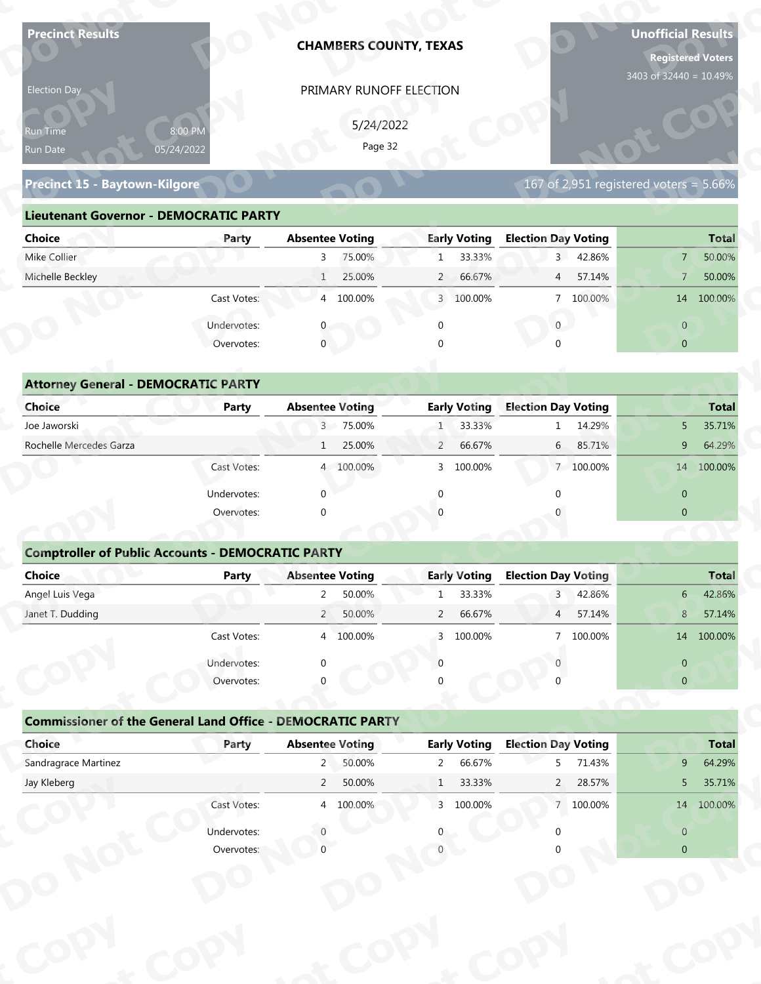| <b>Precinct Results</b>                                           |              |                            |                      | <b>CHAMBERS COUNTY, TEXAS</b>  |                               |                                 |           | <b>Unofficial Results</b><br><b>Registered Voters</b> |                  |
|-------------------------------------------------------------------|--------------|----------------------------|----------------------|--------------------------------|-------------------------------|---------------------------------|-----------|-------------------------------------------------------|------------------|
| Election Day                                                      |              |                            |                      | PRIMARY RUNOFF ELECTION        |                               |                                 |           | 3403 of 32440 = 10.49%                                |                  |
|                                                                   |              |                            |                      |                                |                               |                                 |           |                                                       |                  |
| Run Time                                                          | 8:00 PM      |                            | 5/24/2022<br>Page 32 |                                |                               |                                 |           |                                                       |                  |
| Run Date                                                          | 05/24/2022   |                            |                      |                                |                               |                                 |           |                                                       |                  |
| Precinct 15 - Baytown-Kilgore                                     |              |                            |                      |                                |                               |                                 |           | 167 of 2,951 registered voters = $5.66\%$             |                  |
| <b>Lieutenant Governor - DEMOCRATIC PARTY</b>                     |              |                            |                      |                                |                               |                                 |           |                                                       |                  |
| <b>Choice</b>                                                     | Party        | <b>Absentee Voting</b>     |                      |                                | <b>Early Voting</b>           | <b>Election Day Voting</b>      |           |                                                       | <b>Total</b>     |
| Mike Collier                                                      |              | $\overline{3}$             | 75.00%               | $\mathbf{1}$                   | 33.33%                        | 3 <sup>1</sup>                  | 42.86%    | 7 <sup>1</sup>                                        | 50.00%           |
| Michelle Beckley                                                  |              | $\mathbf{1}$               | 25.00%               | $\overline{2}$                 | 66.67%                        | $\overline{4}$                  | 57.14%    | $\overline{7}$                                        | 50.00%           |
|                                                                   | Cast Votes:  |                            | 4 100.00%            |                                | 3 100.00%                     |                                 | 7 100.00% |                                                       | 14 100.00%       |
|                                                                   | Undervotes:  |                            |                      | $\mathbf 0$                    |                               | $\overline{0}$                  |           | $\overline{0}$                                        |                  |
|                                                                   | Overvotes:   | $\overline{0}$             |                      |                                |                               |                                 |           | $\overline{0}$                                        |                  |
|                                                                   |              |                            |                      |                                |                               |                                 |           |                                                       |                  |
| <b>Attorney General - DEMOCRATIC PARTY</b>                        |              |                            |                      |                                |                               |                                 |           |                                                       |                  |
| <b>Choice</b>                                                     | <b>Party</b> | <b>Absentee Voting</b>     |                      |                                | <b>Early Voting</b>           | <b>Election Day Voting</b>      |           |                                                       | <b>Total</b>     |
| Joe Jaworski                                                      |              |                            | 3 75.00%             | 1                              | 33.33%                        |                                 | 14.29%    | 5 <sup>5</sup>                                        | 35.71%           |
| Rochelle Mercedes Garza                                           |              | $\mathbf{1}$               | 25.00%               | $\overline{2}$                 | 66.67%                        | 6                               | 85.71%    | 9                                                     | 64.29%           |
|                                                                   | Cast Votes:  |                            | 4 100.00%            |                                | 3 100.00%                     |                                 | 7 100.00% |                                                       | 14 100.00%       |
|                                                                   | Undervotes:  | $\Omega$                   |                      | $\mathbf{0}$                   |                               | $\Omega$                        |           | $\overline{0}$                                        |                  |
|                                                                   | Overvotes:   | $\Omega$                   |                      |                                |                               |                                 |           | $\overline{0}$                                        |                  |
|                                                                   |              |                            |                      |                                |                               |                                 |           |                                                       |                  |
| <b>Comptroller of Public Accounts - DEMOCRATIC PARTY</b>          |              |                            |                      |                                |                               |                                 |           |                                                       |                  |
| Choice                                                            | Party        | <b>Absentee Voting</b>     |                      |                                | <b>Early Voting</b>           | <b>Election Day Voting</b>      |           |                                                       | <b>Total</b>     |
| Angel Luis Vega                                                   |              | $2^{\circ}$                | 50.00%               | $\mathbf{1}$                   | 33.33%                        | $\overline{3}$                  | 42.86%    | $6-$                                                  | 42.86%           |
| Janet T. Dudding                                                  |              | $2^{\prime}$               | 50.00%               | $\overline{2}$                 | 66.67%                        | 4                               | 57.14%    | 8                                                     | 57.14%           |
|                                                                   | Cast Votes:  |                            | 4 100.00%            | $\mathbf{3}$                   | 100.00%                       |                                 | 7 100.00% |                                                       | 14 100.00%       |
|                                                                   | Undervotes:  | ∩                          |                      | $\Omega$                       |                               |                                 |           | $\overline{0}$                                        |                  |
|                                                                   | Overvotes:   |                            |                      |                                |                               |                                 |           | $\overline{0}$                                        |                  |
|                                                                   |              |                            |                      |                                |                               |                                 |           |                                                       |                  |
| <b>Commissioner of the General Land Office - DEMOCRATIC PARTY</b> |              |                            |                      |                                |                               |                                 |           |                                                       |                  |
| Choice<br>Sandragrace Martinez                                    | Party        | <b>Absentee Voting</b>     | 50.00%               |                                | <b>Early Voting</b><br>66.67% | <b>Election Day Voting</b><br>5 | 71.43%    | 9                                                     | <b>Total</b>     |
| Jay Kleberg                                                       |              | $2^{\circ}$<br>$2^{\circ}$ | 50.00%               | $\overline{2}$<br>$\mathbf{1}$ | 33.33%                        | $2^{\circ}$                     | 28.57%    | 5                                                     | 64.29%<br>35.71% |
|                                                                   | Cast Votes:  |                            | 4 100.00%            |                                | 3 100.00%                     |                                 | 7 100.00% |                                                       | 14 100.00%       |
|                                                                   |              |                            |                      |                                |                               |                                 |           |                                                       |                  |
|                                                                   | Undervotes:  |                            |                      |                                |                               |                                 |           | $\overline{0}$                                        |                  |
|                                                                   | Overvotes:   |                            |                      |                                |                               |                                 |           | $\overline{0}$                                        |                  |

### **Precinct 15 - Baytown-Kilgore**

### **Lieutenant Governor - DEMOCRATIC PARTY**

| 5/24/2022<br>8:00 PM<br><b>Run Time</b><br>Page 32<br>05/24/2022<br>Run Date                                          |
|-----------------------------------------------------------------------------------------------------------------------|
|                                                                                                                       |
| 167 of 2,951 registered voters = 5.66%<br>Precinct 15 - Baytown-Kilgore                                               |
| <b>Lieutenant Governor - DEMOCRATIC PARTY</b>                                                                         |
| <b>Absentee Voting</b><br><b>Early Voting</b><br><b>Election Day Voting</b><br><b>Choice</b><br><b>Total</b><br>Party |
| Mike Collier<br>75.00%<br>33.33%<br>3 42.86%<br>50.00%<br>3<br>$\mathbf{1}$<br>$\overline{7}$                         |
| Michelle Beckley<br>25.00%<br>2 66.67%<br>4 57.14%<br>50.00%<br>7 <sup>7</sup>                                        |
| 4 100.00%<br>7 100.00%<br>Cast Votes:<br>3 100.00%<br>14 100.00%                                                      |
| Undervotes:<br>$\overline{0}$<br>$\overline{0}$                                                                       |
| $\mathbf 0$<br>Overvotes:<br>$\Omega$<br>$\overline{0}$                                                               |
|                                                                                                                       |
| <b>Attorney General - DEMOCRATIC PARTY</b>                                                                            |
| <b>Early Voting</b><br><b>Election Day Voting</b><br><b>Choice</b><br><b>Absentee Voting</b><br>Party<br><b>Total</b> |
| Joe Jaworski<br>3 75.00%<br>33.33%<br>1 14.29%<br>35.71%<br>5                                                         |
| Rochelle Mercedes Garza<br>25.00%<br>66.67%<br>64.29%<br>$\overline{2}$<br>6 85.71%<br>9<br>1                         |
| 14 100.00%<br>4 100.00%<br>100.00%<br>7 100.00%<br>Cast Votes:<br>3                                                   |

| 8:00 PM<br>Run Time<br>05/24/2022<br>Run Date                     |              |                        |           |                | PRIMARY RUNOFF ELECTION |                            |                                          |                                  |                        |
|-------------------------------------------------------------------|--------------|------------------------|-----------|----------------|-------------------------|----------------------------|------------------------------------------|----------------------------------|------------------------|
|                                                                   |              |                        | 5/24/2022 |                |                         |                            |                                          |                                  |                        |
|                                                                   |              |                        | Page 32   |                |                         |                            |                                          |                                  |                        |
|                                                                   |              |                        |           |                |                         |                            |                                          |                                  |                        |
| Precinct 15 - Baytown-Kilgore                                     |              |                        |           |                |                         |                            | $167$ of 2,951 registered voters = 5.66% |                                  |                        |
| <b>Lieutenant Governor - DEMOCRATIC PARTY</b>                     |              |                        |           |                |                         |                            |                                          |                                  |                        |
| <b>Choice</b>                                                     | Party        | <b>Absentee Voting</b> |           |                | <b>Early Voting</b>     | <b>Election Day Voting</b> |                                          |                                  | <b>Total</b>           |
| Mike Collier                                                      |              | 3 <sup>7</sup>         | 75.00%    | $\mathbf{1}$   | 33.33%                  |                            | 3 42.86%                                 | 7 <sup>1</sup>                   | 50.00%                 |
| Michelle Beckley                                                  |              | 1                      | 25.00%    | $\overline{2}$ | 66.67%                  | $4\overline{ }$            | 57.14%                                   | $\overline{7}$                   | 50.00%                 |
|                                                                   | Cast Votes:  |                        | 4 100.00% |                | 3 100.00%               |                            | 7 100.00%                                |                                  | 14 100.00%             |
|                                                                   | Undervotes:  |                        |           | $\mathbf 0$    |                         | $\mathbf{0}$               |                                          | $\overline{0}$                   |                        |
|                                                                   | Overvotes:   | $\mathbf{0}$           |           |                |                         |                            |                                          | $\overline{0}$                   |                        |
|                                                                   |              |                        |           |                |                         |                            |                                          |                                  |                        |
| <b>Attorney General - DEMOCRATIC PARTY</b>                        |              |                        |           |                |                         |                            |                                          |                                  |                        |
| Choice                                                            | Party        | <b>Absentee Voting</b> |           |                | <b>Early Voting</b>     | <b>Election Day Voting</b> |                                          |                                  | <b>Total</b>           |
| Joe Jaworski                                                      |              |                        | 3 75.00%  | 1 <sup>1</sup> | 33.33%                  |                            | 1 14.29%                                 | 5                                | 35.71%                 |
| Rochelle Mercedes Garza                                           |              | 1                      | 25.00%    | $\overline{2}$ | 66.67%                  | 6                          | 85.71%                                   | 9                                | 64.29%                 |
|                                                                   | Cast Votes:  |                        | 4 100.00% | 3              | 100.00%                 |                            | 7 100.00%                                |                                  | 14 100.00%             |
|                                                                   | Undervotes:  | $\Omega$               |           |                |                         |                            |                                          | $\overline{0}$                   |                        |
|                                                                   | Overvotes:   | $\Omega$               |           |                |                         |                            |                                          | $\overline{0}$                   |                        |
|                                                                   |              |                        |           |                |                         |                            |                                          |                                  |                        |
| <b>Comptroller of Public Accounts - DEMOCRATIC PARTY</b>          |              |                        |           |                |                         |                            |                                          |                                  |                        |
| <b>Choice</b>                                                     | <b>Party</b> | <b>Absentee Voting</b> |           |                | <b>Early Voting</b>     | <b>Election Day Voting</b> |                                          |                                  | <b>Total</b>           |
| Angel Luis Vega                                                   |              | $\overline{2}$         | 50.00%    | $\mathbf{1}$   | 33.33%                  | $\overline{3}$             | 42.86%                                   | 6                                | 42.86%                 |
| Janet T. Dudding                                                  |              | $\overline{2}$         | 50.00%    | $\overline{2}$ | 66.67%                  | 4                          | 57.14%                                   | 8                                | 57.14%                 |
|                                                                   | Cast Votes:  |                        | 4 100.00% |                | 3 100.00%               |                            | 7 100.00%                                |                                  | 14 100,00%             |
|                                                                   | Undervotes:  |                        |           |                |                         |                            |                                          |                                  |                        |
|                                                                   |              |                        |           |                |                         |                            |                                          |                                  |                        |
|                                                                   | Overvotes:   |                        |           |                |                         |                            |                                          | $\overline{0}$<br>$\overline{0}$ |                        |
|                                                                   |              |                        |           |                |                         |                            |                                          |                                  |                        |
| <b>Commissioner of the General Land Office - DEMOCRATIC PARTY</b> |              |                        |           |                |                         |                            |                                          |                                  |                        |
| Choice                                                            | Party        | <b>Absentee Voting</b> |           |                | <b>Early Voting</b>     | <b>Election Day Voting</b> |                                          |                                  |                        |
| Sandragrace Martinez                                              |              |                        | 2 50.00%  |                | 2 66.67%                | 5 <sub>5</sub>             | 71.43%                                   | 9 <sub>o</sub>                   | <b>Total</b><br>64.29% |
| Jay Kleberg                                                       |              | $2^{\circ}$            | 50.00%    | 1              | 33.33%                  |                            | 2 28.57%                                 | 5 <sub>1</sub>                   | 35.71%                 |
|                                                                   | Cast Votes:  |                        | 4 100.00% |                | 3 100.00%               |                            | 7 100.00%                                |                                  | 14 100.00%             |
|                                                                   | Undervotes:  |                        |           |                |                         |                            |                                          | $\overline{0}$                   |                        |

### **Comptroller of Public Accounts - DEMOCRATIC PARTY**

| Choice                                                            | Party       | <b>Absentee Voting</b> |           |                | <b>Early Voting</b> | <b>Election Day Voting</b> |           |                | <b>Total</b> |
|-------------------------------------------------------------------|-------------|------------------------|-----------|----------------|---------------------|----------------------------|-----------|----------------|--------------|
| Joe Jaworski                                                      |             |                        | 3 75.00%  | 1              | 33.33%              |                            | 1 14.29%  | 5 <sup>7</sup> | 35.71%       |
| Rochelle Mercedes Garza                                           |             | 1                      | 25.00%    | $\overline{2}$ | 66.67%              | $6\overline{6}$            | 85.71%    | 9              | 64.29%       |
|                                                                   | Cast Votes: |                        | 4 100.00% |                | 3 100.00%           |                            | 7 100.00% |                | 14 100.00%   |
|                                                                   | Undervotes: | ∩                      |           | ∩              |                     | $\Omega$                   |           | $\mathbf{0}$   |              |
|                                                                   | Overvotes:  | $\Omega$               |           |                |                     |                            |           | $\overline{0}$ |              |
| <b>Comptroller of Public Accounts - DEMOCRATIC PARTY</b>          |             |                        |           |                |                     |                            |           |                |              |
| <b>Choice</b>                                                     | Party       | <b>Absentee Voting</b> |           |                | <b>Early Voting</b> | <b>Election Day Voting</b> |           |                | <b>Total</b> |
| Angel Luis Vega                                                   |             | $\overline{2}$         | 50.00%    | $\mathbf{1}$   | 33.33%              | $3 -$                      | 42.86%    | 6 <sup>1</sup> | 42.86%       |
| Janet T. Dudding                                                  |             | $2^{\circ}$            | 50.00%    | $2^{\circ}$    | 66.67%              | 4                          | 57.14%    | 8              | 57.14%       |
|                                                                   | Cast Votes: |                        | 4 100.00% |                | 3 100.00%           |                            | 7 100.00% |                | 14 100.00%   |
|                                                                   |             |                        |           |                |                     |                            |           |                |              |
|                                                                   | Undervotes: |                        |           | U              |                     |                            |           | $\overline{0}$ |              |
|                                                                   | Overvotes:  |                        |           |                |                     |                            |           | $\mathbf 0$    |              |
| <b>Commissioner of the General Land Office - DEMOCRATIC PARTY</b> |             |                        |           |                |                     |                            |           |                |              |
| Choice                                                            | Party       | <b>Absentee Voting</b> |           |                | <b>Early Voting</b> | <b>Election Day Voting</b> |           |                | <b>Total</b> |
| Sandragrace Martinez                                              |             | $2^{\sim}$             | 50.00%    | $\overline{2}$ | 66.67%              | 5                          | 71.43%    | 9              | 64.29%       |
| Jay Kleberg                                                       |             | $\overline{2}$         | 50.00%    | 1              | 33.33%              | $2^{\circ}$                | 28.57%    | 5 <sub>1</sub> | 35.71%       |
|                                                                   | Cast Votes: |                        | 4 100.00% |                | 3 100.00%           |                            | 7 100.00% |                | 14 100.00%   |
|                                                                   | Undervotes: |                        |           |                |                     |                            |           | $\overline{0}$ |              |

|                                                                   | Cast votes. | $^{+}$                 | TOO'OO SO | $\mathcal{P}$  | TOO'OO SO           |                            | TOO'OO NO |                | 14 100.0070  |
|-------------------------------------------------------------------|-------------|------------------------|-----------|----------------|---------------------|----------------------------|-----------|----------------|--------------|
|                                                                   | Undervotes: | $\Omega$               |           | 0              |                     |                            |           | $\Omega$       |              |
|                                                                   | Overvotes:  | $\Omega$               |           | 0              |                     |                            |           | $\overline{0}$ |              |
|                                                                   |             |                        |           |                |                     |                            |           |                |              |
| <b>Commissioner of the General Land Office - DEMOCRATIC PARTY</b> |             |                        |           |                |                     |                            |           |                |              |
| Choice                                                            | Party       | <b>Absentee Voting</b> |           |                | <b>Early Voting</b> | <b>Election Day Voting</b> |           |                | <b>Total</b> |
| Sandragrace Martinez                                              |             | 2                      | 50.00%    | $2^{\circ}$    | 66.67%              | 5                          | 71.43%    | 9              | 64.29%       |
| Jay Kleberg                                                       |             | 2                      | 50.00%    | $\mathbf{1}$   | 33.33%              | 2                          | 28.57%    | 5              | 35.71%       |
|                                                                   | Cast Votes: |                        | 4 100.00% | $\overline{3}$ | 100.00%             | $7^{\circ}$                | 100.00%   | 14             | 100.00%      |
|                                                                   | Undervotes: |                        |           | 0              |                     |                            |           | $\overline{0}$ |              |
|                                                                   | Overvotes:  |                        |           |                |                     |                            |           | $\overline{0}$ |              |
|                                                                   |             |                        |           |                |                     |                            |           |                |              |
|                                                                   |             |                        |           |                |                     |                            |           |                |              |
|                                                                   |             |                        |           |                |                     |                            |           |                |              |
|                                                                   |             |                        |           |                |                     |                            |           |                |              |
|                                                                   |             |                        |           |                |                     |                            |           |                |              |
|                                                                   |             |                        |           |                |                     |                            |           |                |              |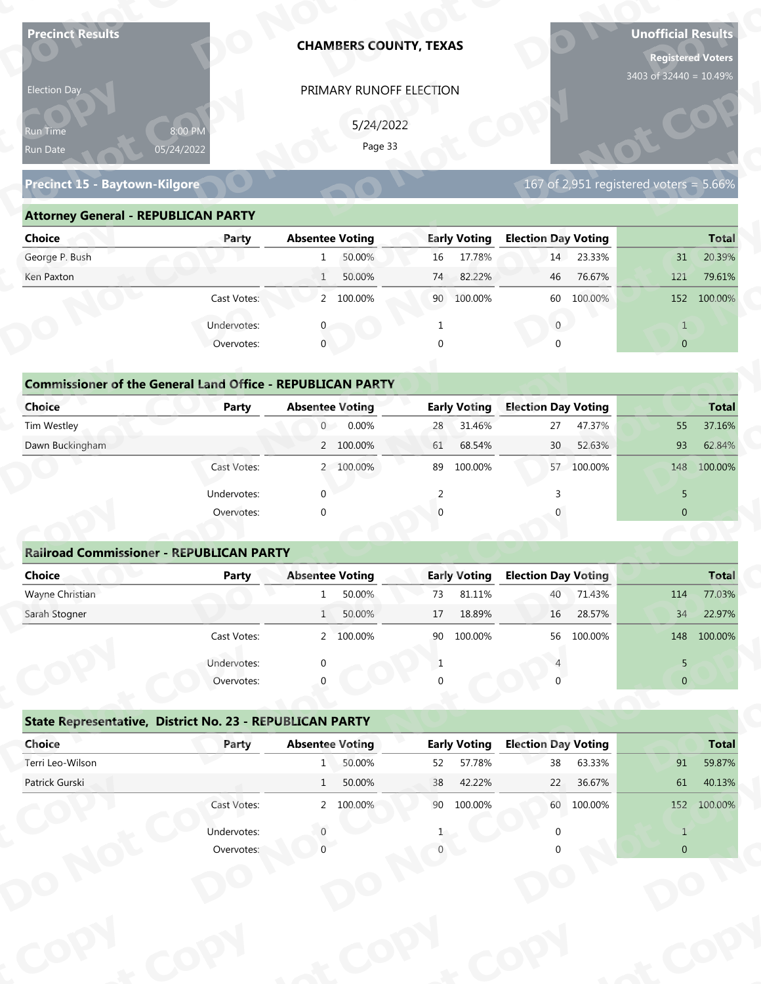| <b>Precinct Results</b>                                           |              |                        | <b>CHAMBERS COUNTY, TEXAS</b> |          |                     |                            |            | <b>Unofficial Results</b><br><b>Registered Voters</b> |              |
|-------------------------------------------------------------------|--------------|------------------------|-------------------------------|----------|---------------------|----------------------------|------------|-------------------------------------------------------|--------------|
| Election Day                                                      |              |                        | PRIMARY RUNOFF ELECTION       |          |                     |                            |            | 3403 of 32440 = 10.49%                                |              |
|                                                                   |              |                        |                               |          |                     |                            |            |                                                       |              |
| 8:00 PM<br>Run Time                                               |              |                        | 5/24/2022                     |          |                     |                            |            |                                                       |              |
| 05/24/2022<br>Run Date                                            |              |                        | Page 33                       |          |                     |                            |            |                                                       |              |
| Precinct 15 - Baytown-Kilgore                                     |              |                        |                               |          |                     |                            |            | 167 of 2,951 registered voters = $5.66\%$             |              |
| <b>Attorney General - REPUBLICAN PARTY</b>                        |              |                        |                               |          |                     |                            |            |                                                       |              |
| <b>Choice</b>                                                     | Party        | <b>Absentee Voting</b> |                               |          | <b>Early Voting</b> | <b>Election Day Voting</b> |            |                                                       | <b>Total</b> |
| George P. Bush                                                    |              | 1                      | 50.00%                        | 16       | 17.78%              | 14                         | 23.33%     | 31                                                    | 20.39%       |
| Ken Paxton                                                        |              | $\mathbf{1}$           | 50.00%                        | 74       | 82.22%              | 46                         | 76.67%     | 121                                                   | 79.61%       |
|                                                                   | Cast Votes:  |                        | 2 100.00%                     | 90       | 100.00%             | 60                         | 100.00%    |                                                       | 152 100.00%  |
|                                                                   | Undervotes:  |                        |                               |          |                     | $\overline{0}$             |            | $\mathbf{1}$                                          |              |
|                                                                   | Overvotes:   | $\mathbf{0}$           |                               | $\Omega$ |                     |                            |            | $\overline{0}$                                        |              |
|                                                                   |              |                        |                               |          |                     |                            |            |                                                       |              |
| <b>Commissioner of the General Land Office - REPUBLICAN PARTY</b> |              |                        |                               |          |                     |                            |            |                                                       |              |
| <b>Choice</b>                                                     | <b>Party</b> | <b>Absentee Voting</b> |                               |          | <b>Early Voting</b> | <b>Election Day Voting</b> |            |                                                       | <b>Total</b> |
| Tim Westley                                                       |              | $\overline{0}$         | 0.00%                         | 28       | 31.46%              | 27                         | 47.37%     | 55                                                    | 37.16%       |
| Dawn Buckingham                                                   |              |                        | 2 100.00%                     | 61       | 68.54%              | 30                         | 52.63%     | 93                                                    | 62.84%       |
|                                                                   | Cast Votes:  |                        | 2 100.00%                     |          | 89 100.00%          |                            | 57 100.00% | 148                                                   | 100.00%      |
|                                                                   | Undervotes:  | $\Omega$               |                               | 2        |                     | 3                          |            | 5                                                     |              |
|                                                                   | Overvotes:   | $\Omega$               |                               |          |                     |                            |            | $\overline{0}$                                        |              |
|                                                                   |              |                        |                               |          |                     |                            |            |                                                       |              |
| <b>Railroad Commissioner - REPUBLICAN PARTY</b>                   |              |                        |                               |          |                     |                            |            |                                                       |              |
| <b>Choice</b>                                                     | <b>Party</b> | <b>Absentee Voting</b> |                               |          | <b>Early Voting</b> | <b>Election Day Voting</b> |            |                                                       | <b>Total</b> |
| Wayne Christian                                                   |              | 1                      | 50.00%                        | 73       | 81.11%              | 40                         | 71.43%     | 114                                                   | 77.03%       |
| Sarah Stogner                                                     |              | 1                      | 50.00%                        | 17       | 18.89%              | 16                         | 28.57%     | 34                                                    | 22.97%       |
|                                                                   | Cast Votes:  |                        | 2 100.00%                     | 90       | 100.00%             | 56                         | 100.00%    |                                                       | 148 100.00%  |
|                                                                   | Undervotes:  |                        |                               | 1        |                     |                            |            | 5                                                     |              |
|                                                                   | Overvotes:   |                        |                               |          |                     |                            |            | $\overline{0}$                                        |              |
| State Representative, District No. 23 - REPUBLICAN PARTY          |              |                        |                               |          |                     |                            |            |                                                       |              |
| Choice                                                            | Party        | <b>Absentee Voting</b> |                               |          | <b>Early Voting</b> | <b>Election Day Voting</b> |            |                                                       | <b>Total</b> |
| Terri Leo-Wilson                                                  |              |                        | 1 50.00%                      | 52       | 57.78%              | 38                         | 63.33%     | 91                                                    | 59.87%       |
| Patrick Gurski                                                    |              | 1                      | 50.00%                        | 38       | 42.22%              | 22                         | 36.67%     | 61                                                    | 40.13%       |
|                                                                   | Cast Votes:  |                        | 2 100.00%                     |          | 90 100.00%          |                            | 60 100.00% |                                                       | 152 100.00%  |
|                                                                   | Undervotes:  |                        |                               |          |                     |                            |            | $\mathbf{1}$                                          |              |
|                                                                   |              |                        |                               |          |                     |                            |            | $\Omega$                                              |              |
|                                                                   | Overvotes:   |                        |                               |          |                     |                            |            |                                                       |              |
|                                                                   |              |                        |                               |          |                     |                            |            |                                                       |              |

### **Precinct 15 - Baytown-Kilgore**

### **Attorney General - REPUBLICAN PARTY**

| Election Day                               |                                                                            | PRIMARY RUNOFF ELECTION                          |                     |                                           |                |
|--------------------------------------------|----------------------------------------------------------------------------|--------------------------------------------------|---------------------|-------------------------------------------|----------------|
| Run Time<br>Run Date                       | 8:00 PM<br>05/24/2022                                                      | 5/24/2022<br>Page 33                             |                     |                                           |                |
| <b>Precinct 15 - Baytown-Kilgore</b>       |                                                                            |                                                  |                     | 167 of 2,951 registered voters = $5.66\%$ |                |
| <b>Attorney General - REPUBLICAN PARTY</b> |                                                                            |                                                  |                     |                                           |                |
| <b>Choice</b>                              | Party                                                                      | <b>Absentee Voting</b>                           | <b>Early Voting</b> | <b>Election Day Voting</b>                | <b>Total</b>   |
| George P. Bush                             |                                                                            | 50.00%<br>1                                      | 17.78%<br>16        | 14 23.33%                                 | 20.39%<br>31   |
| Ken Paxton                                 |                                                                            | 50.00%<br>1                                      | 82.22%<br>74        | 76.67%<br>46                              | 121<br>79.61%  |
|                                            | Cast Votes:                                                                | 2 100.00%                                        | 90 100.00%          | 60 100.00%                                | 152 100.00%    |
|                                            | Undervotes:                                                                |                                                  |                     | $\overline{0}$                            | $\mathbf{1}$   |
|                                            | Overvotes:                                                                 | $\Omega$                                         |                     |                                           | $\overline{0}$ |
| Choice                                     | <b>Commissioner of the General Land Office - REPUBLICAN PARTY</b><br>Party | <b>Absentee Voting</b>                           | <b>Early Voting</b> | <b>Election Day Voting</b>                | <b>Total</b>   |
| Tim Westley                                |                                                                            | $\overline{0}$<br>0.00%                          | 31.46%<br>28        | 47.37%<br>27                              | 37.16%<br>55   |
| Dawn Buckingham                            |                                                                            | 2 100.00%                                        | 68.54%<br>61        | 52.63%<br>30 <sup>°</sup>                 | 93<br>62.84%   |
|                                            | Cast Votes:                                                                | 2 100.00%                                        | 100.00%<br>89       | 57 100.00%                                | 148<br>100.00% |
|                                            | Undervotes:                                                                | $\Omega$                                         | 2                   |                                           | 5              |
|                                            | Overvotes:                                                                 |                                                  |                     |                                           | $\overline{0}$ |
|                                            |                                                                            |                                                  |                     |                                           |                |
|                                            | <b>Railroad Commissioner - REPUBLICAN PARTY</b>                            |                                                  |                     |                                           |                |
| <b>Choice</b>                              | <b>Party</b>                                                               | <b>Absentee Voting</b>                           | <b>Early Voting</b> | <b>Election Day Voting</b>                | <b>Total</b>   |
| Wayne Christian                            |                                                                            | 50.00%                                           | 81.11%<br>73        | 71.43%<br>40                              | 77.03%<br>114  |
| Carole Champsu                             |                                                                            | $\Gamma$ $\cap$ $\cap$ $\Omega'$<br>$\mathbf{1}$ | 17.10000            | 1000770                                   | 2207<br>21     |

### **Commissioner of the General Land Office - REPUBLICAN PARTY**<br> **Party Absentee Voting Choice Party Absentee Voting Early Voting Election Day Voting Total p CCommissioner of the General Land Office**<br> **Choice**<br> **Party**<br> **Tim Westley y ICAN PARTY**<br>tee Voting<br>0 0.00% **Elec <sup>o</sup> Early Voting Absentee Voting**

| Choice          | Party       | <b>Absentee Voting</b>     |    | <b>Early Voting</b> | <b>Election Day Voting</b> |            |     | <b>Total</b> |
|-----------------|-------------|----------------------------|----|---------------------|----------------------------|------------|-----|--------------|
| Tim Westley     |             | $0.00\%$<br>$\overline{0}$ | 28 | 31.46%              | 27                         | 47.37%     | 55  | 37.16%       |
| Dawn Buckingham |             | 2 100.00%                  | 61 | 68.54%              | 30 <sup>2</sup>            | 52.63%     | 93  | 62.84%       |
|                 | Cast Votes: | 2 100.00%                  | 89 | 100.00%             |                            | 57 100.00% | 148 | 100.00%      |
|                 | Undervotes: |                            |    |                     |                            |            |     |              |
|                 | Overvotes:  | 0                          |    |                     |                            |            | 0   |              |

### **Railroad Commissioner - REPUBLICAN PARTY Choice Party Absentee Voting Early Voting Election Day Voting Total** Wayne Christian 114 77.03% 1 50.00% 73 81.11% 40 71.43% 114 77.03% Sarah Stogner 1 50.00% 17 18.89% 16 28.57% 34 22.97% Cast Votes: 2 100.00% 90 100.00% 56 100.00% 148 100.00% Undervotes: 0 0 1 4 5 5 5 6 7 7 8 7 7 8 7 7 8 7 7 8 7 7 8 7 7 8 7 7 8 7 7 8 7 7 8 7 7 8 7 7 8 7 7 8 7 7 8 7 7 8 7 7 8 7 7 8 7 7 8 7 7 8 7 7 8 7 7 8 7 7 8 7 7 8 7 7 8 7 7 8 7 7 8 7 7 8 7 7 8 7 7 8 7 7 8 7 7 8 7 7 8 7 8 7 8 Overvotes: 0 0 0 0 **Example 20**<br> **Railroad Commissioner - REPUBLICAN P<br>
Choice Party t C** Under<br>Over **Railroad Com**<br> **Choice**<br> **Wayne Christian**<br> **Sarab Stegner oEarly Voting**  $\frac{1}{2}$  **<sup>p</sup>**  $\frac{4}{2}$ **d**<br>Absentee  $\begin{bmatrix} 1 & 50.00\% \\ 1 & 50.00\% \end{bmatrix}$ **120 00%<br>120 00%<br>120 00%<br>120 00%**  $\frac{1}{\sqrt{2}}$ **op** PRIMARY RUNOFF ELECTIO<br>
5/24/2022<br>
Page 33<br> **Absentee Voting Early<br>
1 50.00% 16<br>
1 50.00% 16<br>
2 100.00% 74<br>
2 100.00% 9 0<br>
2 100.00% 8 28<br>
2 100.00% 6 1<br>
<br>
<b>Absentee Voting Early**<br>
0 0.00% 8 28<br>
2 100.00% 6 1<br>
<br>
<br> **Absente**  $\begin{pmatrix} 90 \\ 1 \\ 0 \end{pmatrix}$ **<u>Voting</u>**  $\begin{array}{c} \hline 4 \\ 1 \end{array}$ **tC** $\frac{34}{11}$ **Railroad Commiss<br>
Choice**<br>
Wayne Christian<br>
Sarah Stogner **Choice**<br>
Wayne Christian<br>
Sarah Stogner Overvotes<br> **Railroad Commissioner - REPUBLICAN P<br>
Choice Party**<br>
Sarah Stogner<br>
Cast Votes<br>
Undervotes<br>
Overvotes<br>
State Representative, District No. 23 - F<br>
Choice Party<br>
Terri Leo-Wilson<br>
Patrick Gurski<br>
Cast Votes<br>
Unde mmissior<br>**ot** Precinct 15 - Baytown-Kilgore<br> **Attorney General - REPUBLICAN PARTY**<br>
Choice<br>
George P. Bush<br>
Ken Paxton<br>
Cast Votes<br>
Undervotes<br>
Orenvotes<br>
Orenvotes<br>
Commissioner of the General Land Office<br>
Tim Westley<br>
Dawn Buckingham<br> **ch**<br>
Tim<br>
Dat<br>
Dat<br>
Ma<br>
San<br>
San<br>
Dat<br>
Dat<br>
Ter<br>
Pat **DCommissioner of the C**<br>Choice<br>Dawn Buckingham<br>**Railroad Commissione**<br>Choice<br>Mayne Christian<br>Sarah Stogner<br>**State Representative,**<br>Choice<br>Choice<br>Terri Leo-Wilson **State Representat dervotes** <sup>0</sup><br> **Copolitical Example 1**<br> **Copolitical Copolition Commissioner of the General Land Office<br>
Tim Westley<br>
Dawn Buckingham<br>
Davan Buckingham<br>
Cast Votes<br>
Undervotes<br>
Overvotes<br>
Railroad Commissioner - REPUBLICAN P<br>
Choice<br>
Wayne Christian<br>
Sarah Stogner<br>
Cast Votes<br>
Undervo N pyot PRIMARY RUNOFF ELECTION**<br>  $5/24/2022$ <br>  $Fage 33$ <br> **Absentee Voting**<br> **1** 50.00%<br> **1** 50.00%<br> **1** 50.00%<br> **1** 50.00%<br> **1** 50.00%<br> **1** 9 0 100.00%<br> **1** 9 0 100.00%<br> **1** 9 0 100.00%<br> **1** 9 0 100.00%<br> **1** 9 0 100.00%<br> **1** 9 0 46 76.67%<br>
60 100.00%<br>
0<br>
0<br> **n Day Voting**<br>
27 47.37%<br>
30 52.63%<br>
57 100.00%<br>
3<br>
0<br> **n Day Voting**<br>
40 71.43%<br>
46 28.57%<br>
56 100.00%<br>
4<br>
0<br> **n Day Voting**<br>
40 71.43%<br>
40 71.43%<br>
56 100.00%<br>
4<br>
8 63.33%<br>
22 36.67%<br>
60 100. **rotal**<br>
55 37.16%<br>
93 62.84%<br>
148 100.00%<br>
5<br>
0<br> **Total<br>
114** 77.03%<br>
34 22.97%<br>
148 100.00%<br>
5<br>
0<br> **Total**<br>
14 100.00%<br>
5<br>
148 100.00%<br>
5<br>
0<br>
148 100.00%<br>
5<br>
0<br>
148 100.00%<br>
5<br>
0<br>
148 100.00%<br>
5<br>
0<br>
148 100.00%<br>
5<br>
0<br>
14 **Example 18 AN PARTY**<br> **py Voting 28 31.46%**<br> **py Voting 18 46%**<br> **py Voting 48 31.46%**<br> **py Voting 40 30 57 10<br>
<b>py Voting 18 40 550.00%**<br> **py Voting 18 40 550.00%**<br> **py Voting 18 40 56.00%**<br> **py Voting 18 40 56.00%**<br> **py** 40 71.43%<br>16 28.57% 16 **ot pyorotal**<br> $\frac{1}{4}$ <br> $\frac{77.03\%}{22.97\%}$ **pyNTotal**<br>77.03% 22.97% 167 of 2,951 registered voters = 5.66%<br> **lection Day Voting**<br>
14 23.33%<br>
46 76.67%<br>
121 79.61%<br>
60 100.00%<br>
152 100.00%<br>
0<br>
1<br>
10<br>
10<br> **lection Day Voting**<br>
7 100.00%<br>
3<br>
57 100.00%<br>
148 100.00%<br>
3<br>
16 28.57%<br>
56 100.00%<br>  $\begin{bmatrix} 5 \\ 0 \end{bmatrix}$ **ot o o p**<br>**p**<br>**p**<br>**p**<br>**p**<br>**p** 1<br>
0<br>
0<br> **Do Do**<br> **PERENT CONTENT OF TOTAL**<br>
38 63.33%<br>
91 59.87%

| Cast votes. |              | 2, 100.0076 | ັບ                                                                                              | TOO'OO XQ | 30                  | LUU.UU 70 |                            | 140 100.00%  |
|-------------|--------------|-------------|-------------------------------------------------------------------------------------------------|-----------|---------------------|-----------|----------------------------|--------------|
| Undervotes: | $\Omega$     |             |                                                                                                 |           |                     |           | 5.                         |              |
| Overvotes:  | $\Omega$     |             | 0                                                                                               |           |                     |           | $\overline{0}$             |              |
|             |              |             |                                                                                                 |           |                     |           |                            |              |
| Party       |              |             |                                                                                                 |           |                     |           |                            | <b>Total</b> |
|             | 1            | 50.00%      | 52                                                                                              | 57.78%    | 38                  | 63.33%    | 91                         | 59.87%       |
|             | $\mathbf{1}$ | 50.00%      | 38                                                                                              | 42.22%    | 22                  | 36.67%    | 61                         | 40.13%       |
| Cast Votes: |              |             | 90                                                                                              | 100.00%   | 60                  | 100.00%   | 152                        | 100.00%      |
| Undervotes: |              |             |                                                                                                 |           |                     |           |                            |              |
| Overvotes:  |              |             |                                                                                                 |           |                     |           | $\overline{0}$             |              |
|             |              |             |                                                                                                 |           |                     |           |                            |              |
|             |              |             |                                                                                                 |           |                     |           |                            |              |
|             |              |             |                                                                                                 |           |                     |           |                            |              |
|             |              |             |                                                                                                 |           |                     |           |                            |              |
|             |              |             |                                                                                                 |           |                     |           |                            |              |
|             |              |             | State Representative, District No. 23 - REPUBLICAN PARTY<br><b>Absentee Voting</b><br>2 100.00% |           | <b>Early Voting</b> |           | <b>Election Day Voting</b> |              |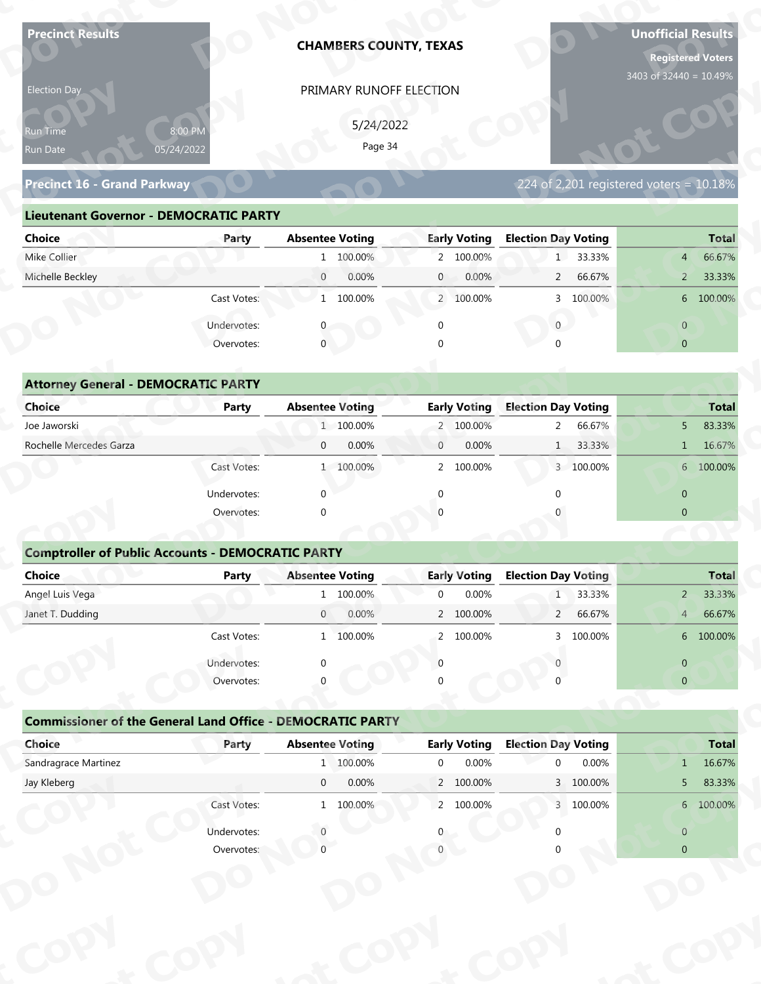| <b>Precinct Results</b>                                           |                       | <b>CHAMBERS COUNTY, TEXAS</b> |                         |                                         | <b>Unofficial Results</b><br><b>Registered Voters</b> |
|-------------------------------------------------------------------|-----------------------|-------------------------------|-------------------------|-----------------------------------------|-------------------------------------------------------|
| Election Day                                                      |                       | PRIMARY RUNOFF ELECTION       |                         |                                         | 3403 of 32440 = 10.49%                                |
|                                                                   |                       |                               |                         |                                         |                                                       |
| Run Time<br>Run Date                                              | 8:00 PM<br>05/24/2022 | 5/24/2022<br>Page 34          |                         |                                         |                                                       |
|                                                                   |                       |                               |                         |                                         |                                                       |
| Precinct 16 - Grand Parkway                                       |                       |                               |                         | 224 of 2,201 registered voters = 10.18% |                                                       |
| <b>Lieutenant Governor - DEMOCRATIC PARTY</b>                     |                       |                               |                         |                                         |                                                       |
| <b>Choice</b>                                                     | Party                 | <b>Absentee Voting</b>        | <b>Early Voting</b>     | <b>Election Day Voting</b>              | <b>Total</b>                                          |
| Mike Collier                                                      |                       | 1 100.00%                     | 2 100.00%               | 1 33.33%                                | 66.67%<br>4                                           |
| Michelle Beckley                                                  |                       | 0.00%<br>$\overline{0}$       | $\mathbf{0}$<br>0.00%   | 66.67%<br>$\overline{2}$                | 33.33%<br>$\overline{2}$                              |
|                                                                   | Cast Votes:           | 1 100.00%                     | 2 100.00%               | 3 100.00%                               | 6 100.00%                                             |
|                                                                   | Undervotes:           |                               | $\mathbf 0$             | $\overline{0}$                          | $\overline{0}$                                        |
|                                                                   | Overvotes:            | $\overline{0}$                |                         |                                         | $\overline{0}$                                        |
|                                                                   |                       |                               |                         |                                         |                                                       |
| <b>Attorney General - DEMOCRATIC PARTY</b>                        |                       |                               |                         |                                         |                                                       |
| <b>Choice</b>                                                     | <b>Party</b>          | <b>Absentee Voting</b>        | <b>Early Voting</b>     | <b>Election Day Voting</b>              | <b>Total</b>                                          |
| Joe Jaworski                                                      |                       | 1 100.00%                     | 2 100.00%               | 66.67%<br>$\mathbf{2}$                  | 83.33%<br>5 <sup>5</sup>                              |
| Rochelle Mercedes Garza                                           |                       | 0.00%<br>$\mathbf{0}$         | 0.00%<br>$\mathbf{0}$   | 33.33%<br>1                             | 16.67%<br>$\mathbf{1}$                                |
|                                                                   | Cast Votes:           | 1 100.00%                     | 2 100.00%               | 3 100.00%                               | 6 100.00%                                             |
|                                                                   | Undervotes:           | $\Omega$                      | $\mathbf{0}$            | $\Omega$                                | $\overline{0}$                                        |
|                                                                   | Overvotes:            | $\Omega$                      |                         |                                         | $\overline{0}$                                        |
|                                                                   |                       |                               |                         |                                         |                                                       |
| <b>Comptroller of Public Accounts - DEMOCRATIC PARTY</b>          |                       |                               |                         |                                         |                                                       |
| Choice                                                            | Party                 | <b>Absentee Voting</b>        | <b>Early Voting</b>     | <b>Election Day Voting</b>              | <b>Total</b>                                          |
| Angel Luis Vega<br>Janet T. Dudding                               |                       | 1 100.00%<br>$\overline{0}$   | 0.00%<br>$\mathbf 0$    | 33.33%<br>1                             | $2 -$<br>33.33%                                       |
|                                                                   | Cast Votes:           | 0.00%                         | 2 100.00%<br>2 100.00%  | 66.67%<br>$2^{\circ}$<br>3 100.00%      | 66.67%<br>4<br>6 100.00%                              |
|                                                                   |                       | 1 100.00%                     |                         |                                         |                                                       |
|                                                                   | Undervotes:           | $\Omega$                      | $\Omega$                |                                         | $\overline{0}$                                        |
|                                                                   | Overvotes:            |                               |                         |                                         | $\overline{0}$                                        |
| <b>Commissioner of the General Land Office - DEMOCRATIC PARTY</b> |                       |                               |                         |                                         |                                                       |
| Choice                                                            | Party                 | <b>Absentee Voting</b>        | <b>Early Voting</b>     | <b>Election Day Voting</b>              | <b>Total</b>                                          |
|                                                                   |                       | 1 100.00%                     | 0.00%<br>$\overline{0}$ | 0.00%<br>$\Omega$                       | 16.67%<br>1                                           |
| Sandragrace Martinez                                              |                       |                               | 2 100.00%               | 3 100.00%                               | 83.33%<br>5 <sub>1</sub>                              |
| Jay Kleberg                                                       |                       | $\overline{0}$<br>0.00%       |                         |                                         |                                                       |
|                                                                   | Cast Votes:           | 1 100.00%                     | 2 100.00%               | 3 100.00%                               | 6 100.00%                                             |
|                                                                   | Undervotes:           |                               |                         |                                         | $\overline{0}$                                        |

| 5/24/2022<br>8:00 PM<br><b>Run Time</b><br>Page 34<br>05/24/2022<br>Run Date<br>224 of 2,201 registered voters = $10.18\%$<br><b>Precinct 16 - Grand Parkway</b><br><b>Lieutenant Governor - DEMOCRATIC PARTY</b> |
|-------------------------------------------------------------------------------------------------------------------------------------------------------------------------------------------------------------------|
|                                                                                                                                                                                                                   |
|                                                                                                                                                                                                                   |
|                                                                                                                                                                                                                   |
| <b>Absentee Voting</b><br><b>Early Voting</b><br><b>Election Day Voting</b><br>Choice<br><b>Total</b><br>Party                                                                                                    |
| 1 33.33%<br>Mike Collier<br>1 100.00%<br>2 100.00%<br>66.67%<br>$4 \overline{ }$                                                                                                                                  |
| Michelle Beckley<br>0.00%<br>0.00%<br>2 66.67%<br>33.33%<br>$\overline{0}$<br>2 <sup>7</sup><br>$\mathbf{0}$                                                                                                      |
| 1 100.00%<br>3 100.00%<br>6 100.00%<br>Cast Votes:<br>2 100.00%                                                                                                                                                   |
| Undervotes:<br>$\overline{0}$<br>$\overline{0}$                                                                                                                                                                   |
| $\mathbf 0$<br>Overvotes:<br>$\Omega$<br>$\overline{0}$                                                                                                                                                           |
|                                                                                                                                                                                                                   |
| <b>Attorney General - DEMOCRATIC PARTY</b>                                                                                                                                                                        |
| <b>Early Voting</b><br><b>Choice</b><br><b>Absentee Voting</b><br><b>Election Day Voting</b><br><b>Party</b><br><b>Total</b>                                                                                      |
| Joe Jaworski<br>1 100.00%<br>2 100.00%<br>2 66.67%<br>83.33%<br>5                                                                                                                                                 |
| Rochelle Mercedes Garza<br>0.00%<br>$\mathbf{0}$<br>0.00%<br>1 33.33%<br>16.67%<br>$\overline{0}$<br>1                                                                                                            |
| 6 100.00%<br>1 100.00%<br>$\overline{2}$<br>100.00%<br>3 100.00%<br>Cast Votes:                                                                                                                                   |

| 5/24/2022<br>8:00 PM<br>Run Time<br>Page 34<br>05/24/2022<br>Run Date<br><b>Precinct 16 - Grand Parkway</b><br>224 of 2,201 registered voters = 10.18%<br><b>Lieutenant Governor - DEMOCRATIC PARTY</b><br><b>Absentee Voting</b><br><b>Early Voting</b><br><b>Election Day Voting</b><br><b>Choice</b><br>Party<br>Mike Collier<br>1 33.33%<br>1 100.00%<br>2 100.00%<br>Michelle Beckley<br>$\overline{0}$<br>0.00%<br>0.00%<br>66.67%<br>$\mathbf{0}$<br>$2^{\circ}$<br>Cast Votes:<br>1 100.00%<br>2 100.00%<br>3 100.00%<br>$\mathbf{0}$<br>Undervotes:<br>$\mathbf{0}$<br>$\overline{0}$<br>0<br>Overvotes:<br>$\mathbf{0}$<br>$\overline{0}$<br><b>Attorney General - DEMOCRATIC PARTY</b><br><b>Early Voting</b><br><b>Election Day Voting</b><br>Choice<br><b>Absentee Voting</b><br><b>Party</b><br>Joe Jaworski<br>1 100.00%<br>66.67%<br>2 100.00%<br>$2^{\circ}$<br>5<br>Rochelle Mercedes Garza<br>0.00%<br>$\overline{0}$<br>$\mathbf{0}$<br>0.00%<br>33.33%<br>1<br>Cast Votes:<br>1 100.00%<br>100.00%<br>3 100.00%<br>$\overline{2}$<br>Undervotes:<br>$\Omega$<br>$\overline{0}$<br>$\overline{0}$<br>Overvotes:<br>$\Omega$<br><b>Comptroller of Public Accounts - DEMOCRATIC PARTY</b><br><b>Choice</b><br><b>Absentee Voting</b><br><b>Election Day Voting</b><br><b>Party</b><br><b>Early Voting</b><br>0.00%<br>Angel Luis Vega<br>1 100.00%<br>33.33%<br>$\mathbf 0$<br>2 <sup>1</sup><br>1<br>2 100.00%<br>66.67%<br>Janet T. Dudding<br>0.00%<br>$\overline{0}$<br>$\overline{2}$<br>4<br>Cast Votes:<br>1 100.00%<br>2 100.00%<br>3 100.00%<br>Undervotes:<br>$\overline{0}$<br>Overvotes:<br>$\overline{0}$<br><b>Commissioner of the General Land Office - DEMOCRATIC PARTY</b><br><b>Absentee Voting</b><br><b>Early Voting</b><br><b>Election Day Voting</b><br>Choice<br>Party |                          |  |  |  | PRIMARY RUNOFF ELECTION |  |  | <b>Election Day</b> |
|-----------------------------------------------------------------------------------------------------------------------------------------------------------------------------------------------------------------------------------------------------------------------------------------------------------------------------------------------------------------------------------------------------------------------------------------------------------------------------------------------------------------------------------------------------------------------------------------------------------------------------------------------------------------------------------------------------------------------------------------------------------------------------------------------------------------------------------------------------------------------------------------------------------------------------------------------------------------------------------------------------------------------------------------------------------------------------------------------------------------------------------------------------------------------------------------------------------------------------------------------------------------------------------------------------------------------------------------------------------------------------------------------------------------------------------------------------------------------------------------------------------------------------------------------------------------------------------------------------------------------------------------------------------------------------------------------------------------------------------------------------------------------------------------------------------------|--------------------------|--|--|--|-------------------------|--|--|---------------------|
|                                                                                                                                                                                                                                                                                                                                                                                                                                                                                                                                                                                                                                                                                                                                                                                                                                                                                                                                                                                                                                                                                                                                                                                                                                                                                                                                                                                                                                                                                                                                                                                                                                                                                                                                                                                                                 |                          |  |  |  |                         |  |  |                     |
|                                                                                                                                                                                                                                                                                                                                                                                                                                                                                                                                                                                                                                                                                                                                                                                                                                                                                                                                                                                                                                                                                                                                                                                                                                                                                                                                                                                                                                                                                                                                                                                                                                                                                                                                                                                                                 |                          |  |  |  |                         |  |  |                     |
|                                                                                                                                                                                                                                                                                                                                                                                                                                                                                                                                                                                                                                                                                                                                                                                                                                                                                                                                                                                                                                                                                                                                                                                                                                                                                                                                                                                                                                                                                                                                                                                                                                                                                                                                                                                                                 |                          |  |  |  |                         |  |  |                     |
|                                                                                                                                                                                                                                                                                                                                                                                                                                                                                                                                                                                                                                                                                                                                                                                                                                                                                                                                                                                                                                                                                                                                                                                                                                                                                                                                                                                                                                                                                                                                                                                                                                                                                                                                                                                                                 |                          |  |  |  |                         |  |  |                     |
|                                                                                                                                                                                                                                                                                                                                                                                                                                                                                                                                                                                                                                                                                                                                                                                                                                                                                                                                                                                                                                                                                                                                                                                                                                                                                                                                                                                                                                                                                                                                                                                                                                                                                                                                                                                                                 |                          |  |  |  |                         |  |  |                     |
|                                                                                                                                                                                                                                                                                                                                                                                                                                                                                                                                                                                                                                                                                                                                                                                                                                                                                                                                                                                                                                                                                                                                                                                                                                                                                                                                                                                                                                                                                                                                                                                                                                                                                                                                                                                                                 | <b>Total</b>             |  |  |  |                         |  |  |                     |
|                                                                                                                                                                                                                                                                                                                                                                                                                                                                                                                                                                                                                                                                                                                                                                                                                                                                                                                                                                                                                                                                                                                                                                                                                                                                                                                                                                                                                                                                                                                                                                                                                                                                                                                                                                                                                 | 66.67%<br>$\overline{4}$ |  |  |  |                         |  |  |                     |
|                                                                                                                                                                                                                                                                                                                                                                                                                                                                                                                                                                                                                                                                                                                                                                                                                                                                                                                                                                                                                                                                                                                                                                                                                                                                                                                                                                                                                                                                                                                                                                                                                                                                                                                                                                                                                 | 33.33%<br>$\overline{2}$ |  |  |  |                         |  |  |                     |
|                                                                                                                                                                                                                                                                                                                                                                                                                                                                                                                                                                                                                                                                                                                                                                                                                                                                                                                                                                                                                                                                                                                                                                                                                                                                                                                                                                                                                                                                                                                                                                                                                                                                                                                                                                                                                 | 6 100.00%                |  |  |  |                         |  |  |                     |
|                                                                                                                                                                                                                                                                                                                                                                                                                                                                                                                                                                                                                                                                                                                                                                                                                                                                                                                                                                                                                                                                                                                                                                                                                                                                                                                                                                                                                                                                                                                                                                                                                                                                                                                                                                                                                 |                          |  |  |  |                         |  |  |                     |
|                                                                                                                                                                                                                                                                                                                                                                                                                                                                                                                                                                                                                                                                                                                                                                                                                                                                                                                                                                                                                                                                                                                                                                                                                                                                                                                                                                                                                                                                                                                                                                                                                                                                                                                                                                                                                 |                          |  |  |  |                         |  |  |                     |
|                                                                                                                                                                                                                                                                                                                                                                                                                                                                                                                                                                                                                                                                                                                                                                                                                                                                                                                                                                                                                                                                                                                                                                                                                                                                                                                                                                                                                                                                                                                                                                                                                                                                                                                                                                                                                 |                          |  |  |  |                         |  |  |                     |
|                                                                                                                                                                                                                                                                                                                                                                                                                                                                                                                                                                                                                                                                                                                                                                                                                                                                                                                                                                                                                                                                                                                                                                                                                                                                                                                                                                                                                                                                                                                                                                                                                                                                                                                                                                                                                 |                          |  |  |  |                         |  |  |                     |
|                                                                                                                                                                                                                                                                                                                                                                                                                                                                                                                                                                                                                                                                                                                                                                                                                                                                                                                                                                                                                                                                                                                                                                                                                                                                                                                                                                                                                                                                                                                                                                                                                                                                                                                                                                                                                 | <b>Total</b>             |  |  |  |                         |  |  |                     |
|                                                                                                                                                                                                                                                                                                                                                                                                                                                                                                                                                                                                                                                                                                                                                                                                                                                                                                                                                                                                                                                                                                                                                                                                                                                                                                                                                                                                                                                                                                                                                                                                                                                                                                                                                                                                                 | 83.33%                   |  |  |  |                         |  |  |                     |
|                                                                                                                                                                                                                                                                                                                                                                                                                                                                                                                                                                                                                                                                                                                                                                                                                                                                                                                                                                                                                                                                                                                                                                                                                                                                                                                                                                                                                                                                                                                                                                                                                                                                                                                                                                                                                 | 16.67%<br>$\mathbf{1}$   |  |  |  |                         |  |  |                     |
|                                                                                                                                                                                                                                                                                                                                                                                                                                                                                                                                                                                                                                                                                                                                                                                                                                                                                                                                                                                                                                                                                                                                                                                                                                                                                                                                                                                                                                                                                                                                                                                                                                                                                                                                                                                                                 | 6 100.00%                |  |  |  |                         |  |  |                     |
|                                                                                                                                                                                                                                                                                                                                                                                                                                                                                                                                                                                                                                                                                                                                                                                                                                                                                                                                                                                                                                                                                                                                                                                                                                                                                                                                                                                                                                                                                                                                                                                                                                                                                                                                                                                                                 |                          |  |  |  |                         |  |  |                     |
|                                                                                                                                                                                                                                                                                                                                                                                                                                                                                                                                                                                                                                                                                                                                                                                                                                                                                                                                                                                                                                                                                                                                                                                                                                                                                                                                                                                                                                                                                                                                                                                                                                                                                                                                                                                                                 |                          |  |  |  |                         |  |  |                     |
|                                                                                                                                                                                                                                                                                                                                                                                                                                                                                                                                                                                                                                                                                                                                                                                                                                                                                                                                                                                                                                                                                                                                                                                                                                                                                                                                                                                                                                                                                                                                                                                                                                                                                                                                                                                                                 |                          |  |  |  |                         |  |  |                     |
|                                                                                                                                                                                                                                                                                                                                                                                                                                                                                                                                                                                                                                                                                                                                                                                                                                                                                                                                                                                                                                                                                                                                                                                                                                                                                                                                                                                                                                                                                                                                                                                                                                                                                                                                                                                                                 |                          |  |  |  |                         |  |  |                     |
|                                                                                                                                                                                                                                                                                                                                                                                                                                                                                                                                                                                                                                                                                                                                                                                                                                                                                                                                                                                                                                                                                                                                                                                                                                                                                                                                                                                                                                                                                                                                                                                                                                                                                                                                                                                                                 | <b>Total</b>             |  |  |  |                         |  |  |                     |
|                                                                                                                                                                                                                                                                                                                                                                                                                                                                                                                                                                                                                                                                                                                                                                                                                                                                                                                                                                                                                                                                                                                                                                                                                                                                                                                                                                                                                                                                                                                                                                                                                                                                                                                                                                                                                 | 33.33%                   |  |  |  |                         |  |  |                     |
|                                                                                                                                                                                                                                                                                                                                                                                                                                                                                                                                                                                                                                                                                                                                                                                                                                                                                                                                                                                                                                                                                                                                                                                                                                                                                                                                                                                                                                                                                                                                                                                                                                                                                                                                                                                                                 | 66.67%                   |  |  |  |                         |  |  |                     |
|                                                                                                                                                                                                                                                                                                                                                                                                                                                                                                                                                                                                                                                                                                                                                                                                                                                                                                                                                                                                                                                                                                                                                                                                                                                                                                                                                                                                                                                                                                                                                                                                                                                                                                                                                                                                                 | 6 100.00%                |  |  |  |                         |  |  |                     |
|                                                                                                                                                                                                                                                                                                                                                                                                                                                                                                                                                                                                                                                                                                                                                                                                                                                                                                                                                                                                                                                                                                                                                                                                                                                                                                                                                                                                                                                                                                                                                                                                                                                                                                                                                                                                                 |                          |  |  |  |                         |  |  |                     |
|                                                                                                                                                                                                                                                                                                                                                                                                                                                                                                                                                                                                                                                                                                                                                                                                                                                                                                                                                                                                                                                                                                                                                                                                                                                                                                                                                                                                                                                                                                                                                                                                                                                                                                                                                                                                                 |                          |  |  |  |                         |  |  |                     |
|                                                                                                                                                                                                                                                                                                                                                                                                                                                                                                                                                                                                                                                                                                                                                                                                                                                                                                                                                                                                                                                                                                                                                                                                                                                                                                                                                                                                                                                                                                                                                                                                                                                                                                                                                                                                                 |                          |  |  |  |                         |  |  |                     |
|                                                                                                                                                                                                                                                                                                                                                                                                                                                                                                                                                                                                                                                                                                                                                                                                                                                                                                                                                                                                                                                                                                                                                                                                                                                                                                                                                                                                                                                                                                                                                                                                                                                                                                                                                                                                                 |                          |  |  |  |                         |  |  |                     |
|                                                                                                                                                                                                                                                                                                                                                                                                                                                                                                                                                                                                                                                                                                                                                                                                                                                                                                                                                                                                                                                                                                                                                                                                                                                                                                                                                                                                                                                                                                                                                                                                                                                                                                                                                                                                                 | <b>Total</b>             |  |  |  |                         |  |  |                     |
| Sandragrace Martinez<br>1 100.00%<br>$\mathbf 0$<br>0.00%<br>0.00%<br>0                                                                                                                                                                                                                                                                                                                                                                                                                                                                                                                                                                                                                                                                                                                                                                                                                                                                                                                                                                                                                                                                                                                                                                                                                                                                                                                                                                                                                                                                                                                                                                                                                                                                                                                                         | 16.67%<br>1              |  |  |  |                         |  |  |                     |
| 0.00%<br>2 100.00%<br>Jay Kleberg<br>$\overline{0}$<br>3 100.00%                                                                                                                                                                                                                                                                                                                                                                                                                                                                                                                                                                                                                                                                                                                                                                                                                                                                                                                                                                                                                                                                                                                                                                                                                                                                                                                                                                                                                                                                                                                                                                                                                                                                                                                                                | 83.33%<br>5 <sub>1</sub> |  |  |  |                         |  |  |                     |
| Cast Votes:<br>1 100.00%<br>2 100.00%<br>3 100.00%                                                                                                                                                                                                                                                                                                                                                                                                                                                                                                                                                                                                                                                                                                                                                                                                                                                                                                                                                                                                                                                                                                                                                                                                                                                                                                                                                                                                                                                                                                                                                                                                                                                                                                                                                              | 6 100.00%                |  |  |  |                         |  |  |                     |
| Undervotes:<br>$\overline{0}$                                                                                                                                                                                                                                                                                                                                                                                                                                                                                                                                                                                                                                                                                                                                                                                                                                                                                                                                                                                                                                                                                                                                                                                                                                                                                                                                                                                                                                                                                                                                                                                                                                                                                                                                                                                   |                          |  |  |  |                         |  |  |                     |
| Overvotes:<br>$\overline{0}$                                                                                                                                                                                                                                                                                                                                                                                                                                                                                                                                                                                                                                                                                                                                                                                                                                                                                                                                                                                                                                                                                                                                                                                                                                                                                                                                                                                                                                                                                                                                                                                                                                                                                                                                                                                    |                          |  |  |  |                         |  |  |                     |

### **Comptroller of Public Accounts - DEMOCRATIC PARTY**

| <b>Choice</b>                                                               | Party       | <b>Absentee Voting</b>    | <b>Early Voting</b>     | <b>Election Day Voting</b> | <b>Total</b>                                  |
|-----------------------------------------------------------------------------|-------------|---------------------------|-------------------------|----------------------------|-----------------------------------------------|
| Joe Jaworski                                                                |             | 1 100.00%                 | 2 100.00%               | 66.67%<br>$2^{\circ}$      | 5 83.33%                                      |
| Rochelle Mercedes Garza                                                     |             | 0.00%<br>$\boldsymbol{0}$ | 0.00%<br>$\overline{0}$ | 33.33%<br>1                | 16.67%<br>1                                   |
|                                                                             | Cast Votes: | 1 100.00%                 | 2 100.00%               | 3 100.00%                  | 6 100.00%                                     |
|                                                                             | Undervotes: | ∩                         | ∩                       | ∩                          | $\mathbf{0}$                                  |
|                                                                             | Overvotes:  | ∩                         |                         |                            | $\mathbf{0}$                                  |
|                                                                             |             |                           |                         |                            |                                               |
| <b>Comptroller of Public Accounts - DEMOCRATIC PARTY</b>                    |             |                           |                         |                            |                                               |
| <b>Choice</b>                                                               | Party       | <b>Absentee Voting</b>    | <b>Early Voting</b>     | <b>Election Day Voting</b> | <b>Total</b>                                  |
| Angel Luis Vega                                                             |             | 1 100.00%                 | 0.00%<br>0              | 33.33%<br>1                | $2 -$<br>33.33%                               |
| Janet T. Dudding                                                            |             | 0.00%<br>$\overline{0}$   | 2 100.00%               | 66.67%<br>$2^{\circ}$      | 66.67%<br>4                                   |
|                                                                             |             | 1 100.00%                 | 2 100.00%               | 3 100.00%                  | 6 100.00%                                     |
|                                                                             | Cast Votes: |                           |                         |                            |                                               |
|                                                                             | Undervotes: |                           | U                       |                            | $\mathbf{0}$                                  |
|                                                                             | Overvotes:  |                           |                         |                            | $\mathbf 0$                                   |
|                                                                             |             |                           |                         |                            |                                               |
| <b>Commissioner of the General Land Office - DEMOCRATIC PARTY</b><br>Choice | Party       | <b>Absentee Voting</b>    | <b>Early Voting</b>     | <b>Election Day Voting</b> |                                               |
| Sandragrace Martinez                                                        |             | 1 100.00%                 | 0.00%<br>$\overline{0}$ | 0.00%<br>$\overline{0}$    | $\mathbf{1}$                                  |
| Jay Kleberg                                                                 |             | $\mathbf 0$<br>0.00%      | 2 100.00%               | 3 100.00%                  | 5 <sub>1</sub>                                |
|                                                                             | Cast Votes: | 1 100.00%                 | 2 100.00%               | 3 100.00%                  | <b>Total</b><br>16.67%<br>83.33%<br>6 100.00% |
|                                                                             | Undervotes: |                           |                         |                            | $\overline{0}$                                |

|                                                                   | Cast votes. | ÷.                     | TOO'OO XQ |   | 2, 100.0076         | $\mathcal{L}$              | TOO'OO NO | $\mathbf{O}$   | LUU.UU70     |
|-------------------------------------------------------------------|-------------|------------------------|-----------|---|---------------------|----------------------------|-----------|----------------|--------------|
|                                                                   | Undervotes: | $\Omega$               |           | 0 |                     |                            |           | $\Omega$       |              |
|                                                                   | Overvotes:  | $\Omega$               |           | 0 |                     |                            |           | $\overline{0}$ |              |
|                                                                   |             |                        |           |   |                     |                            |           |                |              |
| <b>Commissioner of the General Land Office - DEMOCRATIC PARTY</b> |             |                        |           |   |                     |                            |           |                |              |
| Choice                                                            | Party       | <b>Absentee Voting</b> |           |   | <b>Early Voting</b> | <b>Election Day Voting</b> |           |                | <b>Total</b> |
| Sandragrace Martinez                                              |             |                        | 1 100.00% | 0 | 0.00%               | $\Omega$                   | 0.00%     | $\mathbf{1}$   | 16.67%       |
| Jay Kleberg                                                       |             | $\mathbf 0$            | 0.00%     |   | 2 100.00%           |                            | 3 100.00% | 5              | 83.33%       |
|                                                                   | Cast Votes: |                        | 1 100.00% |   | 2 100.00%           | $\overline{3}$             | 100.00%   | 6              | 100.00%      |
|                                                                   | Undervotes: |                        |           | 0 |                     |                            |           | $\overline{0}$ |              |
|                                                                   | Overvotes:  |                        |           |   |                     |                            |           | $\overline{0}$ |              |
|                                                                   |             |                        |           |   |                     |                            |           |                |              |
|                                                                   |             |                        |           |   |                     |                            |           |                |              |
|                                                                   |             |                        |           |   |                     |                            |           |                |              |
|                                                                   |             |                        |           |   |                     |                            |           |                |              |
|                                                                   |             |                        |           |   |                     |                            |           |                |              |
|                                                                   |             |                        |           |   |                     |                            |           |                |              |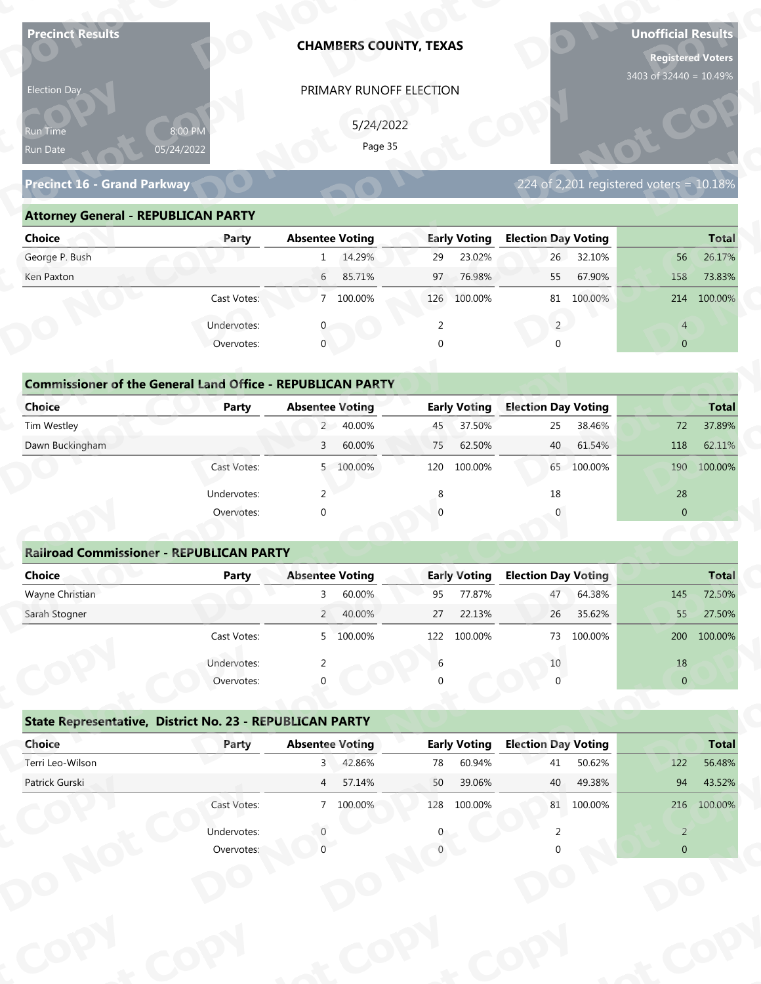| <b>Precinct Results</b>                                            |              |                        |           | <b>CHAMBERS COUNTY, TEXAS</b> |                     |                            |            | <b>Unofficial Results</b><br><b>Registered Voters</b> |              |
|--------------------------------------------------------------------|--------------|------------------------|-----------|-------------------------------|---------------------|----------------------------|------------|-------------------------------------------------------|--------------|
| Election Day                                                       |              |                        |           | PRIMARY RUNOFF ELECTION       |                     |                            |            | 3403 of 32440 = 10.49%                                |              |
|                                                                    |              |                        |           |                               |                     |                            |            |                                                       |              |
| 8:00 PM<br>Run Time                                                |              |                        | 5/24/2022 |                               |                     |                            |            |                                                       |              |
| 05/24/2022<br>Run Date                                             |              |                        | Page 35   |                               |                     |                            |            |                                                       |              |
| Precinct 16 - Grand Parkway                                        |              |                        |           |                               |                     |                            |            | 224 of 2,201 registered voters = 10.18%               |              |
| <b>Attorney General - REPUBLICAN PARTY</b>                         |              |                        |           |                               |                     |                            |            |                                                       |              |
| <b>Choice</b>                                                      | Party        | <b>Absentee Voting</b> |           |                               | <b>Early Voting</b> | <b>Election Day Voting</b> |            |                                                       | <b>Total</b> |
| George P. Bush                                                     |              |                        | 1 14.29%  | 29                            | 23.02%              | 26                         | 32.10%     | 56                                                    | 26.17%       |
| Ken Paxton                                                         |              | 6                      | 85.71%    | 97                            | 76.98%              | 55                         | 67.90%     | 158                                                   | 73.83%       |
|                                                                    | Cast Votes:  |                        | 7 100.00% |                               | 126 100.00%         | 81                         | 100.00%    |                                                       | 214 100.00%  |
|                                                                    | Undervotes:  |                        |           | 2                             |                     | $2^{\circ}$                |            | $\overline{4}$                                        |              |
|                                                                    | Overvotes:   | $\mathbf{0}$           |           | $\Omega$                      |                     |                            |            | $\overline{0}$                                        |              |
|                                                                    |              |                        |           |                               |                     |                            |            |                                                       |              |
| <b>Commissioner of the General Land Office - REPUBLICAN PARTY</b>  |              |                        |           |                               |                     |                            |            |                                                       |              |
| <b>Choice</b>                                                      | <b>Party</b> | <b>Absentee Voting</b> |           |                               | <b>Early Voting</b> | <b>Election Day Voting</b> |            |                                                       | <b>Total</b> |
| Tim Westley                                                        |              | $2^{\sim}$             | 40.00%    | 45                            | 37.50%              | 25                         | 38.46%     | 72                                                    | 37.89%       |
| Dawn Buckingham                                                    |              | 3                      | 60.00%    | 75                            | 62.50%              | 40                         | 61.54%     | 118                                                   | 62.11%       |
|                                                                    | Cast Votes:  |                        | 5 100.00% |                               | 120 100.00%         |                            | 65 100.00% | 190                                                   | 100.00%      |
|                                                                    | Undervotes:  | 2                      |           | 8                             |                     | 18                         |            | 28                                                    |              |
|                                                                    | Overvotes:   | $\Omega$               |           |                               |                     |                            |            | $\overline{0}$                                        |              |
|                                                                    |              |                        |           |                               |                     |                            |            |                                                       |              |
| <b>Railroad Commissioner - REPUBLICAN PARTY</b>                    |              |                        |           |                               |                     |                            |            |                                                       |              |
| <b>Choice</b>                                                      | <b>Party</b> | <b>Absentee Voting</b> |           |                               | <b>Early Voting</b> | <b>Election Day Voting</b> |            |                                                       | <b>Total</b> |
| Wayne Christian                                                    |              | $\mathbf{3}$           | 60.00%    | 95                            | 77.87%              | 47                         | 64.38%     | 145                                                   | 72.50%       |
| Sarah Stogner                                                      |              |                        | 2 40.00%  | 27                            | 22.13%              | 26                         | 35.62%     | 55                                                    | 27.50%       |
|                                                                    | Cast Votes:  |                        | 5 100.00% | 122                           | 100.00%             | 73                         | 100.00%    | 200                                                   | 100.00%      |
|                                                                    | Undervotes:  | 2                      |           | 6                             |                     | 10                         |            | 18                                                    |              |
|                                                                    | Overvotes:   |                        |           |                               |                     |                            |            | $\overline{0}$                                        |              |
|                                                                    |              |                        |           |                               |                     |                            |            |                                                       |              |
| State Representative, District No. 23 - REPUBLICAN PARTY<br>Choice | Party        | <b>Absentee Voting</b> |           |                               | <b>Early Voting</b> | <b>Election Day Voting</b> |            |                                                       | <b>Total</b> |
| Terri Leo-Wilson                                                   |              | $3^{\circ}$            | 42.86%    | 78                            | 60.94%              | 41                         | 50.62%     | 122                                                   | 56.48%       |
| Patrick Gurski                                                     |              | $\overline{4}$         | 57.14%    | 50                            | 39.06%              | 40                         | 49.38%     | 94                                                    | 43.52%       |
|                                                                    | Cast Votes:  |                        | 7 100.00% |                               | 128 100.00%         |                            | 81 100.00% |                                                       | 216 100.00%  |
|                                                                    |              |                        |           |                               |                     |                            |            |                                                       |              |
|                                                                    | Undervotes:  |                        |           |                               |                     |                            |            | $\overline{2}$                                        |              |
|                                                                    | Overvotes:   |                        |           |                               |                     |                            |            | $\Omega$                                              |              |

| Election Day                               |                                                                            | PRIMARY RUNOFF ELECTION   |                     |                                         |                 |
|--------------------------------------------|----------------------------------------------------------------------------|---------------------------|---------------------|-----------------------------------------|-----------------|
| Run Time<br>Run Date                       | 8:00 PM<br>05/24/2022                                                      | 5/24/2022<br>Page 35      |                     |                                         |                 |
| Precinct 16 - Grand Parkway                |                                                                            |                           |                     | 224 of 2,201 registered voters = 10.18% |                 |
| <b>Attorney General - REPUBLICAN PARTY</b> |                                                                            |                           |                     |                                         |                 |
| <b>Choice</b>                              | Party                                                                      | <b>Absentee Voting</b>    | <b>Early Voting</b> | <b>Election Day Voting</b>              | <b>Total</b>    |
| George P. Bush                             |                                                                            | 1 14.29%                  | 23.02%<br>29        | 26 32.10%                               | 26.17%<br>56    |
| Ken Paxton                                 |                                                                            | $6\overline{6}$<br>85.71% | 76.98%<br>97        | 67.90%<br>55                            | 158<br>73.83%   |
|                                            | Cast Votes:                                                                | 7 100.00%                 | 126 100.00%         | 81 100.00%                              | 214 100.00%     |
|                                            | Undervotes:                                                                |                           | 2                   | $2^{\circ}$                             | $\overline{4}$  |
|                                            | Overvotes:                                                                 | $\Omega$                  |                     |                                         | $\overline{0}$  |
| <b>Choice</b>                              | <b>Commissioner of the General Land Office - REPUBLICAN PARTY</b><br>Party | <b>Absentee Voting</b>    | <b>Early Voting</b> | <b>Election Day Voting</b>              | <b>Total</b>    |
| Tim Westley                                |                                                                            | 2 40.00%                  | 37.50%<br>45        | 38.46%<br>25                            | 37.89%<br>72    |
| Dawn Buckingham                            |                                                                            | 60.00%<br>$\overline{3}$  | 62.50%<br>75        | 61.54%<br>40                            | 62.11%<br>118   |
|                                            | Cast Votes:                                                                | 5 100.00%                 | 100.00%<br>120      | 65 100.00%                              | 100.00%<br>190  |
|                                            | Undervotes:                                                                | 2                         |                     | 18                                      | 28              |
|                                            | Overvotes:                                                                 |                           |                     |                                         | $\overline{0}$  |
|                                            | <b>Railroad Commissioner - REPUBLICAN PARTY</b>                            |                           |                     |                                         |                 |
| <b>Choice</b>                              | <b>Party</b>                                                               | <b>Absentee Voting</b>    | <b>Early Voting</b> | <b>Election Day Voting</b>              | <b>Total</b>    |
| Wayne Christian                            |                                                                            | 60.00%                    | 77.87%<br>95        | 64.38%<br>47                            | 72.50%<br>145   |
| Carole Champsu                             |                                                                            | $\Omega$<br>10.000        | 27<br>22.120/       | 26.2562                                 | 27.504<br>LE F. |

### **Commissioner of the General Land Office - REPUBLICAN PARTY**<br> **Party Absentee Voting Commissioner of the General Land Office - REPUBLICAN PARTY<br>
Choice Party Absentee Voting Election Day Voting Total** Tim Westley 2 40.00% 45 37.50% 25 38.46% 72 37.89% Dawn Buckingham 3 60.00% 75 62.50% 40 61.54% 118 62.11% **oCommissioner of Choice**<br>
Tim Westley<br>
Dawn Buckingham **CCommissioner of the General Land Office**<br> **Choice**<br> **Party**<br> **Tim Westley y NoICAN PARTY**<br>tee Voting<br>2 40.00% **y REPUBLICAN PARTY**<br>- Absentee Voting<br>2 40.00%<br>3 60.00% **Day Voting**<br>25 38.46%<br>40 61.54%<br>65 100.00% Tim Westley<br>Dawn Buckingham **t <sup>o</sup> Early Voting**<br>45 37.50% 45<br>75 **o**<br>st Votes Absentee Voting<br>2 40.00% **pydbox 5 100.00%**<br> **pydbox 5 100.00%**<br> **pydbox 45 33<br>
<b>pydbox**<br> **pydbox**<br> **pydbox**<br> **pydbox**<br> **pydbox**<br> **pydbox**<br> **pydbox**<br> **pydbox**<br> **pydbox**<br> **pydbox**<br> **pydbox**<br> **pydbox**<br> **pydbox**<br> **pydbox**<br> **pydbox**<br> **pydbox**<br> **pydbox**

| Choice          | Party       | <b>Absentee Voting</b> |           |     | <b>Early Voting</b> | <b>Election Day Voting</b> |         |              | <b>Total</b> |
|-----------------|-------------|------------------------|-----------|-----|---------------------|----------------------------|---------|--------------|--------------|
| Tim Westley     |             |                        | 2 40.00%  | 45  | 37.50%              | 25                         | 38.46%  | 72           | 37.89%       |
| Dawn Buckingham |             | 3                      | 60.00%    | 75  | 62.50%              | 40                         | 61.54%  | 118          | 62.11%       |
|                 | Cast Votes: |                        | 5 100.00% | 120 | 100.00%             | 65                         | 100.00% | 190          | 100.00%      |
|                 | Undervotes: |                        |           | 8   |                     | 18                         |         | 28           |              |
|                 | Overvotes:  | $\mathbf 0$            |           |     |                     |                            |         | $\mathbf{0}$ |              |

### **Railroad Commissioner - REPUBLICAN PARTY t <sup>C</sup> <sup>y</sup> Choice Party Absentee Voting Early Voting Election Day Voting Total** Wayne Christian 3 60.00% 95 77.87% 47 64.38% 145 72.50% Sarah Stogner 2 40.00% 27 22.13% 26 35.62% 55 27.50% Cast Votes: 5 100.00% 122 100.00% 73 100.00% 200 100.00% Undervotes: 2 6 10 18 Overvotes: 0 0 0 0 **Railroad Commiss**<br>Choice **t C** Under<br>Over **Railroad Com**<br> **Choice**<br> **Wayne Christian**<br> **Sarab Stegner oEarly Voting t p**<br>**p**<br>**p**<br>**p**<br><br><br><br><br><br><br><br><br><br><br><br><br><br><br><br><br><br><br><br><br><br><br><br><br><br><br><br><br><br><br><br><br><br>  $\frac{10}{0}$ **d**<br>Absentee  $\frac{3}{2}$  60.00%<br> **b** 40.00%<br> **b** 400.00% **e Voting**<br>60.00%<br>40.00%<br>100.00%  $\frac{1}{\sqrt{2}}$ **o PRIMARY RUNOFF ELECTIO**<br>
5/24/2022<br>
Page 35<br> **Absentee Voting**<br>
1 1429%<br> **Buse 10 1429%**<br> **PRIMARY RUNOFF ELECTIO**<br>
5/24/2022<br>
Page 35<br> **Buse 1429%**<br>
2 9<br> **PRIMARY**<br> **Buse 126**<br> **Buse 126**<br> **E.** 0 2<br> **C. PREPUBLICAN PAR**  $\begin{bmatrix} 1 & 1 & 1 \\ 6 & 0 & 0 \end{bmatrix}$ **<u>Voting</u>**  $\frac{4}{2}$ **tC**14.<br><u>5!</u> **Railroad Commiss<br>
Choice**<br>
Wayne Christian<br>
Sarah Stogner **Choice**<br>
Wayne Christian<br>
Sarah Stogner Overvotes<br> **Railroad Commissioner - REPUBLICAN P<br>
Choice Party**<br>
Sarah Stogner<br>
Cast Votes<br>
Undervotes<br>
Overvotes<br>
State Representative, District No. 23 - F<br>
Choice Party<br>
Terri Leo-Wilson<br>
Patrick Gurski<br>
Cast Votes<br>
Unde mmissior<br>**ot** Precinct 16 - Grand Parkway<br> **Attorney General - REPUBLICAN PARTY**<br>
Choice<br>
George P. Bush<br>
Ken Paxton<br>
Cast Votes<br>
Undervotes<br>
Orm**missioner of the General Land Offic**<br>
Choice<br>
Tim Westley<br>
Dawn Buckingham<br>
Cast Votes<br>
Un **ch**<br>
Tim<br>
Dat<br>
Dat<br>
Ma<br>
San<br>
San<br>
Dat<br>
Dat<br>
Ter<br>
Pat **DCommissioner of the C**<br>Choice<br>Dawn Buckingham<br>**Railroad Commissione**<br>Choice<br>Mayne Christian<br>Sarah Stogner<br>**State Representative,**<br>Choice<br>Choice<br>Terri Leo-Wilson **State Representat dervotes Copyright Copyright Copyright Copyright Copyright Copyright Copyright Copyright Copyright Copyright Copyright Copyright Copyright Copyright Copyright Copyright Copyright Copyright Copyright Copyright Copyright Copyright C Commissioner of the General Land Office<br>
Tim Westley<br>
Dawn Buckingham<br>
Davan Buckingham<br>
Cast Votes<br>
Undervotes<br>
Overvotes<br>
Railroad Commissioner - REPUBLICAN P<br>
Choice<br>
Wayne Christian<br>
Sarah Stogner<br>
Cast Votes<br>
Undervo N pyot PRIMARY RUNOFF ELECTION**<br>  $5/24/2022$ <br>  $Page 35$ <br> **Absentee Voting**<br> **Absentee Voting**<br> **Early Voting Election Day V**<br> **Box 126**<br> **Execution 126**<br> **Execution 81**<br> **Execution 81**<br> **Execution 81**<br> **Execution 81**<br> **Execution** 55 67.90%<br>
81 100.00%<br>
2<br>
0<br> **n Day Voting**<br>
25 38.46%<br>
40 61.54%<br>
65 100.00%<br>
18<br>
0<br> **n Day Voting**<br>
47 64.38%<br>
26 35.62%<br>
73 100.00%<br>
10<br>
0<br> **n Day Voting**<br>
47 64.38%<br>
26 35.62%<br>
73 100.00%<br>
10<br>
41 50.62%<br>
40 49.38%<br>
81 **rotal**<br>
72 37.89%<br>
118 62.11%<br>
190 100.00%<br>
28<br>
0<br> **Total**<br>
145 72.50%<br>
200 100.00%<br>
18<br>
0<br>
18<br>
0<br>
145 72.50%<br>
200 100.00%<br>
18<br>
0<br>
145 8<br>
27.50%<br>
200 100.00%<br>
18<br>
0<br>
143 8<br>
27.50%<br>
200 100.00%<br>
18<br>
143 5<br>
27.50%<br>
200 100. **Example 14 AM PARTY**<br> **PyCoting Example 145 37.50%**<br> **Example 145 37.50%**<br> **Example 120 100.00%**<br> **Example 120 100.00%**<br> **PyCoting 18 18**<br> **PyCoting 147 47 44.000%**<br> **Example 127 22.13%**<br> **Example 147 47 44.000%**<br> **PyCoti** 47 64.38%<br>26 35.62% 26 **ot pyo** $\frac{\text{Total}}{5}$ <br> $\frac{72.50\%}{27.50\%}$ **particulary better of the CONTACT SCRIP (1993)**<br> **pyriols of the CONTACT SCRIP (1994)**<br> **pyriols of the CONTACT SCRIP (1994)**<br> **pyriols of the CONTACT SCRIP (1994)**<br> **pyriols of the CONTACT SCRIP (1994)**<br> **pyriols of the Total**<br>72.50% 27.50% 224 of 2,201 registered voters = 10.18%<br> **lection Day Voting**<br>
26 32.10%<br>
55 67.90%<br>
51 100.00%<br>
21 4<br>
0 0 0<br>
2 4<br>
0 0 0<br>
2 5 38.46%<br>
25 38.46%<br>
40 61.54%<br>
40 61.54%<br>
118 62.11%<br>
65 100.00%<br>
18<br>
28<br>
0 0<br>
190 100.00%<br>
190 1  $\frac{18}{0}$ **ot o p**<br>**p**<br>**p**<br>**p**<br>**p**<br>**p** 10<br>
0<br>
0<br>
0<br> **lection Day Voting<br>
41 50.62%<br>
122 56.48%**

|                                                          | Cast votes. | $\mathcal{P}$          | TOO'OO XQ | ⊥∠∠ | TOO'OO SO           | 75                         | LUU.UU 70 |                | ZUU 100.00%  |
|----------------------------------------------------------|-------------|------------------------|-----------|-----|---------------------|----------------------------|-----------|----------------|--------------|
|                                                          | Undervotes: |                        |           | 6   |                     | 10                         |           | 18             |              |
|                                                          | Overvotes:  | $\Omega$               |           | 0   |                     |                            |           | $\overline{0}$ |              |
| State Representative, District No. 23 - REPUBLICAN PARTY |             |                        |           |     |                     |                            |           |                |              |
| Choice                                                   | Party       | <b>Absentee Voting</b> |           |     | <b>Early Voting</b> | <b>Election Day Voting</b> |           |                | <b>Total</b> |
| Terri Leo-Wilson                                         |             | 3                      | 42.86%    | 78  | 60.94%              | 41                         | 50.62%    | 122            | 56.48%       |
| Patrick Gurski                                           |             | $\overline{4}$         | 57.14%    | 50  | 39.06%              | 40                         | 49.38%    | 94             | 43.52%       |
|                                                          | Cast Votes: |                        | 7 100.00% | 128 | 100.00%             | 81                         | 100.00%   | 216            | 100.00%      |
|                                                          | Undervotes: |                        |           | 0   |                     |                            |           | 2              |              |
|                                                          | Overvotes:  |                        |           |     |                     |                            |           | $\overline{0}$ |              |
|                                                          |             |                        |           |     |                     |                            |           |                |              |
|                                                          |             |                        |           |     |                     |                            |           |                |              |
|                                                          |             |                        |           |     |                     |                            |           |                |              |
|                                                          |             |                        |           |     |                     |                            |           |                |              |
|                                                          |             |                        |           |     |                     |                            |           |                |              |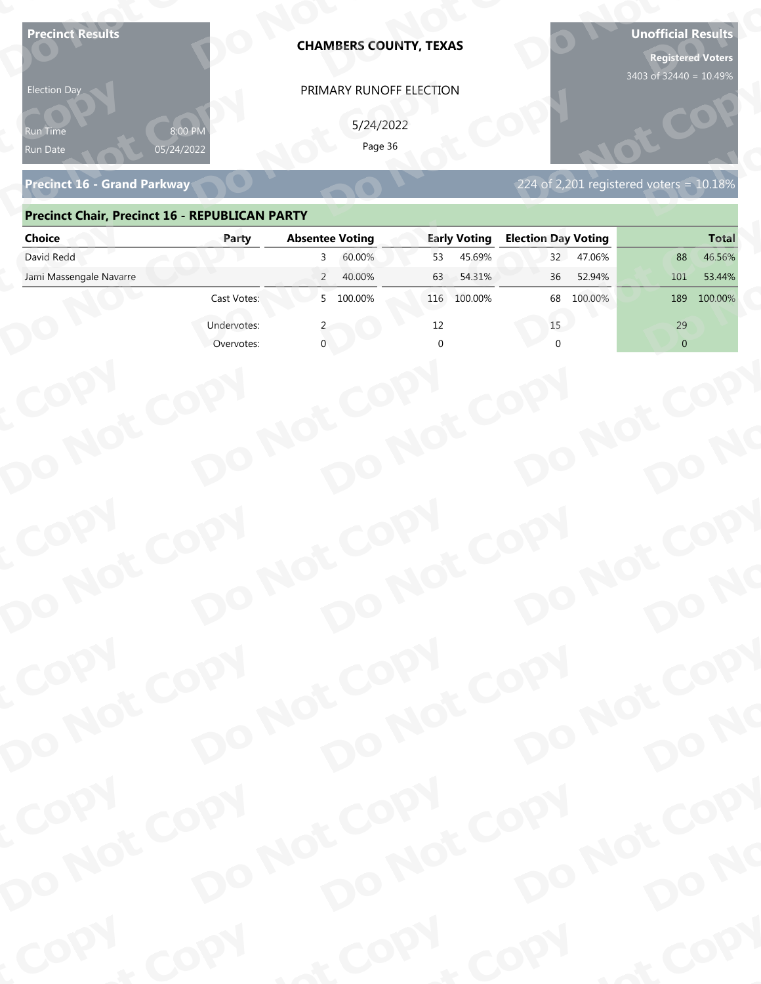| 8:00 PM<br>Page 36<br>05/24/2022<br>Run Date<br>224 of 2,201 registered voters = $10.18\%$<br><b>Precinct 16 - Grand Parkway</b><br><b>Precinct Chair, Precinct 16 - REPUBLICAN PARTY</b><br><b>Absentee Voting</b><br><b>Early Voting</b><br><b>Election Day Voting</b><br><b>Choice</b><br>Party<br>David Redd<br>60.00%<br>45.69%<br>47.06%<br>53<br>32<br>88<br>3<br>Jami Massengale Navarre<br>$\overline{2}$<br>40.00%<br>54.31%<br>36<br>52.94%<br>101<br>53.44%<br>63<br>5 100.00%<br>Cast Votes:<br>100.00%<br>68<br>100.00%<br>100.00%<br>116<br>189<br>Undervotes:<br>12<br>15<br>29<br>$\overline{0}$<br>Overvotes:<br>DO NOT COPY<br>DO NOT COPY<br>DO NOT COPY<br>DO NOT COPY<br>DO NO | <b>Precinct Results</b><br><b>Election Day</b> |      | <b>CHAMBERS COUNTY, TEXAS</b><br>PRIMARY RUNOFF ELECTION<br>5/24/2022 |      | <b>Unofficial Results</b><br><b>Registered Voters</b><br>3403 of 32440 = 10.49% |
|------------------------------------------------------------------------------------------------------------------------------------------------------------------------------------------------------------------------------------------------------------------------------------------------------------------------------------------------------------------------------------------------------------------------------------------------------------------------------------------------------------------------------------------------------------------------------------------------------------------------------------------------------------------------------------------------------|------------------------------------------------|------|-----------------------------------------------------------------------|------|---------------------------------------------------------------------------------|
|                                                                                                                                                                                                                                                                                                                                                                                                                                                                                                                                                                                                                                                                                                      | የun Time                                       |      |                                                                       |      |                                                                                 |
|                                                                                                                                                                                                                                                                                                                                                                                                                                                                                                                                                                                                                                                                                                      |                                                |      |                                                                       |      |                                                                                 |
|                                                                                                                                                                                                                                                                                                                                                                                                                                                                                                                                                                                                                                                                                                      |                                                |      |                                                                       |      | <b>Total</b>                                                                    |
|                                                                                                                                                                                                                                                                                                                                                                                                                                                                                                                                                                                                                                                                                                      |                                                |      |                                                                       |      | 46.56%                                                                          |
|                                                                                                                                                                                                                                                                                                                                                                                                                                                                                                                                                                                                                                                                                                      |                                                |      |                                                                       |      |                                                                                 |
|                                                                                                                                                                                                                                                                                                                                                                                                                                                                                                                                                                                                                                                                                                      |                                                |      |                                                                       |      |                                                                                 |
|                                                                                                                                                                                                                                                                                                                                                                                                                                                                                                                                                                                                                                                                                                      |                                                |      |                                                                       |      |                                                                                 |
|                                                                                                                                                                                                                                                                                                                                                                                                                                                                                                                                                                                                                                                                                                      | COPY<br>COPY                                   |      |                                                                       |      |                                                                                 |
|                                                                                                                                                                                                                                                                                                                                                                                                                                                                                                                                                                                                                                                                                                      |                                                |      |                                                                       |      |                                                                                 |
| DO NOT COPY<br>DO NOT COPY<br>DO NO                                                                                                                                                                                                                                                                                                                                                                                                                                                                                                                                                                                                                                                                  |                                                |      |                                                                       |      |                                                                                 |
| DO NOT COPY<br>DO NOT COPY                                                                                                                                                                                                                                                                                                                                                                                                                                                                                                                                                                                                                                                                           |                                                |      |                                                                       |      |                                                                                 |
| COPY<br>DO NOT COPY<br>DO NOT COPY<br>DO NOT COPY<br>DO NOT COPY<br>DO NO                                                                                                                                                                                                                                                                                                                                                                                                                                                                                                                                                                                                                            | COPY                                           | COPY | & COPY                                                                | COPY | of COPY                                                                         |

### **Precinct Chair, Precinct 16 - REPUBLICAN PARTY**

| <b>Election Day</b>                                   |                       | PRIMARY RUNOFF ELECTION  |                     |                                              |                |
|-------------------------------------------------------|-----------------------|--------------------------|---------------------|----------------------------------------------|----------------|
| Run Time<br>Run Date                                  | 8:00 PN<br>05/24/2022 | 5/24/2022<br>Page 36     |                     |                                              |                |
| <b>Precinct 16 - Grand Parkway</b>                    |                       |                          |                     | $224$ of 2,201 registered voters = $10.18\%$ |                |
| <b>Precinct Chair, Precinct 16 - REPUBLICAN PARTY</b> |                       |                          |                     |                                              |                |
| <b>Choice</b>                                         | Party                 | <b>Absentee Voting</b>   | <b>Early Voting</b> | <b>Election Day Voting</b>                   | <b>Total</b>   |
| David Redd                                            |                       | 60.00%<br>3              | 45.69%<br>53        | 32<br>47.06%                                 | 46.56%<br>88   |
| Jami Massengale Navarre                               |                       | $\overline{2}$<br>40.00% | 54.31%<br>63        | 52.94%<br>36                                 | 101<br>53.44%  |
|                                                       | Cast Votes:           | 5 100.00%                | 116 100.00%         | 100.00%<br>68                                | 100.00%<br>189 |
|                                                       | Undervotes:           |                          | 12                  | 15                                           | 29             |
|                                                       | Overvotes:            |                          |                     |                                              | $\overline{0}$ |
|                                                       |                       |                          |                     |                                              |                |
|                                                       |                       |                          |                     |                                              |                |
|                                                       |                       |                          |                     |                                              |                |
|                                                       |                       |                          |                     |                                              |                |
|                                                       |                       |                          |                     |                                              |                |
|                                                       |                       |                          |                     |                                              |                |
|                                                       |                       |                          |                     |                                              |                |
|                                                       |                       |                          |                     |                                              |                |
|                                                       |                       |                          |                     |                                              |                |
|                                                       |                       |                          |                     |                                              |                |
|                                                       |                       |                          |                     |                                              |                |
|                                                       |                       |                          |                     |                                              |                |
| COPY                                                  |                       |                          |                     |                                              |                |
|                                                       |                       |                          |                     |                                              |                |
|                                                       |                       |                          |                     |                                              |                |
|                                                       |                       |                          |                     |                                              |                |
|                                                       |                       |                          |                     |                                              |                |
| DO NOT COPY                                           |                       | DO NOT COPY              | DO NOT COPY         | DO NOT COPY                                  | DO NO          |
|                                                       |                       |                          |                     |                                              |                |
|                                                       |                       |                          |                     |                                              |                |
| COPY                                                  |                       |                          |                     |                                              |                |
| DO NOT COPY                                           |                       | DO NOT COPY              | DO NOT COPY         | DO NOT COPY                                  |                |
|                                                       |                       |                          |                     |                                              |                |
|                                                       |                       |                          |                     |                                              | DO NO          |
| <b>POO.</b>                                           |                       |                          | $P_{Q_0}$ .         |                                              | ·ODW           |
|                                                       | <b>And</b>            |                          |                     | <b>LON</b>                                   |                |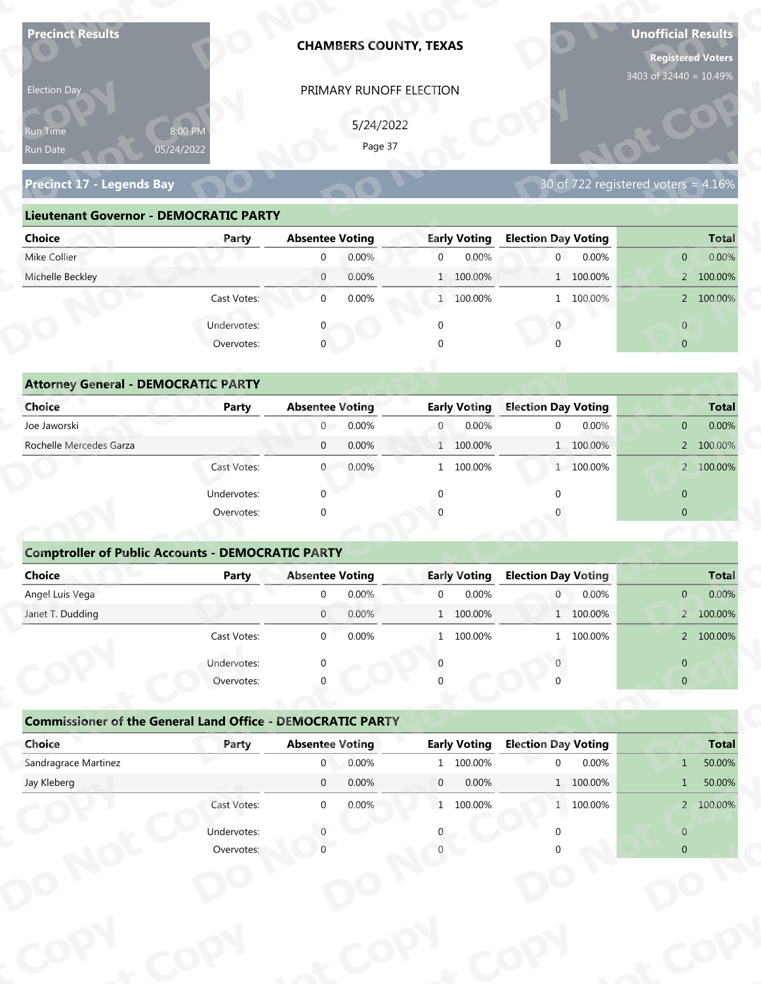| <b>Precinct Results</b>                                           |                           |                                          | <b>CHAMBERS COUNTY, TEXAS</b> |                |                              |                                 |           | <b>Unofficial Results</b><br><b>Registered Voters</b><br>3403 of 32440 = 10.49% |                       |
|-------------------------------------------------------------------|---------------------------|------------------------------------------|-------------------------------|----------------|------------------------------|---------------------------------|-----------|---------------------------------------------------------------------------------|-----------------------|
| Election Day                                                      |                           |                                          | PRIMARY RUNOFF ELECTION       |                |                              |                                 |           |                                                                                 |                       |
|                                                                   |                           |                                          | 5/24/2022                     |                |                              |                                 |           |                                                                                 |                       |
| Run Time                                                          | 8:00 PM<br>05/24/2022     |                                          | Page 37                       |                |                              |                                 |           |                                                                                 |                       |
| Run Date                                                          |                           |                                          |                               |                |                              |                                 |           |                                                                                 |                       |
| <b>Precinct 17 - Legends Bay</b>                                  |                           |                                          |                               |                |                              |                                 |           | 30 of 722 registered voters = 4.16%                                             |                       |
| <b>Lieutenant Governor - DEMOCRATIC PARTY</b>                     |                           |                                          |                               |                |                              |                                 |           |                                                                                 |                       |
| <b>Choice</b>                                                     | Party                     | <b>Absentee Voting</b>                   |                               |                | <b>Early Voting</b>          | <b>Election Day Voting</b>      |           |                                                                                 | <b>Total</b>          |
| Mike Collier                                                      |                           | $\mathbf{0}$                             | 0.00%                         | $\overline{0}$ | 0.00%                        | $\overline{0}$                  | 0.00%     | $\overline{0}$                                                                  | 0.00%                 |
| Michelle Beckley                                                  |                           | $\overline{0}$                           | 0.00%                         |                | 1 100.00%                    |                                 | 1 100.00% |                                                                                 | 2 100.00%             |
|                                                                   | Cast Votes:               | $\mathbf 0$                              | 0.00%                         |                | 1 100.00%                    |                                 | 1 100.00% |                                                                                 | 2 100.00%             |
|                                                                   | Undervotes:               |                                          |                               | $\mathbf 0$    |                              | $\overline{0}$                  |           | $\overline{0}$                                                                  |                       |
|                                                                   | Overvotes:                | $\mathbf{0}$                             |                               |                |                              |                                 |           | $\overline{0}$                                                                  |                       |
|                                                                   |                           |                                          |                               |                |                              |                                 |           |                                                                                 |                       |
| <b>Attorney General - DEMOCRATIC PARTY</b>                        |                           |                                          |                               |                |                              |                                 |           |                                                                                 |                       |
| <b>Choice</b>                                                     | <b>Party</b>              | <b>Absentee Voting</b>                   |                               |                | <b>Early Voting</b>          | <b>Election Day Voting</b>      |           |                                                                                 | <b>Total</b>          |
| Joe Jaworski                                                      |                           | $\overline{0}$                           | 0.00%                         | $\overline{0}$ | 0.00%                        | $\mathbf 0$                     | 0.00%     | $\overline{0}$                                                                  | 0.00%                 |
| Rochelle Mercedes Garza                                           |                           | $\mathbf 0$                              | 0.00%                         | $\mathbf{1}$   | 100.00%                      |                                 | 1 100.00% |                                                                                 | 2 100.00%             |
|                                                                   | Cast Votes:               | $\overline{0}$                           | 0.00%                         |                | 1 100.00%                    |                                 | 1 100.00% |                                                                                 | 2 100.00%             |
|                                                                   | Undervotes:               | $\Omega$                                 |                               | $\mathbf{0}$   |                              | $\Omega$                        |           | $\overline{0}$                                                                  |                       |
|                                                                   | Overvotes:                | $\Omega$                                 |                               |                |                              |                                 |           | $\overline{0}$                                                                  |                       |
|                                                                   |                           |                                          |                               |                |                              |                                 |           |                                                                                 |                       |
| <b>Comptroller of Public Accounts - DEMOCRATIC PARTY</b>          |                           |                                          |                               |                |                              |                                 |           |                                                                                 |                       |
| Choice<br>Angel Luis Vega                                         | <b>Party</b>              | <b>Absentee Voting</b><br>$\overline{0}$ | 0.00%                         | $\mathbf 0$    | <b>Early Voting</b><br>0.00% | <b>Election Day Voting</b><br>0 | 0.00%     | $\mathbf{0}$                                                                    | <b>Total</b><br>0.00% |
| Janet T. Dudding                                                  |                           | $\overline{0}$                           | 0.00%                         |                | 1 100.00%                    |                                 | 1 100.00% |                                                                                 | 2 100.00%             |
|                                                                   | Cast Votes:               | $\overline{0}$                           | 0.00%                         |                | 1 100.00%                    |                                 | 1 100.00% |                                                                                 | 2 100.00%             |
|                                                                   |                           |                                          |                               |                |                              |                                 |           |                                                                                 |                       |
|                                                                   | Undervotes:<br>Overvotes: | $\Omega$                                 |                               | $\Omega$       |                              |                                 |           | $\overline{0}$<br>$\overline{0}$                                                |                       |
|                                                                   |                           |                                          |                               |                |                              |                                 |           |                                                                                 |                       |
| <b>Commissioner of the General Land Office - DEMOCRATIC PARTY</b> |                           |                                          |                               |                |                              |                                 |           |                                                                                 |                       |
| Choice                                                            | Party                     | <b>Absentee Voting</b>                   |                               |                | <b>Early Voting</b>          | <b>Election Day Voting</b>      |           |                                                                                 | <b>Total</b>          |
| Sandragrace Martinez                                              |                           | $\overline{0}$                           | 0.00%                         |                | 1 100.00%                    | $\mathbf{0}$                    | 0.00%     | $\mathbf{1}$                                                                    | 50.00%                |
| Jay Kleberg                                                       |                           | $\overline{0}$                           | 0.00%                         | $\overline{0}$ | 0.00%                        |                                 | 1 100.00% | 1                                                                               | 50.00%                |
|                                                                   | Cast Votes:               | $\overline{0}$                           | 0.00%                         |                | 1 100.00%                    |                                 | 1 100.00% |                                                                                 | 2 100.00%             |
|                                                                   |                           |                                          |                               |                |                              |                                 |           |                                                                                 |                       |
|                                                                   | Undervotes:               |                                          |                               |                |                              |                                 |           | $\overline{0}$                                                                  |                       |

| 5/24/2022<br>8:00 PM<br>Page 37<br>05/24/2022<br>30 of 722 registered voters = $4.16\%$<br><b>Lieutenant Governor - DEMOCRATIC PARTY</b><br><b>Absentee Voting</b><br><b>Early Voting</b><br><b>Election Day Voting</b><br>Party<br>0.00%<br>0.00%<br>0.00%<br>$\overline{0}$<br>$\overline{0}$<br>$\overline{0}$<br>$\overline{0}$<br>0.00%<br>1 100.00%<br>1 100.00%<br>$\overline{0}$<br>0.00%<br>1 100.00%<br>Cast Votes:<br>$\overline{0}$<br>1 100.00%<br>Undervotes:<br>$\overline{0}$<br>$\overline{0}$<br>$\Omega$<br>$\mathbf 0$<br>Overvotes:<br>$\Omega$<br>$\overline{0}$<br><b>Attorney General - DEMOCRATIC PARTY</b><br><b>Early Voting</b><br><b>Election Day Voting</b><br><b>Absentee Voting</b><br><b>Party</b><br>0.00%<br>0.00%<br>0.00%<br>$\overline{0}$<br>$\overline{0}$<br>$\mathbf{0}$<br>$\Omega$<br>0.00%<br>1 100.00%<br>1 100.00%<br>$\overline{0}$<br>0.00%<br>100.00%<br>1 100.00%<br>Cast Votes:<br>$\overline{0}$<br>$\mathbf{1}$ | Election Day                     |  | PRIMARY RUNOFF ELECTION |              |
|-----------------------------------------------------------------------------------------------------------------------------------------------------------------------------------------------------------------------------------------------------------------------------------------------------------------------------------------------------------------------------------------------------------------------------------------------------------------------------------------------------------------------------------------------------------------------------------------------------------------------------------------------------------------------------------------------------------------------------------------------------------------------------------------------------------------------------------------------------------------------------------------------------------------------------------------------------------------------|----------------------------------|--|-------------------------|--------------|
|                                                                                                                                                                                                                                                                                                                                                                                                                                                                                                                                                                                                                                                                                                                                                                                                                                                                                                                                                                       | <b>Run Time</b><br>Run Date      |  |                         |              |
|                                                                                                                                                                                                                                                                                                                                                                                                                                                                                                                                                                                                                                                                                                                                                                                                                                                                                                                                                                       | <b>Precinct 17 - Legends Bay</b> |  |                         |              |
|                                                                                                                                                                                                                                                                                                                                                                                                                                                                                                                                                                                                                                                                                                                                                                                                                                                                                                                                                                       |                                  |  |                         |              |
|                                                                                                                                                                                                                                                                                                                                                                                                                                                                                                                                                                                                                                                                                                                                                                                                                                                                                                                                                                       | <b>Choice</b>                    |  |                         | <b>Total</b> |
|                                                                                                                                                                                                                                                                                                                                                                                                                                                                                                                                                                                                                                                                                                                                                                                                                                                                                                                                                                       | Mike Collier                     |  |                         | 0.00%        |
|                                                                                                                                                                                                                                                                                                                                                                                                                                                                                                                                                                                                                                                                                                                                                                                                                                                                                                                                                                       | Michelle Beckley                 |  |                         | 2 100.00%    |
|                                                                                                                                                                                                                                                                                                                                                                                                                                                                                                                                                                                                                                                                                                                                                                                                                                                                                                                                                                       |                                  |  |                         | 2 100.00%    |
|                                                                                                                                                                                                                                                                                                                                                                                                                                                                                                                                                                                                                                                                                                                                                                                                                                                                                                                                                                       |                                  |  |                         |              |
|                                                                                                                                                                                                                                                                                                                                                                                                                                                                                                                                                                                                                                                                                                                                                                                                                                                                                                                                                                       |                                  |  |                         |              |
|                                                                                                                                                                                                                                                                                                                                                                                                                                                                                                                                                                                                                                                                                                                                                                                                                                                                                                                                                                       |                                  |  |                         |              |
|                                                                                                                                                                                                                                                                                                                                                                                                                                                                                                                                                                                                                                                                                                                                                                                                                                                                                                                                                                       |                                  |  |                         |              |
|                                                                                                                                                                                                                                                                                                                                                                                                                                                                                                                                                                                                                                                                                                                                                                                                                                                                                                                                                                       | <b>Choice</b>                    |  |                         | <b>Total</b> |
|                                                                                                                                                                                                                                                                                                                                                                                                                                                                                                                                                                                                                                                                                                                                                                                                                                                                                                                                                                       | Joe Jaworski                     |  |                         | 0.00%        |
|                                                                                                                                                                                                                                                                                                                                                                                                                                                                                                                                                                                                                                                                                                                                                                                                                                                                                                                                                                       | Rochelle Mercedes Garza          |  |                         | 2 100.00%    |
|                                                                                                                                                                                                                                                                                                                                                                                                                                                                                                                                                                                                                                                                                                                                                                                                                                                                                                                                                                       |                                  |  |                         | 2 100.00%    |

| 5/24/2022<br>8:00 PM<br>Run Time<br>Page 37<br>05/24/2022<br>Run Date<br><b>Precinct 17 - Legends Bay</b><br><b>Lieutenant Governor - DEMOCRATIC PARTY</b><br><b>Absentee Voting</b><br><b>Early Voting</b><br><b>Election Day Voting</b><br><b>Choice</b><br>Party<br>Mike Collier<br>0.00%<br>0.00%<br>$\overline{0}$<br>0.00%<br>$\overline{0}$<br>$\mathbf 0$<br>Michelle Beckley<br>$\overline{0}$<br>0.00%<br>1 100.00%<br>1 100.00%<br>0.00%<br>Cast Votes:<br>$\mathbf 0$<br>1 100.00%<br>1 100.00%<br>$\overline{0}$<br>Undervotes:<br>$\mathbf 0$<br>$\mathbf{0}$<br>Overvotes:<br>$\mathbf{0}$<br>$\Omega$ | 30 of 722 registered voters = 4.16%<br><b>Total</b><br>0.00%<br>$\overline{0}$<br>2 100.00%<br>2 100.00% |
|-----------------------------------------------------------------------------------------------------------------------------------------------------------------------------------------------------------------------------------------------------------------------------------------------------------------------------------------------------------------------------------------------------------------------------------------------------------------------------------------------------------------------------------------------------------------------------------------------------------------------|----------------------------------------------------------------------------------------------------------|
|                                                                                                                                                                                                                                                                                                                                                                                                                                                                                                                                                                                                                       |                                                                                                          |
|                                                                                                                                                                                                                                                                                                                                                                                                                                                                                                                                                                                                                       |                                                                                                          |
|                                                                                                                                                                                                                                                                                                                                                                                                                                                                                                                                                                                                                       |                                                                                                          |
|                                                                                                                                                                                                                                                                                                                                                                                                                                                                                                                                                                                                                       |                                                                                                          |
|                                                                                                                                                                                                                                                                                                                                                                                                                                                                                                                                                                                                                       |                                                                                                          |
|                                                                                                                                                                                                                                                                                                                                                                                                                                                                                                                                                                                                                       |                                                                                                          |
|                                                                                                                                                                                                                                                                                                                                                                                                                                                                                                                                                                                                                       |                                                                                                          |
|                                                                                                                                                                                                                                                                                                                                                                                                                                                                                                                                                                                                                       |                                                                                                          |
|                                                                                                                                                                                                                                                                                                                                                                                                                                                                                                                                                                                                                       |                                                                                                          |
|                                                                                                                                                                                                                                                                                                                                                                                                                                                                                                                                                                                                                       | $\overline{0}$                                                                                           |
|                                                                                                                                                                                                                                                                                                                                                                                                                                                                                                                                                                                                                       | $\overline{0}$                                                                                           |
|                                                                                                                                                                                                                                                                                                                                                                                                                                                                                                                                                                                                                       |                                                                                                          |
| <b>Attorney General - DEMOCRATIC PARTY</b>                                                                                                                                                                                                                                                                                                                                                                                                                                                                                                                                                                            |                                                                                                          |
| <b>Early Voting</b><br><b>Election Day Voting</b><br>Choice<br><b>Absentee Voting</b><br><b>Party</b>                                                                                                                                                                                                                                                                                                                                                                                                                                                                                                                 | <b>Total</b>                                                                                             |
| Joe Jaworski<br>0.00%<br>0.00%<br>0.00%<br>$\overline{0}$<br>$\overline{0}$<br>$\mathbf 0$                                                                                                                                                                                                                                                                                                                                                                                                                                                                                                                            | 0.00%<br>$\overline{0}$                                                                                  |
| Rochelle Mercedes Garza<br>0.00%<br>1 100.00%<br>1 100.00%<br>$\mathbf 0$                                                                                                                                                                                                                                                                                                                                                                                                                                                                                                                                             | 2 100.00%                                                                                                |
| Cast Votes:<br>0.00%<br>1 100.00%<br>1 100.00%<br>$\mathbf{0}$                                                                                                                                                                                                                                                                                                                                                                                                                                                                                                                                                        | 2 100.00%                                                                                                |
| Undervotes:<br>$\Omega$<br>∩                                                                                                                                                                                                                                                                                                                                                                                                                                                                                                                                                                                          | $\mathbf{0}$                                                                                             |
| Overvotes:<br>$\Omega$                                                                                                                                                                                                                                                                                                                                                                                                                                                                                                                                                                                                | $\overline{0}$                                                                                           |
|                                                                                                                                                                                                                                                                                                                                                                                                                                                                                                                                                                                                                       |                                                                                                          |
| <b>Comptroller of Public Accounts - DEMOCRATIC PARTY</b>                                                                                                                                                                                                                                                                                                                                                                                                                                                                                                                                                              |                                                                                                          |
| <b>Choice</b><br><b>Absentee Voting</b><br><b>Early Voting</b><br><b>Election Day Voting</b><br><b>Party</b>                                                                                                                                                                                                                                                                                                                                                                                                                                                                                                          | <b>Total</b>                                                                                             |
| 0.00%<br>Angel Luis Vega<br>0.00%<br>0 <sub>n</sub><br>0.00%<br>$\mathbf 0$<br>$\mathbf 0$                                                                                                                                                                                                                                                                                                                                                                                                                                                                                                                            | $\overline{0}$<br>0.00%                                                                                  |
| Janet T. Dudding<br>1 100.00%<br>0.00%<br>1 100.00%<br>$\overline{0}$                                                                                                                                                                                                                                                                                                                                                                                                                                                                                                                                                 | 2 100.00%                                                                                                |
| Cast Votes:<br>$0.00\%$<br>1 100.00%<br>1 100.00%<br>$\Omega$                                                                                                                                                                                                                                                                                                                                                                                                                                                                                                                                                         | 2 100.00%                                                                                                |
| Undervotes:<br>$\Omega$                                                                                                                                                                                                                                                                                                                                                                                                                                                                                                                                                                                               | $\overline{0}$                                                                                           |
| Overvotes:                                                                                                                                                                                                                                                                                                                                                                                                                                                                                                                                                                                                            | $\overline{0}$                                                                                           |
|                                                                                                                                                                                                                                                                                                                                                                                                                                                                                                                                                                                                                       |                                                                                                          |
| <b>Commissioner of the General Land Office - DEMOCRATIC PARTY</b>                                                                                                                                                                                                                                                                                                                                                                                                                                                                                                                                                     |                                                                                                          |
| <b>Early Voting</b><br>Choice<br><b>Absentee Voting</b><br><b>Election Day Voting</b><br>Party                                                                                                                                                                                                                                                                                                                                                                                                                                                                                                                        | <b>Total</b>                                                                                             |
| Sandragrace Martinez<br>0.00%<br>$\overline{0}$<br>1 100.00%<br>$\boldsymbol{0}$<br>0.00%                                                                                                                                                                                                                                                                                                                                                                                                                                                                                                                             | 50.00%<br>1                                                                                              |
| 0.00%<br>0.00%<br>Jay Kleberg<br>$\overline{0}$<br>$\overline{0}$<br>1 100.00%                                                                                                                                                                                                                                                                                                                                                                                                                                                                                                                                        | 50.00%<br>1                                                                                              |
|                                                                                                                                                                                                                                                                                                                                                                                                                                                                                                                                                                                                                       |                                                                                                          |
| Cast Votes:<br>$\overline{0}$<br>0.00%<br>1 100.00%<br>1 100.00%                                                                                                                                                                                                                                                                                                                                                                                                                                                                                                                                                      | 2 100.00%                                                                                                |
| Undervotes:                                                                                                                                                                                                                                                                                                                                                                                                                                                                                                                                                                                                           | $\overline{0}$                                                                                           |

### **Comptroller of Public Accounts - DEMOCRATIC PARTY**

| <b>Choice</b>                                                     | Party       | <b>Absentee Voting</b> |       | <b>Early Voting</b> |           | <b>Election Day Voting</b> |                | <b>Total</b> |
|-------------------------------------------------------------------|-------------|------------------------|-------|---------------------|-----------|----------------------------|----------------|--------------|
| Joe Jaworski                                                      |             | $\overline{0}$         | 0.00% | $\overline{0}$      | 0.00%     | 0.00%<br>$\overline{0}$    | $\overline{0}$ | 0.00%        |
| Rochelle Mercedes Garza                                           |             | $\mathbf 0$            | 0.00% |                     | 1 100.00% | 1 100.00%                  |                | 2 100.00%    |
|                                                                   | Cast Votes: | $\overline{0}$         | 0.00% |                     | 1 100.00% | 1 100.00%                  |                | 2 100.00%    |
|                                                                   | Undervotes: | $\Omega$               |       | ∩                   |           | $\cap$                     | $\mathbf{0}$   |              |
|                                                                   | Overvotes:  | ∩                      |       |                     |           |                            | $\mathbf{0}$   |              |
| <b>Comptroller of Public Accounts - DEMOCRATIC PARTY</b>          |             |                        |       |                     |           |                            |                |              |
| <b>Choice</b>                                                     | Party       | <b>Absentee Voting</b> |       | <b>Early Voting</b> |           | <b>Election Day Voting</b> |                | <b>Total</b> |
| Angel Luis Vega                                                   |             | $\Omega$               | 0.00% | 0                   | 0.00%     | 0.00%<br>$0^-$             | $\overline{0}$ | 0.00%        |
| Janet T. Dudding                                                  |             | $\overline{0}$         | 0.00% |                     | 1 100.00% | 1 100.00%                  |                | 2 100.00%    |
|                                                                   | Cast Votes: | $\overline{0}$         | 0.00% |                     | 1 100.00% | 1 100.00%                  |                | 2 100.00%    |
|                                                                   |             |                        |       |                     |           |                            |                |              |
|                                                                   | Undervotes: | ∩                      |       | <sup>0</sup>        |           |                            | $\mathbf{0}$   |              |
|                                                                   | Overvotes:  |                        |       |                     |           |                            | $\mathbf 0$    |              |
| <b>Commissioner of the General Land Office - DEMOCRATIC PARTY</b> |             |                        |       |                     |           |                            |                |              |
| Choice                                                            | Party       | <b>Absentee Voting</b> |       | <b>Early Voting</b> |           | <b>Election Day Voting</b> |                | <b>Total</b> |
| Sandragrace Martinez                                              |             | $\mathbf{0}$           | 0.00% |                     | 1 100.00% | 0.00%<br>$\overline{0}$    | $\mathbf{1}$   | 50.00%       |
| Jay Kleberg                                                       |             | $\mathbf 0$            | 0.00% | $\overline{0}$      | 0.00%     | 1 100.00%                  | $1 -$          | 50.00%       |
|                                                                   | Cast Votes: | $\mathbf{0}$           | 0.00% |                     | 1 100.00% | 1 100.00%                  |                | 2 100.00%    |
|                                                                   | Undervotes: |                        |       |                     |           |                            | $\overline{0}$ |              |

|                                                                   | Cast votes. | U                      | <b>U.UU70</b> |              | T TOO'OO NO         | Ψ.                         | TOO'OO NO |                | $2, 100.00\%$ |
|-------------------------------------------------------------------|-------------|------------------------|---------------|--------------|---------------------|----------------------------|-----------|----------------|---------------|
|                                                                   | Undervotes: | $\Omega$               |               | 0            |                     |                            |           | $\Omega$       |               |
|                                                                   | Overvotes:  | $\Omega$               |               | 0            |                     |                            |           | $\overline{0}$ |               |
|                                                                   |             |                        |               |              |                     |                            |           |                |               |
| <b>Commissioner of the General Land Office - DEMOCRATIC PARTY</b> |             |                        |               |              |                     |                            |           |                |               |
| Choice                                                            | Party       | <b>Absentee Voting</b> |               |              | <b>Early Voting</b> | <b>Election Day Voting</b> |           |                | <b>Total</b>  |
| Sandragrace Martinez                                              |             | $\mathbf 0$            | 0.00%         |              | 1 100.00%           | $\Omega$                   | 0.00%     | $\mathbf{1}$   | 50.00%        |
| Jay Kleberg                                                       |             | $\mathbf 0$            | 0.00%         | $\mathbf{0}$ | $0.00\%$            |                            | 1 100.00% | $\mathbf{1}$   | 50.00%        |
|                                                                   | Cast Votes: | $\mathbf 0$            | 0.00%         |              | 1 100.00%           | 1                          | 100.00%   | 2 <sup>2</sup> | 100.00%       |
|                                                                   | Undervotes: |                        |               | 0            |                     |                            |           | $\overline{0}$ |               |
|                                                                   | Overvotes:  |                        |               |              |                     |                            |           | $\overline{0}$ |               |
|                                                                   |             |                        |               |              |                     |                            |           |                |               |
|                                                                   |             |                        |               |              |                     |                            |           |                |               |
|                                                                   |             |                        |               |              |                     |                            |           |                |               |
|                                                                   |             |                        |               |              |                     |                            |           |                |               |
|                                                                   |             |                        |               |              |                     |                            |           |                |               |
|                                                                   |             |                        |               |              |                     |                            |           |                |               |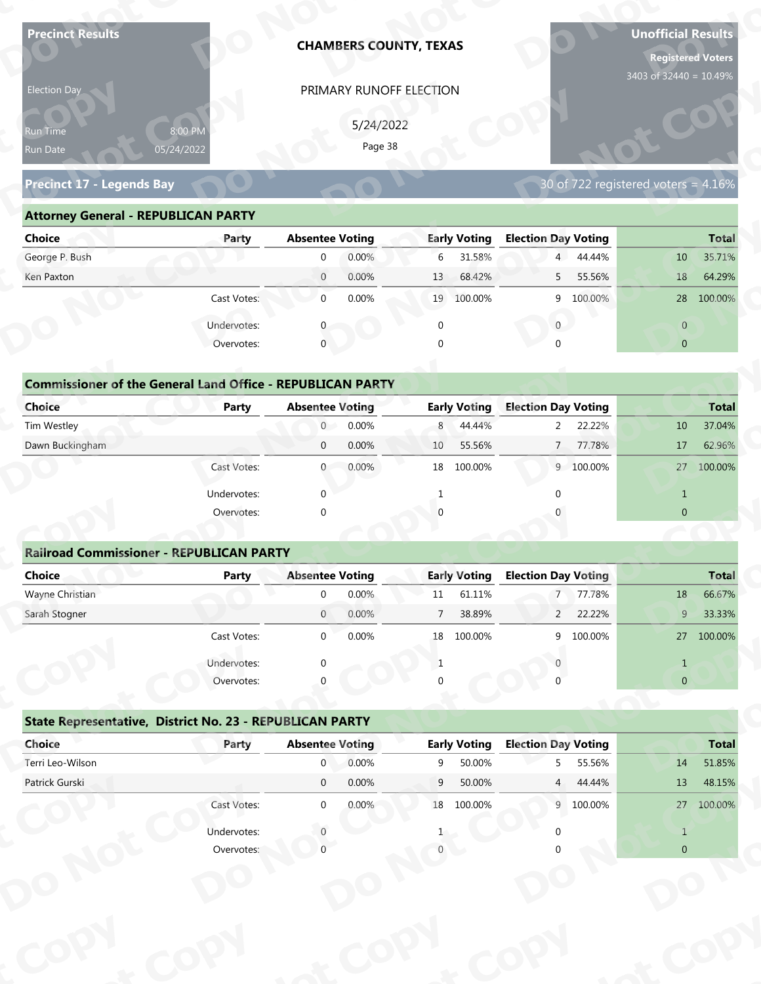| <b>Precinct Results</b>                                           |              |                                        |                      | <b>CHAMBERS COUNTY, TEXAS</b> |                               |                                 |           | <b>Unofficial Results</b><br><b>Registered Voters</b> |                        |
|-------------------------------------------------------------------|--------------|----------------------------------------|----------------------|-------------------------------|-------------------------------|---------------------------------|-----------|-------------------------------------------------------|------------------------|
| Election Day                                                      |              |                                        |                      | PRIMARY RUNOFF ELECTION       |                               |                                 |           | 3403 of 32440 = 10.49%                                |                        |
|                                                                   |              |                                        |                      |                               |                               |                                 |           |                                                       |                        |
| Run Time                                                          | 8:00 PM      |                                        | 5/24/2022<br>Page 38 |                               |                               |                                 |           |                                                       |                        |
| Run Date                                                          | 05/24/2022   |                                        |                      |                               |                               |                                 |           |                                                       |                        |
| <b>Precinct 17 - Legends Bay</b>                                  |              |                                        |                      |                               |                               |                                 |           | 30 of 722 registered voters = 4.16%                   |                        |
| <b>Attorney General - REPUBLICAN PARTY</b>                        |              |                                        |                      |                               |                               |                                 |           |                                                       |                        |
| <b>Choice</b>                                                     | Party        | <b>Absentee Voting</b>                 |                      |                               | <b>Early Voting</b>           | <b>Election Day Voting</b>      |           |                                                       | <b>Total</b>           |
| George P. Bush                                                    |              | $\mathbf 0$                            | 0.00%                | 6                             | 31.58%                        |                                 | 4 44.44%  | 10                                                    | 35.71%                 |
| Ken Paxton                                                        |              | $\overline{0}$                         | 0.00%                | 13                            | 68.42%                        | 5                               | 55.56%    | 18                                                    | 64.29%                 |
|                                                                   | Cast Votes:  | $\mathbf{0}$                           | 0.00%                |                               | 19 100.00%                    |                                 | 9 100.00% |                                                       | 28 100.00%             |
|                                                                   | Undervotes:  |                                        |                      | $\mathbf 0$                   |                               | $\overline{0}$                  |           | $\overline{0}$                                        |                        |
|                                                                   | Overvotes:   | $\mathbf{0}$                           |                      | $\Omega$                      |                               |                                 |           | $\overline{0}$                                        |                        |
|                                                                   |              |                                        |                      |                               |                               |                                 |           |                                                       |                        |
| <b>Commissioner of the General Land Office - REPUBLICAN PARTY</b> |              |                                        |                      |                               |                               |                                 |           |                                                       |                        |
| <b>Choice</b>                                                     | <b>Party</b> | <b>Absentee Voting</b>                 |                      |                               | <b>Early Voting</b>           | <b>Election Day Voting</b>      |           |                                                       | <b>Total</b>           |
| Tim Westley                                                       |              | $\overline{0}$                         | 0.00%                | 8                             | 44.44%                        | 2                               | 22.22%    | 10                                                    | 37.04%                 |
| Dawn Buckingham                                                   |              | $\mathbf 0$                            | 0.00%                | 10                            | 55.56%                        | $\overline{7}$                  | 77.78%    | 17                                                    | 62.96%                 |
|                                                                   | Cast Votes:  | $\overline{0}$                         | 0.00%                |                               | 18 100.00%                    |                                 | 9 100.00% |                                                       | 27 100.00%             |
|                                                                   | Undervotes:  | $\Omega$                               |                      | $\mathbf{1}$                  |                               | $\Omega$                        |           | $\mathbf{1}$                                          |                        |
|                                                                   | Overvotes:   | $\Omega$                               |                      |                               |                               |                                 |           | $\overline{0}$                                        |                        |
|                                                                   |              |                                        |                      |                               |                               |                                 |           |                                                       |                        |
| <b>Railroad Commissioner - REPUBLICAN PARTY</b>                   |              |                                        |                      |                               |                               |                                 |           |                                                       |                        |
| <b>Choice</b>                                                     | <b>Party</b> | <b>Absentee Voting</b>                 |                      |                               | <b>Early Voting</b>           | <b>Election Day Voting</b>      |           |                                                       | <b>Total</b>           |
| Wayne Christian                                                   |              | $\Omega$                               | 0.00%                | 11                            | 61.11%                        | $7^{\circ}$                     | 77.78%    | 18                                                    | 66.67%                 |
| Sarah Stogner                                                     |              | $\overline{0}$                         | 0.00%                | $7\overline{ }$               | 38.89%                        |                                 | 2 22.22%  | 9 <sup>°</sup>                                        | 33.33%                 |
|                                                                   | Cast Votes:  | $\overline{0}$                         | 0.00%                | 18                            | 100.00%                       |                                 | 9 100.00% |                                                       | 27 100.00%             |
|                                                                   | Undervotes:  | $\Omega$                               |                      | 1                             |                               |                                 |           | $\mathbf{1}$                                          |                        |
|                                                                   | Overvotes:   |                                        |                      |                               |                               |                                 |           | $\overline{0}$                                        |                        |
|                                                                   |              |                                        |                      |                               |                               |                                 |           |                                                       |                        |
| State Representative, District No. 23 - REPUBLICAN PARTY          |              |                                        |                      |                               |                               |                                 |           |                                                       |                        |
| Choice<br>Terri Leo-Wilson                                        | Party        | <b>Absentee Voting</b><br>$\mathbf{0}$ | 0.00%                | 9                             | <b>Early Voting</b><br>50.00% | <b>Election Day Voting</b><br>5 | 55.56%    | 14                                                    | <b>Total</b><br>51.85% |
| Patrick Gurski                                                    |              | $\overline{0}$                         | 0.00%                | 9                             | 50.00%                        | 4                               | 44.44%    | 13                                                    | 48.15%                 |
|                                                                   | Cast Votes:  | $\overline{0}$                         | 0.00%                |                               | 18 100.00%                    |                                 | 9 100.00% |                                                       | 27 100.00%             |
|                                                                   |              |                                        |                      |                               |                               |                                 |           |                                                       |                        |
|                                                                   | Undervotes:  |                                        |                      |                               |                               |                                 |           | $\mathbf{1}$                                          |                        |
|                                                                   | Overvotes:   |                                        |                      |                               |                               |                                 |           | $\Omega$                                              |                        |
|                                                                   |              |                                        |                      |                               |                               |                                 |           |                                                       |                        |

| Election Day                                                                       |                           |                        | PRIMARY RUNOFF ELECTION |                |                     |                            |                       |                                     |              |
|------------------------------------------------------------------------------------|---------------------------|------------------------|-------------------------|----------------|---------------------|----------------------------|-----------------------|-------------------------------------|--------------|
| Run Time<br>05/24/2022<br>Run Date                                                 | 8:00 PM                   |                        | 5/24/2022<br>Page 38    |                |                     |                            |                       |                                     |              |
| <b>Precinct 17 - Legends Bay</b>                                                   |                           |                        |                         |                |                     |                            |                       | 30 of 722 registered voters = 4.16% |              |
| <b>Attorney General - REPUBLICAN PARTY</b>                                         |                           |                        |                         |                |                     |                            |                       |                                     |              |
| <b>Choice</b>                                                                      | Party                     | <b>Absentee Voting</b> |                         |                | <b>Early Voting</b> | <b>Election Day Voting</b> |                       |                                     | <b>Total</b> |
| George P. Bush                                                                     |                           | $\mathbf 0$            | 0.00%                   | 6              | 31.58%              |                            | 4 44.44%              | 10                                  | 35.71%       |
| Ken Paxton                                                                         |                           | $\overline{0}$         | 0.00%                   | 13             | 68.42%              | 5 <sup>7</sup>             | 55.56%                | 18                                  | 64.29%       |
|                                                                                    | Cast Votes:               | $\mathbf 0$            | 0.00%                   |                | 19 100.00%          |                            | 9 100.00%             |                                     | 28 100.00%   |
|                                                                                    | Undervotes:               | $\mathbf{0}$           |                         | $\mathbf 0$    |                     | $\mathbf{0}$               |                       | $\overline{0}$                      |              |
|                                                                                    | Overvotes:                | $\mathbf{0}$           |                         | $\Omega$       |                     |                            |                       | $\overline{0}$                      |              |
| <b>Commissioner of the General Land Office - REPUBLICAN PARTY</b><br><b>Choice</b> | Party                     | <b>Absentee Voting</b> |                         |                | <b>Early Voting</b> | <b>Election Day Voting</b> |                       |                                     | <b>Total</b> |
| Tim Westley                                                                        |                           | $\overline{0}$         | 0.00%                   | 8              | 44.44%              |                            | 22.22%<br>$2^{\circ}$ | 10                                  | 37.04%       |
| Dawn Buckingham                                                                    |                           | $\mathbf 0$            | 0.00%                   | 10             | 55.56%              | 7                          | 77.78%                | 17                                  | 62.96%       |
|                                                                                    | Cast Votes:               | $\overline{0}$         | 0.00%                   | 18             | 100.00%             |                            | 9 100.00%             |                                     | 27 100.00%   |
|                                                                                    | Undervotes:               | $\Omega$               |                         |                |                     |                            |                       | $\mathbf{1}$                        |              |
|                                                                                    | Overvotes:                | $\Omega$               |                         |                |                     |                            |                       | $\overline{0}$                      |              |
|                                                                                    |                           |                        |                         |                |                     |                            |                       |                                     |              |
| <b>Railroad Commissioner - REPUBLICAN PARTY</b>                                    |                           |                        |                         |                |                     |                            |                       |                                     |              |
| <b>Choice</b>                                                                      | <b>Party</b>              | <b>Absentee Voting</b> |                         |                | <b>Early Voting</b> | <b>Election Day Voting</b> |                       |                                     | <b>Total</b> |
| Wayne Christian                                                                    |                           | $\mathbf 0$            | 0.00%                   | 11             | 61.11%              | $\overline{7}$             | 77.78%                | 18                                  | 66.67%       |
| Sarah Stogner                                                                      |                           | $\overline{0}$         | 0.00%                   | $\overline{7}$ | 38.89%              | $2^{\circ}$                | 22.22%                | 9                                   | 33.33%       |
|                                                                                    | Cast Votes:               | $\Omega$               | 0.00%                   |                | 18 100.00%          |                            | 9 100.00%             |                                     | 27 100.00%   |
|                                                                                    | Undervotes:               |                        |                         | 1              |                     |                            |                       | $\mathbf{1}$                        |              |
|                                                                                    | Overvotes:                |                        |                         |                |                     |                            |                       | $\overline{0}$                      |              |
|                                                                                    |                           |                        |                         |                |                     |                            |                       |                                     |              |
| State Representative, District No. 23 - REPUBLICAN PARTY                           |                           |                        |                         |                |                     |                            |                       |                                     |              |
| Choice                                                                             | Party                     | <b>Absentee Voting</b> |                         |                | <b>Early Voting</b> | <b>Election Day Voting</b> |                       |                                     | <b>Total</b> |
| Terri Leo-Wilson                                                                   |                           | $\mathbf{0}$           | 0.00%                   | 9              | 50.00%              | 5                          | 55.56%                | 14                                  | 51.85%       |
| Patrick Gurski                                                                     |                           | $\overline{0}$         | 0.00%                   | 9              | 50.00%              |                            | 4 44.44%              | 13                                  | 48.15%       |
|                                                                                    | Cast Votes:               | $\overline{0}$         | 0.00%                   |                | 18 100.00%          |                            | 9 100.00%             |                                     | 27 100.00%   |
|                                                                                    | Undervotes:<br>Overvotes: |                        |                         |                |                     |                            |                       | $\mathbf{1}$<br>$\overline{0}$      |              |
|                                                                                    |                           |                        |                         |                |                     |                            |                       |                                     |              |
|                                                                                    |                           |                        |                         |                |                     |                            |                       |                                     |              |
|                                                                                    |                           |                        |                         |                |                     |                            |                       |                                     |              |

# **y**

|                                                                   | Party        | <b>Absentee Voting</b> |       |                | <b>Early Voting</b> | <b>Election Day Voting</b> |           |                 | <b>Total</b> |
|-------------------------------------------------------------------|--------------|------------------------|-------|----------------|---------------------|----------------------------|-----------|-----------------|--------------|
| George P. Bush                                                    |              | $\mathbf{0}$           | 0.00% | 6              | 31.58%              | 4 <sup>1</sup>             | 44.44%    | 10              | 35.71%       |
| Ken Paxton                                                        |              | $\overline{0}$         | 0.00% | 13             | 68.42%              | 5                          | 55.56%    | 18              | 64.29%       |
|                                                                   | Cast Votes:  | $\mathbf 0$            | 0.00% |                | 19 100.00%          |                            | 9 100.00% | 28              | 100.00%      |
|                                                                   | Undervotes:  | 0                      |       | $\mathbf 0$    |                     | $\overline{0}$             |           | $\overline{0}$  |              |
|                                                                   | Overvotes:   | $\mathbf{0}$           |       |                |                     | $\Omega$                   |           | $\overline{0}$  |              |
|                                                                   |              |                        |       |                |                     |                            |           |                 |              |
| <b>Commissioner of the General Land Office - REPUBLICAN PARTY</b> |              |                        |       |                |                     |                            |           |                 |              |
| Choice                                                            | <b>Party</b> | <b>Absentee Voting</b> |       |                | <b>Early Voting</b> | <b>Election Day Voting</b> |           |                 | <b>Total</b> |
| Tim Westley                                                       |              | $\overline{0}$         | 0.00% | 8              | 44.44%              | $\overline{2}$             | 22.22%    | 10              | 37.04%       |
| Dawn Buckingham                                                   |              | $\mathbf 0$            | 0.00% | 10             | 55.56%              | $7^{\circ}$                | 77.78%    | 17              | 62.96%       |
|                                                                   | Cast Votes:  | $\mathbf{0}$           | 0.00% | 18             | 100.00%             |                            | 9 100.00% | 27              | 100.00%      |
|                                                                   | Undervotes:  | $\mathbf{0}$           |       | -1             |                     | ∩                          |           | $\mathbf{1}$    |              |
|                                                                   | Overvotes:   | $\mathbf 0$            |       | 0              |                     |                            |           | $\overline{0}$  |              |
|                                                                   |              |                        |       |                |                     |                            |           |                 |              |
| <b>Railroad Commissioner - REPUBLICAN PARTY</b>                   |              |                        |       |                |                     |                            |           |                 |              |
| <b>Choice</b>                                                     | Party        | <b>Absentee Voting</b> |       |                | <b>Early Voting</b> | <b>Election Day Voting</b> |           |                 | <b>Total</b> |
| Wayne Christian                                                   |              | $\mathbf 0$            | 0.00% | $11\,$         | 61.11%              | $\overline{7}$             | 77.78%    | 18              | 66.67%       |
| Sarah Stogner                                                     |              | $\mathbf{0}$           | 0.00% | $\overline{7}$ | 38.89%              | $\overline{2}$             | 22.22%    | 9               | 33.33%       |
|                                                                   | Cast Votes:  | $\mathbf{0}$           | 0.00% |                | 18 100.00%          |                            | 9 100.00% |                 | 27 100.00%   |
|                                                                   | Undervotes:  | 0                      |       | 1              |                     | $\Omega$                   |           | $\mathbf{1}$    |              |
|                                                                   | Overvotes:   | $\Omega$               |       |                |                     |                            |           | $\pmb{0}$       |              |
|                                                                   |              |                        |       |                |                     |                            |           |                 |              |
|                                                                   |              |                        |       |                |                     |                            |           |                 |              |
| State Representative, District No. 23 - REPUBLICAN PARTY          |              |                        |       |                |                     |                            |           |                 |              |
| Choice                                                            | Party        | <b>Absentee Voting</b> |       |                | <b>Early Voting</b> | <b>Election Day Voting</b> |           |                 | <b>Total</b> |
| Terri Leo-Wilson                                                  |              | $\mathbf{0}$           | 0.00% | 9              | 50.00%              | 5                          | 55.56%    | 14              | 51.85%       |
| Patrick Gurski                                                    |              | $\Omega$               | 0.00% | 9              | 50.00%              |                            | 4 44.44%  | 13 <sup>°</sup> | 48.15%       |
|                                                                   | Cast Votes:  | $\boldsymbol{0}$       | 0.00% |                | 18 100.00%          |                            | 9 100.00% |                 | 27 100.00%   |
|                                                                   | Undervotes:  | $\Omega$               |       |                |                     | 0                          |           | $\mathbf 1$     |              |

### **Railroad Commissioner - REPUBLICAN PARTY Choice Party Absentee Voting Early Voting Election Day Voting Total** Wayne Christian 0 0.00% 11 61.11% 7 77.78% 18 66.67% Sarah Stogner 0 0.00% 7 38.89% 2 22.22% 9 33.33% Cast Votes: 0 0.00% 18 100.00% 9 100.00% 27 100.00% Undervotes: 0 1 0 1 **Example 20**<br> **Railroad Commissioner - REPUBLICAN P<br>
Choice Party** Under<br>Over **Railroad Com**<br> **Choice**<br> **Wayne Christian**<br> **Sarab Stegner oEarly Voting <sup>p</sup> y d**<br>Absentee  $\begin{bmatrix} 0 & 0.00\% \\ 0 & 0.00\% \end{bmatrix}$ **Prove Solution Section** Section 2009/10 2009/2012 **op**  $\begin{bmatrix} 18 \\ 1 \\ 0 \end{bmatrix}$ **<u>Noting</u><br>77 78% DtCD Railroad Commiss<br>
Choice**<br>
Wayne Christian<br>
Sarah Stogner **Choice**<br>
Wayne Christian<br>
Sarah Stogner Overvotes<br> **Railroad Commissioner - REPUBLICAN P<br>
Choice Party**<br>
Sarah Stogner<br>
Cast Votes<br>
Undervotes<br>
Overvotes<br>
State Representative, District No. 23 - F<br>
Choice Party<br>
Terri Leo-Wilson<br>
Patrick Gurski<br>
Cast Votes<br>
Unde mmissior<br>**ot ch**<br>
Tim<br>
Dat<br>
Dat<br>
Ma<br>
San<br>
San<br>
Dat<br>
Dat<br>
Ter<br>
Pat **DState Representat dervotes** <sup>0</sup><br> **Copolity**<br> **Copolity**<br> **Copolity Commissioner of the General Land Office<br>
Tim Westley<br>
Dawn Buckingham<br>
Davan Buckingham<br>
Cast Votes<br>
Undervotes<br>
Overvotes<br>
Railroad Commissioner - REPUBLICAN P<br>
Choice<br>
Wayne Christian<br>
Sarah Stogner<br>
Cast Votes<br>
Undervo N pyot o** $\overline{2}$ **ot pyo** $\begin{array}{c|c}\n & \text{Total} \\
\hline\n3 & 66.67\% \\
\hline\n9 & 33.33\% \\
\end{array}$ **Total**<br>66.67% 33.33%  $\begin{bmatrix} 1 \\ 0 \end{bmatrix}$ **ot o o p**<br>**p**<br>**p**<br>**p**<br>**p**<br>**p**

### **State Representative, District No. 23 - REPUBLICAN PARTY ot C**  $\frac{1}{\sqrt{2}}$

|                                                 | Overvotes:  | $\Omega$               |       | $\mathbf{0}$   |                     | $\Omega$                   |           | $\Omega$       |              |
|-------------------------------------------------|-------------|------------------------|-------|----------------|---------------------|----------------------------|-----------|----------------|--------------|
| <b>Railroad Commissioner - REPUBLICAN PARTY</b> |             |                        |       |                |                     |                            |           |                |              |
| <b>Choice</b>                                   | Party       | <b>Absentee Voting</b> |       |                | <b>Early Voting</b> | <b>Election Day Voting</b> |           |                | <b>Total</b> |
| Wayne Christian                                 |             | $\Omega$               | 0.00% | 11             | 61.11%              | $7 -$                      | 77.78%    | 18             | 66.67%       |
| Sarah Stogner                                   |             | $\overline{0}$         | 0.00% | $\overline{7}$ | 38.89%              | $2^{\circ}$                | 22.22%    | 9              | 33.33%       |
|                                                 | Cast Votes: | $\mathbf 0$            | 0.00% |                | 18 100.00%          | 9                          | 100.00%   |                | 27 100.00%   |
|                                                 | Undervotes: | $\Omega$               |       | 1              |                     | <sup>n</sup>               |           | $\mathbf{1}$   |              |
|                                                 | Overvotes:  |                        |       |                |                     |                            |           | $\overline{0}$ |              |
| Choice                                          | Party       | <b>Absentee Voting</b> |       |                | <b>Early Voting</b> | <b>Election Day Voting</b> |           |                |              |
|                                                 |             |                        |       |                |                     |                            |           |                | <b>Total</b> |
| Terri Leo-Wilson                                |             | $\overline{0}$         | 0.00% | 9              | 50.00%              |                            | 5 55.56%  | 14             | 51.85%       |
| Patrick Gurski                                  |             | $\mathbf 0$            | 0.00% | 9              | 50.00%              | 4                          | 44.44%    | 13             | 48.15%       |
|                                                 | Cast Votes: | $\mathbf{0}$           | 0.00% |                | 18 100.00%          |                            | 9 100.00% |                | 27 100.00%   |
|                                                 | Undervotes: |                        |       |                |                     | U                          |           | $\overline{1}$ |              |
|                                                 | Overvotes:  |                        |       |                |                     |                            |           | $\mathbf{0}$   |              |
|                                                 |             |                        |       |                |                     |                            |           |                |              |
|                                                 |             |                        |       |                |                     |                            |           |                |              |
|                                                 |             |                        |       |                |                     |                            |           |                |              |
|                                                 |             |                        |       |                |                     |                            |           |                |              |
|                                                 |             |                        |       |                |                     |                            |           |                |              |
|                                                 |             |                        |       |                |                     |                            |           |                |              |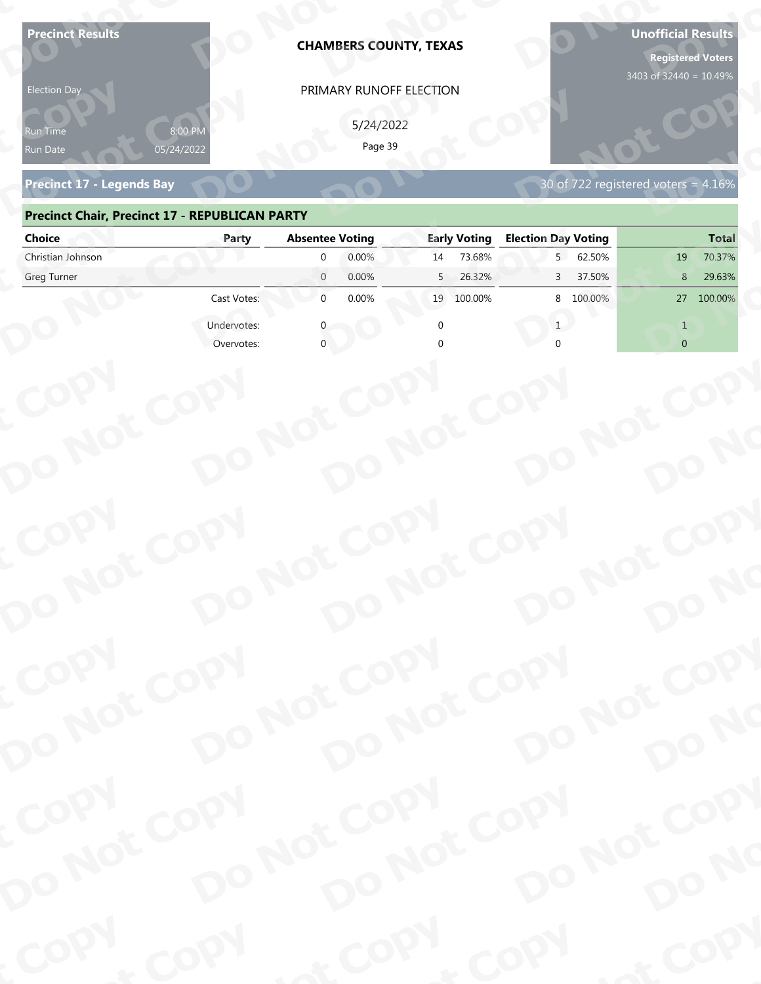| <b>Precinct Results</b><br><b>Election Day</b><br>የun Time | 8:00 PM     |                                              | <b>CHAMBERS COUNTY, TEXAS</b><br>PRIMARY RUNOFF ELECTION<br>5/24/2022<br>Page 39 | <b>Registered Voters</b><br>3403 of 32440 = 10.49% |                                        |  |
|------------------------------------------------------------|-------------|----------------------------------------------|----------------------------------------------------------------------------------|----------------------------------------------------|----------------------------------------|--|
| 05/24/2022<br>Run Date<br><b>Precinct 17 - Legends Bay</b> |             |                                              |                                                                                  |                                                    | 30 of 722 registered voters = $4.16\%$ |  |
| <b>Precinct Chair, Precinct 17 - REPUBLICAN PARTY</b>      |             |                                              |                                                                                  |                                                    |                                        |  |
| <b>Choice</b>                                              | Party       | <b>Absentee Voting</b>                       | <b>Early Voting</b>                                                              | <b>Election Day Voting</b>                         | <b>Total</b>                           |  |
| Christian Johnson<br>Greg Turner                           |             | 0.00%<br>$\Omega$<br>$\overline{0}$<br>0.00% | 73.68%<br>14<br>26.32%<br>5                                                      | 62.50%<br>5<br>37.50%<br>3                         | 70.37%<br>19<br>29.63%<br>8            |  |
|                                                            | Cast Votes: | $\mathbf{0}$<br>0.00%                        | 100.00%<br>19                                                                    | 8 100.00%                                          | 100.00%<br>27                          |  |
|                                                            | Undervotes: |                                              |                                                                                  |                                                    |                                        |  |
|                                                            | Overvotes:  |                                              |                                                                                  |                                                    | $\overline{0}$                         |  |
| COPY<br>DO NOT COPY                                        |             | DO NOT COPY                                  | DO NOT COPY                                                                      | DO NOT COPY                                        | DO NO                                  |  |
| COPY<br>DO NOT COPY                                        |             | DO NOT COPY                                  | DO NOT COPY                                                                      | DO NOT COPY                                        |                                        |  |
|                                                            |             |                                              |                                                                                  |                                                    | DO NO                                  |  |
| COPY<br>DO NOT COPY                                        |             | DO NOT COPY                                  | DO NOT COPY                                                                      | DO NOT COPY                                        |                                        |  |
|                                                            |             |                                              |                                                                                  |                                                    | DO NO                                  |  |
| COPY                                                       | COPY        | & COPY                                       |                                                                                  | COPY                                               | of COPY                                |  |

### **Precinct Chair, Precinct 17 - REPUBLICAN PARTY**

| <b>Election Day</b>                                   |             | PRIMARY RUNOFF ELECTION    |                     |                            |                                     |
|-------------------------------------------------------|-------------|----------------------------|---------------------|----------------------------|-------------------------------------|
| Run Time                                              | 8:00 PN     | 5/24/2022<br>Page 39       |                     |                            |                                     |
| Run Date<br><b>Precinct 17 - Legends Bay</b>          | 05/24/2022  |                            |                     |                            | 30 of 722 registered voters = 4.16% |
| <b>Precinct Chair, Precinct 17 - REPUBLICAN PARTY</b> |             |                            |                     |                            |                                     |
| <b>Choice</b>                                         | Party       | <b>Absentee Voting</b>     | <b>Early Voting</b> | <b>Election Day Voting</b> | <b>Total</b>                        |
| Christian Johnson                                     |             | 0.00%<br>$\mathbf{0}$      | 73.68%<br>14        | 5 62.50%                   | 70.37%<br>19                        |
| Greg Turner                                           |             | $\overline{0}$<br>0.00%    | 26.32%<br>5         | 37.50%<br>$\mathbf{3}$     | 29.63%<br>8                         |
|                                                       | Cast Votes: | 0.00%<br>$\overline{0}$    | 19 100.00%          | 8 100.00%                  | 27 100.00%                          |
|                                                       | Undervotes: |                            |                     | 1                          | $\mathbf{1}$                        |
|                                                       | Overvotes:  |                            |                     |                            | $\overline{0}$                      |
|                                                       |             |                            |                     |                            |                                     |
|                                                       |             |                            |                     |                            |                                     |
|                                                       |             |                            |                     |                            |                                     |
|                                                       |             |                            |                     |                            |                                     |
|                                                       |             |                            |                     |                            |                                     |
|                                                       |             |                            |                     |                            |                                     |
|                                                       |             |                            |                     |                            |                                     |
|                                                       |             |                            |                     |                            |                                     |
|                                                       |             |                            |                     |                            |                                     |
|                                                       |             |                            |                     |                            |                                     |
|                                                       |             |                            |                     |                            |                                     |
| COPY                                                  |             |                            |                     |                            |                                     |
|                                                       |             |                            |                     |                            |                                     |
|                                                       |             |                            |                     |                            |                                     |
|                                                       |             |                            |                     |                            |                                     |
|                                                       |             |                            |                     |                            |                                     |
| DO NOT COPY                                           |             | DO NOT COPY<br>DO NOT COPY |                     | DO NOT COPY                | DO NO                               |
| COPY                                                  |             |                            |                     |                            |                                     |
|                                                       |             |                            |                     |                            |                                     |
|                                                       |             |                            |                     |                            |                                     |
|                                                       |             | DO NOT COPY<br>DO NOT COPY |                     | DO NOT COPY                | DO NO                               |
|                                                       |             |                            |                     |                            |                                     |
| DO NOT COPY                                           |             |                            |                     |                            |                                     |
| <b>POO.</b>                                           | <b>And</b>  |                            | $P_{\rm O_2}$       | <b>LON</b>                 | ·ODW                                |
|                                                       |             |                            |                     |                            |                                     |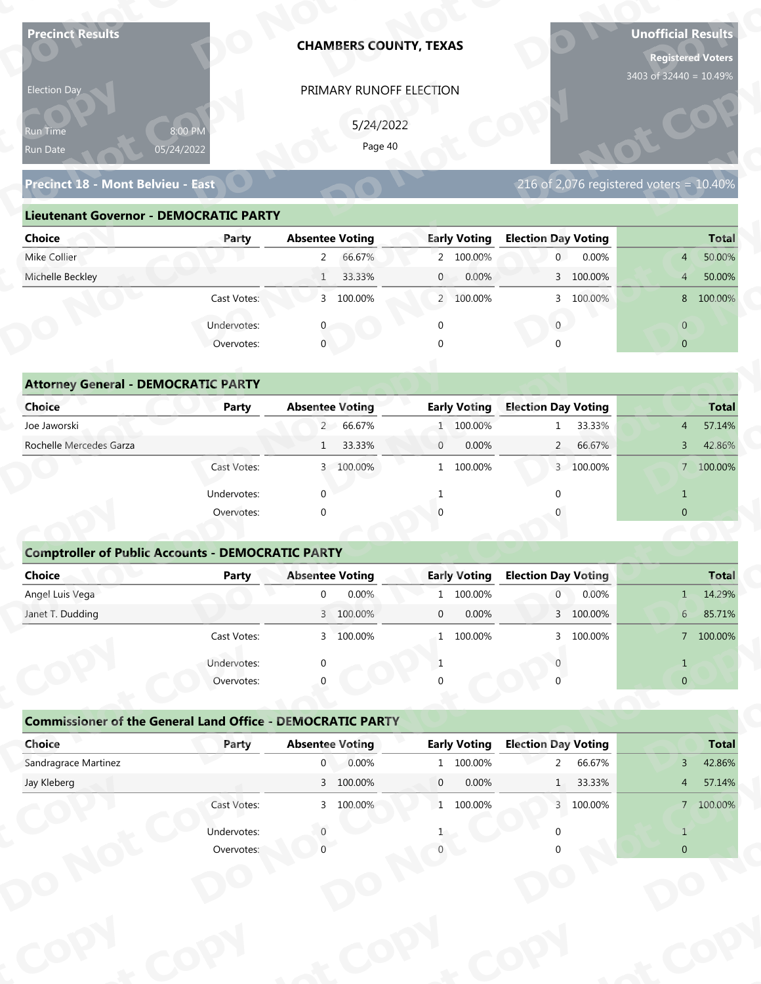| <b>Precinct Results</b>                                           |                           |                                          | <b>CHAMBERS COUNTY, TEXAS</b> |                |                                  |                                              |           | <b>Unofficial Results</b><br><b>Registered Voters</b><br>3403 of 32440 = 10.49% |                        |
|-------------------------------------------------------------------|---------------------------|------------------------------------------|-------------------------------|----------------|----------------------------------|----------------------------------------------|-----------|---------------------------------------------------------------------------------|------------------------|
| Election Day                                                      |                           |                                          | PRIMARY RUNOFF ELECTION       |                |                                  |                                              |           |                                                                                 |                        |
|                                                                   |                           |                                          | 5/24/2022                     |                |                                  |                                              |           |                                                                                 |                        |
| Run Time<br>Run Date                                              | 8:00 PM<br>05/24/2022     |                                          | Page 40                       |                |                                  |                                              |           |                                                                                 |                        |
|                                                                   |                           |                                          |                               |                |                                  |                                              |           |                                                                                 |                        |
| Precinct 18 - Mont Belvieu - East                                 |                           |                                          |                               |                |                                  |                                              |           | 216 of 2,076 registered voters = $10.40\%$                                      |                        |
| <b>Lieutenant Governor - DEMOCRATIC PARTY</b>                     |                           |                                          |                               |                |                                  |                                              |           |                                                                                 |                        |
| <b>Choice</b>                                                     | Party                     | <b>Absentee Voting</b>                   |                               |                | <b>Early Voting</b>              | <b>Election Day Voting</b>                   |           |                                                                                 | <b>Total</b>           |
| Mike Collier                                                      |                           | $2^{\circ}$                              | 66.67%                        |                | 2 100.00%                        | $\overline{0}$                               | 0.00%     | 4                                                                               | 50.00%                 |
| Michelle Beckley                                                  |                           | $\mathbf{1}$                             | 33.33%                        | $\mathbf{0}$   | 0.00%                            |                                              | 3 100.00% | $\overline{4}$                                                                  | 50.00%                 |
|                                                                   | Cast Votes:               |                                          | 3 100.00%                     |                | 2 100.00%                        |                                              | 3 100.00% |                                                                                 | 8 100.00%              |
|                                                                   | Undervotes:               |                                          |                               | $\mathbf 0$    |                                  | $\overline{0}$                               |           | $\overline{0}$                                                                  |                        |
|                                                                   | Overvotes:                | $\mathbf{0}$                             |                               |                |                                  |                                              |           | $\overline{0}$                                                                  |                        |
|                                                                   |                           |                                          |                               |                |                                  |                                              |           |                                                                                 |                        |
| <b>Attorney General - DEMOCRATIC PARTY</b>                        |                           |                                          |                               |                |                                  |                                              |           |                                                                                 |                        |
| <b>Choice</b><br>Joe Jaworski                                     | <b>Party</b>              | <b>Absentee Voting</b>                   | 2 66.67%                      |                | <b>Early Voting</b><br>1 100.00% | <b>Election Day Voting</b>                   | 33.33%    | $\overline{4}$                                                                  | <b>Total</b><br>57.14% |
| Rochelle Mercedes Garza                                           |                           | $\mathbf{1}$                             | 33.33%                        | $\mathbf{0}$   | 0.00%                            | 2                                            | 66.67%    | $\mathbf{3}$                                                                    | 42.86%                 |
|                                                                   | Cast Votes:               |                                          | 3 100.00%                     |                | 1 100.00%                        |                                              | 3 100.00% |                                                                                 | 7 100.00%              |
|                                                                   |                           |                                          |                               |                |                                  |                                              |           |                                                                                 |                        |
|                                                                   | Undervotes:<br>Overvotes: | $\Omega$<br>$\Omega$                     |                               | $\mathbf{1}$   |                                  | $\Omega$                                     |           | $\mathbf{1}$<br>$\overline{0}$                                                  |                        |
|                                                                   |                           |                                          |                               |                |                                  |                                              |           |                                                                                 |                        |
| <b>Comptroller of Public Accounts - DEMOCRATIC PARTY</b>          |                           |                                          |                               |                |                                  |                                              |           |                                                                                 |                        |
| Choice                                                            | Party                     | <b>Absentee Voting</b>                   |                               |                | <b>Early Voting</b>              | <b>Election Day Voting</b>                   |           |                                                                                 | <b>Total</b>           |
| Angel Luis Vega                                                   |                           | $\overline{0}$                           | 0.00%                         | $\mathbf{1}$   | 100.00%                          | $\overline{0}$                               | 0.00%     | $1 -$                                                                           | 14.29%                 |
| Janet T. Dudding                                                  |                           |                                          | 3 100.00%                     | $\mathbf 0$    | 0.00%                            |                                              | 3 100.00% | $6 -$                                                                           | 85.71%                 |
|                                                                   | Cast Votes:               |                                          | 3 100.00%                     |                | 1 100.00%                        |                                              | 3 100.00% |                                                                                 | 7 100.00%              |
|                                                                   | Undervotes:               |                                          |                               | 1              |                                  |                                              |           | $\mathbf{1}$                                                                    |                        |
|                                                                   | Overvotes:                |                                          |                               |                |                                  |                                              |           | $\overline{0}$                                                                  |                        |
|                                                                   |                           |                                          |                               |                |                                  |                                              |           |                                                                                 |                        |
| <b>Commissioner of the General Land Office - DEMOCRATIC PARTY</b> |                           |                                          |                               |                |                                  |                                              |           |                                                                                 |                        |
| Choice<br>Sandragrace Martinez                                    | Party                     | <b>Absentee Voting</b><br>$\overline{0}$ | 0.00%                         |                | <b>Early Voting</b><br>1 100.00% | <b>Election Day Voting</b><br>$\overline{2}$ | 66.67%    | $\mathbf{3}$                                                                    | <b>Total</b><br>42.86% |
| Jay Kleberg                                                       |                           |                                          | 3 100.00%                     | $\overline{0}$ | 0.00%                            | 1                                            | 33.33%    | $\overline{4}$                                                                  | 57.14%                 |
|                                                                   | Cast Votes:               |                                          | 3 100.00%                     |                | 1 100.00%                        |                                              | 3 100.00% |                                                                                 | 7 100.00%              |
|                                                                   |                           |                                          |                               |                |                                  |                                              |           |                                                                                 |                        |
|                                                                   |                           |                                          |                               |                |                                  |                                              |           | $\mathbf{1}$                                                                    |                        |
|                                                                   | Undervotes:<br>Overvotes: |                                          |                               |                |                                  |                                              |           | $\Omega$                                                                        |                        |

| 5/24/2022<br>8:00 PM<br><b>Run Time</b><br>Page 40<br>05/24/2022<br>Run Date                                                 |
|------------------------------------------------------------------------------------------------------------------------------|
|                                                                                                                              |
| 216 of 2,076 registered voters = 10.40%<br>Precinct 18 - Mont Belvieu - East                                                 |
| <b>Lieutenant Governor - DEMOCRATIC PARTY</b>                                                                                |
| <b>Absentee Voting</b><br><b>Early Voting</b><br><b>Election Day Voting</b><br>Choice<br><b>Total</b><br>Party               |
| Mike Collier<br>66.67%<br>2 100.00%<br>$\overline{0}$<br>0.00%<br>50.00%<br>$2^{\circ}$<br>$\overline{4}$                    |
| Michelle Beckley<br>33.33%<br>0.00%<br>3 100.00%<br>50.00%<br>1<br>$\overline{0}$<br>4 <sup>1</sup>                          |
| 3 100.00%<br>3 100.00%<br>8 100.00%<br>Cast Votes:<br>2 100.00%                                                              |
| Undervotes:<br>$\overline{0}$<br>$\overline{0}$                                                                              |
| $\mathbf 0$<br>Overvotes:<br>$\Omega$<br>$\overline{0}$                                                                      |
|                                                                                                                              |
| <b>Attorney General - DEMOCRATIC PARTY</b>                                                                                   |
| <b>Choice</b><br><b>Absentee Voting</b><br><b>Early Voting</b><br><b>Election Day Voting</b><br><b>Total</b><br><b>Party</b> |
| Joe Jaworski<br>2 66.67%<br>100.00%<br>33.33%<br>57.14%<br>1<br>$\overline{4}$                                               |
| Rochelle Mercedes Garza<br>33.33%<br>0.00%<br>2 66.67%<br>$\mathbf{0}$<br>42.86%<br>$\mathbf{3}$<br>1                        |
| 7 100.00%<br>3 100.00%<br>100.00%<br>3 100.00%<br>Cast Votes:<br>$\mathbf{1}$                                                |

|                                               |                                                          | PRIMARY RUNOFF ELECTION                                           |                         |                                            |                                                                                                                |  |  |  |
|-----------------------------------------------|----------------------------------------------------------|-------------------------------------------------------------------|-------------------------|--------------------------------------------|----------------------------------------------------------------------------------------------------------------|--|--|--|
|                                               |                                                          | 5/24/2022                                                         |                         |                                            |                                                                                                                |  |  |  |
| Run Time                                      | 8:00 PM                                                  | Page 40                                                           |                         |                                            |                                                                                                                |  |  |  |
| Run Date                                      | 05/24/2022                                               |                                                                   |                         |                                            |                                                                                                                |  |  |  |
| Precinct 18 - Mont Belvieu - East             |                                                          |                                                                   |                         | 216 of 2,076 registered voters = $10.40\%$ |                                                                                                                |  |  |  |
| <b>Lieutenant Governor - DEMOCRATIC PARTY</b> |                                                          |                                                                   |                         |                                            |                                                                                                                |  |  |  |
| <b>Choice</b>                                 | Party                                                    | <b>Absentee Voting</b>                                            | <b>Early Voting</b>     | <b>Election Day Voting</b>                 | <b>Total</b>                                                                                                   |  |  |  |
| Mike Collier                                  |                                                          | 66.67%<br>$2^{\circ}$                                             | 2 100.00%               | 0.00%<br>$\overline{0}$                    | 50.00%<br>$\overline{4}$                                                                                       |  |  |  |
| Michelle Beckley                              |                                                          | 33.33%<br>1                                                       | 0.00%<br>$\mathbf{0}$   | 3 100.00%                                  | 50.00%<br>$\overline{4}$                                                                                       |  |  |  |
|                                               | Cast Votes:                                              | 3 100.00%                                                         | 2 100.00%               | 3 100.00%                                  | 8 100.00%                                                                                                      |  |  |  |
|                                               | Undervotes:                                              |                                                                   | $\mathbf{0}$            | $\overline{0}$                             | $\overline{0}$                                                                                                 |  |  |  |
|                                               | Overvotes:                                               | $\mathbf{0}$                                                      |                         |                                            | $\overline{0}$                                                                                                 |  |  |  |
|                                               |                                                          |                                                                   |                         |                                            |                                                                                                                |  |  |  |
| <b>Attorney General - DEMOCRATIC PARTY</b>    |                                                          |                                                                   |                         |                                            |                                                                                                                |  |  |  |
| Choice                                        | <b>Party</b>                                             | <b>Absentee Voting</b>                                            | <b>Early Voting</b>     | <b>Election Day Voting</b>                 | <b>Total</b>                                                                                                   |  |  |  |
| Joe Jaworski                                  |                                                          | 2 66.67%                                                          | 1 100.00%               | 1 33.33%                                   | 57.14%<br>$\overline{4}$                                                                                       |  |  |  |
| Rochelle Mercedes Garza                       |                                                          | 33.33%<br>1                                                       | $\overline{0}$<br>0.00% | 66.67%<br>2                                | 42.86%<br>3                                                                                                    |  |  |  |
|                                               | Cast Votes:                                              | 3 100.00%                                                         | 1 100.00%               | 3 100.00%                                  | 7 100.00%                                                                                                      |  |  |  |
|                                               | Undervotes:                                              | $\Omega$                                                          |                         |                                            | $\mathbf{1}$                                                                                                   |  |  |  |
|                                               | Overvotes:                                               | $\Omega$                                                          |                         |                                            | $\overline{0}$                                                                                                 |  |  |  |
|                                               |                                                          |                                                                   |                         |                                            |                                                                                                                |  |  |  |
|                                               | <b>Comptroller of Public Accounts - DEMOCRATIC PARTY</b> |                                                                   |                         |                                            |                                                                                                                |  |  |  |
|                                               |                                                          |                                                                   |                         |                                            |                                                                                                                |  |  |  |
| <b>Choice</b>                                 | <b>Party</b>                                             | <b>Absentee Voting</b>                                            | <b>Early Voting</b>     | <b>Election Day Voting</b>                 |                                                                                                                |  |  |  |
| Angel Luis Vega                               |                                                          | 0.00%<br>$\mathbf 0$                                              | 1 100.00%               | 0.00%<br>0                                 | $\mathbf{1}$                                                                                                   |  |  |  |
| Janet T. Dudding                              |                                                          | 3 100.00%                                                         | 0.00%<br>$\mathbf 0$    | 3 100.00%                                  | 6                                                                                                              |  |  |  |
|                                               | Cast Votes:                                              | 3 100.00%                                                         | 100.00%<br>$\mathbf{1}$ | 3 100.00%                                  |                                                                                                                |  |  |  |
|                                               |                                                          |                                                                   | -1                      |                                            | $\mathbf{1}$                                                                                                   |  |  |  |
|                                               | Undervotes:<br>Overvotes:                                |                                                                   |                         |                                            | $\overline{0}$                                                                                                 |  |  |  |
|                                               |                                                          |                                                                   |                         |                                            |                                                                                                                |  |  |  |
|                                               |                                                          | <b>Commissioner of the General Land Office - DEMOCRATIC PARTY</b> |                         |                                            |                                                                                                                |  |  |  |
| Choice                                        | Party                                                    | <b>Absentee Voting</b>                                            | <b>Early Voting</b>     | <b>Election Day Voting</b>                 |                                                                                                                |  |  |  |
| Sandragrace Martinez                          |                                                          | 0.00%<br>$\overline{0}$                                           | 1 100.00%               | $2^{\circ}$<br>66.67%                      | 3 <sup>7</sup>                                                                                                 |  |  |  |
| Jay Kleberg                                   |                                                          | 3 100.00%                                                         | 0.00%<br>$\overline{0}$ | 1 33.33%                                   | 4 <sup>1</sup>                                                                                                 |  |  |  |
|                                               | Cast Votes:                                              | 3 100.00%                                                         | 1 100.00%               | 3 100.00%                                  |                                                                                                                |  |  |  |
|                                               | Undervotes:                                              |                                                                   |                         |                                            | <b>Total</b><br>14.29%<br>85.71%<br>7 100.00%<br><b>Total</b><br>42.86%<br>57.14%<br>7 100.00%<br>$\mathbf{1}$ |  |  |  |

### **Comptroller of Public Accounts - DEMOCRATIC PARTY**

| <b>Choice</b>                                                     | Party       | <b>Absentee Voting</b>  | <b>Early Voting</b>     | <b>Election Day Voting</b> | <b>Total</b>             |
|-------------------------------------------------------------------|-------------|-------------------------|-------------------------|----------------------------|--------------------------|
| Joe Jaworski                                                      |             | 2 66.67%                | 1 100.00%               | 33.33%<br>1                | 57.14%<br>$\overline{4}$ |
| Rochelle Mercedes Garza                                           |             | 33.33%<br>1             | 0.00%<br>$\overline{0}$ | 66.67%<br>2                | 42.86%<br>$\overline{3}$ |
|                                                                   | Cast Votes: | 3 100.00%               | 1 100.00%               | 3 100.00%                  | 7 100.00%                |
|                                                                   | Undervotes: |                         |                         | ∩                          |                          |
|                                                                   | Overvotes:  | $\Omega$                |                         |                            | $\mathbf{0}$             |
| <b>Comptroller of Public Accounts - DEMOCRATIC PARTY</b>          |             |                         |                         |                            |                          |
| <b>Choice</b>                                                     | Party       | <b>Absentee Voting</b>  | <b>Early Voting</b>     | <b>Election Day Voting</b> | <b>Total</b>             |
| Angel Luis Vega                                                   |             | 0.00%<br>$\Omega$       | 1 100.00%               | 0.00%<br>$\overline{0}$    | 14.29%<br>$1 -$          |
| Janet T. Dudding                                                  |             | 3 100.00%               | 0.00%<br>$\mathbf{0}$   | 3 100.00%                  | 6 85.71%                 |
|                                                                   | Cast Votes: | 3 100.00%               | 1 100.00%               | 3 100.00%                  | 7 100.00%                |
|                                                                   |             |                         |                         |                            |                          |
|                                                                   | Undervotes: |                         |                         |                            | $\mathbf{1}$             |
|                                                                   | Overvotes:  |                         |                         |                            | $\mathbf 0$              |
| <b>Commissioner of the General Land Office - DEMOCRATIC PARTY</b> |             |                         |                         |                            |                          |
| Choice                                                            | Party       | <b>Absentee Voting</b>  | <b>Early Voting</b>     | <b>Election Day Voting</b> | <b>Total</b>             |
| Sandragrace Martinez                                              |             | 0.00%<br>$\overline{0}$ | 1 100.00%               | $\overline{2}$<br>66.67%   | $\overline{3}$<br>42.86% |
| Jay Kleberg                                                       |             | 3 100.00%               | $\overline{0}$<br>0.00% | 33.33%<br>1                | 57.14%<br>$\overline{4}$ |
|                                                                   | Cast Votes: | 3 100.00%               | 1 100.00%               | 3 100.00%                  | 7 100.00%                |
|                                                                   | Undervotes: |                         |                         |                            |                          |

|                                                                   | Cast votes. | $\mathcal{P}$          | TOO'OO XQ |             | T TOO'OO NO         | $\mathcal{L}$              | TOO'OO NO |                | $\mathcal{L}$<br>LUU.UU70 |
|-------------------------------------------------------------------|-------------|------------------------|-----------|-------------|---------------------|----------------------------|-----------|----------------|---------------------------|
|                                                                   | Undervotes: | $\Omega$               |           |             |                     |                            |           |                |                           |
|                                                                   | Overvotes:  | $\Omega$               |           | 0           |                     |                            |           | $\overline{0}$ |                           |
|                                                                   |             |                        |           |             |                     |                            |           |                |                           |
| <b>Commissioner of the General Land Office - DEMOCRATIC PARTY</b> |             |                        |           |             |                     |                            |           |                |                           |
| Choice                                                            | Party       | <b>Absentee Voting</b> |           |             | <b>Early Voting</b> | <b>Election Day Voting</b> |           |                | <b>Total</b>              |
| Sandragrace Martinez                                              |             | $\mathbf 0$            | 0.00%     |             | 1 100.00%           | $\overline{2}$             | 66.67%    | $\overline{3}$ | 42.86%                    |
| Jay Kleberg                                                       |             |                        | 3 100.00% | $\mathbf 0$ | $0.00\%$            | $1 -$                      | 33.33%    | $\overline{4}$ | 57.14%                    |
|                                                                   | Cast Votes: |                        | 3 100.00% |             | 1 100.00%           | $\overline{3}$             | 100.00%   | 7 <sup>1</sup> | 100.00%                   |
|                                                                   | Undervotes: |                        |           |             |                     |                            |           |                |                           |
|                                                                   | Overvotes:  |                        |           |             |                     |                            |           | $\overline{0}$ |                           |
|                                                                   |             |                        |           |             |                     |                            |           |                |                           |
|                                                                   |             |                        |           |             |                     |                            |           |                |                           |
|                                                                   |             |                        |           |             |                     |                            |           |                |                           |
|                                                                   |             |                        |           |             |                     |                            |           |                |                           |
|                                                                   |             |                        |           |             |                     |                            |           |                |                           |
|                                                                   |             |                        |           |             |                     |                            |           |                |                           |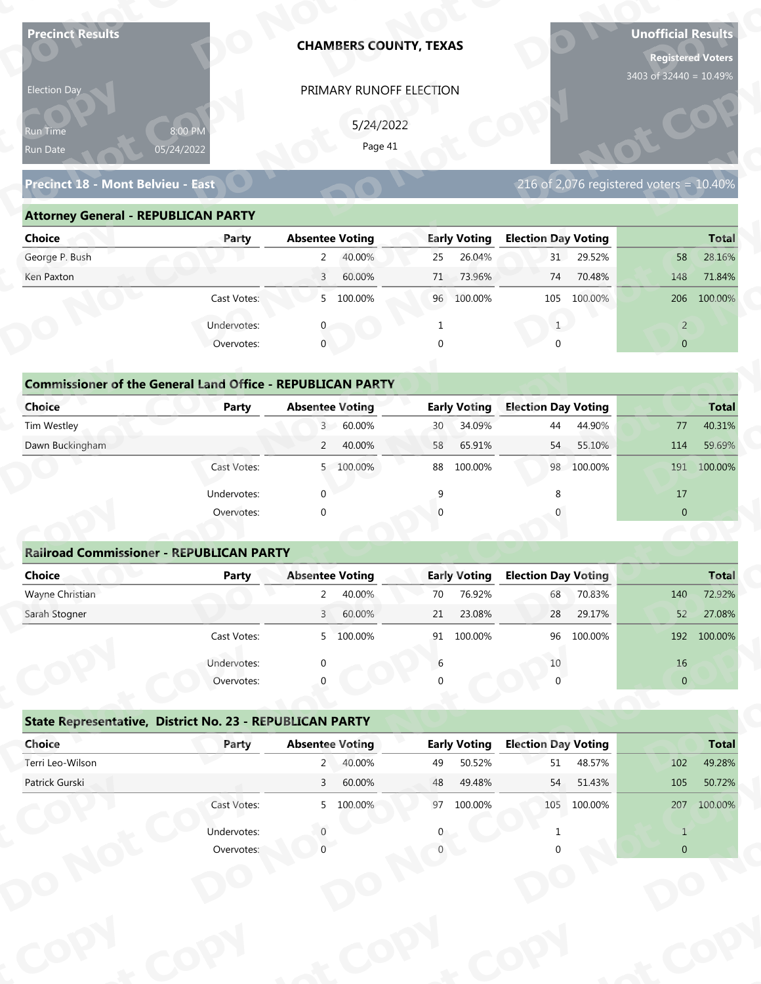| <b>Precinct Results</b>                                           |              |                        | <b>CHAMBERS COUNTY, TEXAS</b> |              |                     |                            |             | <b>Unofficial Results</b><br><b>Registered Voters</b><br>3403 of 32440 = 10.49% |              |
|-------------------------------------------------------------------|--------------|------------------------|-------------------------------|--------------|---------------------|----------------------------|-------------|---------------------------------------------------------------------------------|--------------|
| Election Day                                                      |              |                        | PRIMARY RUNOFF ELECTION       |              |                     |                            |             |                                                                                 |              |
|                                                                   |              |                        |                               |              |                     |                            |             |                                                                                 |              |
| Run Time                                                          | 8:00 PM      |                        | 5/24/2022<br>Page 41          |              |                     |                            |             |                                                                                 |              |
| Run Date                                                          | 05/24/2022   |                        |                               |              |                     |                            |             |                                                                                 |              |
| Precinct 18 - Mont Belvieu - East                                 |              |                        |                               |              |                     |                            |             | 216 of 2,076 registered voters = $10.40\%$                                      |              |
| <b>Attorney General - REPUBLICAN PARTY</b>                        |              |                        |                               |              |                     |                            |             |                                                                                 |              |
| <b>Choice</b>                                                     | Party        | <b>Absentee Voting</b> |                               |              | <b>Early Voting</b> | <b>Election Day Voting</b> |             |                                                                                 | <b>Total</b> |
| George P. Bush                                                    |              | $\overline{2}$         | 40.00%                        | 25           | 26.04%              | 31                         | 29.52%      | 58                                                                              | 28.16%       |
| Ken Paxton                                                        |              | $\overline{3}$         | 60.00%                        | 71           | 73.96%              | 74                         | 70.48%      | 148                                                                             | 71.84%       |
|                                                                   | Cast Votes:  |                        | 5 100.00%                     |              | 96 100.00%          | 105                        | 100.00%     |                                                                                 | 206 100.00%  |
|                                                                   | Undervotes:  |                        |                               |              |                     | 1                          |             | $\overline{2}$                                                                  |              |
|                                                                   | Overvotes:   | $\mathbf{0}$           |                               | $\Omega$     |                     |                            |             | $\overline{0}$                                                                  |              |
|                                                                   |              |                        |                               |              |                     |                            |             |                                                                                 |              |
| <b>Commissioner of the General Land Office - REPUBLICAN PARTY</b> |              |                        |                               |              |                     |                            |             |                                                                                 |              |
| <b>Choice</b>                                                     | <b>Party</b> | <b>Absentee Voting</b> |                               |              | <b>Early Voting</b> | <b>Election Day Voting</b> |             |                                                                                 | <b>Total</b> |
| Tim Westley                                                       |              | 3 <sup>7</sup>         | 60.00%                        | 30           | 34.09%              | 44                         | 44.90%      | 77                                                                              | 40.31%       |
| Dawn Buckingham                                                   |              | $\overline{2}$         | 40.00%                        | 58           | 65.91%              | 54                         | 55.10%      | 114                                                                             | 59.69%       |
|                                                                   | Cast Votes:  |                        | 5 100.00%                     |              | 88 100.00%          |                            | 98 100.00%  | 191                                                                             | 100.00%      |
|                                                                   | Undervotes:  | $\Omega$               |                               | $\mathsf{q}$ |                     | 8                          |             | 17                                                                              |              |
|                                                                   | Overvotes:   | $\Omega$               |                               |              |                     |                            |             | $\overline{0}$                                                                  |              |
|                                                                   |              |                        |                               |              |                     |                            |             |                                                                                 |              |
| <b>Railroad Commissioner - REPUBLICAN PARTY</b>                   |              |                        |                               |              |                     |                            |             |                                                                                 |              |
| <b>Choice</b>                                                     | <b>Party</b> | <b>Absentee Voting</b> |                               |              | <b>Early Voting</b> | <b>Election Day Voting</b> |             |                                                                                 | <b>Total</b> |
| Wayne Christian                                                   |              | $2^{\circ}$            | 40.00%                        | 70           | 76.92%              | 68                         | 70.83%      | 140                                                                             | 72.92%       |
| Sarah Stogner                                                     |              | 3 <sup>1</sup>         | 60.00%                        | 21           | 23.08%              | 28                         | 29.17%      | 52                                                                              | 27.08%       |
|                                                                   | Cast Votes:  |                        | 5 100.00%                     |              | 91 100.00%          | 96                         | 100.00%     |                                                                                 | 192 100.00%  |
|                                                                   | Undervotes:  |                        |                               | 6            |                     | 10                         |             | 16                                                                              |              |
|                                                                   | Overvotes:   |                        |                               |              |                     |                            |             | $\overline{0}$                                                                  |              |
| State Representative, District No. 23 - REPUBLICAN PARTY          |              |                        |                               |              |                     |                            |             |                                                                                 |              |
| Choice                                                            | Party        | <b>Absentee Voting</b> |                               |              | <b>Early Voting</b> | <b>Election Day Voting</b> |             |                                                                                 | <b>Total</b> |
|                                                                   |              | $2^{\circ}$            | 40.00%                        | 49           | 50.52%              | 51                         | 48.57%      | 102                                                                             | 49.28%       |
| Terri Leo-Wilson                                                  |              | 3 <sup>7</sup>         | 60.00%                        | 48           | 49.48%              | 54                         | 51.43%      | 105                                                                             | 50.72%       |
| Patrick Gurski                                                    |              |                        |                               |              |                     |                            |             |                                                                                 |              |
|                                                                   | Cast Votes:  |                        | 5 100.00%                     |              | 97 100.00%          |                            | 105 100.00% | 207                                                                             | 100.00%      |
|                                                                   | Undervotes:  |                        |                               |              |                     |                            |             | $\mathbf{1}$                                                                    |              |

| Election Day                               |                                                                            |                        | PRIMARY RUNOFF ELECTION |          |                     |                            |                                         |                |              |
|--------------------------------------------|----------------------------------------------------------------------------|------------------------|-------------------------|----------|---------------------|----------------------------|-----------------------------------------|----------------|--------------|
| <b>Run Time</b>                            | 8:00 PM                                                                    |                        | 5/24/2022               |          |                     |                            |                                         |                |              |
| Run Date                                   | 05/24/2022                                                                 |                        | Page 41                 |          |                     |                            |                                         |                |              |
| Precinct 18 - Mont Belvieu - East          |                                                                            |                        |                         |          |                     |                            | 216 of 2,076 registered voters = 10.40% |                |              |
| <b>Attorney General - REPUBLICAN PARTY</b> |                                                                            |                        |                         |          |                     |                            |                                         |                |              |
| <b>Choice</b>                              | Party                                                                      | <b>Absentee Voting</b> |                         |          | <b>Early Voting</b> | <b>Election Day Voting</b> |                                         |                | <b>Total</b> |
| George P. Bush                             |                                                                            | $\mathbf{2}$           | 40.00%                  | 25       | 26.04%              |                            | 31 29.52%                               | 58             | 28.16%       |
| Ken Paxton                                 |                                                                            | $\overline{3}$         | 60.00%                  | 71       | 73.96%              | 74                         | 70.48%                                  | 148            | 71.84%       |
|                                            | Cast Votes:                                                                |                        | 5 100.00%               |          | 96 100.00%          |                            | 105 100.00%                             |                | 206 100.00%  |
|                                            | Undervotes:                                                                |                        |                         | 1        |                     | 1                          |                                         | $\overline{2}$ |              |
|                                            | Overvotes:                                                                 | $\mathbf{0}$           |                         | $\Omega$ |                     |                            |                                         | $\overline{0}$ |              |
| Choice                                     | <b>Commissioner of the General Land Office - REPUBLICAN PARTY</b><br>Party | <b>Absentee Voting</b> |                         |          | <b>Early Voting</b> | <b>Election Day Voting</b> |                                         |                | <b>Total</b> |
| Tim Westley                                |                                                                            | 3 <sup>7</sup>         | 60.00%                  | 30       | 34.09%              | 44                         | 44.90%                                  | 77             | 40.31%       |
| Dawn Buckingham                            |                                                                            | $2^{\circ}$            | 40.00%                  | 58       | 65.91%              | 54                         | 55.10%                                  | 114            | 59.69%       |
|                                            | Cast Votes:                                                                |                        | 5 100.00%               | 88       | 100.00%             |                            | 98 100.00%                              | 191            | 100.00%      |
|                                            | Undervotes:                                                                |                        |                         |          |                     |                            |                                         | 17             |              |
|                                            | Overvotes:                                                                 |                        |                         |          |                     |                            |                                         | $\overline{0}$ |              |
|                                            |                                                                            |                        |                         |          |                     |                            |                                         |                |              |
|                                            | <b>Railroad Commissioner - REPUBLICAN PARTY</b>                            |                        |                         |          |                     |                            |                                         |                |              |
| <b>Choice</b>                              | Party                                                                      | <b>Absentee Voting</b> |                         |          | <b>Early Voting</b> | <b>Election Day Voting</b> |                                         |                | <b>Total</b> |
|                                            |                                                                            |                        |                         |          |                     |                            |                                         |                |              |

| <b>Choice</b>                                                     | Party       | <b>Absentee Voting</b>       | <b>Early Voting</b> | <b>Election Day Voting</b> | <b>Total</b>      |
|-------------------------------------------------------------------|-------------|------------------------------|---------------------|----------------------------|-------------------|
| George P. Bush                                                    |             | 2<br>40.00%                  | 26.04%<br>25        | 29.52%<br>31               | 58<br>28.16%      |
| Ken Paxton                                                        |             | 60.00%<br>3                  | 73.96%<br>71        | 70.48%<br>74               | 148<br>71.84%     |
|                                                                   | Cast Votes: | 5 100.00%                    | 96 100.00%          | 100.00%<br>105             | 100.00%<br>206    |
|                                                                   | Undervotes: | $\Omega$                     |                     |                            | $\overline{2}$    |
|                                                                   | Overvotes:  | $\overline{0}$               | $\Omega$            | $\Omega$                   | $\overline{0}$    |
|                                                                   |             |                              |                     |                            |                   |
| <b>Commissioner of the General Land Office - REPUBLICAN PARTY</b> |             |                              |                     |                            |                   |
| Choice                                                            | Party       | <b>Absentee Voting</b>       | <b>Early Voting</b> | <b>Election Day Voting</b> | <b>Total</b>      |
| Tim Westley                                                       |             | 60.00%<br>$\overline{3}$     | 34.09%<br>30        | 44.90%<br>44               | 40.31%<br>77      |
| Dawn Buckingham                                                   |             | 2<br>40.00%                  | 65.91%<br>58        | 55.10%<br>54               | 114<br>59.69%     |
|                                                                   | Cast Votes: | 100.00%<br>5                 | 100.00%<br>88       | 98 100.00%                 | 191<br>100.00%    |
|                                                                   | Undervotes: | $\Omega$                     | 9                   |                            | 17                |
|                                                                   | Overvotes:  | $\mathbf 0$                  | $\Omega$            |                            | $\overline{0}$    |
|                                                                   |             |                              |                     |                            |                   |
| <b>Railroad Commissioner - REPUBLICAN PARTY</b>                   |             |                              |                     |                            |                   |
| <b>Choice</b>                                                     | Party       | <b>Absentee Voting</b>       | <b>Early Voting</b> | <b>Election Day Voting</b> | <b>Total</b>      |
| Wayne Christian                                                   |             | 40.00%                       | 76.92%<br>70        | 70.83%<br>68               | 72.92%<br>140     |
| Carole Champan                                                    |             | $C_{0}$ $0.00$<br>$\sqrt{ }$ | 22000<br>$\neg$ 1   | 20.170/<br>$20^{\circ}$    | 27000<br>$\Gamma$ |

| 8:00 PM<br>05/24/2022<br>Precinct 18 - Mont Belvieu - East<br><b>Attorney General - REPUBLICAN PARTY</b> |                                                                                                                     | PRIMARY RUNOFF ELECTION<br>5/24/2022<br>Page 41                                           |                                                                                                                                                                                                                                                                        |                                                                   |                                                                                                                                                                                                  |                          | 3403 of 32440 = 10.49%                                                                                                        |                                                                    |
|----------------------------------------------------------------------------------------------------------|---------------------------------------------------------------------------------------------------------------------|-------------------------------------------------------------------------------------------|------------------------------------------------------------------------------------------------------------------------------------------------------------------------------------------------------------------------------------------------------------------------|-------------------------------------------------------------------|--------------------------------------------------------------------------------------------------------------------------------------------------------------------------------------------------|--------------------------|-------------------------------------------------------------------------------------------------------------------------------|--------------------------------------------------------------------|
|                                                                                                          |                                                                                                                     |                                                                                           |                                                                                                                                                                                                                                                                        |                                                                   |                                                                                                                                                                                                  |                          |                                                                                                                               |                                                                    |
|                                                                                                          |                                                                                                                     |                                                                                           |                                                                                                                                                                                                                                                                        |                                                                   |                                                                                                                                                                                                  |                          | 216 of 2,076 registered voters = $10.40\%$                                                                                    |                                                                    |
|                                                                                                          |                                                                                                                     |                                                                                           |                                                                                                                                                                                                                                                                        |                                                                   |                                                                                                                                                                                                  |                          |                                                                                                                               |                                                                    |
| Party                                                                                                    | <b>Absentee Voting</b>                                                                                              |                                                                                           |                                                                                                                                                                                                                                                                        | <b>Early Voting</b>                                               | <b>Election Day Voting</b>                                                                                                                                                                       |                          |                                                                                                                               | <b>Total</b>                                                       |
|                                                                                                          | $2^{\circ}$                                                                                                         | 40.00%                                                                                    | 25                                                                                                                                                                                                                                                                     | 26.04%                                                            |                                                                                                                                                                                                  | 31 29.52%                | 58                                                                                                                            | 28.16%                                                             |
|                                                                                                          | $\overline{3}$                                                                                                      | 60.00%                                                                                    |                                                                                                                                                                                                                                                                        | 73.96%                                                            | 74                                                                                                                                                                                               | 70.48%                   | 148                                                                                                                           | 71.84%                                                             |
| Cast Votes:                                                                                              |                                                                                                                     |                                                                                           |                                                                                                                                                                                                                                                                        |                                                                   | 105                                                                                                                                                                                              | 100.00%                  |                                                                                                                               | 206 100.00%                                                        |
| Undervotes:                                                                                              |                                                                                                                     |                                                                                           |                                                                                                                                                                                                                                                                        |                                                                   |                                                                                                                                                                                                  |                          | $\overline{2}$                                                                                                                |                                                                    |
| Overvotes:                                                                                               | $\mathbf{0}$                                                                                                        |                                                                                           |                                                                                                                                                                                                                                                                        |                                                                   |                                                                                                                                                                                                  |                          | $\overline{0}$                                                                                                                |                                                                    |
|                                                                                                          |                                                                                                                     |                                                                                           |                                                                                                                                                                                                                                                                        |                                                                   |                                                                                                                                                                                                  |                          |                                                                                                                               |                                                                    |
|                                                                                                          |                                                                                                                     |                                                                                           |                                                                                                                                                                                                                                                                        |                                                                   |                                                                                                                                                                                                  |                          |                                                                                                                               | <b>Total</b>                                                       |
|                                                                                                          |                                                                                                                     | 60.00%                                                                                    |                                                                                                                                                                                                                                                                        | 34.09%                                                            | 44                                                                                                                                                                                               | 44.90%                   | 77                                                                                                                            | 40.31%                                                             |
|                                                                                                          |                                                                                                                     | 40.00%                                                                                    |                                                                                                                                                                                                                                                                        | 65.91%                                                            | 54                                                                                                                                                                                               | 55.10%                   | 114                                                                                                                           | 59.69%                                                             |
| Cast Votes:                                                                                              |                                                                                                                     |                                                                                           |                                                                                                                                                                                                                                                                        | 100.00%                                                           |                                                                                                                                                                                                  |                          |                                                                                                                               | 191 100.00%                                                        |
|                                                                                                          |                                                                                                                     |                                                                                           |                                                                                                                                                                                                                                                                        |                                                                   |                                                                                                                                                                                                  |                          |                                                                                                                               |                                                                    |
|                                                                                                          |                                                                                                                     |                                                                                           |                                                                                                                                                                                                                                                                        |                                                                   |                                                                                                                                                                                                  |                          |                                                                                                                               |                                                                    |
|                                                                                                          |                                                                                                                     |                                                                                           |                                                                                                                                                                                                                                                                        |                                                                   |                                                                                                                                                                                                  |                          |                                                                                                                               |                                                                    |
|                                                                                                          |                                                                                                                     |                                                                                           |                                                                                                                                                                                                                                                                        |                                                                   |                                                                                                                                                                                                  |                          |                                                                                                                               |                                                                    |
|                                                                                                          |                                                                                                                     |                                                                                           |                                                                                                                                                                                                                                                                        |                                                                   |                                                                                                                                                                                                  |                          |                                                                                                                               | <b>Total</b>                                                       |
|                                                                                                          |                                                                                                                     |                                                                                           |                                                                                                                                                                                                                                                                        |                                                                   |                                                                                                                                                                                                  |                          |                                                                                                                               | 72.92%                                                             |
|                                                                                                          |                                                                                                                     | 60.00%                                                                                    |                                                                                                                                                                                                                                                                        | 23.08%                                                            | 28                                                                                                                                                                                               | 29.17%                   | 52                                                                                                                            | 27.08%                                                             |
| Cast Votes:                                                                                              |                                                                                                                     |                                                                                           |                                                                                                                                                                                                                                                                        |                                                                   | 96                                                                                                                                                                                               | 100.00%                  |                                                                                                                               | 192 100.00%                                                        |
|                                                                                                          |                                                                                                                     |                                                                                           |                                                                                                                                                                                                                                                                        |                                                                   |                                                                                                                                                                                                  |                          |                                                                                                                               |                                                                    |
|                                                                                                          |                                                                                                                     |                                                                                           |                                                                                                                                                                                                                                                                        |                                                                   |                                                                                                                                                                                                  |                          |                                                                                                                               |                                                                    |
|                                                                                                          |                                                                                                                     |                                                                                           |                                                                                                                                                                                                                                                                        |                                                                   |                                                                                                                                                                                                  |                          |                                                                                                                               |                                                                    |
|                                                                                                          |                                                                                                                     |                                                                                           |                                                                                                                                                                                                                                                                        |                                                                   |                                                                                                                                                                                                  |                          |                                                                                                                               |                                                                    |
| Party                                                                                                    |                                                                                                                     |                                                                                           |                                                                                                                                                                                                                                                                        |                                                                   |                                                                                                                                                                                                  |                          |                                                                                                                               | <b>Total</b>                                                       |
|                                                                                                          |                                                                                                                     | 40.00%                                                                                    |                                                                                                                                                                                                                                                                        | 50.52%                                                            | 51                                                                                                                                                                                               | 48.57%                   | 102                                                                                                                           | 49.28%                                                             |
|                                                                                                          | $\mathsf{3}$                                                                                                        | 60.00%                                                                                    |                                                                                                                                                                                                                                                                        | 49.48%                                                            | 54                                                                                                                                                                                               | 51.43%                   | 105                                                                                                                           | 50.72%                                                             |
| Cast Votes:                                                                                              |                                                                                                                     |                                                                                           |                                                                                                                                                                                                                                                                        |                                                                   |                                                                                                                                                                                                  |                          | 207                                                                                                                           | 100.00%                                                            |
|                                                                                                          |                                                                                                                     |                                                                                           |                                                                                                                                                                                                                                                                        |                                                                   |                                                                                                                                                                                                  |                          |                                                                                                                               |                                                                    |
|                                                                                                          | $\Omega$                                                                                                            |                                                                                           |                                                                                                                                                                                                                                                                        |                                                                   |                                                                                                                                                                                                  |                          | $\overline{0}$                                                                                                                |                                                                    |
|                                                                                                          | <b>Party</b><br>Undervotes:<br>Overvotes:<br><b>Party</b><br>Undervotes:<br>Overvotes:<br>Undervotes:<br>Overvotes: | $\Omega$<br><b>Railroad Commissioner - REPUBLICAN PARTY</b><br>$\overline{a}$<br>$\Omega$ | 5 100.00%<br><b>Absentee Voting</b><br>3 <sup>7</sup><br>$2^{\circ}$<br>5 100.00%<br><b>Absentee Voting</b><br>40.00%<br>$\overline{3}$<br>5 100.00%<br>State Representative, District No. 23 - REPUBLICAN PARTY<br><b>Absentee Voting</b><br>$2^{\circ}$<br>5 100.00% | <b>Commissioner of the General Land Office - REPUBLICAN PARTY</b> | 71<br>96 100.00%<br>1<br>$\Omega$<br><b>Early Voting</b><br>30<br>58<br>88<br>9<br><b>Early Voting</b><br>70<br>76.92%<br>21<br>91 100.00%<br>6<br><b>Early Voting</b><br>49<br>48<br>97 100.00% | $\mathbf{1}$<br>68<br>10 | <b>Election Day Voting</b><br>98 100.00%<br><b>Election Day Voting</b><br>70.83%<br><b>Election Day Voting</b><br>105 100.00% | 17<br>$\overline{0}$<br>140<br>$16\,$<br>$\pmb{0}$<br>$\mathbf{1}$ |

|                                                          | Cast votes. | $\mathcal{P}$          | TOO'OO XQ | ⊥כ | TOO'OO NO           | ັບ                         | LUU.UU 70 |                | 192 100.00%  |
|----------------------------------------------------------|-------------|------------------------|-----------|----|---------------------|----------------------------|-----------|----------------|--------------|
|                                                          | Undervotes: | $\Omega$               |           | 6  |                     | 10                         |           | 16             |              |
|                                                          | Overvotes:  | $\Omega$               |           | 0  |                     |                            |           | $\overline{0}$ |              |
| State Representative, District No. 23 - REPUBLICAN PARTY |             |                        |           |    |                     |                            |           |                |              |
| Choice                                                   | Party       | <b>Absentee Voting</b> |           |    | <b>Early Voting</b> | <b>Election Day Voting</b> |           |                | <b>Total</b> |
| Terri Leo-Wilson                                         |             | 2                      | 40.00%    | 49 | 50.52%              | 51                         | 48.57%    | 102            | 49.28%       |
| Patrick Gurski                                           |             | 3                      | 60.00%    | 48 | 49.48%              | 54                         | 51.43%    | 105            | 50.72%       |
|                                                          | Cast Votes: |                        | 5 100.00% | 97 | 100.00%             | 105                        | 100.00%   | 207            | 100.00%      |
|                                                          | Undervotes: |                        |           | 0  |                     |                            |           |                |              |
|                                                          | Overvotes:  |                        |           |    |                     |                            |           | $\overline{0}$ |              |
|                                                          |             |                        |           |    |                     |                            |           |                |              |
|                                                          |             |                        |           |    |                     |                            |           |                |              |
|                                                          |             |                        |           |    |                     |                            |           |                |              |
|                                                          |             |                        |           |    |                     |                            |           |                |              |
|                                                          |             |                        |           |    |                     |                            |           |                |              |
|                                                          |             |                        |           |    |                     |                            |           |                |              |